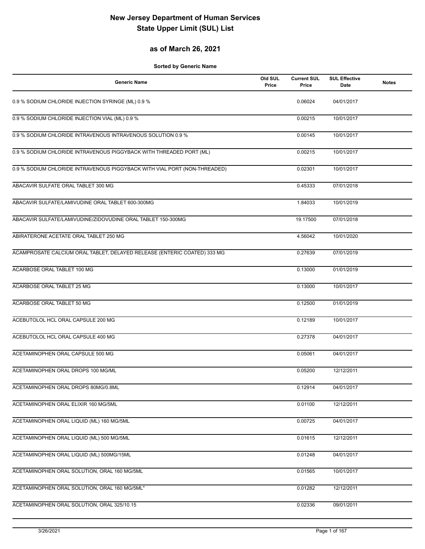### **as of March 26, 2021**

| <b>Generic Name</b>                                                       | Old SUL<br>Price | <b>Current SUL</b><br>Price | <b>SUL Effective</b><br>Date | <b>Notes</b> |
|---------------------------------------------------------------------------|------------------|-----------------------------|------------------------------|--------------|
| 0.9 % SODIUM CHLORIDE INJECTION SYRINGE (ML) 0.9 %                        |                  | 0.06024                     | 04/01/2017                   |              |
| 0.9 % SODIUM CHLORIDE INJECTION VIAL (ML) 0.9 %                           |                  | 0.00215                     | 10/01/2017                   |              |
| 0.9 % SODIUM CHLORIDE INTRAVENOUS INTRAVENOUS SOLUTION 0.9 %              |                  | 0.00145                     | 10/01/2017                   |              |
| 0.9 % SODIUM CHLORIDE INTRAVENOUS PIGGYBACK WITH THREADED PORT (ML)       |                  | 0.00215                     | 10/01/2017                   |              |
| 0.9 % SODIUM CHLORIDE INTRAVENOUS PIGGYBACK WITH VIAL PORT (NON-THREADED) |                  | 0.02301                     | 10/01/2017                   |              |
| ABACAVIR SULFATE ORAL TABLET 300 MG                                       |                  | 0.45333                     | 07/01/2018                   |              |
| ABACAVIR SULFATE/LAMIVUDINE ORAL TABLET 600-300MG                         |                  | 1.84033                     | 10/01/2019                   |              |
| ABACAVIR SULFATE/LAMIVUDINE/ZIDOVUDINE ORAL TABLET 150-300MG              |                  | 19.17500                    | 07/01/2018                   |              |
| ABIRATERONE ACETATE ORAL TABLET 250 MG                                    |                  | 4.56042                     | 10/01/2020                   |              |
| ACAMPROSATE CALCIUM ORAL TABLET, DELAYED RELEASE (ENTERIC COATED) 333 MG  |                  | 0.27639                     | 07/01/2019                   |              |
| ACARBOSE ORAL TABLET 100 MG                                               |                  | 0.13000                     | 01/01/2019                   |              |
| ACARBOSE ORAL TABLET 25 MG                                                |                  | 0.13000                     | 10/01/2017                   |              |
| ACARBOSE ORAL TABLET 50 MG                                                |                  | 0.12500                     | 01/01/2019                   |              |
| ACEBUTOLOL HCL ORAL CAPSULE 200 MG                                        |                  | 0.12189                     | 10/01/2017                   |              |
| ACEBUTOLOL HCL ORAL CAPSULE 400 MG                                        |                  | 0.27378                     | 04/01/2017                   |              |
| ACETAMINOPHEN ORAL CAPSULE 500 MG                                         |                  | 0.05061                     | 04/01/2017                   |              |
| ACETAMINOPHEN ORAL DROPS 100 MG/ML                                        |                  | 0.05200                     | 12/12/2011                   |              |
| ACETAMINOPHEN ORAL DROPS 80MG/0.8ML                                       |                  | 0.12914                     | 04/01/2017                   |              |
| ACETAMINOPHEN ORAL ELIXIR 160 MG/5ML                                      |                  | 0.01100                     | 12/12/2011                   |              |
| ACETAMINOPHEN ORAL LIQUID (ML) 160 MG/5ML                                 |                  | 0.00725                     | 04/01/2017                   |              |
| ACETAMINOPHEN ORAL LIQUID (ML) 500 MG/5ML                                 |                  | 0.01615                     | 12/12/2011                   |              |
| ACETAMINOPHEN ORAL LIQUID (ML) 500MG/15ML                                 |                  | 0.01248                     | 04/01/2017                   |              |
| ACETAMINOPHEN ORAL SOLUTION, ORAL 160 MG/5ML                              |                  | 0.01565                     | 10/01/2017                   |              |
| ACETAMINOPHEN ORAL SOLUTION, ORAL 160 MG/5ML"                             |                  | 0.01282                     | 12/12/2011                   |              |
| ACETAMINOPHEN ORAL SOLUTION, ORAL 325/10.15                               |                  | 0.02336                     | 09/01/2011                   |              |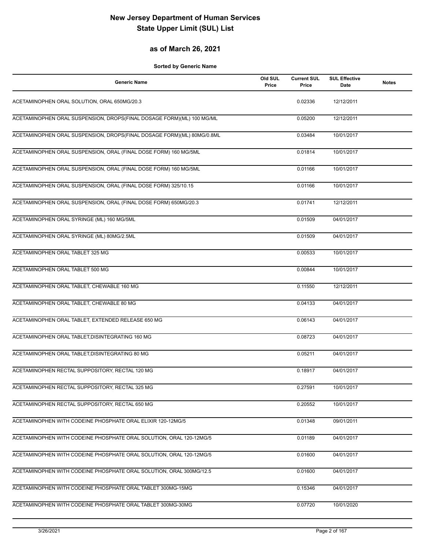### **as of March 26, 2021**

| <b>Generic Name</b>                                                    | Old SUL<br>Price | <b>Current SUL</b><br>Price | <b>SUL Effective</b><br><b>Date</b> | <b>Notes</b> |
|------------------------------------------------------------------------|------------------|-----------------------------|-------------------------------------|--------------|
| ACETAMINOPHEN ORAL SOLUTION, ORAL 650MG/20.3                           |                  | 0.02336                     | 12/12/2011                          |              |
| ACETAMINOPHEN ORAL SUSPENSION, DROPS(FINAL DOSAGE FORM)(ML) 100 MG/ML  |                  | 0.05200                     | 12/12/2011                          |              |
| ACETAMINOPHEN ORAL SUSPENSION, DROPS(FINAL DOSAGE FORM)(ML) 80MG/0.8ML |                  | 0.03484                     | 10/01/2017                          |              |
| ACETAMINOPHEN ORAL SUSPENSION, ORAL (FINAL DOSE FORM) 160 MG/5ML       |                  | 0.01814                     | 10/01/2017                          |              |
| ACETAMINOPHEN ORAL SUSPENSION, ORAL (FINAL DOSE FORM) 160 MG/5ML       |                  | 0.01166                     | 10/01/2017                          |              |
| ACETAMINOPHEN ORAL SUSPENSION, ORAL (FINAL DOSE FORM) 325/10.15        |                  | 0.01166                     | 10/01/2017                          |              |
| ACETAMINOPHEN ORAL SUSPENSION, ORAL (FINAL DOSE FORM) 650MG/20.3       |                  | 0.01741                     | 12/12/2011                          |              |
| ACETAMINOPHEN ORAL SYRINGE (ML) 160 MG/5ML                             |                  | 0.01509                     | 04/01/2017                          |              |
| ACETAMINOPHEN ORAL SYRINGE (ML) 80MG/2.5ML                             |                  | 0.01509                     | 04/01/2017                          |              |
| ACETAMINOPHEN ORAL TABLET 325 MG                                       |                  | 0.00533                     | 10/01/2017                          |              |
| ACETAMINOPHEN ORAL TABLET 500 MG                                       |                  | 0.00844                     | 10/01/2017                          |              |
| ACETAMINOPHEN ORAL TABLET, CHEWABLE 160 MG                             |                  | 0.11550                     | 12/12/2011                          |              |
| ACETAMINOPHEN ORAL TABLET, CHEWABLE 80 MG                              |                  | 0.04133                     | 04/01/2017                          |              |
| ACETAMINOPHEN ORAL TABLET, EXTENDED RELEASE 650 MG                     |                  | 0.06143                     | 04/01/2017                          |              |
| ACETAMINOPHEN ORAL TABLET, DISINTEGRATING 160 MG                       |                  | 0.08723                     | 04/01/2017                          |              |
| ACETAMINOPHEN ORAL TABLET, DISINTEGRATING 80 MG                        |                  | 0.05211                     | 04/01/2017                          |              |
| ACETAMINOPHEN RECTAL SUPPOSITORY, RECTAL 120 MG                        |                  | 0.18917                     | 04/01/2017                          |              |
| ACETAMINOPHEN RECTAL SUPPOSITORY, RECTAL 325 MG                        |                  | 0.27591                     | 10/01/2017                          |              |
| ACETAMINOPHEN RECTAL SUPPOSITORY, RECTAL 650 MG                        |                  | 0.20552                     | 10/01/2017                          |              |
| ACETAMINOPHEN WITH CODEINE PHOSPHATE ORAL ELIXIR 120-12MG/5            |                  | 0.01348                     | 09/01/2011                          |              |
| ACETAMINOPHEN WITH CODEINE PHOSPHATE ORAL SOLUTION, ORAL 120-12MG/5    |                  | 0.01189                     | 04/01/2017                          |              |
| ACETAMINOPHEN WITH CODEINE PHOSPHATE ORAL SOLUTION, ORAL 120-12MG/5    |                  | 0.01600                     | 04/01/2017                          |              |
| ACETAMINOPHEN WITH CODEINE PHOSPHATE ORAL SOLUTION, ORAL 300MG/12.5    |                  | 0.01600                     | 04/01/2017                          |              |
| ACETAMINOPHEN WITH CODEINE PHOSPHATE ORAL TABLET 300MG-15MG            |                  | 0.15346                     | 04/01/2017                          |              |
| ACETAMINOPHEN WITH CODEINE PHOSPHATE ORAL TABLET 300MG-30MG            |                  | 0.07720                     | 10/01/2020                          |              |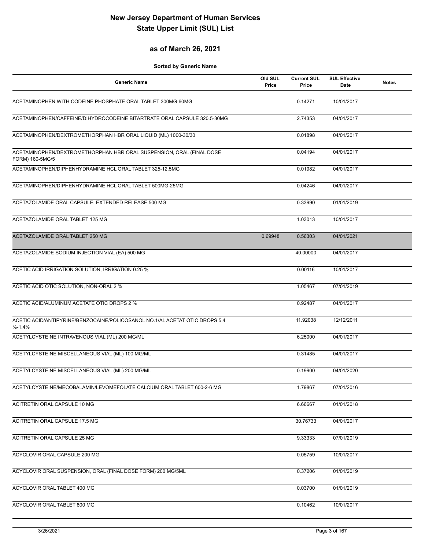### **as of March 26, 2021**

| <b>Generic Name</b>                                                                      | Old SUL<br>Price | <b>Current SUL</b><br>Price | <b>SUL Effective</b><br>Date | <b>Notes</b> |
|------------------------------------------------------------------------------------------|------------------|-----------------------------|------------------------------|--------------|
| ACETAMINOPHEN WITH CODEINE PHOSPHATE ORAL TABLET 300MG-60MG                              |                  | 0.14271                     | 10/01/2017                   |              |
| ACETAMINOPHEN/CAFFEINE/DIHYDROCODEINE BITARTRATE ORAL CAPSULE 320.5-30MG                 |                  | 2.74353                     | 04/01/2017                   |              |
| ACETAMINOPHEN/DEXTROMETHORPHAN HBR ORAL LIQUID (ML) 1000-30/30                           |                  | 0.01898                     | 04/01/2017                   |              |
| ACETAMINOPHEN/DEXTROMETHORPHAN HBR ORAL SUSPENSION, ORAL (FINAL DOSE<br>FORM) 160-5MG/5  |                  | 0.04194                     | 04/01/2017                   |              |
| ACETAMINOPHEN/DIPHENHYDRAMINE HCL ORAL TABLET 325-12.5MG                                 |                  | 0.01982                     | 04/01/2017                   |              |
| ACETAMINOPHEN/DIPHENHYDRAMINE HCL ORAL TABLET 500MG-25MG                                 |                  | 0.04246                     | 04/01/2017                   |              |
| ACETAZOLAMIDE ORAL CAPSULE, EXTENDED RELEASE 500 MG                                      |                  | 0.33990                     | 01/01/2019                   |              |
| ACETAZOLAMIDE ORAL TABLET 125 MG                                                         |                  | 1.03013                     | 10/01/2017                   |              |
| ACETAZOLAMIDE ORAL TABLET 250 MG                                                         | 0.69948          | 0.56303                     | 04/01/2021                   |              |
| ACETAZOLAMIDE SODIUM INJECTION VIAL (EA) 500 MG                                          |                  | 40.00000                    | 04/01/2017                   |              |
| ACETIC ACID IRRIGATION SOLUTION, IRRIGATION 0.25 %                                       |                  | 0.00116                     | 10/01/2017                   |              |
| ACETIC ACID OTIC SOLUTION, NON-ORAL 2 %                                                  |                  | 1.05467                     | 07/01/2019                   |              |
| ACETIC ACID/ALUMINUM ACETATE OTIC DROPS 2 %                                              |                  | 0.92487                     | 04/01/2017                   |              |
| ACETIC ACID/ANTIPYRINE/BENZOCAINE/POLICOSANOL NO.1/AL ACETAT OTIC DROPS 5.4<br>$% -1.4%$ |                  | 11.92038                    | 12/12/2011                   |              |
| ACETYLCYSTEINE INTRAVENOUS VIAL (ML) 200 MG/ML                                           |                  | 6.25000                     | 04/01/2017                   |              |
| ACETYLCYSTEINE MISCELLANEOUS VIAL (ML) 100 MG/ML                                         |                  | 0.31485                     | 04/01/2017                   |              |
| ACETYLCYSTEINE MISCELLANEOUS VIAL (ML) 200 MG/ML                                         |                  | 0.19900                     | 04/01/2020                   |              |
| ACETYLCYSTEINE/MECOBALAMIN/LEVOMEFOLATE CALCIUM ORAL TABLET 600-2-6 MG                   |                  | 1.79867                     | 07/01/2016                   |              |
| ACITRETIN ORAL CAPSULE 10 MG                                                             |                  | 6.66667                     | 01/01/2018                   |              |
| ACITRETIN ORAL CAPSULE 17.5 MG                                                           |                  | 30.76733                    | 04/01/2017                   |              |
| <b>ACITRETIN ORAL CAPSULE 25 MG</b>                                                      |                  | 9.33333                     | 07/01/2019                   |              |
| ACYCLOVIR ORAL CAPSULE 200 MG                                                            |                  | 0.05759                     | 10/01/2017                   |              |
| ACYCLOVIR ORAL SUSPENSION, ORAL (FINAL DOSE FORM) 200 MG/5ML                             |                  | 0.37206                     | 01/01/2019                   |              |
| ACYCLOVIR ORAL TABLET 400 MG                                                             |                  | 0.03700                     | 01/01/2019                   |              |
| ACYCLOVIR ORAL TABLET 800 MG                                                             |                  | 0.10462                     | 10/01/2017                   |              |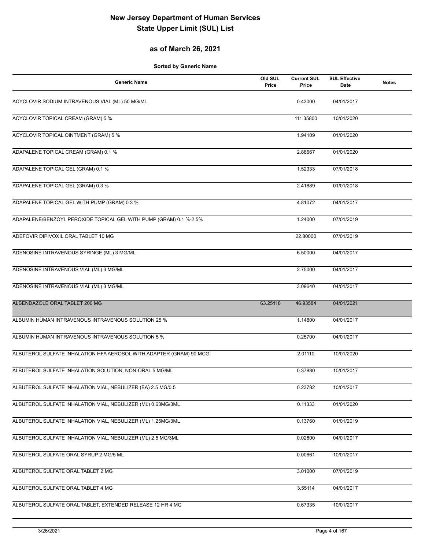### **as of March 26, 2021**

| <b>Generic Name</b>                                                 | Old SUL<br>Price | <b>Current SUL</b><br>Price | <b>SUL Effective</b><br><b>Date</b> | <b>Notes</b> |
|---------------------------------------------------------------------|------------------|-----------------------------|-------------------------------------|--------------|
| ACYCLOVIR SODIUM INTRAVENOUS VIAL (ML) 50 MG/ML                     |                  | 0.43000                     | 04/01/2017                          |              |
| ACYCLOVIR TOPICAL CREAM (GRAM) 5 %                                  |                  | 111.35800                   | 10/01/2020                          |              |
| <b>ACYCLOVIR TOPICAL OINTMENT (GRAM) 5 %</b>                        |                  | 1.94109                     | 01/01/2020                          |              |
| ADAPALENE TOPICAL CREAM (GRAM) 0.1 %                                |                  | 2.88667                     | 01/01/2020                          |              |
| ADAPALENE TOPICAL GEL (GRAM) 0.1 %                                  |                  | 1.52333                     | 07/01/2018                          |              |
| ADAPALENE TOPICAL GEL (GRAM) 0.3 %                                  |                  | 2.41889                     | 01/01/2018                          |              |
| ADAPALENE TOPICAL GEL WITH PUMP (GRAM) 0.3 %                        |                  | 4.81072                     | 04/01/2017                          |              |
| ADAPALENE/BENZOYL PEROXIDE TOPICAL GEL WITH PUMP (GRAM) 0.1 %-2.5%  |                  | 1.24000                     | 07/01/2019                          |              |
| ADEFOVIR DIPIVOXIL ORAL TABLET 10 MG                                |                  | 22.80000                    | 07/01/2019                          |              |
| ADENOSINE INTRAVENOUS SYRINGE (ML) 3 MG/ML                          |                  | 6.50000                     | 04/01/2017                          |              |
| ADENOSINE INTRAVENOUS VIAL (ML) 3 MG/ML                             |                  | 2.75000                     | 04/01/2017                          |              |
| ADENOSINE INTRAVENOUS VIAL (ML) 3 MG/ML                             |                  | 3.09640                     | 04/01/2017                          |              |
| ALBENDAZOLE ORAL TABLET 200 MG                                      | 63.25118         | 46.93584                    | 04/01/2021                          |              |
| ALBUMIN HUMAN INTRAVENOUS INTRAVENOUS SOLUTION 25 %                 |                  | 1.14800                     | 04/01/2017                          |              |
| ALBUMIN HUMAN INTRAVENOUS INTRAVENOUS SOLUTION 5 %                  |                  | 0.25700                     | 04/01/2017                          |              |
| ALBUTEROL SULFATE INHALATION HFA AEROSOL WITH ADAPTER (GRAM) 90 MCG |                  | 2.01110                     | 10/01/2020                          |              |
| ALBUTEROL SULFATE INHALATION SOLUTION, NON-ORAL 5 MG/ML             |                  | 0.37880                     | 10/01/2017                          |              |
| ALBUTEROL SULFATE INHALATION VIAL, NEBULIZER (EA) 2.5 MG/0.5        |                  | 0.23782                     | 10/01/2017                          |              |
| ALBUTEROL SULFATE INHALATION VIAL, NEBULIZER (ML) 0.63MG/3ML        |                  | 0.11333                     | 01/01/2020                          |              |
| ALBUTEROL SULFATE INHALATION VIAL, NEBULIZER (ML) 1.25MG/3ML        |                  | 0.13760                     | 01/01/2019                          |              |
| ALBUTEROL SULFATE INHALATION VIAL, NEBULIZER (ML) 2.5 MG/3ML        |                  | 0.02600                     | 04/01/2017                          |              |
| ALBUTEROL SULFATE ORAL SYRUP 2 MG/5 ML                              |                  | 0.00661                     | 10/01/2017                          |              |
| ALBUTEROL SULFATE ORAL TABLET 2 MG                                  |                  | 3.01000                     | 07/01/2019                          |              |
| ALBUTEROL SULFATE ORAL TABLET 4 MG                                  |                  | 3.55114                     | 04/01/2017                          |              |
| ALBUTEROL SULFATE ORAL TABLET, EXTENDED RELEASE 12 HR 4 MG          |                  | 0.67335                     | 10/01/2017                          |              |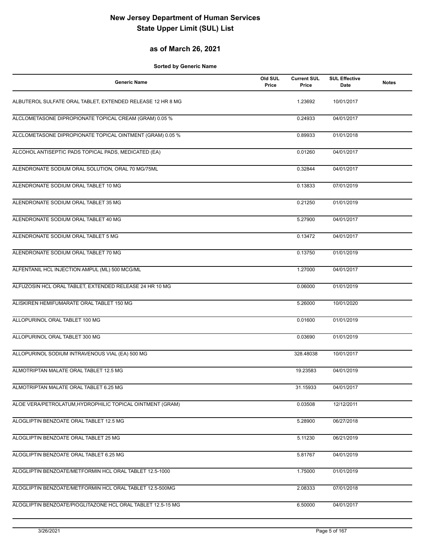### **as of March 26, 2021**

| <b>Generic Name</b>                                         | Old SUL<br>Price | <b>Current SUL</b><br>Price | <b>SUL Effective</b><br><b>Date</b> | <b>Notes</b> |
|-------------------------------------------------------------|------------------|-----------------------------|-------------------------------------|--------------|
| ALBUTEROL SULFATE ORAL TABLET, EXTENDED RELEASE 12 HR 8 MG  |                  | 1.23692                     | 10/01/2017                          |              |
| ALCLOMETASONE DIPROPIONATE TOPICAL CREAM (GRAM) 0.05 %      |                  | 0.24933                     | 04/01/2017                          |              |
| ALCLOMETASONE DIPROPIONATE TOPICAL OINTMENT (GRAM) 0.05 %   |                  | 0.89933                     | 01/01/2018                          |              |
| ALCOHOL ANTISEPTIC PADS TOPICAL PADS, MEDICATED (EA)        |                  | 0.01260                     | 04/01/2017                          |              |
| ALENDRONATE SODIUM ORAL SOLUTION, ORAL 70 MG/75ML           |                  | 0.32844                     | 04/01/2017                          |              |
| ALENDRONATE SODIUM ORAL TABLET 10 MG                        |                  | 0.13833                     | 07/01/2019                          |              |
| ALENDRONATE SODIUM ORAL TABLET 35 MG                        |                  | 0.21250                     | 01/01/2019                          |              |
| ALENDRONATE SODIUM ORAL TABLET 40 MG                        |                  | 5.27900                     | 04/01/2017                          |              |
| ALENDRONATE SODIUM ORAL TABLET 5 MG                         |                  | 0.13472                     | 04/01/2017                          |              |
| ALENDRONATE SODIUM ORAL TABLET 70 MG                        |                  | 0.13750                     | 01/01/2019                          |              |
| ALFENTANIL HCL INJECTION AMPUL (ML) 500 MCG/ML              |                  | 1.27000                     | 04/01/2017                          |              |
| ALFUZOSIN HCL ORAL TABLET, EXTENDED RELEASE 24 HR 10 MG     |                  | 0.06000                     | 01/01/2019                          |              |
| ALISKIREN HEMIFUMARATE ORAL TABLET 150 MG                   |                  | 5.26000                     | 10/01/2020                          |              |
| ALLOPURINOL ORAL TABLET 100 MG                              |                  | 0.01600                     | 01/01/2019                          |              |
| ALLOPURINOL ORAL TABLET 300 MG                              |                  | 0.03690                     | 01/01/2019                          |              |
| ALLOPURINOL SODIUM INTRAVENOUS VIAL (EA) 500 MG             |                  | 328.48038                   | 10/01/2017                          |              |
| ALMOTRIPTAN MALATE ORAL TABLET 12.5 MG                      |                  | 19.23583                    | 04/01/2019                          |              |
| ALMOTRIPTAN MALATE ORAL TABLET 6.25 MG                      |                  | 31.15933                    | 04/01/2017                          |              |
| ALOE VERA/PETROLATUM, HYDROPHILIC TOPICAL OINTMENT (GRAM)   |                  | 0.03508                     | 12/12/2011                          |              |
| ALOGLIPTIN BENZOATE ORAL TABLET 12.5 MG                     |                  | 5.28900                     | 06/27/2018                          |              |
| ALOGLIPTIN BENZOATE ORAL TABLET 25 MG                       |                  | 5.11230                     | 06/21/2019                          |              |
| ALOGLIPTIN BENZOATE ORAL TABLET 6.25 MG                     |                  | 5.81767                     | 04/01/2019                          |              |
| ALOGLIPTIN BENZOATE/METFORMIN HCL ORAL TABLET 12.5-1000     |                  | 1.75000                     | 01/01/2019                          |              |
| ALOGLIPTIN BENZOATE/METFORMIN HCL ORAL TABLET 12.5-500MG    |                  | 2.08333                     | 07/01/2018                          |              |
| ALOGLIPTIN BENZOATE/PIOGLITAZONE HCL ORAL TABLET 12.5-15 MG |                  | 6.50000                     | 04/01/2017                          |              |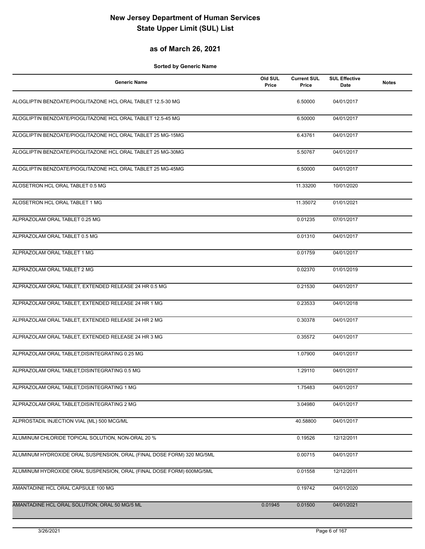### **as of March 26, 2021**

| <b>Generic Name</b>                                                   | Old SUL<br>Price | <b>Current SUL</b><br>Price | <b>SUL Effective</b><br>Date | <b>Notes</b> |
|-----------------------------------------------------------------------|------------------|-----------------------------|------------------------------|--------------|
| ALOGLIPTIN BENZOATE/PIOGLITAZONE HCL ORAL TABLET 12.5-30 MG           |                  | 6.50000                     | 04/01/2017                   |              |
| ALOGLIPTIN BENZOATE/PIOGLITAZONE HCL ORAL TABLET 12.5-45 MG           |                  | 6.50000                     | 04/01/2017                   |              |
| ALOGLIPTIN BENZOATE/PIOGLITAZONE HCL ORAL TABLET 25 MG-15MG           |                  | 6.43761                     | 04/01/2017                   |              |
| ALOGLIPTIN BENZOATE/PIOGLITAZONE HCL ORAL TABLET 25 MG-30MG           |                  | 5.50767                     | 04/01/2017                   |              |
| ALOGLIPTIN BENZOATE/PIOGLITAZONE HCL ORAL TABLET 25 MG-45MG           |                  | 6.50000                     | 04/01/2017                   |              |
| ALOSETRON HCL ORAL TABLET 0.5 MG                                      |                  | 11.33200                    | 10/01/2020                   |              |
| ALOSETRON HCL ORAL TABLET 1 MG                                        |                  | 11.35072                    | 01/01/2021                   |              |
| ALPRAZOLAM ORAL TABLET 0.25 MG                                        |                  | 0.01235                     | 07/01/2017                   |              |
| ALPRAZOLAM ORAL TABLET 0.5 MG                                         |                  | 0.01310                     | 04/01/2017                   |              |
| ALPRAZOLAM ORAL TABLET 1 MG                                           |                  | 0.01759                     | 04/01/2017                   |              |
| ALPRAZOLAM ORAL TABLET 2 MG                                           |                  | 0.02370                     | 01/01/2019                   |              |
| ALPRAZOLAM ORAL TABLET, EXTENDED RELEASE 24 HR 0.5 MG                 |                  | 0.21530                     | 04/01/2017                   |              |
| ALPRAZOLAM ORAL TABLET, EXTENDED RELEASE 24 HR 1 MG                   |                  | 0.23533                     | 04/01/2018                   |              |
| ALPRAZOLAM ORAL TABLET, EXTENDED RELEASE 24 HR 2 MG                   |                  | 0.30378                     | 04/01/2017                   |              |
| ALPRAZOLAM ORAL TABLET, EXTENDED RELEASE 24 HR 3 MG                   |                  | 0.35572                     | 04/01/2017                   |              |
| ALPRAZOLAM ORAL TABLET, DISINTEGRATING 0.25 MG                        |                  | 1.07900                     | 04/01/2017                   |              |
| ALPRAZOLAM ORAL TABLET.DISINTEGRATING 0.5 MG                          |                  | 1.29110                     | 04/01/2017                   |              |
| ALPRAZOLAM ORAL TABLET, DISINTEGRATING 1 MG                           |                  | 1.75483                     | 04/01/2017                   |              |
| ALPRAZOLAM ORAL TABLET, DISINTEGRATING 2 MG                           |                  | 3.04980                     | 04/01/2017                   |              |
| ALPROSTADIL INJECTION VIAL (ML) 500 MCG/ML                            |                  | 40.58800                    | 04/01/2017                   |              |
| ALUMINUM CHLORIDE TOPICAL SOLUTION, NON-ORAL 20 %                     |                  | 0.19526                     | 12/12/2011                   |              |
| ALUMINUM HYDROXIDE ORAL SUSPENSION, ORAL (FINAL DOSE FORM) 320 MG/5ML |                  | 0.00715                     | 04/01/2017                   |              |
| ALUMINUM HYDROXIDE ORAL SUSPENSION, ORAL (FINAL DOSE FORM) 600MG/5ML  |                  | 0.01558                     | 12/12/2011                   |              |
| AMANTADINE HCL ORAL CAPSULE 100 MG                                    |                  | 0.19742                     | 04/01/2020                   |              |
| AMANTADINE HCL ORAL SOLUTION, ORAL 50 MG/5 ML                         | 0.01945          | 0.01500                     | 04/01/2021                   |              |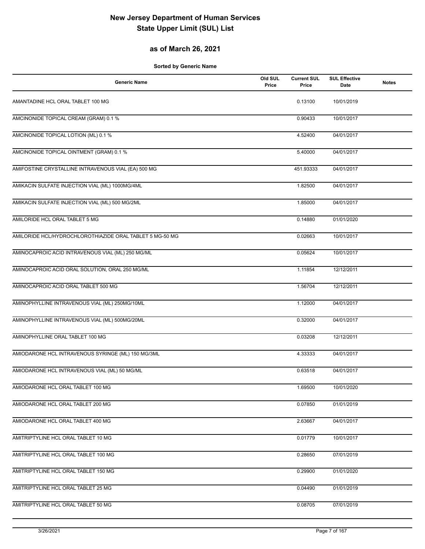### **as of March 26, 2021**

| <b>Generic Name</b>                                      | Old SUL<br>Price | <b>Current SUL</b><br>Price | <b>SUL Effective</b><br>Date | <b>Notes</b> |
|----------------------------------------------------------|------------------|-----------------------------|------------------------------|--------------|
| AMANTADINE HCL ORAL TABLET 100 MG                        |                  | 0.13100                     | 10/01/2019                   |              |
| AMCINONIDE TOPICAL CREAM (GRAM) 0.1 %                    |                  | 0.90433                     | 10/01/2017                   |              |
| AMCINONIDE TOPICAL LOTION (ML) 0.1 %                     |                  | 4.52400                     | 04/01/2017                   |              |
| AMCINONIDE TOPICAL OINTMENT (GRAM) 0.1 %                 |                  | 5.40000                     | 04/01/2017                   |              |
| AMIFOSTINE CRYSTALLINE INTRAVENOUS VIAL (EA) 500 MG      |                  | 451.93333                   | 04/01/2017                   |              |
| AMIKACIN SULFATE INJECTION VIAL (ML) 1000MG/4ML          |                  | 1.82500                     | 04/01/2017                   |              |
| AMIKACIN SULFATE INJECTION VIAL (ML) 500 MG/2ML          |                  | 1.85000                     | 04/01/2017                   |              |
| AMILORIDE HCL ORAL TABLET 5 MG                           |                  | 0.14880                     | 01/01/2020                   |              |
| AMILORIDE HCL/HYDROCHLOROTHIAZIDE ORAL TABLET 5 MG-50 MG |                  | 0.02663                     | 10/01/2017                   |              |
| AMINOCAPROIC ACID INTRAVENOUS VIAL (ML) 250 MG/ML        |                  | 0.05624                     | 10/01/2017                   |              |
| AMINOCAPROIC ACID ORAL SOLUTION, ORAL 250 MG/ML          |                  | 1.11854                     | 12/12/2011                   |              |
| AMINOCAPROIC ACID ORAL TABLET 500 MG                     |                  | 1.56704                     | 12/12/2011                   |              |
| AMINOPHYLLINE INTRAVENOUS VIAL (ML) 250MG/10ML           |                  | 1.12000                     | 04/01/2017                   |              |
| AMINOPHYLLINE INTRAVENOUS VIAL (ML) 500MG/20ML           |                  | 0.32000                     | 04/01/2017                   |              |
| AMINOPHYLLINE ORAL TABLET 100 MG                         |                  | 0.03208                     | 12/12/2011                   |              |
| AMIODARONE HCL INTRAVENOUS SYRINGE (ML) 150 MG/3ML       |                  | 4.33333                     | 04/01/2017                   |              |
| AMIODARONE HCL INTRAVENOUS VIAL (ML) 50 MG/ML            |                  | 0.63518                     | 04/01/2017                   |              |
| AMIODARONE HCL ORAL TABLET 100 MG                        |                  | 1.69500                     | 10/01/2020                   |              |
| AMIODARONE HCL ORAL TABLET 200 MG                        |                  | 0.07850                     | 01/01/2019                   |              |
| AMIODARONE HCL ORAL TABLET 400 MG                        |                  | 2.63667                     | 04/01/2017                   |              |
| AMITRIPTYLINE HCL ORAL TABLET 10 MG                      |                  | 0.01779                     | 10/01/2017                   |              |
| AMITRIPTYLINE HCL ORAL TABLET 100 MG                     |                  | 0.28650                     | 07/01/2019                   |              |
| AMITRIPTYLINE HCL ORAL TABLET 150 MG                     |                  | 0.29900                     | 01/01/2020                   |              |
| AMITRIPTYLINE HCL ORAL TABLET 25 MG                      |                  | 0.04490                     | 01/01/2019                   |              |
| AMITRIPTYLINE HCL ORAL TABLET 50 MG                      |                  | 0.08705                     | 07/01/2019                   |              |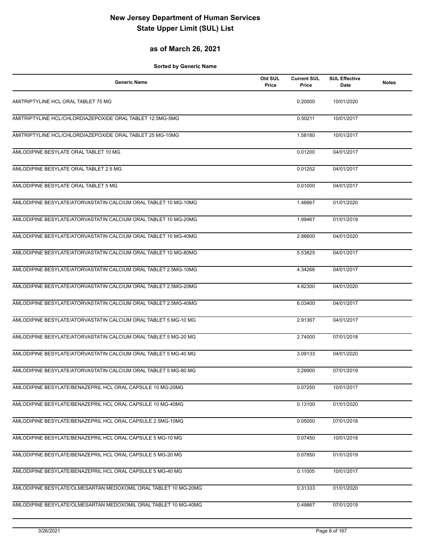### **as of March 26, 2021**

| <b>Generic Name</b>                                             | Old SUL<br>Price | <b>Current SUL</b><br>Price | <b>SUL Effective</b><br>Date | <b>Notes</b> |
|-----------------------------------------------------------------|------------------|-----------------------------|------------------------------|--------------|
| AMITRIPTYLINE HCL ORAL TABLET 75 MG                             |                  | 0.20000                     | 10/01/2020                   |              |
| AMITRIPTYLINE HCL/CHLORDIAZEPOXIDE ORAL TABLET 12.5MG-5MG       |                  | 0.50211                     | 10/01/2017                   |              |
| AMITRIPTYLINE HCL/CHLORDIAZEPOXIDE ORAL TABLET 25 MG-10MG       |                  | 1.58180                     | 10/01/2017                   |              |
| AMLODIPINE BESYLATE ORAL TABLET 10 MG                           |                  | 0.01200                     | 04/01/2017                   |              |
| AMLODIPINE BESYLATE ORAL TABLET 2.5 MG                          |                  | 0.01252                     | 04/01/2017                   |              |
| AMLODIPINE BESYLATE ORAL TABLET 5 MG                            |                  | 0.01000                     | 04/01/2017                   |              |
| AMLODIPINE BESYLATE/ATORVASTATIN CALCIUM ORAL TABLET 10 MG-10MG |                  | 1.46667                     | 01/01/2020                   |              |
| AMLODIPINE BESYLATE/ATORVASTATIN CALCIUM ORAL TABLET 10 MG-20MG |                  | 1.99467                     | 01/01/2019                   |              |
| AMLODIPINE BESYLATE/ATORVASTATIN CALCIUM ORAL TABLET 10 MG-40MG |                  | 2.88600                     | 04/01/2020                   |              |
| AMLODIPINE BESYLATE/ATORVASTATIN CALCIUM ORAL TABLET 10 MG-80MG |                  | 5.53825                     | 04/01/2017                   |              |
| AMLODIPINE BESYLATE/ATORVASTATIN CALCIUM ORAL TABLET 2.5MG-10MG |                  | 4.34266                     | 04/01/2017                   |              |
| AMLODIPINE BESYLATE/ATORVASTATIN CALCIUM ORAL TABLET 2.5MG-20MG |                  | 4.82300                     | 04/01/2020                   |              |
| AMLODIPINE BESYLATE/ATORVASTATIN CALCIUM ORAL TABLET 2.5MG-40MG |                  | 6.03400                     | 04/01/2017                   |              |
| AMLODIPINE BESYLATE/ATORVASTATIN CALCIUM ORAL TABLET 5 MG-10 MG |                  | 2.91367                     | 04/01/2017                   |              |
| AMLODIPINE BESYLATE/ATORVASTATIN CALCIUM ORAL TABLET 5 MG-20 MG |                  | 2.74000                     | 07/01/2018                   |              |
| AMLODIPINE BESYLATE/ATORVASTATIN CALCIUM ORAL TABLET 5 MG-40 MG |                  | 3.09133                     | 04/01/2020                   |              |
| AMLODIPINE BESYLATE/ATORVASTATIN CALCIUM ORAL TABLET 5 MG-80 MG |                  | 3.28900                     | 07/01/2019                   |              |
| AMLODIPINE BESYLATE/BENAZEPRIL HCL ORAL CAPSULE 10 MG-20MG      |                  | 0.07250                     | 10/01/2017                   |              |
| AMLODIPINE BESYLATE/BENAZEPRIL HCL ORAL CAPSULE 10 MG-40MG      |                  | 0.13100                     | 01/01/2020                   |              |
| AMLODIPINE BESYLATE/BENAZEPRIL HCL ORAL CAPSULE 2.5MG-10MG      |                  | 0.05000                     | 07/01/2018                   |              |
| AMLODIPINE BESYLATE/BENAZEPRIL HCL ORAL CAPSULE 5 MG-10 MG      |                  | 0.07450                     | 10/01/2018                   |              |
| AMLODIPINE BESYLATE/BENAZEPRIL HCL ORAL CAPSULE 5 MG-20 MG      |                  | 0.07850                     | 01/01/2019                   |              |
| AMLODIPINE BESYLATE/BENAZEPRIL HCL ORAL CAPSULE 5 MG-40 MG      |                  | 0.11005                     | 10/01/2017                   |              |
| AMLODIPINE BESYLATE/OLMESARTAN MEDOXOMIL ORAL TABLET 10 MG-20MG |                  | 0.31333                     | 01/01/2020                   |              |
| AMLODIPINE BESYLATE/OLMESARTAN MEDOXOMIL ORAL TABLET 10 MG-40MG |                  | 0.49867                     | 07/01/2019                   |              |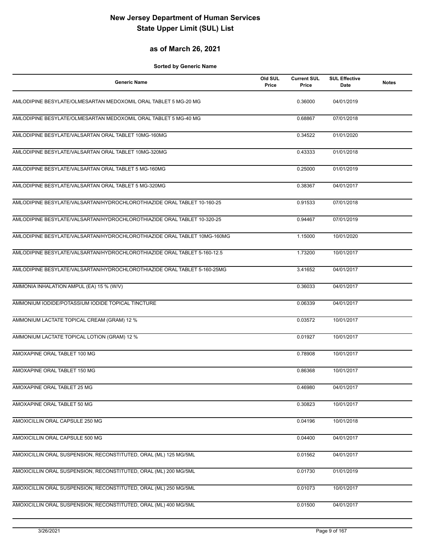### **as of March 26, 2021**

| <b>Generic Name</b>                                                      | Old SUL<br>Price | <b>Current SUL</b><br>Price | <b>SUL Effective</b><br>Date | <b>Notes</b> |
|--------------------------------------------------------------------------|------------------|-----------------------------|------------------------------|--------------|
| AMLODIPINE BESYLATE/OLMESARTAN MEDOXOMIL ORAL TABLET 5 MG-20 MG          |                  | 0.36000                     | 04/01/2019                   |              |
| AMLODIPINE BESYLATE/OLMESARTAN MEDOXOMIL ORAL TABLET 5 MG-40 MG          |                  | 0.68867                     | 07/01/2018                   |              |
| AMLODIPINE BESYLATE/VALSARTAN ORAL TABLET 10MG-160MG                     |                  | 0.34522                     | 01/01/2020                   |              |
| AMLODIPINE BESYLATE/VALSARTAN ORAL TABLET 10MG-320MG                     |                  | 0.43333                     | 01/01/2018                   |              |
| AMLODIPINE BESYLATE/VALSARTAN ORAL TABLET 5 MG-160MG                     |                  | 0.25000                     | 01/01/2019                   |              |
| AMLODIPINE BESYLATE/VALSARTAN ORAL TABLET 5 MG-320MG                     |                  | 0.38367                     | 04/01/2017                   |              |
| AMLODIPINE BESYLATE/VALSARTAN/HYDROCHLOROTHIAZIDE ORAL TABLET 10-160-25  |                  | 0.91533                     | 07/01/2018                   |              |
| AMLODIPINE BESYLATE/VALSARTAN/HYDROCHLOROTHIAZIDE ORAL TABLET 10-320-25  |                  | 0.94467                     | 07/01/2019                   |              |
| AMLODIPINE BESYLATE/VALSARTAN/HYDROCHLOROTHIAZIDE ORAL TABLET 10MG-160MG |                  | 1.15000                     | 10/01/2020                   |              |
| AMLODIPINE BESYLATE/VALSARTAN/HYDROCHLOROTHIAZIDE ORAL TABLET 5-160-12.5 |                  | 1.73200                     | 10/01/2017                   |              |
| AMLODIPINE BESYLATE/VALSARTAN/HYDROCHLOROTHIAZIDE ORAL TABLET 5-160-25MG |                  | 3.41652                     | 04/01/2017                   |              |
| AMMONIA INHALATION AMPUL (EA) 15 % (W/V)                                 |                  | 0.36033                     | 04/01/2017                   |              |
| AMMONIUM IODIDE/POTASSIUM IODIDE TOPICAL TINCTURE                        |                  | 0.06339                     | 04/01/2017                   |              |
| AMMONIUM LACTATE TOPICAL CREAM (GRAM) 12 %                               |                  | 0.03572                     | 10/01/2017                   |              |
| AMMONIUM LACTATE TOPICAL LOTION (GRAM) 12 %                              |                  | 0.01927                     | 10/01/2017                   |              |
| AMOXAPINE ORAL TABLET 100 MG                                             |                  | 0.78908                     | 10/01/2017                   |              |
| AMOXAPINE ORAL TABLET 150 MG                                             |                  | 0.86368                     | 10/01/2017                   |              |
| AMOXAPINE ORAL TABLET 25 MG                                              |                  | 0.46980                     | 04/01/2017                   |              |
| AMOXAPINE ORAL TABLET 50 MG                                              |                  | 0.30823                     | 10/01/2017                   |              |
| AMOXICILLIN ORAL CAPSULE 250 MG                                          |                  | 0.04196                     | 10/01/2018                   |              |
| AMOXICILLIN ORAL CAPSULE 500 MG                                          |                  | 0.04400                     | 04/01/2017                   |              |
| AMOXICILLIN ORAL SUSPENSION, RECONSTITUTED, ORAL (ML) 125 MG/5ML         |                  | 0.01562                     | 04/01/2017                   |              |
| AMOXICILLIN ORAL SUSPENSION, RECONSTITUTED, ORAL (ML) 200 MG/5ML         |                  | 0.01730                     | 01/01/2019                   |              |
| AMOXICILLIN ORAL SUSPENSION, RECONSTITUTED, ORAL (ML) 250 MG/5ML         |                  | 0.01073                     | 10/01/2017                   |              |
| AMOXICILLIN ORAL SUSPENSION, RECONSTITUTED, ORAL (ML) 400 MG/5ML         |                  | 0.01500                     | 04/01/2017                   |              |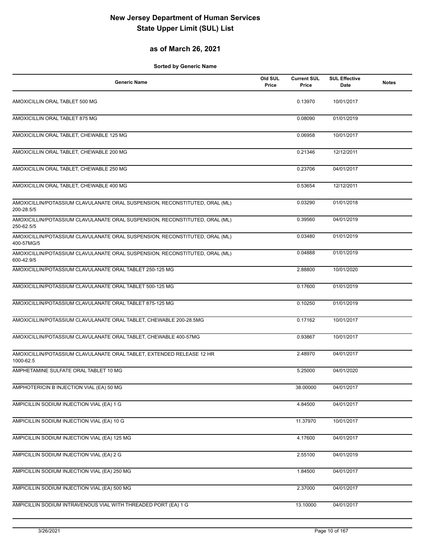### **as of March 26, 2021**

| <b>Generic Name</b>                                                                       | Old SUL<br>Price | <b>Current SUL</b><br>Price | <b>SUL Effective</b><br>Date | <b>Notes</b> |
|-------------------------------------------------------------------------------------------|------------------|-----------------------------|------------------------------|--------------|
| AMOXICILLIN ORAL TABLET 500 MG                                                            |                  | 0.13970                     | 10/01/2017                   |              |
| AMOXICILLIN ORAL TABLET 875 MG                                                            |                  | 0.08090                     | 01/01/2019                   |              |
| AMOXICILLIN ORAL TABLET, CHEWABLE 125 MG                                                  |                  | 0.06958                     | 10/01/2017                   |              |
| AMOXICILLIN ORAL TABLET, CHEWABLE 200 MG                                                  |                  | 0.21346                     | 12/12/2011                   |              |
| AMOXICILLIN ORAL TABLET, CHEWABLE 250 MG                                                  |                  | 0.23706                     | 04/01/2017                   |              |
| AMOXICILLIN ORAL TABLET, CHEWABLE 400 MG                                                  |                  | 0.53654                     | 12/12/2011                   |              |
| AMOXICILLIN/POTASSIUM CLAVULANATE ORAL SUSPENSION, RECONSTITUTED, ORAL (ML)<br>200-28.5/5 |                  | 0.03290                     | 01/01/2018                   |              |
| AMOXICILLIN/POTASSIUM CLAVULANATE ORAL SUSPENSION, RECONSTITUTED, ORAL (ML)<br>250-62.5/5 |                  | 0.39560                     | 04/01/2019                   |              |
| AMOXICILLIN/POTASSIUM CLAVULANATE ORAL SUSPENSION, RECONSTITUTED, ORAL (ML)<br>400-57MG/5 |                  | 0.03480                     | 01/01/2019                   |              |
| AMOXICILLIN/POTASSIUM CLAVULANATE ORAL SUSPENSION, RECONSTITUTED, ORAL (ML)<br>600-42.9/5 |                  | 0.04888                     | 01/01/2019                   |              |
| AMOXICILLIN/POTASSIUM CLAVULANATE ORAL TABLET 250-125 MG                                  |                  | 2.88800                     | 10/01/2020                   |              |
| AMOXICILLIN/POTASSIUM CLAVULANATE ORAL TABLET 500-125 MG                                  |                  | 0.17600                     | 01/01/2019                   |              |
| AMOXICILLIN/POTASSIUM CLAVULANATE ORAL TABLET 875-125 MG                                  |                  | 0.10250                     | 01/01/2019                   |              |
| AMOXICILLIN/POTASSIUM CLAVULANATE ORAL TABLET, CHEWABLE 200-28.5MG                        |                  | 0.17162                     | 10/01/2017                   |              |
| AMOXICILLIN/POTASSIUM CLAVULANATE ORAL TABLET, CHEWABLE 400-57MG                          |                  | 0.93867                     | 10/01/2017                   |              |
| AMOXICILLIN/POTASSIUM CLAVULANATE ORAL TABLET, EXTENDED RELEASE 12 HR<br>1000-62.5        |                  | 2.48970                     | 04/01/2017                   |              |
| AMPHETAMINE SULFATE ORAL TABLET 10 MG                                                     |                  | 5.25000                     | 04/01/2020                   |              |
| AMPHOTERICIN B INJECTION VIAL (EA) 50 MG                                                  |                  | 38.00000                    | 04/01/2017                   |              |
| AMPICILLIN SODIUM INJECTION VIAL (EA) 1 G                                                 |                  | 4.84500                     | 04/01/2017                   |              |
| AMPICILLIN SODIUM INJECTION VIAL (EA) 10 G                                                |                  | 11.37970                    | 10/01/2017                   |              |
| AMPICILLIN SODIUM INJECTION VIAL (EA) 125 MG                                              |                  | 4.17600                     | 04/01/2017                   |              |
| AMPICILLIN SODIUM INJECTION VIAL (EA) 2 G                                                 |                  | 2.55100                     | 04/01/2019                   |              |
| AMPICILLIN SODIUM INJECTION VIAL (EA) 250 MG                                              |                  | 1.84500                     | 04/01/2017                   |              |
| AMPICILLIN SODIUM INJECTION VIAL (EA) 500 MG                                              |                  | 2.37000                     | 04/01/2017                   |              |
| AMPICILLIN SODIUM INTRAVENOUS VIAL WITH THREADED PORT (EA) 1 G                            |                  | 13.10000                    | 04/01/2017                   |              |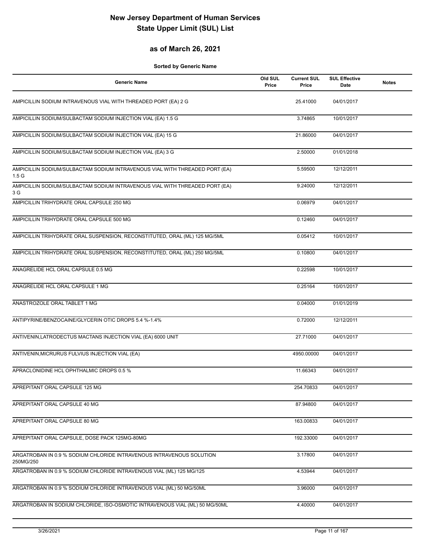### **as of March 26, 2021**

| <b>Generic Name</b>                                                                             | Old SUL<br>Price | <b>Current SUL</b><br>Price | <b>SUL Effective</b><br>Date | <b>Notes</b> |
|-------------------------------------------------------------------------------------------------|------------------|-----------------------------|------------------------------|--------------|
| AMPICILLIN SODIUM INTRAVENOUS VIAL WITH THREADED PORT (EA) 2 G                                  |                  | 25.41000                    | 04/01/2017                   |              |
| AMPICILLIN SODIUM/SULBACTAM SODIUM INJECTION VIAL (EA) 1.5 G                                    |                  | 3.74865                     | 10/01/2017                   |              |
| AMPICILLIN SODIUM/SULBACTAM SODIUM INJECTION VIAL (EA) 15 G                                     |                  | 21.86000                    | 04/01/2017                   |              |
| AMPICILLIN SODIUM/SULBACTAM SODIUM INJECTION VIAL (EA) 3 G                                      |                  | 2.50000                     | 01/01/2018                   |              |
| AMPICILLIN SODIUM/SULBACTAM SODIUM INTRAVENOUS VIAL WITH THREADED PORT (EA)<br>1.5 <sub>G</sub> |                  | 5.59500                     | 12/12/2011                   |              |
| AMPICILLIN SODIUM/SULBACTAM SODIUM INTRAVENOUS VIAL WITH THREADED PORT (EA)<br>3 G              |                  | 9.24000                     | 12/12/2011                   |              |
| AMPICILLIN TRIHYDRATE ORAL CAPSULE 250 MG                                                       |                  | 0.06979                     | 04/01/2017                   |              |
| AMPICILLIN TRIHYDRATE ORAL CAPSULE 500 MG                                                       |                  | 0.12460                     | 04/01/2017                   |              |
| AMPICILLIN TRIHYDRATE ORAL SUSPENSION, RECONSTITUTED, ORAL (ML) 125 MG/5ML                      |                  | 0.05412                     | 10/01/2017                   |              |
| AMPICILLIN TRIHYDRATE ORAL SUSPENSION, RECONSTITUTED, ORAL (ML) 250 MG/5ML                      |                  | 0.10800                     | 04/01/2017                   |              |
| ANAGRELIDE HCL ORAL CAPSULE 0.5 MG                                                              |                  | 0.22598                     | 10/01/2017                   |              |
| ANAGRELIDE HCL ORAL CAPSULE 1 MG                                                                |                  | 0.25164                     | 10/01/2017                   |              |
| ANASTROZOLE ORAL TABLET 1 MG                                                                    |                  | 0.04000                     | 01/01/2019                   |              |
| ANTIPYRINE/BENZOCAINE/GLYCERIN OTIC DROPS 5.4 %-1.4%                                            |                  | 0.72000                     | 12/12/2011                   |              |
| ANTIVENIN, LATRODECTUS MACTANS INJECTION VIAL (EA) 6000 UNIT                                    |                  | 27.71000                    | 04/01/2017                   |              |
| ANTIVENIN, MICRURUS FULVIUS INJECTION VIAL (EA)                                                 |                  | 4950.00000                  | 04/01/2017                   |              |
| APRACLONIDINE HCL OPHTHALMIC DROPS 0.5 %                                                        |                  | 11.66343                    | 04/01/2017                   |              |
| APREPITANT ORAL CAPSULE 125 MG                                                                  |                  | 254.70833                   | 04/01/2017                   |              |
| APREPITANT ORAL CAPSULE 40 MG                                                                   |                  | 87.94800                    | 04/01/2017                   |              |
| APREPITANT ORAL CAPSULE 80 MG                                                                   |                  | 163.00833                   | 04/01/2017                   |              |
| APREPITANT ORAL CAPSULE, DOSE PACK 125MG-80MG                                                   |                  | 192.33000                   | 04/01/2017                   |              |
| ARGATROBAN IN 0.9 % SODIUM CHLORIDE INTRAVENOUS INTRAVENOUS SOLUTION<br>250MG/250               |                  | 3.17800                     | 04/01/2017                   |              |
| ARGATROBAN IN 0.9 % SODIUM CHLORIDE INTRAVENOUS VIAL (ML) 125 MG/125                            |                  | 4.53944                     | 04/01/2017                   |              |
| ARGATROBAN IN 0.9 % SODIUM CHLORIDE INTRAVENOUS VIAL (ML) 50 MG/50ML                            |                  | 3.96000                     | 04/01/2017                   |              |
| ARGATROBAN IN SODIUM CHLORIDE, ISO-OSMOTIC INTRAVENOUS VIAL (ML) 50 MG/50ML                     |                  | 4.40000                     | 04/01/2017                   |              |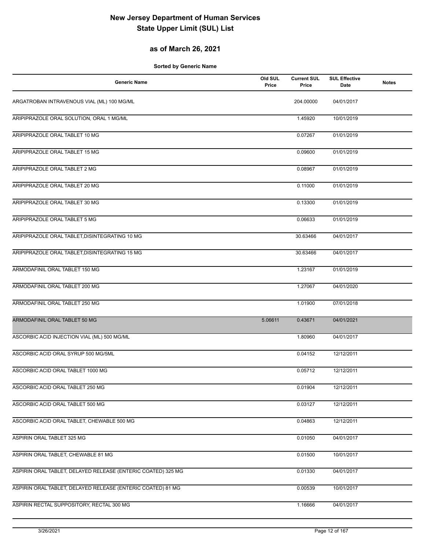### **as of March 26, 2021**

| <b>Generic Name</b>                                          | Old SUL<br>Price | <b>Current SUL</b><br>Price | <b>SUL Effective</b><br>Date | <b>Notes</b> |
|--------------------------------------------------------------|------------------|-----------------------------|------------------------------|--------------|
| ARGATROBAN INTRAVENOUS VIAL (ML) 100 MG/ML                   |                  | 204.00000                   | 04/01/2017                   |              |
| ARIPIPRAZOLE ORAL SOLUTION, ORAL 1 MG/ML                     |                  | 1.45920                     | 10/01/2019                   |              |
| ARIPIPRAZOLE ORAL TABLET 10 MG                               |                  | 0.07267                     | 01/01/2019                   |              |
| ARIPIPRAZOLE ORAL TABLET 15 MG                               |                  | 0.09600                     | 01/01/2019                   |              |
| ARIPIPRAZOLE ORAL TABLET 2 MG                                |                  | 0.08967                     | 01/01/2019                   |              |
| ARIPIPRAZOLE ORAL TABLET 20 MG                               |                  | 0.11000                     | 01/01/2019                   |              |
| ARIPIPRAZOLE ORAL TABLET 30 MG                               |                  | 0.13300                     | 01/01/2019                   |              |
| ARIPIPRAZOLE ORAL TABLET 5 MG                                |                  | 0.06633                     | 01/01/2019                   |              |
| ARIPIPRAZOLE ORAL TABLET, DISINTEGRATING 10 MG               |                  | 30.63466                    | 04/01/2017                   |              |
| ARIPIPRAZOLE ORAL TABLET, DISINTEGRATING 15 MG               |                  | 30.63466                    | 04/01/2017                   |              |
| ARMODAFINIL ORAL TABLET 150 MG                               |                  | 1.23167                     | 01/01/2019                   |              |
| ARMODAFINIL ORAL TABLET 200 MG                               |                  | 1.27067                     | 04/01/2020                   |              |
| ARMODAFINIL ORAL TABLET 250 MG                               |                  | 1.01900                     | 07/01/2018                   |              |
| ARMODAFINIL ORAL TABLET 50 MG                                | 5.06611          | 0.43671                     | 04/01/2021                   |              |
| ASCORBIC ACID INJECTION VIAL (ML) 500 MG/ML                  |                  | 1.80960                     | 04/01/2017                   |              |
| ASCORBIC ACID ORAL SYRUP 500 MG/5ML                          |                  | 0.04152                     | 12/12/2011                   |              |
| ASCORBIC ACID ORAL TABLET 1000 MG                            |                  | 0.05712                     | 12/12/2011                   |              |
| ASCORBIC ACID ORAL TABLET 250 MG                             |                  | 0.01904                     | 12/12/2011                   |              |
| ASCORBIC ACID ORAL TABLET 500 MG                             |                  | 0.03127                     | 12/12/2011                   |              |
| ASCORBIC ACID ORAL TABLET, CHEWABLE 500 MG                   |                  | 0.04863                     | 12/12/2011                   |              |
| ASPIRIN ORAL TABLET 325 MG                                   |                  | 0.01050                     | 04/01/2017                   |              |
| ASPIRIN ORAL TABLET, CHEWABLE 81 MG                          |                  | 0.01500                     | 10/01/2017                   |              |
| ASPIRIN ORAL TABLET, DELAYED RELEASE (ENTERIC COATED) 325 MG |                  | 0.01330                     | 04/01/2017                   |              |
| ASPIRIN ORAL TABLET, DELAYED RELEASE (ENTERIC COATED) 81 MG  |                  | 0.00539                     | 10/01/2017                   |              |
| ASPIRIN RECTAL SUPPOSITORY, RECTAL 300 MG                    |                  | 1.16666                     | 04/01/2017                   |              |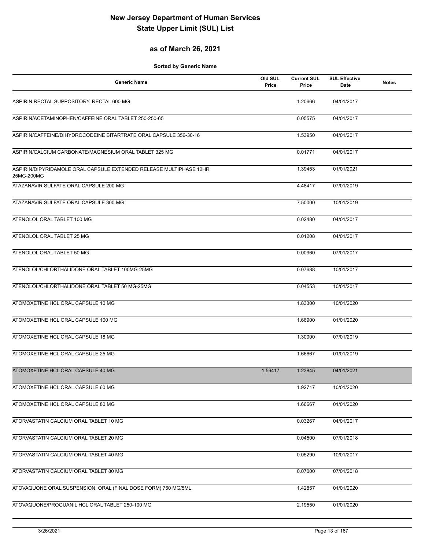### **as of March 26, 2021**

| <b>Generic Name</b>                                                               | Old SUL<br>Price | <b>Current SUL</b><br>Price | <b>SUL Effective</b><br>Date | <b>Notes</b> |
|-----------------------------------------------------------------------------------|------------------|-----------------------------|------------------------------|--------------|
| ASPIRIN RECTAL SUPPOSITORY, RECTAL 600 MG                                         |                  | 1.20666                     | 04/01/2017                   |              |
| ASPIRIN/ACETAMINOPHEN/CAFFEINE ORAL TABLET 250-250-65                             |                  | 0.05575                     | 04/01/2017                   |              |
| ASPIRIN/CAFFEINE/DIHYDROCODEINE BITARTRATE ORAL CAPSULE 356-30-16                 |                  | 1.53950                     | 04/01/2017                   |              |
| ASPIRIN/CALCIUM CARBONATE/MAGNESIUM ORAL TABLET 325 MG                            |                  | 0.01771                     | 04/01/2017                   |              |
| ASPIRIN/DIPYRIDAMOLE ORAL CAPSULE, EXTENDED RELEASE MULTIPHASE 12HR<br>25MG-200MG |                  | 1.39453                     | 01/01/2021                   |              |
| ATAZANAVIR SULFATE ORAL CAPSULE 200 MG                                            |                  | 4.48417                     | 07/01/2019                   |              |
| ATAZANAVIR SULFATE ORAL CAPSULE 300 MG                                            |                  | 7.50000                     | 10/01/2019                   |              |
| ATENOLOL ORAL TABLET 100 MG                                                       |                  | 0.02480                     | 04/01/2017                   |              |
| ATENOLOL ORAL TABLET 25 MG                                                        |                  | 0.01208                     | 04/01/2017                   |              |
| ATENOLOL ORAL TABLET 50 MG                                                        |                  | 0.00960                     | 07/01/2017                   |              |
| ATENOLOL/CHLORTHALIDONE ORAL TABLET 100MG-25MG                                    |                  | 0.07688                     | 10/01/2017                   |              |
| ATENOLOL/CHLORTHALIDONE ORAL TABLET 50 MG-25MG                                    |                  | 0.04553                     | 10/01/2017                   |              |
| ATOMOXETINE HCL ORAL CAPSULE 10 MG                                                |                  | 1.83300                     | 10/01/2020                   |              |
| ATOMOXETINE HCL ORAL CAPSULE 100 MG                                               |                  | 1.66900                     | 01/01/2020                   |              |
| ATOMOXETINE HCL ORAL CAPSULE 18 MG                                                |                  | 1.30000                     | 07/01/2019                   |              |
| ATOMOXETINE HCL ORAL CAPSULE 25 MG                                                |                  | 1.66667                     | 01/01/2019                   |              |
| ATOMOXETINE HCL ORAL CAPSULE 40 MG                                                | 1.56417          | 1.23845                     | 04/01/2021                   |              |
| ATOMOXETINE HCL ORAL CAPSULE 60 MG                                                |                  | 1.92717                     | 10/01/2020                   |              |
| ATOMOXETINE HCL ORAL CAPSULE 80 MG                                                |                  | 1.66667                     | 01/01/2020                   |              |
| ATORVASTATIN CALCIUM ORAL TABLET 10 MG                                            |                  | 0.03267                     | 04/01/2017                   |              |
| ATORVASTATIN CALCIUM ORAL TABLET 20 MG                                            |                  | 0.04500                     | 07/01/2018                   |              |
| ATORVASTATIN CALCIUM ORAL TABLET 40 MG                                            |                  | 0.05290                     | 10/01/2017                   |              |
| ATORVASTATIN CALCIUM ORAL TABLET 80 MG                                            |                  | 0.07000                     | 07/01/2018                   |              |
| ATOVAQUONE ORAL SUSPENSION, ORAL (FINAL DOSE FORM) 750 MG/5ML                     |                  | 1.42857                     | 01/01/2020                   |              |
| ATOVAQUONE/PROGUANIL HCL ORAL TABLET 250-100 MG                                   |                  | 2.19550                     | 01/01/2020                   |              |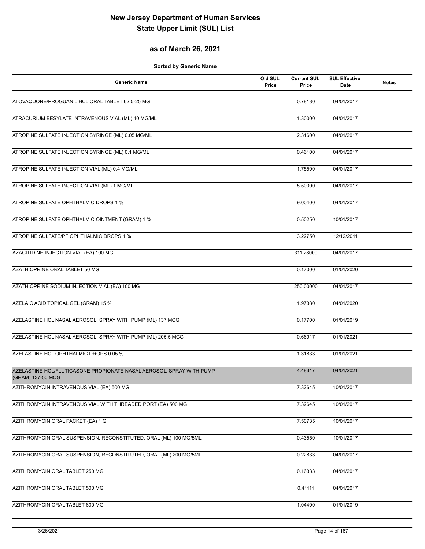### **as of March 26, 2021**

| <b>Generic Name</b>                                                                       | Old SUL<br>Price | <b>Current SUL</b><br>Price | <b>SUL Effective</b><br>Date | <b>Notes</b> |
|-------------------------------------------------------------------------------------------|------------------|-----------------------------|------------------------------|--------------|
| ATOVAQUONE/PROGUANIL HCL ORAL TABLET 62.5-25 MG                                           |                  | 0.78180                     | 04/01/2017                   |              |
| ATRACURIUM BESYLATE INTRAVENOUS VIAL (ML) 10 MG/ML                                        |                  | 1.30000                     | 04/01/2017                   |              |
| ATROPINE SULFATE INJECTION SYRINGE (ML) 0.05 MG/ML                                        |                  | 2.31600                     | 04/01/2017                   |              |
| ATROPINE SULFATE INJECTION SYRINGE (ML) 0.1 MG/ML                                         |                  | 0.46100                     | 04/01/2017                   |              |
| ATROPINE SULFATE INJECTION VIAL (ML) 0.4 MG/ML                                            |                  | 1.75500                     | 04/01/2017                   |              |
| ATROPINE SULFATE INJECTION VIAL (ML) 1 MG/ML                                              |                  | 5.50000                     | 04/01/2017                   |              |
| ATROPINE SULFATE OPHTHALMIC DROPS 1 %                                                     |                  | 9.00400                     | 04/01/2017                   |              |
| ATROPINE SULFATE OPHTHALMIC OINTMENT (GRAM) 1 %                                           |                  | 0.50250                     | 10/01/2017                   |              |
| ATROPINE SULFATE/PF OPHTHALMIC DROPS 1 %                                                  |                  | 3.22750                     | 12/12/2011                   |              |
| AZACITIDINE INJECTION VIAL (EA) 100 MG                                                    |                  | 311.28000                   | 04/01/2017                   |              |
| AZATHIOPRINE ORAL TABLET 50 MG                                                            |                  | 0.17000                     | 01/01/2020                   |              |
| AZATHIOPRINE SODIUM INJECTION VIAL (EA) 100 MG                                            |                  | 250.00000                   | 04/01/2017                   |              |
| AZELAIC ACID TOPICAL GEL (GRAM) 15 %                                                      |                  | 1.97380                     | 04/01/2020                   |              |
| AZELASTINE HCL NASAL AEROSOL, SPRAY WITH PUMP (ML) 137 MCG                                |                  | 0.17700                     | 01/01/2019                   |              |
| AZELASTINE HCL NASAL AEROSOL, SPRAY WITH PUMP (ML) 205.5 MCG                              |                  | 0.66917                     | 01/01/2021                   |              |
| AZELASTINE HCL OPHTHALMIC DROPS 0.05 %                                                    |                  | 1.31833                     | 01/01/2021                   |              |
| AZELASTINE HCL/FLUTICASONE PROPIONATE NASAL AEROSOL, SPRAY WITH PUMP<br>(GRAM) 137-50 MCG |                  | 4.48317                     | 04/01/2021                   |              |
| AZITHROMYCIN INTRAVENOUS VIAL (EA) 500 MG                                                 |                  | 7.32645                     | 10/01/2017                   |              |
| AZITHROMYCIN INTRAVENOUS VIAL WITH THREADED PORT (EA) 500 MG                              |                  | 7.32645                     | 10/01/2017                   |              |
| AZITHROMYCIN ORAL PACKET (EA) 1 G                                                         |                  | 7.50735                     | 10/01/2017                   |              |
| AZITHROMYCIN ORAL SUSPENSION, RECONSTITUTED, ORAL (ML) 100 MG/5ML                         |                  | 0.43550                     | 10/01/2017                   |              |
| AZITHROMYCIN ORAL SUSPENSION, RECONSTITUTED, ORAL (ML) 200 MG/5ML                         |                  | 0.22833                     | 04/01/2017                   |              |
| AZITHROMYCIN ORAL TABLET 250 MG                                                           |                  | 0.16333                     | 04/01/2017                   |              |
| AZITHROMYCIN ORAL TABLET 500 MG                                                           |                  | 0.41111                     | 04/01/2017                   |              |
| AZITHROMYCIN ORAL TABLET 600 MG                                                           |                  | 1.04400                     | 01/01/2019                   |              |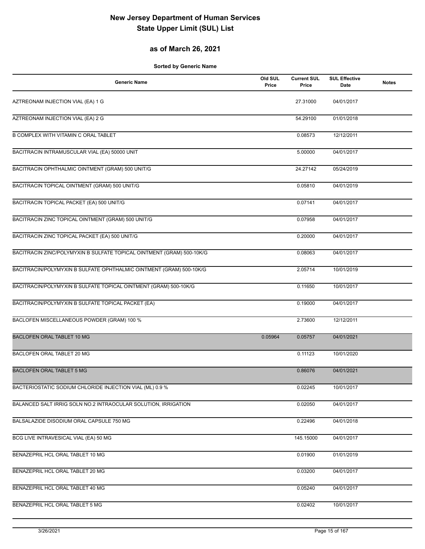### **as of March 26, 2021**

| <b>Generic Name</b>                                                   | Old SUL<br>Price | <b>Current SUL</b><br>Price | <b>SUL Effective</b><br><b>Date</b> | <b>Notes</b> |
|-----------------------------------------------------------------------|------------------|-----------------------------|-------------------------------------|--------------|
| AZTREONAM INJECTION VIAL (EA) 1 G                                     |                  | 27.31000                    | 04/01/2017                          |              |
| AZTREONAM INJECTION VIAL (EA) 2 G                                     |                  | 54.29100                    | 01/01/2018                          |              |
| B COMPLEX WITH VITAMIN C ORAL TABLET                                  |                  | 0.08573                     | 12/12/2011                          |              |
| BACITRACIN INTRAMUSCULAR VIAL (EA) 50000 UNIT                         |                  | 5.00000                     | 04/01/2017                          |              |
| BACITRACIN OPHTHALMIC OINTMENT (GRAM) 500 UNIT/G                      |                  | 24.27142                    | 05/24/2019                          |              |
| BACITRACIN TOPICAL OINTMENT (GRAM) 500 UNIT/G                         |                  | 0.05810                     | 04/01/2019                          |              |
| BACITRACIN TOPICAL PACKET (EA) 500 UNIT/G                             |                  | 0.07141                     | 04/01/2017                          |              |
| BACITRACIN ZINC TOPICAL OINTMENT (GRAM) 500 UNIT/G                    |                  | 0.07958                     | 04/01/2017                          |              |
| BACITRACIN ZINC TOPICAL PACKET (EA) 500 UNIT/G                        |                  | 0.20000                     | 04/01/2017                          |              |
| BACITRACIN ZINC/POLYMYXIN B SULFATE TOPICAL OINTMENT (GRAM) 500-10K/G |                  | 0.08063                     | 04/01/2017                          |              |
| BACITRACIN/POLYMYXIN B SULFATE OPHTHALMIC OINTMENT (GRAM) 500-10K/G   |                  | 2.05714                     | 10/01/2019                          |              |
| BACITRACIN/POLYMYXIN B SULFATE TOPICAL OINTMENT (GRAM) 500-10K/G      |                  | 0.11650                     | 10/01/2017                          |              |
| BACITRACIN/POLYMYXIN B SULFATE TOPICAL PACKET (EA)                    |                  | 0.19000                     | 04/01/2017                          |              |
| BACLOFEN MISCELLANEOUS POWDER (GRAM) 100 %                            |                  | 2.73600                     | 12/12/2011                          |              |
| BACLOFEN ORAL TABLET 10 MG                                            | 0.05964          | 0.05757                     | 04/01/2021                          |              |
| BACLOFEN ORAL TABLET 20 MG                                            |                  | 0.11123                     | 10/01/2020                          |              |
| BACLOFEN ORAL TABLET 5 MG                                             |                  | 0.86076                     | 04/01/2021                          |              |
| BACTERIOSTATIC SODIUM CHLORIDE INJECTION VIAL (ML) 0.9 %              |                  | 0.02245                     | 10/01/2017                          |              |
| BALANCED SALT IRRIG SOLN NO.2 INTRAOCULAR SOLUTION, IRRIGATION        |                  | 0.02050                     | 04/01/2017                          |              |
| BALSALAZIDE DISODIUM ORAL CAPSULE 750 MG                              |                  | 0.22496                     | 04/01/2018                          |              |
| BCG LIVE INTRAVESICAL VIAL (EA) 50 MG                                 |                  | 145.15000                   | 04/01/2017                          |              |
| BENAZEPRIL HCL ORAL TABLET 10 MG                                      |                  | 0.01900                     | 01/01/2019                          |              |
| BENAZEPRIL HCL ORAL TABLET 20 MG                                      |                  | 0.03200                     | 04/01/2017                          |              |
| BENAZEPRIL HCL ORAL TABLET 40 MG                                      |                  | 0.05240                     | 04/01/2017                          |              |
| BENAZEPRIL HCL ORAL TABLET 5 MG                                       |                  | 0.02402                     | 10/01/2017                          |              |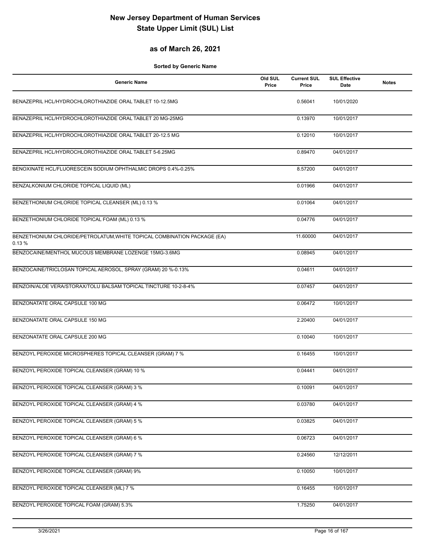### **as of March 26, 2021**

| <b>Generic Name</b>                                                               | Old SUL<br>Price | <b>Current SUL</b><br>Price | <b>SUL Effective</b><br><b>Date</b> | <b>Notes</b> |
|-----------------------------------------------------------------------------------|------------------|-----------------------------|-------------------------------------|--------------|
| BENAZEPRIL HCL/HYDROCHLOROTHIAZIDE ORAL TABLET 10-12.5MG                          |                  | 0.56041                     | 10/01/2020                          |              |
| BENAZEPRIL HCL/HYDROCHLOROTHIAZIDE ORAL TABLET 20 MG-25MG                         |                  | 0.13970                     | 10/01/2017                          |              |
| BENAZEPRIL HCL/HYDROCHLOROTHIAZIDE ORAL TABLET 20-12.5 MG                         |                  | 0.12010                     | 10/01/2017                          |              |
| BENAZEPRIL HCL/HYDROCHLOROTHIAZIDE ORAL TABLET 5-6.25MG                           |                  | 0.89470                     | 04/01/2017                          |              |
| BENOXINATE HCL/FLUORESCEIN SODIUM OPHTHALMIC DROPS 0.4%-0.25%                     |                  | 8.57200                     | 04/01/2017                          |              |
| BENZALKONIUM CHLORIDE TOPICAL LIQUID (ML)                                         |                  | 0.01966                     | 04/01/2017                          |              |
| BENZETHONIUM CHLORIDE TOPICAL CLEANSER (ML) 0.13 %                                |                  | 0.01064                     | 04/01/2017                          |              |
| BENZETHONIUM CHLORIDE TOPICAL FOAM (ML) 0.13 %                                    |                  | 0.04776                     | 04/01/2017                          |              |
| BENZETHONIUM CHLORIDE/PETROLATUM, WHITE TOPICAL COMBINATION PACKAGE (EA)<br>0.13% |                  | 11.60000                    | 04/01/2017                          |              |
| BENZOCAINE/MENTHOL MUCOUS MEMBRANE LOZENGE 15MG-3.6MG                             |                  | 0.08945                     | 04/01/2017                          |              |
| BENZOCAINE/TRICLOSAN TOPICAL AEROSOL, SPRAY (GRAM) 20 %-0.13%                     |                  | 0.04611                     | 04/01/2017                          |              |
| BENZOIN/ALOE VERA/STORAX/TOLU BALSAM TOPICAL TINCTURE 10-2-8-4%                   |                  | 0.07457                     | 04/01/2017                          |              |
| BENZONATATE ORAL CAPSULE 100 MG                                                   |                  | 0.06472                     | 10/01/2017                          |              |
| BENZONATATE ORAL CAPSULE 150 MG                                                   |                  | 2.20400                     | 04/01/2017                          |              |
| BENZONATATE ORAL CAPSULE 200 MG                                                   |                  | 0.10040                     | 10/01/2017                          |              |
| BENZOYL PEROXIDE MICROSPHERES TOPICAL CLEANSER (GRAM) 7 %                         |                  | 0.16455                     | 10/01/2017                          |              |
| BENZOYL PEROXIDE TOPICAL CLEANSER (GRAM) 10 %                                     |                  | 0.04441                     | 04/01/2017                          |              |
| BENZOYL PEROXIDE TOPICAL CLEANSER (GRAM) 3 %                                      |                  | 0.10091                     | 04/01/2017                          |              |
| BENZOYL PEROXIDE TOPICAL CLEANSER (GRAM) 4 %                                      |                  | 0.03780                     | 04/01/2017                          |              |
| BENZOYL PEROXIDE TOPICAL CLEANSER (GRAM) 5 %                                      |                  | 0.03825                     | 04/01/2017                          |              |
| BENZOYL PEROXIDE TOPICAL CLEANSER (GRAM) 6 %                                      |                  | 0.06723                     | 04/01/2017                          |              |
| BENZOYL PEROXIDE TOPICAL CLEANSER (GRAM) 7 %                                      |                  | 0.24560                     | 12/12/2011                          |              |
| BENZOYL PEROXIDE TOPICAL CLEANSER (GRAM) 9%                                       |                  | 0.10050                     | 10/01/2017                          |              |
| BENZOYL PEROXIDE TOPICAL CLEANSER (ML) 7 %                                        |                  | 0.16455                     | 10/01/2017                          |              |
| BENZOYL PEROXIDE TOPICAL FOAM (GRAM) 5.3%                                         |                  | 1.75250                     | 04/01/2017                          |              |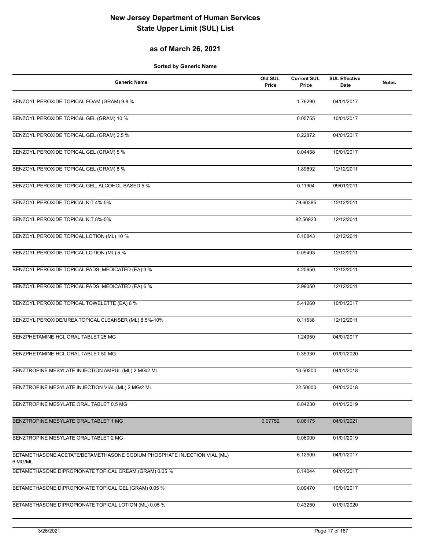### **as of March 26, 2021**

| <b>Generic Name</b>                                                                 | Old SUL<br>Price | <b>Current SUL</b><br>Price | <b>SUL Effective</b><br>Date | <b>Notes</b> |
|-------------------------------------------------------------------------------------|------------------|-----------------------------|------------------------------|--------------|
| BENZOYL PEROXIDE TOPICAL FOAM (GRAM) 9.8 %                                          |                  | 1.76290                     | 04/01/2017                   |              |
| BENZOYL PEROXIDE TOPICAL GEL (GRAM) 10 %                                            |                  | 0.05755                     | 10/01/2017                   |              |
| BENZOYL PEROXIDE TOPICAL GEL (GRAM) 2.5 %                                           |                  | 0.22872                     | 04/01/2017                   |              |
| BENZOYL PEROXIDE TOPICAL GEL (GRAM) 5 %                                             |                  | 0.04458                     | 10/01/2017                   |              |
| BENZOYL PEROXIDE TOPICAL GEL (GRAM) 8 %                                             |                  | 1.89692                     | 12/12/2011                   |              |
| BENZOYL PEROXIDE TOPICAL GEL, ALCOHOL BASED 5 %                                     |                  | 0.11904                     | 09/01/2011                   |              |
| BENZOYL PEROXIDE TOPICAL KIT 4%-5%                                                  |                  | 79.60385                    | 12/12/2011                   |              |
| BENZOYL PEROXIDE TOPICAL KIT 8%-5%                                                  |                  | 82.56923                    | 12/12/2011                   |              |
| BENZOYL PEROXIDE TOPICAL LOTION (ML) 10 %                                           |                  | 0.10843                     | 12/12/2011                   |              |
| BENZOYL PEROXIDE TOPICAL LOTION (ML) 5 %                                            |                  | 0.09493                     | 12/12/2011                   |              |
| BENZOYL PEROXIDE TOPICAL PADS, MEDICATED (EA) 3 %                                   |                  | 4.20950                     | 12/12/2011                   |              |
| BENZOYL PEROXIDE TOPICAL PADS, MEDICATED (EA) 6 %                                   |                  | 2.99050                     | 12/12/2011                   |              |
| BENZOYL PEROXIDE TOPICAL TOWELETTE (EA) 6 %                                         |                  | 5.41260                     | 10/01/2017                   |              |
| BENZOYL PEROXIDE/UREA TOPICAL CLEANSER (ML) 8.5%-10%                                |                  | 0.11538                     | 12/12/2011                   |              |
| BENZPHETAMINE HCL ORAL TABLET 25 MG                                                 |                  | 1.24950                     | 04/01/2017                   |              |
| BENZPHETAMINE HCL ORAL TABLET 50 MG                                                 |                  | 0.35330                     | 01/01/2020                   |              |
| BENZTROPINE MESYLATE INJECTION AMPUL (ML) 2 MG/2 ML                                 |                  | 16.50200                    | 04/01/2018                   |              |
| BENZTROPINE MESYLATE INJECTION VIAL (ML) 2 MG/2 ML                                  |                  | 22.50000                    | 04/01/2018                   |              |
| BENZTROPINE MESYLATE ORAL TABLET 0.5 MG                                             |                  | 0.04230                     | 01/01/2019                   |              |
| BENZTROPINE MESYLATE ORAL TABLET 1 MG                                               | 0.07752          | 0.06175                     | 04/01/2021                   |              |
| BENZTROPINE MESYLATE ORAL TABLET 2 MG                                               |                  | 0.06000                     | 01/01/2019                   |              |
| BETAMETHASONE ACETATE/BETAMETHASONE SODIUM PHOSPHATE INJECTION VIAL (ML)<br>6 MG/ML |                  | 6.12900                     | 04/01/2017                   |              |
| BETAMETHASONE DIPROPIONATE TOPICAL CREAM (GRAM) 0.05 %                              |                  | 0.14044                     | 04/01/2017                   |              |
| BETAMETHASONE DIPROPIONATE TOPICAL GEL (GRAM) 0.05 %                                |                  | 0.09470                     | 10/01/2017                   |              |
| BETAMETHASONE DIPROPIONATE TOPICAL LOTION (ML) 0.05 %                               |                  | 0.43250                     | 01/01/2020                   |              |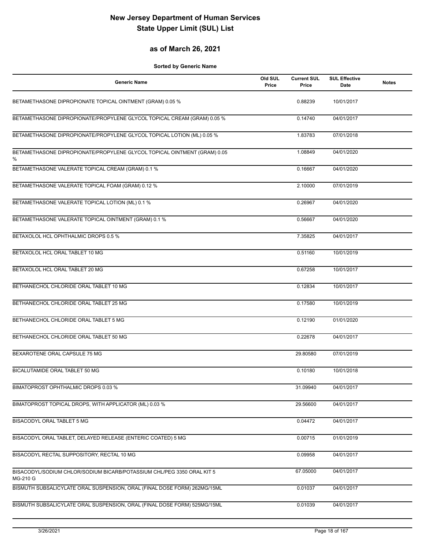### **as of March 26, 2021**

| <b>Generic Name</b>                                                                | Old SUL<br>Price | <b>Current SUL</b><br>Price | <b>SUL Effective</b><br>Date | <b>Notes</b> |
|------------------------------------------------------------------------------------|------------------|-----------------------------|------------------------------|--------------|
| BETAMETHASONE DIPROPIONATE TOPICAL OINTMENT (GRAM) 0.05 %                          |                  | 0.88239                     | 10/01/2017                   |              |
| BETAMETHASONE DIPROPIONATE/PROPYLENE GLYCOL TOPICAL CREAM (GRAM) 0.05 %            |                  | 0.14740                     | 04/01/2017                   |              |
| BETAMETHASONE DIPROPIONATE/PROPYLENE GLYCOL TOPICAL LOTION (ML) 0.05 %             |                  | 1.83783                     | 07/01/2018                   |              |
| BETAMETHASONE DIPROPIONATE/PROPYLENE GLYCOL TOPICAL OINTMENT (GRAM) 0.05<br>%      |                  | 1.08849                     | 04/01/2020                   |              |
| BETAMETHASONE VALERATE TOPICAL CREAM (GRAM) 0.1 %                                  |                  | 0.16667                     | 04/01/2020                   |              |
| BETAMETHASONE VALERATE TOPICAL FOAM (GRAM) 0.12 %                                  |                  | 2.10000                     | 07/01/2019                   |              |
| BETAMETHASONE VALERATE TOPICAL LOTION (ML) 0.1 %                                   |                  | 0.26967                     | 04/01/2020                   |              |
| BETAMETHASONE VALERATE TOPICAL OINTMENT (GRAM) 0.1 %                               |                  | 0.56667                     | 04/01/2020                   |              |
| BETAXOLOL HCL OPHTHALMIC DROPS 0.5 %                                               |                  | 7.35825                     | 04/01/2017                   |              |
| BETAXOLOL HCL ORAL TABLET 10 MG                                                    |                  | 0.51160                     | 10/01/2019                   |              |
| BETAXOLOL HCL ORAL TABLET 20 MG                                                    |                  | 0.67258                     | 10/01/2017                   |              |
| BETHANECHOL CHLORIDE ORAL TABLET 10 MG                                             |                  | 0.12834                     | 10/01/2017                   |              |
| BETHANECHOL CHLORIDE ORAL TABLET 25 MG                                             |                  | 0.17580                     | 10/01/2019                   |              |
| BETHANECHOL CHLORIDE ORAL TABLET 5 MG                                              |                  | 0.12190                     | 01/01/2020                   |              |
| BETHANECHOL CHLORIDE ORAL TABLET 50 MG                                             |                  | 0.22678                     | 04/01/2017                   |              |
| BEXAROTENE ORAL CAPSULE 75 MG                                                      |                  | 29.80580                    | 07/01/2019                   |              |
| BICALUTAMIDE ORAL TABLET 50 MG                                                     |                  | 0.10180                     | 10/01/2018                   |              |
| BIMATOPROST OPHTHALMIC DROPS 0.03 %                                                |                  | 31.09940                    | 04/01/2017                   |              |
| BIMATOPROST TOPICAL DROPS, WITH APPLICATOR (ML) 0.03 %                             |                  | 29.56600                    | 04/01/2017                   |              |
| BISACODYL ORAL TABLET 5 MG                                                         |                  | 0.04472                     | 04/01/2017                   |              |
| BISACODYL ORAL TABLET, DELAYED RELEASE (ENTERIC COATED) 5 MG                       |                  | 0.00715                     | 01/01/2019                   |              |
| BISACODYL RECTAL SUPPOSITORY, RECTAL 10 MG                                         |                  | 0.09958                     | 04/01/2017                   |              |
| BISACODYL/SODIUM CHLOR/SODIUM BICARB/POTASSIUM CHL/PEG 3350 ORAL KIT 5<br>MG-210 G |                  | 67.05000                    | 04/01/2017                   |              |
| BISMUTH SUBSALICYLATE ORAL SUSPENSION, ORAL (FINAL DOSE FORM) 262MG/15ML           |                  | 0.01037                     | 04/01/2017                   |              |
| BISMUTH SUBSALICYLATE ORAL SUSPENSION, ORAL (FINAL DOSE FORM) 525MG/15ML           |                  | 0.01039                     | 04/01/2017                   |              |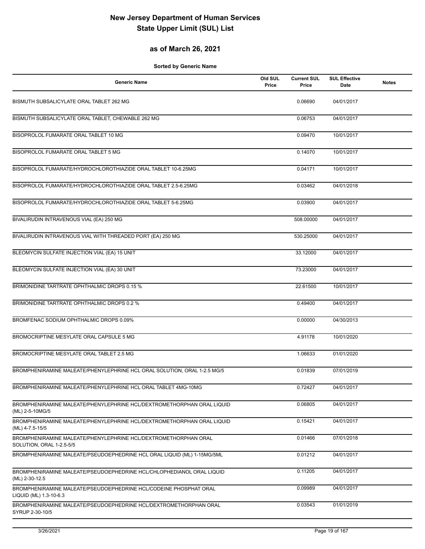### **as of March 26, 2021**

| <b>Generic Name</b>                                                                         | Old SUL<br>Price | <b>Current SUL</b><br>Price | <b>SUL Effective</b><br>Date | <b>Notes</b> |
|---------------------------------------------------------------------------------------------|------------------|-----------------------------|------------------------------|--------------|
| BISMUTH SUBSALICYLATE ORAL TABLET 262 MG                                                    |                  | 0.06690                     | 04/01/2017                   |              |
| BISMUTH SUBSALICYLATE ORAL TABLET, CHEWABLE 262 MG                                          |                  | 0.06753                     | 04/01/2017                   |              |
| BISOPROLOL FUMARATE ORAL TABLET 10 MG                                                       |                  | 0.09470                     | 10/01/2017                   |              |
| BISOPROLOL FUMARATE ORAL TABLET 5 MG                                                        |                  | 0.14070                     | 10/01/2017                   |              |
| BISOPROLOL FUMARATE/HYDROCHLOROTHIAZIDE ORAL TABLET 10-6.25MG                               |                  | 0.04171                     | 10/01/2017                   |              |
| BISOPROLOL FUMARATE/HYDROCHLOROTHIAZIDE ORAL TABLET 2.5-6.25MG                              |                  | 0.03462                     | 04/01/2018                   |              |
| BISOPROLOL FUMARATE/HYDROCHLOROTHIAZIDE ORAL TABLET 5-6.25MG                                |                  | 0.03900                     | 04/01/2017                   |              |
| BIVALIRUDIN INTRAVENOUS VIAL (EA) 250 MG                                                    |                  | 508.00000                   | 04/01/2017                   |              |
| BIVALIRUDIN INTRAVENOUS VIAL WITH THREADED PORT (EA) 250 MG                                 |                  | 530.25000                   | 04/01/2017                   |              |
| BLEOMYCIN SULFATE INJECTION VIAL (EA) 15 UNIT                                               |                  | 33.12000                    | 04/01/2017                   |              |
| BLEOMYCIN SULFATE INJECTION VIAL (EA) 30 UNIT                                               |                  | 73.23000                    | 04/01/2017                   |              |
| BRIMONIDINE TARTRATE OPHTHALMIC DROPS 0.15 %                                                |                  | 22.61500                    | 10/01/2017                   |              |
| BRIMONIDINE TARTRATE OPHTHALMIC DROPS 0.2 %                                                 |                  | 0.49400                     | 04/01/2017                   |              |
| BROMFENAC SODIUM OPHTHALMIC DROPS 0.09%                                                     |                  | 0.00000                     | 04/30/2013                   |              |
| BROMOCRIPTINE MESYLATE ORAL CAPSULE 5 MG                                                    |                  | 4.91178                     | 10/01/2020                   |              |
| BROMOCRIPTINE MESYLATE ORAL TABLET 2.5 MG                                                   |                  | 1.06633                     | 01/01/2020                   |              |
| BROMPHENIRAMINE MALEATE/PHENYLEPHRINE HCL ORAL SOLUTION, ORAL 1-2.5 MG/5                    |                  | 0.01839                     | 07/01/2019                   |              |
| BROMPHENIRAMINE MALEATE/PHENYLEPHRINE HCL ORAL TABLET 4MG-10MG                              |                  | 0.72427                     | 04/01/2017                   |              |
| BROMPHENIRAMINE MALEATE/PHENYLEPHRINE HCL/DEXTROMETHORPHAN ORAL LIQUID<br>(ML) 2-5-10MG/5   |                  | 0.06805                     | 04/01/2017                   |              |
| BROMPHENIRAMINE MALEATE/PHENYLEPHRINE HCL/DEXTROMETHORPHAN ORAL LIQUID<br>(ML) 4-7.5-15/5   |                  | 0.15421                     | 04/01/2017                   |              |
| BROMPHENIRAMINE MALEATE/PHENYLEPHRINE HCL/DEXTROMETHORPHAN ORAL<br>SOLUTION, ORAL 1-2.5-5/5 |                  | 0.01466                     | 07/01/2018                   |              |
| BROMPHENIRAMINE MALEATE/PSEUDOEPHEDRINE HCL ORAL LIQUID (ML) 1-15MG/5ML                     |                  | 0.01212                     | 04/01/2017                   |              |
| BROMPHENIRAMINE MALEATE/PSEUDOEPHEDRINE HCL/CHLOPHEDIANOL ORAL LIQUID<br>(ML) 2-30-12.5     |                  | 0.11205                     | 04/01/2017                   |              |
| BROMPHENIRAMINE MALEATE/PSEUDOEPHEDRINE HCL/CODEINE PHOSPHAT ORAL<br>LIQUID (ML) 1.3-10-6.3 |                  | 0.09989                     | 04/01/2017                   |              |
| BROMPHENIRAMINE MALEATE/PSEUDOEPHEDRINE HCL/DEXTROMETHORPHAN ORAL<br>SYRUP 2-30-10/5        |                  | 0.03543                     | 01/01/2019                   |              |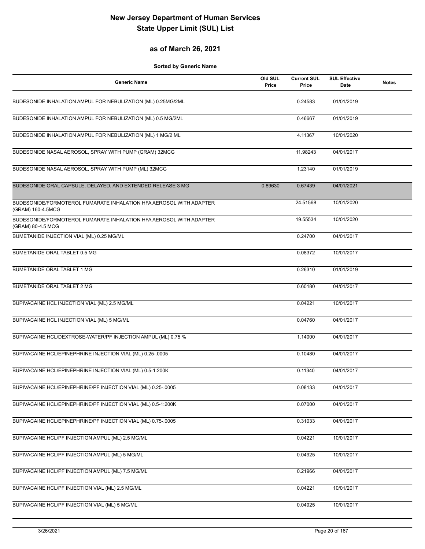### **as of March 26, 2021**

| <b>Generic Name</b>                                                                     | Old SUL<br>Price | <b>Current SUL</b><br>Price | <b>SUL Effective</b><br>Date | <b>Notes</b> |
|-----------------------------------------------------------------------------------------|------------------|-----------------------------|------------------------------|--------------|
| BUDESONIDE INHALATION AMPUL FOR NEBULIZATION (ML) 0.25MG/2ML                            |                  | 0.24583                     | 01/01/2019                   |              |
| BUDESONIDE INHALATION AMPUL FOR NEBULIZATION (ML) 0.5 MG/2ML                            |                  | 0.46667                     | 01/01/2019                   |              |
| BUDESONIDE INHALATION AMPUL FOR NEBULIZATION (ML) 1 MG/2 ML                             |                  | 4.11367                     | 10/01/2020                   |              |
| BUDESONIDE NASAL AEROSOL, SPRAY WITH PUMP (GRAM) 32MCG                                  |                  | 11.98243                    | 04/01/2017                   |              |
| BUDESONIDE NASAL AEROSOL, SPRAY WITH PUMP (ML) 32MCG                                    |                  | 1.23140                     | 01/01/2019                   |              |
| BUDESONIDE ORAL CAPSULE, DELAYED, AND EXTENDED RELEASE 3 MG                             | 0.89630          | 0.67439                     | 04/01/2021                   |              |
| BUDESONIDE/FORMOTEROL FUMARATE INHALATION HFA AEROSOL WITH ADAPTER<br>(GRAM) 160-4.5MCG |                  | 24.51568                    | 10/01/2020                   |              |
| BUDESONIDE/FORMOTEROL FUMARATE INHALATION HFA AEROSOL WITH ADAPTER<br>(GRAM) 80-4.5 MCG |                  | 19.55534                    | 10/01/2020                   |              |
| BUMETANIDE INJECTION VIAL (ML) 0.25 MG/ML                                               |                  | 0.24700                     | 04/01/2017                   |              |
| BUMETANIDE ORAL TABLET 0.5 MG                                                           |                  | 0.08372                     | 10/01/2017                   |              |
| BUMETANIDE ORAL TABLET 1 MG                                                             |                  | 0.26310                     | 01/01/2019                   |              |
| <b>BUMETANIDE ORAL TABLET 2 MG</b>                                                      |                  | 0.60180                     | 04/01/2017                   |              |
| BUPIVACAINE HCL INJECTION VIAL (ML) 2.5 MG/ML                                           |                  | 0.04221                     | 10/01/2017                   |              |
| BUPIVACAINE HCL INJECTION VIAL (ML) 5 MG/ML                                             |                  | 0.04760                     | 04/01/2017                   |              |
| BUPIVACAINE HCL/DEXTROSE-WATER/PF INJECTION AMPUL (ML) 0.75 %                           |                  | 1.14000                     | 04/01/2017                   |              |
| BUPIVACAINE HCL/EPINEPHRINE INJECTION VIAL (ML) 0.25-.0005                              |                  | 0.10480                     | 04/01/2017                   |              |
| BUPIVACAINE HCL/EPINEPHRINE INJECTION VIAL (ML) 0.5-1:200K                              |                  | 0.11340                     | 04/01/2017                   |              |
| BUPIVACAINE HCL/EPINEPHRINE/PF INJECTION VIAL (ML) 0.25-.0005                           |                  | 0.08133                     | 04/01/2017                   |              |
| BUPIVACAINE HCL/EPINEPHRINE/PF INJECTION VIAL (ML) 0.5-1:200K                           |                  | 0.07000                     | 04/01/2017                   |              |
| BUPIVACAINE HCL/EPINEPHRINE/PF INJECTION VIAL (ML) 0.75-.0005                           |                  | 0.31033                     | 04/01/2017                   |              |
| BUPIVACAINE HCL/PF INJECTION AMPUL (ML) 2.5 MG/ML                                       |                  | 0.04221                     | 10/01/2017                   |              |
| BUPIVACAINE HCL/PF INJECTION AMPUL (ML) 5 MG/ML                                         |                  | 0.04925                     | 10/01/2017                   |              |
| BUPIVACAINE HCL/PF INJECTION AMPUL (ML) 7.5 MG/ML                                       |                  | 0.21966                     | 04/01/2017                   |              |
| BUPIVACAINE HCL/PF INJECTION VIAL (ML) 2.5 MG/ML                                        |                  | 0.04221                     | 10/01/2017                   |              |
| BUPIVACAINE HCL/PF INJECTION VIAL (ML) 5 MG/ML                                          |                  | 0.04925                     | 10/01/2017                   |              |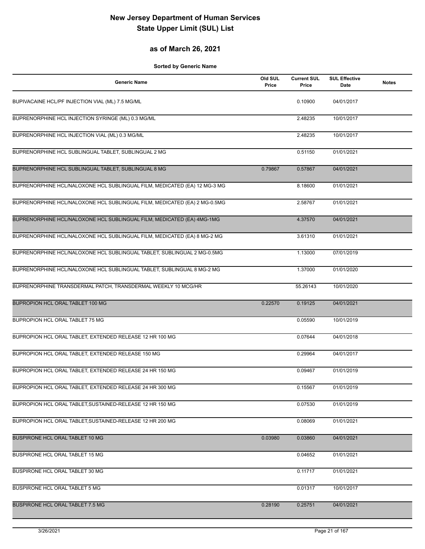### **as of March 26, 2021**

| <b>Generic Name</b>                                                       | Old SUL<br>Price | <b>Current SUL</b><br>Price | <b>SUL Effective</b><br>Date | <b>Notes</b> |
|---------------------------------------------------------------------------|------------------|-----------------------------|------------------------------|--------------|
| BUPIVACAINE HCL/PF INJECTION VIAL (ML) 7.5 MG/ML                          |                  | 0.10900                     | 04/01/2017                   |              |
| BUPRENORPHINE HCL INJECTION SYRINGE (ML) 0.3 MG/ML                        |                  | 2.48235                     | 10/01/2017                   |              |
| BUPRENORPHINE HCL INJECTION VIAL (ML) 0.3 MG/ML                           |                  | 2.48235                     | 10/01/2017                   |              |
| BUPRENORPHINE HCL SUBLINGUAL TABLET, SUBLINGUAL 2 MG                      |                  | 0.51150                     | 01/01/2021                   |              |
| BUPRENORPHINE HCL SUBLINGUAL TABLET, SUBLINGUAL 8 MG                      | 0.79867          | 0.57867                     | 04/01/2021                   |              |
| BUPRENORPHINE HCL/NALOXONE HCL SUBLINGUAL FILM, MEDICATED (EA) 12 MG-3 MG |                  | 8.18600                     | 01/01/2021                   |              |
| BUPRENORPHINE HCL/NALOXONE HCL SUBLINGUAL FILM, MEDICATED (EA) 2 MG-0.5MG |                  | 2.58767                     | 01/01/2021                   |              |
| BUPRENORPHINE HCL/NALOXONE HCL SUBLINGUAL FILM, MEDICATED (EA) 4MG-1MG    |                  | 4.37570                     | 04/01/2021                   |              |
| BUPRENORPHINE HCL/NALOXONE HCL SUBLINGUAL FILM, MEDICATED (EA) 8 MG-2 MG  |                  | 3.61310                     | 01/01/2021                   |              |
| BUPRENORPHINE HCL/NALOXONE HCL SUBLINGUAL TABLET, SUBLINGUAL 2 MG-0.5MG   |                  | 1.13000                     | 07/01/2019                   |              |
| BUPRENORPHINE HCL/NALOXONE HCL SUBLINGUAL TABLET, SUBLINGUAL 8 MG-2 MG    |                  | 1.37000                     | 01/01/2020                   |              |
| BUPRENORPHINE TRANSDERMAL PATCH, TRANSDERMAL WEEKLY 10 MCG/HR             |                  | 55.26143                    | 10/01/2020                   |              |
| BUPROPION HCL ORAL TABLET 100 MG                                          | 0.22570          | 0.19125                     | 04/01/2021                   |              |
| BUPROPION HCL ORAL TABLET 75 MG                                           |                  | 0.05590                     | 10/01/2019                   |              |
| BUPROPION HCL ORAL TABLET, EXTENDED RELEASE 12 HR 100 MG                  |                  | 0.07644                     | 04/01/2018                   |              |
| BUPROPION HCL ORAL TABLET, EXTENDED RELEASE 150 MG                        |                  | 0.29964                     | 04/01/2017                   |              |
| BUPROPION HCL ORAL TABLET, EXTENDED RELEASE 24 HR 150 MG                  |                  | 0.09467                     | 01/01/2019                   |              |
| BUPROPION HCL ORAL TABLET, EXTENDED RELEASE 24 HR 300 MG                  |                  | 0.15567                     | 01/01/2019                   |              |
| BUPROPION HCL ORAL TABLET, SUSTAINED-RELEASE 12 HR 150 MG                 |                  | 0.07530                     | 01/01/2019                   |              |
| BUPROPION HCL ORAL TABLET, SUSTAINED-RELEASE 12 HR 200 MG                 |                  | 0.08069                     | 01/01/2021                   |              |
| BUSPIRONE HCL ORAL TABLET 10 MG                                           | 0.03980          | 0.03860                     | 04/01/2021                   |              |
| BUSPIRONE HCL ORAL TABLET 15 MG                                           |                  | 0.04652                     | 01/01/2021                   |              |
| BUSPIRONE HCL ORAL TABLET 30 MG                                           |                  | 0.11717                     | 01/01/2021                   |              |
| BUSPIRONE HCL ORAL TABLET 5 MG                                            |                  | 0.01317                     | 10/01/2017                   |              |
| BUSPIRONE HCL ORAL TABLET 7.5 MG                                          | 0.28190          | 0.25751                     | 04/01/2021                   |              |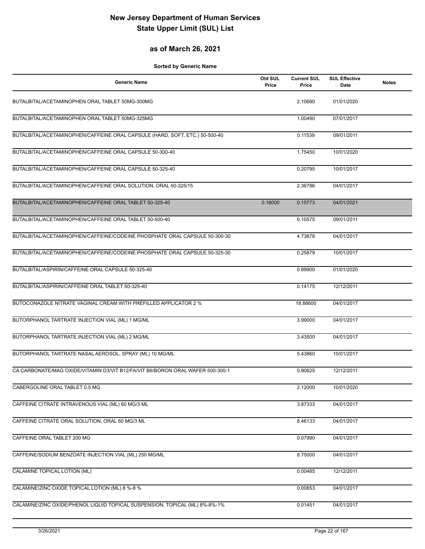### **as of March 26, 2021**

| <b>Generic Name</b>                                                            | Old SUL<br>Price | <b>Current SUL</b><br>Price | <b>SUL Effective</b><br>Date | <b>Notes</b> |
|--------------------------------------------------------------------------------|------------------|-----------------------------|------------------------------|--------------|
| BUTALBITAL/ACETAMINOPHEN ORAL TABLET 50MG-300MG                                |                  | 2.10690                     | 01/01/2020                   |              |
| BUTALBITAL/ACETAMINOPHEN ORAL TABLET 50MG-325MG                                |                  | 1.00490                     | 07/01/2017                   |              |
| BUTALBITAL/ACETAMINOPHEN/CAFFEINE ORAL CAPSULE (HARD, SOFT, ETC.) 50-500-40    |                  | 0.11539                     | 09/01/2011                   |              |
| BUTALBITAL/ACETAMINOPHEN/CAFFEINE ORAL CAPSULE 50-300-40                       |                  | 1.75450                     | 10/01/2020                   |              |
| BUTALBITAL/ACETAMINOPHEN/CAFFEINE ORAL CAPSULE 50-325-40                       |                  | 0.20795                     | 10/01/2017                   |              |
| BUTALBITAL/ACETAMINOPHEN/CAFFEINE ORAL SOLUTION, ORAL 50-325/15                |                  | 2.36786                     | 04/01/2017                   |              |
| BUTALBITAL/ACETAMINOPHEN/CAFFEINE ORAL TABLET 50-325-40                        | 0.16000          | 0.15773                     | 04/01/2021                   |              |
| BUTALBITAL/ACETAMINOPHEN/CAFFEINE ORAL TABLET 50-500-40                        |                  | 0.10575                     | 09/01/2011                   |              |
| BUTALBITAL/ACETAMINOPHEN/CAFFEINE/CODEINE PHOSPHATE ORAL CAPSULE 50-300-30     |                  | 4.73878                     | 04/01/2017                   |              |
| BUTALBITAL/ACETAMINOPHEN/CAFFEINE/CODEINE PHOSPHATE ORAL CAPSULE 50-325-30     |                  | 0.25879                     | 10/01/2017                   |              |
| BUTALBITAL/ASPIRIN/CAFFEINE ORAL CAPSULE 50-325-40                             |                  | 0.89900                     | 01/01/2020                   |              |
| BUTALBITAL/ASPIRIN/CAFFEINE ORAL TABLET 50-325-40                              |                  | 0.14175                     | 12/12/2011                   |              |
| BUTOCONAZOLE NITRATE VAGINAL CREAM WITH PREFILLED APPLICATOR 2 %               |                  | 18.88600                    | 04/01/2017                   |              |
| BUTORPHANOL TARTRATE INJECTION VIAL (ML) 1 MG/ML                               |                  | 3.99000                     | 04/01/2017                   |              |
| BUTORPHANOL TARTRATE INJECTION VIAL (ML) 2 MG/ML                               |                  | 3.43500                     | 04/01/2017                   |              |
| BUTORPHANOL TARTRATE NASAL AEROSOL, SPRAY (ML) 10 MG/ML                        |                  | 5.43860                     | 10/01/2017                   |              |
| CA CARBONATE/MAG OXIDE/VITAMIN D3/VIT B12/FA/VIT B6/BORON ORAL WAFER 500-300-1 |                  | 0.80625                     | 12/12/2011                   |              |
| CABERGOLINE ORAL TABLET 0.5 MG                                                 |                  | 2.12000                     | 10/01/2020                   |              |
| CAFFEINE CITRATE INTRAVENOUS VIAL (ML) 60 MG/3 ML                              |                  | 3.87333                     | 04/01/2017                   |              |
| CAFFEINE CITRATE ORAL SOLUTION, ORAL 60 MG/3 ML                                |                  | 8.46133                     | 04/01/2017                   |              |
| CAFFEINE ORAL TABLET 200 MG                                                    |                  | 0.07990                     | 04/01/2017                   |              |
| CAFFEINE/SODIUM BENZOATE INJECTION VIAL (ML) 250 MG/ML                         |                  | 8.75000                     | 04/01/2017                   |              |
| CALAMINE TOPICAL LOTION (ML)                                                   |                  | 0.00485                     | 12/12/2011                   |              |
| CALAMINE/ZINC OXIDE TOPICAL LOTION (ML) 8 %-8 %                                |                  | 0.00853                     | 04/01/2017                   |              |
| CALAMINE/ZINC OXIDE/PHENOL LIQUID TOPICAL SUSPENSION, TOPICAL (ML) 8%-8%-1%    |                  | 0.01451                     | 04/01/2017                   |              |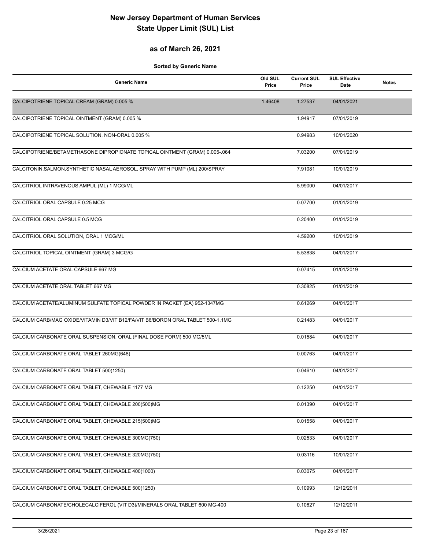### **as of March 26, 2021**

| <b>Generic Name</b>                                                             | Old SUL<br>Price | <b>Current SUL</b><br>Price | <b>SUL Effective</b><br><b>Date</b> | <b>Notes</b> |
|---------------------------------------------------------------------------------|------------------|-----------------------------|-------------------------------------|--------------|
| CALCIPOTRIENE TOPICAL CREAM (GRAM) 0.005 %                                      | 1.46408          | 1.27537                     | 04/01/2021                          |              |
| CALCIPOTRIENE TOPICAL OINTMENT (GRAM) 0.005 %                                   |                  | 1.94917                     | 07/01/2019                          |              |
| CALCIPOTRIENE TOPICAL SOLUTION, NON-ORAL 0.005 %                                |                  | 0.94983                     | 10/01/2020                          |              |
| CALCIPOTRIENE/BETAMETHASONE DIPROPIONATE TOPICAL OINTMENT (GRAM) 0.005-.064     |                  | 7.03200                     | 07/01/2019                          |              |
| CALCITONIN, SALMON, SYNTHETIC NASAL AEROSOL, SPRAY WITH PUMP (ML) 200/SPRAY     |                  | 7.91081                     | 10/01/2019                          |              |
| CALCITRIOL INTRAVENOUS AMPUL (ML) 1 MCG/ML                                      |                  | 5.99000                     | 04/01/2017                          |              |
| CALCITRIOL ORAL CAPSULE 0.25 MCG                                                |                  | 0.07700                     | 01/01/2019                          |              |
| CALCITRIOL ORAL CAPSULE 0.5 MCG                                                 |                  | 0.20400                     | 01/01/2019                          |              |
| CALCITRIOL ORAL SOLUTION, ORAL 1 MCG/ML                                         |                  | 4.59200                     | 10/01/2019                          |              |
| CALCITRIOL TOPICAL OINTMENT (GRAM) 3 MCG/G                                      |                  | 5.53838                     | 04/01/2017                          |              |
| CALCIUM ACETATE ORAL CAPSULE 667 MG                                             |                  | 0.07415                     | 01/01/2019                          |              |
| CALCIUM ACETATE ORAL TABLET 667 MG                                              |                  | 0.30825                     | 01/01/2019                          |              |
| CALCIUM ACETATE/ALUMINUM SULFATE TOPICAL POWDER IN PACKET (EA) 952-1347MG       |                  | 0.61269                     | 04/01/2017                          |              |
| CALCIUM CARB/MAG OXIDE/VITAMIN D3/VIT B12/FA/VIT B6/BORON ORAL TABLET 500-1.1MG |                  | 0.21483                     | 04/01/2017                          |              |
| CALCIUM CARBONATE ORAL SUSPENSION, ORAL (FINAL DOSE FORM) 500 MG/5ML            |                  | 0.01584                     | 04/01/2017                          |              |
| CALCIUM CARBONATE ORAL TABLET 260MG(648)                                        |                  | 0.00763                     | 04/01/2017                          |              |
| CALCIUM CARBONATE ORAL TABLET 500(1250)                                         |                  | 0.04610                     | 04/01/2017                          |              |
| CALCIUM CARBONATE ORAL TABLET, CHEWABLE 1177 MG                                 |                  | 0.12250                     | 04/01/2017                          |              |
| CALCIUM CARBONATE ORAL TABLET, CHEWABLE 200(500)MG                              |                  | 0.01390                     | 04/01/2017                          |              |
| CALCIUM CARBONATE ORAL TABLET, CHEWABLE 215(500)MG                              |                  | 0.01558                     | 04/01/2017                          |              |
| CALCIUM CARBONATE ORAL TABLET, CHEWABLE 300MG(750)                              |                  | 0.02533                     | 04/01/2017                          |              |
| CALCIUM CARBONATE ORAL TABLET, CHEWABLE 320MG(750)                              |                  | 0.03116                     | 10/01/2017                          |              |
| CALCIUM CARBONATE ORAL TABLET, CHEWABLE 400(1000)                               |                  | 0.03075                     | 04/01/2017                          |              |
| CALCIUM CARBONATE ORAL TABLET, CHEWABLE 500(1250)                               |                  | 0.10993                     | 12/12/2011                          |              |
| CALCIUM CARBONATE/CHOLECALCIFEROL (VIT D3)/MINERALS ORAL TABLET 600 MG-400      |                  | 0.10627                     | 12/12/2011                          |              |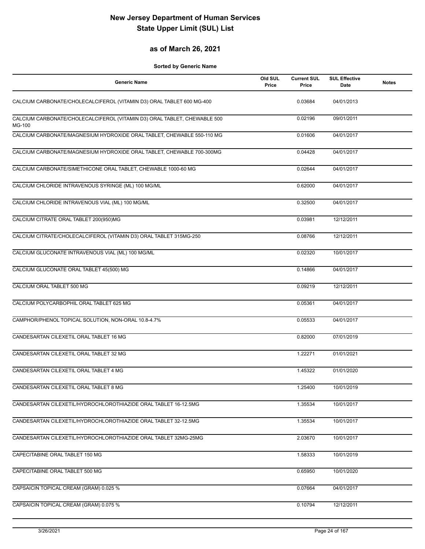### **as of March 26, 2021**

| <b>Generic Name</b>                                                                | Old SUL<br>Price | <b>Current SUL</b><br>Price | <b>SUL Effective</b><br>Date | <b>Notes</b> |
|------------------------------------------------------------------------------------|------------------|-----------------------------|------------------------------|--------------|
| CALCIUM CARBONATE/CHOLECALCIFEROL (VITAMIN D3) ORAL TABLET 600 MG-400              |                  | 0.03684                     | 04/01/2013                   |              |
| CALCIUM CARBONATE/CHOLECALCIFEROL (VITAMIN D3) ORAL TABLET, CHEWABLE 500<br>MG-100 |                  | 0.02196                     | 09/01/2011                   |              |
| CALCIUM CARBONATE/MAGNESIUM HYDROXIDE ORAL TABLET, CHEWABLE 550-110 MG             |                  | 0.01606                     | 04/01/2017                   |              |
| CALCIUM CARBONATE/MAGNESIUM HYDROXIDE ORAL TABLET, CHEWABLE 700-300MG              |                  | 0.04428                     | 04/01/2017                   |              |
| CALCIUM CARBONATE/SIMETHICONE ORAL TABLET, CHEWABLE 1000-60 MG                     |                  | 0.02644                     | 04/01/2017                   |              |
| CALCIUM CHLORIDE INTRAVENOUS SYRINGE (ML) 100 MG/ML                                |                  | 0.62000                     | 04/01/2017                   |              |
| CALCIUM CHLORIDE INTRAVENOUS VIAL (ML) 100 MG/ML                                   |                  | 0.32500                     | 04/01/2017                   |              |
| CALCIUM CITRATE ORAL TABLET 200(950)MG                                             |                  | 0.03981                     | 12/12/2011                   |              |
| CALCIUM CITRATE/CHOLECALCIFEROL (VITAMIN D3) ORAL TABLET 315MG-250                 |                  | 0.08766                     | 12/12/2011                   |              |
| CALCIUM GLUCONATE INTRAVENOUS VIAL (ML) 100 MG/ML                                  |                  | 0.02320                     | 10/01/2017                   |              |
| CALCIUM GLUCONATE ORAL TABLET 45(500) MG                                           |                  | 0.14866                     | 04/01/2017                   |              |
| CALCIUM ORAL TABLET 500 MG                                                         |                  | 0.09219                     | 12/12/2011                   |              |
| CALCIUM POLYCARBOPHIL ORAL TABLET 625 MG                                           |                  | 0.05361                     | 04/01/2017                   |              |
| CAMPHOR/PHENOL TOPICAL SOLUTION, NON-ORAL 10.8-4.7%                                |                  | 0.05533                     | 04/01/2017                   |              |
| CANDESARTAN CILEXETIL ORAL TABLET 16 MG                                            |                  | 0.82000                     | 07/01/2019                   |              |
| CANDESARTAN CILEXETIL ORAL TABLET 32 MG                                            |                  | 1.22271                     | 01/01/2021                   |              |
| CANDESARTAN CILEXETIL ORAL TABLET 4 MG                                             |                  | 1.45322                     | 01/01/2020                   |              |
| CANDESARTAN CILEXETIL ORAL TABLET 8 MG                                             |                  | 1.25400                     | 10/01/2019                   |              |
| CANDESARTAN CILEXETIL/HYDROCHLOROTHIAZIDE ORAL TABLET 16-12.5MG                    |                  | 1.35534                     | 10/01/2017                   |              |
| CANDESARTAN CILEXETIL/HYDROCHLOROTHIAZIDE ORAL TABLET 32-12.5MG                    |                  | 1.35534                     | 10/01/2017                   |              |
| CANDESARTAN CILEXETIL/HYDROCHLOROTHIAZIDE ORAL TABLET 32MG-25MG                    |                  | 2.03670                     | 10/01/2017                   |              |
| CAPECITABINE ORAL TABLET 150 MG                                                    |                  | 1.58333                     | 10/01/2019                   |              |
| CAPECITABINE ORAL TABLET 500 MG                                                    |                  | 0.65950                     | 10/01/2020                   |              |
| CAPSAICIN TOPICAL CREAM (GRAM) 0.025 %                                             |                  | 0.07664                     | 04/01/2017                   |              |
| CAPSAICIN TOPICAL CREAM (GRAM) 0.075 %                                             |                  | 0.10794                     | 12/12/2011                   |              |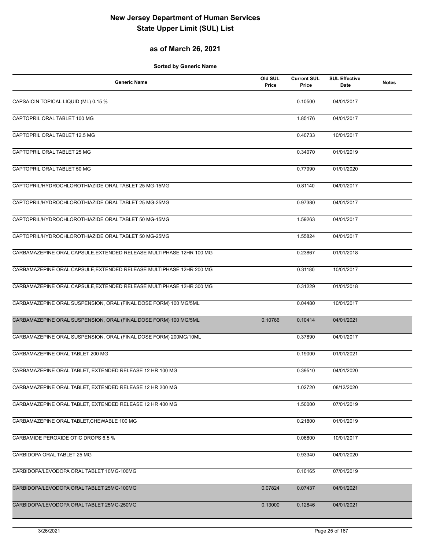### **as of March 26, 2021**

| <b>Generic Name</b>                                                 | Old SUL<br>Price | <b>Current SUL</b><br>Price | <b>SUL Effective</b><br>Date | <b>Notes</b> |
|---------------------------------------------------------------------|------------------|-----------------------------|------------------------------|--------------|
| CAPSAICIN TOPICAL LIQUID (ML) 0.15 %                                |                  | 0.10500                     | 04/01/2017                   |              |
| CAPTOPRIL ORAL TABLET 100 MG                                        |                  | 1.85176                     | 04/01/2017                   |              |
| CAPTOPRIL ORAL TABLET 12.5 MG                                       |                  | 0.40733                     | 10/01/2017                   |              |
| CAPTOPRIL ORAL TABLET 25 MG                                         |                  | 0.34070                     | 01/01/2019                   |              |
| CAPTOPRIL ORAL TABLET 50 MG                                         |                  | 0.77990                     | 01/01/2020                   |              |
| CAPTOPRIL/HYDROCHLOROTHIAZIDE ORAL TABLET 25 MG-15MG                |                  | 0.81140                     | 04/01/2017                   |              |
| CAPTOPRIL/HYDROCHLOROTHIAZIDE ORAL TABLET 25 MG-25MG                |                  | 0.97380                     | 04/01/2017                   |              |
| CAPTOPRIL/HYDROCHLOROTHIAZIDE ORAL TABLET 50 MG-15MG                |                  | 1.59263                     | 04/01/2017                   |              |
| CAPTOPRIL/HYDROCHLOROTHIAZIDE ORAL TABLET 50 MG-25MG                |                  | 1.55824                     | 04/01/2017                   |              |
| CARBAMAZEPINE ORAL CAPSULE, EXTENDED RELEASE MULTIPHASE 12HR 100 MG |                  | 0.23867                     | 01/01/2018                   |              |
| CARBAMAZEPINE ORAL CAPSULE, EXTENDED RELEASE MULTIPHASE 12HR 200 MG |                  | 0.31180                     | 10/01/2017                   |              |
| CARBAMAZEPINE ORAL CAPSULE, EXTENDED RELEASE MULTIPHASE 12HR 300 MG |                  | 0.31229                     | 01/01/2018                   |              |
| CARBAMAZEPINE ORAL SUSPENSION, ORAL (FINAL DOSE FORM) 100 MG/5ML    |                  | 0.04480                     | 10/01/2017                   |              |
| CARBAMAZEPINE ORAL SUSPENSION, ORAL (FINAL DOSE FORM) 100 MG/5ML    | 0.10766          | 0.10414                     | 04/01/2021                   |              |
| CARBAMAZEPINE ORAL SUSPENSION, ORAL (FINAL DOSE FORM) 200MG/10ML    |                  | 0.37890                     | 04/01/2017                   |              |
| CARBAMAZEPINE ORAL TABLET 200 MG                                    |                  | 0.19000                     | 01/01/2021                   |              |
| CARBAMAZEPINE ORAL TABLET, EXTENDED RELEASE 12 HR 100 MG            |                  | 0.39510                     | 04/01/2020                   |              |
| CARBAMAZEPINE ORAL TABLET, EXTENDED RELEASE 12 HR 200 MG            |                  | 1.02720                     | 08/12/2020                   |              |
| CARBAMAZEPINE ORAL TABLET. EXTENDED RELEASE 12 HR 400 MG            |                  | 1.50000                     | 07/01/2019                   |              |
| CARBAMAZEPINE ORAL TABLET, CHEWABLE 100 MG                          |                  | 0.21800                     | 01/01/2019                   |              |
| CARBAMIDE PEROXIDE OTIC DROPS 6.5 %                                 |                  | 0.06800                     | 10/01/2017                   |              |
| CARBIDOPA ORAL TABLET 25 MG                                         |                  | 0.93340                     | 04/01/2020                   |              |
| CARBIDOPA/LEVODOPA ORAL TABLET 10MG-100MG                           |                  | 0.10165                     | 07/01/2019                   |              |
| CARBIDOPA/LEVODOPA ORAL TABLET 25MG-100MG                           | 0.07824          | 0.07437                     | 04/01/2021                   |              |
| CARBIDOPA/LEVODOPA ORAL TABLET 25MG-250MG                           | 0.13000          | 0.12846                     | 04/01/2021                   |              |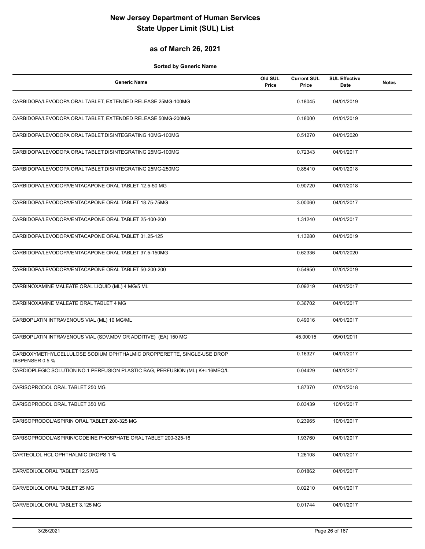### **as of March 26, 2021**

| <b>Generic Name</b>                                                                      | Old SUL<br>Price | <b>Current SUL</b><br>Price | <b>SUL Effective</b><br>Date | <b>Notes</b> |
|------------------------------------------------------------------------------------------|------------------|-----------------------------|------------------------------|--------------|
| CARBIDOPA/LEVODOPA ORAL TABLET, EXTENDED RELEASE 25MG-100MG                              |                  | 0.18045                     | 04/01/2019                   |              |
| CARBIDOPA/LEVODOPA ORAL TABLET, EXTENDED RELEASE 50MG-200MG                              |                  | 0.18000                     | 01/01/2019                   |              |
| CARBIDOPA/LEVODOPA ORAL TABLET, DISINTEGRATING 10MG-100MG                                |                  | 0.51270                     | 04/01/2020                   |              |
| CARBIDOPA/LEVODOPA ORAL TABLET, DISINTEGRATING 25MG-100MG                                |                  | 0.72343                     | 04/01/2017                   |              |
| CARBIDOPA/LEVODOPA ORAL TABLET, DISINTEGRATING 25MG-250MG                                |                  | 0.85410                     | 04/01/2018                   |              |
| CARBIDOPA/LEVODOPA/ENTACAPONE ORAL TABLET 12.5-50 MG                                     |                  | 0.90720                     | 04/01/2018                   |              |
| CARBIDOPA/LEVODOPA/ENTACAPONE ORAL TABLET 18.75-75MG                                     |                  | 3.00060                     | 04/01/2017                   |              |
| CARBIDOPA/LEVODOPA/ENTACAPONE ORAL TABLET 25-100-200                                     |                  | 1.31240                     | 04/01/2017                   |              |
| CARBIDOPA/LEVODOPA/ENTACAPONE ORAL TABLET 31.25-125                                      |                  | 1.13280                     | 04/01/2019                   |              |
| CARBIDOPA/LEVODOPA/ENTACAPONE ORAL TABLET 37.5-150MG                                     |                  | 0.62336                     | 04/01/2020                   |              |
| CARBIDOPA/LEVODOPA/ENTACAPONE ORAL TABLET 50-200-200                                     |                  | 0.54950                     | 07/01/2019                   |              |
| CARBINOXAMINE MALEATE ORAL LIQUID (ML) 4 MG/5 ML                                         |                  | 0.09219                     | 04/01/2017                   |              |
| CARBINOXAMINE MALEATE ORAL TABLET 4 MG                                                   |                  | 0.36702                     | 04/01/2017                   |              |
| CARBOPLATIN INTRAVENOUS VIAL (ML) 10 MG/ML                                               |                  | 0.49016                     | 04/01/2017                   |              |
| CARBOPLATIN INTRAVENOUS VIAL (SDV, MDV OR ADDITIVE) (EA) 150 MG                          |                  | 45.00015                    | 09/01/2011                   |              |
| CARBOXYMETHYLCELLULOSE SODIUM OPHTHALMIC DROPPERETTE, SINGLE-USE DROP<br>DISPENSER 0.5 % |                  | 0.16327                     | 04/01/2017                   |              |
| CARDIOPLEGIC SOLUTION NO.1 PERFUSION PLASTIC BAG, PERFUSION (ML) K+=16MEQ/L              |                  | 0.04429                     | 04/01/2017                   |              |
| CARISOPRODOL ORAL TABLET 250 MG                                                          |                  | 1.87370                     | 07/01/2018                   |              |
| CARISOPRODOL ORAL TABLET 350 MG                                                          |                  | 0.03439                     | 10/01/2017                   |              |
| CARISOPRODOL/ASPIRIN ORAL TABLET 200-325 MG                                              |                  | 0.23965                     | 10/01/2017                   |              |
| CARISOPRODOL/ASPIRIN/CODEINE PHOSPHATE ORAL TABLET 200-325-16                            |                  | 1.93760                     | 04/01/2017                   |              |
| CARTEOLOL HCL OPHTHALMIC DROPS 1 %                                                       |                  | 1.26108                     | 04/01/2017                   |              |
| CARVEDILOL ORAL TABLET 12.5 MG                                                           |                  | 0.01862                     | 04/01/2017                   |              |
| CARVEDILOL ORAL TABLET 25 MG                                                             |                  | 0.02210                     | 04/01/2017                   |              |
| CARVEDILOL ORAL TABLET 3.125 MG                                                          |                  | 0.01744                     | 04/01/2017                   |              |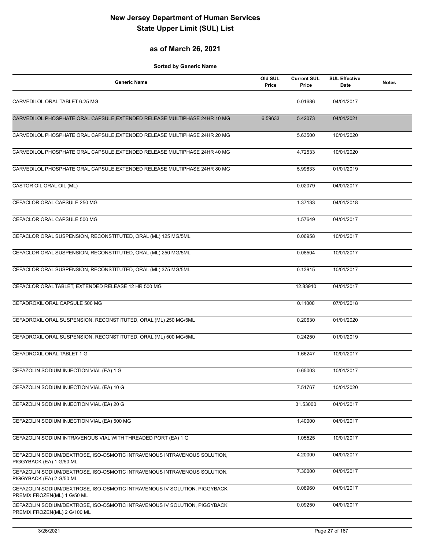### **as of March 26, 2021**

| <b>Generic Name</b>                                                                                       | Old SUL<br>Price | <b>Current SUL</b><br>Price | <b>SUL Effective</b><br>Date | <b>Notes</b> |
|-----------------------------------------------------------------------------------------------------------|------------------|-----------------------------|------------------------------|--------------|
| CARVEDILOL ORAL TABLET 6.25 MG                                                                            |                  | 0.01686                     | 04/01/2017                   |              |
| CARVEDILOL PHOSPHATE ORAL CAPSULE, EXTENDED RELEASE MULTIPHASE 24HR 10 MG                                 | 6.59633          | 5.42073                     | 04/01/2021                   |              |
| CARVEDILOL PHOSPHATE ORAL CAPSULE, EXTENDED RELEASE MULTIPHASE 24HR 20 MG                                 |                  | 5.63500                     | 10/01/2020                   |              |
| CARVEDILOL PHOSPHATE ORAL CAPSULE, EXTENDED RELEASE MULTIPHASE 24HR 40 MG                                 |                  | 4.72533                     | 10/01/2020                   |              |
| CARVEDILOL PHOSPHATE ORAL CAPSULE, EXTENDED RELEASE MULTIPHASE 24HR 80 MG                                 |                  | 5.99833                     | 01/01/2019                   |              |
| CASTOR OIL ORAL OIL (ML)                                                                                  |                  | 0.02079                     | 04/01/2017                   |              |
| CEFACLOR ORAL CAPSULE 250 MG                                                                              |                  | 1.37133                     | 04/01/2018                   |              |
| CEFACLOR ORAL CAPSULE 500 MG                                                                              |                  | 1.57649                     | 04/01/2017                   |              |
| CEFACLOR ORAL SUSPENSION, RECONSTITUTED, ORAL (ML) 125 MG/5ML                                             |                  | 0.06958                     | 10/01/2017                   |              |
| CEFACLOR ORAL SUSPENSION, RECONSTITUTED, ORAL (ML) 250 MG/5ML                                             |                  | 0.08504                     | 10/01/2017                   |              |
| CEFACLOR ORAL SUSPENSION, RECONSTITUTED, ORAL (ML) 375 MG/5ML                                             |                  | 0.13915                     | 10/01/2017                   |              |
| CEFACLOR ORAL TABLET, EXTENDED RELEASE 12 HR 500 MG                                                       |                  | 12.83910                    | 04/01/2017                   |              |
| CEFADROXIL ORAL CAPSULE 500 MG                                                                            |                  | 0.11000                     | 07/01/2018                   |              |
| CEFADROXIL ORAL SUSPENSION, RECONSTITUTED, ORAL (ML) 250 MG/5ML                                           |                  | 0.20630                     | 01/01/2020                   |              |
| CEFADROXIL ORAL SUSPENSION, RECONSTITUTED, ORAL (ML) 500 MG/5ML                                           |                  | 0.24250                     | 01/01/2019                   |              |
| CEFADROXIL ORAL TABLET 1 G                                                                                |                  | 1.66247                     | 10/01/2017                   |              |
| CEFAZOLIN SODIUM INJECTION VIAL (EA) 1 G                                                                  |                  | 0.65003                     | 10/01/2017                   |              |
| CEFAZOLIN SODIUM INJECTION VIAL (EA) 10 G                                                                 |                  | 7.51767                     | 10/01/2020                   |              |
| CEFAZOLIN SODIUM INJECTION VIAL (EA) 20 G                                                                 |                  | 31.53000                    | 04/01/2017                   |              |
| CEFAZOLIN SODIUM INJECTION VIAL (EA) 500 MG                                                               |                  | 1.40000                     | 04/01/2017                   |              |
| CEFAZOLIN SODIUM INTRAVENOUS VIAL WITH THREADED PORT (EA) 1 G                                             |                  | 1.05525                     | 10/01/2017                   |              |
| CEFAZOLIN SODIUM/DEXTROSE, ISO-OSMOTIC INTRAVENOUS INTRAVENOUS SOLUTION,<br>PIGGYBACK (EA) 1 G/50 ML      |                  | 4.20000                     | 04/01/2017                   |              |
| CEFAZOLIN SODIUM/DEXTROSE, ISO-OSMOTIC INTRAVENOUS INTRAVENOUS SOLUTION,<br>PIGGYBACK (EA) 2 G/50 ML      |                  | 7.30000                     | 04/01/2017                   |              |
| CEFAZOLIN SODIUM/DEXTROSE, ISO-OSMOTIC INTRAVENOUS IV SOLUTION, PIGGYBACK<br>PREMIX FROZEN(ML) 1 G/50 ML  |                  | 0.08960                     | 04/01/2017                   |              |
| CEFAZOLIN SODIUM/DEXTROSE, ISO-OSMOTIC INTRAVENOUS IV SOLUTION, PIGGYBACK<br>PREMIX FROZEN(ML) 2 G/100 ML |                  | 0.09250                     | 04/01/2017                   |              |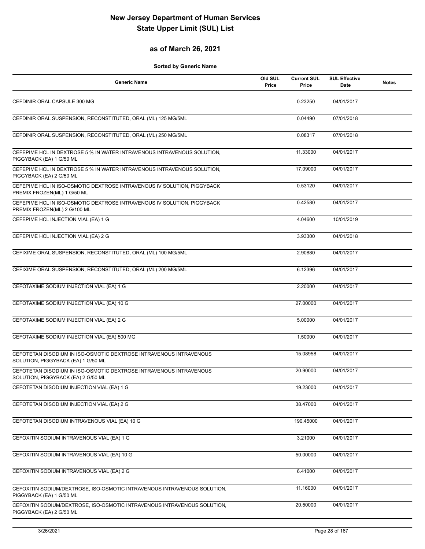### **as of March 26, 2021**

| <b>Generic Name</b>                                                                                      | Old SUL<br>Price | <b>Current SUL</b><br>Price | <b>SUL Effective</b><br><b>Date</b> | <b>Notes</b> |
|----------------------------------------------------------------------------------------------------------|------------------|-----------------------------|-------------------------------------|--------------|
| CEFDINIR ORAL CAPSULE 300 MG                                                                             |                  | 0.23250                     | 04/01/2017                          |              |
| CEFDINIR ORAL SUSPENSION, RECONSTITUTED, ORAL (ML) 125 MG/5ML                                            |                  | 0.04490                     | 07/01/2018                          |              |
| CEFDINIR ORAL SUSPENSION, RECONSTITUTED, ORAL (ML) 250 MG/5ML                                            |                  | 0.08317                     | 07/01/2018                          |              |
| CEFEPIME HCL IN DEXTROSE 5 % IN WATER INTRAVENOUS INTRAVENOUS SOLUTION,<br>PIGGYBACK (EA) 1 G/50 ML      |                  | 11.33000                    | 04/01/2017                          |              |
| CEFEPIME HCL IN DEXTROSE 5 % IN WATER INTRAVENOUS INTRAVENOUS SOLUTION,<br>PIGGYBACK (EA) 2 G/50 ML      |                  | 17.09000                    | 04/01/2017                          |              |
| CEFEPIME HCL IN ISO-OSMOTIC DEXTROSE INTRAVENOUS IV SOLUTION, PIGGYBACK<br>PREMIX FROZEN(ML) 1 G/50 ML   |                  | 0.53120                     | 04/01/2017                          |              |
| CEFEPIME HCL IN ISO-OSMOTIC DEXTROSE INTRAVENOUS IV SOLUTION, PIGGYBACK<br>PREMIX FROZEN(ML) 2 G/100 ML  |                  | 0.42580                     | 04/01/2017                          |              |
| CEFEPIME HCL INJECTION VIAL (EA) 1 G                                                                     |                  | 4.04600                     | 10/01/2019                          |              |
| CEFEPIME HCL INJECTION VIAL (EA) 2 G                                                                     |                  | 3.93300                     | 04/01/2018                          |              |
| CEFIXIME ORAL SUSPENSION, RECONSTITUTED, ORAL (ML) 100 MG/5ML                                            |                  | 2.90880                     | 04/01/2017                          |              |
| CEFIXIME ORAL SUSPENSION, RECONSTITUTED, ORAL (ML) 200 MG/5ML                                            |                  | 6.12396                     | 04/01/2017                          |              |
| CEFOTAXIME SODIUM INJECTION VIAL (EA) 1 G                                                                |                  | 2.20000                     | 04/01/2017                          |              |
| CEFOTAXIME SODIUM INJECTION VIAL (EA) 10 G                                                               |                  | 27.00000                    | 04/01/2017                          |              |
| CEFOTAXIME SODIUM INJECTION VIAL (EA) 2 G                                                                |                  | 5.00000                     | 04/01/2017                          |              |
| CEFOTAXIME SODIUM INJECTION VIAL (EA) 500 MG                                                             |                  | 1.50000                     | 04/01/2017                          |              |
| CEFOTETAN DISODIUM IN ISO-OSMOTIC DEXTROSE INTRAVENOUS INTRAVENOUS<br>SOLUTION, PIGGYBACK (EA) 1 G/50 ML |                  | 15.08958                    | 04/01/2017                          |              |
| CEFOTETAN DISODIUM IN ISO-OSMOTIC DEXTROSE INTRAVENOUS INTRAVENOUS<br>SOLUTION, PIGGYBACK (EA) 2 G/50 ML |                  | 20.90000                    | 04/01/2017                          |              |
| CEFOTETAN DISODIUM INJECTION VIAL (EA) 1 G                                                               |                  | 19.23000                    | 04/01/2017                          |              |
| CEFOTETAN DISODIUM INJECTION VIAL (EA) 2 G                                                               |                  | 38.47000                    | 04/01/2017                          |              |
| CEFOTETAN DISODIUM INTRAVENOUS VIAL (EA) 10 G                                                            |                  | 190.45000                   | 04/01/2017                          |              |
| CEFOXITIN SODIUM INTRAVENOUS VIAL (EA) 1 G                                                               |                  | 3.21000                     | 04/01/2017                          |              |
| CEFOXITIN SODIUM INTRAVENOUS VIAL (EA) 10 G                                                              |                  | 50.00000                    | 04/01/2017                          |              |
| CEFOXITIN SODIUM INTRAVENOUS VIAL (EA) 2 G                                                               |                  | 6.41000                     | 04/01/2017                          |              |
| CEFOXITIN SODIUM/DEXTROSE, ISO-OSMOTIC INTRAVENOUS INTRAVENOUS SOLUTION,<br>PIGGYBACK (EA) 1 G/50 ML     |                  | 11.16000                    | 04/01/2017                          |              |
| CEFOXITIN SODIUM/DEXTROSE, ISO-OSMOTIC INTRAVENOUS INTRAVENOUS SOLUTION,<br>PIGGYBACK (EA) 2 G/50 ML     |                  | 20.50000                    | 04/01/2017                          |              |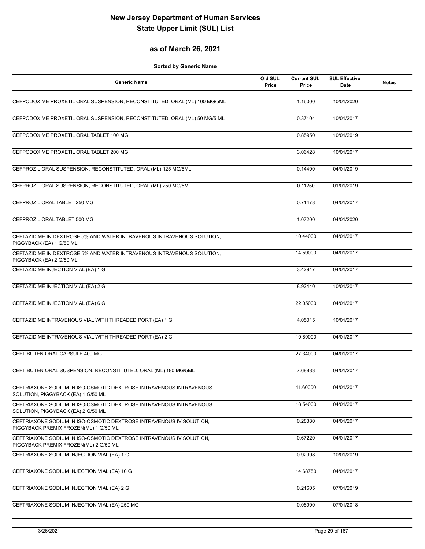### **as of March 26, 2021**

| <b>Generic Name</b>                                                                                          | Old SUL<br>Price | <b>Current SUL</b><br>Price | <b>SUL Effective</b><br>Date | <b>Notes</b> |
|--------------------------------------------------------------------------------------------------------------|------------------|-----------------------------|------------------------------|--------------|
| CEFPODOXIME PROXETIL ORAL SUSPENSION, RECONSTITUTED, ORAL (ML) 100 MG/5ML                                    |                  | 1.16000                     | 10/01/2020                   |              |
| CEFPODOXIME PROXETIL ORAL SUSPENSION, RECONSTITUTED, ORAL (ML) 50 MG/5 ML                                    |                  | 0.37104                     | 10/01/2017                   |              |
| CEFPODOXIME PROXETIL ORAL TABLET 100 MG                                                                      |                  | 0.85950                     | 10/01/2019                   |              |
| CEFPODOXIME PROXETIL ORAL TABLET 200 MG                                                                      |                  | 3.06428                     | 10/01/2017                   |              |
| CEFPROZIL ORAL SUSPENSION, RECONSTITUTED, ORAL (ML) 125 MG/5ML                                               |                  | 0.14400                     | 04/01/2019                   |              |
| CEFPROZIL ORAL SUSPENSION, RECONSTITUTED, ORAL (ML) 250 MG/5ML                                               |                  | 0.11250                     | 01/01/2019                   |              |
| CEFPROZIL ORAL TABLET 250 MG                                                                                 |                  | 0.71478                     | 04/01/2017                   |              |
| CEFPROZIL ORAL TABLET 500 MG                                                                                 |                  | 1.07200                     | 04/01/2020                   |              |
| CEFTAZIDIME IN DEXTROSE 5% AND WATER INTRAVENOUS INTRAVENOUS SOLUTION,<br>PIGGYBACK (EA) 1 G/50 ML           |                  | 10.44000                    | 04/01/2017                   |              |
| CEFTAZIDIME IN DEXTROSE 5% AND WATER INTRAVENOUS INTRAVENOUS SOLUTION,<br>PIGGYBACK (EA) 2 G/50 ML           |                  | 14.59000                    | 04/01/2017                   |              |
| CEFTAZIDIME INJECTION VIAL (EA) 1 G                                                                          |                  | 3.42947                     | 04/01/2017                   |              |
| CEFTAZIDIME INJECTION VIAL (EA) 2 G                                                                          |                  | 8.92440                     | 10/01/2017                   |              |
| CEFTAZIDIME INJECTION VIAL (EA) 6 G                                                                          |                  | 22.05000                    | 04/01/2017                   |              |
| CEFTAZIDIME INTRAVENOUS VIAL WITH THREADED PORT (EA) 1 G                                                     |                  | 4.05015                     | 10/01/2017                   |              |
| CEFTAZIDIME INTRAVENOUS VIAL WITH THREADED PORT (EA) 2 G                                                     |                  | 10.89000                    | 04/01/2017                   |              |
| CEFTIBUTEN ORAL CAPSULE 400 MG                                                                               |                  | 27.34000                    | 04/01/2017                   |              |
| CEFTIBUTEN ORAL SUSPENSION, RECONSTITUTED, ORAL (ML) 180 MG/5ML                                              |                  | 7.68883                     | 04/01/2017                   |              |
| CEFTRIAXONE SODIUM IN ISO-OSMOTIC DEXTROSE INTRAVENOUS INTRAVENOUS<br>SOLUTION, PIGGYBACK (EA) 1 G/50 ML     |                  | 11.60000                    | 04/01/2017                   |              |
| CEFTRIAXONE SODIUM IN ISO-OSMOTIC DEXTROSE INTRAVENOUS INTRAVENOUS<br>SOLUTION, PIGGYBACK (EA) 2 G/50 ML     |                  | 18.54000                    | 04/01/2017                   |              |
| CEFTRIAXONE SODIUM IN ISO-OSMOTIC DEXTROSE INTRAVENOUS IV SOLUTION,<br>PIGGYBACK PREMIX FROZEN(ML) 1 G/50 ML |                  | 0.28380                     | 04/01/2017                   |              |
| CEFTRIAXONE SODIUM IN ISO-OSMOTIC DEXTROSE INTRAVENOUS IV SOLUTION.<br>PIGGYBACK PREMIX FROZEN(ML) 2 G/50 ML |                  | 0.67220                     | 04/01/2017                   |              |
| CEFTRIAXONE SODIUM INJECTION VIAL (EA) 1 G                                                                   |                  | 0.92998                     | 10/01/2019                   |              |
| CEFTRIAXONE SODIUM INJECTION VIAL (EA) 10 G                                                                  |                  | 14.68750                    | 04/01/2017                   |              |
| CEFTRIAXONE SODIUM INJECTION VIAL (EA) 2 G                                                                   |                  | 0.21605                     | 07/01/2019                   |              |
| CEFTRIAXONE SODIUM INJECTION VIAL (EA) 250 MG                                                                |                  | 0.08900                     | 07/01/2018                   |              |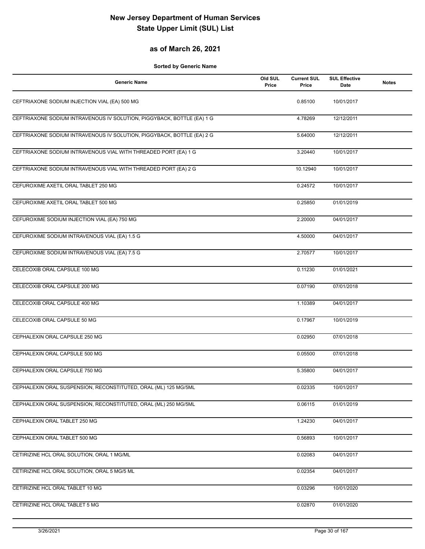### **as of March 26, 2021**

| <b>Generic Name</b>                                                    | Old SUL<br>Price | <b>Current SUL</b><br>Price | <b>SUL Effective</b><br>Date | <b>Notes</b> |
|------------------------------------------------------------------------|------------------|-----------------------------|------------------------------|--------------|
| CEFTRIAXONE SODIUM INJECTION VIAL (EA) 500 MG                          |                  | 0.85100                     | 10/01/2017                   |              |
| CEFTRIAXONE SODIUM INTRAVENOUS IV SOLUTION, PIGGYBACK, BOTTLE (EA) 1 G |                  | 4.78269                     | 12/12/2011                   |              |
| CEFTRIAXONE SODIUM INTRAVENOUS IV SOLUTION, PIGGYBACK, BOTTLE (EA) 2 G |                  | 5.64000                     | 12/12/2011                   |              |
| CEFTRIAXONE SODIUM INTRAVENOUS VIAL WITH THREADED PORT (EA) 1 G        |                  | 3.20440                     | 10/01/2017                   |              |
| CEFTRIAXONE SODIUM INTRAVENOUS VIAL WITH THREADED PORT (EA) 2 G        |                  | 10.12940                    | 10/01/2017                   |              |
| CEFUROXIME AXETIL ORAL TABLET 250 MG                                   |                  | 0.24572                     | 10/01/2017                   |              |
| CEFUROXIME AXETIL ORAL TABLET 500 MG                                   |                  | 0.25850                     | 01/01/2019                   |              |
| CEFUROXIME SODIUM INJECTION VIAL (EA) 750 MG                           |                  | 2.20000                     | 04/01/2017                   |              |
| CEFUROXIME SODIUM INTRAVENOUS VIAL (EA) 1.5 G                          |                  | 4.50000                     | 04/01/2017                   |              |
| CEFUROXIME SODIUM INTRAVENOUS VIAL (EA) 7.5 G                          |                  | 2.70577                     | 10/01/2017                   |              |
| CELECOXIB ORAL CAPSULE 100 MG                                          |                  | 0.11230                     | 01/01/2021                   |              |
| CELECOXIB ORAL CAPSULE 200 MG                                          |                  | 0.07190                     | 07/01/2018                   |              |
| CELECOXIB ORAL CAPSULE 400 MG                                          |                  | 1.10389                     | 04/01/2017                   |              |
| CELECOXIB ORAL CAPSULE 50 MG                                           |                  | 0.17967                     | 10/01/2019                   |              |
| CEPHALEXIN ORAL CAPSULE 250 MG                                         |                  | 0.02950                     | 07/01/2018                   |              |
| CEPHALEXIN ORAL CAPSULE 500 MG                                         |                  | 0.05500                     | 07/01/2018                   |              |
| CEPHALEXIN ORAL CAPSULE 750 MG                                         |                  | 5.35800                     | 04/01/2017                   |              |
| CEPHALEXIN ORAL SUSPENSION, RECONSTITUTED, ORAL (ML) 125 MG/5ML        |                  | 0.02335                     | 10/01/2017                   |              |
| CEPHALEXIN ORAL SUSPENSION, RECONSTITUTED, ORAL (ML) 250 MG/5ML        |                  | 0.06115                     | 01/01/2019                   |              |
| CEPHALEXIN ORAL TABLET 250 MG                                          |                  | 1.24230                     | 04/01/2017                   |              |
| CEPHALEXIN ORAL TABLET 500 MG                                          |                  | 0.56893                     | 10/01/2017                   |              |
| CETIRIZINE HCL ORAL SOLUTION, ORAL 1 MG/ML                             |                  | 0.02083                     | 04/01/2017                   |              |
| CETIRIZINE HCL ORAL SOLUTION, ORAL 5 MG/5 ML                           |                  | 0.02354                     | 04/01/2017                   |              |
| CETIRIZINE HCL ORAL TABLET 10 MG                                       |                  | 0.03296                     | 10/01/2020                   |              |
| CETIRIZINE HCL ORAL TABLET 5 MG                                        |                  | 0.02870                     | 01/01/2020                   |              |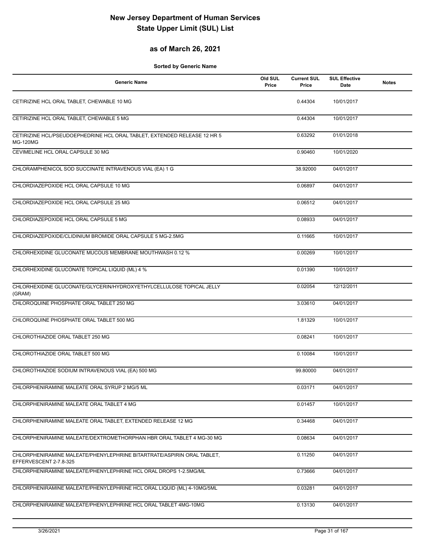### **as of March 26, 2021**

| <b>Generic Name</b>                                                                              | Old SUL<br>Price | <b>Current SUL</b><br>Price | <b>SUL Effective</b><br>Date | <b>Notes</b> |
|--------------------------------------------------------------------------------------------------|------------------|-----------------------------|------------------------------|--------------|
| CETIRIZINE HCL ORAL TABLET, CHEWABLE 10 MG                                                       |                  | 0.44304                     | 10/01/2017                   |              |
| CETIRIZINE HCL ORAL TABLET, CHEWABLE 5 MG                                                        |                  | 0.44304                     | 10/01/2017                   |              |
| CETIRIZINE HCL/PSEUDOEPHEDRINE HCL ORAL TABLET, EXTENDED RELEASE 12 HR 5<br><b>MG-120MG</b>      |                  | 0.63292                     | 01/01/2018                   |              |
| CEVIMELINE HCL ORAL CAPSULE 30 MG                                                                |                  | 0.90460                     | 10/01/2020                   |              |
| CHLORAMPHENICOL SOD SUCCINATE INTRAVENOUS VIAL (EA) 1 G                                          |                  | 38.92000                    | 04/01/2017                   |              |
| CHLORDIAZEPOXIDE HCL ORAL CAPSULE 10 MG                                                          |                  | 0.06897                     | 04/01/2017                   |              |
| CHLORDIAZEPOXIDE HCL ORAL CAPSULE 25 MG                                                          |                  | 0.06512                     | 04/01/2017                   |              |
| CHLORDIAZEPOXIDE HCL ORAL CAPSULE 5 MG                                                           |                  | 0.08933                     | 04/01/2017                   |              |
| CHLORDIAZEPOXIDE/CLIDINIUM BROMIDE ORAL CAPSULE 5 MG-2.5MG                                       |                  | 0.11665                     | 10/01/2017                   |              |
| CHLORHEXIDINE GLUCONATE MUCOUS MEMBRANE MOUTHWASH 0.12 %                                         |                  | 0.00269                     | 10/01/2017                   |              |
| CHLORHEXIDINE GLUCONATE TOPICAL LIQUID (ML) 4 %                                                  |                  | 0.01390                     | 10/01/2017                   |              |
| CHLORHEXIDINE GLUCONATE/GLYCERIN/HYDROXYETHYLCELLULOSE TOPICAL JELLY<br>(GRAM)                   |                  | 0.02054                     | 12/12/2011                   |              |
| CHLOROQUINE PHOSPHATE ORAL TABLET 250 MG                                                         |                  | 3.03610                     | 04/01/2017                   |              |
| CHLOROQUINE PHOSPHATE ORAL TABLET 500 MG                                                         |                  | 1.81329                     | 10/01/2017                   |              |
| CHLOROTHIAZIDE ORAL TABLET 250 MG                                                                |                  | 0.08241                     | 10/01/2017                   |              |
| CHLOROTHIAZIDE ORAL TABLET 500 MG                                                                |                  | 0.10084                     | 10/01/2017                   |              |
| CHLOROTHIAZIDE SODIUM INTRAVENOUS VIAL (EA) 500 MG                                               |                  | 99.80000                    | 04/01/2017                   |              |
| CHLORPHENIRAMINE MALEATE ORAL SYRUP 2 MG/5 ML                                                    |                  | 0.03171                     | 04/01/2017                   |              |
| CHLORPHENIRAMINE MALEATE ORAL TABLET 4 MG                                                        |                  | 0.01457                     | 10/01/2017                   |              |
| CHLORPHENIRAMINE MALEATE ORAL TABLET, EXTENDED RELEASE 12 MG                                     |                  | 0.34468                     | 04/01/2017                   |              |
| CHLORPHENIRAMINE MALEATE/DEXTROMETHORPHAN HBR ORAL TABLET 4 MG-30 MG                             |                  | 0.08634                     | 04/01/2017                   |              |
| CHLORPHENIRAMINE MALEATE/PHENYLEPHRINE BITARTRATE/ASPIRIN ORAL TABLET,<br>EFFERVESCENT 2-7.8-325 |                  | 0.11250                     | 04/01/2017                   |              |
| CHLORPHENIRAMINE MALEATE/PHENYLEPHRINE HCL ORAL DROPS 1-2.5MG/ML                                 |                  | 0.73666                     | 04/01/2017                   |              |
| CHLORPHENIRAMINE MALEATE/PHENYLEPHRINE HCL ORAL LIQUID (ML) 4-10MG/5ML                           |                  | 0.03281                     | 04/01/2017                   |              |
| CHLORPHENIRAMINE MALEATE/PHENYLEPHRINE HCL ORAL TABLET 4MG-10MG                                  |                  | 0.13130                     | 04/01/2017                   |              |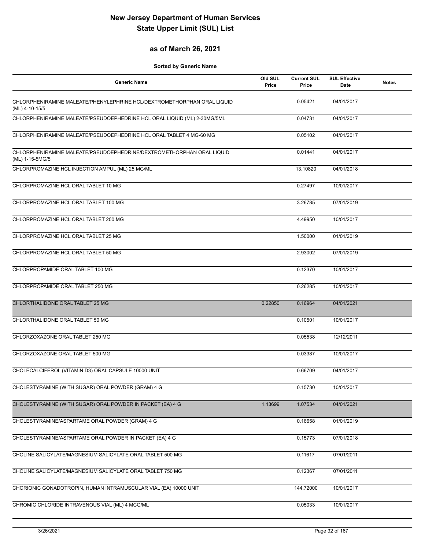### **as of March 26, 2021**

| <b>Generic Name</b>                                                                       | Old SUL<br>Price | <b>Current SUL</b><br>Price | <b>SUL Effective</b><br>Date | <b>Notes</b> |
|-------------------------------------------------------------------------------------------|------------------|-----------------------------|------------------------------|--------------|
| CHLORPHENIRAMINE MALEATE/PHENYLEPHRINE HCL/DEXTROMETHORPHAN ORAL LIQUID<br>(ML) 4-10-15/5 |                  | 0.05421                     | 04/01/2017                   |              |
| CHLORPHENIRAMINE MALEATE/PSEUDOEPHEDRINE HCL ORAL LIQUID (ML) 2-30MG/5ML                  |                  | 0.04731                     | 04/01/2017                   |              |
| CHLORPHENIRAMINE MALEATE/PSEUDOEPHEDRINE HCL ORAL TABLET 4 MG-60 MG                       |                  | 0.05102                     | 04/01/2017                   |              |
| CHLORPHENIRAMINE MALEATE/PSEUDOEPHEDRINE/DEXTROMETHORPHAN ORAL LIQUID<br>(ML) 1-15-5MG/5  |                  | 0.01441                     | 04/01/2017                   |              |
| CHLORPROMAZINE HCL INJECTION AMPUL (ML) 25 MG/ML                                          |                  | 13.10820                    | 04/01/2018                   |              |
| CHLORPROMAZINE HCL ORAL TABLET 10 MG                                                      |                  | 0.27497                     | 10/01/2017                   |              |
| CHLORPROMAZINE HCL ORAL TABLET 100 MG                                                     |                  | 3.26785                     | 07/01/2019                   |              |
| CHLORPROMAZINE HCL ORAL TABLET 200 MG                                                     |                  | 4.49950                     | 10/01/2017                   |              |
| CHLORPROMAZINE HCL ORAL TABLET 25 MG                                                      |                  | 1.50000                     | 01/01/2019                   |              |
| CHLORPROMAZINE HCL ORAL TABLET 50 MG                                                      |                  | 2.93002                     | 07/01/2019                   |              |
| CHLORPROPAMIDE ORAL TABLET 100 MG                                                         |                  | 0.12370                     | 10/01/2017                   |              |
| CHLORPROPAMIDE ORAL TABLET 250 MG                                                         |                  | 0.26285                     | 10/01/2017                   |              |
| CHLORTHALIDONE ORAL TABLET 25 MG                                                          | 0.22850          | 0.16964                     | 04/01/2021                   |              |
| CHLORTHALIDONE ORAL TABLET 50 MG                                                          |                  | 0.10501                     | 10/01/2017                   |              |
| CHLORZOXAZONE ORAL TABLET 250 MG                                                          |                  | 0.05538                     | 12/12/2011                   |              |
| CHLORZOXAZONE ORAL TABLET 500 MG                                                          |                  | 0.03387                     | 10/01/2017                   |              |
| CHOLECALCIFEROL (VITAMIN D3) ORAL CAPSULE 10000 UNIT                                      |                  | 0.66709                     | 04/01/2017                   |              |
| CHOLESTYRAMINE (WITH SUGAR) ORAL POWDER (GRAM) 4 G                                        |                  | 0.15730                     | 10/01/2017                   |              |
| CHOLESTYRAMINE (WITH SUGAR) ORAL POWDER IN PACKET (EA) 4 G                                | 1.13699          | 1.07534                     | 04/01/2021                   |              |
| CHOLESTYRAMINE/ASPARTAME ORAL POWDER (GRAM) 4 G                                           |                  | 0.16658                     | 01/01/2019                   |              |
| CHOLESTYRAMINE/ASPARTAME ORAL POWDER IN PACKET (EA) 4 G                                   |                  | 0.15773                     | 07/01/2018                   |              |
| CHOLINE SALICYLATE/MAGNESIUM SALICYLATE ORAL TABLET 500 MG                                |                  | 0.11617                     | 07/01/2011                   |              |
| CHOLINE SALICYLATE/MAGNESIUM SALICYLATE ORAL TABLET 750 MG                                |                  | 0.12367                     | 07/01/2011                   |              |
| CHORIONIC GONADOTROPIN, HUMAN INTRAMUSCULAR VIAL (EA) 10000 UNIT                          |                  | 144.72000                   | 10/01/2017                   |              |
| CHROMIC CHLORIDE INTRAVENOUS VIAL (ML) 4 MCG/ML                                           |                  | 0.05033                     | 10/01/2017                   |              |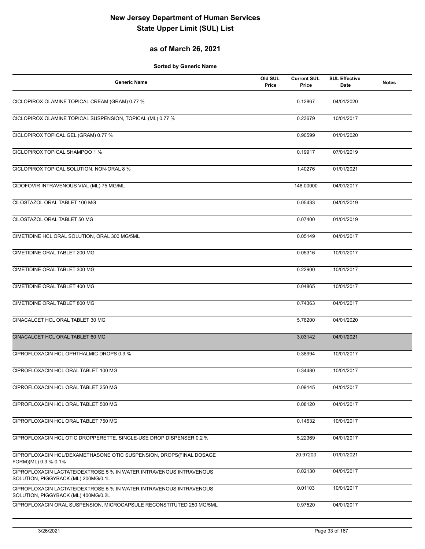### **as of March 26, 2021**

| <b>Generic Name</b>                                                                                        | Old SUL<br>Price | <b>Current SUL</b><br>Price | <b>SUL Effective</b><br>Date | <b>Notes</b> |
|------------------------------------------------------------------------------------------------------------|------------------|-----------------------------|------------------------------|--------------|
| CICLOPIROX OLAMINE TOPICAL CREAM (GRAM) 0.77 %                                                             |                  | 0.12867                     | 04/01/2020                   |              |
| CICLOPIROX OLAMINE TOPICAL SUSPENSION, TOPICAL (ML) 0.77 %                                                 |                  | 0.23679                     | 10/01/2017                   |              |
| CICLOPIROX TOPICAL GEL (GRAM) 0.77 %                                                                       |                  | 0.90599                     | 01/01/2020                   |              |
| CICLOPIROX TOPICAL SHAMPOO 1 %                                                                             |                  | 0.19917                     | 07/01/2019                   |              |
| CICLOPIROX TOPICAL SOLUTION, NON-ORAL 8 %                                                                  |                  | 1.40276                     | 01/01/2021                   |              |
| CIDOFOVIR INTRAVENOUS VIAL (ML) 75 MG/ML                                                                   |                  | 148.00000                   | 04/01/2017                   |              |
| CILOSTAZOL ORAL TABLET 100 MG                                                                              |                  | 0.05433                     | 04/01/2019                   |              |
| CILOSTAZOL ORAL TABLET 50 MG                                                                               |                  | 0.07400                     | 01/01/2019                   |              |
| CIMETIDINE HCL ORAL SOLUTION, ORAL 300 MG/5ML                                                              |                  | 0.05149                     | 04/01/2017                   |              |
| CIMETIDINE ORAL TABLET 200 MG                                                                              |                  | 0.05316                     | 10/01/2017                   |              |
| CIMETIDINE ORAL TABLET 300 MG                                                                              |                  | 0.22900                     | 10/01/2017                   |              |
| CIMETIDINE ORAL TABLET 400 MG                                                                              |                  | 0.04865                     | 10/01/2017                   |              |
| CIMETIDINE ORAL TABLET 800 MG                                                                              |                  | 0.74363                     | 04/01/2017                   |              |
| CINACALCET HCL ORAL TABLET 30 MG                                                                           |                  | 5.76200                     | 04/01/2020                   |              |
| CINACALCET HCL ORAL TABLET 60 MG                                                                           |                  | 3.03142                     | 04/01/2021                   |              |
| CIPROFLOXACIN HCL OPHTHALMIC DROPS 0.3 %                                                                   |                  | 0.38994                     | 10/01/2017                   |              |
| CIPROFLOXACIN HCL ORAL TABLET 100 MG                                                                       |                  | 0.34480                     | 10/01/2017                   |              |
| CIPROFLOXACIN HCL ORAL TABLET 250 MG                                                                       |                  | 0.09145                     | 04/01/2017                   |              |
| CIPROFLOXACIN HCL ORAL TABLET 500 MG                                                                       |                  | 0.08120                     | 04/01/2017                   |              |
| CIPROFLOXACIN HCL ORAL TABLET 750 MG                                                                       |                  | 0.14532                     | 10/01/2017                   |              |
| CIPROFLOXACIN HCL OTIC DROPPERETTE, SINGLE-USE DROP DISPENSER 0.2 %                                        |                  | 5.22369                     | 04/01/2017                   |              |
| CIPROFLOXACIN HCL/DEXAMETHASONE OTIC SUSPENSION, DROPS(FINAL DOSAGE<br>FORM)(ML) 0.3 %-0.1%                |                  | 20.97200                    | 01/01/2021                   |              |
| CIPROFLOXACIN LACTATE/DEXTROSE 5 % IN WATER INTRAVENOUS INTRAVENOUS<br>SOLUTION, PIGGYBACK (ML) 200MG/0.1L |                  | 0.02130                     | 04/01/2017                   |              |
| CIPROFLOXACIN LACTATE/DEXTROSE 5 % IN WATER INTRAVENOUS INTRAVENOUS<br>SOLUTION, PIGGYBACK (ML) 400MG/0.2L |                  | 0.01103                     | 10/01/2017                   |              |
| CIPROFLOXACIN ORAL SUSPENSION, MICROCAPSULE RECONSTITUTED 250 MG/5ML                                       |                  | 0.97520                     | 04/01/2017                   |              |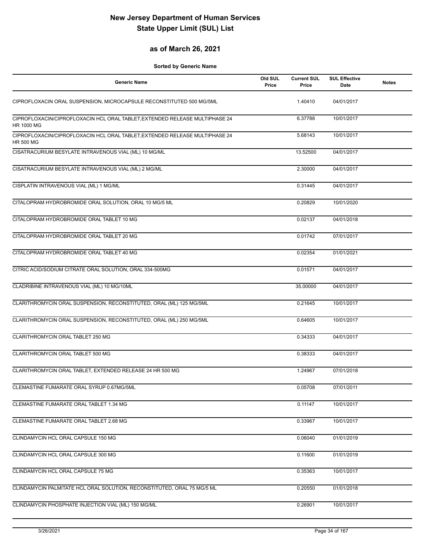### **as of March 26, 2021**

| <b>Generic Name</b>                                                                             | Old SUL<br>Price | <b>Current SUL</b><br>Price | <b>SUL Effective</b><br>Date | <b>Notes</b> |
|-------------------------------------------------------------------------------------------------|------------------|-----------------------------|------------------------------|--------------|
| CIPROFLOXACIN ORAL SUSPENSION, MICROCAPSULE RECONSTITUTED 500 MG/5ML                            |                  | 1.40410                     | 04/01/2017                   |              |
| CIPROFLOXACIN/CIPROFLOXACIN HCL ORAL TABLET, EXTENDED RELEASE MULTIPHASE 24<br>HR 1000 MG       |                  | 6.37788                     | 10/01/2017                   |              |
| CIPROFLOXACIN/CIPROFLOXACIN HCL ORAL TABLET, EXTENDED RELEASE MULTIPHASE 24<br><b>HR 500 MG</b> |                  | 5.68143                     | 10/01/2017                   |              |
| CISATRACURIUM BESYLATE INTRAVENOUS VIAL (ML) 10 MG/ML                                           |                  | 13.52500                    | 04/01/2017                   |              |
| CISATRACURIUM BESYLATE INTRAVENOUS VIAL (ML) 2 MG/ML                                            |                  | 2.30000                     | 04/01/2017                   |              |
| CISPLATIN INTRAVENOUS VIAL (ML) 1 MG/ML                                                         |                  | 0.31445                     | 04/01/2017                   |              |
| CITALOPRAM HYDROBROMIDE ORAL SOLUTION, ORAL 10 MG/5 ML                                          |                  | 0.20829                     | 10/01/2020                   |              |
| CITALOPRAM HYDROBROMIDE ORAL TABLET 10 MG                                                       |                  | 0.02137                     | 04/01/2018                   |              |
| CITALOPRAM HYDROBROMIDE ORAL TABLET 20 MG                                                       |                  | 0.01742                     | 07/01/2017                   |              |
| CITALOPRAM HYDROBROMIDE ORAL TABLET 40 MG                                                       |                  | 0.02354                     | 01/01/2021                   |              |
| CITRIC ACID/SODIUM CITRATE ORAL SOLUTION, ORAL 334-500MG                                        |                  | 0.01571                     | 04/01/2017                   |              |
| CLADRIBINE INTRAVENOUS VIAL (ML) 10 MG/10ML                                                     |                  | 35.00000                    | 04/01/2017                   |              |
| CLARITHROMYCIN ORAL SUSPENSION, RECONSTITUTED, ORAL (ML) 125 MG/5ML                             |                  | 0.21645                     | 10/01/2017                   |              |
| CLARITHROMYCIN ORAL SUSPENSION, RECONSTITUTED, ORAL (ML) 250 MG/5ML                             |                  | 0.64605                     | 10/01/2017                   |              |
| CLARITHROMYCIN ORAL TABLET 250 MG                                                               |                  | 0.34333                     | 04/01/2017                   |              |
| CLARITHROMYCIN ORAL TABLET 500 MG                                                               |                  | 0.38333                     | 04/01/2017                   |              |
| CLARITHROMYCIN ORAL TABLET, EXTENDED RELEASE 24 HR 500 MG                                       |                  | 1.24967                     | 07/01/2018                   |              |
| CLEMASTINE FUMARATE ORAL SYRUP 0.67MG/5ML                                                       |                  | 0.05708                     | 07/01/2011                   |              |
| CLEMASTINE FUMARATE ORAL TABLET 1.34 MG                                                         |                  | 0.11147                     | 10/01/2017                   |              |
| CLEMASTINE FUMARATE ORAL TABLET 2.68 MG                                                         |                  | 0.33967                     | 10/01/2017                   |              |
| CLINDAMYCIN HCL ORAL CAPSULE 150 MG                                                             |                  | 0.06040                     | 01/01/2019                   |              |
| CLINDAMYCIN HCL ORAL CAPSULE 300 MG                                                             |                  | 0.11600                     | 01/01/2019                   |              |
| CLINDAMYCIN HCL ORAL CAPSULE 75 MG                                                              |                  | 0.35363                     | 10/01/2017                   |              |
| CLINDAMYCIN PALMITATE HCL ORAL SOLUTION, RECONSTITUTED, ORAL 75 MG/5 ML                         |                  | 0.20550                     | 01/01/2018                   |              |
| CLINDAMYCIN PHOSPHATE INJECTION VIAL (ML) 150 MG/ML                                             |                  | 0.26901                     | 10/01/2017                   |              |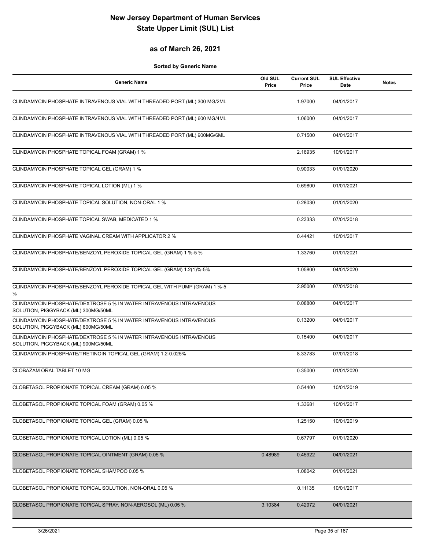### **as of March 26, 2021**

| <b>Generic Name</b>                                                                                        | Old SUL<br>Price | <b>Current SUL</b><br>Price | <b>SUL Effective</b><br>Date | <b>Notes</b> |
|------------------------------------------------------------------------------------------------------------|------------------|-----------------------------|------------------------------|--------------|
| CLINDAMYCIN PHOSPHATE INTRAVENOUS VIAL WITH THREADED PORT (ML) 300 MG/2ML                                  |                  | 1.97000                     | 04/01/2017                   |              |
| CLINDAMYCIN PHOSPHATE INTRAVENOUS VIAL WITH THREADED PORT (ML) 600 MG/4ML                                  |                  | 1.06000                     | 04/01/2017                   |              |
| CLINDAMYCIN PHOSPHATE INTRAVENOUS VIAL WITH THREADED PORT (ML) 900MG/6ML                                   |                  | 0.71500                     | 04/01/2017                   |              |
| CLINDAMYCIN PHOSPHATE TOPICAL FOAM (GRAM) 1 %                                                              |                  | 2.16935                     | 10/01/2017                   |              |
| CLINDAMYCIN PHOSPHATE TOPICAL GEL (GRAM) 1 %                                                               |                  | 0.90033                     | 01/01/2020                   |              |
| CLINDAMYCIN PHOSPHATE TOPICAL LOTION (ML) 1 %                                                              |                  | 0.69800                     | 01/01/2021                   |              |
| CLINDAMYCIN PHOSPHATE TOPICAL SOLUTION, NON-ORAL 1 %                                                       |                  | 0.28030                     | 01/01/2020                   |              |
| CLINDAMYCIN PHOSPHATE TOPICAL SWAB, MEDICATED 1 %                                                          |                  | 0.23333                     | 07/01/2018                   |              |
| CLINDAMYCIN PHOSPHATE VAGINAL CREAM WITH APPLICATOR 2 %                                                    |                  | 0.44421                     | 10/01/2017                   |              |
| CLINDAMYCIN PHOSPHATE/BENZOYL PEROXIDE TOPICAL GEL (GRAM) 1 %-5 %                                          |                  | 1.33760                     | 01/01/2021                   |              |
| CLINDAMYCIN PHOSPHATE/BENZOYL PEROXIDE TOPICAL GEL (GRAM) 1.2(1)%-5%                                       |                  | 1.05800                     | 04/01/2020                   |              |
| CLINDAMYCIN PHOSPHATE/BENZOYL PEROXIDE TOPICAL GEL WITH PUMP (GRAM) 1 %-5<br>%                             |                  | 2.95000                     | 07/01/2018                   |              |
| CLINDAMYCIN PHOSPHATE/DEXTROSE 5 % IN WATER INTRAVENOUS INTRAVENOUS<br>SOLUTION, PIGGYBACK (ML) 300MG/50ML |                  | 0.08800                     | 04/01/2017                   |              |
| CLINDAMYCIN PHOSPHATE/DEXTROSE 5 % IN WATER INTRAVENOUS INTRAVENOUS<br>SOLUTION, PIGGYBACK (ML) 600MG/50ML |                  | 0.13200                     | 04/01/2017                   |              |
| CLINDAMYCIN PHOSPHATE/DEXTROSE 5 % IN WATER INTRAVENOUS INTRAVENOUS<br>SOLUTION, PIGGYBACK (ML) 900MG/50ML |                  | 0.15400                     | 04/01/2017                   |              |
| CLINDAMYCIN PHOSPHATE/TRETINOIN TOPICAL GEL (GRAM) 1.2-0.025%                                              |                  | 8.33783                     | 07/01/2018                   |              |
| CLOBAZAM ORAL TABLET 10 MG                                                                                 |                  | 0.35000                     | 01/01/2020                   |              |
| CLOBETASOL PROPIONATE TOPICAL CREAM (GRAM) 0.05 %                                                          |                  | 0.54400                     | 10/01/2019                   |              |
| CLOBETASOL PROPIONATE TOPICAL FOAM (GRAM) 0.05 %                                                           |                  | 1.33681                     | 10/01/2017                   |              |
| CLOBETASOL PROPIONATE TOPICAL GEL (GRAM) 0.05 %                                                            |                  | 1.25150                     | 10/01/2019                   |              |
| CLOBETASOL PROPIONATE TOPICAL LOTION (ML) 0.05 %                                                           |                  | 0.67797                     | 01/01/2020                   |              |
| CLOBETASOL PROPIONATE TOPICAL OINTMENT (GRAM) 0.05 %                                                       | 0.48989          | 0.45922                     | 04/01/2021                   |              |
| CLOBETASOL PROPIONATE TOPICAL SHAMPOO 0.05 %                                                               |                  | 1.08042                     | 01/01/2021                   |              |
| CLOBETASOL PROPIONATE TOPICAL SOLUTION, NON-ORAL 0.05 %                                                    |                  | 0.11135                     | 10/01/2017                   |              |
| CLOBETASOL PROPIONATE TOPICAL SPRAY, NON-AEROSOL (ML) 0.05 %                                               | 3.10384          | 0.42972                     | 04/01/2021                   |              |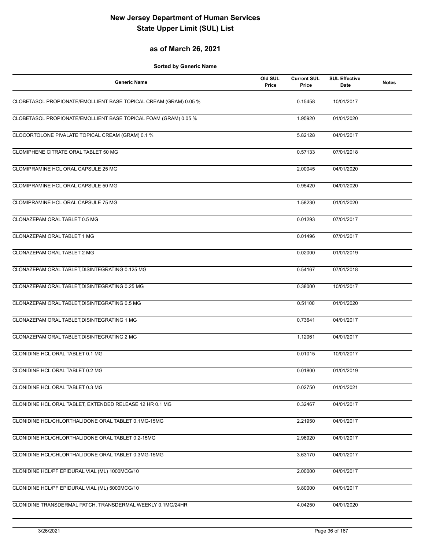### **as of March 26, 2021**

| <b>Generic Name</b>                                              | Old SUL<br>Price | <b>Current SUL</b><br>Price | <b>SUL Effective</b><br>Date | <b>Notes</b> |
|------------------------------------------------------------------|------------------|-----------------------------|------------------------------|--------------|
| CLOBETASOL PROPIONATE/EMOLLIENT BASE TOPICAL CREAM (GRAM) 0.05 % |                  | 0.15458                     | 10/01/2017                   |              |
| CLOBETASOL PROPIONATE/EMOLLIENT BASE TOPICAL FOAM (GRAM) 0.05 %  |                  | 1.95920                     | 01/01/2020                   |              |
| CLOCORTOLONE PIVALATE TOPICAL CREAM (GRAM) 0.1 %                 |                  | 5.82128                     | 04/01/2017                   |              |
| CLOMIPHENE CITRATE ORAL TABLET 50 MG                             |                  | 0.57133                     | 07/01/2018                   |              |
| CLOMIPRAMINE HCL ORAL CAPSULE 25 MG                              |                  | 2.00045                     | 04/01/2020                   |              |
| CLOMIPRAMINE HCL ORAL CAPSULE 50 MG                              |                  | 0.95420                     | 04/01/2020                   |              |
| CLOMIPRAMINE HCL ORAL CAPSULE 75 MG                              |                  | 1.58230                     | 01/01/2020                   |              |
| CLONAZEPAM ORAL TABLET 0.5 MG                                    |                  | 0.01293                     | 07/01/2017                   |              |
| CLONAZEPAM ORAL TABLET 1 MG                                      |                  | 0.01496                     | 07/01/2017                   |              |
| CLONAZEPAM ORAL TABLET 2 MG                                      |                  | 0.02000                     | 01/01/2019                   |              |
| CLONAZEPAM ORAL TABLET, DISINTEGRATING 0.125 MG                  |                  | 0.54167                     | 07/01/2018                   |              |
| CLONAZEPAM ORAL TABLET, DISINTEGRATING 0.25 MG                   |                  | 0.38000                     | 10/01/2017                   |              |
| CLONAZEPAM ORAL TABLET, DISINTEGRATING 0.5 MG                    |                  | 0.51100                     | 01/01/2020                   |              |
| CLONAZEPAM ORAL TABLET, DISINTEGRATING 1 MG                      |                  | 0.73641                     | 04/01/2017                   |              |
| CLONAZEPAM ORAL TABLET, DISINTEGRATING 2 MG                      |                  | 1.12061                     | 04/01/2017                   |              |
| CLONIDINE HCL ORAL TABLET 0.1 MG                                 |                  | 0.01015                     | 10/01/2017                   |              |
| CLONIDINE HCL ORAL TABLET 0.2 MG                                 |                  | 0.01800                     | 01/01/2019                   |              |
| CLONIDINE HCL ORAL TABLET 0.3 MG                                 |                  | 0.02750                     | 01/01/2021                   |              |
| CLONIDINE HCL ORAL TABLET, EXTENDED RELEASE 12 HR 0.1 MG         |                  | 0.32467                     | 04/01/2017                   |              |
| CLONIDINE HCL/CHLORTHALIDONE ORAL TABLET 0.1MG-15MG              |                  | 2.21950                     | 04/01/2017                   |              |
| CLONIDINE HCL/CHLORTHALIDONE ORAL TABLET 0.2-15MG                |                  | 2.96920                     | 04/01/2017                   |              |
| CLONIDINE HCL/CHLORTHALIDONE ORAL TABLET 0.3MG-15MG              |                  | 3.63170                     | 04/01/2017                   |              |
| CLONIDINE HCL/PF EPIDURAL VIAL (ML) 1000MCG/10                   |                  | 2.00000                     | 04/01/2017                   |              |
| CLONIDINE HCL/PF EPIDURAL VIAL (ML) 5000MCG/10                   |                  | 9.80000                     | 04/01/2017                   |              |
| CLONIDINE TRANSDERMAL PATCH, TRANSDERMAL WEEKLY 0.1MG/24HR       |                  | 4.04250                     | 04/01/2020                   |              |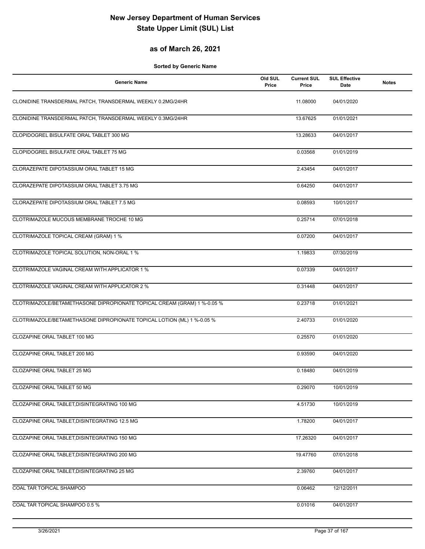### **as of March 26, 2021**

| <b>Generic Name</b>                                                     | Old SUL<br>Price | <b>Current SUL</b><br>Price | <b>SUL Effective</b><br>Date | <b>Notes</b> |
|-------------------------------------------------------------------------|------------------|-----------------------------|------------------------------|--------------|
| CLONIDINE TRANSDERMAL PATCH, TRANSDERMAL WEEKLY 0.2MG/24HR              |                  | 11.08000                    | 04/01/2020                   |              |
| CLONIDINE TRANSDERMAL PATCH, TRANSDERMAL WEEKLY 0.3MG/24HR              |                  | 13.67625                    | 01/01/2021                   |              |
| CLOPIDOGREL BISULFATE ORAL TABLET 300 MG                                |                  | 13.28633                    | 04/01/2017                   |              |
| CLOPIDOGREL BISULFATE ORAL TABLET 75 MG                                 |                  | 0.03568                     | 01/01/2019                   |              |
| CLORAZEPATE DIPOTASSIUM ORAL TABLET 15 MG                               |                  | 2.43454                     | 04/01/2017                   |              |
| CLORAZEPATE DIPOTASSIUM ORAL TABLET 3.75 MG                             |                  | 0.64250                     | 04/01/2017                   |              |
| CLORAZEPATE DIPOTASSIUM ORAL TABLET 7.5 MG                              |                  | 0.08593                     | 10/01/2017                   |              |
| CLOTRIMAZOLE MUCOUS MEMBRANE TROCHE 10 MG                               |                  | 0.25714                     | 07/01/2018                   |              |
| CLOTRIMAZOLE TOPICAL CREAM (GRAM) 1 %                                   |                  | 0.07200                     | 04/01/2017                   |              |
| CLOTRIMAZOLE TOPICAL SOLUTION, NON-ORAL 1 %                             |                  | 1.19833                     | 07/30/2019                   |              |
| CLOTRIMAZOLE VAGINAL CREAM WITH APPLICATOR 1 %                          |                  | 0.07339                     | 04/01/2017                   |              |
| CLOTRIMAZOLE VAGINAL CREAM WITH APPLICATOR 2 %                          |                  | 0.31448                     | 04/01/2017                   |              |
| CLOTRIMAZOLE/BETAMETHASONE DIPROPIONATE TOPICAL CREAM (GRAM) 1 %-0.05 % |                  | 0.23718                     | 01/01/2021                   |              |
| CLOTRIMAZOLE/BETAMETHASONE DIPROPIONATE TOPICAL LOTION (ML) 1 %-0.05 %  |                  | 2.40733                     | 01/01/2020                   |              |
| CLOZAPINE ORAL TABLET 100 MG                                            |                  | 0.25570                     | 01/01/2020                   |              |
| CLOZAPINE ORAL TABLET 200 MG                                            |                  | 0.93590                     | 04/01/2020                   |              |
| <b>CLOZAPINE ORAL TABLET 25 MG</b>                                      |                  | 0.18480                     | 04/01/2019                   |              |
| CLOZAPINE ORAL TABLET 50 MG                                             |                  | 0.29070                     | 10/01/2019                   |              |
| CLOZAPINE ORAL TABLET, DISINTEGRATING 100 MG                            |                  | 4.51730                     | 10/01/2019                   |              |
| CLOZAPINE ORAL TABLET, DISINTEGRATING 12.5 MG                           |                  | 1.78200                     | 04/01/2017                   |              |
| CLOZAPINE ORAL TABLET, DISINTEGRATING 150 MG                            |                  | 17.26320                    | 04/01/2017                   |              |
| CLOZAPINE ORAL TABLET, DISINTEGRATING 200 MG                            |                  | 19.47760                    | 07/01/2018                   |              |
| CLOZAPINE ORAL TABLET, DISINTEGRATING 25 MG                             |                  | 2.39760                     | 04/01/2017                   |              |
| COAL TAR TOPICAL SHAMPOO                                                |                  | 0.06462                     | 12/12/2011                   |              |
| COAL TAR TOPICAL SHAMPOO 0.5 %                                          |                  | 0.01016                     | 04/01/2017                   |              |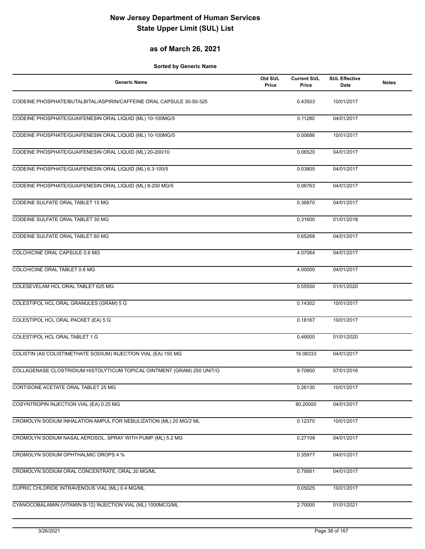### **as of March 26, 2021**

| <b>Generic Name</b>                                                     | Old SUL<br>Price | <b>Current SUL</b><br>Price | <b>SUL Effective</b><br>Date | <b>Notes</b> |
|-------------------------------------------------------------------------|------------------|-----------------------------|------------------------------|--------------|
| CODEINE PHOSPHATE/BUTALBITAL/ASPIRIN/CAFFEINE ORAL CAPSULE 30-50-325    |                  | 0.43503                     | 10/01/2017                   |              |
| CODEINE PHOSPHATE/GUAIFENESIN ORAL LIQUID (ML) 10-100MG/5               |                  | 0.11280                     | 04/01/2017                   |              |
| CODEINE PHOSPHATE/GUAIFENESIN ORAL LIQUID (ML) 10-100MG/5               |                  | 0.00686                     | 10/01/2017                   |              |
| CODEINE PHOSPHATE/GUAIFENESIN ORAL LIQUID (ML) 20-200/10                |                  | 0.06520                     | 04/01/2017                   |              |
| CODEINE PHOSPHATE/GUAIFENESIN ORAL LIQUID (ML) 6.3-100/5                |                  | 0.03805                     | 04/01/2017                   |              |
| CODEINE PHOSPHATE/GUAIFENESIN ORAL LIQUID (ML) 8-200 MG/5               |                  | 0.06763                     | 04/01/2017                   |              |
| CODEINE SULFATE ORAL TABLET 15 MG                                       |                  | 0.36870                     | 04/01/2017                   |              |
| CODEINE SULFATE ORAL TABLET 30 MG                                       |                  | 0.31600                     | 01/01/2018                   |              |
| CODEINE SULFATE ORAL TABLET 60 MG                                       |                  | 0.65268                     | 04/01/2017                   |              |
| COLCHICINE ORAL CAPSULE 0.6 MG                                          |                  | 4.07064                     | 04/01/2017                   |              |
| COLCHICINE ORAL TABLET 0.6 MG                                           |                  | 4.00000                     | 04/01/2017                   |              |
| COLESEVELAM HCL ORAL TABLET 625 MG                                      |                  | 0.55550                     | 01/01/2020                   |              |
| COLESTIPOL HCL ORAL GRANULES (GRAM) 5 G                                 |                  | 0.14302                     | 10/01/2017                   |              |
| COLESTIPOL HCL ORAL PACKET (EA) 5 G                                     |                  | 0.18167                     | 10/01/2017                   |              |
| COLESTIPOL HCL ORAL TABLET 1 G                                          |                  | 0.49000                     | 01/01/2020                   |              |
| COLISTIN (AS COLISTIMETHATE SODIUM) INJECTION VIAL (EA) 150 MG          |                  | 16.08333                    | 04/01/2017                   |              |
| COLLAGENASE CLOSTRIDIUM HISTOLYTICUM TOPICAL OINTMENT (GRAM) 250 UNIT/G |                  | 9.70950                     | 07/01/2016                   |              |
| CORTISONE ACETATE ORAL TABLET 25 MG                                     |                  | 0.26130                     | 10/01/2017                   |              |
| COSYNTROPIN INJECTION VIAL (EA) 0.25 MG                                 |                  | 80.20000                    | 04/01/2017                   |              |
| CROMOLYN SODIUM INHALATION AMPUL FOR NEBULIZATION (ML) 20 MG/2 ML       |                  | 0.12370                     | 10/01/2017                   |              |
| CROMOLYN SODIUM NASAL AEROSOL, SPRAY WITH PUMP (ML) 5.2 MG              |                  | 0.27109                     | 04/01/2017                   |              |
| CROMOLYN SODIUM OPHTHALMIC DROPS 4 %                                    |                  | 0.35977                     | 04/01/2017                   |              |
| CROMOLYN SODIUM ORAL CONCENTRATE, ORAL 20 MG/ML                         |                  | 0.79561                     | 04/01/2017                   |              |
| CUPRIC CHLORIDE INTRAVENOUS VIAL (ML) 0.4 MG/ML                         |                  | 0.05025                     | 10/01/2017                   |              |
| CYANOCOBALAMIN (VITAMIN B-12) INJECTION VIAL (ML) 1000MCG/ML            |                  | 2.70000                     | 01/01/2021                   |              |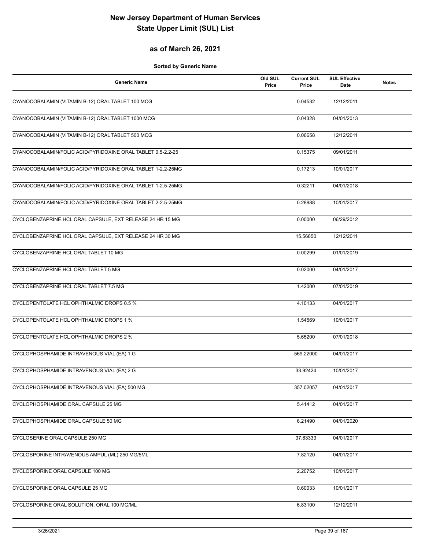#### **as of March 26, 2021**

| <b>Generic Name</b>                                         | Old SUL<br>Price | <b>Current SUL</b><br>Price | <b>SUL Effective</b><br>Date | <b>Notes</b> |
|-------------------------------------------------------------|------------------|-----------------------------|------------------------------|--------------|
| CYANOCOBALAMIN (VITAMIN B-12) ORAL TABLET 100 MCG           |                  | 0.04532                     | 12/12/2011                   |              |
| CYANOCOBALAMIN (VITAMIN B-12) ORAL TABLET 1000 MCG          |                  | 0.04328                     | 04/01/2013                   |              |
| CYANOCOBALAMIN (VITAMIN B-12) ORAL TABLET 500 MCG           |                  | 0.06658                     | 12/12/2011                   |              |
| CYANOCOBALAMIN/FOLIC ACID/PYRIDOXINE ORAL TABLET 0.5-2.2-25 |                  | 0.15375                     | 09/01/2011                   |              |
| CYANOCOBALAMIN/FOLIC ACID/PYRIDOXINE ORAL TABLET 1-2.2-25MG |                  | 0.17213                     | 10/01/2017                   |              |
| CYANOCOBALAMIN/FOLIC ACID/PYRIDOXINE ORAL TABLET 1-2.5-25MG |                  | 0.32211                     | 04/01/2018                   |              |
| CYANOCOBALAMIN/FOLIC ACID/PYRIDOXINE ORAL TABLET 2-2.5-25MG |                  | 0.28988                     | 10/01/2017                   |              |
| CYCLOBENZAPRINE HCL ORAL CAPSULE, EXT RELEASE 24 HR 15 MG   |                  | 0.00000                     | 06/29/2012                   |              |
| CYCLOBENZAPRINE HCL ORAL CAPSULE, EXT RELEASE 24 HR 30 MG   |                  | 15.56850                    | 12/12/2011                   |              |
| CYCLOBENZAPRINE HCL ORAL TABLET 10 MG                       |                  | 0.00299                     | 01/01/2019                   |              |
| CYCLOBENZAPRINE HCL ORAL TABLET 5 MG                        |                  | 0.02000                     | 04/01/2017                   |              |
| CYCLOBENZAPRINE HCL ORAL TABLET 7.5 MG                      |                  | 1.42000                     | 07/01/2019                   |              |
| CYCLOPENTOLATE HCL OPHTHALMIC DROPS 0.5 %                   |                  | 4.10133                     | 04/01/2017                   |              |
| CYCLOPENTOLATE HCL OPHTHALMIC DROPS 1 %                     |                  | 1.54569                     | 10/01/2017                   |              |
| CYCLOPENTOLATE HCL OPHTHALMIC DROPS 2 %                     |                  | 5.65200                     | 07/01/2018                   |              |
| CYCLOPHOSPHAMIDE INTRAVENOUS VIAL (EA) 1 G                  |                  | 569.22000                   | 04/01/2017                   |              |
| CYCLOPHOSPHAMIDE INTRAVENOUS VIAL (EA) 2 G                  |                  | 33.92424                    | 10/01/2017                   |              |
| CYCLOPHOSPHAMIDE INTRAVENOUS VIAL (EA) 500 MG               |                  | 357.02057                   | 04/01/2017                   |              |
| CYCLOPHOSPHAMIDE ORAL CAPSULE 25 MG                         |                  | 5.41412                     | 04/01/2017                   |              |
| CYCLOPHOSPHAMIDE ORAL CAPSULE 50 MG                         |                  | 6.21490                     | 04/01/2020                   |              |
| CYCLOSERINE ORAL CAPSULE 250 MG                             |                  | 37.83333                    | 04/01/2017                   |              |
| CYCLOSPORINE INTRAVENOUS AMPUL (ML) 250 MG/5ML              |                  | 7.82120                     | 04/01/2017                   |              |
| CYCLOSPORINE ORAL CAPSULE 100 MG                            |                  | 2.20752                     | 10/01/2017                   |              |
| CYCLOSPORINE ORAL CAPSULE 25 MG                             |                  | 0.60033                     | 10/01/2017                   |              |
| CYCLOSPORINE ORAL SOLUTION, ORAL 100 MG/ML                  |                  | 6.83100                     | 12/12/2011                   |              |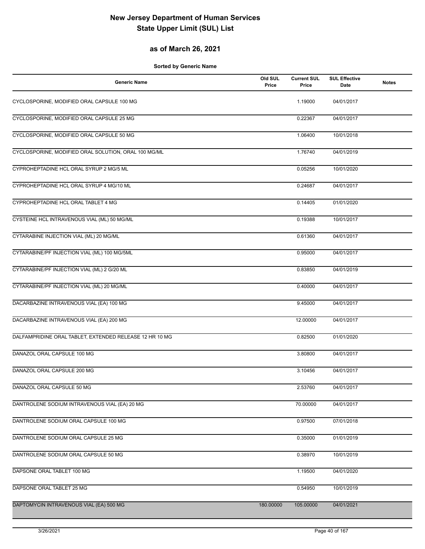#### **as of March 26, 2021**

| <b>Generic Name</b>                                     | Old SUL<br>Price | <b>Current SUL</b><br>Price | <b>SUL Effective</b><br><b>Date</b> | <b>Notes</b> |
|---------------------------------------------------------|------------------|-----------------------------|-------------------------------------|--------------|
| CYCLOSPORINE, MODIFIED ORAL CAPSULE 100 MG              |                  | 1.19000                     | 04/01/2017                          |              |
| CYCLOSPORINE, MODIFIED ORAL CAPSULE 25 MG               |                  | 0.22367                     | 04/01/2017                          |              |
| CYCLOSPORINE, MODIFIED ORAL CAPSULE 50 MG               |                  | 1.06400                     | 10/01/2018                          |              |
| CYCLOSPORINE, MODIFIED ORAL SOLUTION, ORAL 100 MG/ML    |                  | 1.76740                     | 04/01/2019                          |              |
| CYPROHEPTADINE HCL ORAL SYRUP 2 MG/5 ML                 |                  | 0.05256                     | 10/01/2020                          |              |
| CYPROHEPTADINE HCL ORAL SYRUP 4 MG/10 ML                |                  | 0.24687                     | 04/01/2017                          |              |
| CYPROHEPTADINE HCL ORAL TABLET 4 MG                     |                  | 0.14405                     | 01/01/2020                          |              |
| CYSTEINE HCL INTRAVENOUS VIAL (ML) 50 MG/ML             |                  | 0.19388                     | 10/01/2017                          |              |
| CYTARABINE INJECTION VIAL (ML) 20 MG/ML                 |                  | 0.61360                     | 04/01/2017                          |              |
| CYTARABINE/PF INJECTION VIAL (ML) 100 MG/5ML            |                  | 0.95000                     | 04/01/2017                          |              |
| CYTARABINE/PF INJECTION VIAL (ML) 2 G/20 ML             |                  | 0.83850                     | 04/01/2019                          |              |
| CYTARABINE/PF INJECTION VIAL (ML) 20 MG/ML              |                  | 0.40000                     | 04/01/2017                          |              |
| DACARBAZINE INTRAVENOUS VIAL (EA) 100 MG                |                  | 9.45000                     | 04/01/2017                          |              |
| DACARBAZINE INTRAVENOUS VIAL (EA) 200 MG                |                  | 12.00000                    | 04/01/2017                          |              |
| DALFAMPRIDINE ORAL TABLET, EXTENDED RELEASE 12 HR 10 MG |                  | 0.82500                     | 01/01/2020                          |              |
| DANAZOL ORAL CAPSULE 100 MG                             |                  | 3.80800                     | 04/01/2017                          |              |
| DANAZOL ORAL CAPSULE 200 MG                             |                  | 3.10456                     | 04/01/2017                          |              |
| DANAZOL ORAL CAPSULE 50 MG                              |                  | 2.53760                     | 04/01/2017                          |              |
| DANTROLENE SODIUM INTRAVENOUS VIAL (EA) 20 MG           |                  | 70.00000                    | 04/01/2017                          |              |
| DANTROLENE SODIUM ORAL CAPSULE 100 MG                   |                  | 0.97500                     | 07/01/2018                          |              |
| DANTROLENE SODIUM ORAL CAPSULE 25 MG                    |                  | 0.35000                     | 01/01/2019                          |              |
| DANTROLENE SODIUM ORAL CAPSULE 50 MG                    |                  | 0.38970                     | 10/01/2019                          |              |
| DAPSONE ORAL TABLET 100 MG                              |                  | 1.19500                     | 04/01/2020                          |              |
| DAPSONE ORAL TABLET 25 MG                               |                  | 0.54950                     | 10/01/2019                          |              |
| DAPTOMYCIN INTRAVENOUS VIAL (EA) 500 MG                 | 180.00000        | 105.00000                   | 04/01/2021                          |              |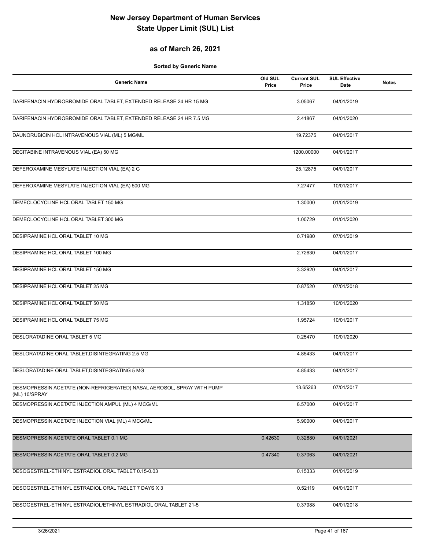### **as of March 26, 2021**

| <b>Generic Name</b>                                                                     | Old SUL<br>Price | <b>Current SUL</b><br>Price | <b>SUL Effective</b><br>Date | <b>Notes</b> |
|-----------------------------------------------------------------------------------------|------------------|-----------------------------|------------------------------|--------------|
| DARIFENACIN HYDROBROMIDE ORAL TABLET, EXTENDED RELEASE 24 HR 15 MG                      |                  | 3.05067                     | 04/01/2019                   |              |
| DARIFENACIN HYDROBROMIDE ORAL TABLET, EXTENDED RELEASE 24 HR 7.5 MG                     |                  | 2.41867                     | 04/01/2020                   |              |
| DAUNORUBICIN HCL INTRAVENOUS VIAL (ML) 5 MG/ML                                          |                  | 19.72375                    | 04/01/2017                   |              |
| DECITABINE INTRAVENOUS VIAL (EA) 50 MG                                                  |                  | 1200.00000                  | 04/01/2017                   |              |
| DEFEROXAMINE MESYLATE INJECTION VIAL (EA) 2 G                                           |                  | 25.12875                    | 04/01/2017                   |              |
| DEFEROXAMINE MESYLATE INJECTION VIAL (EA) 500 MG                                        |                  | 7.27477                     | 10/01/2017                   |              |
| DEMECLOCYCLINE HCL ORAL TABLET 150 MG                                                   |                  | 1.30000                     | 01/01/2019                   |              |
| DEMECLOCYCLINE HCL ORAL TABLET 300 MG                                                   |                  | 1.00729                     | 01/01/2020                   |              |
| DESIPRAMINE HCL ORAL TABLET 10 MG                                                       |                  | 0.71980                     | 07/01/2019                   |              |
| DESIPRAMINE HCL ORAL TABLET 100 MG                                                      |                  | 2.72630                     | 04/01/2017                   |              |
| DESIPRAMINE HCL ORAL TABLET 150 MG                                                      |                  | 3.32920                     | 04/01/2017                   |              |
| DESIPRAMINE HCL ORAL TABLET 25 MG                                                       |                  | 0.87520                     | 07/01/2018                   |              |
| DESIPRAMINE HCL ORAL TABLET 50 MG                                                       |                  | 1.31850                     | 10/01/2020                   |              |
| DESIPRAMINE HCL ORAL TABLET 75 MG                                                       |                  | 1.95724                     | 10/01/2017                   |              |
| DESLORATADINE ORAL TABLET 5 MG                                                          |                  | 0.25470                     | 10/01/2020                   |              |
| DESLORATADINE ORAL TABLET, DISINTEGRATING 2.5 MG                                        |                  | 4.85433                     | 04/01/2017                   |              |
| DESLORATADINE ORAL TABLET, DISINTEGRATING 5 MG                                          |                  | 4.85433                     | 04/01/2017                   |              |
| DESMOPRESSIN ACETATE (NON-REFRIGERATED) NASAL AEROSOL, SPRAY WITH PUMP<br>(ML) 10/SPRAY |                  | 13.65263                    | 07/01/2017                   |              |
| DESMOPRESSIN ACETATE INJECTION AMPUL (ML) 4 MCG/ML                                      |                  | 8.57000                     | 04/01/2017                   |              |
| DESMOPRESSIN ACETATE INJECTION VIAL (ML) 4 MCG/ML                                       |                  | 5.90000                     | 04/01/2017                   |              |
| DESMOPRESSIN ACETATE ORAL TABLET 0.1 MG                                                 | 0.42630          | 0.32880                     | 04/01/2021                   |              |
| DESMOPRESSIN ACETATE ORAL TABLET 0.2 MG                                                 | 0.47340          | 0.37063                     | 04/01/2021                   |              |
| DESOGESTREL-ETHINYL ESTRADIOL ORAL TABLET 0.15-0.03                                     |                  | 0.15333                     | 01/01/2019                   |              |
| DESOGESTREL-ETHINYL ESTRADIOL ORAL TABLET 7 DAYS X 3                                    |                  | 0.52119                     | 04/01/2017                   |              |
| DESOGESTREL-ETHINYL ESTRADIOL/ETHINYL ESTRADIOL ORAL TABLET 21-5                        |                  | 0.37988                     | 04/01/2018                   |              |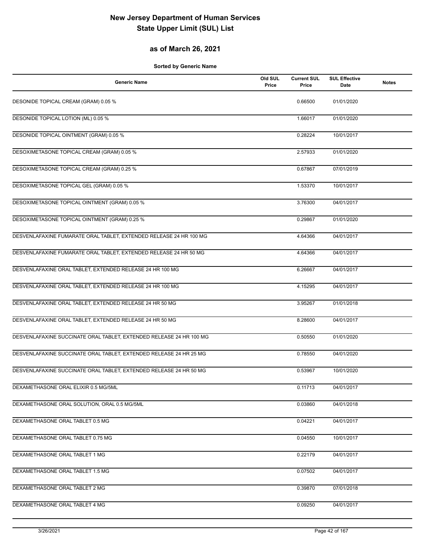#### **as of March 26, 2021**

| <b>Generic Name</b>                                                 | Old SUL<br>Price | <b>Current SUL</b><br>Price | <b>SUL Effective</b><br>Date | <b>Notes</b> |
|---------------------------------------------------------------------|------------------|-----------------------------|------------------------------|--------------|
| DESONIDE TOPICAL CREAM (GRAM) 0.05 %                                |                  | 0.66500                     | 01/01/2020                   |              |
| <b>DESONIDE TOPICAL LOTION (ML) 0.05 %</b>                          |                  | 1.66017                     | 01/01/2020                   |              |
| <b>DESONIDE TOPICAL OINTMENT (GRAM) 0.05 %</b>                      |                  | 0.28224                     | 10/01/2017                   |              |
| DESOXIMETASONE TOPICAL CREAM (GRAM) 0.05 %                          |                  | 2.57933                     | 01/01/2020                   |              |
| DESOXIMETASONE TOPICAL CREAM (GRAM) 0.25 %                          |                  | 0.67867                     | 07/01/2019                   |              |
| DESOXIMETASONE TOPICAL GEL (GRAM) 0.05 %                            |                  | 1.53370                     | 10/01/2017                   |              |
| DESOXIMETASONE TOPICAL OINTMENT (GRAM) 0.05 %                       |                  | 3.76300                     | 04/01/2017                   |              |
| DESOXIMETASONE TOPICAL OINTMENT (GRAM) 0.25 %                       |                  | 0.29867                     | 01/01/2020                   |              |
| DESVENLAFAXINE FUMARATE ORAL TABLET, EXTENDED RELEASE 24 HR 100 MG  |                  | 4.64366                     | 04/01/2017                   |              |
| DESVENLAFAXINE FUMARATE ORAL TABLET, EXTENDED RELEASE 24 HR 50 MG   |                  | 4.64366                     | 04/01/2017                   |              |
| DESVENLAFAXINE ORAL TABLET, EXTENDED RELEASE 24 HR 100 MG           |                  | 6.26667                     | 04/01/2017                   |              |
| DESVENLAFAXINE ORAL TABLET, EXTENDED RELEASE 24 HR 100 MG           |                  | 4.15295                     | 04/01/2017                   |              |
| DESVENLAFAXINE ORAL TABLET, EXTENDED RELEASE 24 HR 50 MG            |                  | 3.95267                     | 01/01/2018                   |              |
| DESVENLAFAXINE ORAL TABLET, EXTENDED RELEASE 24 HR 50 MG            |                  | 8.28600                     | 04/01/2017                   |              |
| DESVENLAFAXINE SUCCINATE ORAL TABLET, EXTENDED RELEASE 24 HR 100 MG |                  | 0.50550                     | 01/01/2020                   |              |
| DESVENLAFAXINE SUCCINATE ORAL TABLET, EXTENDED RELEASE 24 HR 25 MG  |                  | 0.78550                     | 04/01/2020                   |              |
| DESVENLAFAXINE SUCCINATE ORAL TABLET, EXTENDED RELEASE 24 HR 50 MG  |                  | 0.53967                     | 10/01/2020                   |              |
| DEXAMETHASONE ORAL ELIXIR 0.5 MG/5ML                                |                  | 0.11713                     | 04/01/2017                   |              |
| DEXAMETHASONE ORAL SOLUTION, ORAL 0.5 MG/5ML                        |                  | 0.03860                     | 04/01/2018                   |              |
| DEXAMETHASONE ORAL TABLET 0.5 MG                                    |                  | 0.04221                     | 04/01/2017                   |              |
| DEXAMETHASONE ORAL TABLET 0.75 MG                                   |                  | 0.04550                     | 10/01/2017                   |              |
| DEXAMETHASONE ORAL TABLET 1 MG                                      |                  | 0.22179                     | 04/01/2017                   |              |
| DEXAMETHASONE ORAL TABLET 1.5 MG                                    |                  | 0.07502                     | 04/01/2017                   |              |
| DEXAMETHASONE ORAL TABLET 2 MG                                      |                  | 0.39870                     | 07/01/2018                   |              |
| DEXAMETHASONE ORAL TABLET 4 MG                                      |                  | 0.09250                     | 04/01/2017                   |              |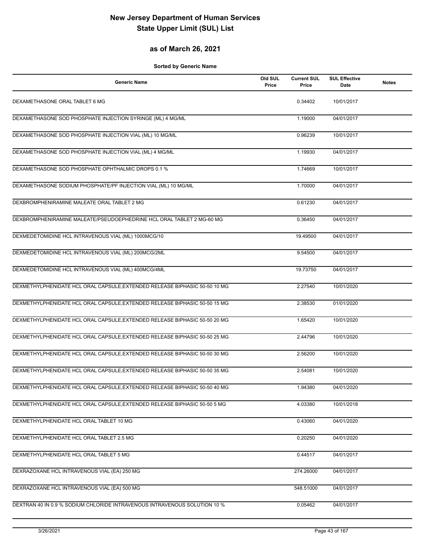#### **as of March 26, 2021**

| <b>Generic Name</b>                                                        | Old SUL<br>Price | <b>Current SUL</b><br>Price | <b>SUL Effective</b><br>Date | <b>Notes</b> |
|----------------------------------------------------------------------------|------------------|-----------------------------|------------------------------|--------------|
| DEXAMETHASONE ORAL TABLET 6 MG                                             |                  | 0.34402                     | 10/01/2017                   |              |
| DEXAMETHASONE SOD PHOSPHATE INJECTION SYRINGE (ML) 4 MG/ML                 |                  | 1.19000                     | 04/01/2017                   |              |
| DEXAMETHASONE SOD PHOSPHATE INJECTION VIAL (ML) 10 MG/ML                   |                  | 0.96239                     | 10/01/2017                   |              |
| DEXAMETHASONE SOD PHOSPHATE INJECTION VIAL (ML) 4 MG/ML                    |                  | 1.19930                     | 04/01/2017                   |              |
| DEXAMETHASONE SOD PHOSPHATE OPHTHALMIC DROPS 0.1 %                         |                  | 1.74669                     | 10/01/2017                   |              |
| DEXAMETHASONE SODIUM PHOSPHATE/PF INJECTION VIAL (ML) 10 MG/ML             |                  | 1.70000                     | 04/01/2017                   |              |
| DEXBROMPHENIRAMINE MALEATE ORAL TABLET 2 MG                                |                  | 0.61230                     | 04/01/2017                   |              |
| DEXBROMPHENIRAMINE MALEATE/PSEUDOEPHEDRINE HCL ORAL TABLET 2 MG-60 MG      |                  | 0.36450                     | 04/01/2017                   |              |
| DEXMEDETOMIDINE HCL INTRAVENOUS VIAL (ML) 1000MCG/10                       |                  | 19.49500                    | 04/01/2017                   |              |
| DEXMEDETOMIDINE HCL INTRAVENOUS VIAL (ML) 200MCG/2ML                       |                  | 9.54500                     | 04/01/2017                   |              |
| DEXMEDETOMIDINE HCL INTRAVENOUS VIAL (ML) 400MCG/4ML                       |                  | 19.73750                    | 04/01/2017                   |              |
| DEXMETHYLPHENIDATE HCL ORAL CAPSULE, EXTENDED RELEASE BIPHASIC 50-50 10 MG |                  | 2.27540                     | 10/01/2020                   |              |
| DEXMETHYLPHENIDATE HCL ORAL CAPSULE, EXTENDED RELEASE BIPHASIC 50-50 15 MG |                  | 2.38530                     | 01/01/2020                   |              |
| DEXMETHYLPHENIDATE HCL ORAL CAPSULE, EXTENDED RELEASE BIPHASIC 50-50 20 MG |                  | 1.65420                     | 10/01/2020                   |              |
| DEXMETHYLPHENIDATE HCL ORAL CAPSULE, EXTENDED RELEASE BIPHASIC 50-50 25 MG |                  | 2.44796                     | 10/01/2020                   |              |
| DEXMETHYLPHENIDATE HCL ORAL CAPSULE, EXTENDED RELEASE BIPHASIC 50-50 30 MG |                  | 2.56200                     | 10/01/2020                   |              |
| DEXMETHYLPHENIDATE HCL ORAL CAPSULE, EXTENDED RELEASE BIPHASIC 50-50 35 MG |                  | 2.54081                     | 10/01/2020                   |              |
| DEXMETHYLPHENIDATE HCL ORAL CAPSULE, EXTENDED RELEASE BIPHASIC 50-50 40 MG |                  | 1.94380                     | 04/01/2020                   |              |
| DEXMETHYLPHENIDATE HCL ORAL CAPSULE, EXTENDED RELEASE BIPHASIC 50-50 5 MG  |                  | 4.03380                     | 10/01/2018                   |              |
| DEXMETHYLPHENIDATE HCL ORAL TABLET 10 MG                                   |                  | 0.43060                     | 04/01/2020                   |              |
| DEXMETHYLPHENIDATE HCL ORAL TABLET 2.5 MG                                  |                  | 0.20250                     | 04/01/2020                   |              |
| DEXMETHYLPHENIDATE HCL ORAL TABLET 5 MG                                    |                  | 0.44517                     | 04/01/2017                   |              |
| DEXRAZOXANE HCL INTRAVENOUS VIAL (EA) 250 MG                               |                  | 274.26000                   | 04/01/2017                   |              |
| DEXRAZOXANE HCL INTRAVENOUS VIAL (EA) 500 MG                               |                  | 548.51000                   | 04/01/2017                   |              |
| DEXTRAN 40 IN 0.9 % SODIUM CHLORIDE INTRAVENOUS INTRAVENOUS SOLUTION 10 %  |                  | 0.05462                     | 04/01/2017                   |              |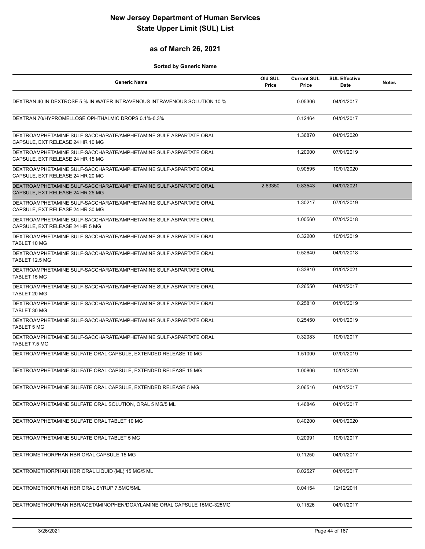### **as of March 26, 2021**

| <b>Generic Name</b>                                                                                   | Old SUL<br>Price | <b>Current SUL</b><br>Price | <b>SUL Effective</b><br>Date | <b>Notes</b> |
|-------------------------------------------------------------------------------------------------------|------------------|-----------------------------|------------------------------|--------------|
| DEXTRAN 40 IN DEXTROSE 5 % IN WATER INTRAVENOUS INTRAVENOUS SOLUTION 10 %                             |                  | 0.05306                     | 04/01/2017                   |              |
| DEXTRAN 70/HYPROMELLOSE OPHTHALMIC DROPS 0.1%-0.3%                                                    |                  | 0.12464                     | 04/01/2017                   |              |
| DEXTROAMPHETAMINE SULF-SACCHARATE/AMPHETAMINE SULF-ASPARTATE ORAL<br>CAPSULE, EXT RELEASE 24 HR 10 MG |                  | 1.36870                     | 04/01/2020                   |              |
| DEXTROAMPHETAMINE SULF-SACCHARATE/AMPHETAMINE SULF-ASPARTATE ORAL<br>CAPSULE, EXT RELEASE 24 HR 15 MG |                  | 1.20000                     | 07/01/2019                   |              |
| DEXTROAMPHETAMINE SULF-SACCHARATE/AMPHETAMINE SULF-ASPARTATE ORAL<br>CAPSULE, EXT RELEASE 24 HR 20 MG |                  | 0.90595                     | 10/01/2020                   |              |
| DEXTROAMPHETAMINE SULF-SACCHARATE/AMPHETAMINE SULF-ASPARTATE ORAL<br>CAPSULE, EXT RELEASE 24 HR 25 MG | 2.63350          | 0.83543                     | 04/01/2021                   |              |
| DEXTROAMPHETAMINE SULF-SACCHARATE/AMPHETAMINE SULF-ASPARTATE ORAL<br>CAPSULE, EXT RELEASE 24 HR 30 MG |                  | 1.30217                     | 07/01/2019                   |              |
| DEXTROAMPHETAMINE SULF-SACCHARATE/AMPHETAMINE SULF-ASPARTATE ORAL<br>CAPSULE, EXT RELEASE 24 HR 5 MG  |                  | 1.00560                     | 07/01/2018                   |              |
| DEXTROAMPHETAMINE SULF-SACCHARATE/AMPHETAMINE SULF-ASPARTATE ORAL<br>TABLET 10 MG                     |                  | 0.32200                     | 10/01/2019                   |              |
| DEXTROAMPHETAMINE SULF-SACCHARATE/AMPHETAMINE SULF-ASPARTATE ORAL<br>TABLET 12.5 MG                   |                  | 0.52640                     | 04/01/2018                   |              |
| DEXTROAMPHETAMINE SULF-SACCHARATE/AMPHETAMINE SULF-ASPARTATE ORAL<br><b>TABLET 15 MG</b>              |                  | 0.33810                     | 01/01/2021                   |              |
| DEXTROAMPHETAMINE SULF-SACCHARATE/AMPHETAMINE SULF-ASPARTATE ORAL<br>TABLET 20 MG                     |                  | 0.26550                     | 04/01/2017                   |              |
| DEXTROAMPHETAMINE SULF-SACCHARATE/AMPHETAMINE SULF-ASPARTATE ORAL<br>TABLET 30 MG                     |                  | 0.25810                     | 01/01/2019                   |              |
| DEXTROAMPHETAMINE SULF-SACCHARATE/AMPHETAMINE SULF-ASPARTATE ORAL<br><b>TABLET 5 MG</b>               |                  | 0.25450                     | 01/01/2019                   |              |
| DEXTROAMPHETAMINE SULF-SACCHARATE/AMPHETAMINE SULF-ASPARTATE ORAL<br>TABLET 7.5 MG                    |                  | 0.32083                     | 10/01/2017                   |              |
| DEXTROAMPHETAMINE SULFATE ORAL CAPSULE, EXTENDED RELEASE 10 MG                                        |                  | 1.51000                     | 07/01/2019                   |              |
| DEXTROAMPHETAMINE SULFATE ORAL CAPSULE, EXTENDED RELEASE 15 MG                                        |                  | 1.00806                     | 10/01/2020                   |              |
| DEXTROAMPHETAMINE SULFATE ORAL CAPSULE, EXTENDED RELEASE 5 MG                                         |                  | 2.06516                     | 04/01/2017                   |              |
| DEXTROAMPHETAMINE SULFATE ORAL SOLUTION, ORAL 5 MG/5 ML                                               |                  | 1.46846                     | 04/01/2017                   |              |
| DEXTROAMPHETAMINE SULFATE ORAL TABLET 10 MG                                                           |                  | 0.40200                     | 04/01/2020                   |              |
| DEXTROAMPHETAMINE SULFATE ORAL TABLET 5 MG                                                            |                  | 0.20991                     | 10/01/2017                   |              |
| DEXTROMETHORPHAN HBR ORAL CAPSULE 15 MG                                                               |                  | 0.11250                     | 04/01/2017                   |              |
| DEXTROMETHORPHAN HBR ORAL LIQUID (ML) 15 MG/5 ML                                                      |                  | 0.02527                     | 04/01/2017                   |              |
| DEXTROMETHORPHAN HBR ORAL SYRUP 7.5MG/5ML                                                             |                  | 0.04154                     | 12/12/2011                   |              |
| DEXTROMETHORPHAN HBR/ACETAMINOPHEN/DOXYLAMINE ORAL CAPSULE 15MG-325MG                                 |                  | 0.11526                     | 04/01/2017                   |              |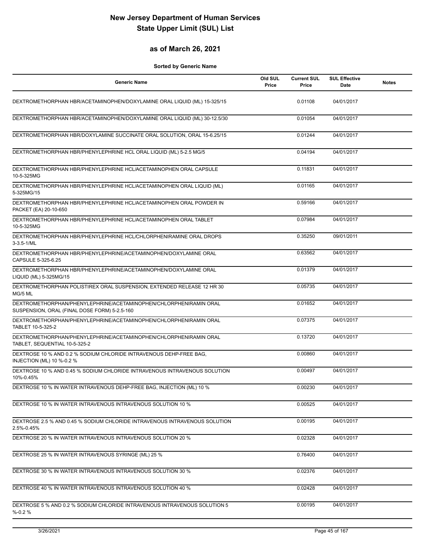#### **as of March 26, 2021**

| <b>Generic Name</b>                                                                                               | Old SUL<br>Price | <b>Current SUL</b><br>Price | <b>SUL Effective</b><br>Date | <b>Notes</b> |
|-------------------------------------------------------------------------------------------------------------------|------------------|-----------------------------|------------------------------|--------------|
| DEXTROMETHORPHAN HBR/ACETAMINOPHEN/DOXYLAMINE ORAL LIQUID (ML) 15-325/15                                          |                  | 0.01108                     | 04/01/2017                   |              |
| DEXTROMETHORPHAN HBR/ACETAMINOPHEN/DOXYLAMINE ORAL LIQUID (ML) 30-12.5/30                                         |                  | 0.01054                     | 04/01/2017                   |              |
| DEXTROMETHORPHAN HBR/DOXYLAMINE SUCCINATE ORAL SOLUTION, ORAL 15-6.25/15                                          |                  | 0.01244                     | 04/01/2017                   |              |
| DEXTROMETHORPHAN HBR/PHENYLEPHRINE HCL ORAL LIQUID (ML) 5-2.5 MG/5                                                |                  | 0.04194                     | 04/01/2017                   |              |
| DEXTROMETHORPHAN HBR/PHENYLEPHRINE HCL/ACETAMINOPHEN ORAL CAPSULE<br>10-5-325MG                                   |                  | 0.11831                     | 04/01/2017                   |              |
| DEXTROMETHORPHAN HBR/PHENYLEPHRINE HCL/ACETAMINOPHEN ORAL LIQUID (ML)<br>5-325MG/15                               |                  | 0.01165                     | 04/01/2017                   |              |
| DEXTROMETHORPHAN HBR/PHENYLEPHRINE HCL/ACETAMINOPHEN ORAL POWDER IN<br>PACKET (EA) 20-10-650                      |                  | 0.59166                     | 04/01/2017                   |              |
| DEXTROMETHORPHAN HBR/PHENYLEPHRINE HCL/ACETAMINOPHEN ORAL TABLET<br>10-5-325MG                                    |                  | 0.07984                     | 04/01/2017                   |              |
| DEXTROMETHORPHAN HBR/PHENYLEPHRINE HCL/CHLORPHENIRAMINE ORAL DROPS<br>$3 - 3.5 - 1/ML$                            |                  | 0.35250                     | 09/01/2011                   |              |
| DEXTROMETHORPHAN HBR/PHENYLEPHRINE/ACETAMINOPHEN/DOXYLAMINE ORAL<br>CAPSULE 5-325-6.25                            |                  | 0.63562                     | 04/01/2017                   |              |
| DEXTROMETHORPHAN HBR/PHENYLEPHRINE/ACETAMINOPHEN/DOXYLAMINE ORAL<br>LIQUID (ML) 5-325MG/15                        |                  | 0.01379                     | 04/01/2017                   |              |
| DEXTROMETHORPHAN POLISTIREX ORAL SUSPENSION, EXTENDED RELEASE 12 HR 30<br>MG/5 ML                                 |                  | 0.05735                     | 04/01/2017                   |              |
| DEXTROMETHORPHAN/PHENYLEPHRINE/ACETAMINOPHEN/CHLORPHENIRAMIN ORAL<br>SUSPENSION, ORAL (FINAL DOSE FORM) 5-2.5-160 |                  | 0.01652                     | 04/01/2017                   |              |
| DEXTROMETHORPHAN/PHENYLEPHRINE/ACETAMINOPHEN/CHLORPHENIRAMIN ORAL<br>TABLET 10-5-325-2                            |                  | 0.07375                     | 04/01/2017                   |              |
| DEXTROMETHORPHAN/PHENYLEPHRINE/ACETAMINOPHEN/CHLORPHENIRAMIN ORAL<br>TABLET, SEQUENTIAL 10-5-325-2                |                  | 0.13720                     | 04/01/2017                   |              |
| DEXTROSE 10 % AND 0.2 % SODIUM CHLORIDE INTRAVENOUS DEHP-FREE BAG.<br>INJECTION (ML) 10 %-0.2 %                   |                  | 0.00860                     | 04/01/2017                   |              |
| DEXTROSE 10 % AND 0.45 % SODIUM CHLORIDE INTRAVENOUS INTRAVENOUS SOLUTION<br>10%-0.45%                            |                  | 0.00497                     | 04/01/2017                   |              |
| DEXTROSE 10 % IN WATER INTRAVENOUS DEHP-FREE BAG, INJECTION (ML) 10 %                                             |                  | 0.00230                     | 04/01/2017                   |              |
| DEXTROSE 10 % IN WATER INTRAVENOUS INTRAVENOUS SOLUTION 10 %                                                      |                  | 0.00525                     | 04/01/2017                   |              |
| DEXTROSE 2.5 % AND 0.45 % SODIUM CHLORIDE INTRAVENOUS INTRAVENOUS SOLUTION<br>2.5%-0.45%                          |                  | 0.00195                     | 04/01/2017                   |              |
| DEXTROSE 20 % IN WATER INTRAVENOUS INTRAVENOUS SOLUTION 20 %                                                      |                  | 0.02328                     | 04/01/2017                   |              |
| DEXTROSE 25 % IN WATER INTRAVENOUS SYRINGE (ML) 25 %                                                              |                  | 0.76400                     | 04/01/2017                   |              |
| DEXTROSE 30 % IN WATER INTRAVENOUS INTRAVENOUS SOLUTION 30 %                                                      |                  | 0.02376                     | 04/01/2017                   |              |
| DEXTROSE 40 % IN WATER INTRAVENOUS INTRAVENOUS SOLUTION 40 %                                                      |                  | 0.02428                     | 04/01/2017                   |              |
| DEXTROSE 5 % AND 0.2 % SODIUM CHLORIDE INTRAVENOUS INTRAVENOUS SOLUTION 5<br>$% -0.2%$                            |                  | 0.00195                     | 04/01/2017                   |              |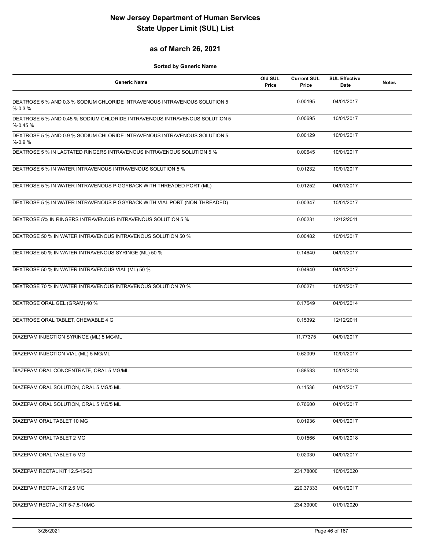#### **as of March 26, 2021**

| <b>Generic Name</b>                                                                      | Old SUL<br>Price | <b>Current SUL</b><br>Price | <b>SUL Effective</b><br>Date | <b>Notes</b> |
|------------------------------------------------------------------------------------------|------------------|-----------------------------|------------------------------|--------------|
| DEXTROSE 5 % AND 0.3 % SODIUM CHLORIDE INTRAVENOUS INTRAVENOUS SOLUTION 5<br>$% -0.3%$   |                  | 0.00195                     | 04/01/2017                   |              |
| DEXTROSE 5 % AND 0.45 % SODIUM CHLORIDE INTRAVENOUS INTRAVENOUS SOLUTION 5<br>$% -0.45%$ |                  | 0.00695                     | 10/01/2017                   |              |
| DEXTROSE 5 % AND 0.9 % SODIUM CHLORIDE INTRAVENOUS INTRAVENOUS SOLUTION 5<br>$% -0.9%$   |                  | 0.00129                     | 10/01/2017                   |              |
| DEXTROSE 5 % IN LACTATED RINGERS INTRAVENOUS INTRAVENOUS SOLUTION 5 %                    |                  | 0.00645                     | 10/01/2017                   |              |
| DEXTROSE 5 % IN WATER INTRAVENOUS INTRAVENOUS SOLUTION 5 %                               |                  | 0.01232                     | 10/01/2017                   |              |
| DEXTROSE 5 % IN WATER INTRAVENOUS PIGGYBACK WITH THREADED PORT (ML)                      |                  | 0.01252                     | 04/01/2017                   |              |
| DEXTROSE 5 % IN WATER INTRAVENOUS PIGGYBACK WITH VIAL PORT (NON-THREADED)                |                  | 0.00347                     | 10/01/2017                   |              |
| DEXTROSE 5% IN RINGERS INTRAVENOUS INTRAVENOUS SOLUTION 5 %                              |                  | 0.00231                     | 12/12/2011                   |              |
| DEXTROSE 50 % IN WATER INTRAVENOUS INTRAVENOUS SOLUTION 50 %                             |                  | 0.00482                     | 10/01/2017                   |              |
| DEXTROSE 50 % IN WATER INTRAVENOUS SYRINGE (ML) 50 %                                     |                  | 0.14640                     | 04/01/2017                   |              |
| DEXTROSE 50 % IN WATER INTRAVENOUS VIAL (ML) 50 %                                        |                  | 0.04940                     | 04/01/2017                   |              |
| DEXTROSE 70 % IN WATER INTRAVENOUS INTRAVENOUS SOLUTION 70 %                             |                  | 0.00271                     | 10/01/2017                   |              |
| DEXTROSE ORAL GEL (GRAM) 40 %                                                            |                  | 0.17549                     | 04/01/2014                   |              |
| DEXTROSE ORAL TABLET, CHEWABLE 4 G                                                       |                  | 0.15392                     | 12/12/2011                   |              |
| DIAZEPAM INJECTION SYRINGE (ML) 5 MG/ML                                                  |                  | 11.77375                    | 04/01/2017                   |              |
| DIAZEPAM INJECTION VIAL (ML) 5 MG/ML                                                     |                  | 0.62009                     | 10/01/2017                   |              |
| DIAZEPAM ORAL CONCENTRATE, ORAL 5 MG/ML                                                  |                  | 0.88533                     | 10/01/2018                   |              |
| DIAZEPAM ORAL SOLUTION, ORAL 5 MG/5 ML                                                   |                  | 0.11536                     | 04/01/2017                   |              |
| DIAZEPAM ORAL SOLUTION, ORAL 5 MG/5 ML                                                   |                  | 0.76600                     | 04/01/2017                   |              |
| DIAZEPAM ORAL TABLET 10 MG                                                               |                  | 0.01936                     | 04/01/2017                   |              |
| <b>DIAZEPAM ORAL TABLET 2 MG</b>                                                         |                  | 0.01566                     | 04/01/2018                   |              |
| DIAZEPAM ORAL TABLET 5 MG                                                                |                  | 0.02030                     | 04/01/2017                   |              |
| DIAZEPAM RECTAL KIT 12.5-15-20                                                           |                  | 231.78000                   | 10/01/2020                   |              |
| DIAZEPAM RECTAL KIT 2.5 MG                                                               |                  | 220.37333                   | 04/01/2017                   |              |
| DIAZEPAM RECTAL KIT 5-7.5-10MG                                                           |                  | 234.39000                   | 01/01/2020                   |              |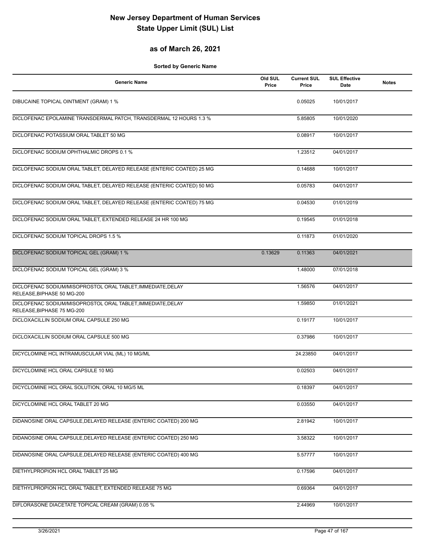### **as of March 26, 2021**

| <b>Generic Name</b>                                                                       | Old SUL<br>Price | <b>Current SUL</b><br>Price | <b>SUL Effective</b><br>Date | <b>Notes</b> |
|-------------------------------------------------------------------------------------------|------------------|-----------------------------|------------------------------|--------------|
| DIBUCAINE TOPICAL OINTMENT (GRAM) 1 %                                                     |                  | 0.05025                     | 10/01/2017                   |              |
| DICLOFENAC EPOLAMINE TRANSDERMAL PATCH, TRANSDERMAL 12 HOURS 1.3 %                        |                  | 5.85805                     | 10/01/2020                   |              |
| DICLOFENAC POTASSIUM ORAL TABLET 50 MG                                                    |                  | 0.08917                     | 10/01/2017                   |              |
| DICLOFENAC SODIUM OPHTHALMIC DROPS 0.1 %                                                  |                  | 1.23512                     | 04/01/2017                   |              |
| DICLOFENAC SODIUM ORAL TABLET, DELAYED RELEASE (ENTERIC COATED) 25 MG                     |                  | 0.14688                     | 10/01/2017                   |              |
| DICLOFENAC SODIUM ORAL TABLET, DELAYED RELEASE (ENTERIC COATED) 50 MG                     |                  | 0.05783                     | 04/01/2017                   |              |
| DICLOFENAC SODIUM ORAL TABLET, DELAYED RELEASE (ENTERIC COATED) 75 MG                     |                  | 0.04530                     | 01/01/2019                   |              |
| DICLOFENAC SODIUM ORAL TABLET, EXTENDED RELEASE 24 HR 100 MG                              |                  | 0.19545                     | 01/01/2018                   |              |
| DICLOFENAC SODIUM TOPICAL DROPS 1.5 %                                                     |                  | 0.11873                     | 01/01/2020                   |              |
| DICLOFENAC SODIUM TOPICAL GEL (GRAM) 1 %                                                  | 0.13629          | 0.11363                     | 04/01/2021                   |              |
| DICLOFENAC SODIUM TOPICAL GEL (GRAM) 3 %                                                  |                  | 1.48000                     | 07/01/2018                   |              |
| DICLOFENAC SODIUM/MISOPROSTOL ORAL TABLET, IMMEDIATE, DELAY<br>RELEASE, BIPHASE 50 MG-200 |                  | 1.56576                     | 04/01/2017                   |              |
| DICLOFENAC SODIUM/MISOPROSTOL ORAL TABLET, IMMEDIATE, DELAY<br>RELEASE, BIPHASE 75 MG-200 |                  | 1.59850                     | 01/01/2021                   |              |
| DICLOXACILLIN SODIUM ORAL CAPSULE 250 MG                                                  |                  | 0.19177                     | 10/01/2017                   |              |
| DICLOXACILLIN SODIUM ORAL CAPSULE 500 MG                                                  |                  | 0.37986                     | 10/01/2017                   |              |
| DICYCLOMINE HCL INTRAMUSCULAR VIAL (ML) 10 MG/ML                                          |                  | 24.23850                    | 04/01/2017                   |              |
| DICYCLOMINE HCL ORAL CAPSULE 10 MG                                                        |                  | 0.02503                     | 04/01/2017                   |              |
| DICYCLOMINE HCL ORAL SOLUTION, ORAL 10 MG/5 ML                                            |                  | 0.18397                     | 04/01/2017                   |              |
| DICYCLOMINE HCL ORAL TABLET 20 MG                                                         |                  | 0.03550                     | 04/01/2017                   |              |
| DIDANOSINE ORAL CAPSULE, DELAYED RELEASE (ENTERIC COATED) 200 MG                          |                  | 2.81942                     | 10/01/2017                   |              |
| DIDANOSINE ORAL CAPSULE, DELAYED RELEASE (ENTERIC COATED) 250 MG                          |                  | 3.58322                     | 10/01/2017                   |              |
| DIDANOSINE ORAL CAPSULE, DELAYED RELEASE (ENTERIC COATED) 400 MG                          |                  | 5.57777                     | 10/01/2017                   |              |
| DIETHYLPROPION HCL ORAL TABLET 25 MG                                                      |                  | 0.17596                     | 04/01/2017                   |              |
| DIETHYLPROPION HCL ORAL TABLET, EXTENDED RELEASE 75 MG                                    |                  | 0.69364                     | 04/01/2017                   |              |
| DIFLORASONE DIACETATE TOPICAL CREAM (GRAM) 0.05 %                                         |                  | 2.44969                     | 10/01/2017                   |              |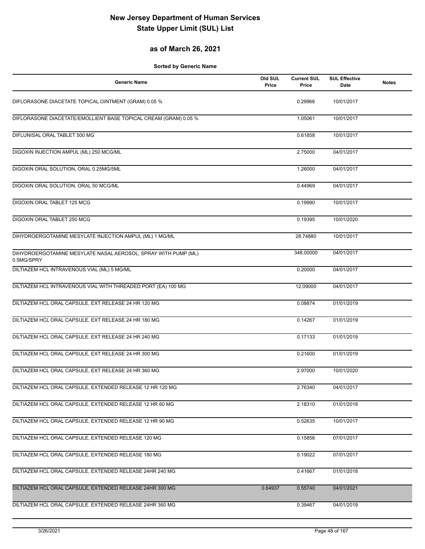### **as of March 26, 2021**

| <b>Generic Name</b>                                                          | Old SUL<br>Price | <b>Current SUL</b><br>Price | <b>SUL Effective</b><br>Date | <b>Notes</b> |
|------------------------------------------------------------------------------|------------------|-----------------------------|------------------------------|--------------|
| DIFLORASONE DIACETATE TOPICAL OINTMENT (GRAM) 0.05 %                         |                  | 0.29966                     | 10/01/2017                   |              |
| DIFLORASONE DIACETATE/EMOLLIENT BASE TOPICAL CREAM (GRAM) 0.05 %             |                  | 1.05061                     | 10/01/2017                   |              |
| DIFLUNISAL ORAL TABLET 500 MG                                                |                  | 0.61858                     | 10/01/2017                   |              |
| DIGOXIN INJECTION AMPUL (ML) 250 MCG/ML                                      |                  | 2.75000                     | 04/01/2017                   |              |
| DIGOXIN ORAL SOLUTION, ORAL 0.25MG/5ML                                       |                  | 1.26000                     | 04/01/2017                   |              |
| DIGOXIN ORAL SOLUTION, ORAL 50 MCG/ML                                        |                  | 0.44969                     | 04/01/2017                   |              |
| DIGOXIN ORAL TABLET 125 MCG                                                  |                  | 0.19990                     | 10/01/2017                   |              |
| DIGOXIN ORAL TABLET 250 MCG                                                  |                  | 0.19395                     | 10/01/2020                   |              |
| DIHYDROERGOTAMINE MESYLATE INJECTION AMPUL (ML) 1 MG/ML                      |                  | 28.74880                    | 10/01/2017                   |              |
| DIHYDROERGOTAMINE MESYLATE NASAL AEROSOL, SPRAY WITH PUMP (ML)<br>0.5MG/SPRY |                  | 348.00000                   | 04/01/2017                   |              |
| DILTIAZEM HCL INTRAVENOUS VIAL (ML) 5 MG/ML                                  |                  | 0.20000                     | 04/01/2017                   |              |
| DILTIAZEM HCL INTRAVENOUS VIAL WITH THREADED PORT (EA) 100 MG                |                  | 12.09000                    | 04/01/2017                   |              |
| DILTIAZEM HCL ORAL CAPSULE, EXT RELEASE 24 HR 120 MG                         |                  | 0.08874                     | 01/01/2019                   |              |
| DILTIAZEM HCL ORAL CAPSULE, EXT RELEASE 24 HR 180 MG                         |                  | 0.14267                     | 01/01/2019                   |              |
| DILTIAZEM HCL ORAL CAPSULE, EXT RELEASE 24 HR 240 MG                         |                  | 0.17133                     | 01/01/2019                   |              |
| DILTIAZEM HCL ORAL CAPSULE, EXT RELEASE 24 HR 300 MG                         |                  | 0.21600                     | 01/01/2019                   |              |
| DILTIAZEM HCL ORAL CAPSULE, EXT RELEASE 24 HR 360 MG                         |                  | 2.97000                     | 10/01/2020                   |              |
| DILTIAZEM HCL ORAL CAPSULE, EXTENDED RELEASE 12 HR 120 MG                    |                  | 2.76340                     | 04/01/2017                   |              |
| DILTIAZEM HCL ORAL CAPSULE, EXTENDED RELEASE 12 HR 60 MG                     |                  | 2.18310                     | 01/01/2018                   |              |
| DILTIAZEM HCL ORAL CAPSULE, EXTENDED RELEASE 12 HR 90 MG                     |                  | 0.52635                     | 10/01/2017                   |              |
| DILTIAZEM HCL ORAL CAPSULE, EXTENDED RELEASE 120 MG                          |                  | 0.15856                     | 07/01/2017                   |              |
| DILTIAZEM HCL ORAL CAPSULE, EXTENDED RELEASE 180 MG                          |                  | 0.19022                     | 07/01/2017                   |              |
| DILTIAZEM HCL ORAL CAPSULE, EXTENDED RELEASE 24HR 240 MG                     |                  | 0.41667                     | 01/01/2018                   |              |
| DILTIAZEM HCL ORAL CAPSULE, EXTENDED RELEASE 24HR 300 MG                     | 0.64937          | 0.55740                     | 04/01/2021                   |              |
| DILTIAZEM HCL ORAL CAPSULE, EXTENDED RELEASE 24HR 360 MG                     |                  | 0.39467                     | 04/01/2019                   |              |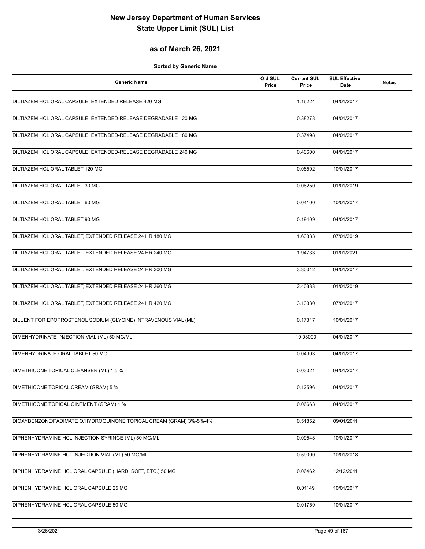### **as of March 26, 2021**

| <b>Generic Name</b>                                                | Old SUL<br>Price | <b>Current SUL</b><br>Price | <b>SUL Effective</b><br>Date | <b>Notes</b> |
|--------------------------------------------------------------------|------------------|-----------------------------|------------------------------|--------------|
| DILTIAZEM HCL ORAL CAPSULE, EXTENDED RELEASE 420 MG                |                  | 1.16224                     | 04/01/2017                   |              |
| DILTIAZEM HCL ORAL CAPSULE, EXTENDED-RELEASE DEGRADABLE 120 MG     |                  | 0.38278                     | 04/01/2017                   |              |
| DILTIAZEM HCL ORAL CAPSULE, EXTENDED-RELEASE DEGRADABLE 180 MG     |                  | 0.37498                     | 04/01/2017                   |              |
| DILTIAZEM HCL ORAL CAPSULE, EXTENDED-RELEASE DEGRADABLE 240 MG     |                  | 0.40600                     | 04/01/2017                   |              |
| DILTIAZEM HCL ORAL TABLET 120 MG                                   |                  | 0.08592                     | 10/01/2017                   |              |
| DILTIAZEM HCL ORAL TABLET 30 MG                                    |                  | 0.06250                     | 01/01/2019                   |              |
| DILTIAZEM HCL ORAL TABLET 60 MG                                    |                  | 0.04100                     | 10/01/2017                   |              |
| DILTIAZEM HCL ORAL TABLET 90 MG                                    |                  | 0.19409                     | 04/01/2017                   |              |
| DILTIAZEM HCL ORAL TABLET, EXTENDED RELEASE 24 HR 180 MG           |                  | 1.63333                     | 07/01/2019                   |              |
| DILTIAZEM HCL ORAL TABLET, EXTENDED RELEASE 24 HR 240 MG           |                  | 1.94733                     | 01/01/2021                   |              |
| DILTIAZEM HCL ORAL TABLET, EXTENDED RELEASE 24 HR 300 MG           |                  | 3.30042                     | 04/01/2017                   |              |
| DILTIAZEM HCL ORAL TABLET, EXTENDED RELEASE 24 HR 360 MG           |                  | 2.40333                     | 01/01/2019                   |              |
| DILTIAZEM HCL ORAL TABLET, EXTENDED RELEASE 24 HR 420 MG           |                  | 3.13330                     | 07/01/2017                   |              |
| DILUENT FOR EPOPROSTENOL SODIUM (GLYCINE) INTRAVENOUS VIAL (ML)    |                  | 0.17317                     | 10/01/2017                   |              |
| DIMENHYDRINATE INJECTION VIAL (ML) 50 MG/ML                        |                  | 10.03000                    | 04/01/2017                   |              |
| DIMENHYDRINATE ORAL TABLET 50 MG                                   |                  | 0.04903                     | 04/01/2017                   |              |
| DIMETHICONE TOPICAL CLEANSER (ML) 1.5 %                            |                  | 0.03021                     | 04/01/2017                   |              |
| DIMETHICONE TOPICAL CREAM (GRAM) 5 %                               |                  | 0.12596                     | 04/01/2017                   |              |
| DIMETHICONE TOPICAL OINTMENT (GRAM) 1 %                            |                  | 0.06663                     | 04/01/2017                   |              |
| DIOXYBENZONE/PADIMATE O/HYDROQUINONE TOPICAL CREAM (GRAM) 3%-5%-4% |                  | 0.51852                     | 09/01/2011                   |              |
| DIPHENHYDRAMINE HCL INJECTION SYRINGE (ML) 50 MG/ML                |                  | 0.09548                     | 10/01/2017                   |              |
| DIPHENHYDRAMINE HCL INJECTION VIAL (ML) 50 MG/ML                   |                  | 0.59000                     | 10/01/2018                   |              |
| DIPHENHYDRAMINE HCL ORAL CAPSULE (HARD, SOFT, ETC.) 50 MG          |                  | 0.06462                     | 12/12/2011                   |              |
| DIPHENHYDRAMINE HCL ORAL CAPSULE 25 MG                             |                  | 0.01149                     | 10/01/2017                   |              |
| DIPHENHYDRAMINE HCL ORAL CAPSULE 50 MG                             |                  | 0.01759                     | 10/01/2017                   |              |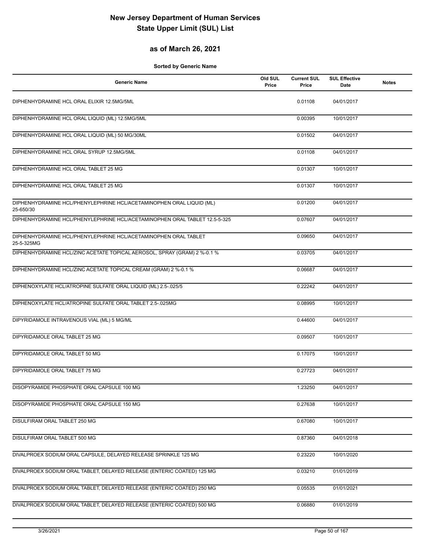#### **as of March 26, 2021**

| <b>Generic Name</b>                                                               | Old SUL<br>Price | <b>Current SUL</b><br>Price | <b>SUL Effective</b><br>Date | <b>Notes</b> |
|-----------------------------------------------------------------------------------|------------------|-----------------------------|------------------------------|--------------|
| DIPHENHYDRAMINE HCL ORAL ELIXIR 12.5MG/5ML                                        |                  | 0.01108                     | 04/01/2017                   |              |
| DIPHENHYDRAMINE HCL ORAL LIQUID (ML) 12.5MG/5ML                                   |                  | 0.00395                     | 10/01/2017                   |              |
| DIPHENHYDRAMINE HCL ORAL LIQUID (ML) 50 MG/30ML                                   |                  | 0.01502                     | 04/01/2017                   |              |
| DIPHENHYDRAMINE HCL ORAL SYRUP 12.5MG/5ML                                         |                  | 0.01108                     | 04/01/2017                   |              |
| DIPHENHYDRAMINE HCL ORAL TABLET 25 MG                                             |                  | 0.01307                     | 10/01/2017                   |              |
| DIPHENHYDRAMINE HCL ORAL TABLET 25 MG                                             |                  | 0.01307                     | 10/01/2017                   |              |
| DIPHENHYDRAMINE HCL/PHENYLEPHRINE HCL/ACETAMINOPHEN ORAL LIQUID (ML)<br>25-650/30 |                  | 0.01200                     | 04/01/2017                   |              |
| DIPHENHYDRAMINE HCL/PHENYLEPHRINE HCL/ACETAMINOPHEN ORAL TABLET 12.5-5-325        |                  | 0.07607                     | 04/01/2017                   |              |
| DIPHENHYDRAMINE HCL/PHENYLEPHRINE HCL/ACETAMINOPHEN ORAL TABLET<br>25-5-325MG     |                  | 0.09650                     | 04/01/2017                   |              |
| DIPHENHYDRAMINE HCL/ZINC ACETATE TOPICAL AEROSOL, SPRAY (GRAM) 2 %-0.1 %          |                  | 0.03705                     | 04/01/2017                   |              |
| DIPHENHYDRAMINE HCL/ZINC ACETATE TOPICAL CREAM (GRAM) 2 %-0.1 %                   |                  | 0.06687                     | 04/01/2017                   |              |
| DIPHENOXYLATE HCL/ATROPINE SULFATE ORAL LIQUID (ML) 2.5-.025/5                    |                  | 0.22242                     | 04/01/2017                   |              |
| DIPHENOXYLATE HCL/ATROPINE SULFATE ORAL TABLET 2.5-.025MG                         |                  | 0.08995                     | 10/01/2017                   |              |
| DIPYRIDAMOLE INTRAVENOUS VIAL (ML) 5 MG/ML                                        |                  | 0.44600                     | 04/01/2017                   |              |
| DIPYRIDAMOLE ORAL TABLET 25 MG                                                    |                  | 0.09507                     | 10/01/2017                   |              |
| DIPYRIDAMOLE ORAL TABLET 50 MG                                                    |                  | 0.17075                     | 10/01/2017                   |              |
| DIPYRIDAMOLE ORAL TABLET 75 MG                                                    |                  | 0.27723                     | 04/01/2017                   |              |
| DISOPYRAMIDE PHOSPHATE ORAL CAPSULE 100 MG                                        |                  | 1.23250                     | 04/01/2017                   |              |
| DISOPYRAMIDE PHOSPHATE ORAL CAPSULE 150 MG                                        |                  | 0.27638                     | 10/01/2017                   |              |
| DISULFIRAM ORAL TABLET 250 MG                                                     |                  | 0.67080                     | 10/01/2017                   |              |
| DISULFIRAM ORAL TABLET 500 MG                                                     |                  | 0.87360                     | 04/01/2018                   |              |
| DIVALPROEX SODIUM ORAL CAPSULE, DELAYED RELEASE SPRINKLE 125 MG                   |                  | 0.23220                     | 10/01/2020                   |              |
| DIVALPROEX SODIUM ORAL TABLET, DELAYED RELEASE (ENTERIC COATED) 125 MG            |                  | 0.03210                     | 01/01/2019                   |              |
| DIVALPROEX SODIUM ORAL TABLET, DELAYED RELEASE (ENTERIC COATED) 250 MG            |                  | 0.05535                     | 01/01/2021                   |              |
| DIVALPROEX SODIUM ORAL TABLET, DELAYED RELEASE (ENTERIC COATED) 500 MG            |                  | 0.06880                     | 01/01/2019                   |              |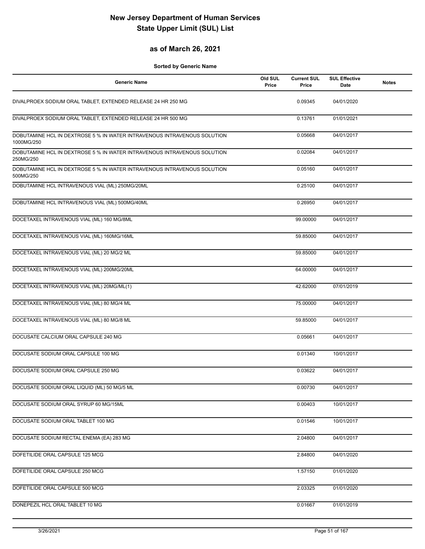### **as of March 26, 2021**

| <b>Generic Name</b>                                                                    | Old SUL<br>Price | <b>Current SUL</b><br>Price | <b>SUL Effective</b><br><b>Date</b> | <b>Notes</b> |
|----------------------------------------------------------------------------------------|------------------|-----------------------------|-------------------------------------|--------------|
| DIVALPROEX SODIUM ORAL TABLET, EXTENDED RELEASE 24 HR 250 MG                           |                  | 0.09345                     | 04/01/2020                          |              |
| DIVALPROEX SODIUM ORAL TABLET, EXTENDED RELEASE 24 HR 500 MG                           |                  | 0.13761                     | 01/01/2021                          |              |
| DOBUTAMINE HCL IN DEXTROSE 5 % IN WATER INTRAVENOUS INTRAVENOUS SOLUTION<br>1000MG/250 |                  | 0.05668                     | 04/01/2017                          |              |
| DOBUTAMINE HCL IN DEXTROSE 5 % IN WATER INTRAVENOUS INTRAVENOUS SOLUTION<br>250MG/250  |                  | 0.02084                     | 04/01/2017                          |              |
| DOBUTAMINE HCL IN DEXTROSE 5 % IN WATER INTRAVENOUS INTRAVENOUS SOLUTION<br>500MG/250  |                  | 0.05160                     | 04/01/2017                          |              |
| DOBUTAMINE HCL INTRAVENOUS VIAL (ML) 250MG/20ML                                        |                  | 0.25100                     | 04/01/2017                          |              |
| DOBUTAMINE HCL INTRAVENOUS VIAL (ML) 500MG/40ML                                        |                  | 0.26950                     | 04/01/2017                          |              |
| DOCETAXEL INTRAVENOUS VIAL (ML) 160 MG/8ML                                             |                  | 99.00000                    | 04/01/2017                          |              |
| DOCETAXEL INTRAVENOUS VIAL (ML) 160MG/16ML                                             |                  | 59.85000                    | 04/01/2017                          |              |
| DOCETAXEL INTRAVENOUS VIAL (ML) 20 MG/2 ML                                             |                  | 59.85000                    | 04/01/2017                          |              |
| DOCETAXEL INTRAVENOUS VIAL (ML) 200MG/20ML                                             |                  | 64.00000                    | 04/01/2017                          |              |
| DOCETAXEL INTRAVENOUS VIAL (ML) 20MG/ML(1)                                             |                  | 42.62000                    | 07/01/2019                          |              |
| DOCETAXEL INTRAVENOUS VIAL (ML) 80 MG/4 ML                                             |                  | 75.00000                    | 04/01/2017                          |              |
| DOCETAXEL INTRAVENOUS VIAL (ML) 80 MG/8 ML                                             |                  | 59.85000                    | 04/01/2017                          |              |
| DOCUSATE CALCIUM ORAL CAPSULE 240 MG                                                   |                  | 0.05661                     | 04/01/2017                          |              |
| DOCUSATE SODIUM ORAL CAPSULE 100 MG                                                    |                  | 0.01340                     | 10/01/2017                          |              |
| DOCUSATE SODIUM ORAL CAPSULE 250 MG                                                    |                  | 0.03622                     | 04/01/2017                          |              |
| DOCUSATE SODIUM ORAL LIQUID (ML) 50 MG/5 ML                                            |                  | 0.00730                     | 04/01/2017                          |              |
| DOCUSATE SODIUM ORAL SYRUP 60 MG/15ML                                                  |                  | 0.00403                     | 10/01/2017                          |              |
| DOCUSATE SODIUM ORAL TABLET 100 MG                                                     |                  | 0.01546                     | 10/01/2017                          |              |
| DOCUSATE SODIUM RECTAL ENEMA (EA) 283 MG                                               |                  | 2.04800                     | 04/01/2017                          |              |
| DOFETILIDE ORAL CAPSULE 125 MCG                                                        |                  | 2.84800                     | 04/01/2020                          |              |
| DOFETILIDE ORAL CAPSULE 250 MCG                                                        |                  | 1.57150                     | 01/01/2020                          |              |
| DOFETILIDE ORAL CAPSULE 500 MCG                                                        |                  | 2.03325                     | 01/01/2020                          |              |
| DONEPEZIL HCL ORAL TABLET 10 MG                                                        |                  | 0.01667                     | 01/01/2019                          |              |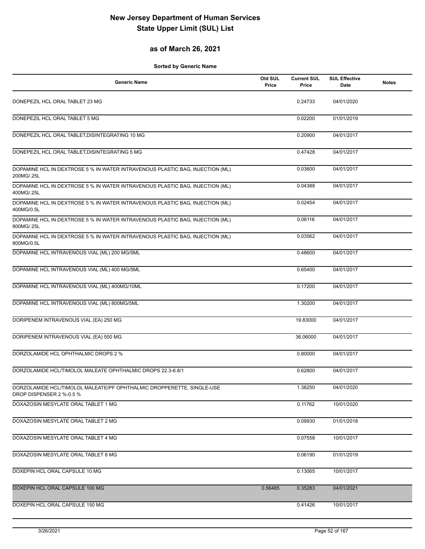### **as of March 26, 2021**

| <b>Generic Name</b>                                                                               | Old SUL<br>Price | <b>Current SUL</b><br>Price | <b>SUL Effective</b><br>Date | <b>Notes</b> |
|---------------------------------------------------------------------------------------------------|------------------|-----------------------------|------------------------------|--------------|
| DONEPEZIL HCL ORAL TABLET 23 MG                                                                   |                  | 0.24733                     | 04/01/2020                   |              |
| DONEPEZIL HCL ORAL TABLET 5 MG                                                                    |                  | 0.02200                     | 01/01/2019                   |              |
| DONEPEZIL HCL ORAL TABLET, DISINTEGRATING 10 MG                                                   |                  | 0.20900                     | 04/01/2017                   |              |
| DONEPEZIL HCL ORAL TABLET, DISINTEGRATING 5 MG                                                    |                  | 0.47428                     | 04/01/2017                   |              |
| DOPAMINE HCL IN DEXTROSE 5 % IN WATER INTRAVENOUS PLASTIC BAG, INJECTION (ML)<br>200MG/.25L       |                  | 0.03600                     | 04/01/2017                   |              |
| DOPAMINE HCL IN DEXTROSE 5 % IN WATER INTRAVENOUS PLASTIC BAG, INJECTION (ML)<br>400MG/.25L       |                  | 0.04388                     | 04/01/2017                   |              |
| DOPAMINE HCL IN DEXTROSE 5 % IN WATER INTRAVENOUS PLASTIC BAG, INJECTION (ML)<br>400MG/0.5L       |                  | 0.02454                     | 04/01/2017                   |              |
| DOPAMINE HCL IN DEXTROSE 5 % IN WATER INTRAVENOUS PLASTIC BAG, INJECTION (ML)<br>800MG/.25L       |                  | 0.06116                     | 04/01/2017                   |              |
| DOPAMINE HCL IN DEXTROSE 5 % IN WATER INTRAVENOUS PLASTIC BAG, INJECTION (ML)<br>800MG/0.5L       |                  | 0.03562                     | 04/01/2017                   |              |
| DOPAMINE HCL INTRAVENOUS VIAL (ML) 200 MG/5ML                                                     |                  | 0.48600                     | 04/01/2017                   |              |
| DOPAMINE HCL INTRAVENOUS VIAL (ML) 400 MG/5ML                                                     |                  | 0.65400                     | 04/01/2017                   |              |
| DOPAMINE HCL INTRAVENOUS VIAL (ML) 400MG/10ML                                                     |                  | 0.17200                     | 04/01/2017                   |              |
| DOPAMINE HCL INTRAVENOUS VIAL (ML) 800MG/5ML                                                      |                  | 1.30200                     | 04/01/2017                   |              |
| DORIPENEM INTRAVENOUS VIAL (EA) 250 MG                                                            |                  | 19.83000                    | 04/01/2017                   |              |
| DORIPENEM INTRAVENOUS VIAL (EA) 500 MG                                                            |                  | 36.06000                    | 04/01/2017                   |              |
| DORZOLAMIDE HCL OPHTHALMIC DROPS 2 %                                                              |                  | 0.80000                     | 04/01/2017                   |              |
| DORZOLAMIDE HCL/TIMOLOL MALEATE OPHTHALMIC DROPS 22.3-6.8/1                                       |                  | 0.62800                     | 04/01/2017                   |              |
| DORZOLAMIDE HCL/TIMOLOL MALEATE/PF OPHTHALMIC DROPPERETTE, SINGLE-USE<br>DROP DISPENSER 2 %-0.5 % |                  | 1.38250                     | 04/01/2020                   |              |
| DOXAZOSIN MESYLATE ORAL TABLET 1 MG                                                               |                  | 0.11762                     | 10/01/2020                   |              |
| DOXAZOSIN MESYLATE ORAL TABLET 2 MG                                                               |                  | 0.09930                     | 01/01/2018                   |              |
| DOXAZOSIN MESYLATE ORAL TABLET 4 MG                                                               |                  | 0.07558                     | 10/01/2017                   |              |
| DOXAZOSIN MESYLATE ORAL TABLET 8 MG                                                               |                  | 0.06190                     | 01/01/2019                   |              |
| DOXEPIN HCL ORAL CAPSULE 10 MG                                                                    |                  | 0.13065                     | 10/01/2017                   |              |
| DOXEPIN HCL ORAL CAPSULE 100 MG                                                                   | 0.56485          | 0.35283                     | 04/01/2021                   |              |
| DOXEPIN HCL ORAL CAPSULE 150 MG                                                                   |                  | 0.41426                     | 10/01/2017                   |              |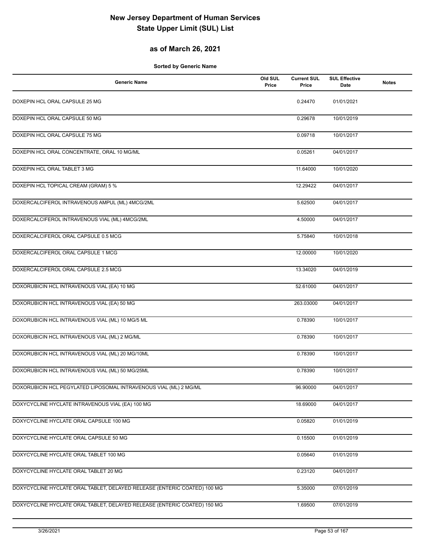#### **as of March 26, 2021**

| <b>Generic Name</b>                                                      | Old SUL<br>Price | <b>Current SUL</b><br>Price | <b>SUL Effective</b><br><b>Date</b> | <b>Notes</b> |
|--------------------------------------------------------------------------|------------------|-----------------------------|-------------------------------------|--------------|
| DOXEPIN HCL ORAL CAPSULE 25 MG                                           |                  | 0.24470                     | 01/01/2021                          |              |
| DOXEPIN HCL ORAL CAPSULE 50 MG                                           |                  | 0.29678                     | 10/01/2019                          |              |
| DOXEPIN HCL ORAL CAPSULE 75 MG                                           |                  | 0.09718                     | 10/01/2017                          |              |
| DOXEPIN HCL ORAL CONCENTRATE, ORAL 10 MG/ML                              |                  | 0.05261                     | 04/01/2017                          |              |
| DOXEPIN HCL ORAL TABLET 3 MG                                             |                  | 11.64000                    | 10/01/2020                          |              |
| DOXEPIN HCL TOPICAL CREAM (GRAM) 5 %                                     |                  | 12.29422                    | 04/01/2017                          |              |
| DOXERCALCIFEROL INTRAVENOUS AMPUL (ML) 4MCG/2ML                          |                  | 5.62500                     | 04/01/2017                          |              |
| DOXERCALCIFEROL INTRAVENOUS VIAL (ML) 4MCG/2ML                           |                  | 4.50000                     | 04/01/2017                          |              |
| DOXERCALCIFEROL ORAL CAPSULE 0.5 MCG                                     |                  | 5.75840                     | 10/01/2018                          |              |
| DOXERCALCIFEROL ORAL CAPSULE 1 MCG                                       |                  | 12.00000                    | 10/01/2020                          |              |
| DOXERCALCIFEROL ORAL CAPSULE 2.5 MCG                                     |                  | 13.34020                    | 04/01/2019                          |              |
| DOXORUBICIN HCL INTRAVENOUS VIAL (EA) 10 MG                              |                  | 52.61000                    | 04/01/2017                          |              |
| DOXORUBICIN HCL INTRAVENOUS VIAL (EA) 50 MG                              |                  | 263.03000                   | 04/01/2017                          |              |
| DOXORUBICIN HCL INTRAVENOUS VIAL (ML) 10 MG/5 ML                         |                  | 0.78390                     | 10/01/2017                          |              |
| DOXORUBICIN HCL INTRAVENOUS VIAL (ML) 2 MG/ML                            |                  | 0.78390                     | 10/01/2017                          |              |
| DOXORUBICIN HCL INTRAVENOUS VIAL (ML) 20 MG/10ML                         |                  | 0.78390                     | 10/01/2017                          |              |
| DOXORUBICIN HCL INTRAVENOUS VIAL (ML) 50 MG/25ML                         |                  | 0.78390                     | 10/01/2017                          |              |
| DOXORUBICIN HCL PEGYLATED LIPOSOMAL INTRAVENOUS VIAL (ML) 2 MG/ML        |                  | 96.90000                    | 04/01/2017                          |              |
| DOXYCYCLINE HYCLATE INTRAVENOUS VIAL (EA) 100 MG                         |                  | 18.69000                    | 04/01/2017                          |              |
| DOXYCYCLINE HYCLATE ORAL CAPSULE 100 MG                                  |                  | 0.05820                     | 01/01/2019                          |              |
| DOXYCYCLINE HYCLATE ORAL CAPSULE 50 MG                                   |                  | 0.15500                     | 01/01/2019                          |              |
| DOXYCYCLINE HYCLATE ORAL TABLET 100 MG                                   |                  | 0.05640                     | 01/01/2019                          |              |
| DOXYCYCLINE HYCLATE ORAL TABLET 20 MG                                    |                  | 0.23120                     | 04/01/2017                          |              |
| DOXYCYCLINE HYCLATE ORAL TABLET, DELAYED RELEASE (ENTERIC COATED) 100 MG |                  | 5.35000                     | 07/01/2019                          |              |
| DOXYCYCLINE HYCLATE ORAL TABLET, DELAYED RELEASE (ENTERIC COATED) 150 MG |                  | 1.69500                     | 07/01/2019                          |              |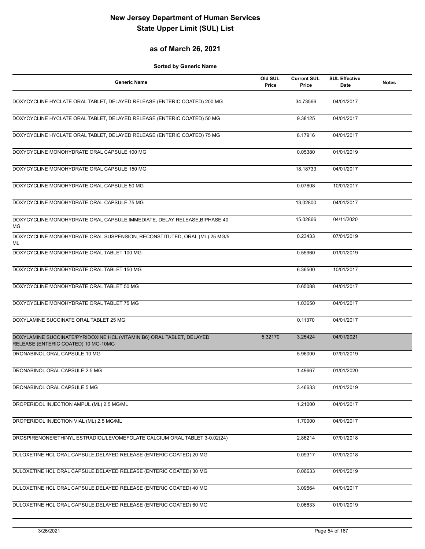### **as of March 26, 2021**

| <b>Generic Name</b>                                                                                          | Old SUL<br>Price | <b>Current SUL</b><br>Price | <b>SUL Effective</b><br>Date | <b>Notes</b> |
|--------------------------------------------------------------------------------------------------------------|------------------|-----------------------------|------------------------------|--------------|
| DOXYCYCLINE HYCLATE ORAL TABLET, DELAYED RELEASE (ENTERIC COATED) 200 MG                                     |                  | 34.73566                    | 04/01/2017                   |              |
| DOXYCYCLINE HYCLATE ORAL TABLET, DELAYED RELEASE (ENTERIC COATED) 50 MG                                      |                  | 9.38125                     | 04/01/2017                   |              |
| DOXYCYCLINE HYCLATE ORAL TABLET, DELAYED RELEASE (ENTERIC COATED) 75 MG                                      |                  | 8.17916                     | 04/01/2017                   |              |
| DOXYCYCLINE MONOHYDRATE ORAL CAPSULE 100 MG                                                                  |                  | 0.05380                     | 01/01/2019                   |              |
| DOXYCYCLINE MONOHYDRATE ORAL CAPSULE 150 MG                                                                  |                  | 18.18733                    | 04/01/2017                   |              |
| DOXYCYCLINE MONOHYDRATE ORAL CAPSULE 50 MG                                                                   |                  | 0.07608                     | 10/01/2017                   |              |
| DOXYCYCLINE MONOHYDRATE ORAL CAPSULE 75 MG                                                                   |                  | 13.02800                    | 04/01/2017                   |              |
| DOXYCYCLINE MONOHYDRATE ORAL CAPSULE, IMMEDIATE, DELAY RELEASE, BIPHASE 40<br>МG                             |                  | 15.02866                    | 04/11/2020                   |              |
| DOXYCYCLINE MONOHYDRATE ORAL SUSPENSION, RECONSTITUTED, ORAL (ML) 25 MG/5<br>ML                              |                  | 0.23433                     | 07/01/2019                   |              |
| DOXYCYCLINE MONOHYDRATE ORAL TABLET 100 MG                                                                   |                  | 0.55960                     | 01/01/2019                   |              |
| DOXYCYCLINE MONOHYDRATE ORAL TABLET 150 MG                                                                   |                  | 6.36500                     | 10/01/2017                   |              |
| DOXYCYCLINE MONOHYDRATE ORAL TABLET 50 MG                                                                    |                  | 0.65088                     | 04/01/2017                   |              |
| DOXYCYCLINE MONOHYDRATE ORAL TABLET 75 MG                                                                    |                  | 1.03650                     | 04/01/2017                   |              |
| DOXYLAMINE SUCCINATE ORAL TABLET 25 MG                                                                       |                  | 0.11370                     | 04/01/2017                   |              |
| DOXYLAMINE SUCCINATE/PYRIDOXINE HCL (VITAMIN B6) ORAL TABLET, DELAYED<br>RELEASE (ENTERIC COATED) 10 MG-10MG | 5.32170          | 3.25424                     | 04/01/2021                   |              |
| DRONABINOL ORAL CAPSULE 10 MG                                                                                |                  | 5.96000                     | 07/01/2019                   |              |
| DRONABINOL ORAL CAPSULE 2.5 MG                                                                               |                  | 1.49667                     | 01/01/2020                   |              |
| DRONABINOL ORAL CAPSULE 5 MG                                                                                 |                  | 3.46633                     | 01/01/2019                   |              |
| DROPERIDOL INJECTION AMPUL (ML) 2.5 MG/ML                                                                    |                  | 1.21000                     | 04/01/2017                   |              |
| DROPERIDOL INJECTION VIAL (ML) 2.5 MG/ML                                                                     |                  | 1.70000                     | 04/01/2017                   |              |
| DROSPIRENONE/ETHINYL ESTRADIOL/LEVOMEFOLATE CALCIUM ORAL TABLET 3-0.02(24)                                   |                  | 2.86214                     | 07/01/2018                   |              |
| DULOXETINE HCL ORAL CAPSULE, DELAYED RELEASE (ENTERIC COATED) 20 MG                                          |                  | 0.09317                     | 07/01/2018                   |              |
| DULOXETINE HCL ORAL CAPSULE, DELAYED RELEASE (ENTERIC COATED) 30 MG                                          |                  | 0.06633                     | 01/01/2019                   |              |
| DULOXETINE HCL ORAL CAPSULE, DELAYED RELEASE (ENTERIC COATED) 40 MG                                          |                  | 3.09564                     | 04/01/2017                   |              |
| DULOXETINE HCL ORAL CAPSULE, DELAYED RELEASE (ENTERIC COATED) 60 MG                                          |                  | 0.06633                     | 01/01/2019                   |              |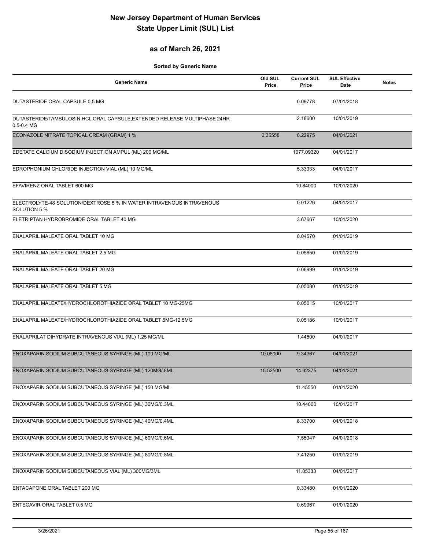### **as of March 26, 2021**

| <b>Generic Name</b>                                                                         | Old SUL<br>Price | <b>Current SUL</b><br>Price | <b>SUL Effective</b><br>Date | <b>Notes</b> |
|---------------------------------------------------------------------------------------------|------------------|-----------------------------|------------------------------|--------------|
| DUTASTERIDE ORAL CAPSULE 0.5 MG                                                             |                  | 0.09778                     | 07/01/2018                   |              |
| DUTASTERIDE/TAMSULOSIN HCL ORAL CAPSULE, EXTENDED RELEASE MULTIPHASE 24HR<br>$0.5 - 0.4$ MG |                  | 2.18600                     | 10/01/2019                   |              |
| ECONAZOLE NITRATE TOPICAL CREAM (GRAM) 1 %                                                  | 0.35558          | 0.22975                     | 04/01/2021                   |              |
| EDETATE CALCIUM DISODIUM INJECTION AMPUL (ML) 200 MG/ML                                     |                  | 1077.09320                  | 04/01/2017                   |              |
| EDROPHONIUM CHLORIDE INJECTION VIAL (ML) 10 MG/ML                                           |                  | 5.33333                     | 04/01/2017                   |              |
| EFAVIRENZ ORAL TABLET 600 MG                                                                |                  | 10.84000                    | 10/01/2020                   |              |
| ELECTROLYTE-48 SOLUTION/DEXTROSE 5 % IN WATER INTRAVENOUS INTRAVENOUS<br>SOLUTION 5 %       |                  | 0.01226                     | 04/01/2017                   |              |
| ELETRIPTAN HYDROBROMIDE ORAL TABLET 40 MG                                                   |                  | 3.67667                     | 10/01/2020                   |              |
| ENALAPRIL MALEATE ORAL TABLET 10 MG                                                         |                  | 0.04570                     | 01/01/2019                   |              |
| <b>ENALAPRIL MALEATE ORAL TABLET 2.5 MG</b>                                                 |                  | 0.05650                     | 01/01/2019                   |              |
| ENALAPRIL MALEATE ORAL TABLET 20 MG                                                         |                  | 0.06999                     | 01/01/2019                   |              |
| ENALAPRIL MALEATE ORAL TABLET 5 MG                                                          |                  | 0.05080                     | 01/01/2019                   |              |
| ENALAPRIL MALEATE/HYDROCHLOROTHIAZIDE ORAL TABLET 10 MG-25MG                                |                  | 0.05015                     | 10/01/2017                   |              |
| ENALAPRIL MALEATE/HYDROCHLOROTHIAZIDE ORAL TABLET 5MG-12.5MG                                |                  | 0.05186                     | 10/01/2017                   |              |
| ENALAPRILAT DIHYDRATE INTRAVENOUS VIAL (ML) 1.25 MG/ML                                      |                  | 1.44500                     | 04/01/2017                   |              |
| ENOXAPARIN SODIUM SUBCUTANEOUS SYRINGE (ML) 100 MG/ML                                       | 10.08000         | 9.34367                     | 04/01/2021                   |              |
| ENOXAPARIN SODIUM SUBCUTANEOUS SYRINGE (ML) 120MG/.8ML                                      | 15.52500         | 14.62375                    | 04/01/2021                   |              |
| ENOXAPARIN SODIUM SUBCUTANEOUS SYRINGE (ML) 150 MG/ML                                       |                  | 11.45550                    | 01/01/2020                   |              |
| ENOXAPARIN SODIUM SUBCUTANEOUS SYRINGE (ML) 30MG/0.3ML                                      |                  | 10.44000                    | 10/01/2017                   |              |
| ENOXAPARIN SODIUM SUBCUTANEOUS SYRINGE (ML) 40MG/0.4ML                                      |                  | 8.33700                     | 04/01/2018                   |              |
| ENOXAPARIN SODIUM SUBCUTANEOUS SYRINGE (ML) 60MG/0.6ML                                      |                  | 7.55347                     | 04/01/2018                   |              |
| ENOXAPARIN SODIUM SUBCUTANEOUS SYRINGE (ML) 80MG/0.8ML                                      |                  | 7.41250                     | 01/01/2019                   |              |
| ENOXAPARIN SODIUM SUBCUTANEOUS VIAL (ML) 300MG/3ML                                          |                  | 11.85333                    | 04/01/2017                   |              |
| ENTACAPONE ORAL TABLET 200 MG                                                               |                  | 0.33480                     | 01/01/2020                   |              |
| ENTECAVIR ORAL TABLET 0.5 MG                                                                |                  | 0.69967                     | 01/01/2020                   |              |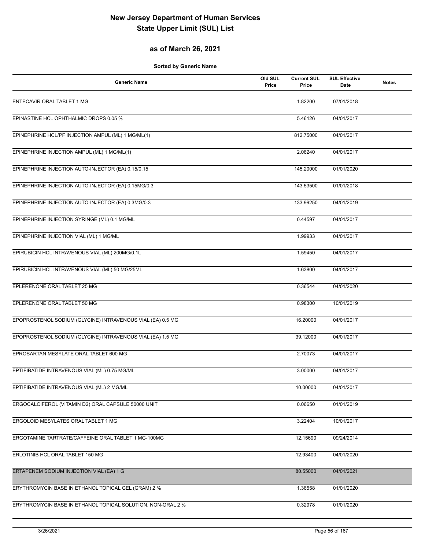#### **as of March 26, 2021**

| <b>Generic Name</b>                                         | Old SUL<br>Price | <b>Current SUL</b><br>Price | <b>SUL Effective</b><br><b>Date</b> | <b>Notes</b> |
|-------------------------------------------------------------|------------------|-----------------------------|-------------------------------------|--------------|
| ENTECAVIR ORAL TABLET 1 MG                                  |                  | 1.82200                     | 07/01/2018                          |              |
| EPINASTINE HCL OPHTHALMIC DROPS 0.05 %                      |                  | 5.46126                     | 04/01/2017                          |              |
| EPINEPHRINE HCL/PF INJECTION AMPUL (ML) 1 MG/ML(1)          |                  | 812.75000                   | 04/01/2017                          |              |
| EPINEPHRINE INJECTION AMPUL (ML) 1 MG/ML(1)                 |                  | 2.06240                     | 04/01/2017                          |              |
| EPINEPHRINE INJECTION AUTO-INJECTOR (EA) 0.15/0.15          |                  | 145.20000                   | 01/01/2020                          |              |
| EPINEPHRINE INJECTION AUTO-INJECTOR (EA) 0.15MG/0.3         |                  | 143.53500                   | 01/01/2018                          |              |
| EPINEPHRINE INJECTION AUTO-INJECTOR (EA) 0.3MG/0.3          |                  | 133.99250                   | 04/01/2019                          |              |
| EPINEPHRINE INJECTION SYRINGE (ML) 0.1 MG/ML                |                  | 0.44597                     | 04/01/2017                          |              |
| EPINEPHRINE INJECTION VIAL (ML) 1 MG/ML                     |                  | 1.99933                     | 04/01/2017                          |              |
| EPIRUBICIN HCL INTRAVENOUS VIAL (ML) 200MG/0.1L             |                  | 1.59450                     | 04/01/2017                          |              |
| EPIRUBICIN HCL INTRAVENOUS VIAL (ML) 50 MG/25ML             |                  | 1.63800                     | 04/01/2017                          |              |
| EPLERENONE ORAL TABLET 25 MG                                |                  | 0.36544                     | 04/01/2020                          |              |
| EPLERENONE ORAL TABLET 50 MG                                |                  | 0.98300                     | 10/01/2019                          |              |
| EPOPROSTENOL SODIUM (GLYCINE) INTRAVENOUS VIAL (EA) 0.5 MG  |                  | 16.20000                    | 04/01/2017                          |              |
| EPOPROSTENOL SODIUM (GLYCINE) INTRAVENOUS VIAL (EA) 1.5 MG  |                  | 39.12000                    | 04/01/2017                          |              |
| EPROSARTAN MESYLATE ORAL TABLET 600 MG                      |                  | 2.70073                     | 04/01/2017                          |              |
| EPTIFIBATIDE INTRAVENOUS VIAL (ML) 0.75 MG/ML               |                  | 3.00000                     | 04/01/2017                          |              |
| EPTIFIBATIDE INTRAVENOUS VIAL (ML) 2 MG/ML                  |                  | 10.00000                    | 04/01/2017                          |              |
| ERGOCALCIFEROL (VITAMIN D2) ORAL CAPSULE 50000 UNIT         |                  | 0.06650                     | 01/01/2019                          |              |
| ERGOLOID MESYLATES ORAL TABLET 1 MG                         |                  | 3.22404                     | 10/01/2017                          |              |
| ERGOTAMINE TARTRATE/CAFFEINE ORAL TABLET 1 MG-100MG         |                  | 12.15690                    | 09/24/2014                          |              |
| ERLOTINIB HCL ORAL TABLET 150 MG                            |                  | 12.93400                    | 04/01/2020                          |              |
| ERTAPENEM SODIUM INJECTION VIAL (EA) 1 G                    |                  | 80.55000                    | 04/01/2021                          |              |
| ERYTHROMYCIN BASE IN ETHANOL TOPICAL GEL (GRAM) 2 %         |                  | 1.36558                     | 01/01/2020                          |              |
| ERYTHROMYCIN BASE IN ETHANOL TOPICAL SOLUTION, NON-ORAL 2 % |                  | 0.32978                     | 01/01/2020                          |              |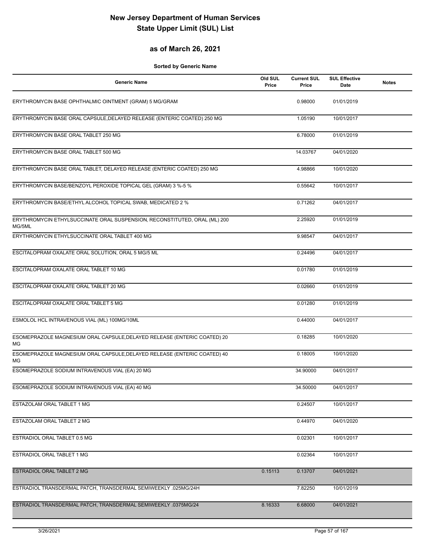### **as of March 26, 2021**

| <b>Generic Name</b>                                                                 | Old SUL<br>Price | <b>Current SUL</b><br>Price | <b>SUL Effective</b><br><b>Date</b> | <b>Notes</b> |
|-------------------------------------------------------------------------------------|------------------|-----------------------------|-------------------------------------|--------------|
| ERYTHROMYCIN BASE OPHTHALMIC OINTMENT (GRAM) 5 MG/GRAM                              |                  | 0.98000                     | 01/01/2019                          |              |
| ERYTHROMYCIN BASE ORAL CAPSULE, DELAYED RELEASE (ENTERIC COATED) 250 MG             |                  | 1.05190                     | 10/01/2017                          |              |
| ERYTHROMYCIN BASE ORAL TABLET 250 MG                                                |                  | 6.78000                     | 01/01/2019                          |              |
| ERYTHROMYCIN BASE ORAL TABLET 500 MG                                                |                  | 14.03767                    | 04/01/2020                          |              |
| ERYTHROMYCIN BASE ORAL TABLET, DELAYED RELEASE (ENTERIC COATED) 250 MG              |                  | 4.98866                     | 10/01/2020                          |              |
| ERYTHROMYCIN BASE/BENZOYL PEROXIDE TOPICAL GEL (GRAM) 3 %-5 %                       |                  | 0.55642                     | 10/01/2017                          |              |
| ERYTHROMYCIN BASE/ETHYL ALCOHOL TOPICAL SWAB, MEDICATED 2 %                         |                  | 0.71262                     | 04/01/2017                          |              |
| ERYTHROMYCIN ETHYLSUCCINATE ORAL SUSPENSION, RECONSTITUTED, ORAL (ML) 200<br>MG/5ML |                  | 2.25920                     | 01/01/2019                          |              |
| ERYTHROMYCIN ETHYLSUCCINATE ORAL TABLET 400 MG                                      |                  | 9.98547                     | 04/01/2017                          |              |
| ESCITALOPRAM OXALATE ORAL SOLUTION, ORAL 5 MG/5 ML                                  |                  | 0.24496                     | 04/01/2017                          |              |
| ESCITALOPRAM OXALATE ORAL TABLET 10 MG                                              |                  | 0.01780                     | 01/01/2019                          |              |
| ESCITALOPRAM OXALATE ORAL TABLET 20 MG                                              |                  | 0.02660                     | 01/01/2019                          |              |
| ESCITALOPRAM OXALATE ORAL TABLET 5 MG                                               |                  | 0.01280                     | 01/01/2019                          |              |
| ESMOLOL HCL INTRAVENOUS VIAL (ML) 100MG/10ML                                        |                  | 0.44000                     | 04/01/2017                          |              |
| ESOMEPRAZOLE MAGNESIUM ORAL CAPSULE, DELAYED RELEASE (ENTERIC COATED) 20<br>MG      |                  | 0.18285                     | 10/01/2020                          |              |
| ESOMEPRAZOLE MAGNESIUM ORAL CAPSULE, DELAYED RELEASE (ENTERIC COATED) 40<br>ΜG      |                  | 0.18005                     | 10/01/2020                          |              |
| ESOMEPRAZOLE SODIUM INTRAVENOUS VIAL (EA) 20 MG                                     |                  | 34.90000                    | 04/01/2017                          |              |
| ESOMEPRAZOLE SODIUM INTRAVENOUS VIAL (EA) 40 MG                                     |                  | 34.50000                    | 04/01/2017                          |              |
| ESTAZOLAM ORAL TABLET 1 MG                                                          |                  | 0.24507                     | 10/01/2017                          |              |
| ESTAZOLAM ORAL TABLET 2 MG                                                          |                  | 0.44970                     | 04/01/2020                          |              |
| ESTRADIOL ORAL TABLET 0.5 MG                                                        |                  | 0.02301                     | 10/01/2017                          |              |
| ESTRADIOL ORAL TABLET 1 MG                                                          |                  | 0.02364                     | 10/01/2017                          |              |
| ESTRADIOL ORAL TABLET 2 MG                                                          | 0.15113          | 0.13707                     | 04/01/2021                          |              |
| ESTRADIOL TRANSDERMAL PATCH, TRANSDERMAL SEMIWEEKLY .025MG/24H                      |                  | 7.82250                     | 10/01/2019                          |              |
| ESTRADIOL TRANSDERMAL PATCH, TRANSDERMAL SEMIWEEKLY .0375MG/24                      | 8.16333          | 6.68000                     | 04/01/2021                          |              |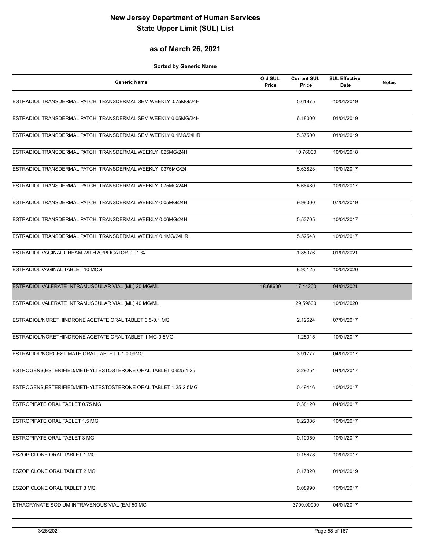### **as of March 26, 2021**

| <b>Generic Name</b>                                             | Old SUL<br>Price | <b>Current SUL</b><br>Price | <b>SUL Effective</b><br>Date | <b>Notes</b> |
|-----------------------------------------------------------------|------------------|-----------------------------|------------------------------|--------------|
| ESTRADIOL TRANSDERMAL PATCH, TRANSDERMAL SEMIWEEKLY .075MG/24H  |                  | 5.61875                     | 10/01/2019                   |              |
| ESTRADIOL TRANSDERMAL PATCH, TRANSDERMAL SEMIWEEKLY 0.05MG/24H  |                  | 6.18000                     | 01/01/2019                   |              |
| ESTRADIOL TRANSDERMAL PATCH, TRANSDERMAL SEMIWEEKLY 0.1MG/24HR  |                  | 5.37500                     | 01/01/2019                   |              |
| ESTRADIOL TRANSDERMAL PATCH, TRANSDERMAL WEEKLY .025MG/24H      |                  | 10.76000                    | 10/01/2018                   |              |
| ESTRADIOL TRANSDERMAL PATCH, TRANSDERMAL WEEKLY .0375MG/24      |                  | 5.63823                     | 10/01/2017                   |              |
| ESTRADIOL TRANSDERMAL PATCH, TRANSDERMAL WEEKLY .075MG/24H      |                  | 5.66480                     | 10/01/2017                   |              |
| ESTRADIOL TRANSDERMAL PATCH, TRANSDERMAL WEEKLY 0.05MG/24H      |                  | 9.98000                     | 07/01/2019                   |              |
| ESTRADIOL TRANSDERMAL PATCH, TRANSDERMAL WEEKLY 0.06MG/24H      |                  | 5.53705                     | 10/01/2017                   |              |
| ESTRADIOL TRANSDERMAL PATCH, TRANSDERMAL WEEKLY 0.1MG/24HR      |                  | 5.52543                     | 10/01/2017                   |              |
| ESTRADIOL VAGINAL CREAM WITH APPLICATOR 0.01 %                  |                  | 1.85076                     | 01/01/2021                   |              |
| ESTRADIOL VAGINAL TABLET 10 MCG                                 |                  | 8.90125                     | 10/01/2020                   |              |
| ESTRADIOL VALERATE INTRAMUSCULAR VIAL (ML) 20 MG/ML             | 18.68600         | 17.44200                    | 04/01/2021                   |              |
| ESTRADIOL VALERATE INTRAMUSCULAR VIAL (ML) 40 MG/ML             |                  | 29.59600                    | 10/01/2020                   |              |
| ESTRADIOL/NORETHINDRONE ACETATE ORAL TABLET 0.5-0.1 MG          |                  | 2.12624                     | 07/01/2017                   |              |
| ESTRADIOL/NORETHINDRONE ACETATE ORAL TABLET 1 MG-0.5MG          |                  | 1.25015                     | 10/01/2017                   |              |
| ESTRADIOL/NORGESTIMATE ORAL TABLET 1-1-0.09MG                   |                  | 3.91777                     | 04/01/2017                   |              |
| ESTROGENS, ESTERIFIED/METHYLTESTOSTERONE ORAL TABLET 0.625-1.25 |                  | 2.29254                     | 04/01/2017                   |              |
| ESTROGENS, ESTERIFIED/METHYLTESTOSTERONE ORAL TABLET 1.25-2.5MG |                  | 0.49446                     | 10/01/2017                   |              |
| ESTROPIPATE ORAL TABLET 0.75 MG                                 |                  | 0.38120                     | 04/01/2017                   |              |
| ESTROPIPATE ORAL TABLET 1.5 MG                                  |                  | 0.22086                     | 10/01/2017                   |              |
| ESTROPIPATE ORAL TABLET 3 MG                                    |                  | 0.10050                     | 10/01/2017                   |              |
| ESZOPICLONE ORAL TABLET 1 MG                                    |                  | 0.15678                     | 10/01/2017                   |              |
| ESZOPICLONE ORAL TABLET 2 MG                                    |                  | 0.17820                     | 01/01/2019                   |              |
| ESZOPICLONE ORAL TABLET 3 MG                                    |                  | 0.08990                     | 10/01/2017                   |              |
| ETHACRYNATE SODIUM INTRAVENOUS VIAL (EA) 50 MG                  |                  | 3799.00000                  | 04/01/2017                   |              |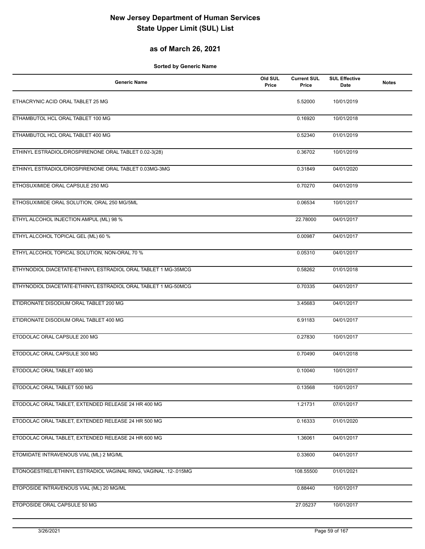### **as of March 26, 2021**

| <b>Generic Name</b>                                             | Old SUL<br>Price | <b>Current SUL</b><br>Price | <b>SUL Effective</b><br>Date | <b>Notes</b> |
|-----------------------------------------------------------------|------------------|-----------------------------|------------------------------|--------------|
| ETHACRYNIC ACID ORAL TABLET 25 MG                               |                  | 5.52000                     | 10/01/2019                   |              |
| ETHAMBUTOL HCL ORAL TABLET 100 MG                               |                  | 0.16920                     | 10/01/2018                   |              |
| ETHAMBUTOL HCL ORAL TABLET 400 MG                               |                  | 0.52340                     | 01/01/2019                   |              |
| ETHINYL ESTRADIOL/DROSPIRENONE ORAL TABLET 0.02-3(28)           |                  | 0.36702                     | 10/01/2019                   |              |
| ETHINYL ESTRADIOL/DROSPIRENONE ORAL TABLET 0.03MG-3MG           |                  | 0.31849                     | 04/01/2020                   |              |
| ETHOSUXIMIDE ORAL CAPSULE 250 MG                                |                  | 0.70270                     | 04/01/2019                   |              |
| ETHOSUXIMIDE ORAL SOLUTION, ORAL 250 MG/5ML                     |                  | 0.06534                     | 10/01/2017                   |              |
| ETHYL ALCOHOL INJECTION AMPUL (ML) 98 %                         |                  | 22.78000                    | 04/01/2017                   |              |
| ETHYL ALCOHOL TOPICAL GEL (ML) 60 %                             |                  | 0.00987                     | 04/01/2017                   |              |
| ETHYL ALCOHOL TOPICAL SOLUTION, NON-ORAL 70 %                   |                  | 0.05310                     | 04/01/2017                   |              |
| ETHYNODIOL DIACETATE-ETHINYL ESTRADIOL ORAL TABLET 1 MG-35MCG   |                  | 0.58262                     | 01/01/2018                   |              |
| ETHYNODIOL DIACETATE-ETHINYL ESTRADIOL ORAL TABLET 1 MG-50MCG   |                  | 0.70335                     | 04/01/2017                   |              |
| ETIDRONATE DISODIUM ORAL TABLET 200 MG                          |                  | 3.45683                     | 04/01/2017                   |              |
| ETIDRONATE DISODIUM ORAL TABLET 400 MG                          |                  | 6.91183                     | 04/01/2017                   |              |
| ETODOLAC ORAL CAPSULE 200 MG                                    |                  | 0.27830                     | 10/01/2017                   |              |
| ETODOLAC ORAL CAPSULE 300 MG                                    |                  | 0.70490                     | 04/01/2018                   |              |
| ETODOLAC ORAL TABLET 400 MG                                     |                  | 0.10040                     | 10/01/2017                   |              |
| ETODOLAC ORAL TABLET 500 MG                                     |                  | 0.13568                     | 10/01/2017                   |              |
| ETODOLAC ORAL TABLET, EXTENDED RELEASE 24 HR 400 MG             |                  | 1.21731                     | 07/01/2017                   |              |
| ETODOLAC ORAL TABLET, EXTENDED RELEASE 24 HR 500 MG             |                  | 0.16333                     | 01/01/2020                   |              |
| ETODOLAC ORAL TABLET, EXTENDED RELEASE 24 HR 600 MG             |                  | 1.36061                     | 04/01/2017                   |              |
| ETOMIDATE INTRAVENOUS VIAL (ML) 2 MG/ML                         |                  | 0.33600                     | 04/01/2017                   |              |
| ETONOGESTREL/ETHINYL ESTRADIOL VAGINAL RING, VAGINAL .12-.015MG |                  | 108.55500                   | 01/01/2021                   |              |
| ETOPOSIDE INTRAVENOUS VIAL (ML) 20 MG/ML                        |                  | 0.88440                     | 10/01/2017                   |              |
| ETOPOSIDE ORAL CAPSULE 50 MG                                    |                  | 27.05237                    | 10/01/2017                   |              |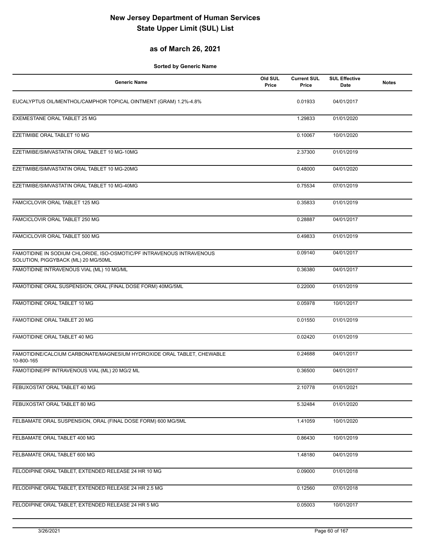### **as of March 26, 2021**

| <b>Generic Name</b>                                                                                          | Old SUL<br>Price | <b>Current SUL</b><br>Price | <b>SUL Effective</b><br>Date | <b>Notes</b> |
|--------------------------------------------------------------------------------------------------------------|------------------|-----------------------------|------------------------------|--------------|
| EUCALYPTUS OIL/MENTHOL/CAMPHOR TOPICAL OINTMENT (GRAM) 1.2%-4.8%                                             |                  | 0.01933                     | 04/01/2017                   |              |
| EXEMESTANE ORAL TABLET 25 MG                                                                                 |                  | 1.29833                     | 01/01/2020                   |              |
| EZETIMIBE ORAL TABLET 10 MG                                                                                  |                  | 0.10067                     | 10/01/2020                   |              |
| EZETIMIBE/SIMVASTATIN ORAL TABLET 10 MG-10MG                                                                 |                  | 2.37300                     | 01/01/2019                   |              |
| EZETIMIBE/SIMVASTATIN ORAL TABLET 10 MG-20MG                                                                 |                  | 0.48000                     | 04/01/2020                   |              |
| EZETIMIBE/SIMVASTATIN ORAL TABLET 10 MG-40MG                                                                 |                  | 0.75534                     | 07/01/2019                   |              |
| FAMCICLOVIR ORAL TABLET 125 MG                                                                               |                  | 0.35833                     | 01/01/2019                   |              |
| FAMCICLOVIR ORAL TABLET 250 MG                                                                               |                  | 0.28887                     | 04/01/2017                   |              |
| FAMCICLOVIR ORAL TABLET 500 MG                                                                               |                  | 0.49833                     | 01/01/2019                   |              |
| FAMOTIDINE IN SODIUM CHLORIDE, ISO-OSMOTIC/PF INTRAVENOUS INTRAVENOUS<br>SOLUTION, PIGGYBACK (ML) 20 MG/50ML |                  | 0.09140                     | 04/01/2017                   |              |
| FAMOTIDINE INTRAVENOUS VIAL (ML) 10 MG/ML                                                                    |                  | 0.36380                     | 04/01/2017                   |              |
| FAMOTIDINE ORAL SUSPENSION, ORAL (FINAL DOSE FORM) 40MG/5ML                                                  |                  | 0.22000                     | 01/01/2019                   |              |
| FAMOTIDINE ORAL TABLET 10 MG                                                                                 |                  | 0.05978                     | 10/01/2017                   |              |
| FAMOTIDINE ORAL TABLET 20 MG                                                                                 |                  | 0.01550                     | 01/01/2019                   |              |
| FAMOTIDINE ORAL TABLET 40 MG                                                                                 |                  | 0.02420                     | 01/01/2019                   |              |
| FAMOTIDINE/CALCIUM CARBONATE/MAGNESIUM HYDROXIDE ORAL TABLET, CHEWABLE<br>10-800-165                         |                  | 0.24688                     | 04/01/2017                   |              |
| FAMOTIDINE/PF INTRAVENOUS VIAL (ML) 20 MG/2 ML                                                               |                  | 0.36500                     | 04/01/2017                   |              |
| FEBUXOSTAT ORAL TABLET 40 MG                                                                                 |                  | 2.10778                     | 01/01/2021                   |              |
| FEBUXOSTAT ORAL TABLET 80 MG                                                                                 |                  | 5.32484                     | 01/01/2020                   |              |
| FELBAMATE ORAL SUSPENSION, ORAL (FINAL DOSE FORM) 600 MG/5ML                                                 |                  | 1.41059                     | 10/01/2020                   |              |
| FELBAMATE ORAL TABLET 400 MG                                                                                 |                  | 0.86430                     | 10/01/2019                   |              |
| FELBAMATE ORAL TABLET 600 MG                                                                                 |                  | 1.48180                     | 04/01/2019                   |              |
| FELODIPINE ORAL TABLET, EXTENDED RELEASE 24 HR 10 MG                                                         |                  | 0.09000                     | 01/01/2018                   |              |
| FELODIPINE ORAL TABLET, EXTENDED RELEASE 24 HR 2.5 MG                                                        |                  | 0.12560                     | 07/01/2018                   |              |
| FELODIPINE ORAL TABLET, EXTENDED RELEASE 24 HR 5 MG                                                          |                  | 0.05003                     | 10/01/2017                   |              |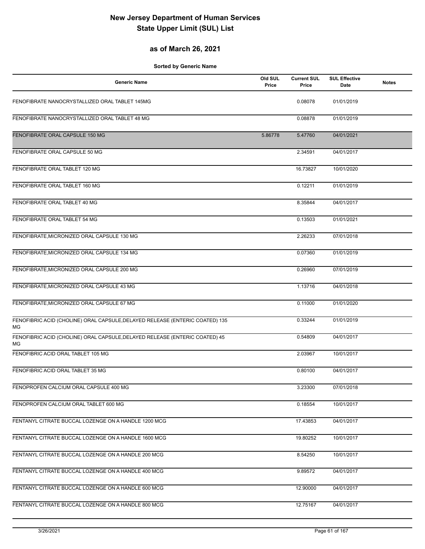### **as of March 26, 2021**

| <b>Generic Name</b>                                                                | Old SUL<br>Price | <b>Current SUL</b><br>Price | <b>SUL Effective</b><br>Date | <b>Notes</b> |
|------------------------------------------------------------------------------------|------------------|-----------------------------|------------------------------|--------------|
| FENOFIBRATE NANOCRYSTALLIZED ORAL TABLET 145MG                                     |                  | 0.08078                     | 01/01/2019                   |              |
| FENOFIBRATE NANOCRYSTALLIZED ORAL TABLET 48 MG                                     |                  | 0.08878                     | 01/01/2019                   |              |
| FENOFIBRATE ORAL CAPSULE 150 MG                                                    | 5.86778          | 5.47760                     | 04/01/2021                   |              |
| FENOFIBRATE ORAL CAPSULE 50 MG                                                     |                  | 2.34591                     | 04/01/2017                   |              |
| FENOFIBRATE ORAL TABLET 120 MG                                                     |                  | 16.73827                    | 10/01/2020                   |              |
| FENOFIBRATE ORAL TABLET 160 MG                                                     |                  | 0.12211                     | 01/01/2019                   |              |
| FENOFIBRATE ORAL TABLET 40 MG                                                      |                  | 8.35844                     | 04/01/2017                   |              |
| FENOFIBRATE ORAL TABLET 54 MG                                                      |                  | 0.13503                     | 01/01/2021                   |              |
| FENOFIBRATE, MICRONIZED ORAL CAPSULE 130 MG                                        |                  | 2.26233                     | 07/01/2018                   |              |
| FENOFIBRATE, MICRONIZED ORAL CAPSULE 134 MG                                        |                  | 0.07360                     | 01/01/2019                   |              |
| FENOFIBRATE, MICRONIZED ORAL CAPSULE 200 MG                                        |                  | 0.26960                     | 07/01/2019                   |              |
| FENOFIBRATE, MICRONIZED ORAL CAPSULE 43 MG                                         |                  | 1.13716                     | 04/01/2018                   |              |
| FENOFIBRATE, MICRONIZED ORAL CAPSULE 67 MG                                         |                  | 0.11000                     | 01/01/2020                   |              |
| FENOFIBRIC ACID (CHOLINE) ORAL CAPSULE, DELAYED RELEASE (ENTERIC COATED) 135<br>МG |                  | 0.33244                     | 01/01/2019                   |              |
| FENOFIBRIC ACID (CHOLINE) ORAL CAPSULE, DELAYED RELEASE (ENTERIC COATED) 45<br>МG  |                  | 0.54809                     | 04/01/2017                   |              |
| FENOFIBRIC ACID ORAL TABLET 105 MG                                                 |                  | 2.03967                     | 10/01/2017                   |              |
| FENOFIBRIC ACID ORAL TABLET 35 MG                                                  |                  | 0.80100                     | 04/01/2017                   |              |
| FENOPROFEN CALCIUM ORAL CAPSULE 400 MG                                             |                  | 3.23300                     | 07/01/2018                   |              |
| FENOPROFEN CALCIUM ORAL TABLET 600 MG                                              |                  | 0.18554                     | 10/01/2017                   |              |
| FENTANYL CITRATE BUCCAL LOZENGE ON A HANDLE 1200 MCG                               |                  | 17.43853                    | 04/01/2017                   |              |
| FENTANYL CITRATE BUCCAL LOZENGE ON A HANDLE 1600 MCG                               |                  | 19.80252                    | 10/01/2017                   |              |
| FENTANYL CITRATE BUCCAL LOZENGE ON A HANDLE 200 MCG                                |                  | 8.54250                     | 10/01/2017                   |              |
| FENTANYL CITRATE BUCCAL LOZENGE ON A HANDLE 400 MCG                                |                  | 9.89572                     | 04/01/2017                   |              |
| FENTANYL CITRATE BUCCAL LOZENGE ON A HANDLE 600 MCG                                |                  | 12.90000                    | 04/01/2017                   |              |
| FENTANYL CITRATE BUCCAL LOZENGE ON A HANDLE 800 MCG                                |                  | 12.75167                    | 04/01/2017                   |              |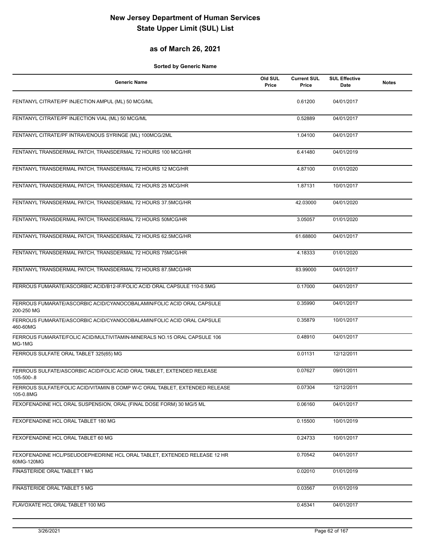### **as of March 26, 2021**

| Generic Name                                                                             | Old SUL<br>Price | <b>Current SUL</b><br>Price | <b>SUL Effective</b><br>Date | <b>Notes</b> |
|------------------------------------------------------------------------------------------|------------------|-----------------------------|------------------------------|--------------|
| FENTANYL CITRATE/PF INJECTION AMPUL (ML) 50 MCG/ML                                       |                  | 0.61200                     | 04/01/2017                   |              |
| FENTANYL CITRATE/PF INJECTION VIAL (ML) 50 MCG/ML                                        |                  | 0.52889                     | 04/01/2017                   |              |
| FENTANYL CITRATE/PF INTRAVENOUS SYRINGE (ML) 100MCG/2ML                                  |                  | 1.04100                     | 04/01/2017                   |              |
| FENTANYL TRANSDERMAL PATCH, TRANSDERMAL 72 HOURS 100 MCG/HR                              |                  | 6.41480                     | 04/01/2019                   |              |
| FENTANYL TRANSDERMAL PATCH, TRANSDERMAL 72 HOURS 12 MCG/HR                               |                  | 4.87100                     | 01/01/2020                   |              |
| FENTANYL TRANSDERMAL PATCH, TRANSDERMAL 72 HOURS 25 MCG/HR                               |                  | 1.87131                     | 10/01/2017                   |              |
| FENTANYL TRANSDERMAL PATCH, TRANSDERMAL 72 HOURS 37.5MCG/HR                              |                  | 42.03000                    | 04/01/2020                   |              |
| FENTANYL TRANSDERMAL PATCH, TRANSDERMAL 72 HOURS 50MCG/HR                                |                  | 3.05057                     | 01/01/2020                   |              |
| FENTANYL TRANSDERMAL PATCH, TRANSDERMAL 72 HOURS 62.5MCG/HR                              |                  | 61.68800                    | 04/01/2017                   |              |
| FENTANYL TRANSDERMAL PATCH, TRANSDERMAL 72 HOURS 75MCG/HR                                |                  | 4.18333                     | 01/01/2020                   |              |
| FENTANYL TRANSDERMAL PATCH, TRANSDERMAL 72 HOURS 87.5MCG/HR                              |                  | 83.99000                    | 04/01/2017                   |              |
| FERROUS FUMARATE/ASCORBIC ACID/B12-IF/FOLIC ACID ORAL CAPSULE 110-0.5MG                  |                  | 0.17000                     | 04/01/2017                   |              |
| FERROUS FUMARATE/ASCORBIC ACID/CYANOCOBALAMIN/FOLIC ACID ORAL CAPSULE<br>200-250 MG      |                  | 0.35990                     | 04/01/2017                   |              |
| FERROUS FUMARATE/ASCORBIC ACID/CYANOCOBALAMIN/FOLIC ACID ORAL CAPSULE<br>460-60MG        |                  | 0.35879                     | 10/01/2017                   |              |
| FERROUS FUMARATE/FOLIC ACID/MULTIVITAMIN-MINERALS NO.15 ORAL CAPSULE 106<br>MG-1MG       |                  | 0.48910                     | 04/01/2017                   |              |
| FERROUS SULFATE ORAL TABLET 325(65) MG                                                   |                  | 0.01131                     | 12/12/2011                   |              |
| FERROUS SULFATE/ASCORBIC ACID/FOLIC ACID ORAL TABLET, EXTENDED RELEASE<br>105-500-.8     |                  | 0.07627                     | 09/01/2011                   |              |
| FERROUS SULFATE/FOLIC ACID/VITAMIN B COMP W-C ORAL TABLET, EXTENDED RELEASE<br>105-0.8MG |                  | 0.07304                     | 12/12/2011                   |              |
| FEXOFENADINE HCL ORAL SUSPENSION, ORAL (FINAL DOSE FORM) 30 MG/5 ML                      |                  | 0.06160                     | 04/01/2017                   |              |
| FEXOFENADINE HCL ORAL TABLET 180 MG                                                      |                  | 0.15500                     | 10/01/2019                   |              |
| FEXOFENADINE HCL ORAL TABLET 60 MG                                                       |                  | 0.24733                     | 10/01/2017                   |              |
| FEXOFENADINE HCL/PSEUDOEPHEDRINE HCL ORAL TABLET, EXTENDED RELEASE 12 HR<br>60MG-120MG   |                  | 0.70542                     | 04/01/2017                   |              |
| FINASTERIDE ORAL TABLET 1 MG                                                             |                  | 0.02010                     | 01/01/2019                   |              |
| FINASTERIDE ORAL TABLET 5 MG                                                             |                  | 0.03567                     | 01/01/2019                   |              |
| FLAVOXATE HCL ORAL TABLET 100 MG                                                         |                  | 0.45341                     | 04/01/2017                   |              |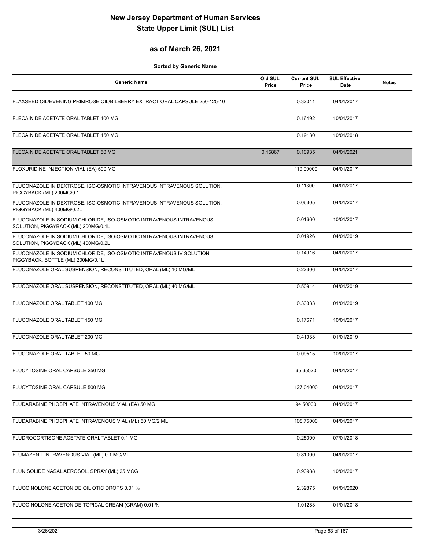### **as of March 26, 2021**

| <b>Generic Name</b>                                                                                        | Old SUL<br>Price | <b>Current SUL</b><br>Price | <b>SUL Effective</b><br>Date | <b>Notes</b> |
|------------------------------------------------------------------------------------------------------------|------------------|-----------------------------|------------------------------|--------------|
| FLAXSEED OIL/EVENING PRIMROSE OIL/BILBERRY EXTRACT ORAL CAPSULE 250-125-10                                 |                  | 0.32041                     | 04/01/2017                   |              |
| FLECAINIDE ACETATE ORAL TABLET 100 MG                                                                      |                  | 0.16492                     | 10/01/2017                   |              |
| FLECAINIDE ACETATE ORAL TABLET 150 MG                                                                      |                  | 0.19130                     | 10/01/2018                   |              |
| FLECAINIDE ACETATE ORAL TABLET 50 MG                                                                       | 0.15867          | 0.10935                     | 04/01/2021                   |              |
| FLOXURIDINE INJECTION VIAL (EA) 500 MG                                                                     |                  | 119.00000                   | 04/01/2017                   |              |
| FLUCONAZOLE IN DEXTROSE, ISO-OSMOTIC INTRAVENOUS INTRAVENOUS SOLUTION,<br>PIGGYBACK (ML) 200MG/0.1L        |                  | 0.11300                     | 04/01/2017                   |              |
| FLUCONAZOLE IN DEXTROSE, ISO-OSMOTIC INTRAVENOUS INTRAVENOUS SOLUTION,<br>PIGGYBACK (ML) 400MG/0.2L        |                  | 0.06305                     | 04/01/2017                   |              |
| FLUCONAZOLE IN SODIUM CHLORIDE, ISO-OSMOTIC INTRAVENOUS INTRAVENOUS<br>SOLUTION, PIGGYBACK (ML) 200MG/0.1L |                  | 0.01660                     | 10/01/2017                   |              |
| FLUCONAZOLE IN SODIUM CHLORIDE, ISO-OSMOTIC INTRAVENOUS INTRAVENOUS<br>SOLUTION, PIGGYBACK (ML) 400MG/0.2L |                  | 0.01926                     | 04/01/2019                   |              |
| FLUCONAZOLE IN SODIUM CHLORIDE, ISO-OSMOTIC INTRAVENOUS IV SOLUTION,<br>PIGGYBACK, BOTTLE (ML) 200MG/0.1L  |                  | 0.14916                     | 04/01/2017                   |              |
| FLUCONAZOLE ORAL SUSPENSION, RECONSTITUTED, ORAL (ML) 10 MG/ML                                             |                  | 0.22306                     | 04/01/2017                   |              |
| FLUCONAZOLE ORAL SUSPENSION, RECONSTITUTED, ORAL (ML) 40 MG/ML                                             |                  | 0.50914                     | 04/01/2019                   |              |
| FLUCONAZOLE ORAL TABLET 100 MG                                                                             |                  | 0.33333                     | 01/01/2019                   |              |
| FLUCONAZOLE ORAL TABLET 150 MG                                                                             |                  | 0.17671                     | 10/01/2017                   |              |
| FLUCONAZOLE ORAL TABLET 200 MG                                                                             |                  | 0.41933                     | 01/01/2019                   |              |
| FLUCONAZOLE ORAL TABLET 50 MG                                                                              |                  | 0.09515                     | 10/01/2017                   |              |
| FLUCYTOSINE ORAL CAPSULE 250 MG                                                                            |                  | 65.65520                    | 04/01/2017                   |              |
| FLUCYTOSINE ORAL CAPSULE 500 MG                                                                            |                  | 127.04000                   | 04/01/2017                   |              |
| FLUDARABINE PHOSPHATE INTRAVENOUS VIAL (EA) 50 MG                                                          |                  | 94.50000                    | 04/01/2017                   |              |
| FLUDARABINE PHOSPHATE INTRAVENOUS VIAL (ML) 50 MG/2 ML                                                     |                  | 108.75000                   | 04/01/2017                   |              |
| FLUDROCORTISONE ACETATE ORAL TABLET 0.1 MG                                                                 |                  | 0.25000                     | 07/01/2018                   |              |
| FLUMAZENIL INTRAVENOUS VIAL (ML) 0.1 MG/ML                                                                 |                  | 0.81000                     | 04/01/2017                   |              |
| FLUNISOLIDE NASAL AEROSOL, SPRAY (ML) 25 MCG                                                               |                  | 0.93988                     | 10/01/2017                   |              |
| FLUOCINOLONE ACETONIDE OIL OTIC DROPS 0.01 %                                                               |                  | 2.39875                     | 01/01/2020                   |              |
| FLUOCINOLONE ACETONIDE TOPICAL CREAM (GRAM) 0.01 %                                                         |                  | 1.01283                     | 01/01/2018                   |              |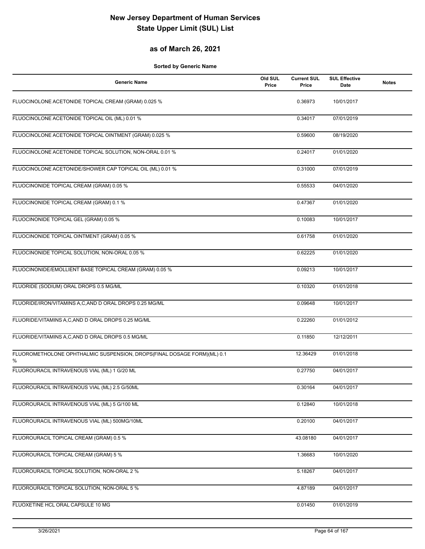### **as of March 26, 2021**

| <b>Generic Name</b>                                                          | Old SUL<br>Price | <b>Current SUL</b><br>Price | <b>SUL Effective</b><br>Date | <b>Notes</b> |
|------------------------------------------------------------------------------|------------------|-----------------------------|------------------------------|--------------|
| FLUOCINOLONE ACETONIDE TOPICAL CREAM (GRAM) 0.025 %                          |                  | 0.36973                     | 10/01/2017                   |              |
| FLUOCINOLONE ACETONIDE TOPICAL OIL (ML) 0.01 %                               |                  | 0.34017                     | 07/01/2019                   |              |
| FLUOCINOLONE ACETONIDE TOPICAL OINTMENT (GRAM) 0.025 %                       |                  | 0.59600                     | 08/19/2020                   |              |
| FLUOCINOLONE ACETONIDE TOPICAL SOLUTION, NON-ORAL 0.01 %                     |                  | 0.24017                     | 01/01/2020                   |              |
| FLUOCINOLONE ACETONIDE/SHOWER CAP TOPICAL OIL (ML) 0.01 %                    |                  | 0.31000                     | 07/01/2019                   |              |
| FLUOCINONIDE TOPICAL CREAM (GRAM) 0.05 %                                     |                  | 0.55533                     | 04/01/2020                   |              |
| FLUOCINONIDE TOPICAL CREAM (GRAM) 0.1 %                                      |                  | 0.47367                     | 01/01/2020                   |              |
| FLUOCINONIDE TOPICAL GEL (GRAM) 0.05 %                                       |                  | 0.10083                     | 10/01/2017                   |              |
| FLUOCINONIDE TOPICAL OINTMENT (GRAM) 0.05 %                                  |                  | 0.61758                     | 01/01/2020                   |              |
| FLUOCINONIDE TOPICAL SOLUTION, NON-ORAL 0.05 %                               |                  | 0.62225                     | 01/01/2020                   |              |
| FLUOCINONIDE/EMOLLIENT BASE TOPICAL CREAM (GRAM) 0.05 %                      |                  | 0.09213                     | 10/01/2017                   |              |
| FLUORIDE (SODIUM) ORAL DROPS 0.5 MG/ML                                       |                  | 0.10320                     | 01/01/2018                   |              |
| FLUORIDE/IRON/VITAMINS A,C,AND D ORAL DROPS 0.25 MG/ML                       |                  | 0.09648                     | 10/01/2017                   |              |
| FLUORIDE/VITAMINS A,C,AND D ORAL DROPS 0.25 MG/ML                            |                  | 0.22260                     | 01/01/2012                   |              |
| FLUORIDE/VITAMINS A,C,AND D ORAL DROPS 0.5 MG/ML                             |                  | 0.11850                     | 12/12/2011                   |              |
| FLUOROMETHOLONE OPHTHALMIC SUSPENSION, DROPS(FINAL DOSAGE FORM)(ML) 0.1<br>% |                  | 12.36429                    | 01/01/2018                   |              |
| FLUOROURACIL INTRAVENOUS VIAL (ML) 1 G/20 ML                                 |                  | 0.27750                     | 04/01/2017                   |              |
| FLUOROURACIL INTRAVENOUS VIAL (ML) 2.5 G/50ML                                |                  | 0.30164                     | 04/01/2017                   |              |
| FLUOROURACIL INTRAVENOUS VIAL (ML) 5 G/100 ML                                |                  | 0.12840                     | 10/01/2018                   |              |
| FLUOROURACIL INTRAVENOUS VIAL (ML) 500MG/10ML                                |                  | 0.20100                     | 04/01/2017                   |              |
| FLUOROURACIL TOPICAL CREAM (GRAM) 0.5 %                                      |                  | 43.08180                    | 04/01/2017                   |              |
| FLUOROURACIL TOPICAL CREAM (GRAM) 5 %                                        |                  | 1.36683                     | 10/01/2020                   |              |
| FLUOROURACIL TOPICAL SOLUTION, NON-ORAL 2 %                                  |                  | 5.18267                     | 04/01/2017                   |              |
| FLUOROURACIL TOPICAL SOLUTION, NON-ORAL 5 %                                  |                  | 4.87189                     | 04/01/2017                   |              |
| FLUOXETINE HCL ORAL CAPSULE 10 MG                                            |                  | 0.01450                     | 01/01/2019                   |              |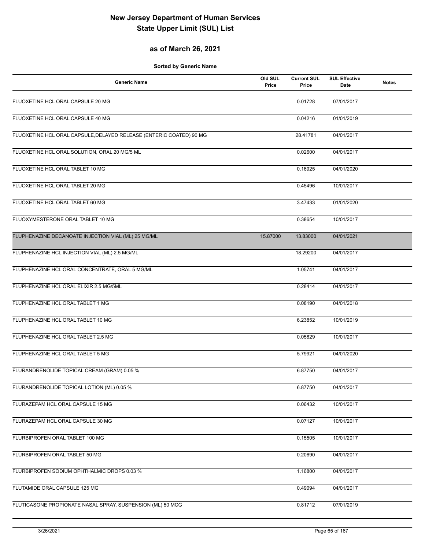### **as of March 26, 2021**

| <b>Generic Name</b>                                                 | Old SUL<br>Price | <b>Current SUL</b><br>Price | <b>SUL Effective</b><br>Date | <b>Notes</b> |
|---------------------------------------------------------------------|------------------|-----------------------------|------------------------------|--------------|
| FLUOXETINE HCL ORAL CAPSULE 20 MG                                   |                  | 0.01728                     | 07/01/2017                   |              |
| FLUOXETINE HCL ORAL CAPSULE 40 MG                                   |                  | 0.04216                     | 01/01/2019                   |              |
| FLUOXETINE HCL ORAL CAPSULE, DELAYED RELEASE (ENTERIC COATED) 90 MG |                  | 28.41781                    | 04/01/2017                   |              |
| FLUOXETINE HCL ORAL SOLUTION, ORAL 20 MG/5 ML                       |                  | 0.02600                     | 04/01/2017                   |              |
| FLUOXETINE HCL ORAL TABLET 10 MG                                    |                  | 0.16925                     | 04/01/2020                   |              |
| FLUOXETINE HCL ORAL TABLET 20 MG                                    |                  | 0.45496                     | 10/01/2017                   |              |
| FLUOXETINE HCL ORAL TABLET 60 MG                                    |                  | 3.47433                     | 01/01/2020                   |              |
| FLUOXYMESTERONE ORAL TABLET 10 MG                                   |                  | 0.38654                     | 10/01/2017                   |              |
| FLUPHENAZINE DECANOATE INJECTION VIAL (ML) 25 MG/ML                 | 15.87000         | 13.83000                    | 04/01/2021                   |              |
| FLUPHENAZINE HCL INJECTION VIAL (ML) 2.5 MG/ML                      |                  | 18.29200                    | 04/01/2017                   |              |
| FLUPHENAZINE HCL ORAL CONCENTRATE, ORAL 5 MG/ML                     |                  | 1.05741                     | 04/01/2017                   |              |
| FLUPHENAZINE HCL ORAL ELIXIR 2.5 MG/5ML                             |                  | 0.28414                     | 04/01/2017                   |              |
| FLUPHENAZINE HCL ORAL TABLET 1 MG                                   |                  | 0.08190                     | 04/01/2018                   |              |
| FLUPHENAZINE HCL ORAL TABLET 10 MG                                  |                  | 6.23852                     | 10/01/2019                   |              |
| FLUPHENAZINE HCL ORAL TABLET 2.5 MG                                 |                  | 0.05829                     | 10/01/2017                   |              |
| FLUPHENAZINE HCL ORAL TABLET 5 MG                                   |                  | 5.79921                     | 04/01/2020                   |              |
| FLURANDRENOLIDE TOPICAL CREAM (GRAM) 0.05 %                         |                  | 6.87750                     | 04/01/2017                   |              |
| FLURANDRENOLIDE TOPICAL LOTION (ML) 0.05 %                          |                  | 6.87750                     | 04/01/2017                   |              |
| FLURAZEPAM HCL ORAL CAPSULE 15 MG                                   |                  | 0.06432                     | 10/01/2017                   |              |
| FLURAZEPAM HCL ORAL CAPSULE 30 MG                                   |                  | 0.07127                     | 10/01/2017                   |              |
| FLURBIPROFEN ORAL TABLET 100 MG                                     |                  | 0.15505                     | 10/01/2017                   |              |
| FLURBIPROFEN ORAL TABLET 50 MG                                      |                  | 0.20690                     | 04/01/2017                   |              |
| FLURBIPROFEN SODIUM OPHTHALMIC DROPS 0.03 %                         |                  | 1.16800                     | 04/01/2017                   |              |
| FLUTAMIDE ORAL CAPSULE 125 MG                                       |                  | 0.49094                     | 04/01/2017                   |              |
| FLUTICASONE PROPIONATE NASAL SPRAY, SUSPENSION (ML) 50 MCG          |                  | 0.81712                     | 07/01/2019                   |              |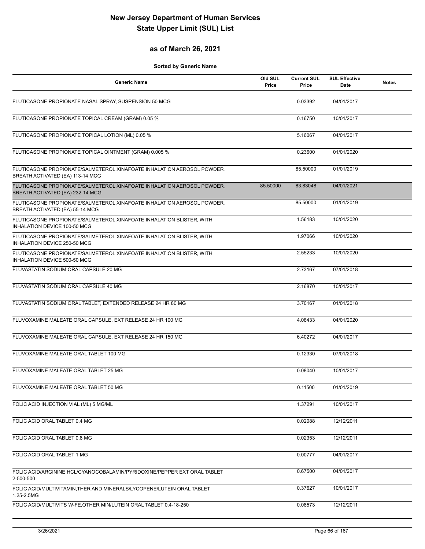### **as of March 26, 2021**

| <b>Generic Name</b>                                                                                        | Old SUL<br>Price | <b>Current SUL</b><br>Price | <b>SUL Effective</b><br>Date | <b>Notes</b> |
|------------------------------------------------------------------------------------------------------------|------------------|-----------------------------|------------------------------|--------------|
| FLUTICASONE PROPIONATE NASAL SPRAY, SUSPENSION 50 MCG                                                      |                  | 0.03392                     | 04/01/2017                   |              |
| FLUTICASONE PROPIONATE TOPICAL CREAM (GRAM) 0.05 %                                                         |                  | 0.16750                     | 10/01/2017                   |              |
| FLUTICASONE PROPIONATE TOPICAL LOTION (ML) 0.05 %                                                          |                  | 5.16067                     | 04/01/2017                   |              |
| FLUTICASONE PROPIONATE TOPICAL OINTMENT (GRAM) 0.005 %                                                     |                  | 0.23600                     | 01/01/2020                   |              |
| FLUTICASONE PROPIONATE/SALMETEROL XINAFOATE INHALATION AEROSOL POWDER,<br>BREATH ACTIVATED (EA) 113-14 MCG |                  | 85.50000                    | 01/01/2019                   |              |
| FLUTICASONE PROPIONATE/SALMETEROL XINAFOATE INHALATION AEROSOL POWDER,<br>BREATH ACTIVATED (EA) 232-14 MCG | 85.50000         | 83.83048                    | 04/01/2021                   |              |
| FLUTICASONE PROPIONATE/SALMETEROL XINAFOATE INHALATION AEROSOL POWDER,<br>BREATH ACTIVATED (EA) 55-14 MCG  |                  | 85.50000                    | 01/01/2019                   |              |
| FLUTICASONE PROPIONATE/SALMETEROL XINAFOATE INHALATION BLISTER, WITH<br>INHALATION DEVICE 100-50 MCG       |                  | 1.56183                     | 10/01/2020                   |              |
| FLUTICASONE PROPIONATE/SALMETEROL XINAFOATE INHALATION BLISTER, WITH<br>INHALATION DEVICE 250-50 MCG       |                  | 1.97066                     | 10/01/2020                   |              |
| FLUTICASONE PROPIONATE/SALMETEROL XINAFOATE INHALATION BLISTER, WITH<br>INHALATION DEVICE 500-50 MCG       |                  | 2.55233                     | 10/01/2020                   |              |
| FLUVASTATIN SODIUM ORAL CAPSULE 20 MG                                                                      |                  | 2.73167                     | 07/01/2018                   |              |
| FLUVASTATIN SODIUM ORAL CAPSULE 40 MG                                                                      |                  | 2.16870                     | 10/01/2017                   |              |
| FLUVASTATIN SODIUM ORAL TABLET, EXTENDED RELEASE 24 HR 80 MG                                               |                  | 3.70167                     | 01/01/2018                   |              |
| FLUVOXAMINE MALEATE ORAL CAPSULE, EXT RELEASE 24 HR 100 MG                                                 |                  | 4.08433                     | 04/01/2020                   |              |
| FLUVOXAMINE MALEATE ORAL CAPSULE, EXT RELEASE 24 HR 150 MG                                                 |                  | 6.40272                     | 04/01/2017                   |              |
| FLUVOXAMINE MALEATE ORAL TABLET 100 MG                                                                     |                  | 0.12330                     | 07/01/2018                   |              |
| FLUVOXAMINE MALEATE ORAL TABLET 25 MG                                                                      |                  | 0.08040                     | 10/01/2017                   |              |
| FLUVOXAMINE MALEATE ORAL TABLET 50 MG                                                                      |                  | 0.11500                     | 01/01/2019                   |              |
| FOLIC ACID INJECTION VIAL (ML) 5 MG/ML                                                                     |                  | 1.37291                     | 10/01/2017                   |              |
| FOLIC ACID ORAL TABLET 0.4 MG                                                                              |                  | 0.02088                     | 12/12/2011                   |              |
| FOLIC ACID ORAL TABLET 0.8 MG                                                                              |                  | 0.02353                     | 12/12/2011                   |              |
| FOLIC ACID ORAL TABLET 1 MG                                                                                |                  | 0.00777                     | 04/01/2017                   |              |
| FOLIC ACID/ARGININE HCL/CYANOCOBALAMIN/PYRIDOXINE/PEPPER EXT ORAL TABLET<br>2-500-500                      |                  | 0.67500                     | 04/01/2017                   |              |
| FOLIC ACID/MULTIVITAMIN, THER AND MINERALS/LYCOPENE/LUTEIN ORAL TABLET<br>1.25-2.5MG                       |                  | 0.37627                     | 10/01/2017                   |              |
| FOLIC ACID/MULTIVITS W-FE, OTHER MIN/LUTEIN ORAL TABLET 0.4-18-250                                         |                  | 0.08573                     | 12/12/2011                   |              |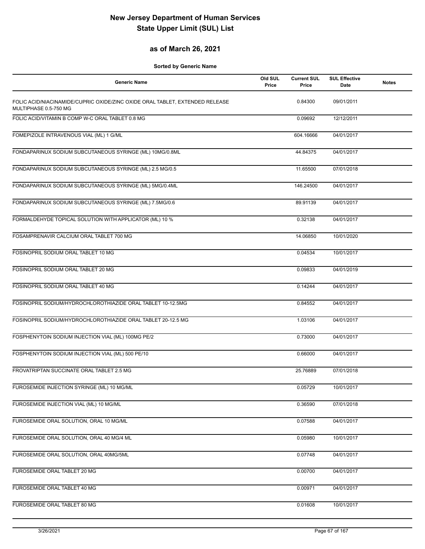### **as of March 26, 2021**

| <b>Generic Name</b>                                                                                   | Old SUL<br>Price | <b>Current SUL</b><br>Price | <b>SUL Effective</b><br>Date | <b>Notes</b> |
|-------------------------------------------------------------------------------------------------------|------------------|-----------------------------|------------------------------|--------------|
| FOLIC ACID/NIACINAMIDE/CUPRIC OXIDE/ZINC OXIDE ORAL TABLET, EXTENDED RELEASE<br>MULTIPHASE 0.5-750 MG |                  | 0.84300                     | 09/01/2011                   |              |
| FOLIC ACID/VITAMIN B COMP W-C ORAL TABLET 0.8 MG                                                      |                  | 0.09692                     | 12/12/2011                   |              |
| FOMEPIZOLE INTRAVENOUS VIAL (ML) 1 G/ML                                                               |                  | 604.16666                   | 04/01/2017                   |              |
| FONDAPARINUX SODIUM SUBCUTANEOUS SYRINGE (ML) 10MG/0.8ML                                              |                  | 44.84375                    | 04/01/2017                   |              |
| FONDAPARINUX SODIUM SUBCUTANEOUS SYRINGE (ML) 2.5 MG/0.5                                              |                  | 11.65500                    | 07/01/2018                   |              |
| FONDAPARINUX SODIUM SUBCUTANEOUS SYRINGE (ML) 5MG/0.4ML                                               |                  | 146.24500                   | 04/01/2017                   |              |
| FONDAPARINUX SODIUM SUBCUTANEOUS SYRINGE (ML) 7.5MG/0.6                                               |                  | 89.91139                    | 04/01/2017                   |              |
| FORMALDEHYDE TOPICAL SOLUTION WITH APPLICATOR (ML) 10 %                                               |                  | 0.32138                     | 04/01/2017                   |              |
| FOSAMPRENAVIR CALCIUM ORAL TABLET 700 MG                                                              |                  | 14.06850                    | 10/01/2020                   |              |
| FOSINOPRIL SODIUM ORAL TABLET 10 MG                                                                   |                  | 0.04534                     | 10/01/2017                   |              |
| FOSINOPRIL SODIUM ORAL TABLET 20 MG                                                                   |                  | 0.09833                     | 04/01/2019                   |              |
| FOSINOPRIL SODIUM ORAL TABLET 40 MG                                                                   |                  | 0.14244                     | 04/01/2017                   |              |
| FOSINOPRIL SODIUM/HYDROCHLOROTHIAZIDE ORAL TABLET 10-12.5MG                                           |                  | 0.84552                     | 04/01/2017                   |              |
| FOSINOPRIL SODIUM/HYDROCHLOROTHIAZIDE ORAL TABLET 20-12.5 MG                                          |                  | 1.03106                     | 04/01/2017                   |              |
| FOSPHENYTOIN SODIUM INJECTION VIAL (ML) 100MG PE/2                                                    |                  | 0.73000                     | 04/01/2017                   |              |
| FOSPHENYTOIN SODIUM INJECTION VIAL (ML) 500 PE/10                                                     |                  | 0.66000                     | 04/01/2017                   |              |
| FROVATRIPTAN SUCCINATE ORAL TABLET 2.5 MG                                                             |                  | 25.76889                    | 07/01/2018                   |              |
| FUROSEMIDE INJECTION SYRINGE (ML) 10 MG/ML                                                            |                  | 0.05729                     | 10/01/2017                   |              |
| FUROSEMIDE INJECTION VIAL (ML) 10 MG/ML                                                               |                  | 0.36590                     | 07/01/2018                   |              |
| FUROSEMIDE ORAL SOLUTION, ORAL 10 MG/ML                                                               |                  | 0.07588                     | 04/01/2017                   |              |
| FUROSEMIDE ORAL SOLUTION, ORAL 40 MG/4 ML                                                             |                  | 0.05980                     | 10/01/2017                   |              |
| FUROSEMIDE ORAL SOLUTION, ORAL 40MG/5ML                                                               |                  | 0.07748                     | 04/01/2017                   |              |
| FUROSEMIDE ORAL TABLET 20 MG                                                                          |                  | 0.00700                     | 04/01/2017                   |              |
| FUROSEMIDE ORAL TABLET 40 MG                                                                          |                  | 0.00971                     | 04/01/2017                   |              |
| FUROSEMIDE ORAL TABLET 80 MG                                                                          |                  | 0.01608                     | 10/01/2017                   |              |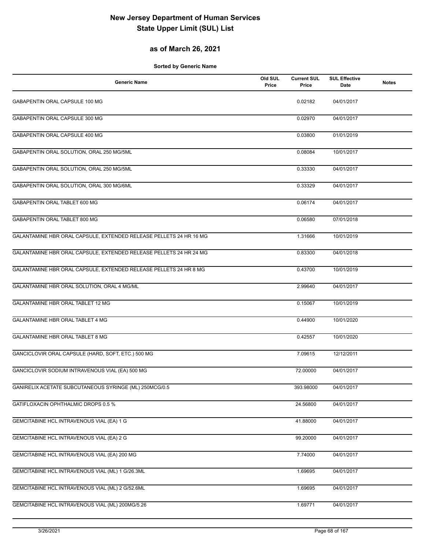### **as of March 26, 2021**

| <b>Generic Name</b>                                                | Old SUL<br>Price | <b>Current SUL</b><br>Price | <b>SUL Effective</b><br>Date | <b>Notes</b> |
|--------------------------------------------------------------------|------------------|-----------------------------|------------------------------|--------------|
| GABAPENTIN ORAL CAPSULE 100 MG                                     |                  | 0.02182                     | 04/01/2017                   |              |
| GABAPENTIN ORAL CAPSULE 300 MG                                     |                  | 0.02970                     | 04/01/2017                   |              |
| GABAPENTIN ORAL CAPSULE 400 MG                                     |                  | 0.03800                     | 01/01/2019                   |              |
| GABAPENTIN ORAL SOLUTION, ORAL 250 MG/5ML                          |                  | 0.08084                     | 10/01/2017                   |              |
| GABAPENTIN ORAL SOLUTION, ORAL 250 MG/5ML                          |                  | 0.33330                     | 04/01/2017                   |              |
| GABAPENTIN ORAL SOLUTION, ORAL 300 MG/6ML                          |                  | 0.33329                     | 04/01/2017                   |              |
| GABAPENTIN ORAL TABLET 600 MG                                      |                  | 0.06174                     | 04/01/2017                   |              |
| GABAPENTIN ORAL TABLET 800 MG                                      |                  | 0.06580                     | 07/01/2018                   |              |
| GALANTAMINE HBR ORAL CAPSULE, EXTENDED RELEASE PELLETS 24 HR 16 MG |                  | 1.31666                     | 10/01/2019                   |              |
| GALANTAMINE HBR ORAL CAPSULE, EXTENDED RELEASE PELLETS 24 HR 24 MG |                  | 0.83300                     | 04/01/2018                   |              |
| GALANTAMINE HBR ORAL CAPSULE, EXTENDED RELEASE PELLETS 24 HR 8 MG  |                  | 0.43700                     | 10/01/2019                   |              |
| GALANTAMINE HBR ORAL SOLUTION, ORAL 4 MG/ML                        |                  | 2.99640                     | 04/01/2017                   |              |
| GALANTAMINE HBR ORAL TABLET 12 MG                                  |                  | 0.15067                     | 10/01/2019                   |              |
| GALANTAMINE HBR ORAL TABLET 4 MG                                   |                  | 0.44900                     | 10/01/2020                   |              |
| GALANTAMINE HBR ORAL TABLET 8 MG                                   |                  | 0.42557                     | 10/01/2020                   |              |
| GANCICLOVIR ORAL CAPSULE (HARD, SOFT, ETC.) 500 MG                 |                  | 7.09615                     | 12/12/2011                   |              |
| GANCICLOVIR SODIUM INTRAVENOUS VIAL (EA) 500 MG                    |                  | 72.00000                    | 04/01/2017                   |              |
| GANIRELIX ACETATE SUBCUTANEOUS SYRINGE (ML) 250MCG/0.5             |                  | 393.98000                   | 04/01/2017                   |              |
| GATIFLOXACIN OPHTHALMIC DROPS 0.5 %                                |                  | 24.56800                    | 04/01/2017                   |              |
| GEMCITABINE HCL INTRAVENOUS VIAL (EA) 1 G                          |                  | 41.88000                    | 04/01/2017                   |              |
| GEMCITABINE HCL INTRAVENOUS VIAL (EA) 2 G                          |                  | 99.20000                    | 04/01/2017                   |              |
| GEMCITABINE HCL INTRAVENOUS VIAL (EA) 200 MG                       |                  | 7.74000                     | 04/01/2017                   |              |
| GEMCITABINE HCL INTRAVENOUS VIAL (ML) 1 G/26.3ML                   |                  | 1.69695                     | 04/01/2017                   |              |
| GEMCITABINE HCL INTRAVENOUS VIAL (ML) 2 G/52.6ML                   |                  | 1.69695                     | 04/01/2017                   |              |
| GEMCITABINE HCL INTRAVENOUS VIAL (ML) 200MG/5.26                   |                  | 1.69771                     | 04/01/2017                   |              |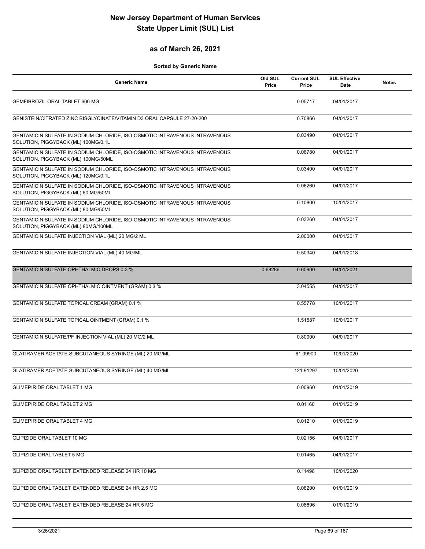### **as of March 26, 2021**

| <b>Generic Name</b>                                                                                               | Old SUL<br>Price | <b>Current SUL</b><br>Price | <b>SUL Effective</b><br>Date | <b>Notes</b> |
|-------------------------------------------------------------------------------------------------------------------|------------------|-----------------------------|------------------------------|--------------|
| GEMFIBROZIL ORAL TABLET 600 MG                                                                                    |                  | 0.05717                     | 04/01/2017                   |              |
| GENISTEIN/CITRATED ZINC BISGLYCINATE/VITAMIN D3 ORAL CAPSULE 27-20-200                                            |                  | 0.70866                     | 04/01/2017                   |              |
| GENTAMICIN SULFATE IN SODIUM CHLORIDE, ISO-OSMOTIC INTRAVENOUS INTRAVENOUS<br>SOLUTION, PIGGYBACK (ML) 100MG/0.1L |                  | 0.03490                     | 04/01/2017                   |              |
| GENTAMICIN SULFATE IN SODIUM CHLORIDE, ISO-OSMOTIC INTRAVENOUS INTRAVENOUS<br>SOLUTION, PIGGYBACK (ML) 100MG/50ML |                  | 0.06780                     | 04/01/2017                   |              |
| GENTAMICIN SULFATE IN SODIUM CHLORIDE, ISO-OSMOTIC INTRAVENOUS INTRAVENOUS<br>SOLUTION, PIGGYBACK (ML) 120MG/0.1L |                  | 0.03400                     | 04/01/2017                   |              |
| GENTAMICIN SULFATE IN SODIUM CHLORIDE, ISO-OSMOTIC INTRAVENOUS INTRAVENOUS<br>SOLUTION, PIGGYBACK (ML) 60 MG/50ML |                  | 0.06260                     | 04/01/2017                   |              |
| GENTAMICIN SULFATE IN SODIUM CHLORIDE, ISO-OSMOTIC INTRAVENOUS INTRAVENOUS<br>SOLUTION, PIGGYBACK (ML) 80 MG/50ML |                  | 0.10800                     | 10/01/2017                   |              |
| GENTAMICIN SULFATE IN SODIUM CHLORIDE, ISO-OSMOTIC INTRAVENOUS INTRAVENOUS<br>SOLUTION, PIGGYBACK (ML) 80MG/100ML |                  | 0.03260                     | 04/01/2017                   |              |
| GENTAMICIN SULFATE INJECTION VIAL (ML) 20 MG/2 ML                                                                 |                  | 2.00000                     | 04/01/2017                   |              |
| GENTAMICIN SULFATE INJECTION VIAL (ML) 40 MG/ML                                                                   |                  | 0.50340                     | 04/01/2018                   |              |
| <b>GENTAMICIN SULFATE OPHTHALMIC DROPS 0.3 %</b>                                                                  | 0.68286          | 0.60900                     | 04/01/2021                   |              |
| GENTAMICIN SULFATE OPHTHALMIC OINTMENT (GRAM) 0.3 %                                                               |                  | 3.04555                     | 04/01/2017                   |              |
| GENTAMICIN SULFATE TOPICAL CREAM (GRAM) 0.1 %                                                                     |                  | 0.55778                     | 10/01/2017                   |              |
| <b>GENTAMICIN SULFATE TOPICAL OINTMENT (GRAM) 0.1 %</b>                                                           |                  | 1.51587                     | 10/01/2017                   |              |
| GENTAMICIN SULFATE/PF INJECTION VIAL (ML) 20 MG/2 ML                                                              |                  | 0.80000                     | 04/01/2017                   |              |
| GLATIRAMER ACETATE SUBCUTANEOUS SYRINGE (ML) 20 MG/ML                                                             |                  | 61.09900                    | 10/01/2020                   |              |
| GLATIRAMER ACETATE SUBCUTANEOUS SYRINGE (ML) 40 MG/ML                                                             |                  | 121.91297                   | 10/01/2020                   |              |
| <b>GLIMEPIRIDE ORAL TABLET 1 MG</b>                                                                               |                  | 0.00960                     | 01/01/2019                   |              |
| <b>GLIMEPIRIDE ORAL TABLET 2 MG</b>                                                                               |                  | 0.01160                     | 01/01/2019                   |              |
| <b>GLIMEPIRIDE ORAL TABLET 4 MG</b>                                                                               |                  | 0.01210                     | 01/01/2019                   |              |
| GLIPIZIDE ORAL TABLET 10 MG                                                                                       |                  | 0.02156                     | 04/01/2017                   |              |
| <b>GLIPIZIDE ORAL TABLET 5 MG</b>                                                                                 |                  | 0.01465                     | 04/01/2017                   |              |
| GLIPIZIDE ORAL TABLET, EXTENDED RELEASE 24 HR 10 MG                                                               |                  | 0.11496                     | 10/01/2020                   |              |
| GLIPIZIDE ORAL TABLET, EXTENDED RELEASE 24 HR 2.5 MG                                                              |                  | 0.08200                     | 01/01/2019                   |              |
| GLIPIZIDE ORAL TABLET, EXTENDED RELEASE 24 HR 5 MG                                                                |                  | 0.08696                     | 01/01/2019                   |              |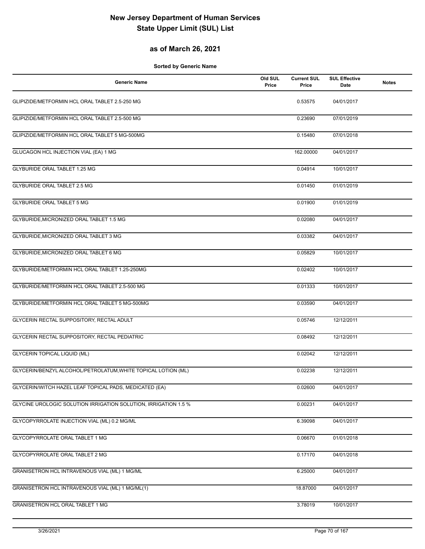#### **as of March 26, 2021**

| <b>Generic Name</b>                                             | Old SUL<br>Price | <b>Current SUL</b><br>Price | <b>SUL Effective</b><br>Date | <b>Notes</b> |
|-----------------------------------------------------------------|------------------|-----------------------------|------------------------------|--------------|
| GLIPIZIDE/METFORMIN HCL ORAL TABLET 2.5-250 MG                  |                  | 0.53575                     | 04/01/2017                   |              |
| GLIPIZIDE/METFORMIN HCL ORAL TABLET 2.5-500 MG                  |                  | 0.23690                     | 07/01/2019                   |              |
| GLIPIZIDE/METFORMIN HCL ORAL TABLET 5 MG-500MG                  |                  | 0.15480                     | 07/01/2018                   |              |
| GLUCAGON HCL INJECTION VIAL (EA) 1 MG                           |                  | 162.00000                   | 04/01/2017                   |              |
| <b>GLYBURIDE ORAL TABLET 1.25 MG</b>                            |                  | 0.04914                     | 10/01/2017                   |              |
| <b>GLYBURIDE ORAL TABLET 2.5 MG</b>                             |                  | 0.01450                     | 01/01/2019                   |              |
| <b>GLYBURIDE ORAL TABLET 5 MG</b>                               |                  | 0.01900                     | 01/01/2019                   |              |
| GLYBURIDE, MICRONIZED ORAL TABLET 1.5 MG                        |                  | 0.02080                     | 04/01/2017                   |              |
| GLYBURIDE, MICRONIZED ORAL TABLET 3 MG                          |                  | 0.03382                     | 04/01/2017                   |              |
| GLYBURIDE, MICRONIZED ORAL TABLET 6 MG                          |                  | 0.05829                     | 10/01/2017                   |              |
| GLYBURIDE/METFORMIN HCL ORAL TABLET 1.25-250MG                  |                  | 0.02402                     | 10/01/2017                   |              |
| GLYBURIDE/METFORMIN HCL ORAL TABLET 2.5-500 MG                  |                  | 0.01333                     | 10/01/2017                   |              |
| GLYBURIDE/METFORMIN HCL ORAL TABLET 5 MG-500MG                  |                  | 0.03590                     | 04/01/2017                   |              |
| GLYCERIN RECTAL SUPPOSITORY, RECTAL ADULT                       |                  | 0.05746                     | 12/12/2011                   |              |
| GLYCERIN RECTAL SUPPOSITORY, RECTAL PEDIATRIC                   |                  | 0.08492                     | 12/12/2011                   |              |
| <b>GLYCERIN TOPICAL LIQUID (ML)</b>                             |                  | 0.02042                     | 12/12/2011                   |              |
| GLYCERIN/BENZYL ALCOHOL/PETROLATUM, WHITE TOPICAL LOTION (ML)   |                  | 0.02238                     | 12/12/2011                   |              |
| GLYCERIN/WITCH HAZEL LEAF TOPICAL PADS, MEDICATED (EA)          |                  | 0.02600                     | 04/01/2017                   |              |
| GLYCINE UROLOGIC SOLUTION IRRIGATION SOLUTION, IRRIGATION 1.5 % |                  | 0.00231                     | 04/01/2017                   |              |
| GLYCOPYRROLATE INJECTION VIAL (ML) 0.2 MG/ML                    |                  | 6.39098                     | 04/01/2017                   |              |
| GLYCOPYRROLATE ORAL TABLET 1 MG                                 |                  | 0.06670                     | 01/01/2018                   |              |
| GLYCOPYRROLATE ORAL TABLET 2 MG                                 |                  | 0.17170                     | 04/01/2018                   |              |
| GRANISETRON HCL INTRAVENOUS VIAL (ML) 1 MG/ML                   |                  | 6.25000                     | 04/01/2017                   |              |
| GRANISETRON HCL INTRAVENOUS VIAL (ML) 1 MG/ML(1)                |                  | 18.87000                    | 04/01/2017                   |              |
| GRANISETRON HCL ORAL TABLET 1 MG                                |                  | 3.78019                     | 10/01/2017                   |              |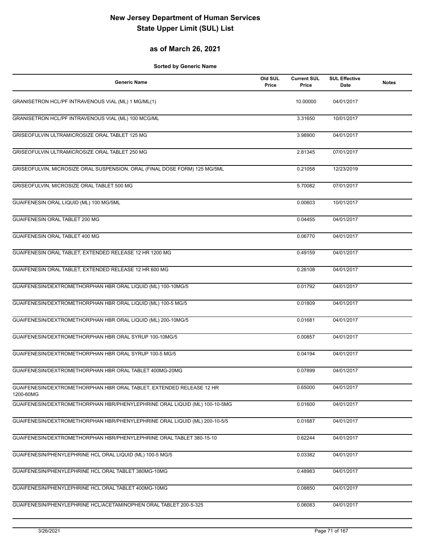#### **as of March 26, 2021**

| <b>Generic Name</b>                                                               | Old SUL<br>Price | <b>Current SUL</b><br>Price | <b>SUL Effective</b><br>Date | <b>Notes</b> |
|-----------------------------------------------------------------------------------|------------------|-----------------------------|------------------------------|--------------|
| GRANISETRON HCL/PF INTRAVENOUS VIAL (ML) 1 MG/ML(1)                               |                  | 10.00000                    | 04/01/2017                   |              |
| GRANISETRON HCL/PF INTRAVENOUS VIAL (ML) 100 MCG/ML                               |                  | 3.31650                     | 10/01/2017                   |              |
| GRISEOFULVIN ULTRAMICROSIZE ORAL TABLET 125 MG                                    |                  | 3.98900                     | 04/01/2017                   |              |
| GRISEOFULVIN ULTRAMICROSIZE ORAL TABLET 250 MG                                    |                  | 2.81345                     | 07/01/2017                   |              |
| GRISEOFULVIN, MICROSIZE ORAL SUSPENSION, ORAL (FINAL DOSE FORM) 125 MG/5ML        |                  | 0.21058                     | 12/23/2019                   |              |
| GRISEOFULVIN, MICROSIZE ORAL TABLET 500 MG                                        |                  | 5.70082                     | 07/01/2017                   |              |
| GUAIFENESIN ORAL LIQUID (ML) 100 MG/5ML                                           |                  | 0.00603                     | 10/01/2017                   |              |
| GUAIFENESIN ORAL TABLET 200 MG                                                    |                  | 0.04455                     | 04/01/2017                   |              |
| GUAIFENESIN ORAL TABLET 400 MG                                                    |                  | 0.06770                     | 04/01/2017                   |              |
| GUAIFENESIN ORAL TABLET, EXTENDED RELEASE 12 HR 1200 MG                           |                  | 0.49159                     | 04/01/2017                   |              |
| GUAIFENESIN ORAL TABLET, EXTENDED RELEASE 12 HR 600 MG                            |                  | 0.26108                     | 04/01/2017                   |              |
| GUAIFENESIN/DEXTROMETHORPHAN HBR ORAL LIQUID (ML) 100-10MG/5                      |                  | 0.01792                     | 04/01/2017                   |              |
| GUAIFENESIN/DEXTROMETHORPHAN HBR ORAL LIQUID (ML) 100-5 MG/5                      |                  | 0.01809                     | 04/01/2017                   |              |
| GUAIFENESIN/DEXTROMETHORPHAN HBR ORAL LIQUID (ML) 200-10MG/5                      |                  | 0.01681                     | 04/01/2017                   |              |
| GUAIFENESIN/DEXTROMETHORPHAN HBR ORAL SYRUP 100-10MG/5                            |                  | 0.00857                     | 04/01/2017                   |              |
| GUAIFENESIN/DEXTROMETHORPHAN HBR ORAL SYRUP 100-5 MG/5                            |                  | 0.04194                     | 04/01/2017                   |              |
| GUAIFENESIN/DEXTROMETHORPHAN HBR ORAL TABLET 400MG-20MG                           |                  | 0.07899                     | 04/01/2017                   |              |
| GUAIFENESIN/DEXTROMETHORPHAN HBR ORAL TABLET, EXTENDED RELEASE 12 HR<br>1200-60MG |                  | 0.65000                     | 04/01/2017                   |              |
| GUAIFENESIN/DEXTROMETHORPHAN HBR/PHENYLEPHRINE ORAL LIQUID (ML) 100-10-5MG        |                  | 0.01600                     | 04/01/2017                   |              |
| GUAIFENESIN/DEXTROMETHORPHAN HBR/PHENYLEPHRINE ORAL LIQUID (ML) 200-10-5/5        |                  | 0.01687                     | 04/01/2017                   |              |
| GUAIFENESIN/DEXTROMETHORPHAN HBR/PHENYLEPHRINE ORAL TABLET 380-15-10              |                  | 0.62244                     | 04/01/2017                   |              |
| GUAIFENESIN/PHENYLEPHRINE HCL ORAL LIQUID (ML) 100-5 MG/5                         |                  | 0.03382                     | 04/01/2017                   |              |
| GUAIFENESIN/PHENYLEPHRINE HCL ORAL TABLET 380MG-10MG                              |                  | 0.48983                     | 04/01/2017                   |              |
| GUAIFENESIN/PHENYLEPHRINE HCL ORAL TABLET 400MG-10MG                              |                  | 0.08850                     | 04/01/2017                   |              |
| GUAIFENESIN/PHENYLEPHRINE HCL/ACETAMINOPHEN ORAL TABLET 200-5-325                 |                  | 0.06083                     | 04/01/2017                   |              |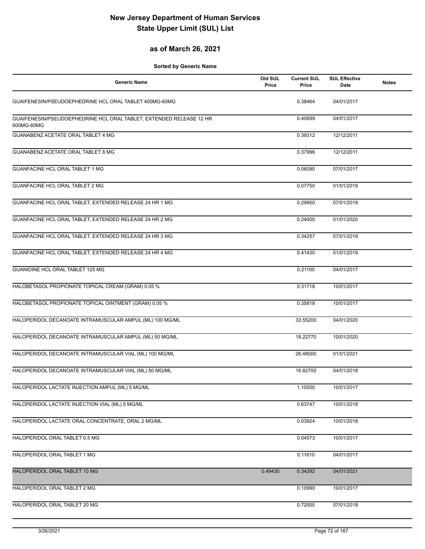#### **as of March 26, 2021**

| <b>Generic Name</b>                                                               | Old SUL<br>Price | <b>Current SUL</b><br>Price | <b>SUL Effective</b><br><b>Date</b> | <b>Notes</b> |
|-----------------------------------------------------------------------------------|------------------|-----------------------------|-------------------------------------|--------------|
| GUAIFENESIN/PSEUDOEPHEDRINE HCL ORAL TABLET 400MG-60MG                            |                  | 0.38464                     | 04/01/2017                          |              |
| GUAIFENESIN/PSEUDOEPHEDRINE HCL ORAL TABLET, EXTENDED RELEASE 12 HR<br>600MG-60MG |                  | 0.40699                     | 04/01/2017                          |              |
| <b>GUANABENZ ACETATE ORAL TABLET 4 MG</b>                                         |                  | 0.39312                     | 12/12/2011                          |              |
| GUANABENZ ACETATE ORAL TABLET 8 MG                                                |                  | 0.37996                     | 12/12/2011                          |              |
| <b>GUANFACINE HCL ORAL TABLET 1 MG</b>                                            |                  | 0.06090                     | 07/01/2017                          |              |
| <b>GUANFACINE HCL ORAL TABLET 2 MG</b>                                            |                  | 0.07750                     | 01/01/2019                          |              |
| GUANFACINE HCL ORAL TABLET, EXTENDED RELEASE 24 HR 1 MG                           |                  | 0.29950                     | 07/01/2019                          |              |
| GUANFACINE HCL ORAL TABLET, EXTENDED RELEASE 24 HR 2 MG                           |                  | 0.24000                     | 01/01/2020                          |              |
| GUANFACINE HCL ORAL TABLET, EXTENDED RELEASE 24 HR 3 MG                           |                  | 0.34257                     | 07/01/2019                          |              |
| GUANFACINE HCL ORAL TABLET, EXTENDED RELEASE 24 HR 4 MG                           |                  | 0.41430                     | 01/01/2019                          |              |
| GUANIDINE HCL ORAL TABLET 125 MG                                                  |                  | 0.21100                     | 04/01/2017                          |              |
| HALOBETASOL PROPIONATE TOPICAL CREAM (GRAM) 0.05 %                                |                  | 0.31718                     | 10/01/2017                          |              |
| HALOBETASOL PROPIONATE TOPICAL OINTMENT (GRAM) 0.05 %                             |                  | 0.35818                     | 10/01/2017                          |              |
| HALOPERIDOL DECANOATE INTRAMUSCULAR AMPUL (ML) 100 MG/ML                          |                  | 33.55200                    | 04/01/2020                          |              |
| HALOPERIDOL DECANOATE INTRAMUSCULAR AMPUL (ML) 50 MG/ML                           |                  | 18.22770                    | 10/01/2020                          |              |
| HALOPERIDOL DECANOATE INTRAMUSCULAR VIAL (ML) 100 MG/ML                           |                  | 26.48000                    | 01/01/2021                          |              |
| HALOPERIDOL DECANOATE INTRAMUSCULAR VIAL (ML) 50 MG/ML                            |                  | 16.82700                    | 04/01/2018                          |              |
| HALOPERIDOL LACTATE INJECTION AMPUL (ML) 5 MG/ML                                  |                  | 1.10550                     | 10/01/2017                          |              |
| HALOPERIDOL LACTATE INJECTION VIAL (ML) 5 MG/ML                                   |                  | 0.63747                     | 10/01/2018                          |              |
| HALOPERIDOL LACTATE ORAL CONCENTRATE, ORAL 2 MG/ML                                |                  | 0.03924                     | 10/01/2018                          |              |
| HALOPERIDOL ORAL TABLET 0.5 MG                                                    |                  | 0.04573                     | 10/01/2017                          |              |
| HALOPERIDOL ORAL TABLET 1 MG                                                      |                  | 0.11610                     | 04/01/2017                          |              |
| HALOPERIDOL ORAL TABLET 10 MG                                                     | 0.49430          | 0.34292                     | 04/01/2021                          |              |
| HALOPERIDOL ORAL TABLET 2 MG                                                      |                  | 0.10990                     | 10/01/2017                          |              |
| HALOPERIDOL ORAL TABLET 20 MG                                                     |                  | 0.72000                     | 07/01/2018                          |              |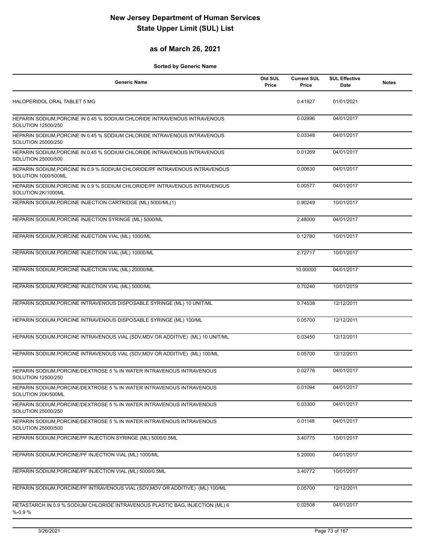### **as of March 26, 2021**

| <b>Generic Name</b>                                                                               | Old SUL<br>Price | <b>Current SUL</b><br>Price | <b>SUL Effective</b><br><b>Date</b> | <b>Notes</b> |
|---------------------------------------------------------------------------------------------------|------------------|-----------------------------|-------------------------------------|--------------|
| HALOPERIDOL ORAL TABLET 5 MG                                                                      |                  | 0.41927                     | 01/01/2021                          |              |
| HEPARIN SODIUM, PORCINE IN 0.45 % SODIUM CHLORIDE INTRAVENOUS INTRAVENOUS<br>SOLUTION 12500/250   |                  | 0.02896                     | 04/01/2017                          |              |
| HEPARIN SODIUM, PORCINE IN 0.45 % SODIUM CHLORIDE INTRAVENOUS INTRAVENOUS<br>SOLUTION 25000/250   |                  | 0.03348                     | 04/01/2017                          |              |
| HEPARIN SODIUM PORCINE IN 0.45 % SODIUM CHLORIDE INTRAVENOUS INTRAVENOUS<br>SOLUTION 25000/500    |                  | 0.01269                     | 04/01/2017                          |              |
| HEPARIN SODIUM PORCINE IN 0.9 % SODIUM CHLORIDE/PF INTRAVENOUS INTRAVENOUS<br>SOLUTION 1000/500ML |                  | 0.00630                     | 04/01/2017                          |              |
| HEPARIN SODIUM, PORCINE IN 0.9 % SODIUM CHLORIDE/PF INTRAVENOUS INTRAVENOUS<br>SOLUTION 2K/1000ML |                  | 0.00577                     | 04/01/2017                          |              |
| HEPARIN SODIUM, PORCINE INJECTION CARTRIDGE (ML) 5000/ML(1)                                       |                  | 0.90249                     | 10/01/2017                          |              |
| HEPARIN SODIUM, PORCINE INJECTION SYRINGE (ML) 5000/ML                                            |                  | 2.48000                     | 04/01/2017                          |              |
| HEPARIN SODIUM, PORCINE INJECTION VIAL (ML) 1000/ML                                               |                  | 0.12780                     | 10/01/2017                          |              |
| HEPARIN SODIUM, PORCINE INJECTION VIAL (ML) 10000/ML                                              |                  | 2.72717                     | 10/01/2017                          |              |
| HEPARIN SODIUM, PORCINE INJECTION VIAL (ML) 20000/ML                                              |                  | 10.00000                    | 04/01/2017                          |              |
| HEPARIN SODIUM, PORCINE INJECTION VIAL (ML) 5000/ML                                               |                  | 0.70240                     | 10/01/2019                          |              |
| HEPARIN SODIUM, PORCINE INTRAVENOUS DISPOSABLE SYRINGE (ML) 10 UNIT/ML                            |                  | 0.74538                     | 12/12/2011                          |              |
| HEPARIN SODIUM, PORCINE INTRAVENOUS DISPOSABLE SYRINGE (ML) 100/ML                                |                  | 0.05700                     | 12/12/2011                          |              |
| HEPARIN SODIUM, PORCINE INTRAVENOUS VIAL (SDV, MDV OR ADDITIVE) (ML) 10 UNIT/ML                   |                  | 0.03450                     | 12/12/2011                          |              |
| HEPARIN SODIUM, PORCINE INTRAVENOUS VIAL (SDV, MDV OR ADDITIVE) (ML) 100/ML                       |                  | 0.05700                     | 12/12/2011                          |              |
| HEPARIN SODIUM, PORCINE/DEXTROSE 5 % IN WATER INTRAVENOUS INTRAVENOUS<br>SOLUTION 12500/250       |                  | 0.02776                     | 04/01/2017                          |              |
| HEPARIN SODIUM, PORCINE/DEXTROSE 5 % IN WATER INTRAVENOUS INTRAVENOUS<br>SOLUTION 20K/500ML       |                  | 0.01094                     | 04/01/2017                          |              |
| HEPARIN SODIUM, PORCINE/DEXTROSE 5 % IN WATER INTRAVENOUS INTRAVENOUS<br>SOLUTION 25000/250       |                  | 0.03300                     | 04/01/2017                          |              |
| HEPARIN SODIUM, PORCINE/DEXTROSE 5 % IN WATER INTRAVENOUS INTRAVENOUS<br>SOLUTION 25000/500       |                  | 0.01148                     | 04/01/2017                          |              |
| HEPARIN SODIUM, PORCINE/PF INJECTION SYRINGE (ML) 5000/0.5ML                                      |                  | 3.40775                     | 10/01/2017                          |              |
| HEPARIN SODIUM, PORCINE/PF INJECTION VIAL (ML) 1000/ML                                            |                  | 5.20000                     | 04/01/2017                          |              |
| HEPARIN SODIUM, PORCINE/PF INJECTION VIAL (ML) 5000/0.5ML                                         |                  | 3.40772                     | 10/01/2017                          |              |
| HEPARIN SODIUM, PORCINE/PF INTRAVENOUS VIAL (SDV, MDV OR ADDITIVE) (ML) 100/ML                    |                  | 0.05700                     | 12/12/2011                          |              |
| HETASTARCH IN 0.9 % SODIUM CHLORIDE INTRAVENOUS PLASTIC BAG, INJECTION (ML) 6<br>$% -0.9%$        |                  | 0.02508                     | 04/01/2017                          |              |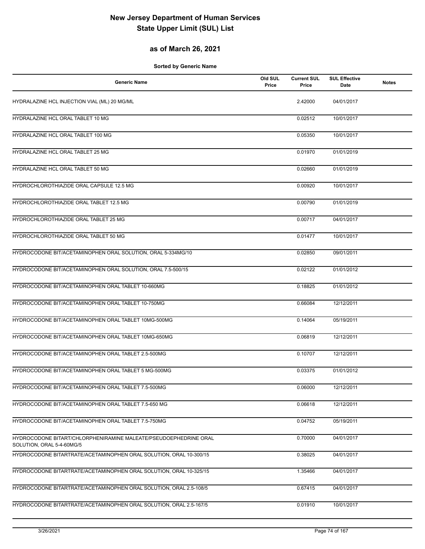### **as of March 26, 2021**

| <b>Generic Name</b>                                                                           | Old SUL<br>Price | <b>Current SUL</b><br>Price | <b>SUL Effective</b><br>Date | <b>Notes</b> |
|-----------------------------------------------------------------------------------------------|------------------|-----------------------------|------------------------------|--------------|
| HYDRALAZINE HCL INJECTION VIAL (ML) 20 MG/ML                                                  |                  | 2.42000                     | 04/01/2017                   |              |
| HYDRALAZINE HCL ORAL TABLET 10 MG                                                             |                  | 0.02512                     | 10/01/2017                   |              |
| HYDRALAZINE HCL ORAL TABLET 100 MG                                                            |                  | 0.05350                     | 10/01/2017                   |              |
| HYDRALAZINE HCL ORAL TABLET 25 MG                                                             |                  | 0.01970                     | 01/01/2019                   |              |
| HYDRALAZINE HCL ORAL TABLET 50 MG                                                             |                  | 0.02660                     | 01/01/2019                   |              |
| HYDROCHLOROTHIAZIDE ORAL CAPSULE 12.5 MG                                                      |                  | 0.00920                     | 10/01/2017                   |              |
| HYDROCHLOROTHIAZIDE ORAL TABLET 12.5 MG                                                       |                  | 0.00790                     | 01/01/2019                   |              |
| HYDROCHLOROTHIAZIDE ORAL TABLET 25 MG                                                         |                  | 0.00717                     | 04/01/2017                   |              |
| HYDROCHLOROTHIAZIDE ORAL TABLET 50 MG                                                         |                  | 0.01477                     | 10/01/2017                   |              |
| HYDROCODONE BIT/ACETAMINOPHEN ORAL SOLUTION, ORAL 5-334MG/10                                  |                  | 0.02850                     | 09/01/2011                   |              |
| HYDROCODONE BIT/ACETAMINOPHEN ORAL SOLUTION, ORAL 7.5-500/15                                  |                  | 0.02122                     | 01/01/2012                   |              |
| HYDROCODONE BIT/ACETAMINOPHEN ORAL TABLET 10-660MG                                            |                  | 0.18825                     | 01/01/2012                   |              |
| HYDROCODONE BIT/ACETAMINOPHEN ORAL TABLET 10-750MG                                            |                  | 0.66084                     | 12/12/2011                   |              |
| HYDROCODONE BIT/ACETAMINOPHEN ORAL TABLET 10MG-500MG                                          |                  | 0.14064                     | 05/19/2011                   |              |
| HYDROCODONE BIT/ACETAMINOPHEN ORAL TABLET 10MG-650MG                                          |                  | 0.06819                     | 12/12/2011                   |              |
| HYDROCODONE BIT/ACETAMINOPHEN ORAL TABLET 2.5-500MG                                           |                  | 0.10707                     | 12/12/2011                   |              |
| HYDROCODONE BIT/ACETAMINOPHEN ORAL TABLET 5 MG-500MG                                          |                  | 0.03375                     | 01/01/2012                   |              |
| HYDROCODONE BIT/ACETAMINOPHEN ORAL TABLET 7.5-500MG                                           |                  | 0.06000                     | 12/12/2011                   |              |
| HYDROCODONE BIT/ACETAMINOPHEN ORAL TABLET 7.5-650 MG                                          |                  | 0.06618                     | 12/12/2011                   |              |
| HYDROCODONE BIT/ACETAMINOPHEN ORAL TABLET 7.5-750MG                                           |                  | 0.04752                     | 05/19/2011                   |              |
| HYDROCODONE BITART/CHLORPHENIRAMINE MALEATE/PSEUDOEPHEDRINE ORAL<br>SOLUTION, ORAL 5-4-60MG/5 |                  | 0.70000                     | 04/01/2017                   |              |
| HYDROCODONE BITARTRATE/ACETAMINOPHEN ORAL SOLUTION, ORAL 10-300/15                            |                  | 0.38025                     | 04/01/2017                   |              |
| HYDROCODONE BITARTRATE/ACETAMINOPHEN ORAL SOLUTION, ORAL 10-325/15                            |                  | 1.35466                     | 04/01/2017                   |              |
| HYDROCODONE BITARTRATE/ACETAMINOPHEN ORAL SOLUTION, ORAL 2.5-108/5                            |                  | 0.67415                     | 04/01/2017                   |              |
| HYDROCODONE BITARTRATE/ACETAMINOPHEN ORAL SOLUTION, ORAL 2.5-167/5                            |                  | 0.01910                     | 10/01/2017                   |              |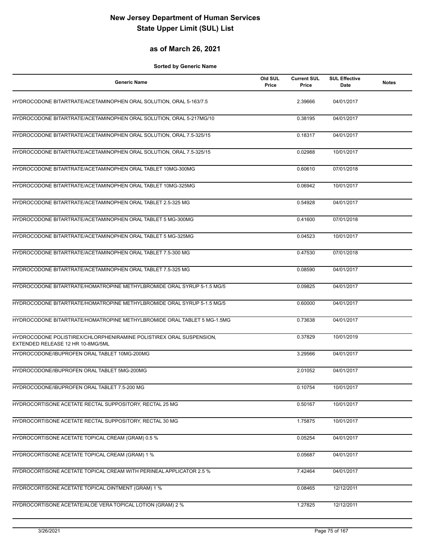### **as of March 26, 2021**

| <b>Generic Name</b>                                                                                      | Old SUL<br>Price | <b>Current SUL</b><br>Price | <b>SUL Effective</b><br>Date | <b>Notes</b> |
|----------------------------------------------------------------------------------------------------------|------------------|-----------------------------|------------------------------|--------------|
| HYDROCODONE BITARTRATE/ACETAMINOPHEN ORAL SOLUTION, ORAL 5-163/7.5                                       |                  | 2.39666                     | 04/01/2017                   |              |
| HYDROCODONE BITARTRATE/ACETAMINOPHEN ORAL SOLUTION, ORAL 5-217MG/10                                      |                  | 0.38195                     | 04/01/2017                   |              |
| HYDROCODONE BITARTRATE/ACETAMINOPHEN ORAL SOLUTION, ORAL 7.5-325/15                                      |                  | 0.18317                     | 04/01/2017                   |              |
| HYDROCODONE BITARTRATE/ACETAMINOPHEN ORAL SOLUTION, ORAL 7.5-325/15                                      |                  | 0.02988                     | 10/01/2017                   |              |
| HYDROCODONE BITARTRATE/ACETAMINOPHEN ORAL TABLET 10MG-300MG                                              |                  | 0.60610                     | 07/01/2018                   |              |
| HYDROCODONE BITARTRATE/ACETAMINOPHEN ORAL TABLET 10MG-325MG                                              |                  | 0.06942                     | 10/01/2017                   |              |
| HYDROCODONE BITARTRATE/ACETAMINOPHEN ORAL TABLET 2.5-325 MG                                              |                  | 0.54928                     | 04/01/2017                   |              |
| HYDROCODONE BITARTRATE/ACETAMINOPHEN ORAL TABLET 5 MG-300MG                                              |                  | 0.41600                     | 07/01/2018                   |              |
| HYDROCODONE BITARTRATE/ACETAMINOPHEN ORAL TABLET 5 MG-325MG                                              |                  | 0.04523                     | 10/01/2017                   |              |
| HYDROCODONE BITARTRATE/ACETAMINOPHEN ORAL TABLET 7.5-300 MG                                              |                  | 0.47530                     | 07/01/2018                   |              |
| HYDROCODONE BITARTRATE/ACETAMINOPHEN ORAL TABLET 7.5-325 MG                                              |                  | 0.08590                     | 04/01/2017                   |              |
| HYDROCODONE BITARTRATE/HOMATROPINE METHYLBROMIDE ORAL SYRUP 5-1.5 MG/5                                   |                  | 0.09825                     | 04/01/2017                   |              |
| HYDROCODONE BITARTRATE/HOMATROPINE METHYLBROMIDE ORAL SYRUP 5-1.5 MG/5                                   |                  | 0.60000                     | 04/01/2017                   |              |
| HYDROCODONE BITARTRATE/HOMATROPINE METHYLBROMIDE ORAL TABLET 5 MG-1.5MG                                  |                  | 0.73638                     | 04/01/2017                   |              |
| HYDROCODONE POLISTIREX/CHLORPHENIRAMINE POLISTIREX ORAL SUSPENSION,<br>EXTENDED RELEASE 12 HR 10-8MG/5ML |                  | 0.37829                     | 10/01/2019                   |              |
| HYDROCODONE/IBUPROFEN ORAL TABLET 10MG-200MG                                                             |                  | 3.29566                     | 04/01/2017                   |              |
| HYDROCODONE/IBUPROFEN ORAL TABLET 5MG-200MG                                                              |                  | 2.01052                     | 04/01/2017                   |              |
| HYDROCODONE/IBUPROFEN ORAL TABLET 7.5-200 MG                                                             |                  | 0.10754                     | 10/01/2017                   |              |
| HYDROCORTISONE ACETATE RECTAL SUPPOSITORY, RECTAL 25 MG                                                  |                  | 0.50167                     | 10/01/2017                   |              |
| HYDROCORTISONE ACETATE RECTAL SUPPOSITORY, RECTAL 30 MG                                                  |                  | 1.75875                     | 10/01/2017                   |              |
| HYDROCORTISONE ACETATE TOPICAL CREAM (GRAM) 0.5 %                                                        |                  | 0.05254                     | 04/01/2017                   |              |
| HYDROCORTISONE ACETATE TOPICAL CREAM (GRAM) 1 %                                                          |                  | 0.05687                     | 04/01/2017                   |              |
| HYDROCORTISONE ACETATE TOPICAL CREAM WITH PERINEAL APPLICATOR 2.5 %                                      |                  | 7.42464                     | 04/01/2017                   |              |
| HYDROCORTISONE ACETATE TOPICAL OINTMENT (GRAM) 1 %                                                       |                  | 0.08465                     | 12/12/2011                   |              |
| HYDROCORTISONE ACETATE/ALOE VERA TOPICAL LOTION (GRAM) 2 %                                               |                  | 1.27825                     | 12/12/2011                   |              |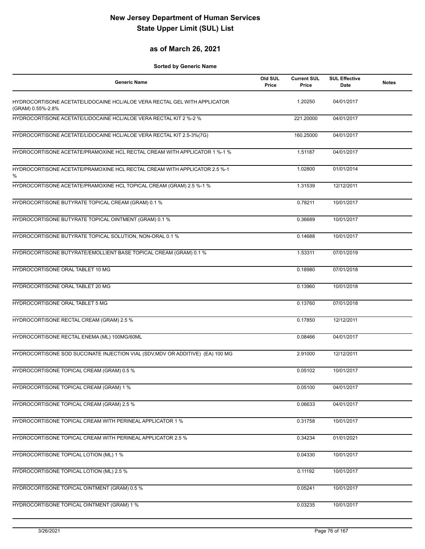### **as of March 26, 2021**

| <b>Generic Name</b>                                                                            | Old SUL<br>Price | <b>Current SUL</b><br>Price | <b>SUL Effective</b><br>Date | <b>Notes</b> |
|------------------------------------------------------------------------------------------------|------------------|-----------------------------|------------------------------|--------------|
| HYDROCORTISONE ACETATE/LIDOCAINE HCL/ALOE VERA RECTAL GEL WITH APPLICATOR<br>(GRAM) 0.55%-2.8% |                  | 1.20250                     | 04/01/2017                   |              |
| HYDROCORTISONE ACETATE/LIDOCAINE HCL/ALOE VERA RECTAL KIT 2 %-2 %                              |                  | 221.20000                   | 04/01/2017                   |              |
| HYDROCORTISONE ACETATE/LIDOCAINE HCL/ALOE VERA RECTAL KIT 2.5-3%(7G)                           |                  | 160.25000                   | 04/01/2017                   |              |
| HYDROCORTISONE ACETATE/PRAMOXINE HCL RECTAL CREAM WITH APPLICATOR 1 %-1 %                      |                  | 1.51187                     | 04/01/2017                   |              |
| HYDROCORTISONE ACETATE/PRAMOXINE HCL RECTAL CREAM WITH APPLICATOR 2.5 %-1<br>%                 |                  | 1.02800                     | 01/01/2014                   |              |
| HYDROCORTISONE ACETATE/PRAMOXINE HCL TOPICAL CREAM (GRAM) 2.5 %-1 %                            |                  | 1.31539                     | 12/12/2011                   |              |
| HYDROCORTISONE BUTYRATE TOPICAL CREAM (GRAM) 0.1 %                                             |                  | 0.78211                     | 10/01/2017                   |              |
| HYDROCORTISONE BUTYRATE TOPICAL OINTMENT (GRAM) 0.1 %                                          |                  | 0.36689                     | 10/01/2017                   |              |
| HYDROCORTISONE BUTYRATE TOPICAL SOLUTION, NON-ORAL 0.1 %                                       |                  | 0.14688                     | 10/01/2017                   |              |
| HYDROCORTISONE BUTYRATE/EMOLLIENT BASE TOPICAL CREAM (GRAM) 0.1 %                              |                  | 1.53311                     | 07/01/2019                   |              |
| HYDROCORTISONE ORAL TABLET 10 MG                                                               |                  | 0.18980                     | 07/01/2018                   |              |
| HYDROCORTISONE ORAL TABLET 20 MG                                                               |                  | 0.13960                     | 10/01/2018                   |              |
| HYDROCORTISONE ORAL TABLET 5 MG                                                                |                  | 0.13760                     | 07/01/2018                   |              |
| HYDROCORTISONE RECTAL CREAM (GRAM) 2.5 %                                                       |                  | 0.17850                     | 12/12/2011                   |              |
| HYDROCORTISONE RECTAL ENEMA (ML) 100MG/60ML                                                    |                  | 0.08466                     | 04/01/2017                   |              |
| HYDROCORTISONE SOD SUCCINATE INJECTION VIAL (SDV, MDV OR ADDITIVE) (EA) 100 MG                 |                  | 2.91000                     | 12/12/2011                   |              |
| HYDROCORTISONE TOPICAL CREAM (GRAM) 0.5 %                                                      |                  | 0.05102                     | 10/01/2017                   |              |
| HYDROCORTISONE TOPICAL CREAM (GRAM) 1 %                                                        |                  | 0.05100                     | 04/01/2017                   |              |
| HYDROCORTISONE TOPICAL CREAM (GRAM) 2.5 %                                                      |                  | 0.06633                     | 04/01/2017                   |              |
| HYDROCORTISONE TOPICAL CREAM WITH PERINEAL APPLICATOR 1 %                                      |                  | 0.31758                     | 10/01/2017                   |              |
| HYDROCORTISONE TOPICAL CREAM WITH PERINEAL APPLICATOR 2.5 %                                    |                  | 0.34234                     | 01/01/2021                   |              |
| HYDROCORTISONE TOPICAL LOTION (ML) 1 %                                                         |                  | 0.04330                     | 10/01/2017                   |              |
| HYDROCORTISONE TOPICAL LOTION (ML) 2.5 %                                                       |                  | 0.11192                     | 10/01/2017                   |              |
| HYDROCORTISONE TOPICAL OINTMENT (GRAM) 0.5 %                                                   |                  | 0.05241                     | 10/01/2017                   |              |
| HYDROCORTISONE TOPICAL OINTMENT (GRAM) 1 %                                                     |                  | 0.03235                     | 10/01/2017                   |              |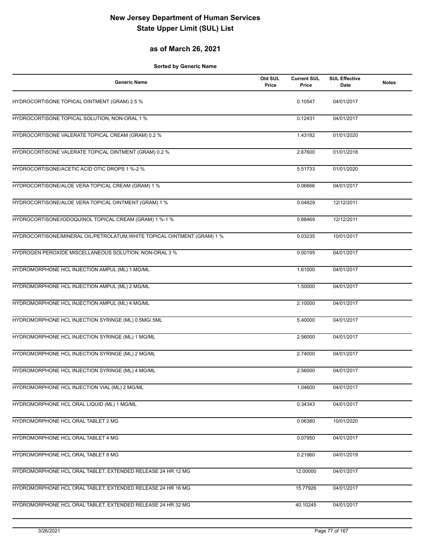### **as of March 26, 2021**

| <b>Generic Name</b>                                                      | Old SUL<br>Price | <b>Current SUL</b><br>Price | <b>SUL Effective</b><br>Date | <b>Notes</b> |
|--------------------------------------------------------------------------|------------------|-----------------------------|------------------------------|--------------|
| HYDROCORTISONE TOPICAL OINTMENT (GRAM) 2.5 %                             |                  | 0.10547                     | 04/01/2017                   |              |
| HYDROCORTISONE TOPICAL SOLUTION, NON-ORAL 1 %                            |                  | 0.12431                     | 04/01/2017                   |              |
| HYDROCORTISONE VALERATE TOPICAL CREAM (GRAM) 0.2 %                       |                  | 1.43182                     | 01/01/2020                   |              |
| HYDROCORTISONE VALERATE TOPICAL OINTMENT (GRAM) 0.2 %                    |                  | 2.67600                     | 01/01/2018                   |              |
| HYDROCORTISONE/ACETIC ACID OTIC DROPS 1 %-2 %                            |                  | 5.51733                     | 01/01/2020                   |              |
| HYDROCORTISONE/ALOE VERA TOPICAL CREAM (GRAM) 1 %                        |                  | 0.06666                     | 04/01/2017                   |              |
| HYDROCORTISONE/ALOE VERA TOPICAL OINTMENT (GRAM) 1 %                     |                  | 0.04829                     | 12/12/2011                   |              |
| HYDROCORTISONE/IODOQUINOL TOPICAL CREAM (GRAM) 1 %-1 %                   |                  | 0.88469                     | 12/12/2011                   |              |
| HYDROCORTISONE/MINERAL OIL/PETROLATUM, WHITE TOPICAL OINTMENT (GRAM) 1 % |                  | 0.03235                     | 10/01/2017                   |              |
| HYDROGEN PEROXIDE MISCELLANEOUS SOLUTION, NON-ORAL 3 %                   |                  | 0.00195                     | 04/01/2017                   |              |
| HYDROMORPHONE HCL INJECTION AMPUL (ML) 1 MG/ML                           |                  | 1.61000                     | 04/01/2017                   |              |
| HYDROMORPHONE HCL INJECTION AMPUL (ML) 2 MG/ML                           |                  | 1.50000                     | 04/01/2017                   |              |
| HYDROMORPHONE HCL INJECTION AMPUL (ML) 4 MG/ML                           |                  | 2.10000                     | 04/01/2017                   |              |
| HYDROMORPHONE HCL INJECTION SYRINGE (ML) 0.5MG/.5ML                      |                  | 5.40000                     | 04/01/2017                   |              |
| HYDROMORPHONE HCL INJECTION SYRINGE (ML) 1 MG/ML                         |                  | 2.56000                     | 04/01/2017                   |              |
| HYDROMORPHONE HCL INJECTION SYRINGE (ML) 2 MG/ML                         |                  | 2.74000                     | 04/01/2017                   |              |
| HYDROMORPHONE HCL INJECTION SYRINGE (ML) 4 MG/ML                         |                  | 2.56000                     | 04/01/2017                   |              |
| HYDROMORPHONE HCL INJECTION VIAL (ML) 2 MG/ML                            |                  | 1.04600                     | 04/01/2017                   |              |
| HYDROMORPHONE HCL ORAL LIQUID (ML) 1 MG/ML                               |                  | 0.34343                     | 04/01/2017                   |              |
| HYDROMORPHONE HCL ORAL TABLET 2 MG                                       |                  | 0.06380                     | 10/01/2020                   |              |
| HYDROMORPHONE HCL ORAL TABLET 4 MG                                       |                  | 0.07950                     | 04/01/2017                   |              |
| HYDROMORPHONE HCL ORAL TABLET 8 MG                                       |                  | 0.21960                     | 04/01/2019                   |              |
| HYDROMORPHONE HCL ORAL TABLET, EXTENDED RELEASE 24 HR 12 MG              |                  | 12.00000                    | 04/01/2017                   |              |
| HYDROMORPHONE HCL ORAL TABLET, EXTENDED RELEASE 24 HR 16 MG              |                  | 15.77926                    | 04/01/2017                   |              |
| HYDROMORPHONE HCL ORAL TABLET, EXTENDED RELEASE 24 HR 32 MG              |                  | 40.10245                    | 04/01/2017                   |              |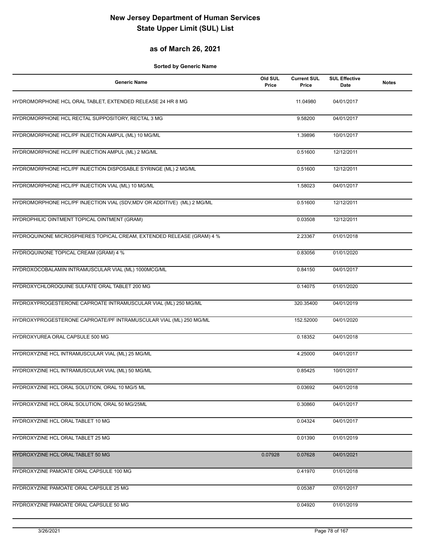### **as of March 26, 2021**

| <b>Generic Name</b>                                                     | Old SUL<br>Price | <b>Current SUL</b><br>Price | <b>SUL Effective</b><br><b>Date</b> | <b>Notes</b> |
|-------------------------------------------------------------------------|------------------|-----------------------------|-------------------------------------|--------------|
| HYDROMORPHONE HCL ORAL TABLET, EXTENDED RELEASE 24 HR 8 MG              |                  | 11.04980                    | 04/01/2017                          |              |
| HYDROMORPHONE HCL RECTAL SUPPOSITORY, RECTAL 3 MG                       |                  | 9.58200                     | 04/01/2017                          |              |
| HYDROMORPHONE HCL/PF INJECTION AMPUL (ML) 10 MG/ML                      |                  | 1.39896                     | 10/01/2017                          |              |
| HYDROMORPHONE HCL/PF INJECTION AMPUL (ML) 2 MG/ML                       |                  | 0.51600                     | 12/12/2011                          |              |
| HYDROMORPHONE HCL/PF INJECTION DISPOSABLE SYRINGE (ML) 2 MG/ML          |                  | 0.51600                     | 12/12/2011                          |              |
| HYDROMORPHONE HCL/PF INJECTION VIAL (ML) 10 MG/ML                       |                  | 1.58023                     | 04/01/2017                          |              |
| HYDROMORPHONE HCL/PF INJECTION VIAL (SDV, MDV OR ADDITIVE) (ML) 2 MG/ML |                  | 0.51600                     | 12/12/2011                          |              |
| HYDROPHILIC OINTMENT TOPICAL OINTMENT (GRAM)                            |                  | 0.03508                     | 12/12/2011                          |              |
| HYDROQUINONE MICROSPHERES TOPICAL CREAM, EXTENDED RELEASE (GRAM) 4 %    |                  | 2.23367                     | 01/01/2018                          |              |
| HYDROQUINONE TOPICAL CREAM (GRAM) 4 %                                   |                  | 0.83056                     | 01/01/2020                          |              |
| HYDROXOCOBALAMIN INTRAMUSCULAR VIAL (ML) 1000MCG/ML                     |                  | 0.84150                     | 04/01/2017                          |              |
| HYDROXYCHLOROQUINE SULFATE ORAL TABLET 200 MG                           |                  | 0.14075                     | 01/01/2020                          |              |
| HYDROXYPROGESTERONE CAPROATE INTRAMUSCULAR VIAL (ML) 250 MG/ML          |                  | 320.35400                   | 04/01/2019                          |              |
| HYDROXYPROGESTERONE CAPROATE/PF INTRAMUSCULAR VIAL (ML) 250 MG/ML       |                  | 152.52000                   | 04/01/2020                          |              |
| HYDROXYUREA ORAL CAPSULE 500 MG                                         |                  | 0.18352                     | 04/01/2018                          |              |
| HYDROXYZINE HCL INTRAMUSCULAR VIAL (ML) 25 MG/ML                        |                  | 4.25000                     | 04/01/2017                          |              |
| HYDROXYZINE HCL INTRAMUSCULAR VIAL (ML) 50 MG/ML                        |                  | 0.85425                     | 10/01/2017                          |              |
| HYDROXYZINE HCL ORAL SOLUTION, ORAL 10 MG/5 ML                          |                  | 0.03692                     | 04/01/2018                          |              |
| HYDROXYZINE HCL ORAL SOLUTION, ORAL 50 MG/25ML                          |                  | 0.30860                     | 04/01/2017                          |              |
| HYDROXYZINE HCL ORAL TABLET 10 MG                                       |                  | 0.04324                     | 04/01/2017                          |              |
| HYDROXYZINE HCL ORAL TABLET 25 MG                                       |                  | 0.01390                     | 01/01/2019                          |              |
| HYDROXYZINE HCL ORAL TABLET 50 MG                                       | 0.07928          | 0.07628                     | 04/01/2021                          |              |
| HYDROXYZINE PAMOATE ORAL CAPSULE 100 MG                                 |                  | 0.41970                     | 01/01/2018                          |              |
| HYDROXYZINE PAMOATE ORAL CAPSULE 25 MG                                  |                  | 0.05387                     | 07/01/2017                          |              |
| HYDROXYZINE PAMOATE ORAL CAPSULE 50 MG                                  |                  | 0.04920                     | 01/01/2019                          |              |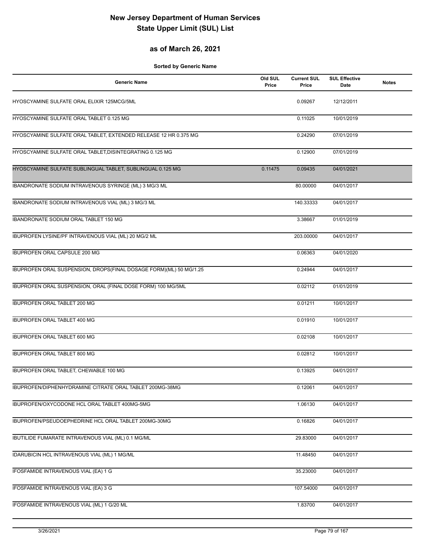### **as of March 26, 2021**

| <b>Generic Name</b>                                                | Old SUL<br>Price | <b>Current SUL</b><br>Price | <b>SUL Effective</b><br>Date | <b>Notes</b> |
|--------------------------------------------------------------------|------------------|-----------------------------|------------------------------|--------------|
| HYOSCYAMINE SULFATE ORAL ELIXIR 125MCG/5ML                         |                  | 0.09267                     | 12/12/2011                   |              |
| HYOSCYAMINE SULFATE ORAL TABLET 0.125 MG                           |                  | 0.11025                     | 10/01/2019                   |              |
| HYOSCYAMINE SULFATE ORAL TABLET, EXTENDED RELEASE 12 HR 0.375 MG   |                  | 0.24290                     | 07/01/2019                   |              |
| HYOSCYAMINE SULFATE ORAL TABLET, DISINTEGRATING 0.125 MG           |                  | 0.12900                     | 07/01/2019                   |              |
| HYOSCYAMINE SULFATE SUBLINGUAL TABLET, SUBLINGUAL 0.125 MG         | 0.11475          | 0.09435                     | 04/01/2021                   |              |
| IBANDRONATE SODIUM INTRAVENOUS SYRINGE (ML) 3 MG/3 ML              |                  | 80.00000                    | 04/01/2017                   |              |
| IBANDRONATE SODIUM INTRAVENOUS VIAL (ML) 3 MG/3 ML                 |                  | 140.33333                   | 04/01/2017                   |              |
| <b>IBANDRONATE SODIUM ORAL TABLET 150 MG</b>                       |                  | 3.38667                     | 01/01/2019                   |              |
| IBUPROFEN LYSINE/PF INTRAVENOUS VIAL (ML) 20 MG/2 ML               |                  | 203.00000                   | 04/01/2017                   |              |
| IBUPROFEN ORAL CAPSULE 200 MG                                      |                  | 0.06363                     | 04/01/2020                   |              |
| IBUPROFEN ORAL SUSPENSION, DROPS(FINAL DOSAGE FORM)(ML) 50 MG/1.25 |                  | 0.24944                     | 04/01/2017                   |              |
| IBUPROFEN ORAL SUSPENSION, ORAL (FINAL DOSE FORM) 100 MG/5ML       |                  | 0.02112                     | 01/01/2019                   |              |
| IBUPROFEN ORAL TABLET 200 MG                                       |                  | 0.01211                     | 10/01/2017                   |              |
| IBUPROFEN ORAL TABLET 400 MG                                       |                  | 0.01910                     | 10/01/2017                   |              |
| IBUPROFEN ORAL TABLET 600 MG                                       |                  | 0.02108                     | 10/01/2017                   |              |
| IBUPROFEN ORAL TABLET 800 MG                                       |                  | 0.02812                     | 10/01/2017                   |              |
| IBUPROFEN ORAL TABLET, CHEWABLE 100 MG                             |                  | 0.13925                     | 04/01/2017                   |              |
| IBUPROFEN/DIPHENHYDRAMINE CITRATE ORAL TABLET 200MG-38MG           |                  | 0.12061                     | 04/01/2017                   |              |
| IBUPROFEN/OXYCODONE HCL ORAL TABLET 400MG-5MG                      |                  | 1.06130                     | 04/01/2017                   |              |
| IBUPROFEN/PSEUDOEPHEDRINE HCL ORAL TABLET 200MG-30MG               |                  | 0.16826                     | 04/01/2017                   |              |
| IBUTILIDE FUMARATE INTRAVENOUS VIAL (ML) 0.1 MG/ML                 |                  | 29.83000                    | 04/01/2017                   |              |
| IDARUBICIN HCL INTRAVENOUS VIAL (ML) 1 MG/ML                       |                  | 11.48450                    | 04/01/2017                   |              |
| IFOSFAMIDE INTRAVENOUS VIAL (EA) 1 G                               |                  | 35.23000                    | 04/01/2017                   |              |
| IFOSFAMIDE INTRAVENOUS VIAL (EA) 3 G                               |                  | 107.54000                   | 04/01/2017                   |              |
| IFOSFAMIDE INTRAVENOUS VIAL (ML) 1 G/20 ML                         |                  | 1.83700                     | 04/01/2017                   |              |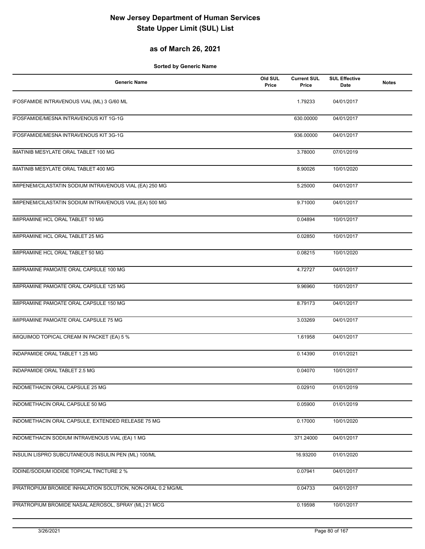### **as of March 26, 2021**

| <b>Generic Name</b>                                         | Old SUL<br>Price | <b>Current SUL</b><br>Price | <b>SUL Effective</b><br>Date | <b>Notes</b> |
|-------------------------------------------------------------|------------------|-----------------------------|------------------------------|--------------|
| IFOSFAMIDE INTRAVENOUS VIAL (ML) 3 G/60 ML                  |                  | 1.79233                     | 04/01/2017                   |              |
| IFOSFAMIDE/MESNA INTRAVENOUS KIT 1G-1G                      |                  | 630.00000                   | 04/01/2017                   |              |
| IFOSFAMIDE/MESNA INTRAVENOUS KIT 3G-1G                      |                  | 936.00000                   | 04/01/2017                   |              |
| IMATINIB MESYLATE ORAL TABLET 100 MG                        |                  | 3.78000                     | 07/01/2019                   |              |
| IMATINIB MESYLATE ORAL TABLET 400 MG                        |                  | 8.90026                     | 10/01/2020                   |              |
| IMIPENEM/CILASTATIN SODIUM INTRAVENOUS VIAL (EA) 250 MG     |                  | 5.25000                     | 04/01/2017                   |              |
| IMIPENEM/CILASTATIN SODIUM INTRAVENOUS VIAL (EA) 500 MG     |                  | 9.71000                     | 04/01/2017                   |              |
| IMIPRAMINE HCL ORAL TABLET 10 MG                            |                  | 0.04894                     | 10/01/2017                   |              |
| IMIPRAMINE HCL ORAL TABLET 25 MG                            |                  | 0.02850                     | 10/01/2017                   |              |
| IMIPRAMINE HCL ORAL TABLET 50 MG                            |                  | 0.08215                     | 10/01/2020                   |              |
| IMIPRAMINE PAMOATE ORAL CAPSULE 100 MG                      |                  | 4.72727                     | 04/01/2017                   |              |
| IMIPRAMINE PAMOATE ORAL CAPSULE 125 MG                      |                  | 9.96960                     | 10/01/2017                   |              |
| IMIPRAMINE PAMOATE ORAL CAPSULE 150 MG                      |                  | 8.79173                     | 04/01/2017                   |              |
| IMIPRAMINE PAMOATE ORAL CAPSULE 75 MG                       |                  | 3.03269                     | 04/01/2017                   |              |
| IMIQUIMOD TOPICAL CREAM IN PACKET (EA) 5 %                  |                  | 1.61958                     | 04/01/2017                   |              |
| INDAPAMIDE ORAL TABLET 1.25 MG                              |                  | 0.14390                     | 01/01/2021                   |              |
| INDAPAMIDE ORAL TABLET 2.5 MG                               |                  | 0.04070                     | 10/01/2017                   |              |
| INDOMETHACIN ORAL CAPSULE 25 MG                             |                  | 0.02910                     | 01/01/2019                   |              |
| INDOMETHACIN ORAL CAPSULE 50 MG                             |                  | 0.05900                     | 01/01/2019                   |              |
| INDOMETHACIN ORAL CAPSULE, EXTENDED RELEASE 75 MG           |                  | 0.17000                     | 10/01/2020                   |              |
| INDOMETHACIN SODIUM INTRAVENOUS VIAL (EA) 1 MG              |                  | 371.24000                   | 04/01/2017                   |              |
| INSULIN LISPRO SUBCUTANEOUS INSULIN PEN (ML) 100/ML         |                  | 16.93200                    | 01/01/2020                   |              |
| IODINE/SODIUM IODIDE TOPICAL TINCTURE 2 %                   |                  | 0.07941                     | 04/01/2017                   |              |
| IPRATROPIUM BROMIDE INHALATION SOLUTION, NON-ORAL 0.2 MG/ML |                  | 0.04733                     | 04/01/2017                   |              |
| IPRATROPIUM BROMIDE NASAL AEROSOL, SPRAY (ML) 21 MCG        |                  | 0.19598                     | 10/01/2017                   |              |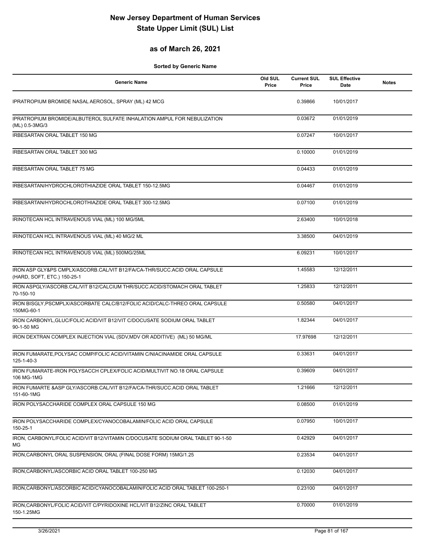### **as of March 26, 2021**

| <b>Generic Name</b>                                                                                      | Old SUL<br>Price | <b>Current SUL</b><br>Price | <b>SUL Effective</b><br>Date | <b>Notes</b> |
|----------------------------------------------------------------------------------------------------------|------------------|-----------------------------|------------------------------|--------------|
| IPRATROPIUM BROMIDE NASAL AEROSOL, SPRAY (ML) 42 MCG                                                     |                  | 0.39866                     | 10/01/2017                   |              |
| IPRATROPIUM BROMIDE/ALBUTEROL SULFATE INHALATION AMPUL FOR NEBULIZATION<br>(ML) 0.5-3MG/3                |                  | 0.03672                     | 01/01/2019                   |              |
| IRBESARTAN ORAL TABLET 150 MG                                                                            |                  | 0.07247                     | 10/01/2017                   |              |
| IRBESARTAN ORAL TABLET 300 MG                                                                            |                  | 0.10000                     | 01/01/2019                   |              |
| <b>IRBESARTAN ORAL TABLET 75 MG</b>                                                                      |                  | 0.04433                     | 01/01/2019                   |              |
| IRBESARTAN/HYDROCHLOROTHIAZIDE ORAL TABLET 150-12.5MG                                                    |                  | 0.04467                     | 01/01/2019                   |              |
| IRBESARTAN/HYDROCHLOROTHIAZIDE ORAL TABLET 300-12.5MG                                                    |                  | 0.07100                     | 01/01/2019                   |              |
| IRINOTECAN HCL INTRAVENOUS VIAL (ML) 100 MG/5ML                                                          |                  | 2.63400                     | 10/01/2018                   |              |
| IRINOTECAN HCL INTRAVENOUS VIAL (ML) 40 MG/2 ML                                                          |                  | 3.38500                     | 04/01/2019                   |              |
| IRINOTECAN HCL INTRAVENOUS VIAL (ML) 500MG/25ML                                                          |                  | 6.09231                     | 10/01/2017                   |              |
| IRON ASP GLY&PS CMPLX/ASCORB.CAL/VIT B12/FA/CA-THR/SUCC.ACID ORAL CAPSULE<br>(HARD, SOFT, ETC.) 150-25-1 |                  | 1.45583                     | 12/12/2011                   |              |
| IRON ASPGLY/ASCORB.CAL/VIT B12/CALCIUM THR/SUCC.ACID/STOMACH ORAL TABLET<br>70-150-10                    |                  | 1.25833                     | 12/12/2011                   |              |
| IRON BISGLY, PSCMPLX/ASCORBATE CALC/B12/FOLIC ACID/CALC-THREO ORAL CAPSULE<br>150MG-60-1                 |                  | 0.50580                     | 04/01/2017                   |              |
| IRON CARBONYL, GLUC/FOLIC ACID/VIT B12/VIT C/DOCUSATE SODIUM ORAL TABLET<br>90-1-50 MG                   |                  | 1.82344                     | 04/01/2017                   |              |
| IRON DEXTRAN COMPLEX INJECTION VIAL (SDV, MDV OR ADDITIVE) (ML) 50 MG/ML                                 |                  | 17.97698                    | 12/12/2011                   |              |
| IRON FUMARATE, POLYSAC COMP/FOLIC ACID/VITAMIN C/NIACINAMIDE ORAL CAPSULE<br>125-1-40-3                  |                  | 0.33631                     | 04/01/2017                   |              |
| IRON FUMARATE-IRON POLYSACCH CPLEX/FOLIC ACID/MULTIVIT NO.18 ORAL CAPSULE<br>106 MG-1MG                  |                  | 0.39609                     | 04/01/2017                   |              |
| IRON FUMARTE & ASP GLY/ASCORB.CAL/VIT B12/FA/CA-THR/SUCC.ACID ORAL TABLET<br>151-60-1MG                  |                  | 1.21666                     | 12/12/2011                   |              |
| IRON POLYSACCHARIDE COMPLEX ORAL CAPSULE 150 MG                                                          |                  | 0.08500                     | 01/01/2019                   |              |
| IRON POLYSACCHARIDE COMPLEX/CYANOCOBALAMIN/FOLIC ACID ORAL CAPSULE<br>150-25-1                           |                  | 0.07950                     | 10/01/2017                   |              |
| IRON, CARBONYL/FOLIC ACID/VIT B12/VITAMIN C/DOCUSATE SODIUM ORAL TABLET 90-1-50<br>MG                    |                  | 0.42929                     | 04/01/2017                   |              |
| IRON, CARBONYL ORAL SUSPENSION, ORAL (FINAL DOSE FORM) 15MG/1.25                                         |                  | 0.23534                     | 04/01/2017                   |              |
| IRON, CARBONYL/ASCORBIC ACID ORAL TABLET 100-250 MG                                                      |                  | 0.12030                     | 04/01/2017                   |              |
| IRON, CARBONYL/ASCORBIC ACID/CYANOCOBALAMIN/FOLIC ACID ORAL TABLET 100-250-1                             |                  | 0.23100                     | 04/01/2017                   |              |
| IRON, CARBONYL/FOLIC ACID/VIT C/PYRIDOXINE HCL/VIT B12/ZINC ORAL TABLET<br>150-1.25MG                    |                  | 0.70000                     | 01/01/2019                   |              |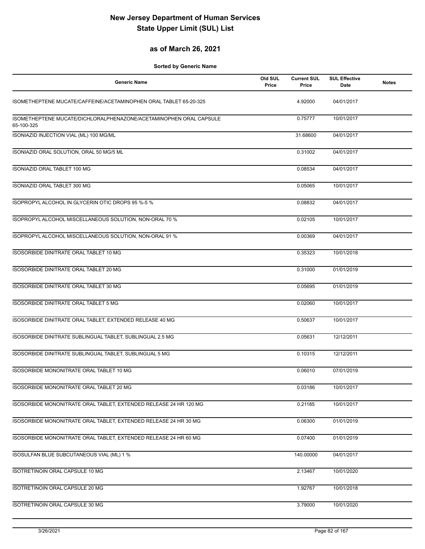### **as of March 26, 2021**

| <b>Generic Name</b>                                                              | Old SUL<br>Price | <b>Current SUL</b><br>Price | <b>SUL Effective</b><br>Date | <b>Notes</b> |
|----------------------------------------------------------------------------------|------------------|-----------------------------|------------------------------|--------------|
| ISOMETHEPTENE MUCATE/CAFFEINE/ACETAMINOPHEN ORAL TABLET 65-20-325                |                  | 4.92000                     | 04/01/2017                   |              |
| ISOMETHEPTENE MUCATE/DICHLORALPHENAZONE/ACETAMINOPHEN ORAL CAPSULE<br>65-100-325 |                  | 0.75777                     | 10/01/2017                   |              |
| ISONIAZID INJECTION VIAL (ML) 100 MG/ML                                          |                  | 31.68600                    | 04/01/2017                   |              |
| ISONIAZID ORAL SOLUTION, ORAL 50 MG/5 ML                                         |                  | 0.31002                     | 04/01/2017                   |              |
| <b>ISONIAZID ORAL TABLET 100 MG</b>                                              |                  | 0.08534                     | 04/01/2017                   |              |
| ISONIAZID ORAL TABLET 300 MG                                                     |                  | 0.05065                     | 10/01/2017                   |              |
| ISOPROPYL ALCOHOL IN GLYCERIN OTIC DROPS 95 %-5 %                                |                  | 0.08832                     | 04/01/2017                   |              |
| ISOPROPYL ALCOHOL MISCELLANEOUS SOLUTION, NON-ORAL 70 %                          |                  | 0.02105                     | 10/01/2017                   |              |
| ISOPROPYL ALCOHOL MISCELLANEOUS SOLUTION, NON-ORAL 91 %                          |                  | 0.00369                     | 04/01/2017                   |              |
| <b>ISOSORBIDE DINITRATE ORAL TABLET 10 MG</b>                                    |                  | 0.35323                     | 10/01/2018                   |              |
| <b>ISOSORBIDE DINITRATE ORAL TABLET 20 MG</b>                                    |                  | 0.31000                     | 01/01/2019                   |              |
| ISOSORBIDE DINITRATE ORAL TABLET 30 MG                                           |                  | 0.05695                     | 01/01/2019                   |              |
| ISOSORBIDE DINITRATE ORAL TABLET 5 MG                                            |                  | 0.02060                     | 10/01/2017                   |              |
| ISOSORBIDE DINITRATE ORAL TABLET, EXTENDED RELEASE 40 MG                         |                  | 0.50637                     | 10/01/2017                   |              |
| ISOSORBIDE DINITRATE SUBLINGUAL TABLET, SUBLINGUAL 2.5 MG                        |                  | 0.05631                     | 12/12/2011                   |              |
| ISOSORBIDE DINITRATE SUBLINGUAL TABLET, SUBLINGUAL 5 MG                          |                  | 0.10315                     | 12/12/2011                   |              |
| ISOSORBIDE MONONITRATE ORAL TABLET 10 MG                                         |                  | 0.06010                     | 07/01/2019                   |              |
| ISOSORBIDE MONONITRATE ORAL TABLET 20 MG                                         |                  | 0.03186                     | 10/01/2017                   |              |
| ISOSORBIDE MONONITRATE ORAL TABLET, EXTENDED RELEASE 24 HR 120 MG                |                  | 0.21185                     | 10/01/2017                   |              |
| ISOSORBIDE MONONITRATE ORAL TABLET, EXTENDED RELEASE 24 HR 30 MG                 |                  | 0.06300                     | 01/01/2019                   |              |
| ISOSORBIDE MONONITRATE ORAL TABLET, EXTENDED RELEASE 24 HR 60 MG                 |                  | 0.07400                     | 01/01/2019                   |              |
| ISOSULFAN BLUE SUBCUTANEOUS VIAL (ML) 1 %                                        |                  | 140.00000                   | 04/01/2017                   |              |
| ISOTRETINOIN ORAL CAPSULE 10 MG                                                  |                  | 2.13467                     | 10/01/2020                   |              |
| ISOTRETINOIN ORAL CAPSULE 20 MG                                                  |                  | 1.92767                     | 10/01/2018                   |              |
| ISOTRETINOIN ORAL CAPSULE 30 MG                                                  |                  | 3.79000                     | 10/01/2020                   |              |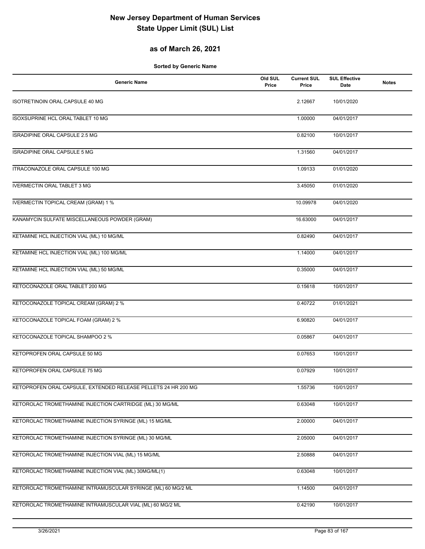### **as of March 26, 2021**

| <b>Generic Name</b>                                            | Old SUL<br>Price | <b>Current SUL</b><br>Price | <b>SUL Effective</b><br><b>Date</b> | <b>Notes</b> |
|----------------------------------------------------------------|------------------|-----------------------------|-------------------------------------|--------------|
| ISOTRETINOIN ORAL CAPSULE 40 MG                                |                  | 2.12667                     | 10/01/2020                          |              |
| ISOXSUPRINE HCL ORAL TABLET 10 MG                              |                  | 1.00000                     | 04/01/2017                          |              |
| ISRADIPINE ORAL CAPSULE 2.5 MG                                 |                  | 0.82100                     | 10/01/2017                          |              |
| ISRADIPINE ORAL CAPSULE 5 MG                                   |                  | 1.31560                     | 04/01/2017                          |              |
| ITRACONAZOLE ORAL CAPSULE 100 MG                               |                  | 1.09133                     | 01/01/2020                          |              |
| <b>IVERMECTIN ORAL TABLET 3 MG</b>                             |                  | 3.45050                     | 01/01/2020                          |              |
| <b>IVERMECTIN TOPICAL CREAM (GRAM) 1 %</b>                     |                  | 10.09978                    | 04/01/2020                          |              |
| KANAMYCIN SULFATE MISCELLANEOUS POWDER (GRAM)                  |                  | 16.63000                    | 04/01/2017                          |              |
| KETAMINE HCL INJECTION VIAL (ML) 10 MG/ML                      |                  | 0.82490                     | 04/01/2017                          |              |
| KETAMINE HCL INJECTION VIAL (ML) 100 MG/ML                     |                  | 1.14000                     | 04/01/2017                          |              |
| KETAMINE HCL INJECTION VIAL (ML) 50 MG/ML                      |                  | 0.35000                     | 04/01/2017                          |              |
| KETOCONAZOLE ORAL TABLET 200 MG                                |                  | 0.15618                     | 10/01/2017                          |              |
| KETOCONAZOLE TOPICAL CREAM (GRAM) 2 %                          |                  | 0.40722                     | 01/01/2021                          |              |
| KETOCONAZOLE TOPICAL FOAM (GRAM) 2 %                           |                  | 6.90820                     | 04/01/2017                          |              |
| KETOCONAZOLE TOPICAL SHAMPOO 2 %                               |                  | 0.05867                     | 04/01/2017                          |              |
| KETOPROFEN ORAL CAPSULE 50 MG                                  |                  | 0.07653                     | 10/01/2017                          |              |
| KETOPROFEN ORAL CAPSULE 75 MG                                  |                  | 0.07929                     | 10/01/2017                          |              |
| KETOPROFEN ORAL CAPSULE, EXTENDED RELEASE PELLETS 24 HR 200 MG |                  | 1.55736                     | 10/01/2017                          |              |
| KETOROLAC TROMETHAMINE INJECTION CARTRIDGE (ML) 30 MG/ML       |                  | 0.63048                     | 10/01/2017                          |              |
| KETOROLAC TROMETHAMINE INJECTION SYRINGE (ML) 15 MG/ML         |                  | 2.00000                     | 04/01/2017                          |              |
| KETOROLAC TROMETHAMINE INJECTION SYRINGE (ML) 30 MG/ML         |                  | 2.05000                     | 04/01/2017                          |              |
| KETOROLAC TROMETHAMINE INJECTION VIAL (ML) 15 MG/ML            |                  | 2.50888                     | 04/01/2017                          |              |
| KETOROLAC TROMETHAMINE INJECTION VIAL (ML) 30MG/ML(1)          |                  | 0.63048                     | 10/01/2017                          |              |
| KETOROLAC TROMETHAMINE INTRAMUSCULAR SYRINGE (ML) 60 MG/2 ML   |                  | 1.14500                     | 04/01/2017                          |              |
| KETOROLAC TROMETHAMINE INTRAMUSCULAR VIAL (ML) 60 MG/2 ML      |                  | 0.42190                     | 10/01/2017                          |              |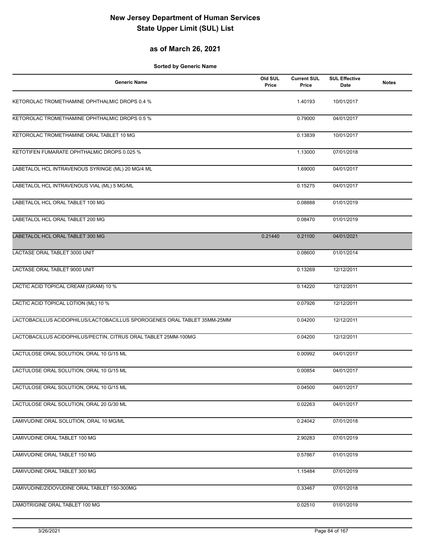### **as of March 26, 2021**

| <b>Generic Name</b>                                                      | Old SUL<br>Price | <b>Current SUL</b><br>Price | <b>SUL Effective</b><br>Date | <b>Notes</b> |
|--------------------------------------------------------------------------|------------------|-----------------------------|------------------------------|--------------|
| KETOROLAC TROMETHAMINE OPHTHALMIC DROPS 0.4 %                            |                  | 1.40193                     | 10/01/2017                   |              |
| KETOROLAC TROMETHAMINE OPHTHALMIC DROPS 0.5 %                            |                  | 0.79000                     | 04/01/2017                   |              |
| KETOROLAC TROMETHAMINE ORAL TABLET 10 MG                                 |                  | 0.13839                     | 10/01/2017                   |              |
| KETOTIFEN FUMARATE OPHTHALMIC DROPS 0.025 %                              |                  | 1.13000                     | 07/01/2018                   |              |
| LABETALOL HCL INTRAVENOUS SYRINGE (ML) 20 MG/4 ML                        |                  | 1.69000                     | 04/01/2017                   |              |
| LABETALOL HCL INTRAVENOUS VIAL (ML) 5 MG/ML                              |                  | 0.15275                     | 04/01/2017                   |              |
| LABETALOL HCL ORAL TABLET 100 MG                                         |                  | 0.08888                     | 01/01/2019                   |              |
| LABETALOL HCL ORAL TABLET 200 MG                                         |                  | 0.08470                     | 01/01/2019                   |              |
| LABETALOL HCL ORAL TABLET 300 MG                                         | 0.21440          | 0.21100                     | 04/01/2021                   |              |
| LACTASE ORAL TABLET 3000 UNIT                                            |                  | 0.08600                     | 01/01/2014                   |              |
| LACTASE ORAL TABLET 9000 UNIT                                            |                  | 0.13269                     | 12/12/2011                   |              |
| LACTIC ACID TOPICAL CREAM (GRAM) 10 %                                    |                  | 0.14220                     | 12/12/2011                   |              |
| LACTIC ACID TOPICAL LOTION (ML) 10 %                                     |                  | 0.07926                     | 12/12/2011                   |              |
| LACTOBACILLUS ACIDOPHILUS/LACTOBACILLUS SPOROGENES ORAL TABLET 35MM-25MM |                  | 0.04200                     | 12/12/2011                   |              |
| LACTOBACILLUS ACIDOPHILUS/PECTIN, CITRUS ORAL TABLET 25MM-100MG          |                  | 0.04200                     | 12/12/2011                   |              |
| LACTULOSE ORAL SOLUTION, ORAL 10 G/15 ML                                 |                  | 0.00992                     | 04/01/2017                   |              |
| LACTULOSE ORAL SOLUTION, ORAL 10 G/15 ML                                 |                  | 0.00854                     | 04/01/2017                   |              |
| LACTULOSE ORAL SOLUTION, ORAL 10 G/15 ML                                 |                  | 0.04500                     | 04/01/2017                   |              |
| LACTULOSE ORAL SOLUTION, ORAL 20 G/30 ML                                 |                  | 0.02263                     | 04/01/2017                   |              |
| LAMIVUDINE ORAL SOLUTION, ORAL 10 MG/ML                                  |                  | 0.24042                     | 07/01/2018                   |              |
| LAMIVUDINE ORAL TABLET 100 MG                                            |                  | 2.90283                     | 07/01/2019                   |              |
| LAMIVUDINE ORAL TABLET 150 MG                                            |                  | 0.57867                     | 01/01/2019                   |              |
| LAMIVUDINE ORAL TABLET 300 MG                                            |                  | 1.15484                     | 07/01/2019                   |              |
| LAMIVUDINE/ZIDOVUDINE ORAL TABLET 150-300MG                              |                  | 0.33467                     | 07/01/2018                   |              |
| LAMOTRIGINE ORAL TABLET 100 MG                                           |                  | 0.02510                     | 01/01/2019                   |              |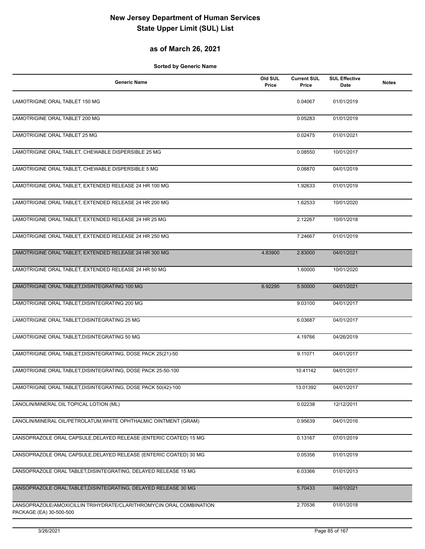### **as of March 26, 2021**

| <b>Generic Name</b>                                                                            | Old SUL<br>Price | <b>Current SUL</b><br>Price | <b>SUL Effective</b><br>Date | <b>Notes</b> |
|------------------------------------------------------------------------------------------------|------------------|-----------------------------|------------------------------|--------------|
| LAMOTRIGINE ORAL TABLET 150 MG                                                                 |                  | 0.04067                     | 01/01/2019                   |              |
| LAMOTRIGINE ORAL TABLET 200 MG                                                                 |                  | 0.05283                     | 01/01/2019                   |              |
| LAMOTRIGINE ORAL TABLET 25 MG                                                                  |                  | 0.02475                     | 01/01/2021                   |              |
| LAMOTRIGINE ORAL TABLET, CHEWABLE DISPERSIBLE 25 MG                                            |                  | 0.08550                     | 10/01/2017                   |              |
| LAMOTRIGINE ORAL TABLET, CHEWABLE DISPERSIBLE 5 MG                                             |                  | 0.08870                     | 04/01/2019                   |              |
| LAMOTRIGINE ORAL TABLET, EXTENDED RELEASE 24 HR 100 MG                                         |                  | 1.92633                     | 01/01/2019                   |              |
| LAMOTRIGINE ORAL TABLET, EXTENDED RELEASE 24 HR 200 MG                                         |                  | 1.62533                     | 10/01/2020                   |              |
| LAMOTRIGINE ORAL TABLET, EXTENDED RELEASE 24 HR 25 MG                                          |                  | 2.12267                     | 10/01/2018                   |              |
| LAMOTRIGINE ORAL TABLET, EXTENDED RELEASE 24 HR 250 MG                                         |                  | 7.24667                     | 01/01/2019                   |              |
| LAMOTRIGINE ORAL TABLET, EXTENDED RELEASE 24 HR 300 MG                                         | 4.83900          | 2.83000                     | 04/01/2021                   |              |
| LAMOTRIGINE ORAL TABLET, EXTENDED RELEASE 24 HR 50 MG                                          |                  | 1.60000                     | 10/01/2020                   |              |
| LAMOTRIGINE ORAL TABLET, DISINTEGRATING 100 MG                                                 | 6.92295          | 5.50000                     | 04/01/2021                   |              |
| LAMOTRIGINE ORAL TABLET, DISINTEGRATING 200 MG                                                 |                  | 9.03100                     | 04/01/2017                   |              |
| LAMOTRIGINE ORAL TABLET, DISINTEGRATING 25 MG                                                  |                  | 6.03687                     | 04/01/2017                   |              |
| LAMOTRIGINE ORAL TABLET, DISINTEGRATING 50 MG                                                  |                  | 4.19766                     | 04/26/2019                   |              |
| LAMOTRIGINE ORAL TABLET, DISINTEGRATING, DOSE PACK 25(21)-50                                   |                  | 9.11071                     | 04/01/2017                   |              |
| LAMOTRIGINE ORAL TABLET, DISINTEGRATING, DOSE PACK 25-50-100                                   |                  | 10.41142                    | 04/01/2017                   |              |
| LAMOTRIGINE ORAL TABLET, DISINTEGRATING, DOSE PACK 50(42)-100                                  |                  | 13.01392                    | 04/01/2017                   |              |
| LANOLIN/MINERAL OIL TOPICAL LOTION (ML)                                                        |                  | 0.02238                     | 12/12/2011                   |              |
| LANOLIN/MINERAL OIL/PETROLATUM, WHITE OPHTHALMIC OINTMENT (GRAM)                               |                  | 0.95639                     | 04/01/2016                   |              |
| LANSOPRAZOLE ORAL CAPSULE, DELAYED RELEASE (ENTERIC COATED) 15 MG                              |                  | 0.13167                     | 07/01/2019                   |              |
| LANSOPRAZOLE ORAL CAPSULE, DELAYED RELEASE (ENTERIC COATED) 30 MG                              |                  | 0.05356                     | 01/01/2019                   |              |
| LANSOPRAZOLE ORAL TABLET, DISINTEGRATING, DELAYED RELEASE 15 MG                                |                  | 6.03366                     | 01/01/2013                   |              |
| LANSOPRAZOLE ORAL TABLET, DISINTEGRATING, DELAYED RELEASE 30 MG                                |                  | 5.70433                     | 04/01/2021                   |              |
| LANSOPRAZOLE/AMOXICILLIN TRIHYDRATE/CLARITHROMYCIN ORAL COMBINATION<br>PACKAGE (EA) 30-500-500 |                  | 2.70536                     | 01/01/2018                   |              |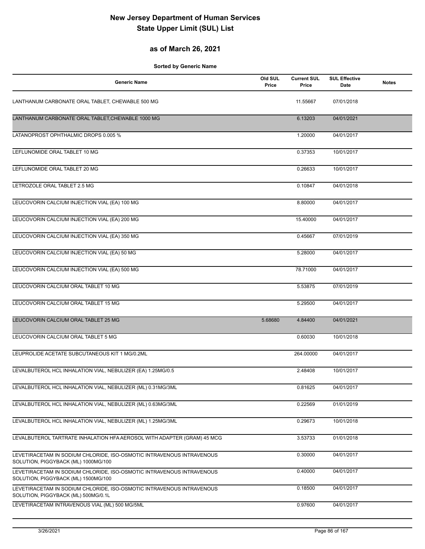### **as of March 26, 2021**

| <b>Generic Name</b>                                                                                          | Old SUL<br>Price | <b>Current SUL</b><br>Price | <b>SUL Effective</b><br>Date | <b>Notes</b> |
|--------------------------------------------------------------------------------------------------------------|------------------|-----------------------------|------------------------------|--------------|
| LANTHANUM CARBONATE ORAL TABLET, CHEWABLE 500 MG                                                             |                  | 11.55667                    | 07/01/2018                   |              |
| LANTHANUM CARBONATE ORAL TABLET, CHEWABLE 1000 MG                                                            |                  | 6.13203                     | 04/01/2021                   |              |
| LATANOPROST OPHTHALMIC DROPS 0.005 %                                                                         |                  | 1.20000                     | 04/01/2017                   |              |
| LEFLUNOMIDE ORAL TABLET 10 MG                                                                                |                  | 0.37353                     | 10/01/2017                   |              |
| LEFLUNOMIDE ORAL TABLET 20 MG                                                                                |                  | 0.26633                     | 10/01/2017                   |              |
| LETROZOLE ORAL TABLET 2.5 MG                                                                                 |                  | 0.10847                     | 04/01/2018                   |              |
| LEUCOVORIN CALCIUM INJECTION VIAL (EA) 100 MG                                                                |                  | 8.80000                     | 04/01/2017                   |              |
| LEUCOVORIN CALCIUM INJECTION VIAL (EA) 200 MG                                                                |                  | 15.40000                    | 04/01/2017                   |              |
| LEUCOVORIN CALCIUM INJECTION VIAL (EA) 350 MG                                                                |                  | 0.45667                     | 07/01/2019                   |              |
| LEUCOVORIN CALCIUM INJECTION VIAL (EA) 50 MG                                                                 |                  | 5.28000                     | 04/01/2017                   |              |
| LEUCOVORIN CALCIUM INJECTION VIAL (EA) 500 MG                                                                |                  | 78.71000                    | 04/01/2017                   |              |
| LEUCOVORIN CALCIUM ORAL TABLET 10 MG                                                                         |                  | 5.53875                     | 07/01/2019                   |              |
| LEUCOVORIN CALCIUM ORAL TABLET 15 MG                                                                         |                  | 5.29500                     | 04/01/2017                   |              |
| LEUCOVORIN CALCIUM ORAL TABLET 25 MG                                                                         | 5.68680          | 4.84400                     | 04/01/2021                   |              |
| LEUCOVORIN CALCIUM ORAL TABLET 5 MG                                                                          |                  | 0.60030                     | 10/01/2018                   |              |
| LEUPROLIDE ACETATE SUBCUTANEOUS KIT 1 MG/0.2ML                                                               |                  | 264.00000                   | 04/01/2017                   |              |
| LEVALBUTEROL HCL INHALATION VIAL, NEBULIZER (EA) 1.25MG/0.5                                                  |                  | 2.48408                     | 10/01/2017                   |              |
| LEVALBUTEROL HCL INHALATION VIAL, NEBULIZER (ML) 0.31MG/3ML                                                  |                  | 0.81625                     | 04/01/2017                   |              |
| LEVALBUTEROL HCL INHALATION VIAL, NEBULIZER (ML) 0.63MG/3ML                                                  |                  | 0.22569                     | 01/01/2019                   |              |
| LEVALBUTEROL HCL INHALATION VIAL, NEBULIZER (ML) 1.25MG/3ML                                                  |                  | 0.29673                     | 10/01/2018                   |              |
| LEVALBUTEROL TARTRATE INHALATION HFA AEROSOL WITH ADAPTER (GRAM) 45 MCG                                      |                  | 3.53733                     | 01/01/2018                   |              |
| LEVETIRACETAM IN SODIUM CHLORIDE, ISO-OSMOTIC INTRAVENOUS INTRAVENOUS<br>SOLUTION, PIGGYBACK (ML) 1000MG/100 |                  | 0.30000                     | 04/01/2017                   |              |
| LEVETIRACETAM IN SODIUM CHLORIDE, ISO-OSMOTIC INTRAVENOUS INTRAVENOUS<br>SOLUTION, PIGGYBACK (ML) 1500MG/100 |                  | 0.40000                     | 04/01/2017                   |              |
| LEVETIRACETAM IN SODIUM CHLORIDE, ISO-OSMOTIC INTRAVENOUS INTRAVENOUS<br>SOLUTION, PIGGYBACK (ML) 500MG/0.1L |                  | 0.18500                     | 04/01/2017                   |              |
| LEVETIRACETAM INTRAVENOUS VIAL (ML) 500 MG/5ML                                                               |                  | 0.97600                     | 04/01/2017                   |              |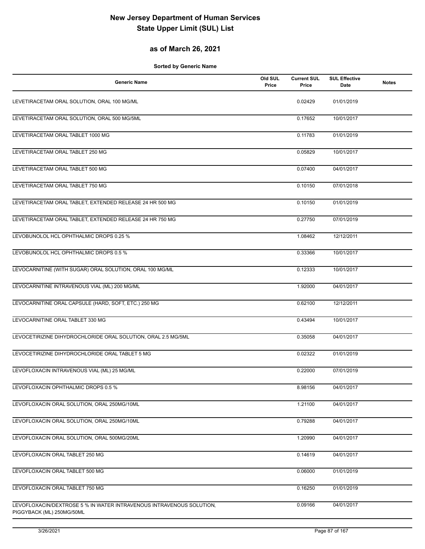### **as of March 26, 2021**

| <b>Generic Name</b>                                                                               | Old SUL<br>Price | <b>Current SUL</b><br>Price | <b>SUL Effective</b><br><b>Date</b> | <b>Notes</b> |
|---------------------------------------------------------------------------------------------------|------------------|-----------------------------|-------------------------------------|--------------|
| LEVETIRACETAM ORAL SOLUTION, ORAL 100 MG/ML                                                       |                  | 0.02429                     | 01/01/2019                          |              |
| LEVETIRACETAM ORAL SOLUTION, ORAL 500 MG/5ML                                                      |                  | 0.17652                     | 10/01/2017                          |              |
| LEVETIRACETAM ORAL TABLET 1000 MG                                                                 |                  | 0.11783                     | 01/01/2019                          |              |
| LEVETIRACETAM ORAL TABLET 250 MG                                                                  |                  | 0.05829                     | 10/01/2017                          |              |
| LEVETIRACETAM ORAL TABLET 500 MG                                                                  |                  | 0.07400                     | 04/01/2017                          |              |
| LEVETIRACETAM ORAL TABLET 750 MG                                                                  |                  | 0.10150                     | 07/01/2018                          |              |
| LEVETIRACETAM ORAL TABLET, EXTENDED RELEASE 24 HR 500 MG                                          |                  | 0.10150                     | 01/01/2019                          |              |
| LEVETIRACETAM ORAL TABLET, EXTENDED RELEASE 24 HR 750 MG                                          |                  | 0.27750                     | 07/01/2019                          |              |
| LEVOBUNOLOL HCL OPHTHALMIC DROPS 0.25 %                                                           |                  | 1.08462                     | 12/12/2011                          |              |
| LEVOBUNOLOL HCL OPHTHALMIC DROPS 0.5 %                                                            |                  | 0.33366                     | 10/01/2017                          |              |
| LEVOCARNITINE (WITH SUGAR) ORAL SOLUTION, ORAL 100 MG/ML                                          |                  | 0.12333                     | 10/01/2017                          |              |
| LEVOCARNITINE INTRAVENOUS VIAL (ML) 200 MG/ML                                                     |                  | 1.92000                     | 04/01/2017                          |              |
| LEVOCARNITINE ORAL CAPSULE (HARD, SOFT, ETC.) 250 MG                                              |                  | 0.62100                     | 12/12/2011                          |              |
| LEVOCARNITINE ORAL TABLET 330 MG                                                                  |                  | 0.43494                     | 10/01/2017                          |              |
| LEVOCETIRIZINE DIHYDROCHLORIDE ORAL SOLUTION, ORAL 2.5 MG/5ML                                     |                  | 0.35058                     | 04/01/2017                          |              |
| LEVOCETIRIZINE DIHYDROCHLORIDE ORAL TABLET 5 MG                                                   |                  | 0.02322                     | 01/01/2019                          |              |
| LEVOFLOXACIN INTRAVENOUS VIAL (ML) 25 MG/ML                                                       |                  | 0.22000                     | 07/01/2019                          |              |
| LEVOFLOXACIN OPHTHALMIC DROPS 0.5 %                                                               |                  | 8.98156                     | 04/01/2017                          |              |
| LEVOFLOXACIN ORAL SOLUTION, ORAL 250MG/10ML                                                       |                  | 1.21100                     | 04/01/2017                          |              |
| LEVOFLOXACIN ORAL SOLUTION, ORAL 250MG/10ML                                                       |                  | 0.79288                     | 04/01/2017                          |              |
| LEVOFLOXACIN ORAL SOLUTION, ORAL 500MG/20ML                                                       |                  | 1.20990                     | 04/01/2017                          |              |
| LEVOFLOXACIN ORAL TABLET 250 MG                                                                   |                  | 0.14619                     | 04/01/2017                          |              |
| LEVOFLOXACIN ORAL TABLET 500 MG                                                                   |                  | 0.06000                     | 01/01/2019                          |              |
| LEVOFLOXACIN ORAL TABLET 750 MG                                                                   |                  | 0.16250                     | 01/01/2019                          |              |
| LEVOFLOXACIN/DEXTROSE 5 % IN WATER INTRAVENOUS INTRAVENOUS SOLUTION,<br>PIGGYBACK (ML) 250MG/50ML |                  | 0.09166                     | 04/01/2017                          |              |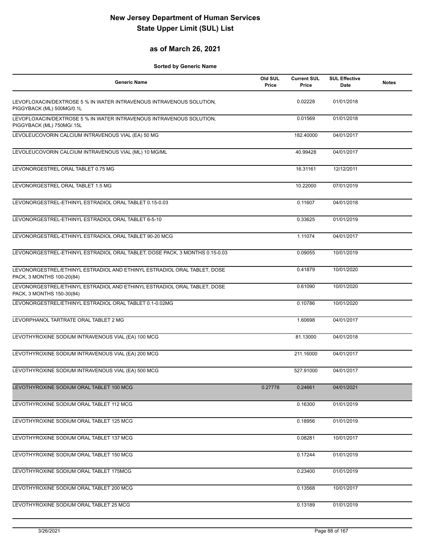### **as of March 26, 2021**

| <b>Generic Name</b>                                                                                   | Old SUL<br>Price | <b>Current SUL</b><br>Price | <b>SUL Effective</b><br>Date | <b>Notes</b> |
|-------------------------------------------------------------------------------------------------------|------------------|-----------------------------|------------------------------|--------------|
| LEVOFLOXACIN/DEXTROSE 5 % IN WATER INTRAVENOUS INTRAVENOUS SOLUTION,<br>PIGGYBACK (ML) 500MG/0.1L     |                  | 0.02228                     | 01/01/2018                   |              |
| LEVOFLOXACIN/DEXTROSE 5 % IN WATER INTRAVENOUS INTRAVENOUS SOLUTION,<br>PIGGYBACK (ML) 750MG/.15L     |                  | 0.01569                     | 01/01/2018                   |              |
| LEVOLEUCOVORIN CALCIUM INTRAVENOUS VIAL (EA) 50 MG                                                    |                  | 182.40000                   | 04/01/2017                   |              |
| LEVOLEUCOVORIN CALCIUM INTRAVENOUS VIAL (ML) 10 MG/ML                                                 |                  | 40.99428                    | 04/01/2017                   |              |
| LEVONORGESTREL ORAL TABLET 0.75 MG                                                                    |                  | 16.31161                    | 12/12/2011                   |              |
| LEVONORGESTREL ORAL TABLET 1.5 MG                                                                     |                  | 10.22000                    | 07/01/2019                   |              |
| LEVONORGESTREL-ETHINYL ESTRADIOL ORAL TABLET 0.15-0.03                                                |                  | 0.11607                     | 04/01/2018                   |              |
| LEVONORGESTREL-ETHINYL ESTRADIOL ORAL TABLET 6-5-10                                                   |                  | 0.33625                     | 01/01/2019                   |              |
| LEVONORGESTREL-ETHINYL ESTRADIOL ORAL TABLET 90-20 MCG                                                |                  | 1.11074                     | 04/01/2017                   |              |
| LEVONORGESTREL-ETHINYL ESTRADIOL ORAL TABLET, DOSE PACK, 3 MONTHS 0.15-0.03                           |                  | 0.09055                     | 10/01/2019                   |              |
| LEVONORGESTREL/ETHINYL ESTRADIOL AND ETHINYL ESTRADIOL ORAL TABLET, DOSE<br>PACK, 3 MONTHS 100-20(84) |                  | 0.41879                     | 10/01/2020                   |              |
| LEVONORGESTREL/ETHINYL ESTRADIOL AND ETHINYL ESTRADIOL ORAL TABLET, DOSE<br>PACK, 3 MONTHS 150-30(84) |                  | 0.61090                     | 10/01/2020                   |              |
| LEVONORGESTREL/ETHINYL ESTRADIOL ORAL TABLET 0.1-0.02MG                                               |                  | 0.10786                     | 10/01/2020                   |              |
| LEVORPHANOL TARTRATE ORAL TABLET 2 MG                                                                 |                  | 1.60698                     | 04/01/2017                   |              |
| LEVOTHYROXINE SODIUM INTRAVENOUS VIAL (EA) 100 MCG                                                    |                  | 81.13000                    | 04/01/2018                   |              |
| LEVOTHYROXINE SODIUM INTRAVENOUS VIAL (EA) 200 MCG                                                    |                  | 211.16000                   | 04/01/2017                   |              |
| LEVOTHYROXINE SODIUM INTRAVENOUS VIAL (EA) 500 MCG                                                    |                  | 527.91000                   | 04/01/2017                   |              |
| LEVOTHYROXINE SODIUM ORAL TABLET 100 MCG                                                              | 0.27778          | 0.24661                     | 04/01/2021                   |              |
| LEVOTHYROXINE SODIUM ORAL TABLET 112 MCG                                                              |                  | 0.16300                     | 01/01/2019                   |              |
| LEVOTHYROXINE SODIUM ORAL TABLET 125 MCG                                                              |                  | 0.18956                     | 01/01/2019                   |              |
| LEVOTHYROXINE SODIUM ORAL TABLET 137 MCG                                                              |                  | 0.08281                     | 10/01/2017                   |              |
| LEVOTHYROXINE SODIUM ORAL TABLET 150 MCG                                                              |                  | 0.17244                     | 01/01/2019                   |              |
| LEVOTHYROXINE SODIUM ORAL TABLET 175MCG                                                               |                  | 0.23400                     | 01/01/2019                   |              |
| LEVOTHYROXINE SODIUM ORAL TABLET 200 MCG                                                              |                  | 0.13568                     | 10/01/2017                   |              |
| LEVOTHYROXINE SODIUM ORAL TABLET 25 MCG                                                               |                  | 0.13189                     | 01/01/2019                   |              |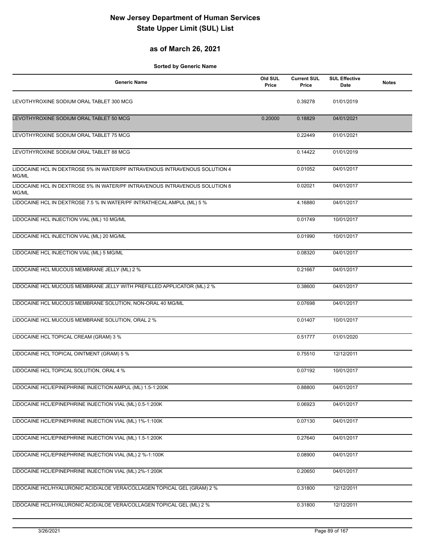### **as of March 26, 2021**

| <b>Generic Name</b>                                                                  | Old SUL<br>Price | <b>Current SUL</b><br>Price | <b>SUL Effective</b><br>Date | <b>Notes</b> |
|--------------------------------------------------------------------------------------|------------------|-----------------------------|------------------------------|--------------|
| LEVOTHYROXINE SODIUM ORAL TABLET 300 MCG                                             |                  | 0.39278                     | 01/01/2019                   |              |
| LEVOTHYROXINE SODIUM ORAL TABLET 50 MCG                                              | 0.20000          | 0.18829                     | 04/01/2021                   |              |
| LEVOTHYROXINE SODIUM ORAL TABLET 75 MCG                                              |                  | 0.22449                     | 01/01/2021                   |              |
| LEVOTHYROXINE SODIUM ORAL TABLET 88 MCG                                              |                  | 0.14422                     | 01/01/2019                   |              |
| LIDOCAINE HCL IN DEXTROSE 5% IN WATER/PF INTRAVENOUS INTRAVENOUS SOLUTION 4<br>MG/ML |                  | 0.01052                     | 04/01/2017                   |              |
| LIDOCAINE HCL IN DEXTROSE 5% IN WATER/PF INTRAVENOUS INTRAVENOUS SOLUTION 8<br>MG/ML |                  | 0.02021                     | 04/01/2017                   |              |
| LIDOCAINE HCL IN DEXTROSE 7.5 % IN WATER/PF INTRATHECAL AMPUL (ML) 5 %               |                  | 4.16880                     | 04/01/2017                   |              |
| LIDOCAINE HCL INJECTION VIAL (ML) 10 MG/ML                                           |                  | 0.01749                     | 10/01/2017                   |              |
| LIDOCAINE HCL INJECTION VIAL (ML) 20 MG/ML                                           |                  | 0.01990                     | 10/01/2017                   |              |
| LIDOCAINE HCL INJECTION VIAL (ML) 5 MG/ML                                            |                  | 0.08320                     | 04/01/2017                   |              |
| LIDOCAINE HCL MUCOUS MEMBRANE JELLY (ML) 2 %                                         |                  | 0.21667                     | 04/01/2017                   |              |
| LIDOCAINE HCL MUCOUS MEMBRANE JELLY WITH PREFILLED APPLICATOR (ML) 2 %               |                  | 0.38600                     | 04/01/2017                   |              |
| LIDOCAINE HCL MUCOUS MEMBRANE SOLUTION, NON-ORAL 40 MG/ML                            |                  | 0.07698                     | 04/01/2017                   |              |
| LIDOCAINE HCL MUCOUS MEMBRANE SOLUTION, ORAL 2 %                                     |                  | 0.01407                     | 10/01/2017                   |              |
| LIDOCAINE HCL TOPICAL CREAM (GRAM) 3 %                                               |                  | 0.51777                     | 01/01/2020                   |              |
| LIDOCAINE HCL TOPICAL OINTMENT (GRAM) 5 %                                            |                  | 0.75510                     | 12/12/2011                   |              |
| LIDOCAINE HCL TOPICAL SOLUTION, ORAL 4 %                                             |                  | 0.07192                     | 10/01/2017                   |              |
| LIDOCAINE HCL/EPINEPHRINE INJECTION AMPUL (ML) 1.5-1:200K                            |                  | 0.88800                     | 04/01/2017                   |              |
| LIDOCAINE HCL/EPINEPHRINE INJECTION VIAL (ML) 0.5-1:200K                             |                  | 0.06923                     | 04/01/2017                   |              |
| LIDOCAINE HCL/EPINEPHRINE INJECTION VIAL (ML) 1%-1:100K                              |                  | 0.07130                     | 04/01/2017                   |              |
| LIDOCAINE HCL/EPINEPHRINE INJECTION VIAL (ML) 1.5-1:200K                             |                  | 0.27640                     | 04/01/2017                   |              |
| LIDOCAINE HCL/EPINEPHRINE INJECTION VIAL (ML) 2 %-1:100K                             |                  | 0.08900                     | 04/01/2017                   |              |
| LIDOCAINE HCL/EPINEPHRINE INJECTION VIAL (ML) 2%-1:200K                              |                  | 0.20650                     | 04/01/2017                   |              |
| LIDOCAINE HCL/HYALURONIC ACID/ALOE VERA/COLLAGEN TOPICAL GEL (GRAM) 2 %              |                  | 0.31800                     | 12/12/2011                   |              |
| LIDOCAINE HCL/HYALURONIC ACID/ALOE VERA/COLLAGEN TOPICAL GEL (ML) 2 %                |                  | 0.31800                     | 12/12/2011                   |              |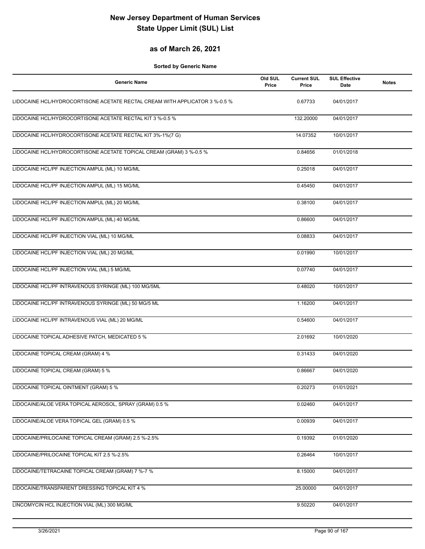### **as of March 26, 2021**

| Generic Name                                                                | Old SUL<br>Price | <b>Current SUL</b><br>Price | <b>SUL Effective</b><br><b>Date</b> | <b>Notes</b> |
|-----------------------------------------------------------------------------|------------------|-----------------------------|-------------------------------------|--------------|
| LIDOCAINE HCL/HYDROCORTISONE ACETATE RECTAL CREAM WITH APPLICATOR 3 %-0.5 % |                  | 0.67733                     | 04/01/2017                          |              |
| LIDOCAINE HCL/HYDROCORTISONE ACETATE RECTAL KIT 3 %-0.5 %                   |                  | 132.20000                   | 04/01/2017                          |              |
| LIDOCAINE HCL/HYDROCORTISONE ACETATE RECTAL KIT 3%-1%(7 G)                  |                  | 14.07352                    | 10/01/2017                          |              |
| LIDOCAINE HCL/HYDROCORTISONE ACETATE TOPICAL CREAM (GRAM) 3 %-0.5 %         |                  | 0.84656                     | 01/01/2018                          |              |
| LIDOCAINE HCL/PF INJECTION AMPUL (ML) 10 MG/ML                              |                  | 0.25018                     | 04/01/2017                          |              |
| LIDOCAINE HCL/PF INJECTION AMPUL (ML) 15 MG/ML                              |                  | 0.45450                     | 04/01/2017                          |              |
| LIDOCAINE HCL/PF INJECTION AMPUL (ML) 20 MG/ML                              |                  | 0.38100                     | 04/01/2017                          |              |
| LIDOCAINE HCL/PF INJECTION AMPUL (ML) 40 MG/ML                              |                  | 0.86600                     | 04/01/2017                          |              |
| LIDOCAINE HCL/PF INJECTION VIAL (ML) 10 MG/ML                               |                  | 0.08833                     | 04/01/2017                          |              |
| LIDOCAINE HCL/PF INJECTION VIAL (ML) 20 MG/ML                               |                  | 0.01990                     | 10/01/2017                          |              |
| LIDOCAINE HCL/PF INJECTION VIAL (ML) 5 MG/ML                                |                  | 0.07740                     | 04/01/2017                          |              |
| LIDOCAINE HCL/PF INTRAVENOUS SYRINGE (ML) 100 MG/5ML                        |                  | 0.48020                     | 10/01/2017                          |              |
| LIDOCAINE HCL/PF INTRAVENOUS SYRINGE (ML) 50 MG/5 ML                        |                  | 1.16200                     | 04/01/2017                          |              |
| LIDOCAINE HCL/PF INTRAVENOUS VIAL (ML) 20 MG/ML                             |                  | 0.54600                     | 04/01/2017                          |              |
| LIDOCAINE TOPICAL ADHESIVE PATCH, MEDICATED 5 %                             |                  | 2.01692                     | 10/01/2020                          |              |
| LIDOCAINE TOPICAL CREAM (GRAM) 4 %                                          |                  | 0.31433                     | 04/01/2020                          |              |
| LIDOCAINE TOPICAL CREAM (GRAM) 5 %                                          |                  | 0.86667                     | 04/01/2020                          |              |
| LIDOCAINE TOPICAL OINTMENT (GRAM) 5 %                                       |                  | 0.20273                     | 01/01/2021                          |              |
| LIDOCAINE/ALOE VERA TOPICAL AEROSOL, SPRAY (GRAM) 0.5 %                     |                  | 0.02460                     | 04/01/2017                          |              |
| LIDOCAINE/ALOE VERA TOPICAL GEL (GRAM) 0.5 %                                |                  | 0.00939                     | 04/01/2017                          |              |
| LIDOCAINE/PRILOCAINE TOPICAL CREAM (GRAM) 2.5 %-2.5%                        |                  | 0.19392                     | 01/01/2020                          |              |
| LIDOCAINE/PRILOCAINE TOPICAL KIT 2.5 %-2.5%                                 |                  | 0.26464                     | 10/01/2017                          |              |
| LIDOCAINE/TETRACAINE TOPICAL CREAM (GRAM) 7 %-7 %                           |                  | 8.15000                     | 04/01/2017                          |              |
| LIDOCAINE/TRANSPARENT DRESSING TOPICAL KIT 4 %                              |                  | 25.00000                    | 04/01/2017                          |              |
| LINCOMYCIN HCL INJECTION VIAL (ML) 300 MG/ML                                |                  | 9.50220                     | 04/01/2017                          |              |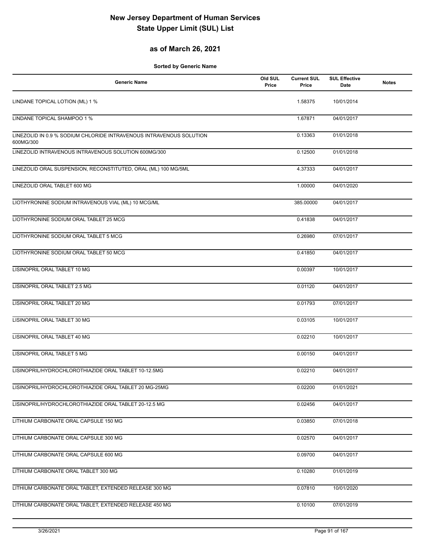### **as of March 26, 2021**

| <b>Generic Name</b>                                                              | Old SUL<br>Price | <b>Current SUL</b><br>Price | <b>SUL Effective</b><br>Date | <b>Notes</b> |
|----------------------------------------------------------------------------------|------------------|-----------------------------|------------------------------|--------------|
| LINDANE TOPICAL LOTION (ML) 1 %                                                  |                  | 1.58375                     | 10/01/2014                   |              |
| LINDANE TOPICAL SHAMPOO 1 %                                                      |                  | 1.67871                     | 04/01/2017                   |              |
| LINEZOLID IN 0.9 % SODIUM CHLORIDE INTRAVENOUS INTRAVENOUS SOLUTION<br>600MG/300 |                  | 0.13363                     | 01/01/2018                   |              |
| LINEZOLID INTRAVENOUS INTRAVENOUS SOLUTION 600MG/300                             |                  | 0.12500                     | 01/01/2018                   |              |
| LINEZOLID ORAL SUSPENSION, RECONSTITUTED, ORAL (ML) 100 MG/5ML                   |                  | 4.37333                     | 04/01/2017                   |              |
| LINEZOLID ORAL TABLET 600 MG                                                     |                  | 1.00000                     | 04/01/2020                   |              |
| LIOTHYRONINE SODIUM INTRAVENOUS VIAL (ML) 10 MCG/ML                              |                  | 385.00000                   | 04/01/2017                   |              |
| LIOTHYRONINE SODIUM ORAL TABLET 25 MCG                                           |                  | 0.41838                     | 04/01/2017                   |              |
| LIOTHYRONINE SODIUM ORAL TABLET 5 MCG                                            |                  | 0.26980                     | 07/01/2017                   |              |
| LIOTHYRONINE SODIUM ORAL TABLET 50 MCG                                           |                  | 0.41850                     | 04/01/2017                   |              |
| LISINOPRIL ORAL TABLET 10 MG                                                     |                  | 0.00397                     | 10/01/2017                   |              |
| LISINOPRIL ORAL TABLET 2.5 MG                                                    |                  | 0.01120                     | 04/01/2017                   |              |
| LISINOPRIL ORAL TABLET 20 MG                                                     |                  | 0.01793                     | 07/01/2017                   |              |
| LISINOPRIL ORAL TABLET 30 MG                                                     |                  | 0.03105                     | 10/01/2017                   |              |
| LISINOPRIL ORAL TABLET 40 MG                                                     |                  | 0.02210                     | 10/01/2017                   |              |
| LISINOPRIL ORAL TABLET 5 MG                                                      |                  | 0.00150                     | 04/01/2017                   |              |
| LISINOPRIL/HYDROCHLOROTHIAZIDE ORAL TABLET 10-12.5MG                             |                  | 0.02210                     | 04/01/2017                   |              |
| LISINOPRIL/HYDROCHLOROTHIAZIDE ORAL TABLET 20 MG-25MG                            |                  | 0.02200                     | 01/01/2021                   |              |
| LISINOPRIL/HYDROCHLOROTHIAZIDE ORAL TABLET 20-12.5 MG                            |                  | 0.02456                     | 04/01/2017                   |              |
| LITHIUM CARBONATE ORAL CAPSULE 150 MG                                            |                  | 0.03850                     | 07/01/2018                   |              |
| LITHIUM CARBONATE ORAL CAPSULE 300 MG                                            |                  | 0.02570                     | 04/01/2017                   |              |
| LITHIUM CARBONATE ORAL CAPSULE 600 MG                                            |                  | 0.09700                     | 04/01/2017                   |              |
| LITHIUM CARBONATE ORAL TABLET 300 MG                                             |                  | 0.10280                     | 01/01/2019                   |              |
| LITHIUM CARBONATE ORAL TABLET, EXTENDED RELEASE 300 MG                           |                  | 0.07810                     | 10/01/2020                   |              |
| LITHIUM CARBONATE ORAL TABLET, EXTENDED RELEASE 450 MG                           |                  | 0.10100                     | 07/01/2019                   |              |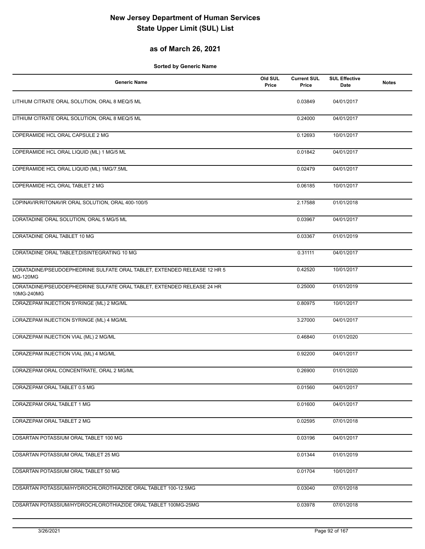### **as of March 26, 2021**

| <b>Generic Name</b>                                                                         | Old SUL<br>Price | <b>Current SUL</b><br>Price | <b>SUL Effective</b><br><b>Date</b> | <b>Notes</b> |
|---------------------------------------------------------------------------------------------|------------------|-----------------------------|-------------------------------------|--------------|
| LITHIUM CITRATE ORAL SOLUTION, ORAL 8 MEQ/5 ML                                              |                  | 0.03849                     | 04/01/2017                          |              |
| LITHIUM CITRATE ORAL SOLUTION, ORAL 8 MEQ/5 ML                                              |                  | 0.24000                     | 04/01/2017                          |              |
| LOPERAMIDE HCL ORAL CAPSULE 2 MG                                                            |                  | 0.12693                     | 10/01/2017                          |              |
| LOPERAMIDE HCL ORAL LIQUID (ML) 1 MG/5 ML                                                   |                  | 0.01842                     | 04/01/2017                          |              |
| LOPERAMIDE HCL ORAL LIQUID (ML) 1MG/7.5ML                                                   |                  | 0.02479                     | 04/01/2017                          |              |
| LOPERAMIDE HCL ORAL TABLET 2 MG                                                             |                  | 0.06185                     | 10/01/2017                          |              |
| LOPINAVIR/RITONAVIR ORAL SOLUTION, ORAL 400-100/5                                           |                  | 2.17588                     | 01/01/2018                          |              |
| LORATADINE ORAL SOLUTION, ORAL 5 MG/5 ML                                                    |                  | 0.03967                     | 04/01/2017                          |              |
| LORATADINE ORAL TABLET 10 MG                                                                |                  | 0.03367                     | 01/01/2019                          |              |
| LORATADINE ORAL TABLET, DISINTEGRATING 10 MG                                                |                  | 0.31111                     | 04/01/2017                          |              |
| LORATADINE/PSEUDOEPHEDRINE SULFATE ORAL TABLET, EXTENDED RELEASE 12 HR 5<br><b>MG-120MG</b> |                  | 0.42520                     | 10/01/2017                          |              |
| LORATADINE/PSEUDOEPHEDRINE SULFATE ORAL TABLET, EXTENDED RELEASE 24 HR<br>10MG-240MG        |                  | 0.25000                     | 01/01/2019                          |              |
| LORAZEPAM INJECTION SYRINGE (ML) 2 MG/ML                                                    |                  | 0.80975                     | 10/01/2017                          |              |
| LORAZEPAM INJECTION SYRINGE (ML) 4 MG/ML                                                    |                  | 3.27000                     | 04/01/2017                          |              |
| LORAZEPAM INJECTION VIAL (ML) 2 MG/ML                                                       |                  | 0.46840                     | 01/01/2020                          |              |
| LORAZEPAM INJECTION VIAL (ML) 4 MG/ML                                                       |                  | 0.92200                     | 04/01/2017                          |              |
| LORAZEPAM ORAL CONCENTRATE, ORAL 2 MG/ML                                                    |                  | 0.26900                     | 01/01/2020                          |              |
| LORAZEPAM ORAL TABLET 0.5 MG                                                                |                  | 0.01560                     | 04/01/2017                          |              |
| LORAZEPAM ORAL TABLET 1 MG                                                                  |                  | 0.01600                     | 04/01/2017                          |              |
| LORAZEPAM ORAL TABLET 2 MG                                                                  |                  | 0.02595                     | 07/01/2018                          |              |
| LOSARTAN POTASSIUM ORAL TABLET 100 MG                                                       |                  | 0.03196                     | 04/01/2017                          |              |
| LOSARTAN POTASSIUM ORAL TABLET 25 MG                                                        |                  | 0.01344                     | 01/01/2019                          |              |
| LOSARTAN POTASSIUM ORAL TABLET 50 MG                                                        |                  | 0.01704                     | 10/01/2017                          |              |
| LOSARTAN POTASSIUM/HYDROCHLOROTHIAZIDE ORAL TABLET 100-12.5MG                               |                  | 0.03040                     | 07/01/2018                          |              |
| LOSARTAN POTASSIUM/HYDROCHLOROTHIAZIDE ORAL TABLET 100MG-25MG                               |                  | 0.03978                     | 07/01/2018                          |              |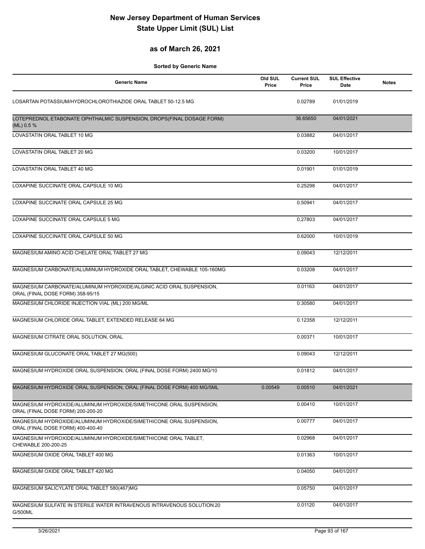### **as of March 26, 2021**

| <b>Generic Name</b>                                                                                      | Old SUL<br>Price | <b>Current SUL</b><br>Price | <b>SUL Effective</b><br><b>Date</b> | <b>Notes</b> |
|----------------------------------------------------------------------------------------------------------|------------------|-----------------------------|-------------------------------------|--------------|
| LOSARTAN POTASSIUM/HYDROCHLOROTHIAZIDE ORAL TABLET 50-12.5 MG                                            |                  | 0.02789                     | 01/01/2019                          |              |
| LOTEPREDNOL ETABONATE OPHTHALMIC SUSPENSION, DROPS(FINAL DOSAGE FORM)<br>(ML) 0.5 %                      |                  | 36.65650                    | 04/01/2021                          |              |
| LOVASTATIN ORAL TABLET 10 MG                                                                             |                  | 0.03882                     | 04/01/2017                          |              |
| LOVASTATIN ORAL TABLET 20 MG                                                                             |                  | 0.03200                     | 10/01/2017                          |              |
| LOVASTATIN ORAL TABLET 40 MG                                                                             |                  | 0.01901                     | 01/01/2019                          |              |
| LOXAPINE SUCCINATE ORAL CAPSULE 10 MG                                                                    |                  | 0.25298                     | 04/01/2017                          |              |
| LOXAPINE SUCCINATE ORAL CAPSULE 25 MG                                                                    |                  | 0.50941                     | 04/01/2017                          |              |
| LOXAPINE SUCCINATE ORAL CAPSULE 5 MG                                                                     |                  | 0.27803                     | 04/01/2017                          |              |
| LOXAPINE SUCCINATE ORAL CAPSULE 50 MG                                                                    |                  | 0.62000                     | 10/01/2019                          |              |
| MAGNESIUM AMINO ACID CHELATE ORAL TABLET 27 MG                                                           |                  | 0.09043                     | 12/12/2011                          |              |
| MAGNESIUM CARBONATE/ALUMINUM HYDROXIDE ORAL TABLET, CHEWABLE 105-160MG                                   |                  | 0.03208                     | 04/01/2017                          |              |
| MAGNESIUM CARBONATE/ALUMINUM HYDROXIDE/ALGINIC ACID ORAL SUSPENSION,<br>ORAL (FINAL DOSE FORM) 358-95/15 |                  | 0.01163                     | 04/01/2017                          |              |
| MAGNESIUM CHLORIDE INJECTION VIAL (ML) 200 MG/ML                                                         |                  | 0.30580                     | 04/01/2017                          |              |
| MAGNESIUM CHLORIDE ORAL TABLET, EXTENDED RELEASE 64 MG                                                   |                  | 0.12358                     | 12/12/2011                          |              |
| MAGNESIUM CITRATE ORAL SOLUTION, ORAL                                                                    |                  | 0.00371                     | 10/01/2017                          |              |
| MAGNESIUM GLUCONATE ORAL TABLET 27 MG(500)                                                               |                  | 0.09043                     | 12/12/2011                          |              |
| MAGNESIUM HYDROXIDE ORAL SUSPENSION, ORAL (FINAL DOSE FORM) 2400 MG/10                                   |                  | 0.01812                     | 04/01/2017                          |              |
| MAGNESIUM HYDROXIDE ORAL SUSPENSION, ORAL (FINAL DOSE FORM) 400 MG/5ML                                   | 0.00549          | 0.00510                     | 04/01/2021                          |              |
| MAGNESIUM HYDROXIDE/ALUMINUM HYDROXIDE/SIMETHICONE ORAL SUSPENSION,<br>ORAL (FINAL DOSE FORM) 200-200-20 |                  | 0.00410                     | 10/01/2017                          |              |
| MAGNESIUM HYDROXIDE/ALUMINUM HYDROXIDE/SIMETHICONE ORAL SUSPENSION,<br>ORAL (FINAL DOSE FORM) 400-400-40 |                  | 0.00777                     | 04/01/2017                          |              |
| MAGNESIUM HYDROXIDE/ALUMINUM HYDROXIDE/SIMETHICONE ORAL TABLET,<br>CHEWABLE 200-200-25                   |                  | 0.02968                     | 04/01/2017                          |              |
| MAGNESIUM OXIDE ORAL TABLET 400 MG                                                                       |                  | 0.01363                     | 10/01/2017                          |              |
| MAGNESIUM OXIDE ORAL TABLET 420 MG                                                                       |                  | 0.04050                     | 04/01/2017                          |              |
| MAGNESIUM SALICYLATE ORAL TABLET 580(467)MG                                                              |                  | 0.05750                     | 04/01/2017                          |              |
| MAGNESIUM SULFATE IN STERILE WATER INTRAVENOUS INTRAVENOUS SOLUTION 20<br>G/500ML                        |                  | 0.01120                     | 04/01/2017                          |              |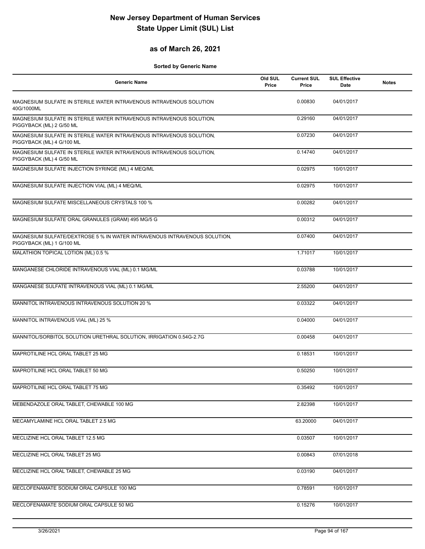### **as of March 26, 2021**

| <b>Generic Name</b>                                                                                    | Old SUL<br>Price | <b>Current SUL</b><br>Price | <b>SUL Effective</b><br>Date | <b>Notes</b> |
|--------------------------------------------------------------------------------------------------------|------------------|-----------------------------|------------------------------|--------------|
| MAGNESIUM SULFATE IN STERILE WATER INTRAVENOUS INTRAVENOUS SOLUTION<br>40G/1000ML                      |                  | 0.00830                     | 04/01/2017                   |              |
| MAGNESIUM SULFATE IN STERILE WATER INTRAVENOUS INTRAVENOUS SOLUTION,<br>PIGGYBACK (ML) 2 G/50 ML       |                  | 0.29160                     | 04/01/2017                   |              |
| MAGNESIUM SULFATE IN STERILE WATER INTRAVENOUS INTRAVENOUS SOLUTION,<br>PIGGYBACK (ML) 4 G/100 ML      |                  | 0.07230                     | 04/01/2017                   |              |
| MAGNESIUM SULFATE IN STERILE WATER INTRAVENOUS INTRAVENOUS SOLUTION,<br>PIGGYBACK (ML) 4 G/50 ML       |                  | 0.14740                     | 04/01/2017                   |              |
| MAGNESIUM SULFATE INJECTION SYRINGE (ML) 4 MEQ/ML                                                      |                  | 0.02975                     | 10/01/2017                   |              |
| MAGNESIUM SULFATE INJECTION VIAL (ML) 4 MEQ/ML                                                         |                  | 0.02975                     | 10/01/2017                   |              |
| MAGNESIUM SULFATE MISCELLANEOUS CRYSTALS 100 %                                                         |                  | 0.00282                     | 04/01/2017                   |              |
| MAGNESIUM SULFATE ORAL GRANULES (GRAM) 495 MG/5 G                                                      |                  | 0.00312                     | 04/01/2017                   |              |
| MAGNESIUM SULFATE/DEXTROSE 5 % IN WATER INTRAVENOUS INTRAVENOUS SOLUTION,<br>PIGGYBACK (ML) 1 G/100 ML |                  | 0.07400                     | 04/01/2017                   |              |
| MALATHION TOPICAL LOTION (ML) 0.5 %                                                                    |                  | 1.71017                     | 10/01/2017                   |              |
| MANGANESE CHLORIDE INTRAVENOUS VIAL (ML) 0.1 MG/ML                                                     |                  | 0.03788                     | 10/01/2017                   |              |
| MANGANESE SULFATE INTRAVENOUS VIAL (ML) 0.1 MG/ML                                                      |                  | 2.55200                     | 04/01/2017                   |              |
| MANNITOL INTRAVENOUS INTRAVENOUS SOLUTION 20 %                                                         |                  | 0.03322                     | 04/01/2017                   |              |
| MANNITOL INTRAVENOUS VIAL (ML) 25 %                                                                    |                  | 0.04000                     | 04/01/2017                   |              |
| MANNITOL/SORBITOL SOLUTION URETHRAL SOLUTION, IRRIGATION 0.54G-2.7G                                    |                  | 0.00458                     | 04/01/2017                   |              |
| MAPROTILINE HCL ORAL TABLET 25 MG                                                                      |                  | 0.18531                     | 10/01/2017                   |              |
| MAPROTILINE HCL ORAL TABLET 50 MG                                                                      |                  | 0.50250                     | 10/01/2017                   |              |
| MAPROTILINE HCL ORAL TABLET 75 MG                                                                      |                  | 0.35492                     | 10/01/2017                   |              |
| MEBENDAZOLE ORAL TABLET, CHEWABLE 100 MG                                                               |                  | 2.82398                     | 10/01/2017                   |              |
| MECAMYLAMINE HCL ORAL TABLET 2.5 MG                                                                    |                  | 63.20000                    | 04/01/2017                   |              |
| MECLIZINE HCL ORAL TABLET 12.5 MG                                                                      |                  | 0.03507                     | 10/01/2017                   |              |
| MECLIZINE HCL ORAL TABLET 25 MG                                                                        |                  | 0.00843                     | 07/01/2018                   |              |
| MECLIZINE HCL ORAL TABLET, CHEWABLE 25 MG                                                              |                  | 0.03190                     | 04/01/2017                   |              |
| MECLOFENAMATE SODIUM ORAL CAPSULE 100 MG                                                               |                  | 0.78591                     | 10/01/2017                   |              |
| MECLOFENAMATE SODIUM ORAL CAPSULE 50 MG                                                                |                  | 0.15276                     | 10/01/2017                   |              |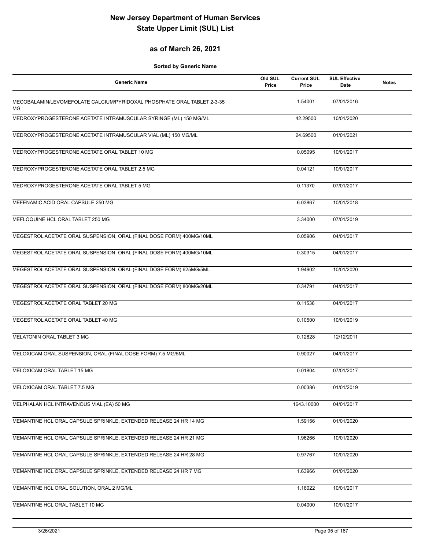### **as of March 26, 2021**

| <b>Generic Name</b>                                                           | Old SUL<br>Price | <b>Current SUL</b><br>Price | <b>SUL Effective</b><br>Date | <b>Notes</b> |
|-------------------------------------------------------------------------------|------------------|-----------------------------|------------------------------|--------------|
| MECOBALAMIN/LEVOMEFOLATE CALCIUM/PYRIDOXAL PHOSPHATE ORAL TABLET 2-3-35<br>МG |                  | 1.54001                     | 07/01/2016                   |              |
| MEDROXYPROGESTERONE ACETATE INTRAMUSCULAR SYRINGE (ML) 150 MG/ML              |                  | 42.29500                    | 10/01/2020                   |              |
| MEDROXYPROGESTERONE ACETATE INTRAMUSCULAR VIAL (ML) 150 MG/ML                 |                  | 24.69500                    | 01/01/2021                   |              |
| MEDROXYPROGESTERONE ACETATE ORAL TABLET 10 MG                                 |                  | 0.05095                     | 10/01/2017                   |              |
| MEDROXYPROGESTERONE ACETATE ORAL TABLET 2.5 MG                                |                  | 0.04121                     | 10/01/2017                   |              |
| MEDROXYPROGESTERONE ACETATE ORAL TABLET 5 MG                                  |                  | 0.11370                     | 07/01/2017                   |              |
| MEFENAMIC ACID ORAL CAPSULE 250 MG                                            |                  | 6.03867                     | 10/01/2018                   |              |
| MEFLOQUINE HCL ORAL TABLET 250 MG                                             |                  | 3.34000                     | 07/01/2019                   |              |
| MEGESTROL ACETATE ORAL SUSPENSION, ORAL (FINAL DOSE FORM) 400MG/10ML          |                  | 0.05906                     | 04/01/2017                   |              |
| MEGESTROL ACETATE ORAL SUSPENSION, ORAL (FINAL DOSE FORM) 400MG/10ML          |                  | 0.30315                     | 04/01/2017                   |              |
| MEGESTROL ACETATE ORAL SUSPENSION, ORAL (FINAL DOSE FORM) 625MG/5ML           |                  | 1.94902                     | 10/01/2020                   |              |
| MEGESTROL ACETATE ORAL SUSPENSION, ORAL (FINAL DOSE FORM) 800MG/20ML          |                  | 0.34791                     | 04/01/2017                   |              |
| MEGESTROL ACETATE ORAL TABLET 20 MG                                           |                  | 0.11536                     | 04/01/2017                   |              |
| MEGESTROL ACETATE ORAL TABLET 40 MG                                           |                  | 0.10500                     | 10/01/2019                   |              |
| <b>MELATONIN ORAL TABLET 3 MG</b>                                             |                  | 0.12828                     | 12/12/2011                   |              |
| MELOXICAM ORAL SUSPENSION, ORAL (FINAL DOSE FORM) 7.5 MG/5ML                  |                  | 0.90027                     | 04/01/2017                   |              |
| MELOXICAM ORAL TABLET 15 MG                                                   |                  | 0.01804                     | 07/01/2017                   |              |
| MELOXICAM ORAL TABLET 7.5 MG                                                  |                  | 0.00386                     | 01/01/2019                   |              |
| MELPHALAN HCL INTRAVENOUS VIAL (EA) 50 MG                                     |                  | 1643.10000                  | 04/01/2017                   |              |
| MEMANTINE HCL ORAL CAPSULE SPRINKLE, EXTENDED RELEASE 24 HR 14 MG             |                  | 1.59156                     | 01/01/2020                   |              |
| MEMANTINE HCL ORAL CAPSULE SPRINKLE, EXTENDED RELEASE 24 HR 21 MG             |                  | 1.96266                     | 10/01/2020                   |              |
| MEMANTINE HCL ORAL CAPSULE SPRINKLE, EXTENDED RELEASE 24 HR 28 MG             |                  | 0.97767                     | 10/01/2020                   |              |
| MEMANTINE HCL ORAL CAPSULE SPRINKLE, EXTENDED RELEASE 24 HR 7 MG              |                  | 1.63966                     | 01/01/2020                   |              |
| MEMANTINE HCL ORAL SOLUTION, ORAL 2 MG/ML                                     |                  | 1.16022                     | 10/01/2017                   |              |
| MEMANTINE HCL ORAL TABLET 10 MG                                               |                  | 0.04000                     | 10/01/2017                   |              |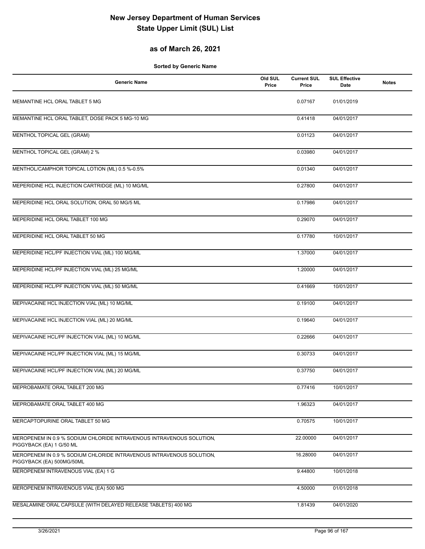### **as of March 26, 2021**

| <b>Generic Name</b>                                                                               | Old SUL<br>Price | <b>Current SUL</b><br>Price | <b>SUL Effective</b><br><b>Date</b> | <b>Notes</b> |
|---------------------------------------------------------------------------------------------------|------------------|-----------------------------|-------------------------------------|--------------|
| MEMANTINE HCL ORAL TABLET 5 MG                                                                    |                  | 0.07167                     | 01/01/2019                          |              |
| MEMANTINE HCL ORAL TABLET, DOSE PACK 5 MG-10 MG                                                   |                  | 0.41418                     | 04/01/2017                          |              |
| <b>MENTHOL TOPICAL GEL (GRAM)</b>                                                                 |                  | 0.01123                     | 04/01/2017                          |              |
| MENTHOL TOPICAL GEL (GRAM) 2 %                                                                    |                  | 0.03980                     | 04/01/2017                          |              |
| MENTHOL/CAMPHOR TOPICAL LOTION (ML) 0.5 %-0.5%                                                    |                  | 0.01340                     | 04/01/2017                          |              |
| MEPERIDINE HCL INJECTION CARTRIDGE (ML) 10 MG/ML                                                  |                  | 0.27800                     | 04/01/2017                          |              |
| MEPERIDINE HCL ORAL SOLUTION, ORAL 50 MG/5 ML                                                     |                  | 0.17986                     | 04/01/2017                          |              |
| MEPERIDINE HCL ORAL TABLET 100 MG                                                                 |                  | 0.29070                     | 04/01/2017                          |              |
| MEPERIDINE HCL ORAL TABLET 50 MG                                                                  |                  | 0.17780                     | 10/01/2017                          |              |
| MEPERIDINE HCL/PF INJECTION VIAL (ML) 100 MG/ML                                                   |                  | 1.37000                     | 04/01/2017                          |              |
| MEPERIDINE HCL/PF INJECTION VIAL (ML) 25 MG/ML                                                    |                  | 1.20000                     | 04/01/2017                          |              |
| MEPERIDINE HCL/PF INJECTION VIAL (ML) 50 MG/ML                                                    |                  | 0.41669                     | 10/01/2017                          |              |
| MEPIVACAINE HCL INJECTION VIAL (ML) 10 MG/ML                                                      |                  | 0.19100                     | 04/01/2017                          |              |
| MEPIVACAINE HCL INJECTION VIAL (ML) 20 MG/ML                                                      |                  | 0.19640                     | 04/01/2017                          |              |
| MEPIVACAINE HCL/PF INJECTION VIAL (ML) 10 MG/ML                                                   |                  | 0.22666                     | 04/01/2017                          |              |
| MEPIVACAINE HCL/PF INJECTION VIAL (ML) 15 MG/ML                                                   |                  | 0.30733                     | 04/01/2017                          |              |
| MEPIVACAINE HCL/PF INJECTION VIAL (ML) 20 MG/ML                                                   |                  | 0.37750                     | 04/01/2017                          |              |
| MEPROBAMATE ORAL TABLET 200 MG                                                                    |                  | 0.77416                     | 10/01/2017                          |              |
| MEPROBAMATE ORAL TABLET 400 MG                                                                    |                  | 1.96323                     | 04/01/2017                          |              |
| MERCAPTOPURINE ORAL TABLET 50 MG                                                                  |                  | 0.70575                     | 10/01/2017                          |              |
| MEROPENEM IN 0.9 % SODIUM CHLORIDE INTRAVENOUS INTRAVENOUS SOLUTION,<br>PIGGYBACK (EA) 1 G/50 ML  |                  | 22.00000                    | 04/01/2017                          |              |
| MEROPENEM IN 0.9 % SODIUM CHLORIDE INTRAVENOUS INTRAVENOUS SOLUTION,<br>PIGGYBACK (EA) 500MG/50ML |                  | 16.28000                    | 04/01/2017                          |              |
| MEROPENEM INTRAVENOUS VIAL (EA) 1 G                                                               |                  | 9.44800                     | 10/01/2018                          |              |
| MEROPENEM INTRAVENOUS VIAL (EA) 500 MG                                                            |                  | 4.50000                     | 01/01/2018                          |              |
| MESALAMINE ORAL CAPSULE (WITH DELAYED RELEASE TABLETS) 400 MG                                     |                  | 1.81439                     | 04/01/2020                          |              |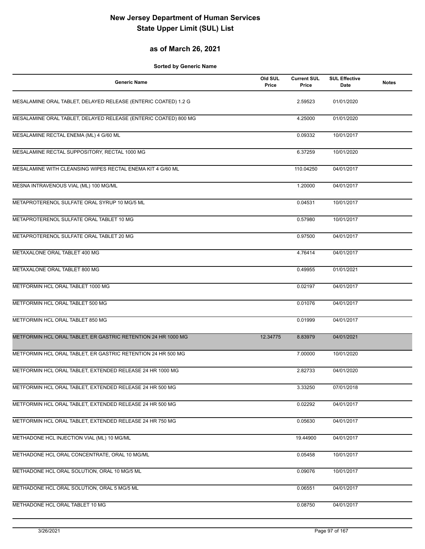### **as of March 26, 2021**

| <b>Generic Name</b>                                             | Old SUL<br>Price | <b>Current SUL</b><br>Price | <b>SUL Effective</b><br>Date | <b>Notes</b> |
|-----------------------------------------------------------------|------------------|-----------------------------|------------------------------|--------------|
| MESALAMINE ORAL TABLET, DELAYED RELEASE (ENTERIC COATED) 1.2 G  |                  | 2.59523                     | 01/01/2020                   |              |
| MESALAMINE ORAL TABLET, DELAYED RELEASE (ENTERIC COATED) 800 MG |                  | 4.25000                     | 01/01/2020                   |              |
| MESALAMINE RECTAL ENEMA (ML) 4 G/60 ML                          |                  | 0.09332                     | 10/01/2017                   |              |
| MESALAMINE RECTAL SUPPOSITORY, RECTAL 1000 MG                   |                  | 6.37259                     | 10/01/2020                   |              |
| MESALAMINE WITH CLEANSING WIPES RECTAL ENEMA KIT 4 G/60 ML      |                  | 110.04250                   | 04/01/2017                   |              |
| MESNA INTRAVENOUS VIAL (ML) 100 MG/ML                           |                  | 1.20000                     | 04/01/2017                   |              |
| METAPROTERENOL SULFATE ORAL SYRUP 10 MG/5 ML                    |                  | 0.04531                     | 10/01/2017                   |              |
| METAPROTERENOL SULFATE ORAL TABLET 10 MG                        |                  | 0.57980                     | 10/01/2017                   |              |
| METAPROTERENOL SULFATE ORAL TABLET 20 MG                        |                  | 0.97500                     | 04/01/2017                   |              |
| METAXALONE ORAL TABLET 400 MG                                   |                  | 4.76414                     | 04/01/2017                   |              |
| METAXALONE ORAL TABLET 800 MG                                   |                  | 0.49955                     | 01/01/2021                   |              |
| METFORMIN HCL ORAL TABLET 1000 MG                               |                  | 0.02197                     | 04/01/2017                   |              |
| METFORMIN HCL ORAL TABLET 500 MG                                |                  | 0.01076                     | 04/01/2017                   |              |
| METFORMIN HCL ORAL TABLET 850 MG                                |                  | 0.01999                     | 04/01/2017                   |              |
| METFORMIN HCL ORAL TABLET, ER GASTRIC RETENTION 24 HR 1000 MG   | 12.34775         | 8.83979                     | 04/01/2021                   |              |
| METFORMIN HCL ORAL TABLET, ER GASTRIC RETENTION 24 HR 500 MG    |                  | 7.00000                     | 10/01/2020                   |              |
| METFORMIN HCL ORAL TABLET, EXTENDED RELEASE 24 HR 1000 MG       |                  | 2.82733                     | 04/01/2020                   |              |
| METFORMIN HCL ORAL TABLET, EXTENDED RELEASE 24 HR 500 MG        |                  | 3.33250                     | 07/01/2018                   |              |
| METFORMIN HCL ORAL TABLET, EXTENDED RELEASE 24 HR 500 MG        |                  | 0.02292                     | 04/01/2017                   |              |
| METFORMIN HCL ORAL TABLET, EXTENDED RELEASE 24 HR 750 MG        |                  | 0.05630                     | 04/01/2017                   |              |
| METHADONE HCL INJECTION VIAL (ML) 10 MG/ML                      |                  | 19.44900                    | 04/01/2017                   |              |
| METHADONE HCL ORAL CONCENTRATE, ORAL 10 MG/ML                   |                  | 0.05458                     | 10/01/2017                   |              |
| METHADONE HCL ORAL SOLUTION, ORAL 10 MG/5 ML                    |                  | 0.09076                     | 10/01/2017                   |              |
| METHADONE HCL ORAL SOLUTION, ORAL 5 MG/5 ML                     |                  | 0.06551                     | 04/01/2017                   |              |
| METHADONE HCL ORAL TABLET 10 MG                                 |                  | 0.08750                     | 04/01/2017                   |              |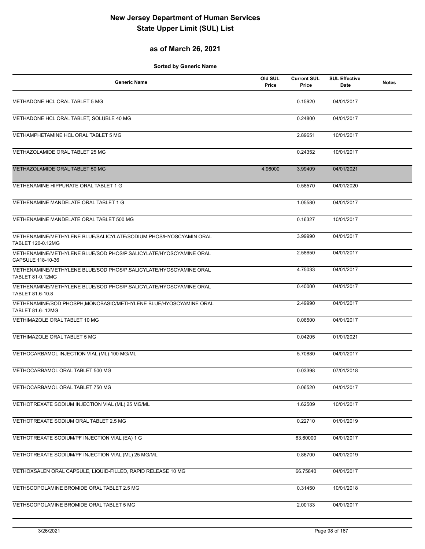### **as of March 26, 2021**

| <b>Generic Name</b>                                                                          | Old SUL<br>Price | <b>Current SUL</b><br>Price | <b>SUL Effective</b><br>Date | <b>Notes</b> |
|----------------------------------------------------------------------------------------------|------------------|-----------------------------|------------------------------|--------------|
| METHADONE HCL ORAL TABLET 5 MG                                                               |                  | 0.15920                     | 04/01/2017                   |              |
| METHADONE HCL ORAL TABLET, SOLUBLE 40 MG                                                     |                  | 0.24800                     | 04/01/2017                   |              |
| METHAMPHETAMINE HCL ORAL TABLET 5 MG                                                         |                  | 2.89651                     | 10/01/2017                   |              |
| METHAZOLAMIDE ORAL TABLET 25 MG                                                              |                  | 0.24352                     | 10/01/2017                   |              |
| METHAZOLAMIDE ORAL TABLET 50 MG                                                              | 4.96000          | 3.99409                     | 04/01/2021                   |              |
| METHENAMINE HIPPURATE ORAL TABLET 1 G                                                        |                  | 0.58570                     | 04/01/2020                   |              |
| METHENAMINE MANDELATE ORAL TABLET 1 G                                                        |                  | 1.05580                     | 04/01/2017                   |              |
| METHENAMINE MANDELATE ORAL TABLET 500 MG                                                     |                  | 0.16327                     | 10/01/2017                   |              |
| METHENAMINE/METHYLENE BLUE/SALICYLATE/SODIUM PHOS/HYOSCYAMIN ORAL<br>TABLET 120-0.12MG       |                  | 3.99990                     | 04/01/2017                   |              |
| METHENAMINE/METHYLENE BLUE/SOD PHOS/P.SALICYLATE/HYOSCYAMINE ORAL<br>CAPSULE 118-10-36       |                  | 2.58650                     | 04/01/2017                   |              |
| METHENAMINE/METHYLENE BLUE/SOD PHOS/P.SALICYLATE/HYOSCYAMINE ORAL<br><b>TABLET 81-0.12MG</b> |                  | 4.75033                     | 04/01/2017                   |              |
| METHENAMINE/METHYLENE BLUE/SOD PHOS/P.SALICYLATE/HYOSCYAMINE ORAL<br>TABLET 81.6-10.8        |                  | 0.40000                     | 04/01/2017                   |              |
| METHENAMINE/SOD PHOSPH, MONOBASIC/METHYLENE BLUE/HYOSCYAMINE ORAL<br>TABLET 81.6-.12MG       |                  | 2.49990                     | 04/01/2017                   |              |
| METHIMAZOLE ORAL TABLET 10 MG                                                                |                  | 0.06500                     | 04/01/2017                   |              |
| METHIMAZOLE ORAL TABLET 5 MG                                                                 |                  | 0.04205                     | 01/01/2021                   |              |
| METHOCARBAMOL INJECTION VIAL (ML) 100 MG/ML                                                  |                  | 5.70880                     | 04/01/2017                   |              |
| METHOCARBAMOL ORAL TABLET 500 MG                                                             |                  | 0.03398                     | 07/01/2018                   |              |
| METHOCARBAMOL ORAL TABLET 750 MG                                                             |                  | 0.06520                     | 04/01/2017                   |              |
| METHOTREXATE SODIUM INJECTION VIAL (ML) 25 MG/ML                                             |                  | 1.62509                     | 10/01/2017                   |              |
| METHOTREXATE SODIUM ORAL TABLET 2.5 MG                                                       |                  | 0.22710                     | 01/01/2019                   |              |
| METHOTREXATE SODIUM/PF INJECTION VIAL (EA) 1 G                                               |                  | 63.60000                    | 04/01/2017                   |              |
| METHOTREXATE SODIUM/PF INJECTION VIAL (ML) 25 MG/ML                                          |                  | 0.86700                     | 04/01/2019                   |              |
| METHOXSALEN ORAL CAPSULE, LIQUID-FILLED, RAPID RELEASE 10 MG                                 |                  | 66.75840                    | 04/01/2017                   |              |
| METHSCOPOLAMINE BROMIDE ORAL TABLET 2.5 MG                                                   |                  | 0.31450                     | 10/01/2018                   |              |
| METHSCOPOLAMINE BROMIDE ORAL TABLET 5 MG                                                     |                  | 2.00133                     | 04/01/2017                   |              |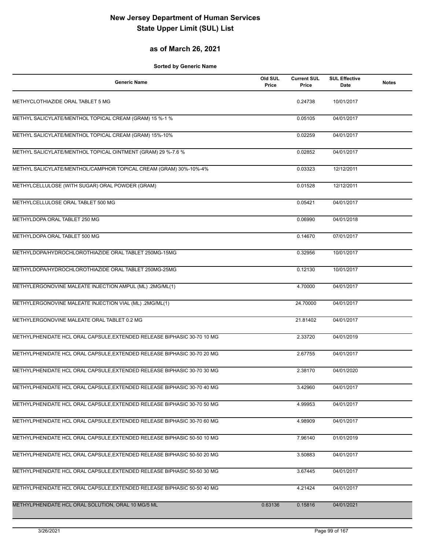### **as of March 26, 2021**

| <b>Generic Name</b>                                                     | Old SUL<br>Price | <b>Current SUL</b><br>Price | <b>SUL Effective</b><br>Date | <b>Notes</b> |
|-------------------------------------------------------------------------|------------------|-----------------------------|------------------------------|--------------|
| METHYCLOTHIAZIDE ORAL TABLET 5 MG                                       |                  | 0.24738                     | 10/01/2017                   |              |
| METHYL SALICYLATE/MENTHOL TOPICAL CREAM (GRAM) 15 %-1 %                 |                  | 0.05105                     | 04/01/2017                   |              |
| METHYL SALICYLATE/MENTHOL TOPICAL CREAM (GRAM) 15%-10%                  |                  | 0.02259                     | 04/01/2017                   |              |
| METHYL SALICYLATE/MENTHOL TOPICAL OINTMENT (GRAM) 29 %-7.6 %            |                  | 0.02852                     | 04/01/2017                   |              |
| METHYL SALICYLATE/MENTHOL/CAMPHOR TOPICAL CREAM (GRAM) 30%-10%-4%       |                  | 0.03323                     | 12/12/2011                   |              |
| METHYLCELLULOSE (WITH SUGAR) ORAL POWDER (GRAM)                         |                  | 0.01528                     | 12/12/2011                   |              |
| METHYLCELLULOSE ORAL TABLET 500 MG                                      |                  | 0.05421                     | 04/01/2017                   |              |
| METHYLDOPA ORAL TABLET 250 MG                                           |                  | 0.06990                     | 04/01/2018                   |              |
| METHYLDOPA ORAL TABLET 500 MG                                           |                  | 0.14670                     | 07/01/2017                   |              |
| METHYLDOPA/HYDROCHLOROTHIAZIDE ORAL TABLET 250MG-15MG                   |                  | 0.32956                     | 10/01/2017                   |              |
| METHYLDOPA/HYDROCHLOROTHIAZIDE ORAL TABLET 250MG-25MG                   |                  | 0.12130                     | 10/01/2017                   |              |
| METHYLERGONOVINE MALEATE INJECTION AMPUL (ML) .2MG/ML(1)                |                  | 4.70000                     | 04/01/2017                   |              |
| METHYLERGONOVINE MALEATE INJECTION VIAL (ML) .2MG/ML(1)                 |                  | 24.70000                    | 04/01/2017                   |              |
| METHYLERGONOVINE MALEATE ORAL TABLET 0.2 MG                             |                  | 21.81402                    | 04/01/2017                   |              |
| METHYLPHENIDATE HCL ORAL CAPSULE, EXTENDED RELEASE BIPHASIC 30-70 10 MG |                  | 2.33720                     | 04/01/2019                   |              |
| METHYLPHENIDATE HCL ORAL CAPSULE, EXTENDED RELEASE BIPHASIC 30-70 20 MG |                  | 2.67755                     | 04/01/2017                   |              |
| METHYLPHENIDATE HCL ORAL CAPSULE, EXTENDED RELEASE BIPHASIC 30-70 30 MG |                  | 2.38170                     | 04/01/2020                   |              |
| METHYLPHENIDATE HCL ORAL CAPSULE, EXTENDED RELEASE BIPHASIC 30-70 40 MG |                  | 3.42960                     | 04/01/2017                   |              |
| METHYLPHENIDATE HCL ORAL CAPSULE, EXTENDED RELEASE BIPHASIC 30-70 50 MG |                  | 4.99953                     | 04/01/2017                   |              |
| METHYLPHENIDATE HCL ORAL CAPSULE, EXTENDED RELEASE BIPHASIC 30-70 60 MG |                  | 4.98909                     | 04/01/2017                   |              |
| METHYLPHENIDATE HCL ORAL CAPSULE, EXTENDED RELEASE BIPHASIC 50-50 10 MG |                  | 7.96140                     | 01/01/2019                   |              |
| METHYLPHENIDATE HCL ORAL CAPSULE, EXTENDED RELEASE BIPHASIC 50-50 20 MG |                  | 3.50883                     | 04/01/2017                   |              |
| METHYLPHENIDATE HCL ORAL CAPSULE, EXTENDED RELEASE BIPHASIC 50-50 30 MG |                  | 3.67445                     | 04/01/2017                   |              |
| METHYLPHENIDATE HCL ORAL CAPSULE, EXTENDED RELEASE BIPHASIC 50-50 40 MG |                  | 4.21424                     | 04/01/2017                   |              |
| METHYLPHENIDATE HCL ORAL SOLUTION, ORAL 10 MG/5 ML                      | 0.63136          | 0.15816                     | 04/01/2021                   |              |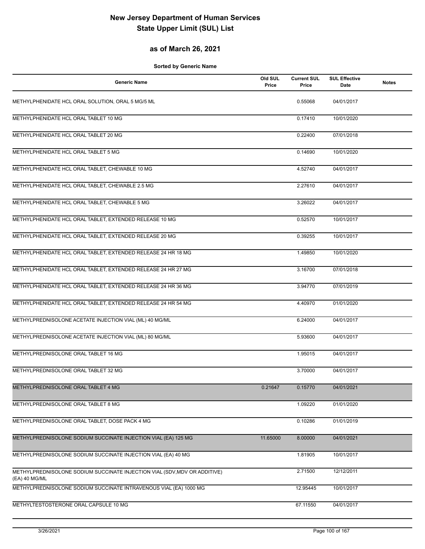### **as of March 26, 2021**

| <b>Generic Name</b>                                                                        | Old SUL<br>Price | <b>Current SUL</b><br>Price | <b>SUL Effective</b><br>Date | <b>Notes</b> |
|--------------------------------------------------------------------------------------------|------------------|-----------------------------|------------------------------|--------------|
| METHYLPHENIDATE HCL ORAL SOLUTION, ORAL 5 MG/5 ML                                          |                  | 0.55068                     | 04/01/2017                   |              |
| METHYLPHENIDATE HCL ORAL TABLET 10 MG                                                      |                  | 0.17410                     | 10/01/2020                   |              |
| METHYLPHENIDATE HCL ORAL TABLET 20 MG                                                      |                  | 0.22400                     | 07/01/2018                   |              |
| METHYLPHENIDATE HCL ORAL TABLET 5 MG                                                       |                  | 0.14690                     | 10/01/2020                   |              |
| METHYLPHENIDATE HCL ORAL TABLET, CHEWABLE 10 MG                                            |                  | 4.52740                     | 04/01/2017                   |              |
| METHYLPHENIDATE HCL ORAL TABLET, CHEWABLE 2.5 MG                                           |                  | 2.27610                     | 04/01/2017                   |              |
| METHYLPHENIDATE HCL ORAL TABLET, CHEWABLE 5 MG                                             |                  | 3.26022                     | 04/01/2017                   |              |
| METHYLPHENIDATE HCL ORAL TABLET, EXTENDED RELEASE 10 MG                                    |                  | 0.52570                     | 10/01/2017                   |              |
| METHYLPHENIDATE HCL ORAL TABLET, EXTENDED RELEASE 20 MG                                    |                  | 0.39255                     | 10/01/2017                   |              |
| METHYLPHENIDATE HCL ORAL TABLET, EXTENDED RELEASE 24 HR 18 MG                              |                  | 1.49850                     | 10/01/2020                   |              |
| METHYLPHENIDATE HCL ORAL TABLET, EXTENDED RELEASE 24 HR 27 MG                              |                  | 3.16700                     | 07/01/2018                   |              |
| METHYLPHENIDATE HCL ORAL TABLET, EXTENDED RELEASE 24 HR 36 MG                              |                  | 3.94770                     | 07/01/2019                   |              |
| METHYLPHENIDATE HCL ORAL TABLET, EXTENDED RELEASE 24 HR 54 MG                              |                  | 4.40970                     | 01/01/2020                   |              |
| METHYLPREDNISOLONE ACETATE INJECTION VIAL (ML) 40 MG/ML                                    |                  | 6.24000                     | 04/01/2017                   |              |
| METHYLPREDNISOLONE ACETATE INJECTION VIAL (ML) 80 MG/ML                                    |                  | 5.93600                     | 04/01/2017                   |              |
| METHYLPREDNISOLONE ORAL TABLET 16 MG                                                       |                  | 1.95015                     | 04/01/2017                   |              |
| METHYLPREDNISOLONE ORAL TABLET 32 MG                                                       |                  | 3.70000                     | 04/01/2017                   |              |
| METHYLPREDNISOLONE ORAL TABLET 4 MG                                                        | 0.21647          | 0.15770                     | 04/01/2021                   |              |
| METHYLPREDNISOLONE ORAL TABLET 8 MG                                                        |                  | 1.09220                     | 01/01/2020                   |              |
| METHYLPREDNISOLONE ORAL TABLET, DOSE PACK 4 MG                                             |                  | 0.10286                     | 01/01/2019                   |              |
| METHYLPREDNISOLONE SODIUM SUCCINATE INJECTION VIAL (EA) 125 MG                             | 11.65000         | 8.00000                     | 04/01/2021                   |              |
| METHYLPREDNISOLONE SODIUM SUCCINATE INJECTION VIAL (EA) 40 MG                              |                  | 1.81905                     | 10/01/2017                   |              |
| METHYLPREDNISOLONE SODIUM SUCCINATE INJECTION VIAL (SDV, MDV OR ADDITIVE)<br>(EA) 40 MG/ML |                  | 2.71500                     | 12/12/2011                   |              |
| METHYLPREDNISOLONE SODIUM SUCCINATE INTRAVENOUS VIAL (EA) 1000 MG                          |                  | 12.95445                    | 10/01/2017                   |              |
| METHYLTESTOSTERONE ORAL CAPSULE 10 MG                                                      |                  | 67.11550                    | 04/01/2017                   |              |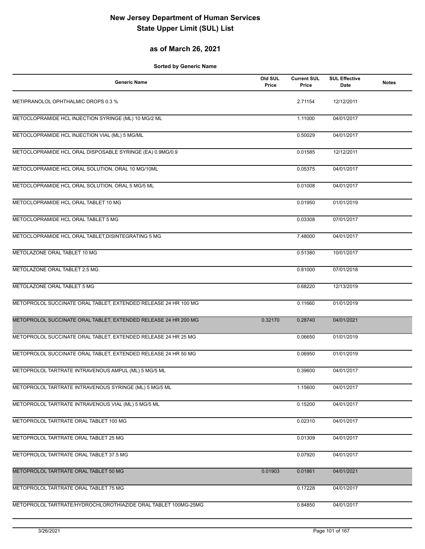### **as of March 26, 2021**

| <b>Generic Name</b>                                             | Old SUL<br>Price | <b>Current SUL</b><br>Price | <b>SUL Effective</b><br>Date | <b>Notes</b> |
|-----------------------------------------------------------------|------------------|-----------------------------|------------------------------|--------------|
| METIPRANOLOL OPHTHALMIC DROPS 0.3 %                             |                  | 2.71154                     | 12/12/2011                   |              |
| METOCLOPRAMIDE HCL INJECTION SYRINGE (ML) 10 MG/2 ML            |                  | 1.11000                     | 04/01/2017                   |              |
| METOCLOPRAMIDE HCL INJECTION VIAL (ML) 5 MG/ML                  |                  | 0.50029                     | 04/01/2017                   |              |
| METOCLOPRAMIDE HCL ORAL DISPOSABLE SYRINGE (EA) 0.9MG/0.9       |                  | 0.01585                     | 12/12/2011                   |              |
| METOCLOPRAMIDE HCL ORAL SOLUTION, ORAL 10 MG/10ML               |                  | 0.05375                     | 04/01/2017                   |              |
| METOCLOPRAMIDE HCL ORAL SOLUTION, ORAL 5 MG/5 ML                |                  | 0.01008                     | 04/01/2017                   |              |
| METOCLOPRAMIDE HCL ORAL TABLET 10 MG                            |                  | 0.01950                     | 01/01/2019                   |              |
| METOCLOPRAMIDE HCL ORAL TABLET 5 MG                             |                  | 0.03308                     | 07/01/2017                   |              |
| METOCLOPRAMIDE HCL ORAL TABLET, DISINTEGRATING 5 MG             |                  | 7.48000                     | 04/01/2017                   |              |
| METOLAZONE ORAL TABLET 10 MG                                    |                  | 0.51380                     | 10/01/2017                   |              |
| METOLAZONE ORAL TABLET 2.5 MG                                   |                  | 0.81000                     | 07/01/2018                   |              |
| METOLAZONE ORAL TABLET 5 MG                                     |                  | 0.68220                     | 12/13/2019                   |              |
| METOPROLOL SUCCINATE ORAL TABLET, EXTENDED RELEASE 24 HR 100 MG |                  | 0.11660                     | 01/01/2019                   |              |
| METOPROLOL SUCCINATE ORAL TABLET, EXTENDED RELEASE 24 HR 200 MG | 0.32170          | 0.28740                     | 04/01/2021                   |              |
| METOPROLOL SUCCINATE ORAL TABLET, EXTENDED RELEASE 24 HR 25 MG  |                  | 0.06650                     | 01/01/2019                   |              |
| METOPROLOL SUCCINATE ORAL TABLET, EXTENDED RELEASE 24 HR 50 MG  |                  | 0.06950                     | 01/01/2019                   |              |
| METOPROLOL TARTRATE INTRAVENOUS AMPUL (ML) 5 MG/5 ML            |                  | 0.39600                     | 04/01/2017                   |              |
| METOPROLOL TARTRATE INTRAVENOUS SYRINGE (ML) 5 MG/5 ML          |                  | 1.15600                     | 04/01/2017                   |              |
| METOPROLOL TARTRATE INTRAVENOUS VIAL (ML) 5 MG/5 ML             |                  | 0.15200                     | 04/01/2017                   |              |
| METOPROLOL TARTRATE ORAL TABLET 100 MG                          |                  | 0.02310                     | 04/01/2017                   |              |
| METOPROLOL TARTRATE ORAL TABLET 25 MG                           |                  | 0.01309                     | 04/01/2017                   |              |
| METOPROLOL TARTRATE ORAL TABLET 37.5 MG                         |                  | 0.07920                     | 04/01/2017                   |              |
| METOPROLOL TARTRATE ORAL TABLET 50 MG                           | 0.01903          | 0.01861                     | 04/01/2021                   |              |
| METOPROLOL TARTRATE ORAL TABLET 75 MG                           |                  | 0.17228                     | 04/01/2017                   |              |
| METOPROLOL TARTRATE/HYDROCHLOROTHIAZIDE ORAL TABLET 100MG-25MG  |                  | 0.84850                     | 04/01/2017                   |              |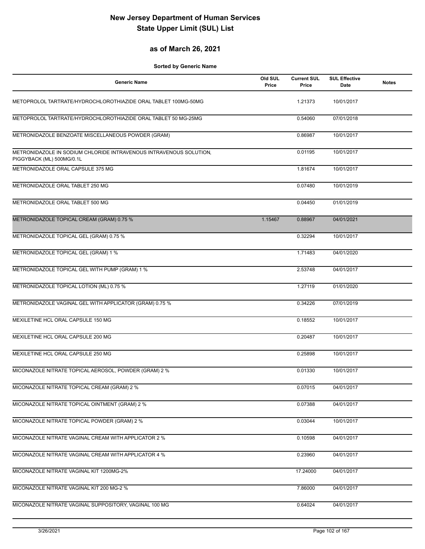### **as of March 26, 2021**

| <b>Generic Name</b>                                                                             | Old SUL<br>Price | <b>Current SUL</b><br>Price | <b>SUL Effective</b><br>Date | <b>Notes</b> |
|-------------------------------------------------------------------------------------------------|------------------|-----------------------------|------------------------------|--------------|
| METOPROLOL TARTRATE/HYDROCHLOROTHIAZIDE ORAL TABLET 100MG-50MG                                  |                  | 1.21373                     | 10/01/2017                   |              |
| METOPROLOL TARTRATE/HYDROCHLOROTHIAZIDE ORAL TABLET 50 MG-25MG                                  |                  | 0.54060                     | 07/01/2018                   |              |
| METRONIDAZOLE BENZOATE MISCELLANEOUS POWDER (GRAM)                                              |                  | 0.86987                     | 10/01/2017                   |              |
| METRONIDAZOLE IN SODIUM CHLORIDE INTRAVENOUS INTRAVENOUS SOLUTION,<br>PIGGYBACK (ML) 500MG/0.1L |                  | 0.01195                     | 10/01/2017                   |              |
| METRONIDAZOLE ORAL CAPSULE 375 MG                                                               |                  | 1.81674                     | 10/01/2017                   |              |
| METRONIDAZOLE ORAL TABLET 250 MG                                                                |                  | 0.07480                     | 10/01/2019                   |              |
| METRONIDAZOLE ORAL TABLET 500 MG                                                                |                  | 0.04450                     | 01/01/2019                   |              |
| METRONIDAZOLE TOPICAL CREAM (GRAM) 0.75 %                                                       | 1.15467          | 0.88967                     | 04/01/2021                   |              |
| METRONIDAZOLE TOPICAL GEL (GRAM) 0.75 %                                                         |                  | 0.32294                     | 10/01/2017                   |              |
| METRONIDAZOLE TOPICAL GEL (GRAM) 1 %                                                            |                  | 1.71483                     | 04/01/2020                   |              |
| METRONIDAZOLE TOPICAL GEL WITH PUMP (GRAM) 1 %                                                  |                  | 2.53748                     | 04/01/2017                   |              |
| METRONIDAZOLE TOPICAL LOTION (ML) 0.75 %                                                        |                  | 1.27119                     | 01/01/2020                   |              |
| METRONIDAZOLE VAGINAL GEL WITH APPLICATOR (GRAM) 0.75 %                                         |                  | 0.34226                     | 07/01/2019                   |              |
| MEXILETINE HCL ORAL CAPSULE 150 MG                                                              |                  | 0.18552                     | 10/01/2017                   |              |
| MEXILETINE HCL ORAL CAPSULE 200 MG                                                              |                  | 0.20487                     | 10/01/2017                   |              |
| MEXILETINE HCL ORAL CAPSULE 250 MG                                                              |                  | 0.25898                     | 10/01/2017                   |              |
| MICONAZOLE NITRATE TOPICAL AEROSOL, POWDER (GRAM) 2 %                                           |                  | 0.01330                     | 10/01/2017                   |              |
| MICONAZOLE NITRATE TOPICAL CREAM (GRAM) 2 %                                                     |                  | 0.07015                     | 04/01/2017                   |              |
| MICONAZOLE NITRATE TOPICAL OINTMENT (GRAM) 2 %                                                  |                  | 0.07388                     | 04/01/2017                   |              |
| MICONAZOLE NITRATE TOPICAL POWDER (GRAM) 2 %                                                    |                  | 0.03044                     | 10/01/2017                   |              |
| MICONAZOLE NITRATE VAGINAL CREAM WITH APPLICATOR 2 %                                            |                  | 0.10598                     | 04/01/2017                   |              |
| MICONAZOLE NITRATE VAGINAL CREAM WITH APPLICATOR 4 %                                            |                  | 0.23960                     | 04/01/2017                   |              |
| MICONAZOLE NITRATE VAGINAL KIT 1200MG-2%                                                        |                  | 17.24000                    | 04/01/2017                   |              |
| MICONAZOLE NITRATE VAGINAL KIT 200 MG-2 %                                                       |                  | 7.86000                     | 04/01/2017                   |              |
| MICONAZOLE NITRATE VAGINAL SUPPOSITORY, VAGINAL 100 MG                                          |                  | 0.64024                     | 04/01/2017                   |              |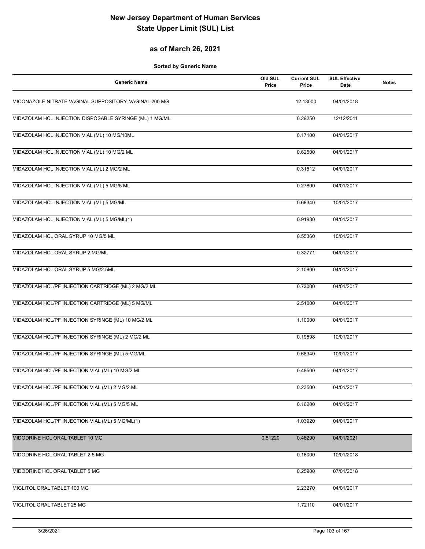### **as of March 26, 2021**

| <b>Generic Name</b>                                     | Old SUL<br>Price | <b>Current SUL</b><br>Price | <b>SUL Effective</b><br>Date | <b>Notes</b> |
|---------------------------------------------------------|------------------|-----------------------------|------------------------------|--------------|
| MICONAZOLE NITRATE VAGINAL SUPPOSITORY, VAGINAL 200 MG  |                  | 12.13000                    | 04/01/2018                   |              |
| MIDAZOLAM HCL INJECTION DISPOSABLE SYRINGE (ML) 1 MG/ML |                  | 0.29250                     | 12/12/2011                   |              |
| MIDAZOLAM HCL INJECTION VIAL (ML) 10 MG/10ML            |                  | 0.17100                     | 04/01/2017                   |              |
| MIDAZOLAM HCL INJECTION VIAL (ML) 10 MG/2 ML            |                  | 0.62500                     | 04/01/2017                   |              |
| MIDAZOLAM HCL INJECTION VIAL (ML) 2 MG/2 ML             |                  | 0.31512                     | 04/01/2017                   |              |
| MIDAZOLAM HCL INJECTION VIAL (ML) 5 MG/5 ML             |                  | 0.27800                     | 04/01/2017                   |              |
| MIDAZOLAM HCL INJECTION VIAL (ML) 5 MG/ML               |                  | 0.68340                     | 10/01/2017                   |              |
| MIDAZOLAM HCL INJECTION VIAL (ML) 5 MG/ML(1)            |                  | 0.91930                     | 04/01/2017                   |              |
| MIDAZOLAM HCL ORAL SYRUP 10 MG/5 ML                     |                  | 0.55360                     | 10/01/2017                   |              |
| MIDAZOLAM HCL ORAL SYRUP 2 MG/ML                        |                  | 0.32771                     | 04/01/2017                   |              |
| MIDAZOLAM HCL ORAL SYRUP 5 MG/2.5ML                     |                  | 2.10800                     | 04/01/2017                   |              |
| MIDAZOLAM HCL/PF INJECTION CARTRIDGE (ML) 2 MG/2 ML     |                  | 0.73000                     | 04/01/2017                   |              |
| MIDAZOLAM HCL/PF INJECTION CARTRIDGE (ML) 5 MG/ML       |                  | 2.51000                     | 04/01/2017                   |              |
| MIDAZOLAM HCL/PF INJECTION SYRINGE (ML) 10 MG/2 ML      |                  | 1.10000                     | 04/01/2017                   |              |
| MIDAZOLAM HCL/PF INJECTION SYRINGE (ML) 2 MG/2 ML       |                  | 0.19598                     | 10/01/2017                   |              |
| MIDAZOLAM HCL/PF INJECTION SYRINGE (ML) 5 MG/ML         |                  | 0.68340                     | 10/01/2017                   |              |
| MIDAZOLAM HCL/PF INJECTION VIAL (ML) 10 MG/2 ML         |                  | 0.48500                     | 04/01/2017                   |              |
| MIDAZOLAM HCL/PF INJECTION VIAL (ML) 2 MG/2 ML          |                  | 0.23500                     | 04/01/2017                   |              |
| MIDAZOLAM HCL/PF INJECTION VIAL (ML) 5 MG/5 ML          |                  | 0.16200                     | 04/01/2017                   |              |
| MIDAZOLAM HCL/PF INJECTION VIAL (ML) 5 MG/ML(1)         |                  | 1.03920                     | 04/01/2017                   |              |
| MIDODRINE HCL ORAL TABLET 10 MG                         | 0.51220          | 0.48290                     | 04/01/2021                   |              |
| MIDODRINE HCL ORAL TABLET 2.5 MG                        |                  | 0.16000                     | 10/01/2018                   |              |
| MIDODRINE HCL ORAL TABLET 5 MG                          |                  | 0.25900                     | 07/01/2018                   |              |
| MIGLITOL ORAL TABLET 100 MG                             |                  | 2.23270                     | 04/01/2017                   |              |
| MIGLITOL ORAL TABLET 25 MG                              |                  | 1.72110                     | 04/01/2017                   |              |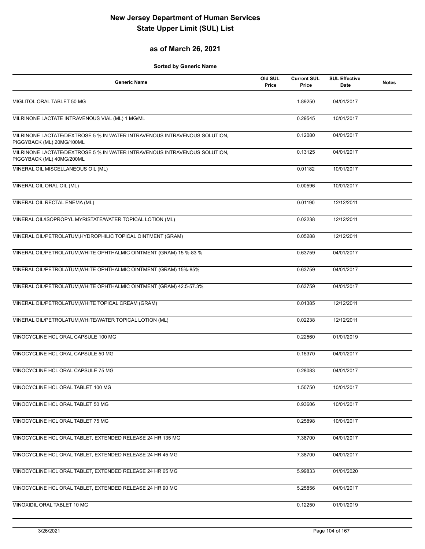### **as of March 26, 2021**

| <b>Generic Name</b>                                                                                    | Old SUL<br>Price | <b>Current SUL</b><br>Price | <b>SUL Effective</b><br>Date | <b>Notes</b> |
|--------------------------------------------------------------------------------------------------------|------------------|-----------------------------|------------------------------|--------------|
| MIGLITOL ORAL TABLET 50 MG                                                                             |                  | 1.89250                     | 04/01/2017                   |              |
| MILRINONE LACTATE INTRAVENOUS VIAL (ML) 1 MG/ML                                                        |                  | 0.29545                     | 10/01/2017                   |              |
| MILRINONE LACTATE/DEXTROSE 5 % IN WATER INTRAVENOUS INTRAVENOUS SOLUTION,<br>PIGGYBACK (ML) 20MG/100ML |                  | 0.12080                     | 04/01/2017                   |              |
| MILRINONE LACTATE/DEXTROSE 5 % IN WATER INTRAVENOUS INTRAVENOUS SOLUTION.<br>PIGGYBACK (ML) 40MG/200ML |                  | 0.13125                     | 04/01/2017                   |              |
| MINERAL OIL MISCELLANEOUS OIL (ML)                                                                     |                  | 0.01182                     | 10/01/2017                   |              |
| MINERAL OIL ORAL OIL (ML)                                                                              |                  | 0.00596                     | 10/01/2017                   |              |
| MINERAL OIL RECTAL ENEMA (ML)                                                                          |                  | 0.01190                     | 12/12/2011                   |              |
| MINERAL OIL/ISOPROPYL MYRISTATE/WATER TOPICAL LOTION (ML)                                              |                  | 0.02238                     | 12/12/2011                   |              |
| MINERAL OIL/PETROLATUM, HYDROPHILIC TOPICAL OINTMENT (GRAM)                                            |                  | 0.05288                     | 12/12/2011                   |              |
| MINERAL OIL/PETROLATUM, WHITE OPHTHALMIC OINTMENT (GRAM) 15 %-83 %                                     |                  | 0.63759                     | 04/01/2017                   |              |
| MINERAL OIL/PETROLATUM, WHITE OPHTHALMIC OINTMENT (GRAM) 15%-85%                                       |                  | 0.63759                     | 04/01/2017                   |              |
| MINERAL OIL/PETROLATUM, WHITE OPHTHALMIC OINTMENT (GRAM) 42.5-57.3%                                    |                  | 0.63759                     | 04/01/2017                   |              |
| MINERAL OIL/PETROLATUM, WHITE TOPICAL CREAM (GRAM)                                                     |                  | 0.01385                     | 12/12/2011                   |              |
| MINERAL OIL/PETROLATUM, WHITE/WATER TOPICAL LOTION (ML)                                                |                  | 0.02238                     | 12/12/2011                   |              |
| MINOCYCLINE HCL ORAL CAPSULE 100 MG                                                                    |                  | 0.22560                     | 01/01/2019                   |              |
| MINOCYCLINE HCL ORAL CAPSULE 50 MG                                                                     |                  | 0.15370                     | 04/01/2017                   |              |
| MINOCYCLINE HCL ORAL CAPSULE 75 MG                                                                     |                  | 0.28083                     | 04/01/2017                   |              |
| MINOCYCLINE HCL ORAL TABLET 100 MG                                                                     |                  | 1.50750                     | 10/01/2017                   |              |
| MINOCYCLINE HCL ORAL TABLET 50 MG                                                                      |                  | 0.93606                     | 10/01/2017                   |              |
| MINOCYCLINE HCL ORAL TABLET 75 MG                                                                      |                  | 0.25898                     | 10/01/2017                   |              |
| MINOCYCLINE HCL ORAL TABLET, EXTENDED RELEASE 24 HR 135 MG                                             |                  | 7.38700                     | 04/01/2017                   |              |
| MINOCYCLINE HCL ORAL TABLET, EXTENDED RELEASE 24 HR 45 MG                                              |                  | 7.38700                     | 04/01/2017                   |              |
| MINOCYCLINE HCL ORAL TABLET. EXTENDED RELEASE 24 HR 65 MG                                              |                  | 5.99833                     | 01/01/2020                   |              |
| MINOCYCLINE HCL ORAL TABLET, EXTENDED RELEASE 24 HR 90 MG                                              |                  | 5.25856                     | 04/01/2017                   |              |
| MINOXIDIL ORAL TABLET 10 MG                                                                            |                  | 0.12250                     | 01/01/2019                   |              |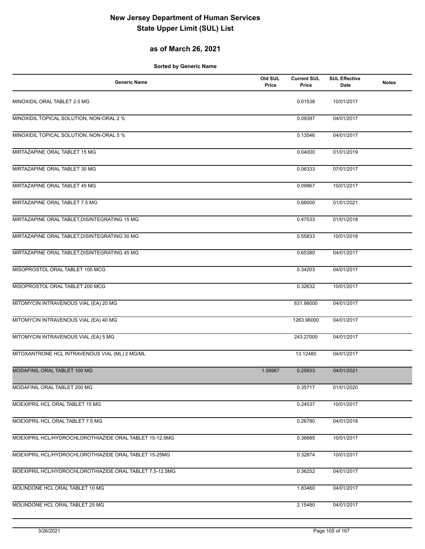### **as of March 26, 2021**

| <b>Generic Name</b>                                      | Old SUL<br>Price | <b>Current SUL</b><br>Price | <b>SUL Effective</b><br>Date | <b>Notes</b> |
|----------------------------------------------------------|------------------|-----------------------------|------------------------------|--------------|
| MINOXIDIL ORAL TABLET 2.5 MG                             |                  | 0.01538                     | 10/01/2017                   |              |
| MINOXIDIL TOPICAL SOLUTION, NON-ORAL 2 %                 |                  | 0.09397                     | 04/01/2017                   |              |
| MINOXIDIL TOPICAL SOLUTION, NON-ORAL 5 %                 |                  | 0.13546                     | 04/01/2017                   |              |
| MIRTAZAPINE ORAL TABLET 15 MG                            |                  | 0.04000                     | 01/01/2019                   |              |
| MIRTAZAPINE ORAL TABLET 30 MG                            |                  | 0.06333                     | 07/01/2017                   |              |
| MIRTAZAPINE ORAL TABLET 45 MG                            |                  | 0.09967                     | 10/01/2017                   |              |
| MIRTAZAPINE ORAL TABLET 7.5 MG                           |                  | 0.66000                     | 01/01/2021                   |              |
| MIRTAZAPINE ORAL TABLET, DISINTEGRATING 15 MG            |                  | 0.47533                     | 01/01/2018                   |              |
| MIRTAZAPINE ORAL TABLET, DISINTEGRATING 30 MG            |                  | 0.55833                     | 10/01/2018                   |              |
| MIRTAZAPINE ORAL TABLET, DISINTEGRATING 45 MG            |                  | 0.65380                     | 04/01/2017                   |              |
| MISOPROSTOL ORAL TABLET 100 MCG                          |                  | 0.34203                     | 04/01/2017                   |              |
| MISOPROSTOL ORAL TABLET 200 MCG                          |                  | 0.32632                     | 10/01/2017                   |              |
| MITOMYCIN INTRAVENOUS VIAL (EA) 20 MG                    |                  | 631.98000                   | 04/01/2017                   |              |
| MITOMYCIN INTRAVENOUS VIAL (EA) 40 MG                    |                  | 1263.96000                  | 04/01/2017                   |              |
| MITOMYCIN INTRAVENOUS VIAL (EA) 5 MG                     |                  | 243.27000                   | 04/01/2017                   |              |
| MITOXANTRONE HCL INTRAVENOUS VIAL (ML) 2 MG/ML           |                  | 13.12480                    | 04/01/2017                   |              |
| MODAFINIL ORAL TABLET 100 MG                             | 1.58967          | 0.25933                     | 04/01/2021                   |              |
| MODAFINIL ORAL TABLET 200 MG                             |                  | 0.35717                     | 01/01/2020                   |              |
| MOEXIPRIL HCL ORAL TABLET 15 MG                          |                  | 0.24537                     | 10/01/2017                   |              |
| MOEXIPRIL HCL ORAL TABLET 7.5 MG                         |                  | 0.26780                     | 04/01/2018                   |              |
| MOEXIPRIL HCL/HYDROCHLOROTHIAZIDE ORAL TABLET 15-12.5MG  |                  | 0.36685                     | 10/01/2017                   |              |
| MOEXIPRIL HCL/HYDROCHLOROTHIAZIDE ORAL TABLET 15-25MG    |                  | 0.32874                     | 10/01/2017                   |              |
| MOEXIPRIL HCL/HYDROCHLOROTHIAZIDE ORAL TABLET 7.5-12.5MG |                  | 0.36252                     | 04/01/2017                   |              |
| MOLINDONE HCL ORAL TABLET 10 MG                          |                  | 1.83460                     | 04/01/2017                   |              |
| MOLINDONE HCL ORAL TABLET 25 MG                          |                  | 2.15480                     | 04/01/2017                   |              |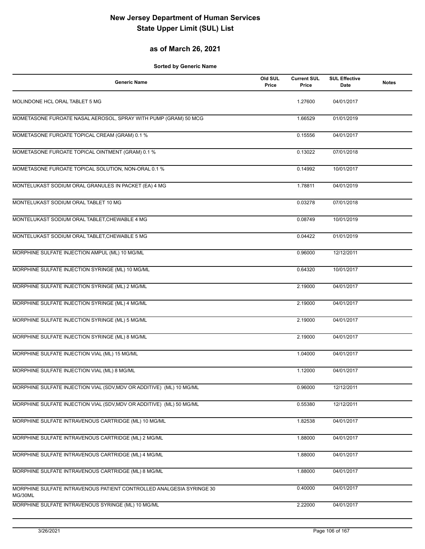### **as of March 26, 2021**

| <b>Generic Name</b>                                                             | Old SUL<br>Price | <b>Current SUL</b><br>Price | <b>SUL Effective</b><br><b>Date</b> | <b>Notes</b> |
|---------------------------------------------------------------------------------|------------------|-----------------------------|-------------------------------------|--------------|
| MOLINDONE HCL ORAL TABLET 5 MG                                                  |                  | 1.27600                     | 04/01/2017                          |              |
| MOMETASONE FUROATE NASAL AEROSOL, SPRAY WITH PUMP (GRAM) 50 MCG                 |                  | 1.66529                     | 01/01/2019                          |              |
| MOMETASONE FUROATE TOPICAL CREAM (GRAM) 0.1 %                                   |                  | 0.15556                     | 04/01/2017                          |              |
| MOMETASONE FUROATE TOPICAL OINTMENT (GRAM) 0.1 %                                |                  | 0.13022                     | 07/01/2018                          |              |
| MOMETASONE FUROATE TOPICAL SOLUTION, NON-ORAL 0.1 %                             |                  | 0.14992                     | 10/01/2017                          |              |
| MONTELUKAST SODIUM ORAL GRANULES IN PACKET (EA) 4 MG                            |                  | 1.78811                     | 04/01/2019                          |              |
| MONTELUKAST SODIUM ORAL TABLET 10 MG                                            |                  | 0.03278                     | 07/01/2018                          |              |
| MONTELUKAST SODIUM ORAL TABLET, CHEWABLE 4 MG                                   |                  | 0.08749                     | 10/01/2019                          |              |
| MONTELUKAST SODIUM ORAL TABLET, CHEWABLE 5 MG                                   |                  | 0.04422                     | 01/01/2019                          |              |
| MORPHINE SULFATE INJECTION AMPUL (ML) 10 MG/ML                                  |                  | 0.96000                     | 12/12/2011                          |              |
| MORPHINE SULFATE INJECTION SYRINGE (ML) 10 MG/ML                                |                  | 0.64320                     | 10/01/2017                          |              |
| MORPHINE SULFATE INJECTION SYRINGE (ML) 2 MG/ML                                 |                  | 2.19000                     | 04/01/2017                          |              |
| MORPHINE SULFATE INJECTION SYRINGE (ML) 4 MG/ML                                 |                  | 2.19000                     | 04/01/2017                          |              |
| MORPHINE SULFATE INJECTION SYRINGE (ML) 5 MG/ML                                 |                  | 2.19000                     | 04/01/2017                          |              |
| MORPHINE SULFATE INJECTION SYRINGE (ML) 8 MG/ML                                 |                  | 2.19000                     | 04/01/2017                          |              |
| MORPHINE SULFATE INJECTION VIAL (ML) 15 MG/ML                                   |                  | 1.04000                     | 04/01/2017                          |              |
| MORPHINE SULFATE INJECTION VIAL (ML) 8 MG/ML                                    |                  | 1.12000                     | 04/01/2017                          |              |
| MORPHINE SULFATE INJECTION VIAL (SDV, MDV OR ADDITIVE) (ML) 10 MG/ML            |                  | 0.96000                     | 12/12/2011                          |              |
| MORPHINE SULFATE INJECTION VIAL (SDV, MDV OR ADDITIVE) (ML) 50 MG/ML            |                  | 0.55380                     | 12/12/2011                          |              |
| MORPHINE SULFATE INTRAVENOUS CARTRIDGE (ML) 10 MG/ML                            |                  | 1.82538                     | 04/01/2017                          |              |
| MORPHINE SULFATE INTRAVENOUS CARTRIDGE (ML) 2 MG/ML                             |                  | 1.88000                     | 04/01/2017                          |              |
| MORPHINE SULFATE INTRAVENOUS CARTRIDGE (ML) 4 MG/ML                             |                  | 1.88000                     | 04/01/2017                          |              |
| MORPHINE SULFATE INTRAVENOUS CARTRIDGE (ML) 8 MG/ML                             |                  | 1.88000                     | 04/01/2017                          |              |
| MORPHINE SULFATE INTRAVENOUS PATIENT CONTROLLED ANALGESIA SYRINGE 30<br>MG/30ML |                  | 0.40000                     | 04/01/2017                          |              |
| MORPHINE SULFATE INTRAVENOUS SYRINGE (ML) 10 MG/ML                              |                  | 2.22000                     | 04/01/2017                          |              |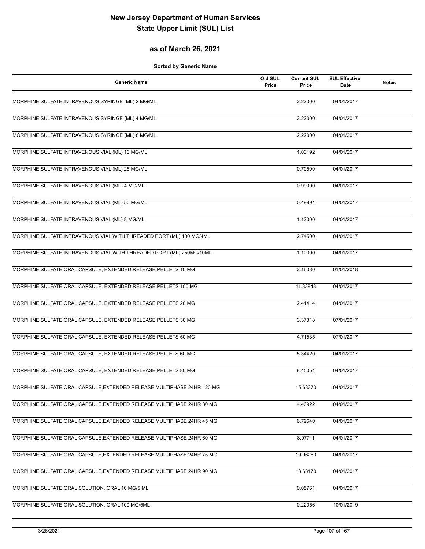### **as of March 26, 2021**

| <b>Generic Name</b>                                                    | Old SUL<br>Price | <b>Current SUL</b><br>Price | <b>SUL Effective</b><br>Date | <b>Notes</b> |
|------------------------------------------------------------------------|------------------|-----------------------------|------------------------------|--------------|
| MORPHINE SULFATE INTRAVENOUS SYRINGE (ML) 2 MG/ML                      |                  | 2.22000                     | 04/01/2017                   |              |
| MORPHINE SULFATE INTRAVENOUS SYRINGE (ML) 4 MG/ML                      |                  | 2.22000                     | 04/01/2017                   |              |
| MORPHINE SULFATE INTRAVENOUS SYRINGE (ML) 8 MG/ML                      |                  | 2.22000                     | 04/01/2017                   |              |
| MORPHINE SULFATE INTRAVENOUS VIAL (ML) 10 MG/ML                        |                  | 1.03192                     | 04/01/2017                   |              |
| MORPHINE SULFATE INTRAVENOUS VIAL (ML) 25 MG/ML                        |                  | 0.70500                     | 04/01/2017                   |              |
| MORPHINE SULFATE INTRAVENOUS VIAL (ML) 4 MG/ML                         |                  | 0.99000                     | 04/01/2017                   |              |
| MORPHINE SULFATE INTRAVENOUS VIAL (ML) 50 MG/ML                        |                  | 0.49894                     | 04/01/2017                   |              |
| MORPHINE SULFATE INTRAVENOUS VIAL (ML) 8 MG/ML                         |                  | 1.12000                     | 04/01/2017                   |              |
| MORPHINE SULFATE INTRAVENOUS VIAL WITH THREADED PORT (ML) 100 MG/4ML   |                  | 2.74500                     | 04/01/2017                   |              |
| MORPHINE SULFATE INTRAVENOUS VIAL WITH THREADED PORT (ML) 250MG/10ML   |                  | 1.10000                     | 04/01/2017                   |              |
| MORPHINE SULFATE ORAL CAPSULE, EXTENDED RELEASE PELLETS 10 MG          |                  | 2.16080                     | 01/01/2018                   |              |
| MORPHINE SULFATE ORAL CAPSULE, EXTENDED RELEASE PELLETS 100 MG         |                  | 11.83943                    | 04/01/2017                   |              |
| MORPHINE SULFATE ORAL CAPSULE, EXTENDED RELEASE PELLETS 20 MG          |                  | 2.41414                     | 04/01/2017                   |              |
| MORPHINE SULFATE ORAL CAPSULE, EXTENDED RELEASE PELLETS 30 MG          |                  | 3.37318                     | 07/01/2017                   |              |
| MORPHINE SULFATE ORAL CAPSULE, EXTENDED RELEASE PELLETS 50 MG          |                  | 4.71535                     | 07/01/2017                   |              |
| MORPHINE SULFATE ORAL CAPSULE, EXTENDED RELEASE PELLETS 60 MG          |                  | 5.34420                     | 04/01/2017                   |              |
| MORPHINE SULFATE ORAL CAPSULE, EXTENDED RELEASE PELLETS 80 MG          |                  | 8.45051                     | 04/01/2017                   |              |
| MORPHINE SULFATE ORAL CAPSULE, EXTENDED RELEASE MULTIPHASE 24HR 120 MG |                  | 15.68370                    | 04/01/2017                   |              |
| MORPHINE SULFATE ORAL CAPSULE, EXTENDED RELEASE MULTIPHASE 24HR 30 MG  |                  | 4.40922                     | 04/01/2017                   |              |
| MORPHINE SULFATE ORAL CAPSULE, EXTENDED RELEASE MULTIPHASE 24HR 45 MG  |                  | 6.79640                     | 04/01/2017                   |              |
| MORPHINE SULFATE ORAL CAPSULE, EXTENDED RELEASE MULTIPHASE 24HR 60 MG  |                  | 8.97711                     | 04/01/2017                   |              |
| MORPHINE SULFATE ORAL CAPSULE, EXTENDED RELEASE MULTIPHASE 24HR 75 MG  |                  | 10.96260                    | 04/01/2017                   |              |
| MORPHINE SULFATE ORAL CAPSULE, EXTENDED RELEASE MULTIPHASE 24HR 90 MG  |                  | 13.63170                    | 04/01/2017                   |              |
| MORPHINE SULFATE ORAL SOLUTION, ORAL 10 MG/5 ML                        |                  | 0.05761                     | 04/01/2017                   |              |
| MORPHINE SULFATE ORAL SOLUTION, ORAL 100 MG/5ML                        |                  | 0.22056                     | 10/01/2019                   |              |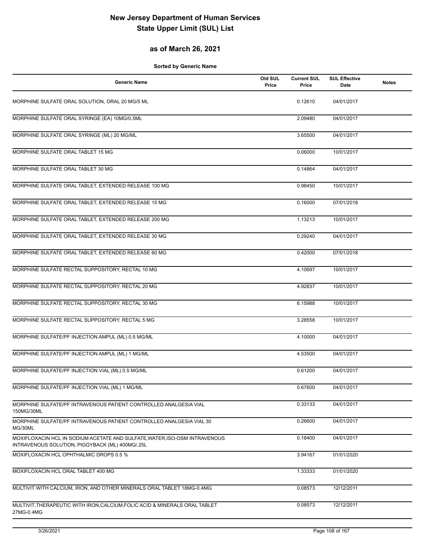### **as of March 26, 2021**

| <b>Generic Name</b>                                                                                                           | Old SUL<br>Price | <b>Current SUL</b><br>Price | <b>SUL Effective</b><br>Date | <b>Notes</b> |
|-------------------------------------------------------------------------------------------------------------------------------|------------------|-----------------------------|------------------------------|--------------|
| MORPHINE SULFATE ORAL SOLUTION, ORAL 20 MG/5 ML                                                                               |                  | 0.12610                     | 04/01/2017                   |              |
| MORPHINE SULFATE ORAL SYRINGE (EA) 10MG/0.5ML                                                                                 |                  | 2.09480                     | 04/01/2017                   |              |
| MORPHINE SULFATE ORAL SYRINGE (ML) 20 MG/ML                                                                                   |                  | 3.65500                     | 04/01/2017                   |              |
| MORPHINE SULFATE ORAL TABLET 15 MG                                                                                            |                  | 0.06000                     | 10/01/2017                   |              |
| MORPHINE SULFATE ORAL TABLET 30 MG                                                                                            |                  | 0.14864                     | 04/01/2017                   |              |
| MORPHINE SULFATE ORAL TABLET, EXTENDED RELEASE 100 MG                                                                         |                  | 0.98450                     | 10/01/2017                   |              |
| MORPHINE SULFATE ORAL TABLET, EXTENDED RELEASE 15 MG                                                                          |                  | 0.16000                     | 07/01/2018                   |              |
| MORPHINE SULFATE ORAL TABLET, EXTENDED RELEASE 200 MG                                                                         |                  | 1.13213                     | 10/01/2017                   |              |
| MORPHINE SULFATE ORAL TABLET, EXTENDED RELEASE 30 MG                                                                          |                  | 0.29240                     | 04/01/2017                   |              |
| MORPHINE SULFATE ORAL TABLET, EXTENDED RELEASE 60 MG                                                                          |                  | 0.42000                     | 07/01/2018                   |              |
| MORPHINE SULFATE RECTAL SUPPOSITORY, RECTAL 10 MG                                                                             |                  | 4.10697                     | 10/01/2017                   |              |
| MORPHINE SULFATE RECTAL SUPPOSITORY, RECTAL 20 MG                                                                             |                  | 4.92837                     | 10/01/2017                   |              |
| MORPHINE SULFATE RECTAL SUPPOSITORY, RECTAL 30 MG                                                                             |                  | 6.15988                     | 10/01/2017                   |              |
| MORPHINE SULFATE RECTAL SUPPOSITORY, RECTAL 5 MG                                                                              |                  | 3.28558                     | 10/01/2017                   |              |
| MORPHINE SULFATE/PF INJECTION AMPUL (ML) 0.5 MG/ML                                                                            |                  | 4.10000                     | 04/01/2017                   |              |
| MORPHINE SULFATE/PF INJECTION AMPUL (ML) 1 MG/ML                                                                              |                  | 4.53500                     | 04/01/2017                   |              |
| MORPHINE SULFATE/PF INJECTION VIAL (ML) 0.5 MG/ML                                                                             |                  | 0.61200                     | 04/01/2017                   |              |
| MORPHINE SULFATE/PF INJECTION VIAL (ML) 1 MG/ML                                                                               |                  | 0.67600                     | 04/01/2017                   |              |
| MORPHINE SULFATE/PF INTRAVENOUS PATIENT CONTROLLED ANALGESIA VIAL<br>150MG/30ML                                               |                  | 0.33133                     | 04/01/2017                   |              |
| MORPHINE SULFATE/PF INTRAVENOUS PATIENT CONTROLLED ANALGESIA VIAL 30<br>MG/30ML                                               |                  | 0.26600                     | 04/01/2017                   |              |
| MOXIFLOXACIN HCL IN SODIUM ACETATE AND SULFATE, WATER, ISO-OSM INTRAVENOUS<br>INTRAVENOUS SOLUTION, PIGGYBACK (ML) 400MG/.25L |                  | 0.18400                     | 04/01/2017                   |              |
| MOXIFLOXACIN HCL OPHTHALMIC DROPS 0.5 %                                                                                       |                  | 3.94167                     | 01/01/2020                   |              |
| MOXIFLOXACIN HCL ORAL TABLET 400 MG                                                                                           |                  | 1.33333                     | 01/01/2020                   |              |
| MULTIVIT WITH CALCIUM, IRON, AND OTHER MINERALS ORAL TABLET 18MG-0.4MG                                                        |                  | 0.08573                     | 12/12/2011                   |              |
| MULTIVIT, THERAPEUTIC WITH IRON, CALCIUM, FOLIC ACID & MINERALS ORAL TABLET<br>27MG-0.4MG                                     |                  | 0.08573                     | 12/12/2011                   |              |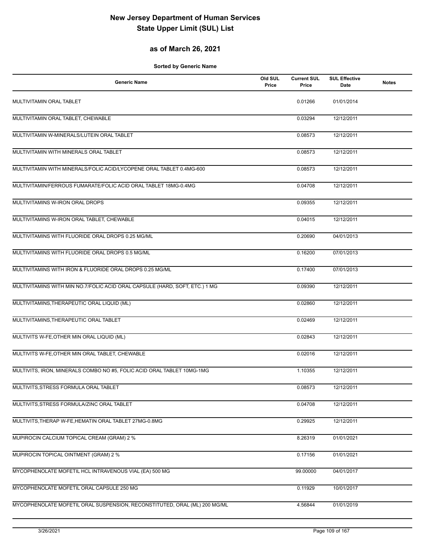### **as of March 26, 2021**

| <b>Generic Name</b>                                                         | Old SUL<br>Price | <b>Current SUL</b><br>Price | <b>SUL Effective</b><br>Date | <b>Notes</b> |
|-----------------------------------------------------------------------------|------------------|-----------------------------|------------------------------|--------------|
| MULTIVITAMIN ORAL TABLET                                                    |                  | 0.01266                     | 01/01/2014                   |              |
| MULTIVITAMIN ORAL TABLET, CHEWABLE                                          |                  | 0.03294                     | 12/12/2011                   |              |
| MULTIVITAMIN W-MINERALS/LUTEIN ORAL TABLET                                  |                  | 0.08573                     | 12/12/2011                   |              |
| MULTIVITAMIN WITH MINERALS ORAL TABLET                                      |                  | 0.08573                     | 12/12/2011                   |              |
| MULTIVITAMIN WITH MINERALS/FOLIC ACID/LYCOPENE ORAL TABLET 0.4MG-600        |                  | 0.08573                     | 12/12/2011                   |              |
| MULTIVITAMIN/FERROUS FUMARATE/FOLIC ACID ORAL TABLET 18MG-0.4MG             |                  | 0.04708                     | 12/12/2011                   |              |
| MULTIVITAMINS W-IRON ORAL DROPS                                             |                  | 0.09355                     | 12/12/2011                   |              |
| MULTIVITAMINS W-IRON ORAL TABLET, CHEWABLE                                  |                  | 0.04015                     | 12/12/2011                   |              |
| MULTIVITAMINS WITH FLUORIDE ORAL DROPS 0.25 MG/ML                           |                  | 0.20690                     | 04/01/2013                   |              |
| MULTIVITAMINS WITH FLUORIDE ORAL DROPS 0.5 MG/ML                            |                  | 0.16200                     | 07/01/2013                   |              |
| MULTIVITAMINS WITH IRON & FLUORIDE ORAL DROPS 0.25 MG/ML                    |                  | 0.17400                     | 07/01/2013                   |              |
| MULTIVITAMINS WITH MIN NO.7/FOLIC ACID ORAL CAPSULE (HARD, SOFT, ETC.) 1 MG |                  | 0.09390                     | 12/12/2011                   |              |
| MULTIVITAMINS, THERAPEUTIC ORAL LIQUID (ML)                                 |                  | 0.02860                     | 12/12/2011                   |              |
| MULTIVITAMINS, THERAPEUTIC ORAL TABLET                                      |                  | 0.02469                     | 12/12/2011                   |              |
| MULTIVITS W-FE, OTHER MIN ORAL LIQUID (ML)                                  |                  | 0.02843                     | 12/12/2011                   |              |
| MULTIVITS W-FE, OTHER MIN ORAL TABLET, CHEWABLE                             |                  | 0.02016                     | 12/12/2011                   |              |
| MULTIVITS, IRON, MINERALS COMBO NO #5, FOLIC ACID ORAL TABLET 10MG-1MG      |                  | 1.10355                     | 12/12/2011                   |              |
| MULTIVITS, STRESS FORMULA ORAL TABLET                                       |                  | 0.08573                     | 12/12/2011                   |              |
| MULTIVITS, STRESS FORMULA/ZINC ORAL TABLET                                  |                  | 0.04708                     | 12/12/2011                   |              |
| MULTIVITS, THERAP W-FE, HEMATIN ORAL TABLET 27MG-0.8MG                      |                  | 0.29925                     | 12/12/2011                   |              |
| MUPIROCIN CALCIUM TOPICAL CREAM (GRAM) 2 %                                  |                  | 8.26319                     | 01/01/2021                   |              |
| MUPIROCIN TOPICAL OINTMENT (GRAM) 2 %                                       |                  | 0.17156                     | 01/01/2021                   |              |
| MYCOPHENOLATE MOFETIL HCL INTRAVENOUS VIAL (EA) 500 MG                      |                  | 99.00000                    | 04/01/2017                   |              |
| MYCOPHENOLATE MOFETIL ORAL CAPSULE 250 MG                                   |                  | 0.11929                     | 10/01/2017                   |              |
| MYCOPHENOLATE MOFETIL ORAL SUSPENSION, RECONSTITUTED, ORAL (ML) 200 MG/ML   |                  | 4.56844                     | 01/01/2019                   |              |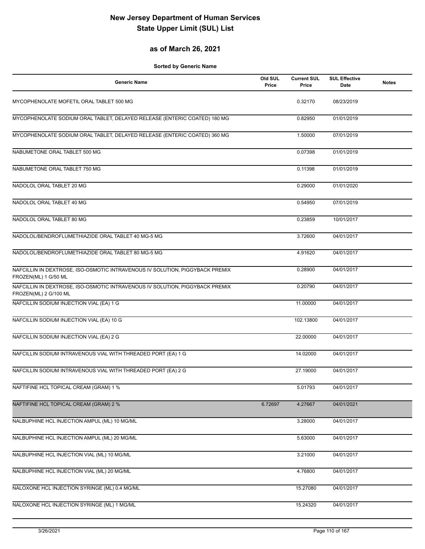### **as of March 26, 2021**

| <b>Generic Name</b>                                                                                   | Old SUL<br>Price | <b>Current SUL</b><br>Price | <b>SUL Effective</b><br><b>Date</b> | <b>Notes</b> |
|-------------------------------------------------------------------------------------------------------|------------------|-----------------------------|-------------------------------------|--------------|
| MYCOPHENOLATE MOFETIL ORAL TABLET 500 MG                                                              |                  | 0.32170                     | 08/23/2019                          |              |
| MYCOPHENOLATE SODIUM ORAL TABLET, DELAYED RELEASE (ENTERIC COATED) 180 MG                             |                  | 0.82950                     | 01/01/2019                          |              |
| MYCOPHENOLATE SODIUM ORAL TABLET, DELAYED RELEASE (ENTERIC COATED) 360 MG                             |                  | 1.50000                     | 07/01/2019                          |              |
| NABUMETONE ORAL TABLET 500 MG                                                                         |                  | 0.07398                     | 01/01/2019                          |              |
| NABUMETONE ORAL TABLET 750 MG                                                                         |                  | 0.11398                     | 01/01/2019                          |              |
| NADOLOL ORAL TABLET 20 MG                                                                             |                  | 0.29000                     | 01/01/2020                          |              |
| NADOLOL ORAL TABLET 40 MG                                                                             |                  | 0.54950                     | 07/01/2019                          |              |
| NADOLOL ORAL TABLET 80 MG                                                                             |                  | 0.23859                     | 10/01/2017                          |              |
| NADOLOL/BENDROFLUMETHIAZIDE ORAL TABLET 40 MG-5 MG                                                    |                  | 3.72600                     | 04/01/2017                          |              |
| NADOLOL/BENDROFLUMETHIAZIDE ORAL TABLET 80 MG-5 MG                                                    |                  | 4.91620                     | 04/01/2017                          |              |
| NAFCILLIN IN DEXTROSE, ISO-OSMOTIC INTRAVENOUS IV SOLUTION, PIGGYBACK PREMIX<br>FROZEN(ML) 1 G/50 ML  |                  | 0.28900                     | 04/01/2017                          |              |
| NAFCILLIN IN DEXTROSE, ISO-OSMOTIC INTRAVENOUS IV SOLUTION, PIGGYBACK PREMIX<br>FROZEN(ML) 2 G/100 ML |                  | 0.20790                     | 04/01/2017                          |              |
| NAFCILLIN SODIUM INJECTION VIAL (EA) 1 G                                                              |                  | 11.00000                    | 04/01/2017                          |              |
| NAFCILLIN SODIUM INJECTION VIAL (EA) 10 G                                                             |                  | 102.13800                   | 04/01/2017                          |              |
| NAFCILLIN SODIUM INJECTION VIAL (EA) 2 G                                                              |                  | 22.00000                    | 04/01/2017                          |              |
| NAFCILLIN SODIUM INTRAVENOUS VIAL WITH THREADED PORT (EA) 1 G                                         |                  | 14.02000                    | 04/01/2017                          |              |
| NAFCILLIN SODIUM INTRAVENOUS VIAL WITH THREADED PORT (EA) 2 G                                         |                  | 27.19000                    | 04/01/2017                          |              |
| NAFTIFINE HCL TOPICAL CREAM (GRAM) 1 %                                                                |                  | 5.01793                     | 04/01/2017                          |              |
| NAFTIFINE HCL TOPICAL CREAM (GRAM) 2 %                                                                | 6.72697          | 4.27667                     | 04/01/2021                          |              |
| NALBUPHINE HCL INJECTION AMPUL (ML) 10 MG/ML                                                          |                  | 3.28000                     | 04/01/2017                          |              |
| NALBUPHINE HCL INJECTION AMPUL (ML) 20 MG/ML                                                          |                  | 5.63000                     | 04/01/2017                          |              |
| NALBUPHINE HCL INJECTION VIAL (ML) 10 MG/ML                                                           |                  | 3.21000                     | 04/01/2017                          |              |
| NALBUPHINE HCL INJECTION VIAL (ML) 20 MG/ML                                                           |                  | 4.76800                     | 04/01/2017                          |              |
| NALOXONE HCL INJECTION SYRINGE (ML) 0.4 MG/ML                                                         |                  | 15.27080                    | 04/01/2017                          |              |
| NALOXONE HCL INJECTION SYRINGE (ML) 1 MG/ML                                                           |                  | 15.24320                    | 04/01/2017                          |              |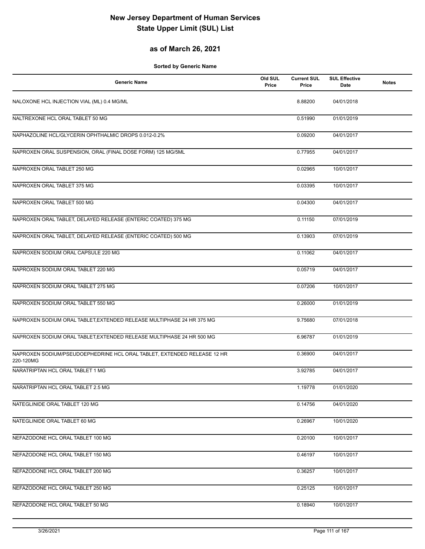### **as of March 26, 2021**

| <b>Generic Name</b>                                                                  | Old SUL<br>Price | <b>Current SUL</b><br>Price | <b>SUL Effective</b><br><b>Date</b> | <b>Notes</b> |
|--------------------------------------------------------------------------------------|------------------|-----------------------------|-------------------------------------|--------------|
| NALOXONE HCL INJECTION VIAL (ML) 0.4 MG/ML                                           |                  | 8.88200                     | 04/01/2018                          |              |
| NALTREXONE HCL ORAL TABLET 50 MG                                                     |                  | 0.51990                     | 01/01/2019                          |              |
| NAPHAZOLINE HCL/GLYCERIN OPHTHALMIC DROPS 0.012-0.2%                                 |                  | 0.09200                     | 04/01/2017                          |              |
| NAPROXEN ORAL SUSPENSION, ORAL (FINAL DOSE FORM) 125 MG/5ML                          |                  | 0.77955                     | 04/01/2017                          |              |
| NAPROXEN ORAL TABLET 250 MG                                                          |                  | 0.02965                     | 10/01/2017                          |              |
| NAPROXEN ORAL TABLET 375 MG                                                          |                  | 0.03395                     | 10/01/2017                          |              |
| NAPROXEN ORAL TABLET 500 MG                                                          |                  | 0.04300                     | 04/01/2017                          |              |
| NAPROXEN ORAL TABLET, DELAYED RELEASE (ENTERIC COATED) 375 MG                        |                  | 0.11150                     | 07/01/2019                          |              |
| NAPROXEN ORAL TABLET, DELAYED RELEASE (ENTERIC COATED) 500 MG                        |                  | 0.13903                     | 07/01/2019                          |              |
| NAPROXEN SODIUM ORAL CAPSULE 220 MG                                                  |                  | 0.11062                     | 04/01/2017                          |              |
| NAPROXEN SODIUM ORAL TABLET 220 MG                                                   |                  | 0.05719                     | 04/01/2017                          |              |
| NAPROXEN SODIUM ORAL TABLET 275 MG                                                   |                  | 0.07206                     | 10/01/2017                          |              |
| NAPROXEN SODIUM ORAL TABLET 550 MG                                                   |                  | 0.26000                     | 01/01/2019                          |              |
| NAPROXEN SODIUM ORAL TABLET, EXTENDED RELEASE MULTIPHASE 24 HR 375 MG                |                  | 9.75680                     | 07/01/2018                          |              |
| NAPROXEN SODIUM ORAL TABLET, EXTENDED RELEASE MULTIPHASE 24 HR 500 MG                |                  | 6.96787                     | 01/01/2019                          |              |
| NAPROXEN SODIUM/PSEUDOEPHEDRINE HCL ORAL TABLET, EXTENDED RELEASE 12 HR<br>220-120MG |                  | 0.36900                     | 04/01/2017                          |              |
| NARATRIPTAN HCL ORAL TABLET 1 MG                                                     |                  | 3.92785                     | 04/01/2017                          |              |
| NARATRIPTAN HCL ORAL TABLET 2.5 MG                                                   |                  | 1.19778                     | 01/01/2020                          |              |
| NATEGLINIDE ORAL TABLET 120 MG                                                       |                  | 0.14756                     | 04/01/2020                          |              |
| NATEGLINIDE ORAL TABLET 60 MG                                                        |                  | 0.26967                     | 10/01/2020                          |              |
| NEFAZODONE HCL ORAL TABLET 100 MG                                                    |                  | 0.20100                     | 10/01/2017                          |              |
| NEFAZODONE HCL ORAL TABLET 150 MG                                                    |                  | 0.46197                     | 10/01/2017                          |              |
| NEFAZODONE HCL ORAL TABLET 200 MG                                                    |                  | 0.36257                     | 10/01/2017                          |              |
| NEFAZODONE HCL ORAL TABLET 250 MG                                                    |                  | 0.25125                     | 10/01/2017                          |              |
| NEFAZODONE HCL ORAL TABLET 50 MG                                                     |                  | 0.18940                     | 10/01/2017                          |              |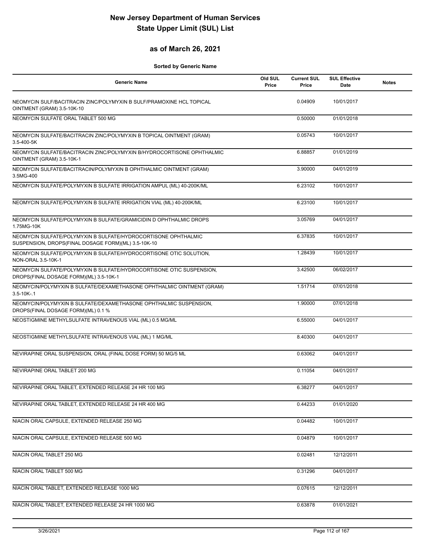### **as of March 26, 2021**

| <b>Generic Name</b>                                                                                                   | Old SUL<br>Price | <b>Current SUL</b><br>Price | <b>SUL Effective</b><br><b>Date</b> | <b>Notes</b> |
|-----------------------------------------------------------------------------------------------------------------------|------------------|-----------------------------|-------------------------------------|--------------|
| NEOMYCIN SULF/BACITRACIN ZINC/POLYMYXIN B SULF/PRAMOXINE HCL TOPICAL<br>OINTMENT (GRAM) 3.5-10K-10                    |                  | 0.04909                     | 10/01/2017                          |              |
| NEOMYCIN SULFATE ORAL TABLET 500 MG                                                                                   |                  | 0.50000                     | 01/01/2018                          |              |
| NEOMYCIN SULFATE/BACITRACIN ZINC/POLYMYXIN B TOPICAL OINTMENT (GRAM)<br>3.5-400-5K                                    |                  | 0.05743                     | 10/01/2017                          |              |
| NEOMYCIN SULFATE/BACITRACIN ZINC/POLYMYXIN B/HYDROCORTISONE OPHTHALMIC<br>OINTMENT (GRAM) 3.5-10K-1                   |                  | 6.88857                     | 01/01/2019                          |              |
| NEOMYCIN SULFATE/BACITRACIN/POLYMYXIN B OPHTHALMIC OINTMENT (GRAM)<br>3.5MG-400                                       |                  | 3.90000                     | 04/01/2019                          |              |
| NEOMYCIN SULFATE/POLYMYXIN B SULFATE IRRIGATION AMPUL (ML) 40-200K/ML                                                 |                  | 6.23102                     | 10/01/2017                          |              |
| NEOMYCIN SULFATE/POLYMYXIN B SULFATE IRRIGATION VIAL (ML) 40-200K/ML                                                  |                  | 6.23100                     | 10/01/2017                          |              |
| NEOMYCIN SULFATE/POLYMYXIN B SULFATE/GRAMICIDIN D OPHTHALMIC DROPS<br>1.75MG-10K                                      |                  | 3.05769                     | 04/01/2017                          |              |
| NEOMYCIN SULFATE/POLYMYXIN B SULFATE/HYDROCORTISONE OPHTHALMIC<br>SUSPENSION, DROPS(FINAL DOSAGE FORM)(ML) 3.5-10K-10 |                  | 6.37835                     | 10/01/2017                          |              |
| NEOMYCIN SULFATE/POLYMYXIN B SULFATE/HYDROCORTISONE OTIC SOLUTION,<br>NON-ORAL 3.5-10K-1                              |                  | 1.28439                     | 10/01/2017                          |              |
| NEOMYCIN SULFATE/POLYMYXIN B SULFATE/HYDROCORTISONE OTIC SUSPENSION,<br>DROPS(FINAL DOSAGE FORM)(ML) 3.5-10K-1        |                  | 3.42500                     | 06/02/2017                          |              |
| NEOMYCIN/POLYMYXIN B SULFATE/DEXAMETHASONE OPHTHALMIC OINTMENT (GRAM)<br>$3.5 - 10K - 1$                              |                  | 1.51714                     | 07/01/2018                          |              |
| NEOMYCIN/POLYMYXIN B SULFATE/DEXAMETHASONE OPHTHALMIC SUSPENSION,<br>DROPS(FINAL DOSAGE FORM)(ML) 0.1 %               |                  | 1.90000                     | 07/01/2018                          |              |
| NEOSTIGMINE METHYLSULFATE INTRAVENOUS VIAL (ML) 0.5 MG/ML                                                             |                  | 6.55000                     | 04/01/2017                          |              |
| NEOSTIGMINE METHYLSULFATE INTRAVENOUS VIAL (ML) 1 MG/ML                                                               |                  | 8.40300                     | 04/01/2017                          |              |
| NEVIRAPINE ORAL SUSPENSION, ORAL (FINAL DOSE FORM) 50 MG/5 ML                                                         |                  | 0.63062                     | 04/01/2017                          |              |
| NEVIRAPINE ORAL TABLET 200 MG                                                                                         |                  | 0.11054                     | 04/01/2017                          |              |
| NEVIRAPINE ORAL TABLET, EXTENDED RELEASE 24 HR 100 MG                                                                 |                  | 6.38277                     | 04/01/2017                          |              |
| NEVIRAPINE ORAL TABLET, EXTENDED RELEASE 24 HR 400 MG                                                                 |                  | 0.44233                     | 01/01/2020                          |              |
| NIACIN ORAL CAPSULE, EXTENDED RELEASE 250 MG                                                                          |                  | 0.04482                     | 10/01/2017                          |              |
| NIACIN ORAL CAPSULE, EXTENDED RELEASE 500 MG                                                                          |                  | 0.04879                     | 10/01/2017                          |              |
| NIACIN ORAL TABLET 250 MG                                                                                             |                  | 0.02481                     | 12/12/2011                          |              |
| NIACIN ORAL TABLET 500 MG                                                                                             |                  | 0.31296                     | 04/01/2017                          |              |
| NIACIN ORAL TABLET, EXTENDED RELEASE 1000 MG                                                                          |                  | 0.07615                     | 12/12/2011                          |              |
| NIACIN ORAL TABLET, EXTENDED RELEASE 24 HR 1000 MG                                                                    |                  | 0.63878                     | 01/01/2021                          |              |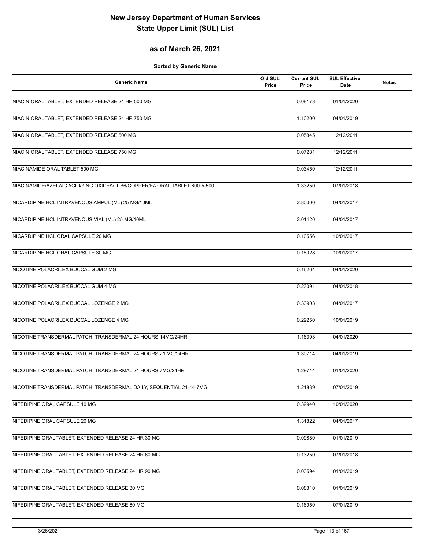### **as of March 26, 2021**

| <b>Generic Name</b>                                                        | Old SUL<br>Price | <b>Current SUL</b><br>Price | <b>SUL Effective</b><br>Date | <b>Notes</b> |
|----------------------------------------------------------------------------|------------------|-----------------------------|------------------------------|--------------|
| NIACIN ORAL TABLET, EXTENDED RELEASE 24 HR 500 MG                          |                  | 0.08178                     | 01/01/2020                   |              |
| NIACIN ORAL TABLET, EXTENDED RELEASE 24 HR 750 MG                          |                  | 1.10200                     | 04/01/2019                   |              |
| NIACIN ORAL TABLET, EXTENDED RELEASE 500 MG                                |                  | 0.05845                     | 12/12/2011                   |              |
| NIACIN ORAL TABLET, EXTENDED RELEASE 750 MG                                |                  | 0.07281                     | 12/12/2011                   |              |
| NIACINAMIDE ORAL TABLET 500 MG                                             |                  | 0.03450                     | 12/12/2011                   |              |
| NIACINAMIDE/AZELAIC ACID/ZINC OXIDE/VIT B6/COPPER/FA ORAL TABLET 600-5-500 |                  | 1.33250                     | 07/01/2018                   |              |
| NICARDIPINE HCL INTRAVENOUS AMPUL (ML) 25 MG/10ML                          |                  | 2.80000                     | 04/01/2017                   |              |
| NICARDIPINE HCL INTRAVENOUS VIAL (ML) 25 MG/10ML                           |                  | 2.01420                     | 04/01/2017                   |              |
| NICARDIPINE HCL ORAL CAPSULE 20 MG                                         |                  | 0.10556                     | 10/01/2017                   |              |
| NICARDIPINE HCL ORAL CAPSULE 30 MG                                         |                  | 0.18028                     | 10/01/2017                   |              |
| NICOTINE POLACRILEX BUCCAL GUM 2 MG                                        |                  | 0.16264                     | 04/01/2020                   |              |
| NICOTINE POLACRILEX BUCCAL GUM 4 MG                                        |                  | 0.23091                     | 04/01/2018                   |              |
| NICOTINE POLACRILEX BUCCAL LOZENGE 2 MG                                    |                  | 0.33903                     | 04/01/2017                   |              |
| NICOTINE POLACRILEX BUCCAL LOZENGE 4 MG                                    |                  | 0.29250                     | 10/01/2019                   |              |
| NICOTINE TRANSDERMAL PATCH, TRANSDERMAL 24 HOURS 14MG/24HR                 |                  | 1.16303                     | 04/01/2020                   |              |
| NICOTINE TRANSDERMAL PATCH, TRANSDERMAL 24 HOURS 21 MG/24HR                |                  | 1.30714                     | 04/01/2019                   |              |
| NICOTINE TRANSDERMAL PATCH, TRANSDERMAL 24 HOURS 7MG/24HR                  |                  | 1.29714                     | 01/01/2020                   |              |
| NICOTINE TRANSDERMAL PATCH, TRANSDERMAL DAILY, SEQUENTIAL 21-14-7MG        |                  | 1.21839                     | 07/01/2019                   |              |
| NIFEDIPINE ORAL CAPSULE 10 MG                                              |                  | 0.39940                     | 10/01/2020                   |              |
| NIFEDIPINE ORAL CAPSULE 20 MG                                              |                  | 1.31822                     | 04/01/2017                   |              |
| NIFEDIPINE ORAL TABLET, EXTENDED RELEASE 24 HR 30 MG                       |                  | 0.09880                     | 01/01/2019                   |              |
| NIFEDIPINE ORAL TABLET, EXTENDED RELEASE 24 HR 60 MG                       |                  | 0.13250                     | 07/01/2018                   |              |
| NIFEDIPINE ORAL TABLET, EXTENDED RELEASE 24 HR 90 MG                       |                  | 0.03594                     | 01/01/2019                   |              |
| NIFEDIPINE ORAL TABLET, EXTENDED RELEASE 30 MG                             |                  | 0.08310                     | 01/01/2019                   |              |
| NIFEDIPINE ORAL TABLET, EXTENDED RELEASE 60 MG                             |                  | 0.16950                     | 07/01/2019                   |              |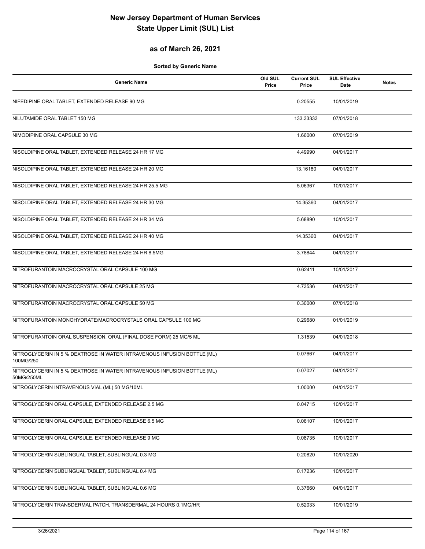### **as of March 26, 2021**

| <b>Generic Name</b>                                                                   | Old SUL<br>Price | <b>Current SUL</b><br>Price | <b>SUL Effective</b><br>Date | <b>Notes</b> |
|---------------------------------------------------------------------------------------|------------------|-----------------------------|------------------------------|--------------|
| NIFEDIPINE ORAL TABLET, EXTENDED RELEASE 90 MG                                        |                  | 0.20555                     | 10/01/2019                   |              |
| NILUTAMIDE ORAL TABLET 150 MG                                                         |                  | 133.33333                   | 07/01/2018                   |              |
| NIMODIPINE ORAL CAPSULE 30 MG                                                         |                  | 1.66000                     | 07/01/2019                   |              |
| NISOLDIPINE ORAL TABLET, EXTENDED RELEASE 24 HR 17 MG                                 |                  | 4.49990                     | 04/01/2017                   |              |
| NISOLDIPINE ORAL TABLET, EXTENDED RELEASE 24 HR 20 MG                                 |                  | 13.16180                    | 04/01/2017                   |              |
| NISOLDIPINE ORAL TABLET, EXTENDED RELEASE 24 HR 25.5 MG                               |                  | 5.06367                     | 10/01/2017                   |              |
| NISOLDIPINE ORAL TABLET, EXTENDED RELEASE 24 HR 30 MG                                 |                  | 14.35360                    | 04/01/2017                   |              |
| NISOLDIPINE ORAL TABLET, EXTENDED RELEASE 24 HR 34 MG                                 |                  | 5.68890                     | 10/01/2017                   |              |
| NISOLDIPINE ORAL TABLET, EXTENDED RELEASE 24 HR 40 MG                                 |                  | 14.35360                    | 04/01/2017                   |              |
| NISOLDIPINE ORAL TABLET, EXTENDED RELEASE 24 HR 8.5MG                                 |                  | 3.78844                     | 04/01/2017                   |              |
| NITROFURANTOIN MACROCRYSTAL ORAL CAPSULE 100 MG                                       |                  | 0.62411                     | 10/01/2017                   |              |
| NITROFURANTOIN MACROCRYSTAL ORAL CAPSULE 25 MG                                        |                  | 4.73536                     | 04/01/2017                   |              |
| NITROFURANTOIN MACROCRYSTAL ORAL CAPSULE 50 MG                                        |                  | 0.30000                     | 07/01/2018                   |              |
| NITROFURANTOIN MONOHYDRATE/MACROCRYSTALS ORAL CAPSULE 100 MG                          |                  | 0.29680                     | 01/01/2019                   |              |
| NITROFURANTOIN ORAL SUSPENSION, ORAL (FINAL DOSE FORM) 25 MG/5 ML                     |                  | 1.31539                     | 04/01/2018                   |              |
| NITROGLYCERIN IN 5 % DEXTROSE IN WATER INTRAVENOUS INFUSION BOTTLE (ML)<br>100MG/250  |                  | 0.07667                     | 04/01/2017                   |              |
| NITROGLYCERIN IN 5 % DEXTROSE IN WATER INTRAVENOUS INFUSION BOTTLE (ML)<br>50MG/250ML |                  | 0.07027                     | 04/01/2017                   |              |
| NITROGLYCERIN INTRAVENOUS VIAL (ML) 50 MG/10ML                                        |                  | 1.00000                     | 04/01/2017                   |              |
| NITROGLYCERIN ORAL CAPSULE, EXTENDED RELEASE 2.5 MG                                   |                  | 0.04715                     | 10/01/2017                   |              |
| NITROGLYCERIN ORAL CAPSULE, EXTENDED RELEASE 6.5 MG                                   |                  | 0.06107                     | 10/01/2017                   |              |
| NITROGLYCERIN ORAL CAPSULE, EXTENDED RELEASE 9 MG                                     |                  | 0.08735                     | 10/01/2017                   |              |
| NITROGLYCERIN SUBLINGUAL TABLET, SUBLINGUAL 0.3 MG                                    |                  | 0.20820                     | 10/01/2020                   |              |
| NITROGLYCERIN SUBLINGUAL TABLET, SUBLINGUAL 0.4 MG                                    |                  | 0.17236                     | 10/01/2017                   |              |
| NITROGLYCERIN SUBLINGUAL TABLET, SUBLINGUAL 0.6 MG                                    |                  | 0.37660                     | 04/01/2017                   |              |
| NITROGLYCERIN TRANSDERMAL PATCH, TRANSDERMAL 24 HOURS 0.1MG/HR                        |                  | 0.52033                     | 10/01/2019                   |              |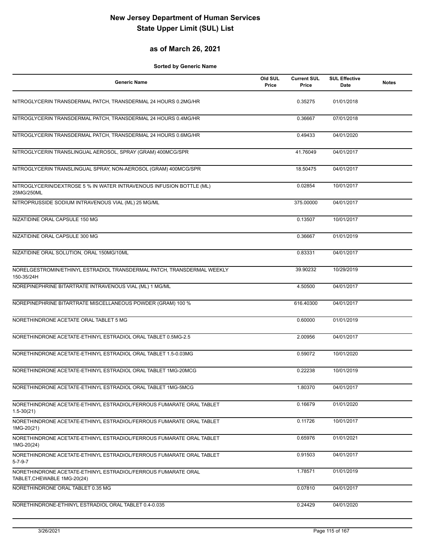### **as of March 26, 2021**

| <b>Generic Name</b>                                                                          | Old SUL<br>Price | <b>Current SUL</b><br>Price | <b>SUL Effective</b><br>Date | <b>Notes</b> |
|----------------------------------------------------------------------------------------------|------------------|-----------------------------|------------------------------|--------------|
| NITROGLYCERIN TRANSDERMAL PATCH, TRANSDERMAL 24 HOURS 0.2MG/HR                               |                  | 0.35275                     | 01/01/2018                   |              |
| NITROGLYCERIN TRANSDERMAL PATCH, TRANSDERMAL 24 HOURS 0.4MG/HR                               |                  | 0.36667                     | 07/01/2018                   |              |
| NITROGLYCERIN TRANSDERMAL PATCH, TRANSDERMAL 24 HOURS 0.6MG/HR                               |                  | 0.49433                     | 04/01/2020                   |              |
| NITROGLYCERIN TRANSLINGUAL AEROSOL, SPRAY (GRAM) 400MCG/SPR                                  |                  | 41.76049                    | 04/01/2017                   |              |
| NITROGLYCERIN TRANSLINGUAL SPRAY, NON-AEROSOL (GRAM) 400MCG/SPR                              |                  | 18.50475                    | 04/01/2017                   |              |
| NITROGLYCERIN/DEXTROSE 5 % IN WATER INTRAVENOUS INFUSION BOTTLE (ML)<br>25MG/250ML           |                  | 0.02854                     | 10/01/2017                   |              |
| NITROPRUSSIDE SODIUM INTRAVENOUS VIAL (ML) 25 MG/ML                                          |                  | 375.00000                   | 04/01/2017                   |              |
| NIZATIDINE ORAL CAPSULE 150 MG                                                               |                  | 0.13507                     | 10/01/2017                   |              |
| NIZATIDINE ORAL CAPSULE 300 MG                                                               |                  | 0.36667                     | 01/01/2019                   |              |
| NIZATIDINE ORAL SOLUTION, ORAL 150MG/10ML                                                    |                  | 0.83331                     | 04/01/2017                   |              |
| NORELGESTROMIN/ETHINYL ESTRADIOL TRANSDERMAL PATCH, TRANSDERMAL WEEKLY<br>150-35/24H         |                  | 39.90232                    | 10/29/2019                   |              |
| NOREPINEPHRINE BITARTRATE INTRAVENOUS VIAL (ML) 1 MG/ML                                      |                  | 4.50500                     | 04/01/2017                   |              |
| NOREPINEPHRINE BITARTRATE MISCELLANEOUS POWDER (GRAM) 100 %                                  |                  | 616.40300                   | 04/01/2017                   |              |
| NORETHINDRONE ACETATE ORAL TABLET 5 MG                                                       |                  | 0.60000                     | 01/01/2019                   |              |
| NORETHINDRONE ACETATE-ETHINYL ESTRADIOL ORAL TABLET 0.5MG-2.5                                |                  | 2.00956                     | 04/01/2017                   |              |
| NORETHINDRONE ACETATE-ETHINYL ESTRADIOL ORAL TABLET 1.5-0.03MG                               |                  | 0.59072                     | 10/01/2020                   |              |
| NORETHINDRONE ACETATE-ETHINYL ESTRADIOL ORAL TABLET 1MG-20MCG                                |                  | 0.22238                     | 10/01/2019                   |              |
| NORETHINDRONE ACETATE-ETHINYL ESTRADIOL ORAL TABLET 1MG-5MCG                                 |                  | 1.80370                     | 04/01/2017                   |              |
| NORETHINDRONE ACETATE-ETHINYL ESTRADIOL/FERROUS FUMARATE ORAL TABLET<br>$1.5 - 30(21)$       |                  | 0.16679                     | 01/01/2020                   |              |
| NORETHINDRONE ACETATE-ETHINYL ESTRADIOL/FERROUS FUMARATE ORAL TABLET<br>1MG-20(21)           |                  | 0.11726                     | 10/01/2017                   |              |
| NORETHINDRONE ACETATE-ETHINYL ESTRADIOL/FERROUS FUMARATE ORAL TABLET<br>1MG-20(24)           |                  | 0.65976                     | 01/01/2021                   |              |
| NORETHINDRONE ACETATE-ETHINYL ESTRADIOL/FERROUS FUMARATE ORAL TABLET<br>$5 - 7 - 9 - 7$      |                  | 0.91503                     | 04/01/2017                   |              |
| NORETHINDRONE ACETATE-ETHINYL ESTRADIOL/FERROUS FUMARATE ORAL<br>TABLET, CHEWABLE 1MG-20(24) |                  | 1.78571                     | 01/01/2019                   |              |
| NORETHINDRONE ORAL TABLET 0.35 MG                                                            |                  | 0.07810                     | 04/01/2017                   |              |
| NORETHINDRONE-ETHINYL ESTRADIOL ORAL TABLET 0.4-0.035                                        |                  | 0.24429                     | 04/01/2020                   |              |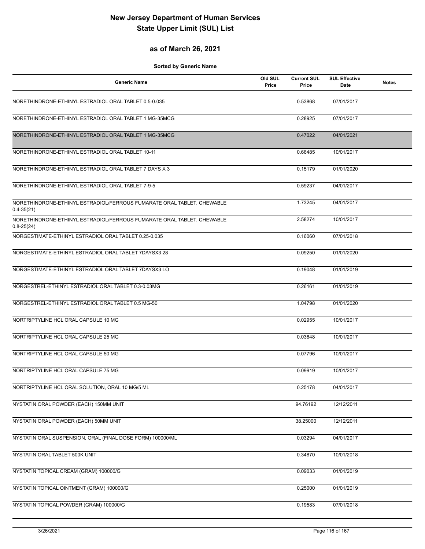### **as of March 26, 2021**

| <b>Generic Name</b>                                                                      | Old SUL<br>Price | <b>Current SUL</b><br>Price | <b>SUL Effective</b><br>Date | <b>Notes</b> |
|------------------------------------------------------------------------------------------|------------------|-----------------------------|------------------------------|--------------|
| NORETHINDRONE-ETHINYL ESTRADIOL ORAL TABLET 0.5-0.035                                    |                  | 0.53868                     | 07/01/2017                   |              |
| NORETHINDRONE-ETHINYL ESTRADIOL ORAL TABLET 1 MG-35MCG                                   |                  | 0.28925                     | 07/01/2017                   |              |
| NORETHINDRONE-ETHINYL ESTRADIOL ORAL TABLET 1 MG-35MCG                                   |                  | 0.47022                     | 04/01/2021                   |              |
| NORETHINDRONE-ETHINYL ESTRADIOL ORAL TABLET 10-11                                        |                  | 0.66485                     | 10/01/2017                   |              |
| NORETHINDRONE-ETHINYL ESTRADIOL ORAL TABLET 7 DAYS X 3                                   |                  | 0.15179                     | 01/01/2020                   |              |
| NORETHINDRONE-ETHINYL ESTRADIOL ORAL TABLET 7-9-5                                        |                  | 0.59237                     | 04/01/2017                   |              |
| NORETHINDRONE-ETHINYL ESTRADIOL/FERROUS FUMARATE ORAL TABLET, CHEWABLE<br>$0.4 - 35(21)$ |                  | 1.73245                     | 04/01/2017                   |              |
| NORETHINDRONE-ETHINYL ESTRADIOL/FERROUS FUMARATE ORAL TABLET, CHEWABLE<br>$0.8 - 25(24)$ |                  | 2.58274                     | 10/01/2017                   |              |
| NORGESTIMATE-ETHINYL ESTRADIOL ORAL TABLET 0.25-0.035                                    |                  | 0.16060                     | 07/01/2018                   |              |
| NORGESTIMATE-ETHINYL ESTRADIOL ORAL TABLET 7DAYSX3 28                                    |                  | 0.09250                     | 01/01/2020                   |              |
| NORGESTIMATE-ETHINYL ESTRADIOL ORAL TABLET 7DAYSX3 LO                                    |                  | 0.19048                     | 01/01/2019                   |              |
| NORGESTREL-ETHINYL ESTRADIOL ORAL TABLET 0.3-0.03MG                                      |                  | 0.26161                     | 01/01/2019                   |              |
| NORGESTREL-ETHINYL ESTRADIOL ORAL TABLET 0.5 MG-50                                       |                  | 1.04798                     | 01/01/2020                   |              |
| NORTRIPTYLINE HCL ORAL CAPSULE 10 MG                                                     |                  | 0.02955                     | 10/01/2017                   |              |
| NORTRIPTYLINE HCL ORAL CAPSULE 25 MG                                                     |                  | 0.03648                     | 10/01/2017                   |              |
| NORTRIPTYLINE HCL ORAL CAPSULE 50 MG                                                     |                  | 0.07796                     | 10/01/2017                   |              |
| NORTRIPTYLINE HCL ORAL CAPSULE 75 MG                                                     |                  | 0.09919                     | 10/01/2017                   |              |
| NORTRIPTYLINE HCL ORAL SOLUTION, ORAL 10 MG/5 ML                                         |                  | 0.25178                     | 04/01/2017                   |              |
| NYSTATIN ORAL POWDER (EACH) 150MM UNIT                                                   |                  | 94.76192                    | 12/12/2011                   |              |
| NYSTATIN ORAL POWDER (EACH) 50MM UNIT                                                    |                  | 38.25000                    | 12/12/2011                   |              |
| NYSTATIN ORAL SUSPENSION, ORAL (FINAL DOSE FORM) 100000/ML                               |                  | 0.03294                     | 04/01/2017                   |              |
| NYSTATIN ORAL TABLET 500K UNIT                                                           |                  | 0.34870                     | 10/01/2018                   |              |
| NYSTATIN TOPICAL CREAM (GRAM) 100000/G                                                   |                  | 0.09033                     | 01/01/2019                   |              |
| NYSTATIN TOPICAL OINTMENT (GRAM) 100000/G                                                |                  | 0.25000                     | 01/01/2019                   |              |
| NYSTATIN TOPICAL POWDER (GRAM) 100000/G                                                  |                  | 0.19583                     | 07/01/2018                   |              |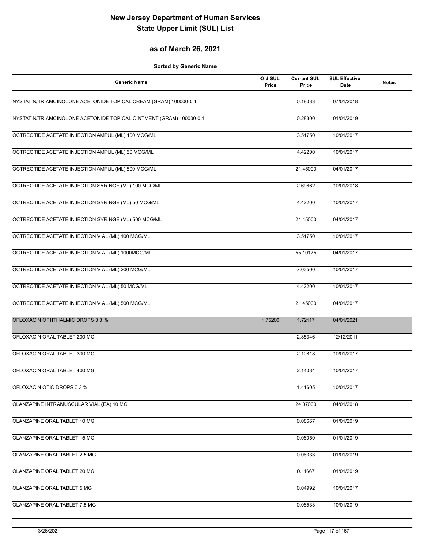### **as of March 26, 2021**

| <b>Generic Name</b>                                                 | Old SUL<br>Price | <b>Current SUL</b><br>Price | <b>SUL Effective</b><br>Date | <b>Notes</b> |
|---------------------------------------------------------------------|------------------|-----------------------------|------------------------------|--------------|
| NYSTATIN/TRIAMCINOLONE ACETONIDE TOPICAL CREAM (GRAM) 100000-0.1    |                  | 0.18033                     | 07/01/2018                   |              |
| NYSTATIN/TRIAMCINOLONE ACETONIDE TOPICAL OINTMENT (GRAM) 100000-0.1 |                  | 0.28300                     | 01/01/2019                   |              |
| OCTREOTIDE ACETATE INJECTION AMPUL (ML) 100 MCG/ML                  |                  | 3.51750                     | 10/01/2017                   |              |
| OCTREOTIDE ACETATE INJECTION AMPUL (ML) 50 MCG/ML                   |                  | 4.42200                     | 10/01/2017                   |              |
| OCTREOTIDE ACETATE INJECTION AMPUL (ML) 500 MCG/ML                  |                  | 21.45000                    | 04/01/2017                   |              |
| OCTREOTIDE ACETATE INJECTION SYRINGE (ML) 100 MCG/ML                |                  | 2.69662                     | 10/01/2018                   |              |
| OCTREOTIDE ACETATE INJECTION SYRINGE (ML) 50 MCG/ML                 |                  | 4.42200                     | 10/01/2017                   |              |
| OCTREOTIDE ACETATE INJECTION SYRINGE (ML) 500 MCG/ML                |                  | 21.45000                    | 04/01/2017                   |              |
| OCTREOTIDE ACETATE INJECTION VIAL (ML) 100 MCG/ML                   |                  | 3.51750                     | 10/01/2017                   |              |
| OCTREOTIDE ACETATE INJECTION VIAL (ML) 1000MCG/ML                   |                  | 55.10175                    | 04/01/2017                   |              |
| OCTREOTIDE ACETATE INJECTION VIAL (ML) 200 MCG/ML                   |                  | 7.03500                     | 10/01/2017                   |              |
| OCTREOTIDE ACETATE INJECTION VIAL (ML) 50 MCG/ML                    |                  | 4.42200                     | 10/01/2017                   |              |
| OCTREOTIDE ACETATE INJECTION VIAL (ML) 500 MCG/ML                   |                  | 21.45000                    | 04/01/2017                   |              |
| OFLOXACIN OPHTHALMIC DROPS 0.3 %                                    | 1.75200          | 1.72117                     | 04/01/2021                   |              |
| OFLOXACIN ORAL TABLET 200 MG                                        |                  | 2.85346                     | 12/12/2011                   |              |
| OFLOXACIN ORAL TABLET 300 MG                                        |                  | 2.10818                     | 10/01/2017                   |              |
| OFLOXACIN ORAL TABLET 400 MG                                        |                  | 2.14084                     | 10/01/2017                   |              |
| OFLOXACIN OTIC DROPS 0.3 %                                          |                  | 1.41605                     | 10/01/2017                   |              |
| OLANZAPINE INTRAMUSCULAR VIAL (EA) 10 MG                            |                  | 24.07000                    | 04/01/2018                   |              |
| OLANZAPINE ORAL TABLET 10 MG                                        |                  | 0.08667                     | 01/01/2019                   |              |
| OLANZAPINE ORAL TABLET 15 MG                                        |                  | 0.08050                     | 01/01/2019                   |              |
| OLANZAPINE ORAL TABLET 2.5 MG                                       |                  | 0.06333                     | 01/01/2019                   |              |
| OLANZAPINE ORAL TABLET 20 MG                                        |                  | 0.11667                     | 01/01/2019                   |              |
| OLANZAPINE ORAL TABLET 5 MG                                         |                  | 0.04992                     | 10/01/2017                   |              |
| OLANZAPINE ORAL TABLET 7.5 MG                                       |                  | 0.08533                     | 10/01/2019                   |              |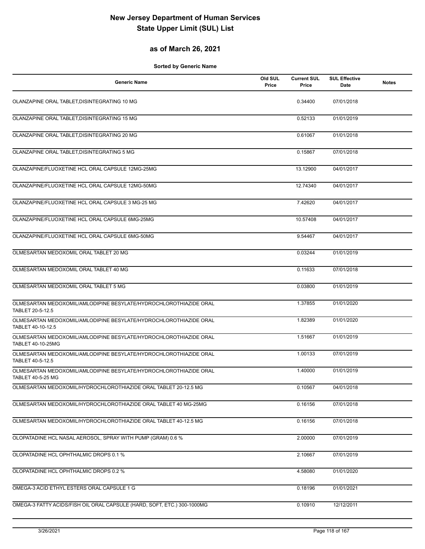### **as of March 26, 2021**

| <b>Generic Name</b>                                                                           | Old SUL<br>Price | <b>Current SUL</b><br>Price | <b>SUL Effective</b><br>Date | <b>Notes</b> |
|-----------------------------------------------------------------------------------------------|------------------|-----------------------------|------------------------------|--------------|
| OLANZAPINE ORAL TABLET, DISINTEGRATING 10 MG                                                  |                  | 0.34400                     | 07/01/2018                   |              |
| OLANZAPINE ORAL TABLET, DISINTEGRATING 15 MG                                                  |                  | 0.52133                     | 01/01/2019                   |              |
| OLANZAPINE ORAL TABLET, DISINTEGRATING 20 MG                                                  |                  | 0.61067                     | 01/01/2018                   |              |
| OLANZAPINE ORAL TABLET, DISINTEGRATING 5 MG                                                   |                  | 0.15867                     | 07/01/2018                   |              |
| OLANZAPINE/FLUOXETINE HCL ORAL CAPSULE 12MG-25MG                                              |                  | 13.12900                    | 04/01/2017                   |              |
| OLANZAPINE/FLUOXETINE HCL ORAL CAPSULE 12MG-50MG                                              |                  | 12.74340                    | 04/01/2017                   |              |
| OLANZAPINE/FLUOXETINE HCL ORAL CAPSULE 3 MG-25 MG                                             |                  | 7.42620                     | 04/01/2017                   |              |
| OLANZAPINE/FLUOXETINE HCL ORAL CAPSULE 6MG-25MG                                               |                  | 10.57408                    | 04/01/2017                   |              |
| OLANZAPINE/FLUOXETINE HCL ORAL CAPSULE 6MG-50MG                                               |                  | 9.54467                     | 04/01/2017                   |              |
| OLMESARTAN MEDOXOMIL ORAL TABLET 20 MG                                                        |                  | 0.03244                     | 01/01/2019                   |              |
| OLMESARTAN MEDOXOMIL ORAL TABLET 40 MG                                                        |                  | 0.11633                     | 07/01/2018                   |              |
| OLMESARTAN MEDOXOMIL ORAL TABLET 5 MG                                                         |                  | 0.03800                     | 01/01/2019                   |              |
| OLMESARTAN MEDOXOMIL/AMLODIPINE BESYLATE/HYDROCHLOROTHIAZIDE ORAL<br>TABLET 20-5-12.5         |                  | 1.37855                     | 01/01/2020                   |              |
| OLMESARTAN MEDOXOMIL/AMLODIPINE BESYLATE/HYDROCHLOROTHIAZIDE ORAL<br>TABLET 40-10-12.5        |                  | 1.82389                     | 01/01/2020                   |              |
| OLMESARTAN MEDOXOMIL/AMLODIPINE BESYLATE/HYDROCHLOROTHIAZIDE ORAL<br>TABLET 40-10-25MG        |                  | 1.51667                     | 01/01/2019                   |              |
| OLMESARTAN MEDOXOMIL/AMLODIPINE BESYLATE/HYDROCHLOROTHIAZIDE ORAL<br>TABLET 40-5-12.5         |                  | 1.00133                     | 07/01/2019                   |              |
| OLMESARTAN MEDOXOMIL/AMLODIPINE BESYLATE/HYDROCHLOROTHIAZIDE ORAL<br><b>TABLET 40-5-25 MG</b> |                  | 1.40000                     | 01/01/2019                   |              |
| OLMESARTAN MEDOXOMIL/HYDROCHLOROTHIAZIDE ORAL TABLET 20-12.5 MG                               |                  | 0.10567                     | 04/01/2018                   |              |
| OLMESARTAN MEDOXOMIL/HYDROCHLOROTHIAZIDE ORAL TABLET 40 MG-25MG                               |                  | 0.16156                     | 07/01/2018                   |              |
| OLMESARTAN MEDOXOMIL/HYDROCHLOROTHIAZIDE ORAL TABLET 40-12.5 MG                               |                  | 0.16156                     | 07/01/2018                   |              |
| OLOPATADINE HCL NASAL AEROSOL, SPRAY WITH PUMP (GRAM) 0.6 %                                   |                  | 2.00000                     | 07/01/2019                   |              |
| OLOPATADINE HCL OPHTHALMIC DROPS 0.1 %                                                        |                  | 2.10667                     | 07/01/2019                   |              |
| OLOPATADINE HCL OPHTHALMIC DROPS 0.2 %                                                        |                  | 4.58080                     | 01/01/2020                   |              |
| OMEGA-3 ACID ETHYL ESTERS ORAL CAPSULE 1 G                                                    |                  | 0.18196                     | 01/01/2021                   |              |
| OMEGA-3 FATTY ACIDS/FISH OIL ORAL CAPSULE (HARD, SOFT, ETC.) 300-1000MG                       |                  | 0.10910                     | 12/12/2011                   |              |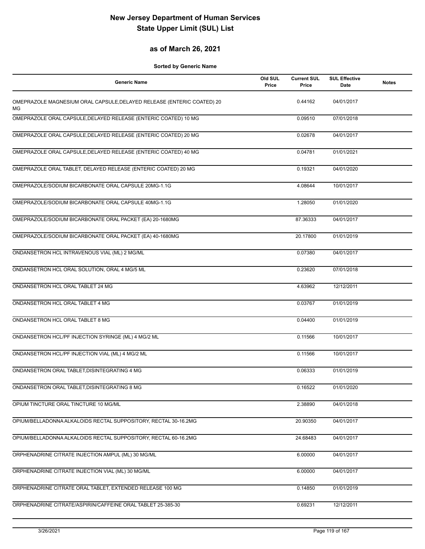### **as of March 26, 2021**

| <b>Generic Name</b>                                                          | Old SUL<br>Price | <b>Current SUL</b><br>Price | <b>SUL Effective</b><br>Date | <b>Notes</b> |
|------------------------------------------------------------------------------|------------------|-----------------------------|------------------------------|--------------|
| OMEPRAZOLE MAGNESIUM ORAL CAPSULE, DELAYED RELEASE (ENTERIC COATED) 20<br>ΜG |                  | 0.44162                     | 04/01/2017                   |              |
| OMEPRAZOLE ORAL CAPSULE, DELAYED RELEASE (ENTERIC COATED) 10 MG              |                  | 0.09510                     | 07/01/2018                   |              |
| OMEPRAZOLE ORAL CAPSULE, DELAYED RELEASE (ENTERIC COATED) 20 MG              |                  | 0.02678                     | 04/01/2017                   |              |
| OMEPRAZOLE ORAL CAPSULE, DELAYED RELEASE (ENTERIC COATED) 40 MG              |                  | 0.04781                     | 01/01/2021                   |              |
| OMEPRAZOLE ORAL TABLET, DELAYED RELEASE (ENTERIC COATED) 20 MG               |                  | 0.19321                     | 04/01/2020                   |              |
| OMEPRAZOLE/SODIUM BICARBONATE ORAL CAPSULE 20MG-1.1G                         |                  | 4.08644                     | 10/01/2017                   |              |
| OMEPRAZOLE/SODIUM BICARBONATE ORAL CAPSULE 40MG-1.1G                         |                  | 1.28050                     | 01/01/2020                   |              |
| OMEPRAZOLE/SODIUM BICARBONATE ORAL PACKET (EA) 20-1680MG                     |                  | 87.36333                    | 04/01/2017                   |              |
| OMEPRAZOLE/SODIUM BICARBONATE ORAL PACKET (EA) 40-1680MG                     |                  | 20.17800                    | 01/01/2019                   |              |
| ONDANSETRON HCL INTRAVENOUS VIAL (ML) 2 MG/ML                                |                  | 0.07380                     | 04/01/2017                   |              |
| ONDANSETRON HCL ORAL SOLUTION, ORAL 4 MG/5 ML                                |                  | 0.23620                     | 07/01/2018                   |              |
| ONDANSETRON HCL ORAL TABLET 24 MG                                            |                  | 4.63962                     | 12/12/2011                   |              |
| ONDANSETRON HCL ORAL TABLET 4 MG                                             |                  | 0.03767                     | 01/01/2019                   |              |
| ONDANSETRON HCL ORAL TABLET 8 MG                                             |                  | 0.04400                     | 01/01/2019                   |              |
| ONDANSETRON HCL/PF INJECTION SYRINGE (ML) 4 MG/2 ML                          |                  | 0.11566                     | 10/01/2017                   |              |
| ONDANSETRON HCL/PF INJECTION VIAL (ML) 4 MG/2 ML                             |                  | 0.11566                     | 10/01/2017                   |              |
| ONDANSETRON ORAL TABLET, DISINTEGRATING 4 MG                                 |                  | 0.06333                     | 01/01/2019                   |              |
| ONDANSETRON ORAL TABLET, DISINTEGRATING 8 MG                                 |                  | 0.16522                     | 01/01/2020                   |              |
| OPIUM TINCTURE ORAL TINCTURE 10 MG/ML                                        |                  | 2.38890                     | 04/01/2018                   |              |
| OPIUM/BELLADONNA ALKALOIDS RECTAL SUPPOSITORY, RECTAL 30-16.2MG              |                  | 20.90350                    | 04/01/2017                   |              |
| OPIUM/BELLADONNA ALKALOIDS RECTAL SUPPOSITORY, RECTAL 60-16.2MG              |                  | 24.68483                    | 04/01/2017                   |              |
| ORPHENADRINE CITRATE INJECTION AMPUL (ML) 30 MG/ML                           |                  | 6.00000                     | 04/01/2017                   |              |
| ORPHENADRINE CITRATE INJECTION VIAL (ML) 30 MG/ML                            |                  | 6.00000                     | 04/01/2017                   |              |
| ORPHENADRINE CITRATE ORAL TABLET, EXTENDED RELEASE 100 MG                    |                  | 0.14850                     | 01/01/2019                   |              |
| ORPHENADRINE CITRATE/ASPIRIN/CAFFEINE ORAL TABLET 25-385-30                  |                  | 0.69231                     | 12/12/2011                   |              |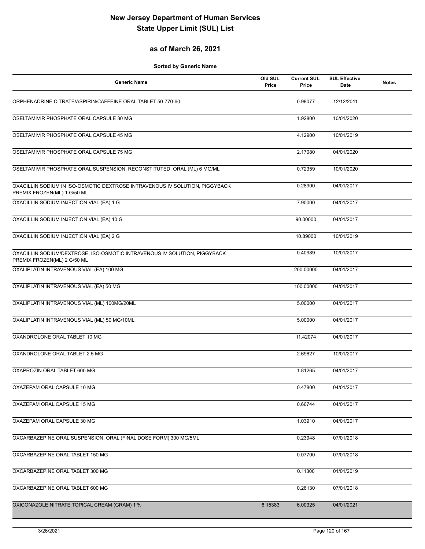### **as of March 26, 2021**

| <b>Generic Name</b>                                                                                        | Old SUL<br>Price | <b>Current SUL</b><br>Price | <b>SUL Effective</b><br><b>Date</b> | <b>Notes</b> |
|------------------------------------------------------------------------------------------------------------|------------------|-----------------------------|-------------------------------------|--------------|
| ORPHENADRINE CITRATE/ASPIRIN/CAFFEINE ORAL TABLET 50-770-60                                                |                  | 0.98077                     | 12/12/2011                          |              |
| OSELTAMIVIR PHOSPHATE ORAL CAPSULE 30 MG                                                                   |                  | 1.92800                     | 10/01/2020                          |              |
| OSELTAMIVIR PHOSPHATE ORAL CAPSULE 45 MG                                                                   |                  | 4.12900                     | 10/01/2019                          |              |
| OSELTAMIVIR PHOSPHATE ORAL CAPSULE 75 MG                                                                   |                  | 2.17080                     | 04/01/2020                          |              |
| OSELTAMIVIR PHOSPHATE ORAL SUSPENSION, RECONSTITUTED, ORAL (ML) 6 MG/ML                                    |                  | 0.72359                     | 10/01/2020                          |              |
| OXACILLIN SODIUM IN ISO-OSMOTIC DEXTROSE INTRAVENOUS IV SOLUTION, PIGGYBACK<br>PREMIX FROZEN(ML) 1 G/50 ML |                  | 0.28900                     | 04/01/2017                          |              |
| OXACILLIN SODIUM INJECTION VIAL (EA) 1 G                                                                   |                  | 7.90000                     | 04/01/2017                          |              |
| OXACILLIN SODIUM INJECTION VIAL (EA) 10 G                                                                  |                  | 90.00000                    | 04/01/2017                          |              |
| OXACILLIN SODIUM INJECTION VIAL (EA) 2 G                                                                   |                  | 10.89000                    | 10/01/2019                          |              |
| OXACILLIN SODIUM/DEXTROSE, ISO-OSMOTIC INTRAVENOUS IV SOLUTION, PIGGYBACK<br>PREMIX FROZEN(ML) 2 G/50 ML   |                  | 0.40989                     | 10/01/2017                          |              |
| OXALIPLATIN INTRAVENOUS VIAL (EA) 100 MG                                                                   |                  | 200.00000                   | 04/01/2017                          |              |
| OXALIPLATIN INTRAVENOUS VIAL (EA) 50 MG                                                                    |                  | 100.00000                   | 04/01/2017                          |              |
| OXALIPLATIN INTRAVENOUS VIAL (ML) 100MG/20ML                                                               |                  | 5.00000                     | 04/01/2017                          |              |
| OXALIPLATIN INTRAVENOUS VIAL (ML) 50 MG/10ML                                                               |                  | 5.00000                     | 04/01/2017                          |              |
| OXANDROLONE ORAL TABLET 10 MG                                                                              |                  | 11.42074                    | 04/01/2017                          |              |
| OXANDROLONE ORAL TABLET 2.5 MG                                                                             |                  | 2.69627                     | 10/01/2017                          |              |
| OXAPROZIN ORAL TABLET 600 MG                                                                               |                  | 1.81265                     | 04/01/2017                          |              |
| OXAZEPAM ORAL CAPSULE 10 MG                                                                                |                  | 0.47800                     | 04/01/2017                          |              |
| OXAZEPAM ORAL CAPSULE 15 MG                                                                                |                  | 0.66744                     | 04/01/2017                          |              |
| OXAZEPAM ORAL CAPSULE 30 MG                                                                                |                  | 1.03910                     | 04/01/2017                          |              |
| OXCARBAZEPINE ORAL SUSPENSION, ORAL (FINAL DOSE FORM) 300 MG/5ML                                           |                  | 0.23948                     | 07/01/2018                          |              |
| OXCARBAZEPINE ORAL TABLET 150 MG                                                                           |                  | 0.07700                     | 07/01/2018                          |              |
| OXCARBAZEPINE ORAL TABLET 300 MG                                                                           |                  | 0.11300                     | 01/01/2019                          |              |
| OXCARBAZEPINE ORAL TABLET 600 MG                                                                           |                  | 0.26130                     | 07/01/2018                          |              |
| OXICONAZOLE NITRATE TOPICAL CREAM (GRAM) 1 %                                                               | 6.15383          | 6.00325                     | 04/01/2021                          |              |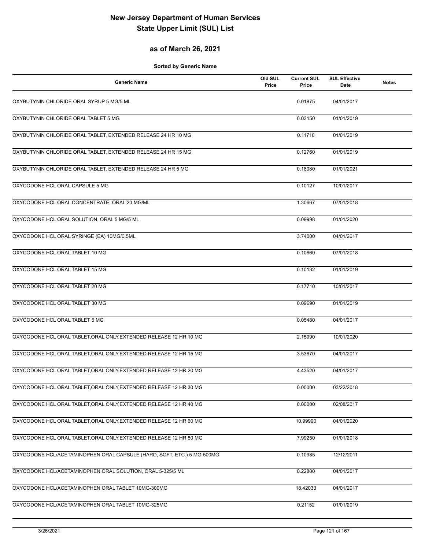### **as of March 26, 2021**

| <b>Generic Name</b>                                                    | Old SUL<br>Price | <b>Current SUL</b><br>Price | <b>SUL Effective</b><br>Date | <b>Notes</b> |
|------------------------------------------------------------------------|------------------|-----------------------------|------------------------------|--------------|
| OXYBUTYNIN CHLORIDE ORAL SYRUP 5 MG/5 ML                               |                  | 0.01875                     | 04/01/2017                   |              |
| OXYBUTYNIN CHLORIDE ORAL TABLET 5 MG                                   |                  | 0.03150                     | 01/01/2019                   |              |
| OXYBUTYNIN CHLORIDE ORAL TABLET, EXTENDED RELEASE 24 HR 10 MG          |                  | 0.11710                     | 01/01/2019                   |              |
| OXYBUTYNIN CHLORIDE ORAL TABLET, EXTENDED RELEASE 24 HR 15 MG          |                  | 0.12760                     | 01/01/2019                   |              |
| OXYBUTYNIN CHLORIDE ORAL TABLET, EXTENDED RELEASE 24 HR 5 MG           |                  | 0.18080                     | 01/01/2021                   |              |
| OXYCODONE HCL ORAL CAPSULE 5 MG                                        |                  | 0.10127                     | 10/01/2017                   |              |
| OXYCODONE HCL ORAL CONCENTRATE, ORAL 20 MG/ML                          |                  | 1.30667                     | 07/01/2018                   |              |
| OXYCODONE HCL ORAL SOLUTION, ORAL 5 MG/5 ML                            |                  | 0.09998                     | 01/01/2020                   |              |
| OXYCODONE HCL ORAL SYRINGE (EA) 10MG/0.5ML                             |                  | 3.74000                     | 04/01/2017                   |              |
| OXYCODONE HCL ORAL TABLET 10 MG                                        |                  | 0.10660                     | 07/01/2018                   |              |
| OXYCODONE HCL ORAL TABLET 15 MG                                        |                  | 0.10132                     | 01/01/2019                   |              |
| OXYCODONE HCL ORAL TABLET 20 MG                                        |                  | 0.17710                     | 10/01/2017                   |              |
| OXYCODONE HCL ORAL TABLET 30 MG                                        |                  | 0.09690                     | 01/01/2019                   |              |
| OXYCODONE HCL ORAL TABLET 5 MG                                         |                  | 0.05480                     | 04/01/2017                   |              |
| OXYCODONE HCL ORAL TABLET, ORAL ONLY, EXTENDED RELEASE 12 HR 10 MG     |                  | 2.15990                     | 10/01/2020                   |              |
| OXYCODONE HCL ORAL TABLET, ORAL ONLY, EXTENDED RELEASE 12 HR 15 MG     |                  | 3.53670                     | 04/01/2017                   |              |
| OXYCODONE HCL ORAL TABLET, ORAL ONLY, EXTENDED RELEASE 12 HR 20 MG     |                  | 4.43520                     | 04/01/2017                   |              |
| OXYCODONE HCL ORAL TABLET, ORAL ONLY, EXTENDED RELEASE 12 HR 30 MG     |                  | 0.00000                     | 03/22/2018                   |              |
| OXYCODONE HCL ORAL TABLET, ORAL ONLY, EXTENDED RELEASE 12 HR 40 MG     |                  | 0.00000                     | 02/08/2017                   |              |
| OXYCODONE HCL ORAL TABLET, ORAL ONLY, EXTENDED RELEASE 12 HR 60 MG     |                  | 10.99990                    | 04/01/2020                   |              |
| OXYCODONE HCL ORAL TABLET, ORAL ONLY, EXTENDED RELEASE 12 HR 80 MG     |                  | 7.99250                     | 01/01/2018                   |              |
| OXYCODONE HCL/ACETAMINOPHEN ORAL CAPSULE (HARD, SOFT, ETC.) 5 MG-500MG |                  | 0.10985                     | 12/12/2011                   |              |
| OXYCODONE HCL/ACETAMINOPHEN ORAL SOLUTION, ORAL 5-325/5 ML             |                  | 0.22800                     | 04/01/2017                   |              |
| OXYCODONE HCL/ACETAMINOPHEN ORAL TABLET 10MG-300MG                     |                  | 18.42033                    | 04/01/2017                   |              |
| OXYCODONE HCL/ACETAMINOPHEN ORAL TABLET 10MG-325MG                     |                  | 0.21152                     | 01/01/2019                   |              |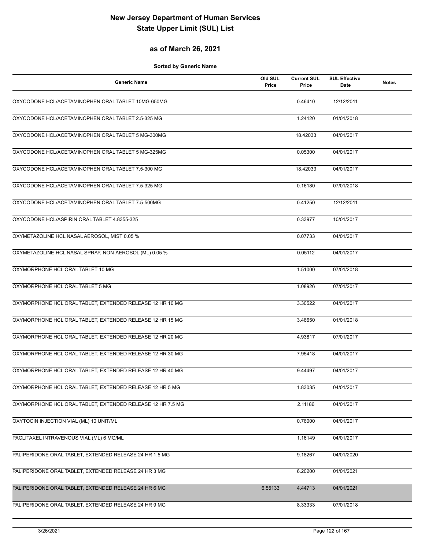### **as of March 26, 2021**

| <b>Generic Name</b>                                        | Old SUL<br>Price | <b>Current SUL</b><br>Price | <b>SUL Effective</b><br>Date | <b>Notes</b> |
|------------------------------------------------------------|------------------|-----------------------------|------------------------------|--------------|
| OXYCODONE HCL/ACETAMINOPHEN ORAL TABLET 10MG-650MG         |                  | 0.46410                     | 12/12/2011                   |              |
| OXYCODONE HCL/ACETAMINOPHEN ORAL TABLET 2.5-325 MG         |                  | 1.24120                     | 01/01/2018                   |              |
| OXYCODONE HCL/ACETAMINOPHEN ORAL TABLET 5 MG-300MG         |                  | 18.42033                    | 04/01/2017                   |              |
| OXYCODONE HCL/ACETAMINOPHEN ORAL TABLET 5 MG-325MG         |                  | 0.05300                     | 04/01/2017                   |              |
| OXYCODONE HCL/ACETAMINOPHEN ORAL TABLET 7.5-300 MG         |                  | 18.42033                    | 04/01/2017                   |              |
| OXYCODONE HCL/ACETAMINOPHEN ORAL TABLET 7.5-325 MG         |                  | 0.16180                     | 07/01/2018                   |              |
| OXYCODONE HCL/ACETAMINOPHEN ORAL TABLET 7.5-500MG          |                  | 0.41250                     | 12/12/2011                   |              |
| OXYCODONE HCL/ASPIRIN ORAL TABLET 4.8355-325               |                  | 0.33977                     | 10/01/2017                   |              |
| OXYMETAZOLINE HCL NASAL AEROSOL, MIST 0.05 %               |                  | 0.07733                     | 04/01/2017                   |              |
| OXYMETAZOLINE HCL NASAL SPRAY, NON-AEROSOL (ML) 0.05 %     |                  | 0.05112                     | 04/01/2017                   |              |
| OXYMORPHONE HCL ORAL TABLET 10 MG                          |                  | 1.51000                     | 07/01/2018                   |              |
| OXYMORPHONE HCL ORAL TABLET 5 MG                           |                  | 1.08926                     | 07/01/2017                   |              |
| OXYMORPHONE HCL ORAL TABLET, EXTENDED RELEASE 12 HR 10 MG  |                  | 3.30522                     | 04/01/2017                   |              |
| OXYMORPHONE HCL ORAL TABLET, EXTENDED RELEASE 12 HR 15 MG  |                  | 3.46650                     | 01/01/2018                   |              |
| OXYMORPHONE HCL ORAL TABLET, EXTENDED RELEASE 12 HR 20 MG  |                  | 4.93817                     | 07/01/2017                   |              |
| OXYMORPHONE HCL ORAL TABLET, EXTENDED RELEASE 12 HR 30 MG  |                  | 7.95418                     | 04/01/2017                   |              |
| OXYMORPHONE HCL ORAL TABLET, EXTENDED RELEASE 12 HR 40 MG  |                  | 9.44497                     | 04/01/2017                   |              |
| OXYMORPHONE HCL ORAL TABLET, EXTENDED RELEASE 12 HR 5 MG   |                  | 1.83035                     | 04/01/2017                   |              |
| OXYMORPHONE HCL ORAL TABLET, EXTENDED RELEASE 12 HR 7.5 MG |                  | 2.11186                     | 04/01/2017                   |              |
| OXYTOCIN INJECTION VIAL (ML) 10 UNIT/ML                    |                  | 0.76000                     | 04/01/2017                   |              |
| PACLITAXEL INTRAVENOUS VIAL (ML) 6 MG/ML                   |                  | 1.16149                     | 04/01/2017                   |              |
| PALIPERIDONE ORAL TABLET, EXTENDED RELEASE 24 HR 1.5 MG    |                  | 9.18267                     | 04/01/2020                   |              |
| PALIPERIDONE ORAL TABLET, EXTENDED RELEASE 24 HR 3 MG      |                  | 6.20200                     | 01/01/2021                   |              |
| PALIPERIDONE ORAL TABLET, EXTENDED RELEASE 24 HR 6 MG      | 6.55133          | 4.44713                     | 04/01/2021                   |              |
| PALIPERIDONE ORAL TABLET, EXTENDED RELEASE 24 HR 9 MG      |                  | 8.33333                     | 07/01/2018                   |              |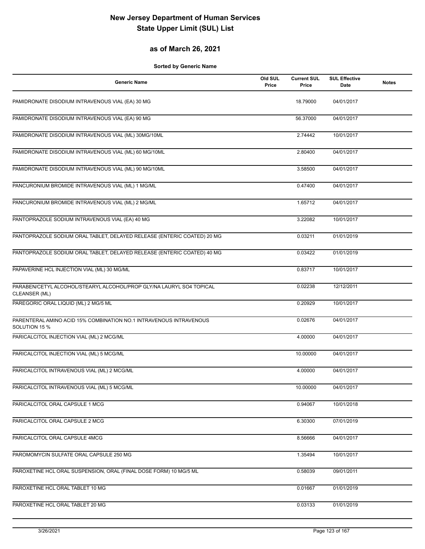### **as of March 26, 2021**

| <b>Generic Name</b>                                                                   | Old SUL<br>Price | <b>Current SUL</b><br>Price | <b>SUL Effective</b><br><b>Date</b> | <b>Notes</b> |
|---------------------------------------------------------------------------------------|------------------|-----------------------------|-------------------------------------|--------------|
| PAMIDRONATE DISODIUM INTRAVENOUS VIAL (EA) 30 MG                                      |                  | 18.79000                    | 04/01/2017                          |              |
| PAMIDRONATE DISODIUM INTRAVENOUS VIAL (EA) 90 MG                                      |                  | 56.37000                    | 04/01/2017                          |              |
| PAMIDRONATE DISODIUM INTRAVENOUS VIAL (ML) 30MG/10ML                                  |                  | 2.74442                     | 10/01/2017                          |              |
| PAMIDRONATE DISODIUM INTRAVENOUS VIAL (ML) 60 MG/10ML                                 |                  | 2.80400                     | 04/01/2017                          |              |
| PAMIDRONATE DISODIUM INTRAVENOUS VIAL (ML) 90 MG/10ML                                 |                  | 3.58500                     | 04/01/2017                          |              |
| PANCURONIUM BROMIDE INTRAVENOUS VIAL (ML) 1 MG/ML                                     |                  | 0.47400                     | 04/01/2017                          |              |
| PANCURONIUM BROMIDE INTRAVENOUS VIAL (ML) 2 MG/ML                                     |                  | 1.65712                     | 04/01/2017                          |              |
| PANTOPRAZOLE SODIUM INTRAVENOUS VIAL (EA) 40 MG                                       |                  | 3.22082                     | 10/01/2017                          |              |
| PANTOPRAZOLE SODIUM ORAL TABLET, DELAYED RELEASE (ENTERIC COATED) 20 MG               |                  | 0.03211                     | 01/01/2019                          |              |
| PANTOPRAZOLE SODIUM ORAL TABLET, DELAYED RELEASE (ENTERIC COATED) 40 MG               |                  | 0.03422                     | 01/01/2019                          |              |
| PAPAVERINE HCL INJECTION VIAL (ML) 30 MG/ML                                           |                  | 0.83717                     | 10/01/2017                          |              |
| PARABEN/CETYL ALCOHOL/STEARYL ALCOHOL/PROP GLY/NA LAURYL SO4 TOPICAL<br>CLEANSER (ML) |                  | 0.02238                     | 12/12/2011                          |              |
| PAREGORIC ORAL LIQUID (ML) 2 MG/5 ML                                                  |                  | 0.20929                     | 10/01/2017                          |              |
| PARENTERAL AMINO ACID 15% COMBINATION NO.1 INTRAVENOUS INTRAVENOUS<br>SOLUTION 15 %   |                  | 0.02676                     | 04/01/2017                          |              |
| PARICALCITOL INJECTION VIAL (ML) 2 MCG/ML                                             |                  | 4.00000                     | 04/01/2017                          |              |
| PARICALCITOL INJECTION VIAL (ML) 5 MCG/ML                                             |                  | 10.00000                    | 04/01/2017                          |              |
| PARICALCITOL INTRAVENOUS VIAL (ML) 2 MCG/ML                                           |                  | 4.00000                     | 04/01/2017                          |              |
| PARICALCITOL INTRAVENOUS VIAL (ML) 5 MCG/ML                                           |                  | 10.00000                    | 04/01/2017                          |              |
| PARICALCITOL ORAL CAPSULE 1 MCG                                                       |                  | 0.94067                     | 10/01/2018                          |              |
| PARICALCITOL ORAL CAPSULE 2 MCG                                                       |                  | 6.30300                     | 07/01/2019                          |              |
| PARICALCITOL ORAL CAPSULE 4MCG                                                        |                  | 8.56666                     | 04/01/2017                          |              |
| PAROMOMYCIN SULFATE ORAL CAPSULE 250 MG                                               |                  | 1.35494                     | 10/01/2017                          |              |
| PAROXETINE HCL ORAL SUSPENSION, ORAL (FINAL DOSE FORM) 10 MG/5 ML                     |                  | 0.58039                     | 09/01/2011                          |              |
| PAROXETINE HCL ORAL TABLET 10 MG                                                      |                  | 0.01667                     | 01/01/2019                          |              |
| PAROXETINE HCL ORAL TABLET 20 MG                                                      |                  | 0.03133                     | 01/01/2019                          |              |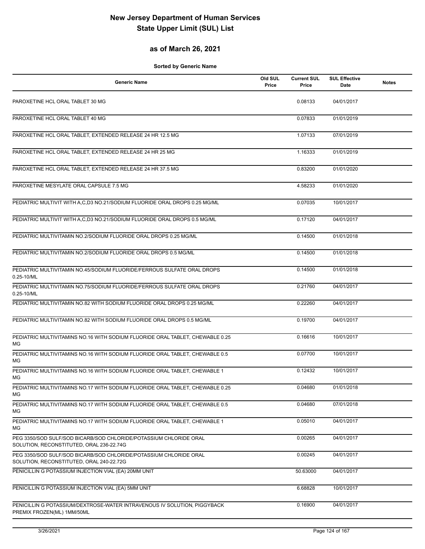### **as of March 26, 2021**

| <b>Generic Name</b>                                                                                           | Old SUL<br>Price | <b>Current SUL</b><br>Price | <b>SUL Effective</b><br>Date | <b>Notes</b> |
|---------------------------------------------------------------------------------------------------------------|------------------|-----------------------------|------------------------------|--------------|
| PAROXETINE HCL ORAL TABLET 30 MG                                                                              |                  | 0.08133                     | 04/01/2017                   |              |
| PAROXETINE HCL ORAL TABLET 40 MG                                                                              |                  | 0.07833                     | 01/01/2019                   |              |
| PAROXETINE HCL ORAL TABLET, EXTENDED RELEASE 24 HR 12.5 MG                                                    |                  | 1.07133                     | 07/01/2019                   |              |
| PAROXETINE HCL ORAL TABLET, EXTENDED RELEASE 24 HR 25 MG                                                      |                  | 1.16333                     | 01/01/2019                   |              |
| PAROXETINE HCL ORAL TABLET, EXTENDED RELEASE 24 HR 37.5 MG                                                    |                  | 0.83200                     | 01/01/2020                   |              |
| PAROXETINE MESYLATE ORAL CAPSULE 7.5 MG                                                                       |                  | 4.58233                     | 01/01/2020                   |              |
| PEDIATRIC MULTIVIT WITH A,C,D3 NO.21/SODIUM FLUORIDE ORAL DROPS 0.25 MG/ML                                    |                  | 0.07035                     | 10/01/2017                   |              |
| PEDIATRIC MULTIVIT WITH A,C,D3 NO.21/SODIUM FLUORIDE ORAL DROPS 0.5 MG/ML                                     |                  | 0.17120                     | 04/01/2017                   |              |
| PEDIATRIC MULTIVITAMIN NO.2/SODIUM FLUORIDE ORAL DROPS 0.25 MG/ML                                             |                  | 0.14500                     | 01/01/2018                   |              |
| PEDIATRIC MULTIVITAMIN NO.2/SODIUM FLUORIDE ORAL DROPS 0.5 MG/ML                                              |                  | 0.14500                     | 01/01/2018                   |              |
| PEDIATRIC MULTIVITAMIN NO.45/SODIUM FLUORIDE/FERROUS SULFATE ORAL DROPS<br>0.25-10/ML                         |                  | 0.14500                     | 01/01/2018                   |              |
| PEDIATRIC MULTIVITAMIN NO.75/SODIUM FLUORIDE/FERROUS SULFATE ORAL DROPS<br>0.25-10/ML                         |                  | 0.21760                     | 04/01/2017                   |              |
| PEDIATRIC MULTIVITAMIN NO.82 WITH SODIUM FLUORIDE ORAL DROPS 0.25 MG/ML                                       |                  | 0.22260                     | 04/01/2017                   |              |
| PEDIATRIC MULTIVITAMIN NO.82 WITH SODIUM FLUORIDE ORAL DROPS 0.5 MG/ML                                        |                  | 0.19700                     | 04/01/2017                   |              |
| PEDIATRIC MULTIVITAMINS NO.16 WITH SODIUM FLUORIDE ORAL TABLET, CHEWABLE 0.25<br>MG.                          |                  | 0.16616                     | 10/01/2017                   |              |
| PEDIATRIC MULTIVITAMINS NO.16 WITH SODIUM FLUORIDE ORAL TABLET, CHEWABLE 0.5<br>МG                            |                  | 0.07700                     | 10/01/2017                   |              |
| PEDIATRIC MULTIVITAMINS NO.16 WITH SODIUM FLUORIDE ORAL TABLET, CHEWABLE 1<br>МG                              |                  | 0.12432                     | 10/01/2017                   |              |
| PEDIATRIC MULTIVITAMINS NO.17 WITH SODIUM FLUORIDE ORAL TABLET, CHEWABLE 0.25<br>MG                           |                  | 0.04680                     | 01/01/2018                   |              |
| PEDIATRIC MULTIVITAMINS NO.17 WITH SODIUM FLUORIDE ORAL TABLET, CHEWABLE 0.5<br>МG                            |                  | 0.04680                     | 07/01/2018                   |              |
| PEDIATRIC MULTIVITAMINS NO.17 WITH SODIUM FLUORIDE ORAL TABLET, CHEWABLE 1<br>MG                              |                  | 0.05010                     | 04/01/2017                   |              |
| PEG 3350/SOD SULF/SOD BICARB/SOD CHLORIDE/POTASSIUM CHLORIDE ORAL<br>SOLUTION, RECONSTITUTED, ORAL 236-22.74G |                  | 0.00265                     | 04/01/2017                   |              |
| PEG 3350/SOD SULF/SOD BICARB/SOD CHLORIDE/POTASSIUM CHLORIDE ORAL<br>SOLUTION, RECONSTITUTED, ORAL 240-22.72G |                  | 0.00245                     | 04/01/2017                   |              |
| PENICILLIN G POTASSIUM INJECTION VIAL (EA) 20MM UNIT                                                          |                  | 50.63000                    | 04/01/2017                   |              |
| PENICILLIN G POTASSIUM INJECTION VIAL (EA) 5MM UNIT                                                           |                  | 6.68828                     | 10/01/2017                   |              |
| PENICILLIN G POTASSIUM/DEXTROSE-WATER INTRAVENOUS IV SOLUTION, PIGGYBACK<br>PREMIX FROZEN(ML) 1MM/50ML        |                  | 0.16900                     | 04/01/2017                   |              |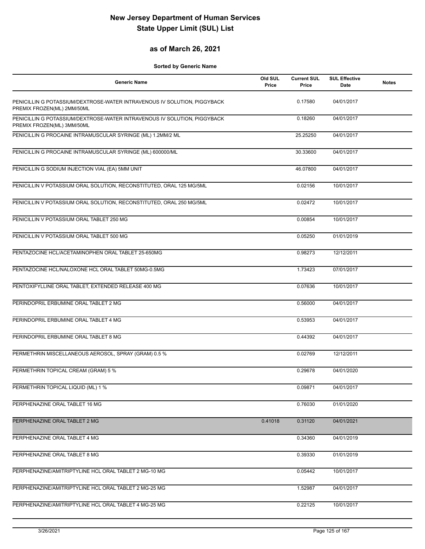### **as of March 26, 2021**

| Old SUL<br><b>Generic Name</b><br>Price                                                                | <b>Current SUL</b><br>Price | <b>SUL Effective</b><br><b>Date</b> | <b>Notes</b> |
|--------------------------------------------------------------------------------------------------------|-----------------------------|-------------------------------------|--------------|
| PENICILLIN G POTASSIUM/DEXTROSE-WATER INTRAVENOUS IV SOLUTION, PIGGYBACK<br>PREMIX FROZEN(ML) 2MM/50ML | 0.17580                     | 04/01/2017                          |              |
| PENICILLIN G POTASSIUM/DEXTROSE-WATER INTRAVENOUS IV SOLUTION, PIGGYBACK<br>PREMIX FROZEN(ML) 3MM/50ML | 0.18260                     | 04/01/2017                          |              |
| PENICILLIN G PROCAINE INTRAMUSCULAR SYRINGE (ML) 1.2MM/2 ML                                            | 25.25250                    | 04/01/2017                          |              |
| PENICILLIN G PROCAINE INTRAMUSCULAR SYRINGE (ML) 600000/ML                                             | 30.33600                    | 04/01/2017                          |              |
| PENICILLIN G SODIUM INJECTION VIAL (EA) 5MM UNIT                                                       | 46.07800                    | 04/01/2017                          |              |
| PENICILLIN V POTASSIUM ORAL SOLUTION, RECONSTITUTED, ORAL 125 MG/5ML                                   | 0.02156                     | 10/01/2017                          |              |
| PENICILLIN V POTASSIUM ORAL SOLUTION, RECONSTITUTED, ORAL 250 MG/5ML                                   | 0.02472                     | 10/01/2017                          |              |
| PENICILLIN V POTASSIUM ORAL TABLET 250 MG                                                              | 0.00854                     | 10/01/2017                          |              |
| PENICILLIN V POTASSIUM ORAL TABLET 500 MG                                                              | 0.05250                     | 01/01/2019                          |              |
| PENTAZOCINE HCL/ACETAMINOPHEN ORAL TABLET 25-650MG                                                     | 0.98273                     | 12/12/2011                          |              |
| PENTAZOCINE HCL/NALOXONE HCL ORAL TABLET 50MG-0.5MG                                                    | 1.73423                     | 07/01/2017                          |              |
| PENTOXIFYLLINE ORAL TABLET, EXTENDED RELEASE 400 MG                                                    | 0.07636                     | 10/01/2017                          |              |
| PERINDOPRIL ERBUMINE ORAL TABLET 2 MG                                                                  | 0.56000                     | 04/01/2017                          |              |
| PERINDOPRIL ERBUMINE ORAL TABLET 4 MG                                                                  | 0.53953                     | 04/01/2017                          |              |
| PERINDOPRIL ERBUMINE ORAL TABLET 8 MG                                                                  | 0.44392                     | 04/01/2017                          |              |
| PERMETHRIN MISCELLANEOUS AEROSOL, SPRAY (GRAM) 0.5 %                                                   | 0.02769                     | 12/12/2011                          |              |
| PERMETHRIN TOPICAL CREAM (GRAM) 5 %                                                                    | 0.29678                     | 04/01/2020                          |              |
| PERMETHRIN TOPICAL LIQUID (ML) 1 %                                                                     | 0.09871                     | 04/01/2017                          |              |
| PERPHENAZINE ORAL TABLET 16 MG                                                                         | 0.76030                     | 01/01/2020                          |              |
| PERPHENAZINE ORAL TABLET 2 MG<br>0.41018                                                               | 0.31120                     | 04/01/2021                          |              |
| PERPHENAZINE ORAL TABLET 4 MG                                                                          | 0.34360                     | 04/01/2019                          |              |
| PERPHENAZINE ORAL TABLET 8 MG                                                                          | 0.39330                     | 01/01/2019                          |              |
| PERPHENAZINE/AMITRIPTYLINE HCL ORAL TABLET 2 MG-10 MG                                                  | 0.05442                     | 10/01/2017                          |              |
| PERPHENAZINE/AMITRIPTYLINE HCL ORAL TABLET 2 MG-25 MG                                                  | 1.52987                     | 04/01/2017                          |              |
| PERPHENAZINE/AMITRIPTYLINE HCL ORAL TABLET 4 MG-25 MG                                                  | 0.22125                     | 10/01/2017                          |              |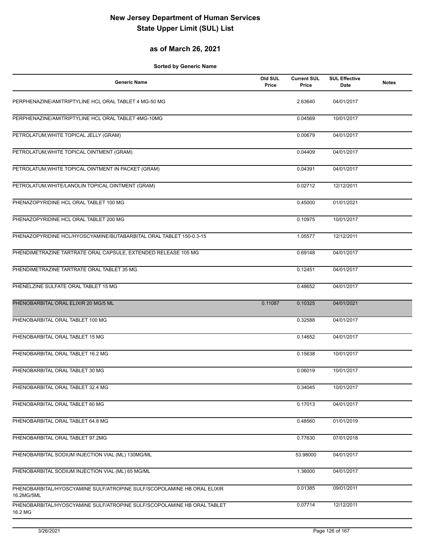### **as of March 26, 2021**

| <b>Generic Name</b>                                                                   | Old SUL<br>Price | <b>Current SUL</b><br>Price | <b>SUL Effective</b><br>Date | <b>Notes</b> |
|---------------------------------------------------------------------------------------|------------------|-----------------------------|------------------------------|--------------|
| PERPHENAZINE/AMITRIPTYLINE HCL ORAL TABLET 4 MG-50 MG                                 |                  | 2.63640                     | 04/01/2017                   |              |
| PERPHENAZINE/AMITRIPTYLINE HCL ORAL TABLET 4MG-10MG                                   |                  | 0.04569                     | 10/01/2017                   |              |
| PETROLATUM, WHITE TOPICAL JELLY (GRAM)                                                |                  | 0.00679                     | 04/01/2017                   |              |
| PETROLATUM, WHITE TOPICAL OINTMENT (GRAM)                                             |                  | 0.04409                     | 04/01/2017                   |              |
| PETROLATUM, WHITE TOPICAL OINTMENT IN PACKET (GRAM)                                   |                  | 0.04391                     | 04/01/2017                   |              |
| PETROLATUM, WHITE/LANOLIN TOPICAL OINTMENT (GRAM)                                     |                  | 0.02712                     | 12/12/2011                   |              |
| PHENAZOPYRIDINE HCL ORAL TABLET 100 MG                                                |                  | 0.45000                     | 01/01/2021                   |              |
| PHENAZOPYRIDINE HCL ORAL TABLET 200 MG                                                |                  | 0.10975                     | 10/01/2017                   |              |
| PHENAZOPYRIDINE HCL/HYOSCYAMINE/BUTABARBITAL ORAL TABLET 150-0.3-15                   |                  | 1.05577                     | 12/12/2011                   |              |
| PHENDIMETRAZINE TARTRATE ORAL CAPSULE, EXTENDED RELEASE 105 MG                        |                  | 0.69148                     | 04/01/2017                   |              |
| PHENDIMETRAZINE TARTRATE ORAL TABLET 35 MG                                            |                  | 0.12451                     | 04/01/2017                   |              |
| PHENELZINE SULFATE ORAL TABLET 15 MG                                                  |                  | 0.48652                     | 04/01/2017                   |              |
| PHENOBARBITAL ORAL ELIXIR 20 MG/5 ML                                                  | 0.11087          | 0.10325                     | 04/01/2021                   |              |
| PHENOBARBITAL ORAL TABLET 100 MG                                                      |                  | 0.32588                     | 04/01/2017                   |              |
| PHENOBARBITAL ORAL TABLET 15 MG                                                       |                  | 0.14652                     | 04/01/2017                   |              |
| PHENOBARBITAL ORAL TABLET 16.2 MG                                                     |                  | 0.15638                     | 10/01/2017                   |              |
| PHENOBARBITAL ORAL TABLET 30 MG                                                       |                  | 0.06019                     | 10/01/2017                   |              |
| PHENOBARBITAL ORAL TABLET 32.4 MG                                                     |                  | 0.34045                     | 10/01/2017                   |              |
| PHENOBARBITAL ORAL TABLET 60 MG                                                       |                  | 0.17013                     | 04/01/2017                   |              |
| PHENOBARBITAL ORAL TABLET 64.8 MG                                                     |                  | 0.48560                     | 01/01/2019                   |              |
| PHENOBARBITAL ORAL TABLET 97.2MG                                                      |                  | 0.77630                     | 07/01/2018                   |              |
| PHENOBARBITAL SODIUM INJECTION VIAL (ML) 130MG/ML                                     |                  | 53.98000                    | 04/01/2017                   |              |
| PHENOBARBITAL SODIUM INJECTION VIAL (ML) 65 MG/ML                                     |                  | 1.36000                     | 04/01/2017                   |              |
| PHENOBARBITAL/HYOSCYAMINE SULF/ATROPINE SULF/SCOPOLAMINE HB ORAL ELIXIR<br>16.2MG/5ML |                  | 0.01385                     | 09/01/2011                   |              |
| PHENOBARBITAL/HYOSCYAMINE SULF/ATROPINE SULF/SCOPOLAMINE HB ORAL TABLET<br>16.2 MG    |                  | 0.07714                     | 12/12/2011                   |              |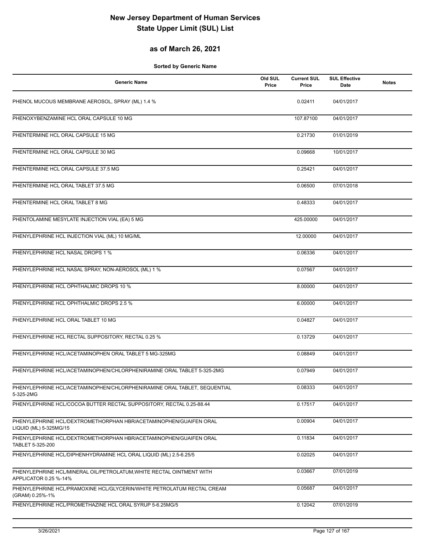### **as of March 26, 2021**

| <b>Generic Name</b>                                                                           | Old SUL<br>Price | <b>Current SUL</b><br>Price | <b>SUL Effective</b><br>Date | <b>Notes</b> |
|-----------------------------------------------------------------------------------------------|------------------|-----------------------------|------------------------------|--------------|
| PHENOL MUCOUS MEMBRANE AEROSOL, SPRAY (ML) 1.4 %                                              |                  | 0.02411                     | 04/01/2017                   |              |
| PHENOXYBENZAMINE HCL ORAL CAPSULE 10 MG                                                       |                  | 107.87100                   | 04/01/2017                   |              |
| PHENTERMINE HCL ORAL CAPSULE 15 MG                                                            |                  | 0.21730                     | 01/01/2019                   |              |
| PHENTERMINE HCL ORAL CAPSULE 30 MG                                                            |                  | 0.09668                     | 10/01/2017                   |              |
| PHENTERMINE HCL ORAL CAPSULE 37.5 MG                                                          |                  | 0.25421                     | 04/01/2017                   |              |
| PHENTERMINE HCL ORAL TABLET 37.5 MG                                                           |                  | 0.06500                     | 07/01/2018                   |              |
| PHENTERMINE HCL ORAL TABLET 8 MG                                                              |                  | 0.48333                     | 04/01/2017                   |              |
| PHENTOLAMINE MESYLATE INJECTION VIAL (EA) 5 MG                                                |                  | 425.00000                   | 04/01/2017                   |              |
| PHENYLEPHRINE HCL INJECTION VIAL (ML) 10 MG/ML                                                |                  | 12.00000                    | 04/01/2017                   |              |
| PHENYLEPHRINE HCL NASAL DROPS 1 %                                                             |                  | 0.06336                     | 04/01/2017                   |              |
| PHENYLEPHRINE HCL NASAL SPRAY, NON-AEROSOL (ML) 1 %                                           |                  | 0.07567                     | 04/01/2017                   |              |
| PHENYLEPHRINE HCL OPHTHALMIC DROPS 10 %                                                       |                  | 8.00000                     | 04/01/2017                   |              |
| PHENYLEPHRINE HCL OPHTHALMIC DROPS 2.5 %                                                      |                  | 6.00000                     | 04/01/2017                   |              |
| PHENYLEPHRINE HCL ORAL TABLET 10 MG                                                           |                  | 0.04827                     | 04/01/2017                   |              |
| PHENYLEPHRINE HCL RECTAL SUPPOSITORY, RECTAL 0.25 %                                           |                  | 0.13729                     | 04/01/2017                   |              |
| PHENYLEPHRINE HCL/ACETAMINOPHEN ORAL TABLET 5 MG-325MG                                        |                  | 0.08849                     | 04/01/2017                   |              |
| PHENYLEPHRINE HCL/ACETAMINOPHEN/CHLORPHENIRAMINE ORAL TABLET 5-325-2MG                        |                  | 0.07949                     | 04/01/2017                   |              |
| PHENYLEPHRINE HCL/ACETAMINOPHEN/CHLORPHENIRAMINE ORAL TABLET, SEQUENTIAL                      |                  | 0.08333                     | 04/01/2017                   |              |
| 5-325-2MG<br>PHENYLEPHRINE HCL/COCOA BUTTER RECTAL SUPPOSITORY, RECTAL 0.25-88.44             |                  | 0.17517                     | 04/01/2017                   |              |
| PHENYLEPHRINE HCL/DEXTROMETHORPHAN HBR/ACETAMINOPHEN/GUAIFEN ORAL<br>LIQUID (ML) 5-325MG/15   |                  | 0.00904                     | 04/01/2017                   |              |
| PHENYLEPHRINE HCL/DEXTROMETHORPHAN HBR/ACETAMINOPHEN/GUAIFEN ORAL<br>TABLET 5-325-200         |                  | 0.11834                     | 04/01/2017                   |              |
| PHENYLEPHRINE HCL/DIPHENHYDRAMINE HCL ORAL LIQUID (ML) 2.5-6.25/5                             |                  | 0.02025                     | 04/01/2017                   |              |
| PHENYLEPHRINE HCL/MINERAL OIL/PETROLATUM, WHITE RECTAL OINTMENT WITH<br>APPLICATOR 0.25 %-14% |                  | 0.03667                     | 07/01/2019                   |              |
| PHENYLEPHRINE HCL/PRAMOXINE HCL/GLYCERIN/WHITE PETROLATUM RECTAL CREAM<br>(GRAM) 0.25%-1%     |                  | 0.05687                     | 04/01/2017                   |              |
| PHENYLEPHRINE HCL/PROMETHAZINE HCL ORAL SYRUP 5-6.25MG/5                                      |                  | 0.12042                     | 07/01/2019                   |              |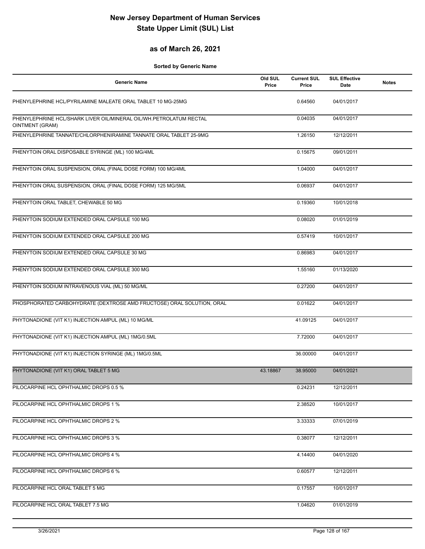### **as of March 26, 2021**

| <b>Generic Name</b>                                                                          | Old SUL<br>Price | <b>Current SUL</b><br>Price | <b>SUL Effective</b><br><b>Date</b> | <b>Notes</b> |
|----------------------------------------------------------------------------------------------|------------------|-----------------------------|-------------------------------------|--------------|
| PHENYLEPHRINE HCL/PYRILAMINE MALEATE ORAL TABLET 10 MG-25MG                                  |                  | 0.64560                     | 04/01/2017                          |              |
| PHENYLEPHRINE HCL/SHARK LIVER OIL/MINERAL OIL/WH.PETROLATUM RECTAL<br><b>OINTMENT (GRAM)</b> |                  | 0.04035                     | 04/01/2017                          |              |
| PHENYLEPHRINE TANNATE/CHLORPHENIRAMINE TANNATE ORAL TABLET 25-9MG                            |                  | 1.26150                     | 12/12/2011                          |              |
| PHENYTOIN ORAL DISPOSABLE SYRINGE (ML) 100 MG/4ML                                            |                  | 0.15675                     | 09/01/2011                          |              |
| PHENYTOIN ORAL SUSPENSION, ORAL (FINAL DOSE FORM) 100 MG/4ML                                 |                  | 1.04000                     | 04/01/2017                          |              |
| PHENYTOIN ORAL SUSPENSION, ORAL (FINAL DOSE FORM) 125 MG/5ML                                 |                  | 0.06937                     | 04/01/2017                          |              |
| PHENYTOIN ORAL TABLET, CHEWABLE 50 MG                                                        |                  | 0.19360                     | 10/01/2018                          |              |
| PHENYTOIN SODIUM EXTENDED ORAL CAPSULE 100 MG                                                |                  | 0.08020                     | 01/01/2019                          |              |
| PHENYTOIN SODIUM EXTENDED ORAL CAPSULE 200 MG                                                |                  | 0.57419                     | 10/01/2017                          |              |
| PHENYTOIN SODIUM EXTENDED ORAL CAPSULE 30 MG                                                 |                  | 0.86983                     | 04/01/2017                          |              |
| PHENYTOIN SODIUM EXTENDED ORAL CAPSULE 300 MG                                                |                  | 1.55160                     | 01/13/2020                          |              |
| PHENYTOIN SODIUM INTRAVENOUS VIAL (ML) 50 MG/ML                                              |                  | 0.27200                     | 04/01/2017                          |              |
| PHOSPHORATED CARBOHYDRATE (DEXTROSE AMD FRUCTOSE) ORAL SOLUTION, ORAL                        |                  | 0.01622                     | 04/01/2017                          |              |
| PHYTONADIONE (VIT K1) INJECTION AMPUL (ML) 10 MG/ML                                          |                  | 41.09125                    | 04/01/2017                          |              |
| PHYTONADIONE (VIT K1) INJECTION AMPUL (ML) 1MG/0.5ML                                         |                  | 7.72000                     | 04/01/2017                          |              |
| PHYTONADIONE (VIT K1) INJECTION SYRINGE (ML) 1MG/0.5ML                                       |                  | 36.00000                    | 04/01/2017                          |              |
| PHYTONADIONE (VIT K1) ORAL TABLET 5 MG                                                       | 43.18867         | 38.95000                    | 04/01/2021                          |              |
| PILOCARPINE HCL OPHTHALMIC DROPS 0.5 %                                                       |                  | 0.24231                     | 12/12/2011                          |              |
| PILOCARPINE HCL OPHTHALMIC DROPS 1 %                                                         |                  | 2.38520                     | 10/01/2017                          |              |
| PILOCARPINE HCL OPHTHALMIC DROPS 2 %                                                         |                  | 3.33333                     | 07/01/2019                          |              |
| PILOCARPINE HCL OPHTHALMIC DROPS 3 %                                                         |                  | 0.38077                     | 12/12/2011                          |              |
| PILOCARPINE HCL OPHTHALMIC DROPS 4 %                                                         |                  | 4.14400                     | 04/01/2020                          |              |
| PILOCARPINE HCL OPHTHALMIC DROPS 6 %                                                         |                  | 0.60577                     | 12/12/2011                          |              |
| PILOCARPINE HCL ORAL TABLET 5 MG                                                             |                  | 0.17557                     | 10/01/2017                          |              |
| PILOCARPINE HCL ORAL TABLET 7.5 MG                                                           |                  | 1.04620                     | 01/01/2019                          |              |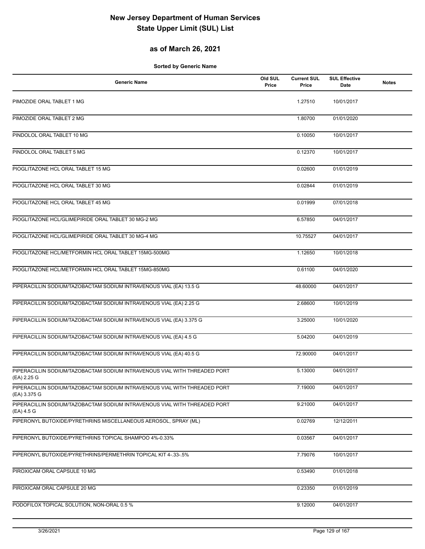### **as of March 26, 2021**

| <b>Generic Name</b>                                                                       | Old SUL<br>Price | <b>Current SUL</b><br>Price | <b>SUL Effective</b><br>Date | <b>Notes</b> |
|-------------------------------------------------------------------------------------------|------------------|-----------------------------|------------------------------|--------------|
| PIMOZIDE ORAL TABLET 1 MG                                                                 |                  | 1.27510                     | 10/01/2017                   |              |
| PIMOZIDE ORAL TABLET 2 MG                                                                 |                  | 1.80700                     | 01/01/2020                   |              |
| PINDOLOL ORAL TABLET 10 MG                                                                |                  | 0.10050                     | 10/01/2017                   |              |
| PINDOLOL ORAL TABLET 5 MG                                                                 |                  | 0.12370                     | 10/01/2017                   |              |
| PIOGLITAZONE HCL ORAL TABLET 15 MG                                                        |                  | 0.02600                     | 01/01/2019                   |              |
| PIOGLITAZONE HCL ORAL TABLET 30 MG                                                        |                  | 0.02844                     | 01/01/2019                   |              |
| PIOGLITAZONE HCL ORAL TABLET 45 MG                                                        |                  | 0.01999                     | 07/01/2018                   |              |
| PIOGLITAZONE HCL/GLIMEPIRIDE ORAL TABLET 30 MG-2 MG                                       |                  | 6.57850                     | 04/01/2017                   |              |
| PIOGLITAZONE HCL/GLIMEPIRIDE ORAL TABLET 30 MG-4 MG                                       |                  | 10.75527                    | 04/01/2017                   |              |
| PIOGLITAZONE HCL/METFORMIN HCL ORAL TABLET 15MG-500MG                                     |                  | 1.12650                     | 10/01/2018                   |              |
| PIOGLITAZONE HCL/METFORMIN HCL ORAL TABLET 15MG-850MG                                     |                  | 0.61100                     | 04/01/2020                   |              |
| PIPERACILLIN SODIUM/TAZOBACTAM SODIUM INTRAVENOUS VIAL (EA) 13.5 G                        |                  | 48.60000                    | 04/01/2017                   |              |
| PIPERACILLIN SODIUM/TAZOBACTAM SODIUM INTRAVENOUS VIAL (EA) 2.25 G                        |                  | 2.68600                     | 10/01/2019                   |              |
| PIPERACILLIN SODIUM/TAZOBACTAM SODIUM INTRAVENOUS VIAL (EA) 3.375 G                       |                  | 3.25000                     | 10/01/2020                   |              |
| PIPERACILLIN SODIUM/TAZOBACTAM SODIUM INTRAVENOUS VIAL (EA) 4.5 G                         |                  | 5.04200                     | 04/01/2019                   |              |
| PIPERACILLIN SODIUM/TAZOBACTAM SODIUM INTRAVENOUS VIAL (EA) 40.5 G                        |                  | 72.90000                    | 04/01/2017                   |              |
| PIPERACILLIN SODIUM/TAZOBACTAM SODIUM INTRAVENOUS VIAL WITH THREADED PORT<br>(EA) 2.25 G  |                  | 5.13000                     | 04/01/2017                   |              |
| PIPERACILLIN SODIUM/TAZOBACTAM SODIUM INTRAVENOUS VIAL WITH THREADED PORT<br>(EA) 3.375 G |                  | 7.19000                     | 04/01/2017                   |              |
| PIPERACILLIN SODIUM/TAZOBACTAM SODIUM INTRAVENOUS VIAL WITH THREADED PORT<br>(EA) 4.5 G   |                  | 9.21000                     | 04/01/2017                   |              |
| PIPERONYL BUTOXIDE/PYRETHRINS MISCELLANEOUS AEROSOL, SPRAY (ML)                           |                  | 0.02769                     | 12/12/2011                   |              |
| PIPERONYL BUTOXIDE/PYRETHRINS TOPICAL SHAMPOO 4%-0.33%                                    |                  | 0.03567                     | 04/01/2017                   |              |
| PIPERONYL BUTOXIDE/PYRETHRINS/PERMETHRIN TOPICAL KIT 4-.33-.5%                            |                  | 7.79076                     | 10/01/2017                   |              |
| PIROXICAM ORAL CAPSULE 10 MG                                                              |                  | 0.53490                     | 01/01/2018                   |              |
| PIROXICAM ORAL CAPSULE 20 MG                                                              |                  | 0.23350                     | 01/01/2019                   |              |
| PODOFILOX TOPICAL SOLUTION, NON-ORAL 0.5 %                                                |                  | 9.12000                     | 04/01/2017                   |              |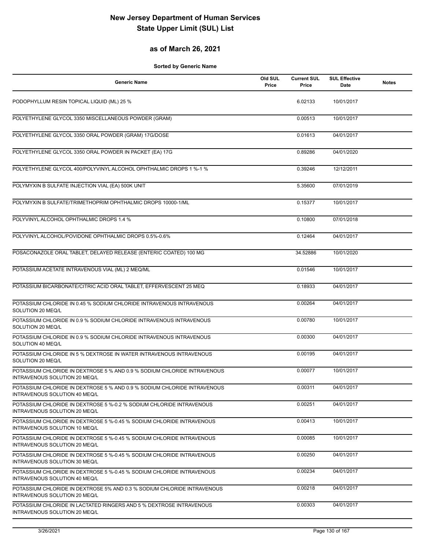### **as of March 26, 2021**

| <b>Generic Name</b>                                                                                       | Old SUL<br>Price | <b>Current SUL</b><br>Price | <b>SUL Effective</b><br>Date | <b>Notes</b> |
|-----------------------------------------------------------------------------------------------------------|------------------|-----------------------------|------------------------------|--------------|
| PODOPHYLLUM RESIN TOPICAL LIQUID (ML) 25 %                                                                |                  | 6.02133                     | 10/01/2017                   |              |
| POLYETHYLENE GLYCOL 3350 MISCELLANEOUS POWDER (GRAM)                                                      |                  | 0.00513                     | 10/01/2017                   |              |
| POLYETHYLENE GLYCOL 3350 ORAL POWDER (GRAM) 17G/DOSE                                                      |                  | 0.01613                     | 04/01/2017                   |              |
| POLYETHYLENE GLYCOL 3350 ORAL POWDER IN PACKET (EA) 17G                                                   |                  | 0.89286                     | 04/01/2020                   |              |
| POLYETHYLENE GLYCOL 400/POLYVINYL ALCOHOL OPHTHALMIC DROPS 1 %-1 %                                        |                  | 0.39246                     | 12/12/2011                   |              |
| POLYMYXIN B SULFATE INJECTION VIAL (EA) 500K UNIT                                                         |                  | 5.35600                     | 07/01/2019                   |              |
| POLYMYXIN B SULFATE/TRIMETHOPRIM OPHTHALMIC DROPS 10000-1/ML                                              |                  | 0.15377                     | 10/01/2017                   |              |
| POLYVINYL ALCOHOL OPHTHALMIC DROPS 1.4 %                                                                  |                  | 0.10800                     | 07/01/2018                   |              |
| POLYVINYL ALCOHOL/POVIDONE OPHTHALMIC DROPS 0.5%-0.6%                                                     |                  | 0.12464                     | 04/01/2017                   |              |
| POSACONAZOLE ORAL TABLET, DELAYED RELEASE (ENTERIC COATED) 100 MG                                         |                  | 34.52886                    | 10/01/2020                   |              |
| POTASSIUM ACETATE INTRAVENOUS VIAL (ML) 2 MEQ/ML                                                          |                  | 0.01546                     | 10/01/2017                   |              |
| POTASSIUM BICARBONATE/CITRIC ACID ORAL TABLET, EFFERVESCENT 25 MEQ                                        |                  | 0.18933                     | 04/01/2017                   |              |
| POTASSIUM CHLORIDE IN 0.45 % SODIUM CHLORIDE INTRAVENOUS INTRAVENOUS<br>SOLUTION 20 MEQ/L                 |                  | 0.00264                     | 04/01/2017                   |              |
| POTASSIUM CHLORIDE IN 0.9 % SODIUM CHLORIDE INTRAVENOUS INTRAVENOUS<br>SOLUTION 20 MEQ/L                  |                  | 0.00780                     | 10/01/2017                   |              |
| POTASSIUM CHLORIDE IN 0.9 % SODIUM CHLORIDE INTRAVENOUS INTRAVENOUS<br>SOLUTION 40 MEQ/L                  |                  | 0.00300                     | 04/01/2017                   |              |
| POTASSIUM CHLORIDE IN 5 % DEXTROSE IN WATER INTRAVENOUS INTRAVENOUS<br>SOLUTION 20 MEQ/L                  |                  | 0.00195                     | 04/01/2017                   |              |
| POTASSIUM CHLORIDE IN DEXTROSE 5 % AND 0.9 % SODIUM CHLORIDE INTRAVENOUS<br>INTRAVENOUS SOLUTION 20 MEQ/L |                  | 0.00077                     | 10/01/2017                   |              |
| POTASSIUM CHLORIDE IN DEXTROSE 5 % AND 0.9 % SODIUM CHLORIDE INTRAVENOUS<br>INTRAVENOUS SOLUTION 40 MEQ/L |                  | 0.00311                     | 04/01/2017                   |              |
| POTASSIUM CHLORIDE IN DEXTROSE 5 %-0.2 % SODIUM CHLORIDE INTRAVENOUS<br>INTRAVENOUS SOLUTION 20 MEQ/L     |                  | 0.00251                     | 04/01/2017                   |              |
| POTASSIUM CHLORIDE IN DEXTROSE 5 %-0.45 % SODIUM CHLORIDE INTRAVENOUS<br>INTRAVENOUS SOLUTION 10 MEQ/L    |                  | 0.00413                     | 10/01/2017                   |              |
| POTASSIUM CHLORIDE IN DEXTROSE 5 %-0.45 % SODIUM CHLORIDE INTRAVENOUS<br>INTRAVENOUS SOLUTION 20 MEQ/L    |                  | 0.00085                     | 10/01/2017                   |              |
| POTASSIUM CHLORIDE IN DEXTROSE 5 %-0.45 % SODIUM CHLORIDE INTRAVENOUS<br>INTRAVENOUS SOLUTION 30 MEQ/L    |                  | 0.00250                     | 04/01/2017                   |              |
| POTASSIUM CHLORIDE IN DEXTROSE 5 %-0.45 % SODIUM CHLORIDE INTRAVENOUS<br>INTRAVENOUS SOLUTION 40 MEQ/L    |                  | 0.00234                     | 04/01/2017                   |              |
| POTASSIUM CHLORIDE IN DEXTROSE 5% AND 0.3 % SODIUM CHLORIDE INTRAVENOUS<br>INTRAVENOUS SOLUTION 20 MEQ/L  |                  | 0.00218                     | 04/01/2017                   |              |
| POTASSIUM CHLORIDE IN LACTATED RINGERS AND 5 % DEXTROSE INTRAVENOUS<br>INTRAVENOUS SOLUTION 20 MEQ/L      |                  | 0.00303                     | 04/01/2017                   |              |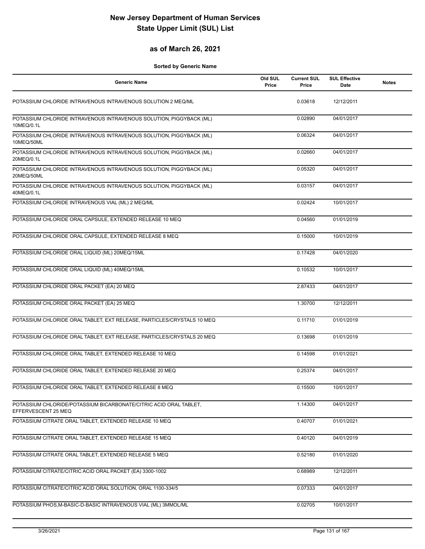### **as of March 26, 2021**

| <b>Generic Name</b>                                                                      | Old SUL<br>Price | <b>Current SUL</b><br>Price | <b>SUL Effective</b><br>Date | <b>Notes</b> |
|------------------------------------------------------------------------------------------|------------------|-----------------------------|------------------------------|--------------|
| POTASSIUM CHLORIDE INTRAVENOUS INTRAVENOUS SOLUTION 2 MEQ/ML                             |                  | 0.03618                     | 12/12/2011                   |              |
| POTASSIUM CHLORIDE INTRAVENOUS INTRAVENOUS SOLUTION, PIGGYBACK (ML)<br>10MEQ/0.1L        |                  | 0.02890                     | 04/01/2017                   |              |
| POTASSIUM CHLORIDE INTRAVENOUS INTRAVENOUS SOLUTION, PIGGYBACK (ML)<br>10MEQ/50ML        |                  | 0.06324                     | 04/01/2017                   |              |
| POTASSIUM CHLORIDE INTRAVENOUS INTRAVENOUS SOLUTION, PIGGYBACK (ML)<br>20MEQ/0.1L        |                  | 0.02660                     | 04/01/2017                   |              |
| POTASSIUM CHLORIDE INTRAVENOUS INTRAVENOUS SOLUTION, PIGGYBACK (ML)<br>20MEQ/50ML        |                  | 0.05320                     | 04/01/2017                   |              |
| POTASSIUM CHLORIDE INTRAVENOUS INTRAVENOUS SOLUTION, PIGGYBACK (ML)<br>40MEQ/0.1L        |                  | 0.03157                     | 04/01/2017                   |              |
| POTASSIUM CHLORIDE INTRAVENOUS VIAL (ML) 2 MEQ/ML                                        |                  | 0.02424                     | 10/01/2017                   |              |
| POTASSIUM CHLORIDE ORAL CAPSULE, EXTENDED RELEASE 10 MEQ                                 |                  | 0.04560                     | 01/01/2019                   |              |
| POTASSIUM CHLORIDE ORAL CAPSULE, EXTENDED RELEASE 8 MEQ                                  |                  | 0.15000                     | 10/01/2019                   |              |
| POTASSIUM CHLORIDE ORAL LIQUID (ML) 20MEQ/15ML                                           |                  | 0.17428                     | 04/01/2020                   |              |
| POTASSIUM CHLORIDE ORAL LIQUID (ML) 40MEQ/15ML                                           |                  | 0.10532                     | 10/01/2017                   |              |
| POTASSIUM CHLORIDE ORAL PACKET (EA) 20 MEQ                                               |                  | 2.87433                     | 04/01/2017                   |              |
| POTASSIUM CHLORIDE ORAL PACKET (EA) 25 MEQ                                               |                  | 1.30700                     | 12/12/2011                   |              |
| POTASSIUM CHLORIDE ORAL TABLET, EXT RELEASE, PARTICLES/CRYSTALS 10 MEQ                   |                  | 0.11710                     | 01/01/2019                   |              |
| POTASSIUM CHLORIDE ORAL TABLET, EXT RELEASE, PARTICLES/CRYSTALS 20 MEQ                   |                  | 0.13698                     | 01/01/2019                   |              |
| POTASSIUM CHLORIDE ORAL TABLET, EXTENDED RELEASE 10 MEQ                                  |                  | 0.14598                     | 01/01/2021                   |              |
| POTASSIUM CHLORIDE ORAL TABLET, EXTENDED RELEASE 20 MEQ                                  |                  | 0.25374                     | 04/01/2017                   |              |
| POTASSIUM CHLORIDE ORAL TABLET, EXTENDED RELEASE 8 MEQ                                   |                  | 0.15500                     | 10/01/2017                   |              |
| POTASSIUM CHLORIDE/POTASSIUM BICARBONATE/CITRIC ACID ORAL TABLET,<br>EFFERVESCENT 25 MEQ |                  | 1.14300                     | 04/01/2017                   |              |
| POTASSIUM CITRATE ORAL TABLET, EXTENDED RELEASE 10 MEQ                                   |                  | 0.40707                     | 01/01/2021                   |              |
| POTASSIUM CITRATE ORAL TABLET, EXTENDED RELEASE 15 MEQ                                   |                  | 0.40120                     | 04/01/2019                   |              |
| POTASSIUM CITRATE ORAL TABLET, EXTENDED RELEASE 5 MEQ                                    |                  | 0.52180                     | 01/01/2020                   |              |
| POTASSIUM CITRATE/CITRIC ACID ORAL PACKET (EA) 3300-1002                                 |                  | 0.68989                     | 12/12/2011                   |              |
| POTASSIUM CITRATE/CITRIC ACID ORAL SOLUTION, ORAL 1100-334/5                             |                  | 0.07333                     | 04/01/2017                   |              |
| POTASSIUM PHOS, M-BASIC-D-BASIC INTRAVENOUS VIAL (ML) 3MMOL/ML                           |                  | 0.02705                     | 10/01/2017                   |              |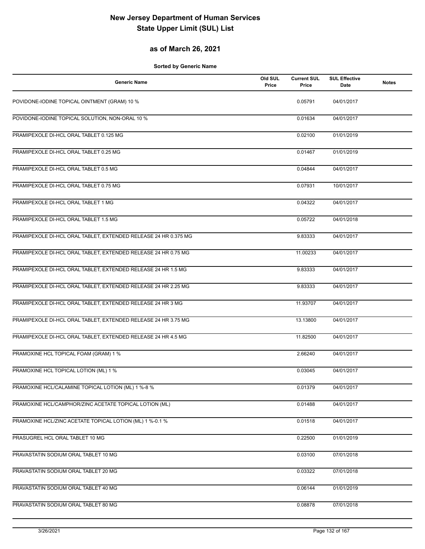### **as of March 26, 2021**

| <b>Generic Name</b>                                             | Old SUL<br>Price | <b>Current SUL</b><br>Price | <b>SUL Effective</b><br>Date | <b>Notes</b> |
|-----------------------------------------------------------------|------------------|-----------------------------|------------------------------|--------------|
| POVIDONE-IODINE TOPICAL OINTMENT (GRAM) 10 %                    |                  | 0.05791                     | 04/01/2017                   |              |
| POVIDONE-IODINE TOPICAL SOLUTION, NON-ORAL 10 %                 |                  | 0.01634                     | 04/01/2017                   |              |
| PRAMIPEXOLE DI-HCL ORAL TABLET 0.125 MG                         |                  | 0.02100                     | 01/01/2019                   |              |
| PRAMIPEXOLE DI-HCL ORAL TABLET 0.25 MG                          |                  | 0.01467                     | 01/01/2019                   |              |
| PRAMIPEXOLE DI-HCL ORAL TABLET 0.5 MG                           |                  | 0.04844                     | 04/01/2017                   |              |
| PRAMIPEXOLE DI-HCL ORAL TABLET 0.75 MG                          |                  | 0.07931                     | 10/01/2017                   |              |
| PRAMIPEXOLE DI-HCL ORAL TABLET 1 MG                             |                  | 0.04322                     | 04/01/2017                   |              |
| PRAMIPEXOLE DI-HCL ORAL TABLET 1.5 MG                           |                  | 0.05722                     | 04/01/2018                   |              |
| PRAMIPEXOLE DI-HCL ORAL TABLET, EXTENDED RELEASE 24 HR 0.375 MG |                  | 9.83333                     | 04/01/2017                   |              |
| PRAMIPEXOLE DI-HCL ORAL TABLET, EXTENDED RELEASE 24 HR 0.75 MG  |                  | 11.00233                    | 04/01/2017                   |              |
| PRAMIPEXOLE DI-HCL ORAL TABLET, EXTENDED RELEASE 24 HR 1.5 MG   |                  | 9.83333                     | 04/01/2017                   |              |
| PRAMIPEXOLE DI-HCL ORAL TABLET, EXTENDED RELEASE 24 HR 2.25 MG  |                  | 9.83333                     | 04/01/2017                   |              |
| PRAMIPEXOLE DI-HCL ORAL TABLET, EXTENDED RELEASE 24 HR 3 MG     |                  | 11.93707                    | 04/01/2017                   |              |
| PRAMIPEXOLE DI-HCL ORAL TABLET, EXTENDED RELEASE 24 HR 3.75 MG  |                  | 13.13800                    | 04/01/2017                   |              |
| PRAMIPEXOLE DI-HCL ORAL TABLET, EXTENDED RELEASE 24 HR 4.5 MG   |                  | 11.82500                    | 04/01/2017                   |              |
| PRAMOXINE HCL TOPICAL FOAM (GRAM) 1 %                           |                  | 2.66240                     | 04/01/2017                   |              |
| PRAMOXINE HCL TOPICAL LOTION (ML) 1 %                           |                  | 0.03045                     | 04/01/2017                   |              |
| PRAMOXINE HCL/CALAMINE TOPICAL LOTION (ML) 1 %-8 %              |                  | 0.01379                     | 04/01/2017                   |              |
| PRAMOXINE HCL/CAMPHOR/ZINC ACETATE TOPICAL LOTION (ML)          |                  | 0.01488                     | 04/01/2017                   |              |
| PRAMOXINE HCL/ZINC ACETATE TOPICAL LOTION (ML) 1 %-0.1 %        |                  | 0.01518                     | 04/01/2017                   |              |
| PRASUGREL HCL ORAL TABLET 10 MG                                 |                  | 0.22500                     | 01/01/2019                   |              |
| PRAVASTATIN SODIUM ORAL TABLET 10 MG                            |                  | 0.03100                     | 07/01/2018                   |              |
| PRAVASTATIN SODIUM ORAL TABLET 20 MG                            |                  | 0.03322                     | 07/01/2018                   |              |
| PRAVASTATIN SODIUM ORAL TABLET 40 MG                            |                  | 0.06144                     | 01/01/2019                   |              |
| PRAVASTATIN SODIUM ORAL TABLET 80 MG                            |                  | 0.08878                     | 07/01/2018                   |              |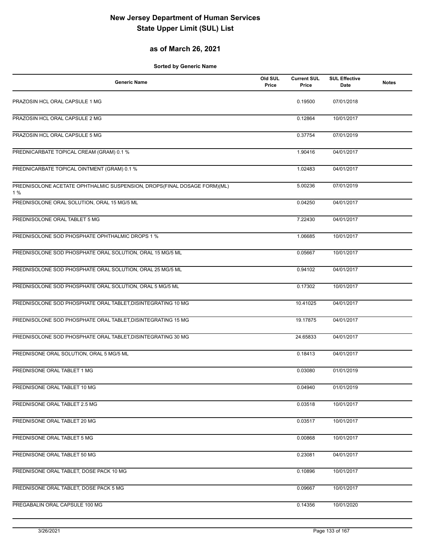### **as of March 26, 2021**

| <b>Generic Name</b>                                                            | Old SUL<br>Price | <b>Current SUL</b><br>Price | <b>SUL Effective</b><br>Date | <b>Notes</b> |
|--------------------------------------------------------------------------------|------------------|-----------------------------|------------------------------|--------------|
| PRAZOSIN HCL ORAL CAPSULE 1 MG                                                 |                  | 0.19500                     | 07/01/2018                   |              |
| PRAZOSIN HCL ORAL CAPSULE 2 MG                                                 |                  | 0.12864                     | 10/01/2017                   |              |
| PRAZOSIN HCL ORAL CAPSULE 5 MG                                                 |                  | 0.37754                     | 07/01/2019                   |              |
| PREDNICARBATE TOPICAL CREAM (GRAM) 0.1 %                                       |                  | 1.90416                     | 04/01/2017                   |              |
| PREDNICARBATE TOPICAL OINTMENT (GRAM) 0.1 %                                    |                  | 1.02483                     | 04/01/2017                   |              |
| PREDNISOLONE ACETATE OPHTHALMIC SUSPENSION, DROPS(FINAL DOSAGE FORM)(ML)<br>1% |                  | 5.00236                     | 07/01/2019                   |              |
| PREDNISOLONE ORAL SOLUTION, ORAL 15 MG/5 ML                                    |                  | 0.04250                     | 04/01/2017                   |              |
| PREDNISOLONE ORAL TABLET 5 MG                                                  |                  | 7.22430                     | 04/01/2017                   |              |
| PREDNISOLONE SOD PHOSPHATE OPHTHALMIC DROPS 1 %                                |                  | 1.06685                     | 10/01/2017                   |              |
| PREDNISOLONE SOD PHOSPHATE ORAL SOLUTION, ORAL 15 MG/5 ML                      |                  | 0.05667                     | 10/01/2017                   |              |
| PREDNISOLONE SOD PHOSPHATE ORAL SOLUTION, ORAL 25 MG/5 ML                      |                  | 0.94102                     | 04/01/2017                   |              |
| PREDNISOLONE SOD PHOSPHATE ORAL SOLUTION, ORAL 5 MG/5 ML                       |                  | 0.17302                     | 10/01/2017                   |              |
| PREDNISOLONE SOD PHOSPHATE ORAL TABLET, DISINTEGRATING 10 MG                   |                  | 10.41025                    | 04/01/2017                   |              |
| PREDNISOLONE SOD PHOSPHATE ORAL TABLET, DISINTEGRATING 15 MG                   |                  | 19.17875                    | 04/01/2017                   |              |
| PREDNISOLONE SOD PHOSPHATE ORAL TABLET, DISINTEGRATING 30 MG                   |                  | 24.65833                    | 04/01/2017                   |              |
| PREDNISONE ORAL SOLUTION, ORAL 5 MG/5 ML                                       |                  | 0.18413                     | 04/01/2017                   |              |
| PREDNISONE ORAL TABLET 1 MG                                                    |                  | 0.03080                     | 01/01/2019                   |              |
| PREDNISONE ORAL TABLET 10 MG                                                   |                  | 0.04940                     | 01/01/2019                   |              |
| PREDNISONE ORAL TABLET 2.5 MG                                                  |                  | 0.03518                     | 10/01/2017                   |              |
| PREDNISONE ORAL TABLET 20 MG                                                   |                  | 0.03517                     | 10/01/2017                   |              |
| PREDNISONE ORAL TABLET 5 MG                                                    |                  | 0.00868                     | 10/01/2017                   |              |
| PREDNISONE ORAL TABLET 50 MG                                                   |                  | 0.23081                     | 04/01/2017                   |              |
| PREDNISONE ORAL TABLET, DOSE PACK 10 MG                                        |                  | 0.10896                     | 10/01/2017                   |              |
| PREDNISONE ORAL TABLET, DOSE PACK 5 MG                                         |                  | 0.09667                     | 10/01/2017                   |              |
| PREGABALIN ORAL CAPSULE 100 MG                                                 |                  | 0.14356                     | 10/01/2020                   |              |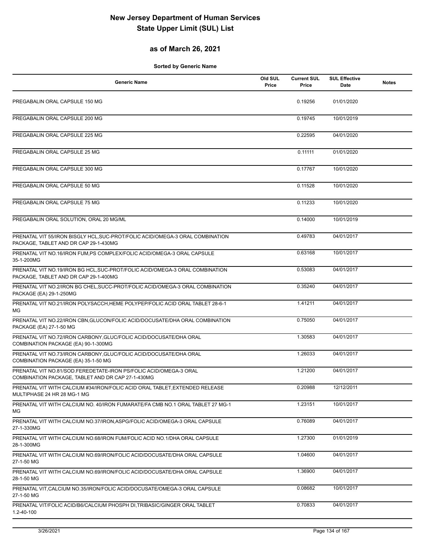### **as of March 26, 2021**

| <b>Generic Name</b>                                                                                                    | Old SUL<br>Price | <b>Current SUL</b><br>Price | <b>SUL Effective</b><br><b>Date</b> | <b>Notes</b> |
|------------------------------------------------------------------------------------------------------------------------|------------------|-----------------------------|-------------------------------------|--------------|
| PREGABALIN ORAL CAPSULE 150 MG                                                                                         |                  | 0.19256                     | 01/01/2020                          |              |
| PREGABALIN ORAL CAPSULE 200 MG                                                                                         |                  | 0.19745                     | 10/01/2019                          |              |
| PREGABALIN ORAL CAPSULE 225 MG                                                                                         |                  | 0.22595                     | 04/01/2020                          |              |
| PREGABALIN ORAL CAPSULE 25 MG                                                                                          |                  | 0.11111                     | 01/01/2020                          |              |
| PREGABALIN ORAL CAPSULE 300 MG                                                                                         |                  | 0.17767                     | 10/01/2020                          |              |
| PREGABALIN ORAL CAPSULE 50 MG                                                                                          |                  | 0.11528                     | 10/01/2020                          |              |
| PREGABALIN ORAL CAPSULE 75 MG                                                                                          |                  | 0.11233                     | 10/01/2020                          |              |
| PREGABALIN ORAL SOLUTION, ORAL 20 MG/ML                                                                                |                  | 0.14000                     | 10/01/2019                          |              |
| PRENATAL VIT 55/IRON BISGLY HCL, SUC-PROT/FOLIC ACID/OMEGA-3 ORAL COMBINATION<br>PACKAGE. TABLET AND DR CAP 29-1-430MG |                  | 0.49783                     | 04/01/2017                          |              |
| PRENATAL VIT NO.16/IRON FUM, PS COMPLEX/FOLIC ACID/OMEGA-3 ORAL CAPSULE<br>35-1-200MG                                  |                  | 0.63168                     | 10/01/2017                          |              |
| PRENATAL VIT NO.19/IRON BG HCL, SUC-PROT/FOLIC ACID/OMEGA-3 ORAL COMBINATION<br>PACKAGE, TABLET AND DR CAP 29-1-400MG  |                  | 0.53083                     | 04/01/2017                          |              |
| PRENATAL VIT NO.2/IRON BG CHEL, SUCC-PROT/FOLIC ACID/OMEGA-3 ORAL COMBINATION<br>PACKAGE (EA) 29-1-250MG               |                  | 0.35240                     | 04/01/2017                          |              |
| PRENATAL VIT NO.21/IRON POLYSACCH, HEME POLYPEP/FOLIC ACID ORAL TABLET 28-6-1<br>МG                                    |                  | 1.41211                     | 04/01/2017                          |              |
| PRENATAL VIT NO.22/IRON CBN, GLUCON/FOLIC ACID/DOCUSATE/DHA ORAL COMBINATION<br>PACKAGE (EA) 27-1-50 MG                |                  | 0.75050                     | 04/01/2017                          |              |
| PRENATAL VIT NO.72/IRON CARBONY, GLUC/FOLIC ACID/DOCUSATE/DHA ORAL<br>COMBINATION PACKAGE (EA) 90-1-300MG              |                  | 1.30583                     | 04/01/2017                          |              |
| PRENATAL VIT NO.73/IRON CARBONY, GLUC/FOLIC ACID/DOCUSATE/DHA ORAL<br>COMBINATION PACKAGE (EA) 35-1-50 MG              |                  | 1.26033                     | 04/01/2017                          |              |
| PRENATAL VIT NO.81/SOD.FEREDETATE-IRON PS/FOLIC ACID/OMEGA-3 ORAL<br>COMBINATION PACKAGE, TABLET AND DR CAP 27-1-430MG |                  | 1.21200                     | 04/01/2017                          |              |
| PRENATAL VIT WITH CALCIUM #34/IRON/FOLIC ACID ORAL TABLET, EXTENDED RELEASE<br>MULTIPHASE 24 HR 28 MG-1 MG             |                  | 0.20988                     | 12/12/2011                          |              |
| PRENATAL VIT WITH CALCIUM NO. 40/IRON FUMARATE/FA CMB NO.1 ORAL TABLET 27 MG-1<br>MG                                   |                  | 1.23151                     | 10/01/2017                          |              |
| PRENATAL VIT WITH CALCIUM NO.37/IRON, ASPG/FOLIC ACID/OMEGA-3 ORAL CAPSULE<br>27-1-330MG                               |                  | 0.76089                     | 04/01/2017                          |              |
| PRENATAL VIT WITH CALCIUM NO.68/IRON FUM/FOLIC ACID NO.1/DHA ORAL CAPSULE<br>28-1-300MG                                |                  | 1.27300                     | 01/01/2019                          |              |
| PRENATAL VIT WITH CALCIUM NO.69/IRON/FOLIC ACID/DOCUSATE/DHA ORAL CAPSULE<br>27-1-50 MG                                |                  | 1.04600                     | 04/01/2017                          |              |
| PRENATAL VIT WITH CALCIUM NO.69/IRON/FOLIC ACID/DOCUSATE/DHA ORAL CAPSULE<br>28-1-50 MG                                |                  | 1.36900                     | 04/01/2017                          |              |
| PRENATAL VIT, CALCIUM NO.35/IRON/FOLIC ACID/DOCUSATE/OMEGA-3 ORAL CAPSULE<br>27-1-50 MG                                |                  | 0.08682                     | 10/01/2017                          |              |
| PRENATAL VIT/FOLIC ACID/B6/CALCIUM PHOSPH DI, TRIBASIC/GINGER ORAL TABLET<br>1.2-40-100                                |                  | 0.70833                     | 04/01/2017                          |              |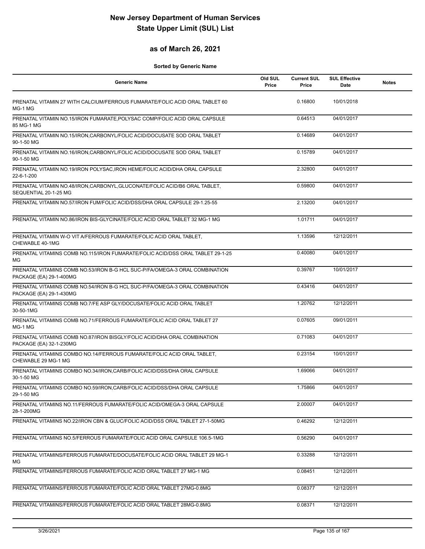### **as of March 26, 2021**

| <b>Generic Name</b>                                                                                    | Old SUL<br>Price | <b>Current SUL</b><br>Price | <b>SUL Effective</b><br>Date | <b>Notes</b> |
|--------------------------------------------------------------------------------------------------------|------------------|-----------------------------|------------------------------|--------------|
| PRENATAL VITAMIN 27 WITH CALCIUM/FERROUS FUMARATE/FOLIC ACID ORAL TABLET 60<br>MG-1 MG                 |                  | 0.16800                     | 10/01/2018                   |              |
| PRENATAL VITAMIN NO.15/IRON FUMARATE, POLYSAC COMP/FOLIC ACID ORAL CAPSULE<br>85 MG-1 MG               |                  | 0.64513                     | 04/01/2017                   |              |
| PRENATAL VITAMIN NO.15/IRON, CARBONYL/FOLIC ACID/DOCUSATE SOD ORAL TABLET<br>90-1-50 MG                |                  | 0.14689                     | 04/01/2017                   |              |
| PRENATAL VITAMIN NO.16/IRON, CARBONYL/FOLIC ACID/DOCUSATE SOD ORAL TABLET<br>90-1-50 MG                |                  | 0.15789                     | 04/01/2017                   |              |
| PRENATAL VITAMIN NO.19/IRON POLYSAC, IRON HEME/FOLIC ACID/DHA ORAL CAPSULE<br>22-6-1-200               |                  | 2.32800                     | 04/01/2017                   |              |
| PRENATAL VITAMIN NO.48/IRON, CARBONYL, GLUCONATE/FOLIC ACID/B6 ORAL TABLET,<br>SEQUENTIAL 20-1-25 MG   |                  | 0.59800                     | 04/01/2017                   |              |
| PRENATAL VITAMIN NO.57/IRON FUM/FOLIC ACID/DSS/DHA ORAL CAPSULE 29-1.25-55                             |                  | 2.13200                     | 04/01/2017                   |              |
| PRENATAL VITAMIN NO.86/IRON BIS-GLYCINATE/FOLIC ACID ORAL TABLET 32 MG-1 MG                            |                  | 1.01711                     | 04/01/2017                   |              |
| PRENATAL VITAMIN W-O VIT A/FERROUS FUMARATE/FOLIC ACID ORAL TABLET,<br>CHEWABLE 40-1MG                 |                  | 1.13596                     | 12/12/2011                   |              |
| PRENATAL VITAMINS COMB NO.115/IRON FUMARATE/FOLIC ACID/DSS ORAL TABLET 29-1-25<br>MG.                  |                  | 0.40080                     | 04/01/2017                   |              |
| PRENATAL VITAMINS COMB NO.53/IRON B-G HCL SUC-P/FA/OMEGA-3 ORAL COMBINATION<br>PACKAGE (EA) 29-1-400MG |                  | 0.39767                     | 10/01/2017                   |              |
| PRENATAL VITAMINS COMB NO.54/IRON B-G HCL SUC-P/FA/OMEGA-3 ORAL COMBINATION<br>PACKAGE (EA) 29-1-430MG |                  | 0.43416                     | 04/01/2017                   |              |
| PRENATAL VITAMINS COMB NO.7/FE ASP GLY/DOCUSATE/FOLIC ACID ORAL TABLET<br>30-50-1MG                    |                  | 1.20762                     | 12/12/2011                   |              |
| PRENATAL VITAMINS COMB NO.71/FERROUS FUMARATE/FOLIC ACID ORAL TABLET 27<br>MG-1 MG                     |                  | 0.07605                     | 09/01/2011                   |              |
| PRENATAL VITAMINS COMB NO.87/IRON BISGLY/FOLIC ACID/DHA ORAL COMBINATION<br>PACKAGE (EA) 32-1-230MG    |                  | 0.71083                     | 04/01/2017                   |              |
| PRENATAL VITAMINS COMBO NO.14/FERROUS FUMARATE/FOLIC ACID ORAL TABLET,<br>CHEWABLE 29 MG-1 MG          |                  | 0.23154                     | 10/01/2017                   |              |
| PRENATAL VITAMINS COMBO NO.34/IRON, CARB/FOLIC ACID/DSS/DHA ORAL CAPSULE<br>30-1-50 MG                 |                  | 1.69066                     | 04/01/2017                   |              |
| PRENATAL VITAMINS COMBO NO.59/IRON, CARB/FOLIC ACID/DSS/DHA ORAL CAPSULE<br>29-1-50 MG                 |                  | 1.75866                     | 04/01/2017                   |              |
| PRENATAL VITAMINS NO.11/FERROUS FUMARATE/FOLIC ACID/OMEGA-3 ORAL CAPSULE<br>28-1-200MG                 |                  | 2.00007                     | 04/01/2017                   |              |
| PRENATAL VITAMINS NO.22/IRON CBN & GLUC/FOLIC ACID/DSS ORAL TABLET 27-1-50MG                           |                  | 0.46292                     | 12/12/2011                   |              |
| PRENATAL VITAMINS NO.5/FERROUS FUMARATE/FOLIC ACID ORAL CAPSULE 106.5-1MG                              |                  | 0.56290                     | 04/01/2017                   |              |
| PRENATAL VITAMINS/FERROUS FUMARATE/DOCUSATE/FOLIC ACID ORAL TABLET 29 MG-1<br>МG                       |                  | 0.33288                     | 12/12/2011                   |              |
| PRENATAL VITAMINS/FERROUS FUMARATE/FOLIC ACID ORAL TABLET 27 MG-1 MG                                   |                  | 0.08451                     | 12/12/2011                   |              |
| PRENATAL VITAMINS/FERROUS FUMARATE/FOLIC ACID ORAL TABLET 27MG-0.8MG                                   |                  | 0.08377                     | 12/12/2011                   |              |
| PRENATAL VITAMINS/FERROUS FUMARATE/FOLIC ACID ORAL TABLET 28MG-0.8MG                                   |                  | 0.08371                     | 12/12/2011                   |              |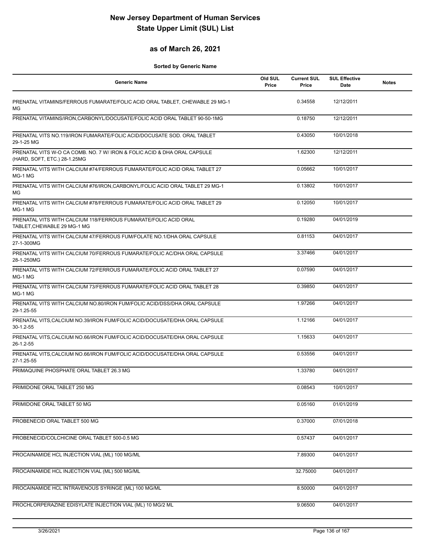### **as of March 26, 2021**

| <b>Generic Name</b>                                                                                      | Old SUL<br>Price | <b>Current SUL</b><br>Price | <b>SUL Effective</b><br>Date | <b>Notes</b> |
|----------------------------------------------------------------------------------------------------------|------------------|-----------------------------|------------------------------|--------------|
| PRENATAL VITAMINS/FERROUS FUMARATE/FOLIC ACID ORAL TABLET, CHEWABLE 29 MG-1<br>MG                        |                  | 0.34558                     | 12/12/2011                   |              |
| PRENATAL VITAMINS/IRON, CARBONYL/DOCUSATE/FOLIC ACID ORAL TABLET 90-50-1MG                               |                  | 0.18750                     | 12/12/2011                   |              |
| PRENATAL VITS NO.119/IRON FUMARATE/FOLIC ACID/DOCUSATE SOD. ORAL TABLET<br>29-1-25 MG                    |                  | 0.43050                     | 10/01/2018                   |              |
| PRENATAL VITS W-O CA COMB. NO. 7 W/ IRON & FOLIC ACID & DHA ORAL CAPSULE<br>(HARD, SOFT, ETC.) 28-1.25MG |                  | 1.62300                     | 12/12/2011                   |              |
| PRENATAL VITS WITH CALCIUM #74/FERROUS FUMARATE/FOLIC ACID ORAL TABLET 27<br>MG-1 MG                     |                  | 0.05662                     | 10/01/2017                   |              |
| PRENATAL VITS WITH CALCIUM #76/IRON, CARBONYL/FOLIC ACID ORAL TABLET 29 MG-1<br>MG.                      |                  | 0.13802                     | 10/01/2017                   |              |
| PRENATAL VITS WITH CALCIUM #78/FERROUS FUMARATE/FOLIC ACID ORAL TABLET 29<br>MG-1 MG                     |                  | 0.12050                     | 10/01/2017                   |              |
| PRENATAL VITS WITH CALCIUM 118/FERROUS FUMARATE/FOLIC ACID ORAL<br>TABLET, CHEWABLE 29 MG-1 MG           |                  | 0.19280                     | 04/01/2019                   |              |
| PRENATAL VITS WITH CALCIUM 47/FERROUS FUM/FOLATE NO.1/DHA ORAL CAPSULE<br>27-1-300MG                     |                  | 0.81153                     | 04/01/2017                   |              |
| PRENATAL VITS WITH CALCIUM 70/FERROUS FUMARATE/FOLIC AC/DHA ORAL CAPSULE<br>28-1-250MG                   |                  | 3.37466                     | 04/01/2017                   |              |
| PRENATAL VITS WITH CALCIUM 72/FERROUS FUMARATE/FOLIC ACID ORAL TABLET 27<br>MG-1 MG                      |                  | 0.07590                     | 04/01/2017                   |              |
| PRENATAL VITS WITH CALCIUM 73/FERROUS FUMARATE/FOLIC ACID ORAL TABLET 28<br>MG-1 MG                      |                  | 0.39850                     | 04/01/2017                   |              |
| PRENATAL VITS WITH CALCIUM NO.80/IRON FUM/FOLIC ACID/DSS/DHA ORAL CAPSULE<br>29-1.25-55                  |                  | 1.97266                     | 04/01/2017                   |              |
| PRENATAL VITS, CALCIUM NO.39/IRON FUM/FOLIC ACID/DOCUSATE/DHA ORAL CAPSULE<br>$30-1.2-55$                |                  | 1.12166                     | 04/01/2017                   |              |
| PRENATAL VITS, CALCIUM NO.66/IRON FUM/FOLIC ACID/DOCUSATE/DHA ORAL CAPSULE<br>26-1.2-55                  |                  | 1.15633                     | 04/01/2017                   |              |
| PRENATAL VITS, CALCIUM NO.66/IRON FUM/FOLIC ACID/DOCUSATE/DHA ORAL CAPSULE<br>27-1.25-55                 |                  | 0.53556                     | 04/01/2017                   |              |
| PRIMAQUINE PHOSPHATE ORAL TABLET 26.3 MG                                                                 |                  | 1.33780                     | 04/01/2017                   |              |
| PRIMIDONE ORAL TABLET 250 MG                                                                             |                  | 0.08543                     | 10/01/2017                   |              |
| PRIMIDONE ORAL TABLET 50 MG                                                                              |                  | 0.05160                     | 01/01/2019                   |              |
| PROBENECID ORAL TABLET 500 MG                                                                            |                  | 0.37000                     | 07/01/2018                   |              |
| PROBENECID/COLCHICINE ORAL TABLET 500-0.5 MG                                                             |                  | 0.57437                     | 04/01/2017                   |              |
| PROCAINAMIDE HCL INJECTION VIAL (ML) 100 MG/ML                                                           |                  | 7.89300                     | 04/01/2017                   |              |
| PROCAINAMIDE HCL INJECTION VIAL (ML) 500 MG/ML                                                           |                  | 32.75000                    | 04/01/2017                   |              |
| PROCAINAMIDE HCL INTRAVENOUS SYRINGE (ML) 100 MG/ML                                                      |                  | 8.50000                     | 04/01/2017                   |              |
| PROCHLORPERAZINE EDISYLATE INJECTION VIAL (ML) 10 MG/2 ML                                                |                  | 9.06500                     | 04/01/2017                   |              |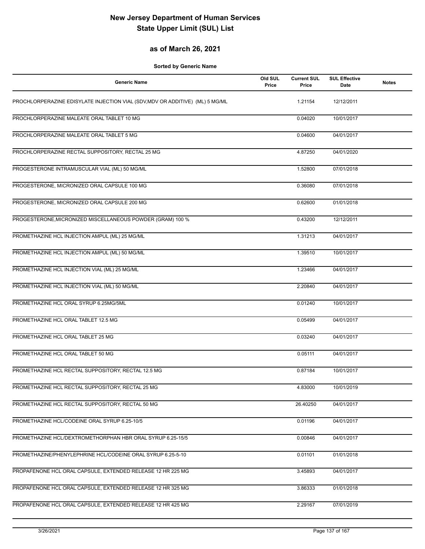### **as of March 26, 2021**

| <b>Generic Name</b>                                                           | Old SUL<br>Price | <b>Current SUL</b><br>Price | <b>SUL Effective</b><br>Date | <b>Notes</b> |
|-------------------------------------------------------------------------------|------------------|-----------------------------|------------------------------|--------------|
| PROCHLORPERAZINE EDISYLATE INJECTION VIAL (SDV, MDV OR ADDITIVE) (ML) 5 MG/ML |                  | 1.21154                     | 12/12/2011                   |              |
| PROCHLORPERAZINE MALEATE ORAL TABLET 10 MG                                    |                  | 0.04020                     | 10/01/2017                   |              |
| PROCHLORPERAZINE MALEATE ORAL TABLET 5 MG                                     |                  | 0.04600                     | 04/01/2017                   |              |
| PROCHLORPERAZINE RECTAL SUPPOSITORY, RECTAL 25 MG                             |                  | 4.87250                     | 04/01/2020                   |              |
| PROGESTERONE INTRAMUSCULAR VIAL (ML) 50 MG/ML                                 |                  | 1.52800                     | 07/01/2018                   |              |
| PROGESTERONE, MICRONIZED ORAL CAPSULE 100 MG                                  |                  | 0.36080                     | 07/01/2018                   |              |
| PROGESTERONE, MICRONIZED ORAL CAPSULE 200 MG                                  |                  | 0.62600                     | 01/01/2018                   |              |
| PROGESTERONE, MICRONIZED MISCELLANEOUS POWDER (GRAM) 100 %                    |                  | 0.43200                     | 12/12/2011                   |              |
| PROMETHAZINE HCL INJECTION AMPUL (ML) 25 MG/ML                                |                  | 1.31213                     | 04/01/2017                   |              |
| PROMETHAZINE HCL INJECTION AMPUL (ML) 50 MG/ML                                |                  | 1.39510                     | 10/01/2017                   |              |
| PROMETHAZINE HCL INJECTION VIAL (ML) 25 MG/ML                                 |                  | 1.23466                     | 04/01/2017                   |              |
| PROMETHAZINE HCL INJECTION VIAL (ML) 50 MG/ML                                 |                  | 2.20840                     | 04/01/2017                   |              |
| PROMETHAZINE HCL ORAL SYRUP 6.25MG/5ML                                        |                  | 0.01240                     | 10/01/2017                   |              |
| PROMETHAZINE HCL ORAL TABLET 12.5 MG                                          |                  | 0.05499                     | 04/01/2017                   |              |
| PROMETHAZINE HCL ORAL TABLET 25 MG                                            |                  | 0.03240                     | 04/01/2017                   |              |
| PROMETHAZINE HCL ORAL TABLET 50 MG                                            |                  | 0.05111                     | 04/01/2017                   |              |
| PROMETHAZINE HCL RECTAL SUPPOSITORY, RECTAL 12.5 MG                           |                  | 0.87184                     | 10/01/2017                   |              |
| PROMETHAZINE HCL RECTAL SUPPOSITORY, RECTAL 25 MG                             |                  | 4.83000                     | 10/01/2019                   |              |
| PROMETHAZINE HCL RECTAL SUPPOSITORY, RECTAL 50 MG                             |                  | 26.40250                    | 04/01/2017                   |              |
| PROMETHAZINE HCL/CODEINE ORAL SYRUP 6.25-10/5                                 |                  | 0.01196                     | 04/01/2017                   |              |
| PROMETHAZINE HCL/DEXTROMETHORPHAN HBR ORAL SYRUP 6.25-15/5                    |                  | 0.00846                     | 04/01/2017                   |              |
| PROMETHAZINE/PHENYLEPHRINE HCL/CODEINE ORAL SYRUP 6.25-5-10                   |                  | 0.01101                     | 01/01/2018                   |              |
| PROPAFENONE HCL ORAL CAPSULE, EXTENDED RELEASE 12 HR 225 MG                   |                  | 3.45893                     | 04/01/2017                   |              |
| PROPAFENONE HCL ORAL CAPSULE, EXTENDED RELEASE 12 HR 325 MG                   |                  | 3.86333                     | 01/01/2018                   |              |
| PROPAFENONE HCL ORAL CAPSULE, EXTENDED RELEASE 12 HR 425 MG                   |                  | 2.29167                     | 07/01/2019                   |              |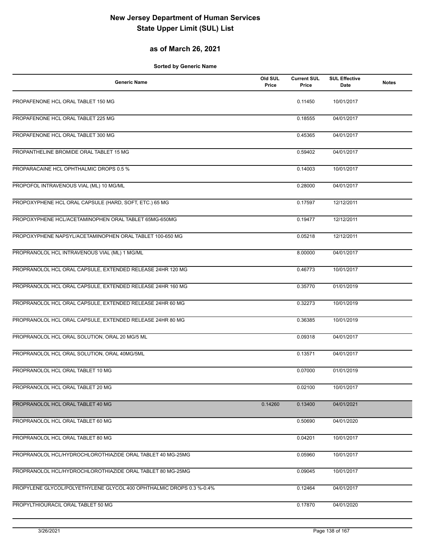### **as of March 26, 2021**

| <b>Generic Name</b>                                                  | Old SUL<br>Price | <b>Current SUL</b><br>Price | <b>SUL Effective</b><br>Date | <b>Notes</b> |
|----------------------------------------------------------------------|------------------|-----------------------------|------------------------------|--------------|
| PROPAFENONE HCL ORAL TABLET 150 MG                                   |                  | 0.11450                     | 10/01/2017                   |              |
| PROPAFENONE HCL ORAL TABLET 225 MG                                   |                  | 0.18555                     | 04/01/2017                   |              |
| PROPAFENONE HCL ORAL TABLET 300 MG                                   |                  | 0.45365                     | 04/01/2017                   |              |
| PROPANTHELINE BROMIDE ORAL TABLET 15 MG                              |                  | 0.59402                     | 04/01/2017                   |              |
| PROPARACAINE HCL OPHTHALMIC DROPS 0.5 %                              |                  | 0.14003                     | 10/01/2017                   |              |
| PROPOFOL INTRAVENOUS VIAL (ML) 10 MG/ML                              |                  | 0.28000                     | 04/01/2017                   |              |
| PROPOXYPHENE HCL ORAL CAPSULE (HARD, SOFT, ETC.) 65 MG               |                  | 0.17597                     | 12/12/2011                   |              |
| PROPOXYPHENE HCL/ACETAMINOPHEN ORAL TABLET 65MG-650MG                |                  | 0.19477                     | 12/12/2011                   |              |
| PROPOXYPHENE NAPSYL/ACETAMINOPHEN ORAL TABLET 100-650 MG             |                  | 0.05218                     | 12/12/2011                   |              |
| PROPRANOLOL HCL INTRAVENOUS VIAL (ML) 1 MG/ML                        |                  | 8.00000                     | 04/01/2017                   |              |
| PROPRANOLOL HCL ORAL CAPSULE, EXTENDED RELEASE 24HR 120 MG           |                  | 0.46773                     | 10/01/2017                   |              |
| PROPRANOLOL HCL ORAL CAPSULE, EXTENDED RELEASE 24HR 160 MG           |                  | 0.35770                     | 01/01/2019                   |              |
| PROPRANOLOL HCL ORAL CAPSULE, EXTENDED RELEASE 24HR 60 MG            |                  | 0.32273                     | 10/01/2019                   |              |
| PROPRANOLOL HCL ORAL CAPSULE, EXTENDED RELEASE 24HR 80 MG            |                  | 0.36385                     | 10/01/2019                   |              |
| PROPRANOLOL HCL ORAL SOLUTION, ORAL 20 MG/5 ML                       |                  | 0.09318                     | 04/01/2017                   |              |
| PROPRANOLOL HCL ORAL SOLUTION, ORAL 40MG/5ML                         |                  | 0.13571                     | 04/01/2017                   |              |
| PROPRANOLOL HCL ORAL TABLET 10 MG                                    |                  | 0.07000                     | 01/01/2019                   |              |
| PROPRANOLOL HCL ORAL TABLET 20 MG                                    |                  | 0.02100                     | 10/01/2017                   |              |
| PROPRANOLOL HCL ORAL TABLET 40 MG                                    | 0.14260          | 0.13400                     | 04/01/2021                   |              |
| PROPRANOLOL HCL ORAL TABLET 60 MG                                    |                  | 0.50690                     | 04/01/2020                   |              |
| PROPRANOLOL HCL ORAL TABLET 80 MG                                    |                  | 0.04201                     | 10/01/2017                   |              |
| PROPRANOLOL HCL/HYDROCHLOROTHIAZIDE ORAL TABLET 40 MG-25MG           |                  | 0.05960                     | 10/01/2017                   |              |
| PROPRANOLOL HCL/HYDROCHLOROTHIAZIDE ORAL TABLET 80 MG-25MG           |                  | 0.09045                     | 10/01/2017                   |              |
| PROPYLENE GLYCOL/POLYETHYLENE GLYCOL 400 OPHTHALMIC DROPS 0.3 %-0.4% |                  | 0.12464                     | 04/01/2017                   |              |
| PROPYLTHIOURACIL ORAL TABLET 50 MG                                   |                  | 0.17870                     | 04/01/2020                   |              |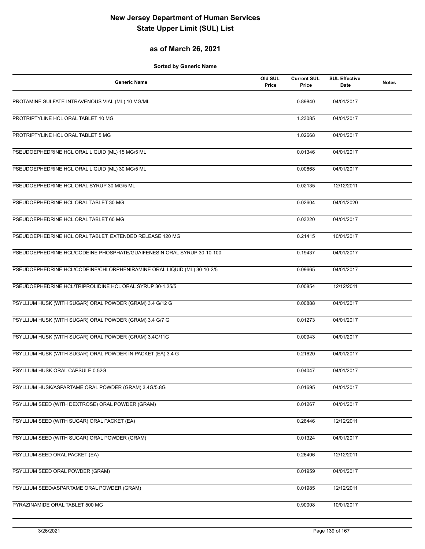### **as of March 26, 2021**

| <b>Generic Name</b>                                                     | Old SUL<br>Price | <b>Current SUL</b><br>Price | <b>SUL Effective</b><br>Date | <b>Notes</b> |
|-------------------------------------------------------------------------|------------------|-----------------------------|------------------------------|--------------|
| PROTAMINE SULFATE INTRAVENOUS VIAL (ML) 10 MG/ML                        |                  | 0.89840                     | 04/01/2017                   |              |
| PROTRIPTYLINE HCL ORAL TABLET 10 MG                                     |                  | 1.23085                     | 04/01/2017                   |              |
| PROTRIPTYLINE HCL ORAL TABLET 5 MG                                      |                  | 1.02668                     | 04/01/2017                   |              |
| PSEUDOEPHEDRINE HCL ORAL LIQUID (ML) 15 MG/5 ML                         |                  | 0.01346                     | 04/01/2017                   |              |
| PSEUDOEPHEDRINE HCL ORAL LIQUID (ML) 30 MG/5 ML                         |                  | 0.00668                     | 04/01/2017                   |              |
| PSEUDOEPHEDRINE HCL ORAL SYRUP 30 MG/5 ML                               |                  | 0.02135                     | 12/12/2011                   |              |
| PSEUDOEPHEDRINE HCL ORAL TABLET 30 MG                                   |                  | 0.02604                     | 04/01/2020                   |              |
| PSEUDOEPHEDRINE HCL ORAL TABLET 60 MG                                   |                  | 0.03220                     | 04/01/2017                   |              |
| PSEUDOEPHEDRINE HCL ORAL TABLET, EXTENDED RELEASE 120 MG                |                  | 0.21415                     | 10/01/2017                   |              |
| PSEUDOEPHEDRINE HCL/CODEINE PHOSPHATE/GUAIFENESIN ORAL SYRUP 30-10-100  |                  | 0.19437                     | 04/01/2017                   |              |
| PSEUDOEPHEDRINE HCL/CODEINE/CHLORPHENIRAMINE ORAL LIQUID (ML) 30-10-2/5 |                  | 0.09665                     | 04/01/2017                   |              |
| PSEUDOEPHEDRINE HCL/TRIPROLIDINE HCL ORAL SYRUP 30-1.25/5               |                  | 0.00854                     | 12/12/2011                   |              |
| PSYLLIUM HUSK (WITH SUGAR) ORAL POWDER (GRAM) 3.4 G/12 G                |                  | 0.00888                     | 04/01/2017                   |              |
| PSYLLIUM HUSK (WITH SUGAR) ORAL POWDER (GRAM) 3.4 G/7 G                 |                  | 0.01273                     | 04/01/2017                   |              |
| PSYLLIUM HUSK (WITH SUGAR) ORAL POWDER (GRAM) 3.4G/11G                  |                  | 0.00943                     | 04/01/2017                   |              |
| PSYLLIUM HUSK (WITH SUGAR) ORAL POWDER IN PACKET (EA) 3.4 G             |                  | 0.21620                     | 04/01/2017                   |              |
| PSYLLIUM HUSK ORAL CAPSULE 0.52G                                        |                  | 0.04047                     | 04/01/2017                   |              |
| PSYLLIUM HUSK/ASPARTAME ORAL POWDER (GRAM) 3.4G/5.8G                    |                  | 0.01695                     | 04/01/2017                   |              |
| PSYLLIUM SEED (WITH DEXTROSE) ORAL POWDER (GRAM)                        |                  | 0.01267                     | 04/01/2017                   |              |
| PSYLLIUM SEED (WITH SUGAR) ORAL PACKET (EA)                             |                  | 0.26446                     | 12/12/2011                   |              |
| PSYLLIUM SEED (WITH SUGAR) ORAL POWDER (GRAM)                           |                  | 0.01324                     | 04/01/2017                   |              |
| PSYLLIUM SEED ORAL PACKET (EA)                                          |                  | 0.26406                     | 12/12/2011                   |              |
| PSYLLIUM SEED ORAL POWDER (GRAM)                                        |                  | 0.01959                     | 04/01/2017                   |              |
| PSYLLIUM SEED/ASPARTAME ORAL POWDER (GRAM)                              |                  | 0.01985                     | 12/12/2011                   |              |
| PYRAZINAMIDE ORAL TABLET 500 MG                                         |                  | 0.90008                     | 10/01/2017                   |              |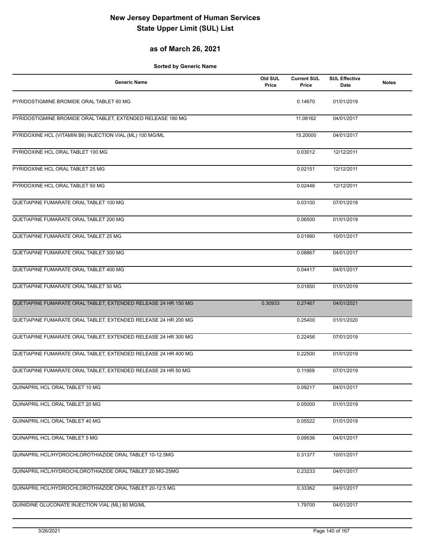### **as of March 26, 2021**

| <b>Generic Name</b>                                            | Old SUL<br>Price | <b>Current SUL</b><br>Price | <b>SUL Effective</b><br>Date | <b>Notes</b> |
|----------------------------------------------------------------|------------------|-----------------------------|------------------------------|--------------|
| PYRIDOSTIGMINE BROMIDE ORAL TABLET 60 MG                       |                  | 0.14670                     | 01/01/2019                   |              |
| PYRIDOSTIGMINE BROMIDE ORAL TABLET, EXTENDED RELEASE 180 MG    |                  | 11.08162                    | 04/01/2017                   |              |
| PYRIDOXINE HCL (VITAMIN B6) INJECTION VIAL (ML) 100 MG/ML      |                  | 15.20000                    | 04/01/2017                   |              |
| PYRIDOXINE HCL ORAL TABLET 100 MG                              |                  | 0.03012                     | 12/12/2011                   |              |
| PYRIDOXINE HCL ORAL TABLET 25 MG                               |                  | 0.02151                     | 12/12/2011                   |              |
| PYRIDOXINE HCL ORAL TABLET 50 MG                               |                  | 0.02446                     | 12/12/2011                   |              |
| QUETIAPINE FUMARATE ORAL TABLET 100 MG                         |                  | 0.03100                     | 07/01/2018                   |              |
| QUETIAPINE FUMARATE ORAL TABLET 200 MG                         |                  | 0.06500                     | 01/01/2019                   |              |
| QUETIAPINE FUMARATE ORAL TABLET 25 MG                          |                  | 0.01990                     | 10/01/2017                   |              |
| QUETIAPINE FUMARATE ORAL TABLET 300 MG                         |                  | 0.08867                     | 04/01/2017                   |              |
| QUETIAPINE FUMARATE ORAL TABLET 400 MG                         |                  | 0.04417                     | 04/01/2017                   |              |
| QUETIAPINE FUMARATE ORAL TABLET 50 MG                          |                  | 0.01850                     | 01/01/2019                   |              |
| QUETIAPINE FUMARATE ORAL TABLET, EXTENDED RELEASE 24 HR 150 MG | 0.30933          | 0.27467                     | 04/01/2021                   |              |
| QUETIAPINE FUMARATE ORAL TABLET, EXTENDED RELEASE 24 HR 200 MG |                  | 0.25400                     | 01/01/2020                   |              |
| QUETIAPINE FUMARATE ORAL TABLET, EXTENDED RELEASE 24 HR 300 MG |                  | 0.22456                     | 07/01/2019                   |              |
| QUETIAPINE FUMARATE ORAL TABLET, EXTENDED RELEASE 24 HR 400 MG |                  | 0.22500                     | 01/01/2019                   |              |
| QUETIAPINE FUMARATE ORAL TABLET, EXTENDED RELEASE 24 HR 50 MG  |                  | 0.11959                     | 07/01/2019                   |              |
| QUINAPRIL HCL ORAL TABLET 10 MG                                |                  | 0.09217                     | 04/01/2017                   |              |
| QUINAPRIL HCL ORAL TABLET 20 MG                                |                  | 0.05000                     | 01/01/2019                   |              |
| QUINAPRIL HCL ORAL TABLET 40 MG                                |                  | 0.05522                     | 01/01/2019                   |              |
| QUINAPRIL HCL ORAL TABLET 5 MG                                 |                  | 0.09536                     | 04/01/2017                   |              |
| QUINAPRIL HCL/HYDROCHLOROTHIAZIDE ORAL TABLET 10-12.5MG        |                  | 0.31377                     | 10/01/2017                   |              |
| QUINAPRIL HCL/HYDROCHLOROTHIAZIDE ORAL TABLET 20 MG-25MG       |                  | 0.23233                     | 04/01/2017                   |              |
| QUINAPRIL HCL/HYDROCHLOROTHIAZIDE ORAL TABLET 20-12.5 MG       |                  | 0.33362                     | 04/01/2017                   |              |
| QUINIDINE GLUCONATE INJECTION VIAL (ML) 80 MG/ML               |                  | 1.79700                     | 04/01/2017                   |              |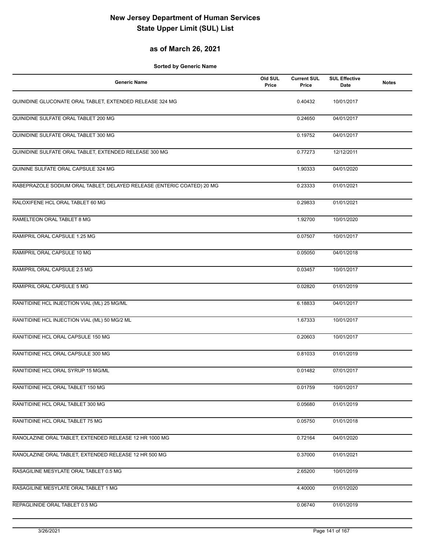### **as of March 26, 2021**

| <b>Generic Name</b>                                                    | Old SUL<br>Price | <b>Current SUL</b><br>Price | <b>SUL Effective</b><br>Date | <b>Notes</b> |
|------------------------------------------------------------------------|------------------|-----------------------------|------------------------------|--------------|
| QUINIDINE GLUCONATE ORAL TABLET, EXTENDED RELEASE 324 MG               |                  | 0.40432                     | 10/01/2017                   |              |
| QUINIDINE SULFATE ORAL TABLET 200 MG                                   |                  | 0.24650                     | 04/01/2017                   |              |
| QUINIDINE SULFATE ORAL TABLET 300 MG                                   |                  | 0.19752                     | 04/01/2017                   |              |
| QUINIDINE SULFATE ORAL TABLET, EXTENDED RELEASE 300 MG                 |                  | 0.77273                     | 12/12/2011                   |              |
| QUININE SULFATE ORAL CAPSULE 324 MG                                    |                  | 1.90333                     | 04/01/2020                   |              |
| RABEPRAZOLE SODIUM ORAL TABLET, DELAYED RELEASE (ENTERIC COATED) 20 MG |                  | 0.23333                     | 01/01/2021                   |              |
| RALOXIFENE HCL ORAL TABLET 60 MG                                       |                  | 0.29833                     | 01/01/2021                   |              |
| RAMELTEON ORAL TABLET 8 MG                                             |                  | 1.92700                     | 10/01/2020                   |              |
| RAMIPRIL ORAL CAPSULE 1.25 MG                                          |                  | 0.07507                     | 10/01/2017                   |              |
| RAMIPRIL ORAL CAPSULE 10 MG                                            |                  | 0.05050                     | 04/01/2018                   |              |
| RAMIPRIL ORAL CAPSULE 2.5 MG                                           |                  | 0.03457                     | 10/01/2017                   |              |
| RAMIPRIL ORAL CAPSULE 5 MG                                             |                  | 0.02820                     | 01/01/2019                   |              |
| RANITIDINE HCL INJECTION VIAL (ML) 25 MG/ML                            |                  | 6.18833                     | 04/01/2017                   |              |
| RANITIDINE HCL INJECTION VIAL (ML) 50 MG/2 ML                          |                  | 1.67333                     | 10/01/2017                   |              |
| RANITIDINE HCL ORAL CAPSULE 150 MG                                     |                  | 0.20603                     | 10/01/2017                   |              |
| RANITIDINE HCL ORAL CAPSULE 300 MG                                     |                  | 0.81033                     | 01/01/2019                   |              |
| RANITIDINE HCL ORAL SYRUP 15 MG/ML                                     |                  | 0.01482                     | 07/01/2017                   |              |
| RANITIDINE HCL ORAL TABLET 150 MG                                      |                  | 0.01759                     | 10/01/2017                   |              |
| RANITIDINE HCL ORAL TABLET 300 MG                                      |                  | 0.05680                     | 01/01/2019                   |              |
| RANITIDINE HCL ORAL TABLET 75 MG                                       |                  | 0.05750                     | 01/01/2018                   |              |
| RANOLAZINE ORAL TABLET, EXTENDED RELEASE 12 HR 1000 MG                 |                  | 0.72164                     | 04/01/2020                   |              |
| RANOLAZINE ORAL TABLET, EXTENDED RELEASE 12 HR 500 MG                  |                  | 0.37000                     | 01/01/2021                   |              |
| RASAGILINE MESYLATE ORAL TABLET 0.5 MG                                 |                  | 2.65200                     | 10/01/2019                   |              |
| RASAGILINE MESYLATE ORAL TABLET 1 MG                                   |                  | 4.40000                     | 01/01/2020                   |              |
| REPAGLINIDE ORAL TABLET 0.5 MG                                         |                  | 0.06740                     | 01/01/2019                   |              |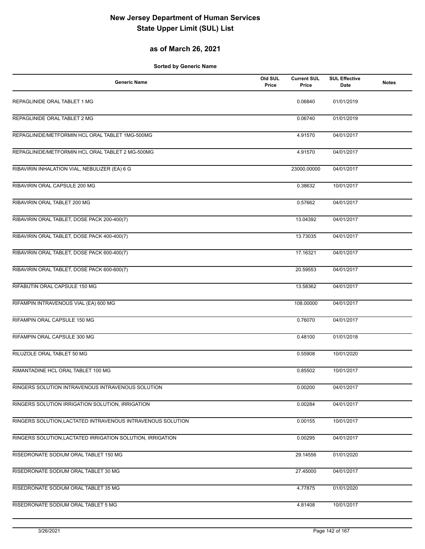### **as of March 26, 2021**

| <b>Generic Name</b>                                         | Old SUL<br>Price | <b>Current SUL</b><br>Price | <b>SUL Effective</b><br>Date | <b>Notes</b> |
|-------------------------------------------------------------|------------------|-----------------------------|------------------------------|--------------|
| REPAGLINIDE ORAL TABLET 1 MG                                |                  | 0.06840                     | 01/01/2019                   |              |
| REPAGLINIDE ORAL TABLET 2 MG                                |                  | 0.06740                     | 01/01/2019                   |              |
| REPAGLINIDE/METFORMIN HCL ORAL TABLET 1MG-500MG             |                  | 4.91570                     | 04/01/2017                   |              |
| REPAGLINIDE/METFORMIN HCL ORAL TABLET 2 MG-500MG            |                  | 4.91570                     | 04/01/2017                   |              |
| RIBAVIRIN INHALATION VIAL, NEBULIZER (EA) 6 G               |                  | 23000.00000                 | 04/01/2017                   |              |
| RIBAVIRIN ORAL CAPSULE 200 MG                               |                  | 0.38632                     | 10/01/2017                   |              |
| RIBAVIRIN ORAL TABLET 200 MG                                |                  | 0.57662                     | 04/01/2017                   |              |
| RIBAVIRIN ORAL TABLET, DOSE PACK 200-400(7)                 |                  | 13.04392                    | 04/01/2017                   |              |
| RIBAVIRIN ORAL TABLET, DOSE PACK 400-400(7)                 |                  | 13.73035                    | 04/01/2017                   |              |
| RIBAVIRIN ORAL TABLET, DOSE PACK 600-400(7)                 |                  | 17.16321                    | 04/01/2017                   |              |
| RIBAVIRIN ORAL TABLET, DOSE PACK 600-600(7)                 |                  | 20.59553                    | 04/01/2017                   |              |
| RIFABUTIN ORAL CAPSULE 150 MG                               |                  | 13.58362                    | 04/01/2017                   |              |
| RIFAMPIN INTRAVENOUS VIAL (EA) 600 MG                       |                  | 108.00000                   | 04/01/2017                   |              |
| RIFAMPIN ORAL CAPSULE 150 MG                                |                  | 0.76070                     | 04/01/2017                   |              |
| RIFAMPIN ORAL CAPSULE 300 MG                                |                  | 0.48100                     | 01/01/2018                   |              |
| RILUZOLE ORAL TABLET 50 MG                                  |                  | 0.55908                     | 10/01/2020                   |              |
| RIMANTADINE HCL ORAL TABLET 100 MG                          |                  | 0.85502                     | 10/01/2017                   |              |
| RINGERS SOLUTION INTRAVENOUS INTRAVENOUS SOLUTION           |                  | 0.00200                     | 04/01/2017                   |              |
| RINGERS SOLUTION IRRIGATION SOLUTION, IRRIGATION            |                  | 0.00284                     | 04/01/2017                   |              |
| RINGERS SOLUTION, LACTATED INTRAVENOUS INTRAVENOUS SOLUTION |                  | 0.00155                     | 10/01/2017                   |              |
| RINGERS SOLUTION, LACTATED IRRIGATION SOLUTION, IRRIGATION  |                  | 0.00295                     | 04/01/2017                   |              |
| RISEDRONATE SODIUM ORAL TABLET 150 MG                       |                  | 29.14556                    | 01/01/2020                   |              |
| RISEDRONATE SODIUM ORAL TABLET 30 MG                        |                  | 27.45000                    | 04/01/2017                   |              |
| RISEDRONATE SODIUM ORAL TABLET 35 MG                        |                  | 4.77875                     | 01/01/2020                   |              |
| RISEDRONATE SODIUM ORAL TABLET 5 MG                         |                  | 4.81408                     | 10/01/2017                   |              |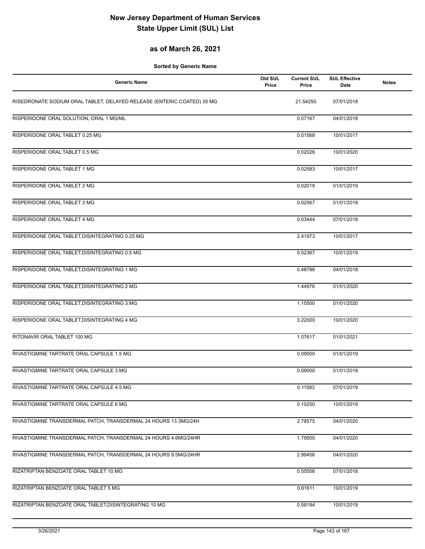### **as of March 26, 2021**

| <b>Generic Name</b>                                                    | Old SUL<br>Price | <b>Current SUL</b><br>Price | <b>SUL Effective</b><br>Date | <b>Notes</b> |
|------------------------------------------------------------------------|------------------|-----------------------------|------------------------------|--------------|
| RISEDRONATE SODIUM ORAL TABLET, DELAYED RELEASE (ENTERIC COATED) 35 MG |                  | 21.54250                    | 07/01/2018                   |              |
| RISPERIDONE ORAL SOLUTION, ORAL 1 MG/ML                                |                  | 0.07167                     | 04/01/2018                   |              |
| RISPERIDONE ORAL TABLET 0.25 MG                                        |                  | 0.01568                     | 10/01/2017                   |              |
| RISPERIDONE ORAL TABLET 0.5 MG                                         |                  | 0.02026                     | 10/01/2020                   |              |
| RISPERIDONE ORAL TABLET 1 MG                                           |                  | 0.02583                     | 10/01/2017                   |              |
| RISPERIDONE ORAL TABLET 2 MG                                           |                  | 0.02018                     | 01/01/2019                   |              |
| RISPERIDONE ORAL TABLET 3 MG                                           |                  | 0.02567                     | 01/01/2019                   |              |
| RISPERIDONE ORAL TABLET 4 MG                                           |                  | 0.03444                     | 07/01/2018                   |              |
| RISPERIDONE ORAL TABLET, DISINTEGRATING 0.25 MG                        |                  | 2.41973                     | 10/01/2017                   |              |
| RISPERIDONE ORAL TABLET, DISINTEGRATING 0.5 MG                         |                  | 0.52367                     | 10/01/2019                   |              |
| RISPERIDONE ORAL TABLET, DISINTEGRATING 1 MG                           |                  | 0.48786                     | 04/01/2018                   |              |
| RISPERIDONE ORAL TABLET, DISINTEGRATING 2 MG                           |                  | 1.44976                     | 01/01/2020                   |              |
| RISPERIDONE ORAL TABLET, DISINTEGRATING 3 MG                           |                  | 1.15500                     | 01/01/2020                   |              |
| RISPERIDONE ORAL TABLET, DISINTEGRATING 4 MG                           |                  | 3.22000                     | 10/01/2020                   |              |
| RITONAVIR ORAL TABLET 100 MG                                           |                  | 1.07617                     | 01/01/2021                   |              |
| RIVASTIGMINE TARTRATE ORAL CAPSULE 1.5 MG                              |                  | 0.09000                     | 01/01/2019                   |              |
| RIVASTIGMINE TARTRATE ORAL CAPSULE 3 MG                                |                  | 0.09000                     | 01/01/2019                   |              |
| RIVASTIGMINE TARTRATE ORAL CAPSULE 4.5 MG                              |                  | 0.11583                     | 07/01/2019                   |              |
| RIVASTIGMINE TARTRATE ORAL CAPSULE 6 MG                                |                  | 0.10250                     | 10/01/2019                   |              |
| RIVASTIGMINE TRANSDERMAL PATCH, TRANSDERMAL 24 HOURS 13.3MG/24H        |                  | 2.78575                     | 04/01/2020                   |              |
| RIVASTIGMINE TRANSDERMAL PATCH, TRANSDERMAL 24 HOURS 4.6MG/24HR        |                  | 1.79500                     | 04/01/2020                   |              |
| RIVASTIGMINE TRANSDERMAL PATCH, TRANSDERMAL 24 HOURS 9.5MG/24HR        |                  | 2.99456                     | 04/01/2020                   |              |
| RIZATRIPTAN BENZOATE ORAL TABLET 10 MG                                 |                  | 0.55556                     | 07/01/2018                   |              |
| RIZATRIPTAN BENZOATE ORAL TABLET 5 MG                                  |                  | 0.61611                     | 10/01/2019                   |              |
| RIZATRIPTAN BENZOATE ORAL TABLET, DISINTEGRATING 10 MG                 |                  | 0.59194                     | 10/01/2019                   |              |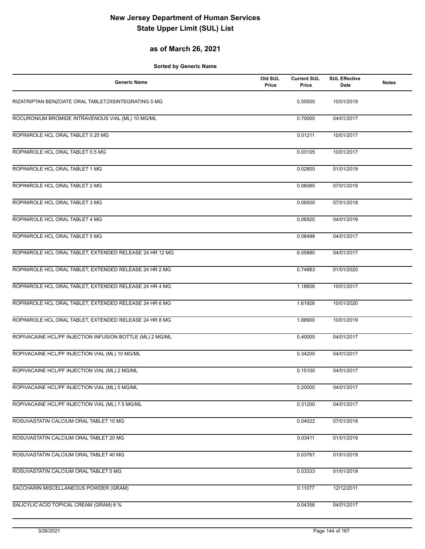### **as of March 26, 2021**

| <b>Generic Name</b>                                       | Old SUL<br>Price | <b>Current SUL</b><br>Price | <b>SUL Effective</b><br>Date | <b>Notes</b> |
|-----------------------------------------------------------|------------------|-----------------------------|------------------------------|--------------|
| RIZATRIPTAN BENZOATE ORAL TABLET, DISINTEGRATING 5 MG     |                  | 0.55500                     | 10/01/2019                   |              |
| ROCURONIUM BROMIDE INTRAVENOUS VIAL (ML) 10 MG/ML         |                  | 0.70000                     | 04/01/2017                   |              |
| ROPINIROLE HCL ORAL TABLET 0.25 MG                        |                  | 0.01211                     | 10/01/2017                   |              |
| ROPINIROLE HCL ORAL TABLET 0.5 MG                         |                  | 0.03105                     | 10/01/2017                   |              |
| ROPINIROLE HCL ORAL TABLET 1 MG                           |                  | 0.02800                     | 01/01/2019                   |              |
| ROPINIROLE HCL ORAL TABLET 2 MG                           |                  | 0.06085                     | 07/01/2019                   |              |
| ROPINIROLE HCL ORAL TABLET 3 MG                           |                  | 0.06500                     | 07/01/2018                   |              |
| ROPINIROLE HCL ORAL TABLET 4 MG                           |                  | 0.06920                     | 04/01/2019                   |              |
| ROPINIROLE HCL ORAL TABLET 5 MG                           |                  | 0.08498                     | 04/01/2017                   |              |
| ROPINIROLE HCL ORAL TABLET, EXTENDED RELEASE 24 HR 12 MG  |                  | 6.05880                     | 04/01/2017                   |              |
| ROPINIROLE HCL ORAL TABLET, EXTENDED RELEASE 24 HR 2 MG   |                  | 0.74883                     | 01/01/2020                   |              |
| ROPINIROLE HCL ORAL TABLET, EXTENDED RELEASE 24 HR 4 MG   |                  | 1.18656                     | 10/01/2017                   |              |
| ROPINIROLE HCL ORAL TABLET, EXTENDED RELEASE 24 HR 6 MG   |                  | 1.61926                     | 10/01/2020                   |              |
| ROPINIROLE HCL ORAL TABLET, EXTENDED RELEASE 24 HR 8 MG   |                  | 1.88900                     | 10/01/2019                   |              |
| ROPIVACAINE HCL/PF INJECTION INFUSION BOTTLE (ML) 2 MG/ML |                  | 0.40000                     | 04/01/2017                   |              |
| ROPIVACAINE HCL/PF INJECTION VIAL (ML) 10 MG/ML           |                  | 0.34200                     | 04/01/2017                   |              |
| ROPIVACAINE HCL/PF INJECTION VIAL (ML) 2 MG/ML            |                  | 0.15100                     | 04/01/2017                   |              |
| ROPIVACAINE HCL/PF INJECTION VIAL (ML) 5 MG/ML            |                  | 0.20000                     | 04/01/2017                   |              |
| ROPIVACAINE HCL/PF INJECTION VIAL (ML) 7.5 MG/ML          |                  | 0.31200                     | 04/01/2017                   |              |
| ROSUVASTATIN CALCIUM ORAL TABLET 10 MG                    |                  | 0.04022                     | 07/01/2018                   |              |
| ROSUVASTATIN CALCIUM ORAL TABLET 20 MG                    |                  | 0.03411                     | 01/01/2019                   |              |
| ROSUVASTATIN CALCIUM ORAL TABLET 40 MG                    |                  | 0.03767                     | 01/01/2019                   |              |
| ROSUVASTATIN CALCIUM ORAL TABLET 5 MG                     |                  | 0.03333                     | 01/01/2019                   |              |
| SACCHARIN MISCELLANEOUS POWDER (GRAM)                     |                  | 0.11077                     | 12/12/2011                   |              |
| SALICYLIC ACID TOPICAL CREAM (GRAM) 6 %                   |                  | 0.04356                     | 04/01/2017                   |              |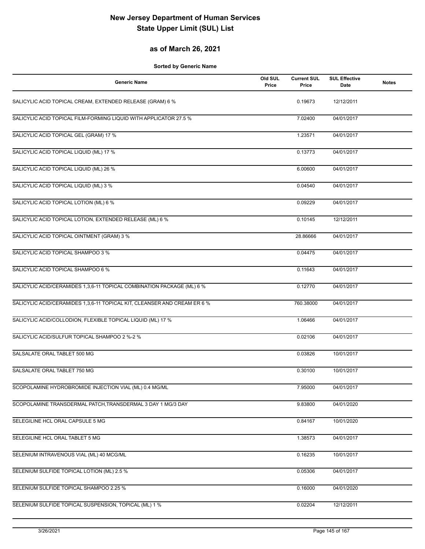#### **as of March 26, 2021**

| <b>Generic Name</b>                                                      | Old SUL<br>Price | <b>Current SUL</b><br>Price | <b>SUL Effective</b><br><b>Date</b> | <b>Notes</b> |
|--------------------------------------------------------------------------|------------------|-----------------------------|-------------------------------------|--------------|
| SALICYLIC ACID TOPICAL CREAM, EXTENDED RELEASE (GRAM) 6 %                |                  | 0.19673                     | 12/12/2011                          |              |
| SALICYLIC ACID TOPICAL FILM-FORMING LIQUID WITH APPLICATOR 27.5 %        |                  | 7.02400                     | 04/01/2017                          |              |
| SALICYLIC ACID TOPICAL GEL (GRAM) 17 %                                   |                  | 1.23571                     | 04/01/2017                          |              |
| SALICYLIC ACID TOPICAL LIQUID (ML) 17 %                                  |                  | 0.13773                     | 04/01/2017                          |              |
| SALICYLIC ACID TOPICAL LIQUID (ML) 26 %                                  |                  | 6.00600                     | 04/01/2017                          |              |
| SALICYLIC ACID TOPICAL LIQUID (ML) 3 %                                   |                  | 0.04540                     | 04/01/2017                          |              |
| SALICYLIC ACID TOPICAL LOTION (ML) 6 %                                   |                  | 0.09229                     | 04/01/2017                          |              |
| SALICYLIC ACID TOPICAL LOTION, EXTENDED RELEASE (ML) 6 %                 |                  | 0.10145                     | 12/12/2011                          |              |
| SALICYLIC ACID TOPICAL OINTMENT (GRAM) 3 %                               |                  | 28.86666                    | 04/01/2017                          |              |
| SALICYLIC ACID TOPICAL SHAMPOO 3 %                                       |                  | 0.04475                     | 04/01/2017                          |              |
| SALICYLIC ACID TOPICAL SHAMPOO 6 %                                       |                  | 0.11643                     | 04/01/2017                          |              |
| SALICYLIC ACID/CERAMIDES 1,3,6-11 TOPICAL COMBINATION PACKAGE (ML) 6 %   |                  | 0.12770                     | 04/01/2017                          |              |
| SALICYLIC ACID/CERAMIDES 1,3,6-11 TOPICAL KIT, CLEANSER AND CREAM ER 6 % |                  | 760.38000                   | 04/01/2017                          |              |
| SALICYLIC ACID/COLLODION, FLEXIBLE TOPICAL LIQUID (ML) 17 %              |                  | 1.06466                     | 04/01/2017                          |              |
| SALICYLIC ACID/SULFUR TOPICAL SHAMPOO 2 %-2 %                            |                  | 0.02106                     | 04/01/2017                          |              |
| SALSALATE ORAL TABLET 500 MG                                             |                  | 0.03826                     | 10/01/2017                          |              |
| SALSALATE ORAL TABLET 750 MG                                             |                  | 0.30100                     | 10/01/2017                          |              |
| SCOPOLAMINE HYDROBROMIDE INJECTION VIAL (ML) 0.4 MG/ML                   |                  | 7.95000                     | 04/01/2017                          |              |
| SCOPOLAMINE TRANSDERMAL PATCH, TRANSDERMAL 3 DAY 1 MG/3 DAY              |                  | 9.83800                     | 04/01/2020                          |              |
| SELEGILINE HCL ORAL CAPSULE 5 MG                                         |                  | 0.84167                     | 10/01/2020                          |              |
| SELEGILINE HCL ORAL TABLET 5 MG                                          |                  | 1.38573                     | 04/01/2017                          |              |
| SELENIUM INTRAVENOUS VIAL (ML) 40 MCG/ML                                 |                  | 0.16235                     | 10/01/2017                          |              |
| SELENIUM SULFIDE TOPICAL LOTION (ML) 2.5 %                               |                  | 0.05306                     | 04/01/2017                          |              |
| SELENIUM SULFIDE TOPICAL SHAMPOO 2.25 %                                  |                  | 0.16000                     | 04/01/2020                          |              |
| SELENIUM SULFIDE TOPICAL SUSPENSION, TOPICAL (ML) 1 %                    |                  | 0.02204                     | 12/12/2011                          |              |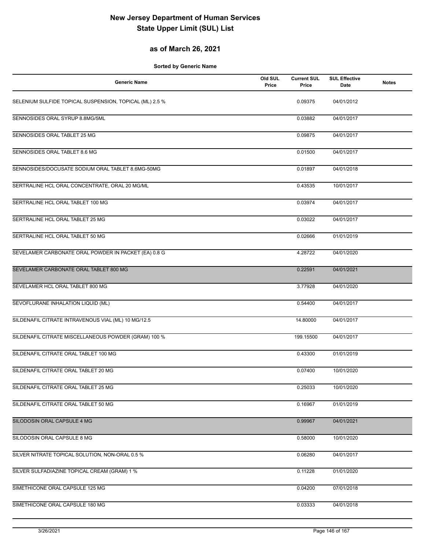#### **as of March 26, 2021**

| <b>Generic Name</b>                                     | Old SUL<br>Price | <b>Current SUL</b><br>Price | <b>SUL Effective</b><br>Date | <b>Notes</b> |
|---------------------------------------------------------|------------------|-----------------------------|------------------------------|--------------|
| SELENIUM SULFIDE TOPICAL SUSPENSION, TOPICAL (ML) 2.5 % |                  | 0.09375                     | 04/01/2012                   |              |
| SENNOSIDES ORAL SYRUP 8.8MG/5ML                         |                  | 0.03882                     | 04/01/2017                   |              |
| SENNOSIDES ORAL TABLET 25 MG                            |                  | 0.09875                     | 04/01/2017                   |              |
| SENNOSIDES ORAL TABLET 8.6 MG                           |                  | 0.01500                     | 04/01/2017                   |              |
| SENNOSIDES/DOCUSATE SODIUM ORAL TABLET 8.6MG-50MG       |                  | 0.01897                     | 04/01/2018                   |              |
| SERTRALINE HCL ORAL CONCENTRATE, ORAL 20 MG/ML          |                  | 0.43535                     | 10/01/2017                   |              |
| SERTRALINE HCL ORAL TABLET 100 MG                       |                  | 0.03974                     | 04/01/2017                   |              |
| SERTRALINE HCL ORAL TABLET 25 MG                        |                  | 0.03022                     | 04/01/2017                   |              |
| SERTRALINE HCL ORAL TABLET 50 MG                        |                  | 0.02666                     | 01/01/2019                   |              |
| SEVELAMER CARBONATE ORAL POWDER IN PACKET (EA) 0.8 G    |                  | 4.28722                     | 04/01/2020                   |              |
| SEVELAMER CARBONATE ORAL TABLET 800 MG                  |                  | 0.22591                     | 04/01/2021                   |              |
| SEVELAMER HCL ORAL TABLET 800 MG                        |                  | 3.77928                     | 04/01/2020                   |              |
| SEVOFLURANE INHALATION LIQUID (ML)                      |                  | 0.54400                     | 04/01/2017                   |              |
| SILDENAFIL CITRATE INTRAVENOUS VIAL (ML) 10 MG/12.5     |                  | 14.80000                    | 04/01/2017                   |              |
| SILDENAFIL CITRATE MISCELLANEOUS POWDER (GRAM) 100 %    |                  | 199.15500                   | 04/01/2017                   |              |
| SILDENAFIL CITRATE ORAL TABLET 100 MG                   |                  | 0.43300                     | 01/01/2019                   |              |
| SILDENAFIL CITRATE ORAL TABLET 20 MG                    |                  | 0.07400                     | 10/01/2020                   |              |
| SILDENAFIL CITRATE ORAL TABLET 25 MG                    |                  | 0.25033                     | 10/01/2020                   |              |
| SILDENAFIL CITRATE ORAL TABLET 50 MG                    |                  | 0.16967                     | 01/01/2019                   |              |
| SILODOSIN ORAL CAPSULE 4 MG                             |                  | 0.99967                     | 04/01/2021                   |              |
| SILODOSIN ORAL CAPSULE 8 MG                             |                  | 0.58000                     | 10/01/2020                   |              |
| SILVER NITRATE TOPICAL SOLUTION, NON-ORAL 0.5 %         |                  | 0.06280                     | 04/01/2017                   |              |
| SILVER SULFADIAZINE TOPICAL CREAM (GRAM) 1 %            |                  | 0.11228                     | 01/01/2020                   |              |
| SIMETHICONE ORAL CAPSULE 125 MG                         |                  | 0.04200                     | 07/01/2018                   |              |
| SIMETHICONE ORAL CAPSULE 180 MG                         |                  | 0.03333                     | 04/01/2018                   |              |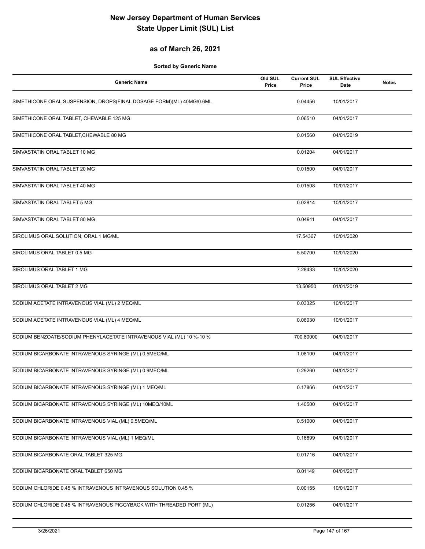### **as of March 26, 2021**

| <b>Generic Name</b>                                                  | Old SUL<br>Price | <b>Current SUL</b><br>Price | <b>SUL Effective</b><br>Date | <b>Notes</b> |
|----------------------------------------------------------------------|------------------|-----------------------------|------------------------------|--------------|
| SIMETHICONE ORAL SUSPENSION, DROPS(FINAL DOSAGE FORM)(ML) 40MG/0.6ML |                  | 0.04456                     | 10/01/2017                   |              |
| SIMETHICONE ORAL TABLET, CHEWABLE 125 MG                             |                  | 0.06510                     | 04/01/2017                   |              |
| SIMETHICONE ORAL TABLET, CHEWABLE 80 MG                              |                  | 0.01560                     | 04/01/2019                   |              |
| SIMVASTATIN ORAL TABLET 10 MG                                        |                  | 0.01204                     | 04/01/2017                   |              |
| SIMVASTATIN ORAL TABLET 20 MG                                        |                  | 0.01500                     | 04/01/2017                   |              |
| SIMVASTATIN ORAL TABLET 40 MG                                        |                  | 0.01508                     | 10/01/2017                   |              |
| SIMVASTATIN ORAL TABLET 5 MG                                         |                  | 0.02814                     | 10/01/2017                   |              |
| SIMVASTATIN ORAL TABLET 80 MG                                        |                  | 0.04911                     | 04/01/2017                   |              |
| SIROLIMUS ORAL SOLUTION, ORAL 1 MG/ML                                |                  | 17.54367                    | 10/01/2020                   |              |
| SIROLIMUS ORAL TABLET 0.5 MG                                         |                  | 5.50700                     | 10/01/2020                   |              |
| SIROLIMUS ORAL TABLET 1 MG                                           |                  | 7.28433                     | 10/01/2020                   |              |
| SIROLIMUS ORAL TABLET 2 MG                                           |                  | 13.50950                    | 01/01/2019                   |              |
| SODIUM ACETATE INTRAVENOUS VIAL (ML) 2 MEQ/ML                        |                  | 0.03325                     | 10/01/2017                   |              |
| SODIUM ACETATE INTRAVENOUS VIAL (ML) 4 MEQ/ML                        |                  | 0.06030                     | 10/01/2017                   |              |
| SODIUM BENZOATE/SODIUM PHENYLACETATE INTRAVENOUS VIAL (ML) 10 %-10 % |                  | 700.80000                   | 04/01/2017                   |              |
| SODIUM BICARBONATE INTRAVENOUS SYRINGE (ML) 0.5MEQ/ML                |                  | 1.08100                     | 04/01/2017                   |              |
| SODIUM BICARBONATE INTRAVENOUS SYRINGE (ML) 0.9MEQ/ML                |                  | 0.29260                     | 04/01/2017                   |              |
| SODIUM BICARBONATE INTRAVENOUS SYRINGE (ML) 1 MEQ/ML                 |                  | 0.17866                     | 04/01/2017                   |              |
| SODIUM BICARBONATE INTRAVENOUS SYRINGE (ML) 10MEQ/10ML               |                  | 1.40500                     | 04/01/2017                   |              |
| SODIUM BICARBONATE INTRAVENOUS VIAL (ML) 0.5MEQ/ML                   |                  | 0.51000                     | 04/01/2017                   |              |
| SODIUM BICARBONATE INTRAVENOUS VIAL (ML) 1 MEQ/ML                    |                  | 0.16699                     | 04/01/2017                   |              |
| SODIUM BICARBONATE ORAL TABLET 325 MG                                |                  | 0.01716                     | 04/01/2017                   |              |
| SODIUM BICARBONATE ORAL TABLET 650 MG                                |                  | 0.01149                     | 04/01/2017                   |              |
| SODIUM CHLORIDE 0.45 % INTRAVENOUS INTRAVENOUS SOLUTION 0.45 %       |                  | 0.00155                     | 10/01/2017                   |              |
| SODIUM CHLORIDE 0.45 % INTRAVENOUS PIGGYBACK WITH THREADED PORT (ML) |                  | 0.01256                     | 04/01/2017                   |              |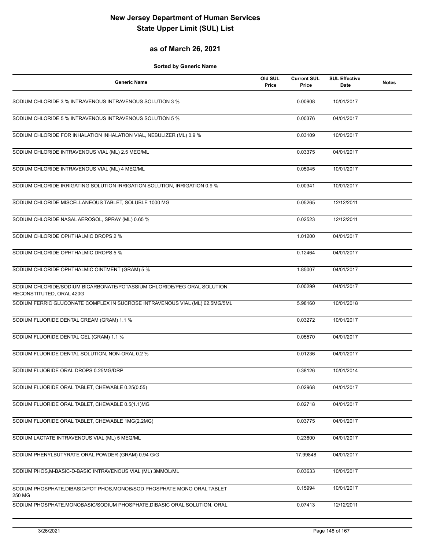#### **as of March 26, 2021**

| <b>Generic Name</b>                                                                                  | Old SUL<br>Price | <b>Current SUL</b><br>Price | <b>SUL Effective</b><br>Date | <b>Notes</b> |
|------------------------------------------------------------------------------------------------------|------------------|-----------------------------|------------------------------|--------------|
| SODIUM CHLORIDE 3 % INTRAVENOUS INTRAVENOUS SOLUTION 3 %                                             |                  | 0.00908                     | 10/01/2017                   |              |
| SODIUM CHLORIDE 5 % INTRAVENOUS INTRAVENOUS SOLUTION 5 %                                             |                  | 0.00376                     | 04/01/2017                   |              |
| SODIUM CHLORIDE FOR INHALATION INHALATION VIAL, NEBULIZER (ML) 0.9 %                                 |                  | 0.03109                     | 10/01/2017                   |              |
| SODIUM CHLORIDE INTRAVENOUS VIAL (ML) 2.5 MEQ/ML                                                     |                  | 0.03375                     | 04/01/2017                   |              |
| SODIUM CHLORIDE INTRAVENOUS VIAL (ML) 4 MEQ/ML                                                       |                  | 0.05945                     | 10/01/2017                   |              |
| SODIUM CHLORIDE IRRIGATING SOLUTION IRRIGATION SOLUTION, IRRIGATION 0.9 %                            |                  | 0.00341                     | 10/01/2017                   |              |
| SODIUM CHLORIDE MISCELLANEOUS TABLET, SOLUBLE 1000 MG                                                |                  | 0.05265                     | 12/12/2011                   |              |
| SODIUM CHLORIDE NASAL AEROSOL, SPRAY (ML) 0.65 %                                                     |                  | 0.02523                     | 12/12/2011                   |              |
| SODIUM CHLORIDE OPHTHALMIC DROPS 2 %                                                                 |                  | 1.01200                     | 04/01/2017                   |              |
| SODIUM CHLORIDE OPHTHALMIC DROPS 5 %                                                                 |                  | 0.12464                     | 04/01/2017                   |              |
| SODIUM CHLORIDE OPHTHALMIC OINTMENT (GRAM) 5 %                                                       |                  | 1.85007                     | 04/01/2017                   |              |
| SODIUM CHLORIDE/SODIUM BICARBONATE/POTASSIUM CHLORIDE/PEG ORAL SOLUTION,<br>RECONSTITUTED, ORAL 420G |                  | 0.00299                     | 04/01/2017                   |              |
| SODIUM FERRIC GLUCONATE COMPLEX IN SUCROSE INTRAVENOUS VIAL (ML) 62.5MG/5ML                          |                  | 5.98160                     | 10/01/2018                   |              |
| SODIUM FLUORIDE DENTAL CREAM (GRAM) 1.1 %                                                            |                  | 0.03272                     | 10/01/2017                   |              |
| SODIUM FLUORIDE DENTAL GEL (GRAM) 1.1 %                                                              |                  | 0.05570                     | 04/01/2017                   |              |
| SODIUM FLUORIDE DENTAL SOLUTION, NON-ORAL 0.2 %                                                      |                  | 0.01236                     | 04/01/2017                   |              |
| SODIUM FLUORIDE ORAL DROPS 0.25MG/DRP                                                                |                  | 0.38126                     | 10/01/2014                   |              |
| SODIUM FLUORIDE ORAL TABLET, CHEWABLE 0.25(0.55)                                                     |                  | 0.02968                     | 04/01/2017                   |              |
| SODIUM FLUORIDE ORAL TABLET, CHEWABLE 0.5(1.1)MG                                                     |                  | 0.02718                     | 04/01/2017                   |              |
| SODIUM FLUORIDE ORAL TABLET, CHEWABLE 1MG(2.2MG)                                                     |                  | 0.03775                     | 04/01/2017                   |              |
| SODIUM LACTATE INTRAVENOUS VIAL (ML) 5 MEQ/ML                                                        |                  | 0.23600                     | 04/01/2017                   |              |
| SODIUM PHENYLBUTYRATE ORAL POWDER (GRAM) 0.94 G/G                                                    |                  | 17.99848                    | 04/01/2017                   |              |
| SODIUM PHOS, M-BASIC-D-BASIC INTRAVENOUS VIAL (ML) 3MMOL/ML                                          |                  | 0.03633                     | 10/01/2017                   |              |
| SODIUM PHOSPHATE, DIBASIC/POT PHOS, MONOB/SOD PHOSPHATE MONO ORAL TABLET<br>250 MG                   |                  | 0.15994                     | 10/01/2017                   |              |
| SODIUM PHOSPHATE, MONOBASIC/SODIUM PHOSPHATE, DIBASIC ORAL SOLUTION, ORAL                            |                  | 0.07413                     | 12/12/2011                   |              |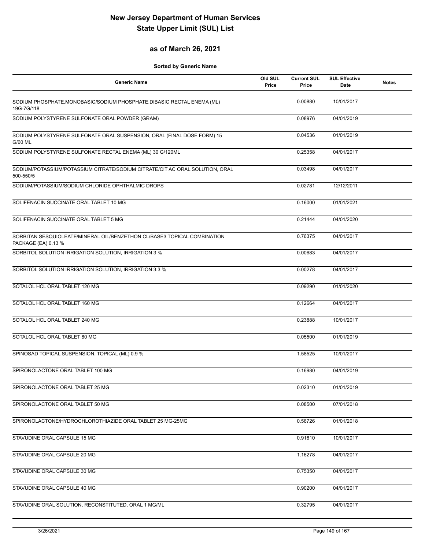#### **as of March 26, 2021**

| <b>Generic Name</b>                                                                             | Old SUL<br>Price | <b>Current SUL</b><br>Price | <b>SUL Effective</b><br><b>Date</b> | <b>Notes</b> |
|-------------------------------------------------------------------------------------------------|------------------|-----------------------------|-------------------------------------|--------------|
| SODIUM PHOSPHATE, MONOBASIC/SODIUM PHOSPHATE, DIBASIC RECTAL ENEMA (ML)<br>19G-7G/118           |                  | 0.00880                     | 10/01/2017                          |              |
| SODIUM POLYSTYRENE SULFONATE ORAL POWDER (GRAM)                                                 |                  | 0.08976                     | 04/01/2019                          |              |
| SODIUM POLYSTYRENE SULFONATE ORAL SUSPENSION, ORAL (FINAL DOSE FORM) 15<br>G/60 ML              |                  | 0.04536                     | 01/01/2019                          |              |
| SODIUM POLYSTYRENE SULFONATE RECTAL ENEMA (ML) 30 G/120ML                                       |                  | 0.25358                     | 04/01/2017                          |              |
| SODIUM/POTASSIUM/POTASSIUM CITRATE/SODIUM CITRATE/CIT AC ORAL SOLUTION, ORAL<br>500-550/5       |                  | 0.03498                     | 04/01/2017                          |              |
| SODIUM/POTASSIUM/SODIUM CHLORIDE OPHTHALMIC DROPS                                               |                  | 0.02781                     | 12/12/2011                          |              |
| SOLIFENACIN SUCCINATE ORAL TABLET 10 MG                                                         |                  | 0.16000                     | 01/01/2021                          |              |
| SOLIFENACIN SUCCINATE ORAL TABLET 5 MG                                                          |                  | 0.21444                     | 04/01/2020                          |              |
| SORBITAN SESQUIOLEATE/MINERAL OIL/BENZETHON CL/BASE3 TOPICAL COMBINATION<br>PACKAGE (EA) 0.13 % |                  | 0.76375                     | 04/01/2017                          |              |
| SORBITOL SOLUTION IRRIGATION SOLUTION, IRRIGATION 3 %                                           |                  | 0.00683                     | 04/01/2017                          |              |
| SORBITOL SOLUTION IRRIGATION SOLUTION, IRRIGATION 3.3 %                                         |                  | 0.00278                     | 04/01/2017                          |              |
| SOTALOL HCL ORAL TABLET 120 MG                                                                  |                  | 0.09290                     | 01/01/2020                          |              |
| SOTALOL HCL ORAL TABLET 160 MG                                                                  |                  | 0.12664                     | 04/01/2017                          |              |
| SOTALOL HCL ORAL TABLET 240 MG                                                                  |                  | 0.23888                     | 10/01/2017                          |              |
| SOTALOL HCL ORAL TABLET 80 MG                                                                   |                  | 0.05500                     | 01/01/2019                          |              |
| SPINOSAD TOPICAL SUSPENSION, TOPICAL (ML) 0.9 %                                                 |                  | 1.58525                     | 10/01/2017                          |              |
| SPIRONOLACTONE ORAL TABLET 100 MG                                                               |                  | 0.16980                     | 04/01/2019                          |              |
| SPIRONOLACTONE ORAL TABLET 25 MG                                                                |                  | 0.02310                     | 01/01/2019                          |              |
| SPIRONOLACTONE ORAL TABLET 50 MG                                                                |                  | 0.08500                     | 07/01/2018                          |              |
| SPIRONOLACTONE/HYDROCHLOROTHIAZIDE ORAL TABLET 25 MG-25MG                                       |                  | 0.56726                     | 01/01/2018                          |              |
| STAVUDINE ORAL CAPSULE 15 MG                                                                    |                  | 0.91610                     | 10/01/2017                          |              |
| STAVUDINE ORAL CAPSULE 20 MG                                                                    |                  | 1.16278                     | 04/01/2017                          |              |
| STAVUDINE ORAL CAPSULE 30 MG                                                                    |                  | 0.75350                     | 04/01/2017                          |              |
| STAVUDINE ORAL CAPSULE 40 MG                                                                    |                  | 0.90200                     | 04/01/2017                          |              |
| STAVUDINE ORAL SOLUTION, RECONSTITUTED, ORAL 1 MG/ML                                            |                  | 0.32795                     | 04/01/2017                          |              |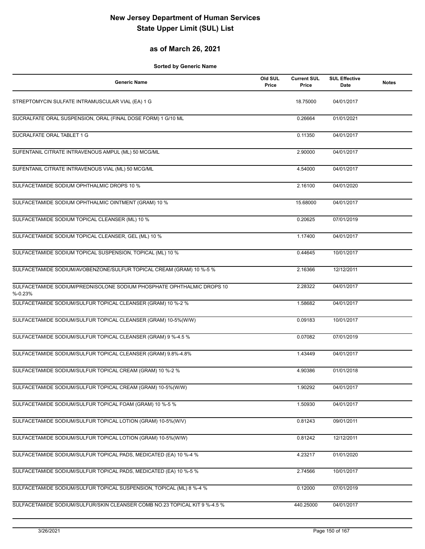#### **as of March 26, 2021**

| <b>Generic Name</b>                                                                  | Old SUL<br>Price | <b>Current SUL</b><br>Price | <b>SUL Effective</b><br><b>Date</b> | <b>Notes</b> |
|--------------------------------------------------------------------------------------|------------------|-----------------------------|-------------------------------------|--------------|
| STREPTOMYCIN SULFATE INTRAMUSCULAR VIAL (EA) 1 G                                     |                  | 18.75000                    | 04/01/2017                          |              |
| SUCRALFATE ORAL SUSPENSION, ORAL (FINAL DOSE FORM) 1 G/10 ML                         |                  | 0.26664                     | 01/01/2021                          |              |
| SUCRALFATE ORAL TABLET 1 G                                                           |                  | 0.11350                     | 04/01/2017                          |              |
| SUFENTANIL CITRATE INTRAVENOUS AMPUL (ML) 50 MCG/ML                                  |                  | 2.90000                     | 04/01/2017                          |              |
| SUFENTANIL CITRATE INTRAVENOUS VIAL (ML) 50 MCG/ML                                   |                  | 4.54000                     | 04/01/2017                          |              |
| SULFACETAMIDE SODIUM OPHTHALMIC DROPS 10 %                                           |                  | 2.16100                     | 04/01/2020                          |              |
| SULFACETAMIDE SODIUM OPHTHALMIC OINTMENT (GRAM) 10 %                                 |                  | 15.68000                    | 04/01/2017                          |              |
| SULFACETAMIDE SODIUM TOPICAL CLEANSER (ML) 10 %                                      |                  | 0.20625                     | 07/01/2019                          |              |
| SULFACETAMIDE SODIUM TOPICAL CLEANSER, GEL (ML) 10 %                                 |                  | 1.17400                     | 04/01/2017                          |              |
| SULFACETAMIDE SODIUM TOPICAL SUSPENSION, TOPICAL (ML) 10 %                           |                  | 0.44645                     | 10/01/2017                          |              |
| SULFACETAMIDE SODIUM/AVOBENZONE/SULFUR TOPICAL CREAM (GRAM) 10 %-5 %                 |                  | 2.16366                     | 12/12/2011                          |              |
| SULFACETAMIDE SODIUM/PREDNISOLONE SODIUM PHOSPHATE OPHTHALMIC DROPS 10<br>$% -0.23%$ |                  | 2.28322                     | 04/01/2017                          |              |
| SULFACETAMIDE SODIUM/SULFUR TOPICAL CLEANSER (GRAM) 10 %-2 %                         |                  | 1.58682                     | 04/01/2017                          |              |
| SULFACETAMIDE SODIUM/SULFUR TOPICAL CLEANSER (GRAM) 10-5%(W/W)                       |                  | 0.09183                     | 10/01/2017                          |              |
| SULFACETAMIDE SODIUM/SULFUR TOPICAL CLEANSER (GRAM) 9 %-4.5 %                        |                  | 0.07082                     | 07/01/2019                          |              |
| SULFACETAMIDE SODIUM/SULFUR TOPICAL CLEANSER (GRAM) 9.8%-4.8%                        |                  | 1.43449                     | 04/01/2017                          |              |
| SULFACETAMIDE SODIUM/SULFUR TOPICAL CREAM (GRAM) 10 %-2 %                            |                  | 4.90386                     | 01/01/2018                          |              |
| SULFACETAMIDE SODIUM/SULFUR TOPICAL CREAM (GRAM) 10-5%(W/W)                          |                  | 1.90292                     | 04/01/2017                          |              |
| SULFACETAMIDE SODIUM/SULFUR TOPICAL FOAM (GRAM) 10 %-5 %                             |                  | 1.50930                     | 04/01/2017                          |              |
| SULFACETAMIDE SODIUM/SULFUR TOPICAL LOTION (GRAM) 10-5%(W/V)                         |                  | 0.81243                     | 09/01/2011                          |              |
| SULFACETAMIDE SODIUM/SULFUR TOPICAL LOTION (GRAM) 10-5%(W/W)                         |                  | 0.81242                     | 12/12/2011                          |              |
| SULFACETAMIDE SODIUM/SULFUR TOPICAL PADS, MEDICATED (EA) 10 %-4 %                    |                  | 4.23217                     | 01/01/2020                          |              |
| SULFACETAMIDE SODIUM/SULFUR TOPICAL PADS, MEDICATED (EA) 10 %-5 %                    |                  | 2.74566                     | 10/01/2017                          |              |
| SULFACETAMIDE SODIUM/SULFUR TOPICAL SUSPENSION, TOPICAL (ML) 8 %-4 %                 |                  | 0.12000                     | 07/01/2019                          |              |
| SULFACETAMIDE SODIUM/SULFUR/SKIN CLEANSER COMB NO.23 TOPICAL KIT 9 %-4.5 %           |                  | 440.25000                   | 04/01/2017                          |              |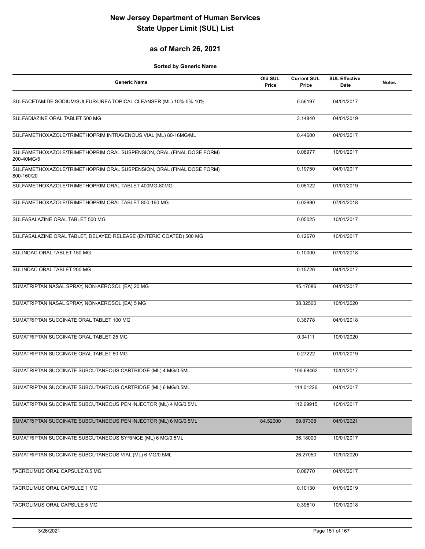### **as of March 26, 2021**

| <b>Generic Name</b>                                                                 | Old SUL<br>Price | <b>Current SUL</b><br>Price | <b>SUL Effective</b><br>Date | <b>Notes</b> |
|-------------------------------------------------------------------------------------|------------------|-----------------------------|------------------------------|--------------|
| SULFACETAMIDE SODIUM/SULFUR/UREA TOPICAL CLEANSER (ML) 10%-5%-10%                   |                  | 0.56197                     | 04/01/2017                   |              |
| SULFADIAZINE ORAL TABLET 500 MG                                                     |                  | 3.14840                     | 04/01/2019                   |              |
| SULFAMETHOXAZOLE/TRIMETHOPRIM INTRAVENOUS VIAL (ML) 80-16MG/ML                      |                  | 0.44600                     | 04/01/2017                   |              |
| SULFAMETHOXAZOLE/TRIMETHOPRIM ORAL SUSPENSION, ORAL (FINAL DOSE FORM)<br>200-40MG/5 |                  | 0.08977                     | 10/01/2017                   |              |
| SULFAMETHOXAZOLE/TRIMETHOPRIM ORAL SUSPENSION, ORAL (FINAL DOSE FORM)<br>800-160/20 |                  | 0.19750                     | 04/01/2017                   |              |
| SULFAMETHOXAZOLE/TRIMETHOPRIM ORAL TABLET 400MG-80MG                                |                  | 0.05122                     | 01/01/2019                   |              |
| SULFAMETHOXAZOLE/TRIMETHOPRIM ORAL TABLET 800-160 MG                                |                  | 0.02990                     | 07/01/2018                   |              |
| SULFASALAZINE ORAL TABLET 500 MG                                                    |                  | 0.05025                     | 10/01/2017                   |              |
| SULFASALAZINE ORAL TABLET, DELAYED RELEASE (ENTERIC COATED) 500 MG                  |                  | 0.12670                     | 10/01/2017                   |              |
| SULINDAC ORAL TABLET 150 MG                                                         |                  | 0.10000                     | 07/01/2018                   |              |
| SULINDAC ORAL TABLET 200 MG                                                         |                  | 0.15726                     | 04/01/2017                   |              |
| SUMATRIPTAN NASAL SPRAY, NON-AEROSOL (EA) 20 MG                                     |                  | 45.17086                    | 04/01/2017                   |              |
| SUMATRIPTAN NASAL SPRAY, NON-AEROSOL (EA) 5 MG                                      |                  | 38.32500                    | 10/01/2020                   |              |
| SUMATRIPTAN SUCCINATE ORAL TABLET 100 MG                                            |                  | 0.36778                     | 04/01/2018                   |              |
| SUMATRIPTAN SUCCINATE ORAL TABLET 25 MG                                             |                  | 0.34111                     | 10/01/2020                   |              |
| SUMATRIPTAN SUCCINATE ORAL TABLET 50 MG                                             |                  | 0.27222                     | 01/01/2019                   |              |
| SUMATRIPTAN SUCCINATE SUBCUTANEOUS CARTRIDGE (ML) 4 MG/0.5ML                        |                  | 106.68462                   | 10/01/2017                   |              |
| SUMATRIPTAN SUCCINATE SUBCUTANEOUS CARTRIDGE (ML) 6 MG/0.5ML                        |                  | 114.01226                   | 04/01/2017                   |              |
| SUMATRIPTAN SUCCINATE SUBCUTANEOUS PEN INJECTOR (ML) 4 MG/0.5ML                     |                  | 112.69915                   | 10/01/2017                   |              |
| SUMATRIPTAN SUCCINATE SUBCUTANEOUS PEN INJECTOR (ML) 6 MG/0.5ML                     | 84.52000         | 69.87308                    | 04/01/2021                   |              |
| SUMATRIPTAN SUCCINATE SUBCUTANEOUS SYRINGE (ML) 6 MG/0.5ML                          |                  | 36.18000                    | 10/01/2017                   |              |
| SUMATRIPTAN SUCCINATE SUBCUTANEOUS VIAL (ML) 6 MG/0.5ML                             |                  | 26.27050                    | 10/01/2020                   |              |
| TACROLIMUS ORAL CAPSULE 0.5 MG                                                      |                  | 0.08770                     | 04/01/2017                   |              |
| TACROLIMUS ORAL CAPSULE 1 MG                                                        |                  | 0.10130                     | 01/01/2019                   |              |
| TACROLIMUS ORAL CAPSULE 5 MG                                                        |                  | 0.39610                     | 10/01/2018                   |              |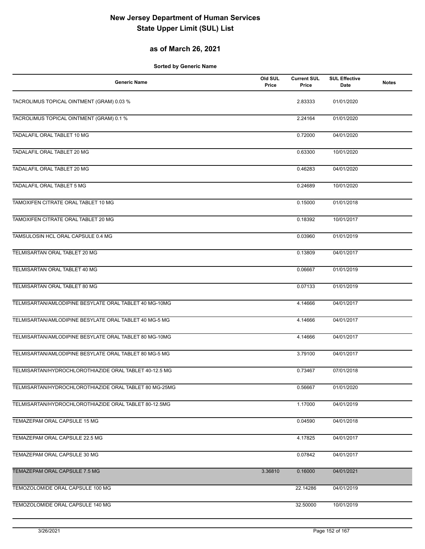#### **as of March 26, 2021**

| <b>Generic Name</b>                                    | Old SUL<br>Price | <b>Current SUL</b><br>Price | <b>SUL Effective</b><br>Date | <b>Notes</b> |
|--------------------------------------------------------|------------------|-----------------------------|------------------------------|--------------|
| TACROLIMUS TOPICAL OINTMENT (GRAM) 0.03 %              |                  | 2.83333                     | 01/01/2020                   |              |
| TACROLIMUS TOPICAL OINTMENT (GRAM) 0.1 %               |                  | 2.24164                     | 01/01/2020                   |              |
| TADALAFIL ORAL TABLET 10 MG                            |                  | 0.72000                     | 04/01/2020                   |              |
| TADALAFIL ORAL TABLET 20 MG                            |                  | 0.63300                     | 10/01/2020                   |              |
| TADALAFIL ORAL TABLET 20 MG                            |                  | 0.46283                     | 04/01/2020                   |              |
| <b>TADALAFIL ORAL TABLET 5 MG</b>                      |                  | 0.24689                     | 10/01/2020                   |              |
| TAMOXIFEN CITRATE ORAL TABLET 10 MG                    |                  | 0.15000                     | 01/01/2018                   |              |
| TAMOXIFEN CITRATE ORAL TABLET 20 MG                    |                  | 0.18392                     | 10/01/2017                   |              |
| TAMSULOSIN HCL ORAL CAPSULE 0.4 MG                     |                  | 0.03960                     | 01/01/2019                   |              |
| TELMISARTAN ORAL TABLET 20 MG                          |                  | 0.13809                     | 04/01/2017                   |              |
| TELMISARTAN ORAL TABLET 40 MG                          |                  | 0.06667                     | 01/01/2019                   |              |
| TELMISARTAN ORAL TABLET 80 MG                          |                  | 0.07133                     | 01/01/2019                   |              |
| TELMISARTAN/AMLODIPINE BESYLATE ORAL TABLET 40 MG-10MG |                  | 4.14666                     | 04/01/2017                   |              |
| TELMISARTAN/AMLODIPINE BESYLATE ORAL TABLET 40 MG-5 MG |                  | 4.14666                     | 04/01/2017                   |              |
| TELMISARTAN/AMLODIPINE BESYLATE ORAL TABLET 80 MG-10MG |                  | 4.14666                     | 04/01/2017                   |              |
| TELMISARTAN/AMLODIPINE BESYLATE ORAL TABLET 80 MG-5 MG |                  | 3.79100                     | 04/01/2017                   |              |
| TELMISARTAN/HYDROCHLOROTHIAZIDE ORAL TABLET 40-12.5 MG |                  | 0.73467                     | 07/01/2018                   |              |
| TELMISARTAN/HYDROCHLOROTHIAZIDE ORAL TABLET 80 MG-25MG |                  | 0.56667                     | 01/01/2020                   |              |
| TELMISARTAN/HYDROCHLOROTHIAZIDE ORAL TABLET 80-12.5MG  |                  | 1.17000                     | 04/01/2019                   |              |
| TEMAZEPAM ORAL CAPSULE 15 MG                           |                  | 0.04590                     | 04/01/2018                   |              |
| TEMAZEPAM ORAL CAPSULE 22.5 MG                         |                  | 4.17825                     | 04/01/2017                   |              |
| TEMAZEPAM ORAL CAPSULE 30 MG                           |                  | 0.07842                     | 04/01/2017                   |              |
| TEMAZEPAM ORAL CAPSULE 7.5 MG                          | 3.36810          | 0.16000                     | 04/01/2021                   |              |
| TEMOZOLOMIDE ORAL CAPSULE 100 MG                       |                  | 22.14286                    | 04/01/2019                   |              |
| TEMOZOLOMIDE ORAL CAPSULE 140 MG                       |                  | 32.50000                    | 10/01/2019                   |              |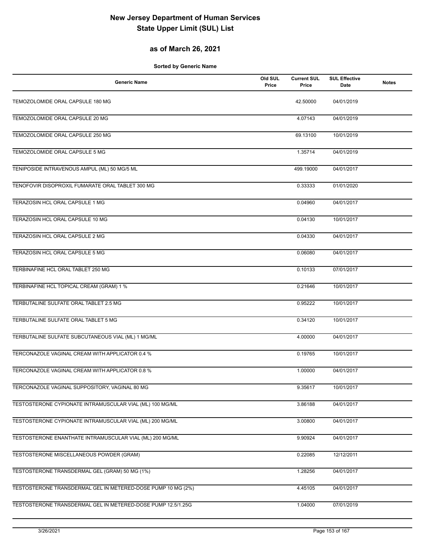#### **as of March 26, 2021**

| <b>Generic Name</b>                                          | Old SUL<br>Price | <b>Current SUL</b><br>Price | <b>SUL Effective</b><br>Date | <b>Notes</b> |
|--------------------------------------------------------------|------------------|-----------------------------|------------------------------|--------------|
| TEMOZOLOMIDE ORAL CAPSULE 180 MG                             |                  | 42.50000                    | 04/01/2019                   |              |
| TEMOZOLOMIDE ORAL CAPSULE 20 MG                              |                  | 4.07143                     | 04/01/2019                   |              |
| TEMOZOLOMIDE ORAL CAPSULE 250 MG                             |                  | 69.13100                    | 10/01/2019                   |              |
| TEMOZOLOMIDE ORAL CAPSULE 5 MG                               |                  | 1.35714                     | 04/01/2019                   |              |
| TENIPOSIDE INTRAVENOUS AMPUL (ML) 50 MG/5 ML                 |                  | 499.19000                   | 04/01/2017                   |              |
| TENOFOVIR DISOPROXIL FUMARATE ORAL TABLET 300 MG             |                  | 0.33333                     | 01/01/2020                   |              |
| TERAZOSIN HCL ORAL CAPSULE 1 MG                              |                  | 0.04960                     | 04/01/2017                   |              |
| TERAZOSIN HCL ORAL CAPSULE 10 MG                             |                  | 0.04130                     | 10/01/2017                   |              |
| TERAZOSIN HCL ORAL CAPSULE 2 MG                              |                  | 0.04330                     | 04/01/2017                   |              |
| TERAZOSIN HCL ORAL CAPSULE 5 MG                              |                  | 0.06080                     | 04/01/2017                   |              |
| TERBINAFINE HCL ORAL TABLET 250 MG                           |                  | 0.10133                     | 07/01/2017                   |              |
| TERBINAFINE HCL TOPICAL CREAM (GRAM) 1 %                     |                  | 0.21646                     | 10/01/2017                   |              |
| TERBUTALINE SULFATE ORAL TABLET 2.5 MG                       |                  | 0.95222                     | 10/01/2017                   |              |
| TERBUTALINE SULFATE ORAL TABLET 5 MG                         |                  | 0.34120                     | 10/01/2017                   |              |
| TERBUTALINE SULFATE SUBCUTANEOUS VIAL (ML) 1 MG/ML           |                  | 4.00000                     | 04/01/2017                   |              |
| TERCONAZOLE VAGINAL CREAM WITH APPLICATOR 0.4 %              |                  | 0.19765                     | 10/01/2017                   |              |
| TERCONAZOLE VAGINAL CREAM WITH APPLICATOR 0.8 %              |                  | 1.00000                     | 04/01/2017                   |              |
| TERCONAZOLE VAGINAL SUPPOSITORY, VAGINAL 80 MG               |                  | 9.35617                     | 10/01/2017                   |              |
| TESTOSTERONE CYPIONATE INTRAMUSCULAR VIAL (ML) 100 MG/ML     |                  | 3.86188                     | 04/01/2017                   |              |
| TESTOSTERONE CYPIONATE INTRAMUSCULAR VIAL (ML) 200 MG/ML     |                  | 3.00800                     | 04/01/2017                   |              |
| TESTOSTERONE ENANTHATE INTRAMUSCULAR VIAL (ML) 200 MG/ML     |                  | 9.90924                     | 04/01/2017                   |              |
| TESTOSTERONE MISCELLANEOUS POWDER (GRAM)                     |                  | 0.22085                     | 12/12/2011                   |              |
| TESTOSTERONE TRANSDERMAL GEL (GRAM) 50 MG (1%)               |                  | 1.28256                     | 04/01/2017                   |              |
| TESTOSTERONE TRANSDERMAL GEL IN METERED-DOSE PUMP 10 MG (2%) |                  | 4.45105                     | 04/01/2017                   |              |
| TESTOSTERONE TRANSDERMAL GEL IN METERED-DOSE PUMP 12.5/1.25G |                  | 1.04000                     | 07/01/2019                   |              |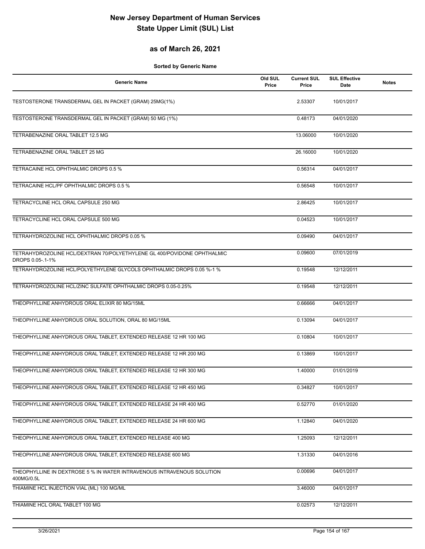#### **as of March 26, 2021**

| <b>Generic Name</b>                                                                         | Old SUL<br>Price | <b>Current SUL</b><br>Price | <b>SUL Effective</b><br>Date | <b>Notes</b> |
|---------------------------------------------------------------------------------------------|------------------|-----------------------------|------------------------------|--------------|
| TESTOSTERONE TRANSDERMAL GEL IN PACKET (GRAM) 25MG(1%)                                      |                  | 2.53307                     | 10/01/2017                   |              |
| TESTOSTERONE TRANSDERMAL GEL IN PACKET (GRAM) 50 MG (1%)                                    |                  | 0.48173                     | 04/01/2020                   |              |
| TETRABENAZINE ORAL TABLET 12.5 MG                                                           |                  | 13.06000                    | 10/01/2020                   |              |
| TETRABENAZINE ORAL TABLET 25 MG                                                             |                  | 26.16000                    | 10/01/2020                   |              |
| TETRACAINE HCL OPHTHALMIC DROPS 0.5 %                                                       |                  | 0.56314                     | 04/01/2017                   |              |
| TETRACAINE HCL/PF OPHTHALMIC DROPS 0.5 %                                                    |                  | 0.56548                     | 10/01/2017                   |              |
| TETRACYCLINE HCL ORAL CAPSULE 250 MG                                                        |                  | 2.86425                     | 10/01/2017                   |              |
| TETRACYCLINE HCL ORAL CAPSULE 500 MG                                                        |                  | 0.04523                     | 10/01/2017                   |              |
| TETRAHYDROZOLINE HCL OPHTHALMIC DROPS 0.05 %                                                |                  | 0.09490                     | 04/01/2017                   |              |
| TETRAHYDROZOLINE HCL/DEXTRAN 70/POLYETHYLENE GL 400/POVIDONE OPHTHALMIC<br>DROPS 0.05-.1-1% |                  | 0.09600                     | 07/01/2019                   |              |
| TETRAHYDROZOLINE HCL/POLYETHYLENE GLYCOLS OPHTHALMIC DROPS 0.05 %-1 %                       |                  | 0.19548                     | 12/12/2011                   |              |
| TETRAHYDROZOLINE HCL/ZINC SULFATE OPHTHALMIC DROPS 0.05-0.25%                               |                  | 0.19548                     | 12/12/2011                   |              |
| THEOPHYLLINE ANHYDROUS ORAL ELIXIR 80 MG/15ML                                               |                  | 0.66666                     | 04/01/2017                   |              |
| THEOPHYLLINE ANHYDROUS ORAL SOLUTION, ORAL 80 MG/15ML                                       |                  | 0.13094                     | 04/01/2017                   |              |
| THEOPHYLLINE ANHYDROUS ORAL TABLET, EXTENDED RELEASE 12 HR 100 MG                           |                  | 0.10804                     | 10/01/2017                   |              |
| THEOPHYLLINE ANHYDROUS ORAL TABLET, EXTENDED RELEASE 12 HR 200 MG                           |                  | 0.13869                     | 10/01/2017                   |              |
| THEOPHYLLINE ANHYDROUS ORAL TABLET, EXTENDED RELEASE 12 HR 300 MG                           |                  | 1.40000                     | 01/01/2019                   |              |
| THEOPHYLLINE ANHYDROUS ORAL TABLET, EXTENDED RELEASE 12 HR 450 MG                           |                  | 0.34827                     | 10/01/2017                   |              |
| THEOPHYLLINE ANHYDROUS ORAL TABLET, EXTENDED RELEASE 24 HR 400 MG                           |                  | 0.52770                     | 01/01/2020                   |              |
| THEOPHYLLINE ANHYDROUS ORAL TABLET, EXTENDED RELEASE 24 HR 600 MG                           |                  | 1.12840                     | 04/01/2020                   |              |
| THEOPHYLLINE ANHYDROUS ORAL TABLET, EXTENDED RELEASE 400 MG                                 |                  | 1.25093                     | 12/12/2011                   |              |
| THEOPHYLLINE ANHYDROUS ORAL TABLET, EXTENDED RELEASE 600 MG                                 |                  | 1.31330                     | 04/01/2016                   |              |
| THEOPHYLLINE IN DEXTROSE 5 % IN WATER INTRAVENOUS INTRAVENOUS SOLUTION<br>400MG/0.5L        |                  | 0.00696                     | 04/01/2017                   |              |
| THIAMINE HCL INJECTION VIAL (ML) 100 MG/ML                                                  |                  | 3.46000                     | 04/01/2017                   |              |
| THIAMINE HCL ORAL TABLET 100 MG                                                             |                  | 0.02573                     | 12/12/2011                   |              |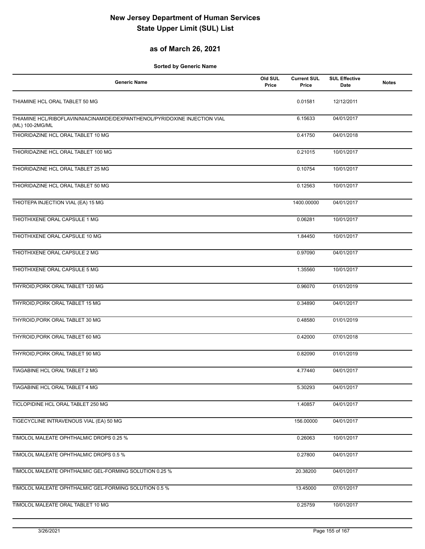#### **as of March 26, 2021**

| <b>Generic Name</b>                                                                           | Old SUL<br>Price | <b>Current SUL</b><br>Price | <b>SUL Effective</b><br>Date | <b>Notes</b> |
|-----------------------------------------------------------------------------------------------|------------------|-----------------------------|------------------------------|--------------|
| THIAMINE HCL ORAL TABLET 50 MG                                                                |                  | 0.01581                     | 12/12/2011                   |              |
| THIAMINE HCL/RIBOFLAVIN/NIACINAMIDE/DEXPANTHENOL/PYRIDOXINE INJECTION VIAL<br>(ML) 100-2MG/ML |                  | 6.15633                     | 04/01/2017                   |              |
| THIORIDAZINE HCL ORAL TABLET 10 MG                                                            |                  | 0.41750                     | 04/01/2018                   |              |
| THIORIDAZINE HCL ORAL TABLET 100 MG                                                           |                  | 0.21015                     | 10/01/2017                   |              |
| THIORIDAZINE HCL ORAL TABLET 25 MG                                                            |                  | 0.10754                     | 10/01/2017                   |              |
| THIORIDAZINE HCL ORAL TABLET 50 MG                                                            |                  | 0.12563                     | 10/01/2017                   |              |
| THIOTEPA INJECTION VIAL (EA) 15 MG                                                            |                  | 1400.00000                  | 04/01/2017                   |              |
| THIOTHIXENE ORAL CAPSULE 1 MG                                                                 |                  | 0.06281                     | 10/01/2017                   |              |
| THIOTHIXENE ORAL CAPSULE 10 MG                                                                |                  | 1.84450                     | 10/01/2017                   |              |
| THIOTHIXENE ORAL CAPSULE 2 MG                                                                 |                  | 0.97090                     | 04/01/2017                   |              |
| THIOTHIXENE ORAL CAPSULE 5 MG                                                                 |                  | 1.35560                     | 10/01/2017                   |              |
| THYROID, PORK ORAL TABLET 120 MG                                                              |                  | 0.96070                     | 01/01/2019                   |              |
| THYROID, PORK ORAL TABLET 15 MG                                                               |                  | 0.34890                     | 04/01/2017                   |              |
| THYROID, PORK ORAL TABLET 30 MG                                                               |                  | 0.48580                     | 01/01/2019                   |              |
| THYROID, PORK ORAL TABLET 60 MG                                                               |                  | 0.42000                     | 07/01/2018                   |              |
| THYROID, PORK ORAL TABLET 90 MG                                                               |                  | 0.82090                     | 01/01/2019                   |              |
| TIAGABINE HCL ORAL TABLET 2 MG                                                                |                  | 4.77440                     | 04/01/2017                   |              |
| TIAGABINE HCL ORAL TABLET 4 MG                                                                |                  | 5.30293                     | 04/01/2017                   |              |
| TICLOPIDINE HCL ORAL TABLET 250 MG                                                            |                  | 1.40857                     | 04/01/2017                   |              |
| TIGECYCLINE INTRAVENOUS VIAL (EA) 50 MG                                                       |                  | 156.00000                   | 04/01/2017                   |              |
| TIMOLOL MALEATE OPHTHALMIC DROPS 0.25 %                                                       |                  | 0.26063                     | 10/01/2017                   |              |
| TIMOLOL MALEATE OPHTHALMIC DROPS 0.5 %                                                        |                  | 0.27800                     | 04/01/2017                   |              |
| TIMOLOL MALEATE OPHTHALMIC GEL-FORMING SOLUTION 0.25 %                                        |                  | 20.38200                    | 04/01/2017                   |              |
| TIMOLOL MALEATE OPHTHALMIC GEL-FORMING SOLUTION 0.5 %                                         |                  | 13.45000                    | 07/01/2017                   |              |
| TIMOLOL MALEATE ORAL TABLET 10 MG                                                             |                  | 0.25759                     | 10/01/2017                   |              |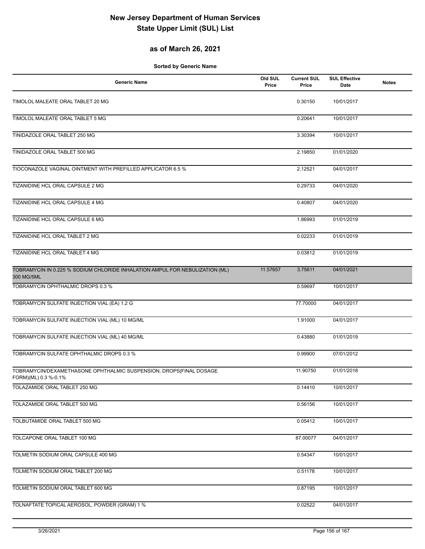#### **as of March 26, 2021**

| <b>Generic Name</b>                                                                        | Old SUL<br>Price | <b>Current SUL</b><br>Price | <b>SUL Effective</b><br>Date | <b>Notes</b> |
|--------------------------------------------------------------------------------------------|------------------|-----------------------------|------------------------------|--------------|
| TIMOLOL MALEATE ORAL TABLET 20 MG                                                          |                  | 0.30150                     | 10/01/2017                   |              |
| TIMOLOL MALEATE ORAL TABLET 5 MG                                                           |                  | 0.20641                     | 10/01/2017                   |              |
| TINIDAZOLE ORAL TABLET 250 MG                                                              |                  | 3.30394                     | 10/01/2017                   |              |
| TINIDAZOLE ORAL TABLET 500 MG                                                              |                  | 2.19850                     | 01/01/2020                   |              |
| TIOCONAZOLE VAGINAL OINTMENT WITH PREFILLED APPLICATOR 6.5 %                               |                  | 2.12521                     | 04/01/2017                   |              |
| TIZANIDINE HCL ORAL CAPSULE 2 MG                                                           |                  | 0.29733                     | 04/01/2020                   |              |
| TIZANIDINE HCL ORAL CAPSULE 4 MG                                                           |                  | 0.40807                     | 04/01/2020                   |              |
| TIZANIDINE HCL ORAL CAPSULE 6 MG                                                           |                  | 1.86993                     | 01/01/2019                   |              |
| TIZANIDINE HCL ORAL TABLET 2 MG                                                            |                  | 0.02233                     | 01/01/2019                   |              |
| TIZANIDINE HCL ORAL TABLET 4 MG                                                            |                  | 0.03812                     | 01/01/2019                   |              |
| TOBRAMYCIN IN 0.225 % SODIUM CHLORIDE INHALATION AMPUL FOR NEBULIZATION (ML)<br>300 MG/5ML | 11.57657         | 3.75611                     | 04/01/2021                   |              |
| TOBRAMYCIN OPHTHALMIC DROPS 0.3 %                                                          |                  | 0.59697                     | 10/01/2017                   |              |
| TOBRAMYCIN SULFATE INJECTION VIAL (EA) 1.2 G                                               |                  | 77.70000                    | 04/01/2017                   |              |
| TOBRAMYCIN SULFATE INJECTION VIAL (ML) 10 MG/ML                                            |                  | 1.91000                     | 04/01/2017                   |              |
| TOBRAMYCIN SULFATE INJECTION VIAL (ML) 40 MG/ML                                            |                  | 0.43880                     | 01/01/2019                   |              |
| TOBRAMYCIN SULFATE OPHTHALMIC DROPS 0.3 %                                                  |                  | 0.99900                     | 07/01/2012                   |              |
| TOBRAMYCIN/DEXAMETHASONE OPHTHALMIC SUSPENSION, DROPS(FINAL DOSAGE<br>FORM)(ML) 0.3 %-0.1% |                  | 11.90750                    | 01/01/2018                   |              |
| TOLAZAMIDE ORAL TABLET 250 MG                                                              |                  | 0.14410                     | 10/01/2017                   |              |
| TOLAZAMIDE ORAL TABLET 500 MG                                                              |                  | 0.56156                     | 10/01/2017                   |              |
| TOLBUTAMIDE ORAL TABLET 500 MG                                                             |                  | 0.05412                     | 10/01/2017                   |              |
| TOLCAPONE ORAL TABLET 100 MG                                                               |                  | 87.00077                    | 04/01/2017                   |              |
| TOLMETIN SODIUM ORAL CAPSULE 400 MG                                                        |                  | 0.54347                     | 10/01/2017                   |              |
| TOLMETIN SODIUM ORAL TABLET 200 MG                                                         |                  | 0.51178                     | 10/01/2017                   |              |
| TOLMETIN SODIUM ORAL TABLET 600 MG                                                         |                  | 0.87195                     | 10/01/2017                   |              |
| TOLNAFTATE TOPICAL AEROSOL, POWDER (GRAM) 1 %                                              |                  | 0.02522                     | 04/01/2017                   |              |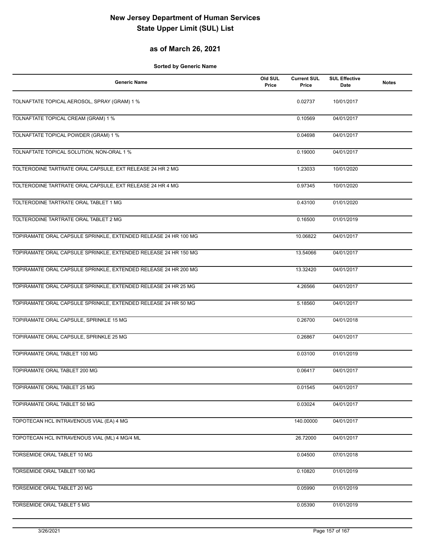#### **as of March 26, 2021**

| <b>Generic Name</b>                                             | Old SUL<br>Price | <b>Current SUL</b><br>Price | <b>SUL Effective</b><br>Date | <b>Notes</b> |
|-----------------------------------------------------------------|------------------|-----------------------------|------------------------------|--------------|
| TOLNAFTATE TOPICAL AEROSOL, SPRAY (GRAM) 1 %                    |                  | 0.02737                     | 10/01/2017                   |              |
| TOLNAFTATE TOPICAL CREAM (GRAM) 1 %                             |                  | 0.10569                     | 04/01/2017                   |              |
| TOLNAFTATE TOPICAL POWDER (GRAM) 1 %                            |                  | 0.04698                     | 04/01/2017                   |              |
| TOLNAFTATE TOPICAL SOLUTION, NON-ORAL 1 %                       |                  | 0.19000                     | 04/01/2017                   |              |
| TOLTERODINE TARTRATE ORAL CAPSULE, EXT RELEASE 24 HR 2 MG       |                  | 1.23033                     | 10/01/2020                   |              |
| TOLTERODINE TARTRATE ORAL CAPSULE, EXT RELEASE 24 HR 4 MG       |                  | 0.97345                     | 10/01/2020                   |              |
| TOLTERODINE TARTRATE ORAL TABLET 1 MG                           |                  | 0.43100                     | 01/01/2020                   |              |
| TOLTERODINE TARTRATE ORAL TABLET 2 MG                           |                  | 0.16500                     | 01/01/2019                   |              |
| TOPIRAMATE ORAL CAPSULE SPRINKLE, EXTENDED RELEASE 24 HR 100 MG |                  | 10.06822                    | 04/01/2017                   |              |
| TOPIRAMATE ORAL CAPSULE SPRINKLE, EXTENDED RELEASE 24 HR 150 MG |                  | 13.54066                    | 04/01/2017                   |              |
| TOPIRAMATE ORAL CAPSULE SPRINKLE, EXTENDED RELEASE 24 HR 200 MG |                  | 13.32420                    | 04/01/2017                   |              |
| TOPIRAMATE ORAL CAPSULE SPRINKLE, EXTENDED RELEASE 24 HR 25 MG  |                  | 4.26566                     | 04/01/2017                   |              |
| TOPIRAMATE ORAL CAPSULE SPRINKLE, EXTENDED RELEASE 24 HR 50 MG  |                  | 5.18560                     | 04/01/2017                   |              |
| TOPIRAMATE ORAL CAPSULE, SPRINKLE 15 MG                         |                  | 0.26700                     | 04/01/2018                   |              |
| TOPIRAMATE ORAL CAPSULE, SPRINKLE 25 MG                         |                  | 0.26867                     | 04/01/2017                   |              |
| TOPIRAMATE ORAL TABLET 100 MG                                   |                  | 0.03100                     | 01/01/2019                   |              |
| TOPIRAMATE ORAL TABLET 200 MG                                   |                  | 0.06417                     | 04/01/2017                   |              |
| TOPIRAMATE ORAL TABLET 25 MG                                    |                  | 0.01545                     | 04/01/2017                   |              |
| TOPIRAMATE ORAL TABLET 50 MG                                    |                  | 0.03024                     | 04/01/2017                   |              |
| TOPOTECAN HCL INTRAVENOUS VIAL (EA) 4 MG                        |                  | 140.00000                   | 04/01/2017                   |              |
| TOPOTECAN HCL INTRAVENOUS VIAL (ML) 4 MG/4 ML                   |                  | 26.72000                    | 04/01/2017                   |              |
| TORSEMIDE ORAL TABLET 10 MG                                     |                  | 0.04500                     | 07/01/2018                   |              |
| TORSEMIDE ORAL TABLET 100 MG                                    |                  | 0.10820                     | 01/01/2019                   |              |
| TORSEMIDE ORAL TABLET 20 MG                                     |                  | 0.05990                     | 01/01/2019                   |              |
| TORSEMIDE ORAL TABLET 5 MG                                      |                  | 0.05390                     | 01/01/2019                   |              |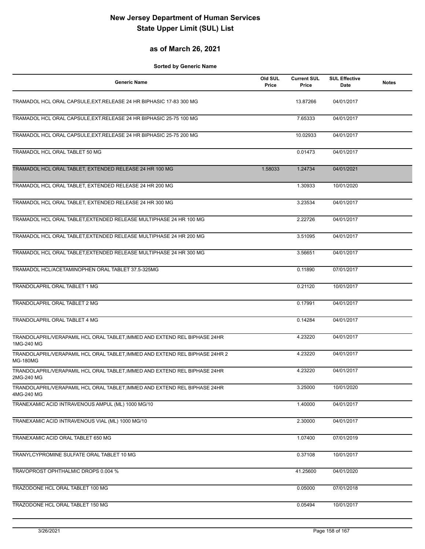### **as of March 26, 2021**

| <b>Generic Name</b>                                                                            | Old SUL<br>Price | <b>Current SUL</b><br>Price | <b>SUL Effective</b><br>Date | <b>Notes</b> |
|------------------------------------------------------------------------------------------------|------------------|-----------------------------|------------------------------|--------------|
| TRAMADOL HCL ORAL CAPSULE, EXT. RELEASE 24 HR BIPHASIC 17-83 300 MG                            |                  | 13.87266                    | 04/01/2017                   |              |
| TRAMADOL HCL ORAL CAPSULE, EXT. RELEASE 24 HR BIPHASIC 25-75 100 MG                            |                  | 7.65333                     | 04/01/2017                   |              |
| TRAMADOL HCL ORAL CAPSULE, EXT.RELEASE 24 HR BIPHASIC 25-75 200 MG                             |                  | 10.02933                    | 04/01/2017                   |              |
| TRAMADOL HCL ORAL TABLET 50 MG                                                                 |                  | 0.01473                     | 04/01/2017                   |              |
| TRAMADOL HCL ORAL TABLET, EXTENDED RELEASE 24 HR 100 MG                                        | 1.58033          | 1.24734                     | 04/01/2021                   |              |
| TRAMADOL HCL ORAL TABLET, EXTENDED RELEASE 24 HR 200 MG                                        |                  | 1.30933                     | 10/01/2020                   |              |
| TRAMADOL HCL ORAL TABLET, EXTENDED RELEASE 24 HR 300 MG                                        |                  | 3.23534                     | 04/01/2017                   |              |
| TRAMADOL HCL ORAL TABLET, EXTENDED RELEASE MULTIPHASE 24 HR 100 MG                             |                  | 2.22726                     | 04/01/2017                   |              |
| TRAMADOL HCL ORAL TABLET, EXTENDED RELEASE MULTIPHASE 24 HR 200 MG                             |                  | 3.51095                     | 04/01/2017                   |              |
| TRAMADOL HCL ORAL TABLET, EXTENDED RELEASE MULTIPHASE 24 HR 300 MG                             |                  | 3.56651                     | 04/01/2017                   |              |
| TRAMADOL HCL/ACETAMINOPHEN ORAL TABLET 37.5-325MG                                              |                  | 0.11890                     | 07/01/2017                   |              |
| TRANDOLAPRIL ORAL TABLET 1 MG                                                                  |                  | 0.21120                     | 10/01/2017                   |              |
| TRANDOLAPRIL ORAL TABLET 2 MG                                                                  |                  | 0.17991                     | 04/01/2017                   |              |
| TRANDOLAPRIL ORAL TABLET 4 MG                                                                  |                  | 0.14284                     | 04/01/2017                   |              |
| TRANDOLAPRIL/VERAPAMIL HCL ORAL TABLET, IMMED AND EXTEND REL BIPHASE 24HR<br>1MG-240 MG        |                  | 4.23220                     | 04/01/2017                   |              |
| TRANDOLAPRIL/VERAPAMIL HCL ORAL TABLET, IMMED AND EXTEND REL BIPHASE 24HR 2<br><b>MG-180MG</b> |                  | 4.23220                     | 04/01/2017                   |              |
| TRANDOLAPRIL/VERAPAMIL HCL ORAL TABLET, IMMED AND EXTEND REL BIPHASE 24HR<br>2MG-240 MG        |                  | 4.23220                     | 04/01/2017                   |              |
| TRANDOLAPRIL/VERAPAMIL HCL ORAL TABLET, IMMED AND EXTEND REL BIPHASE 24HR<br>4MG-240 MG        |                  | 3.25000                     | 10/01/2020                   |              |
| TRANEXAMIC ACID INTRAVENOUS AMPUL (ML) 1000 MG/10                                              |                  | 1.40000                     | 04/01/2017                   |              |
| TRANEXAMIC ACID INTRAVENOUS VIAL (ML) 1000 MG/10                                               |                  | 2.30000                     | 04/01/2017                   |              |
| TRANEXAMIC ACID ORAL TABLET 650 MG                                                             |                  | 1.07400                     | 07/01/2019                   |              |
| TRANYLCYPROMINE SULFATE ORAL TABLET 10 MG                                                      |                  | 0.37108                     | 10/01/2017                   |              |
| TRAVOPROST OPHTHALMIC DROPS 0.004 %                                                            |                  | 41.25600                    | 04/01/2020                   |              |
| TRAZODONE HCL ORAL TABLET 100 MG                                                               |                  | 0.05000                     | 07/01/2018                   |              |
| TRAZODONE HCL ORAL TABLET 150 MG                                                               |                  | 0.05494                     | 10/01/2017                   |              |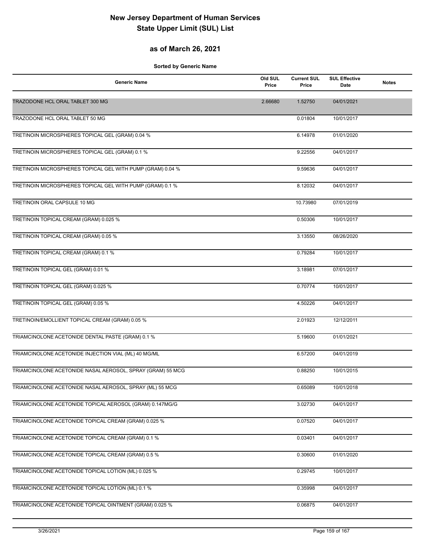#### **as of March 26, 2021**

| <b>Generic Name</b>                                        | Old SUL<br>Price | <b>Current SUL</b><br>Price | <b>SUL Effective</b><br>Date | <b>Notes</b> |
|------------------------------------------------------------|------------------|-----------------------------|------------------------------|--------------|
| TRAZODONE HCL ORAL TABLET 300 MG                           | 2.66680          | 1.52750                     | 04/01/2021                   |              |
| TRAZODONE HCL ORAL TABLET 50 MG                            |                  | 0.01804                     | 10/01/2017                   |              |
| TRETINOIN MICROSPHERES TOPICAL GEL (GRAM) 0.04 %           |                  | 6.14978                     | 01/01/2020                   |              |
| TRETINOIN MICROSPHERES TOPICAL GEL (GRAM) 0.1 %            |                  | 9.22556                     | 04/01/2017                   |              |
| TRETINOIN MICROSPHERES TOPICAL GEL WITH PUMP (GRAM) 0.04 % |                  | 9.59636                     | 04/01/2017                   |              |
| TRETINOIN MICROSPHERES TOPICAL GEL WITH PUMP (GRAM) 0.1 %  |                  | 8.12032                     | 04/01/2017                   |              |
| TRETINOIN ORAL CAPSULE 10 MG                               |                  | 10.73980                    | 07/01/2019                   |              |
| TRETINOIN TOPICAL CREAM (GRAM) 0.025 %                     |                  | 0.50306                     | 10/01/2017                   |              |
| TRETINOIN TOPICAL CREAM (GRAM) 0.05 %                      |                  | 3.13550                     | 08/26/2020                   |              |
| TRETINOIN TOPICAL CREAM (GRAM) 0.1 %                       |                  | 0.79284                     | 10/01/2017                   |              |
| TRETINOIN TOPICAL GEL (GRAM) 0.01 %                        |                  | 3.18981                     | 07/01/2017                   |              |
| TRETINOIN TOPICAL GEL (GRAM) 0.025 %                       |                  | 0.70774                     | 10/01/2017                   |              |
| TRETINOIN TOPICAL GEL (GRAM) 0.05 %                        |                  | 4.50226                     | 04/01/2017                   |              |
| TRETINOIN/EMOLLIENT TOPICAL CREAM (GRAM) 0.05 %            |                  | 2.01923                     | 12/12/2011                   |              |
| TRIAMCINOLONE ACETONIDE DENTAL PASTE (GRAM) 0.1 %          |                  | 5.19600                     | 01/01/2021                   |              |
| TRIAMCINOLONE ACETONIDE INJECTION VIAL (ML) 40 MG/ML       |                  | 6.57200                     | 04/01/2019                   |              |
| TRIAMCINOLONE ACETONIDE NASAL AEROSOL, SPRAY (GRAM) 55 MCG |                  | 0.88250                     | 10/01/2015                   |              |
| TRIAMCINOLONE ACETONIDE NASAL AEROSOL, SPRAY (ML) 55 MCG   |                  | 0.65089                     | 10/01/2018                   |              |
| TRIAMCINOLONE ACETONIDE TOPICAL AEROSOL (GRAM) 0.147MG/G   |                  | 3.02730                     | 04/01/2017                   |              |
| TRIAMCINOLONE ACETONIDE TOPICAL CREAM (GRAM) 0.025 %       |                  | 0.07520                     | 04/01/2017                   |              |
| TRIAMCINOLONE ACETONIDE TOPICAL CREAM (GRAM) 0.1 %         |                  | 0.03401                     | 04/01/2017                   |              |
| TRIAMCINOLONE ACETONIDE TOPICAL CREAM (GRAM) 0.5 %         |                  | 0.30600                     | 01/01/2020                   |              |
| TRIAMCINOLONE ACETONIDE TOPICAL LOTION (ML) 0.025 %        |                  | 0.29745                     | 10/01/2017                   |              |
| TRIAMCINOLONE ACETONIDE TOPICAL LOTION (ML) 0.1 %          |                  | 0.35998                     | 04/01/2017                   |              |
| TRIAMCINOLONE ACETONIDE TOPICAL OINTMENT (GRAM) 0.025 %    |                  | 0.06875                     | 04/01/2017                   |              |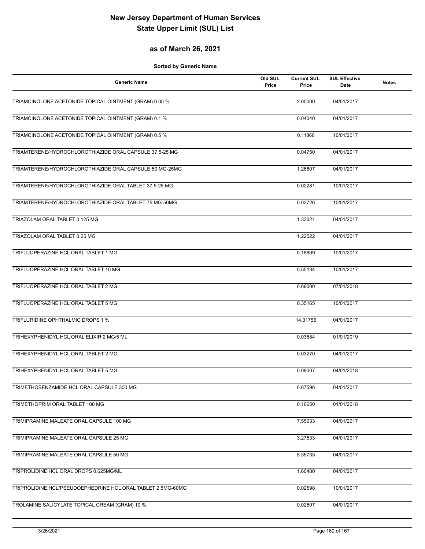#### **as of March 26, 2021**

| <b>Generic Name</b>                                         | Old SUL<br>Price | <b>Current SUL</b><br>Price | <b>SUL Effective</b><br>Date | <b>Notes</b> |
|-------------------------------------------------------------|------------------|-----------------------------|------------------------------|--------------|
| TRIAMCINOLONE ACETONIDE TOPICAL OINTMENT (GRAM) 0.05 %      |                  | 2.00000                     | 04/01/2017                   |              |
| TRIAMCINOLONE ACETONIDE TOPICAL OINTMENT (GRAM) 0.1 %       |                  | 0.04040                     | 04/01/2017                   |              |
| TRIAMCINOLONE ACETONIDE TOPICAL OINTMENT (GRAM) 0.5 %       |                  | 0.11860                     | 10/01/2017                   |              |
| TRIAMTERENE/HYDROCHLOROTHIAZIDE ORAL CAPSULE 37.5-25 MG     |                  | 0.04750                     | 04/01/2017                   |              |
| TRIAMTERENE/HYDROCHLOROTHIAZIDE ORAL CAPSULE 50 MG-25MG     |                  | 1.26607                     | 04/01/2017                   |              |
| TRIAMTERENE/HYDROCHLOROTHIAZIDE ORAL TABLET 37.5-25 MG      |                  | 0.02281                     | 10/01/2017                   |              |
| TRIAMTERENE/HYDROCHLOROTHIAZIDE ORAL TABLET 75 MG-50MG      |                  | 0.02726                     | 10/01/2017                   |              |
| TRIAZOLAM ORAL TABLET 0.125 MG                              |                  | 1.33621                     | 04/01/2017                   |              |
| TRIAZOLAM ORAL TABLET 0.25 MG                               |                  | 1.22522                     | 04/01/2017                   |              |
| TRIFLUOPERAZINE HCL ORAL TABLET 1 MG                        |                  | 0.18809                     | 10/01/2017                   |              |
| TRIFLUOPERAZINE HCL ORAL TABLET 10 MG                       |                  | 0.55134                     | 10/01/2017                   |              |
| TRIFLUOPERAZINE HCL ORAL TABLET 2 MG                        |                  | 0.69000                     | 07/01/2018                   |              |
| TRIFLUOPERAZINE HCL ORAL TABLET 5 MG                        |                  | 0.35165                     | 10/01/2017                   |              |
| TRIFLURIDINE OPHTHALMIC DROPS 1 %                           |                  | 14.31756                    | 04/01/2017                   |              |
| TRIHEXYPHENIDYL HCL ORAL ELIXIR 2 MG/5 ML                   |                  | 0.03584                     | 01/01/2019                   |              |
| TRIHEXYPHENIDYL HCL ORAL TABLET 2 MG                        |                  | 0.03270                     | 04/01/2017                   |              |
| TRIHEXYPHENIDYL HCL ORAL TABLET 5 MG                        |                  | 0.09007                     | 04/01/2018                   |              |
| TRIMETHOBENZAMIDE HCL ORAL CAPSULE 300 MG                   |                  | 0.87596                     | 04/01/2017                   |              |
| TRIMETHOPRIM ORAL TABLET 100 MG                             |                  | 0.16650                     | 01/01/2018                   |              |
| TRIMIPRAMINE MALEATE ORAL CAPSULE 100 MG                    |                  | 7.55033                     | 04/01/2017                   |              |
| TRIMIPRAMINE MALEATE ORAL CAPSULE 25 MG                     |                  | 3.27533                     | 04/01/2017                   |              |
| TRIMIPRAMINE MALEATE ORAL CAPSULE 50 MG                     |                  | 5.35733                     | 04/01/2017                   |              |
| TRIPROLIDINE HCL ORAL DROPS 0.625MG/ML                      |                  | 1.60480                     | 04/01/2017                   |              |
| TRIPROLIDINE HCL/PSEUDOEPHEDRINE HCL ORAL TABLET 2.5MG-60MG |                  | 0.02598                     | 10/01/2017                   |              |
| TROLAMINE SALICYLATE TOPICAL CREAM (GRAM) 10 %              |                  | 0.02507                     | 04/01/2017                   |              |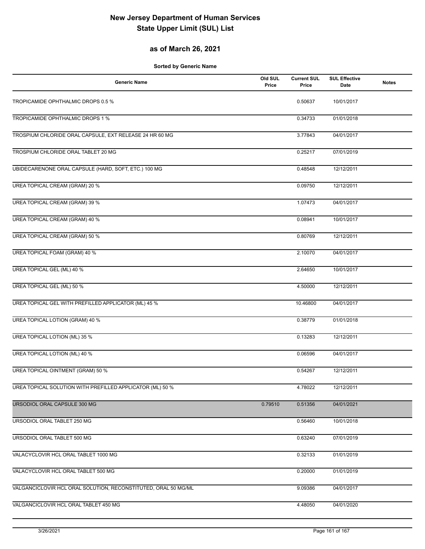#### **as of March 26, 2021**

| <b>Generic Name</b>                                            | Old SUL<br>Price | <b>Current SUL</b><br>Price | <b>SUL Effective</b><br>Date | <b>Notes</b> |
|----------------------------------------------------------------|------------------|-----------------------------|------------------------------|--------------|
| TROPICAMIDE OPHTHALMIC DROPS 0.5 %                             |                  | 0.50637                     | 10/01/2017                   |              |
| TROPICAMIDE OPHTHALMIC DROPS 1 %                               |                  | 0.34733                     | 01/01/2018                   |              |
| TROSPIUM CHLORIDE ORAL CAPSULE, EXT RELEASE 24 HR 60 MG        |                  | 3.77843                     | 04/01/2017                   |              |
| TROSPIUM CHLORIDE ORAL TABLET 20 MG                            |                  | 0.25217                     | 07/01/2019                   |              |
| UBIDECARENONE ORAL CAPSULE (HARD, SOFT, ETC.) 100 MG           |                  | 0.48548                     | 12/12/2011                   |              |
| <b>UREA TOPICAL CREAM (GRAM) 20 %</b>                          |                  | 0.09750                     | 12/12/2011                   |              |
| <b>UREA TOPICAL CREAM (GRAM) 39 %</b>                          |                  | 1.07473                     | 04/01/2017                   |              |
| UREA TOPICAL CREAM (GRAM) 40 %                                 |                  | 0.08941                     | 10/01/2017                   |              |
| <b>UREA TOPICAL CREAM (GRAM) 50 %</b>                          |                  | 0.80769                     | 12/12/2011                   |              |
| UREA TOPICAL FOAM (GRAM) 40 %                                  |                  | 2.10070                     | 04/01/2017                   |              |
| UREA TOPICAL GEL (ML) 40 %                                     |                  | 2.64650                     | 10/01/2017                   |              |
| <b>UREA TOPICAL GEL (ML) 50 %</b>                              |                  | 4.50000                     | 12/12/2011                   |              |
| UREA TOPICAL GEL WITH PREFILLED APPLICATOR (ML) 45 %           |                  | 10.46800                    | 04/01/2017                   |              |
| UREA TOPICAL LOTION (GRAM) 40 %                                |                  | 0.38779                     | 01/01/2018                   |              |
| <b>UREA TOPICAL LOTION (ML) 35 %</b>                           |                  | 0.13283                     | 12/12/2011                   |              |
| <b>UREA TOPICAL LOTION (ML) 40 %</b>                           |                  | 0.06596                     | 04/01/2017                   |              |
| <b>UREA TOPICAL OINTMENT (GRAM) 50 %</b>                       |                  | 0.54267                     | 12/12/2011                   |              |
| UREA TOPICAL SOLUTION WITH PREFILLED APPLICATOR (ML) 50 %      |                  | 4.78022                     | 12/12/2011                   |              |
| URSODIOL ORAL CAPSULE 300 MG                                   | 0.79510          | 0.51356                     | 04/01/2021                   |              |
| URSODIOL ORAL TABLET 250 MG                                    |                  | 0.56460                     | 10/01/2018                   |              |
| URSODIOL ORAL TABLET 500 MG                                    |                  | 0.63240                     | 07/01/2019                   |              |
| VALACYCLOVIR HCL ORAL TABLET 1000 MG                           |                  | 0.32133                     | 01/01/2019                   |              |
| VALACYCLOVIR HCL ORAL TABLET 500 MG                            |                  | 0.20000                     | 01/01/2019                   |              |
| VALGANCICLOVIR HCL ORAL SOLUTION, RECONSTITUTED, ORAL 50 MG/ML |                  | 9.09386                     | 04/01/2017                   |              |
| VALGANCICLOVIR HCL ORAL TABLET 450 MG                          |                  | 4.48050                     | 04/01/2020                   |              |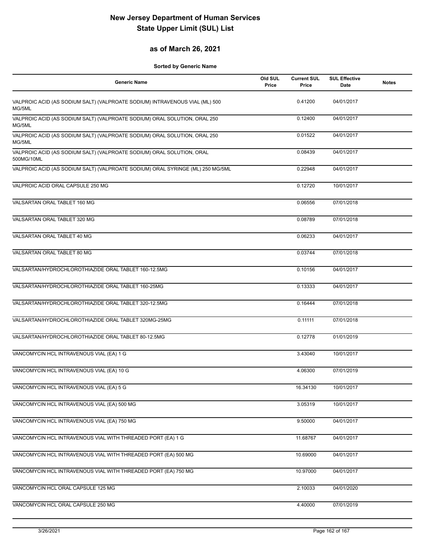#### **as of March 26, 2021**

| <b>Generic Name</b>                                                                   | Old SUL<br>Price | <b>Current SUL</b><br>Price | <b>SUL Effective</b><br>Date | <b>Notes</b> |
|---------------------------------------------------------------------------------------|------------------|-----------------------------|------------------------------|--------------|
| VALPROIC ACID (AS SODIUM SALT) (VALPROATE SODIUM) INTRAVENOUS VIAL (ML) 500<br>MG/5ML |                  | 0.41200                     | 04/01/2017                   |              |
| VALPROIC ACID (AS SODIUM SALT) (VALPROATE SODIUM) ORAL SOLUTION, ORAL 250<br>MG/5ML   |                  | 0.12400                     | 04/01/2017                   |              |
| VALPROIC ACID (AS SODIUM SALT) (VALPROATE SODIUM) ORAL SOLUTION, ORAL 250<br>MG/5ML   |                  | 0.01522                     | 04/01/2017                   |              |
| VALPROIC ACID (AS SODIUM SALT) (VALPROATE SODIUM) ORAL SOLUTION, ORAL<br>500MG/10ML   |                  | 0.08439                     | 04/01/2017                   |              |
| VALPROIC ACID (AS SODIUM SALT) (VALPROATE SODIUM) ORAL SYRINGE (ML) 250 MG/5ML        |                  | 0.22948                     | 04/01/2017                   |              |
| VALPROIC ACID ORAL CAPSULE 250 MG                                                     |                  | 0.12720                     | 10/01/2017                   |              |
| VALSARTAN ORAL TABLET 160 MG                                                          |                  | 0.06556                     | 07/01/2018                   |              |
| VALSARTAN ORAL TABLET 320 MG                                                          |                  | 0.08789                     | 07/01/2018                   |              |
| VALSARTAN ORAL TABLET 40 MG                                                           |                  | 0.06233                     | 04/01/2017                   |              |
| VALSARTAN ORAL TABLET 80 MG                                                           |                  | 0.03744                     | 07/01/2018                   |              |
| VALSARTAN/HYDROCHLOROTHIAZIDE ORAL TABLET 160-12.5MG                                  |                  | 0.10156                     | 04/01/2017                   |              |
| VALSARTAN/HYDROCHLOROTHIAZIDE ORAL TABLET 160-25MG                                    |                  | 0.13333                     | 04/01/2017                   |              |
| VALSARTAN/HYDROCHLOROTHIAZIDE ORAL TABLET 320-12.5MG                                  |                  | 0.16444                     | 07/01/2018                   |              |
| VALSARTAN/HYDROCHLOROTHIAZIDE ORAL TABLET 320MG-25MG                                  |                  | 0.11111                     | 07/01/2018                   |              |
| VALSARTAN/HYDROCHLOROTHIAZIDE ORAL TABLET 80-12.5MG                                   |                  | 0.12778                     | 01/01/2019                   |              |
| VANCOMYCIN HCL INTRAVENOUS VIAL (EA) 1 G                                              |                  | 3.43040                     | 10/01/2017                   |              |
| VANCOMYCIN HCL INTRAVENOUS VIAL (EA) 10 G                                             |                  | 4.06300                     | 07/01/2019                   |              |
| VANCOMYCIN HCL INTRAVENOUS VIAL (EA) 5 G                                              |                  | 16.34130                    | 10/01/2017                   |              |
| VANCOMYCIN HCL INTRAVENOUS VIAL (EA) 500 MG                                           |                  | 3.05319                     | 10/01/2017                   |              |
| VANCOMYCIN HCL INTRAVENOUS VIAL (EA) 750 MG                                           |                  | 9.50000                     | 04/01/2017                   |              |
| VANCOMYCIN HCL INTRAVENOUS VIAL WITH THREADED PORT (EA) 1 G                           |                  | 11.68767                    | 04/01/2017                   |              |
| VANCOMYCIN HCL INTRAVENOUS VIAL WITH THREADED PORT (EA) 500 MG                        |                  | 10.69000                    | 04/01/2017                   |              |
| VANCOMYCIN HCL INTRAVENOUS VIAL WITH THREADED PORT (EA) 750 MG                        |                  | 10.97000                    | 04/01/2017                   |              |
| VANCOMYCIN HCL ORAL CAPSULE 125 MG                                                    |                  | 2.10033                     | 04/01/2020                   |              |
| VANCOMYCIN HCL ORAL CAPSULE 250 MG                                                    |                  | 4.40000                     | 07/01/2019                   |              |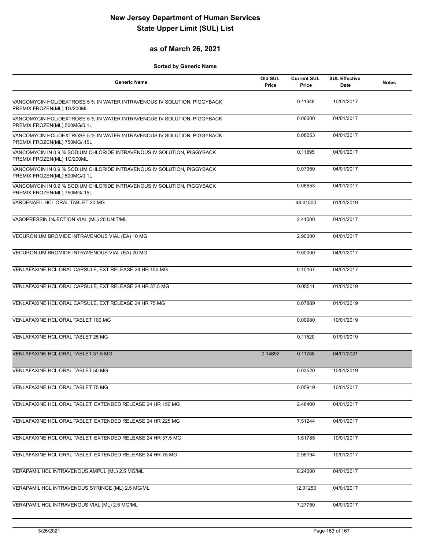#### **as of March 26, 2021**

| <b>Generic Name</b>                                                                                     | Old SUL<br>Price | <b>Current SUL</b><br>Price | <b>SUL Effective</b><br>Date | <b>Notes</b> |
|---------------------------------------------------------------------------------------------------------|------------------|-----------------------------|------------------------------|--------------|
| VANCOMYCIN HCL/DEXTROSE 5 % IN WATER INTRAVENOUS IV SOLUTION, PIGGYBACK<br>PREMIX FROZEN(ML) 1G/200ML   |                  | 0.11348                     | 10/01/2017                   |              |
| VANCOMYCIN HCL/DEXTROSE 5 % IN WATER INTRAVENOUS IV SOLUTION, PIGGYBACK<br>PREMIX FROZEN(ML) 500MG/0.1L |                  | 0.06600                     | 04/01/2017                   |              |
| VANCOMYCIN HCL/DEXTROSE 5 % IN WATER INTRAVENOUS IV SOLUTION, PIGGYBACK<br>PREMIX FROZEN(ML) 750MG/.15L |                  | 0.08053                     | 04/01/2017                   |              |
| VANCOMYCIN IN 0.9 % SODIUM CHLORIDE INTRAVENOUS IV SOLUTION, PIGGYBACK<br>PREMIX FROZEN(ML) 1G/200ML    |                  | 0.11895                     | 04/01/2017                   |              |
| VANCOMYCIN IN 0.9 % SODIUM CHLORIDE INTRAVENOUS IV SOLUTION, PIGGYBACK<br>PREMIX FROZEN(ML) 500MG/0.1L  |                  | 0.07350                     | 04/01/2017                   |              |
| VANCOMYCIN IN 0.9 % SODIUM CHLORIDE INTRAVENOUS IV SOLUTION, PIGGYBACK<br>PREMIX FROZEN(ML) 750MG/.15L  |                  | 0.08553                     | 04/01/2017                   |              |
| VARDENAFIL HCL ORAL TABLET 20 MG                                                                        |                  | 48.41500                    | 01/01/2019                   |              |
| VASOPRESSIN INJECTION VIAL (ML) 20 UNIT/ML                                                              |                  | 2.41000                     | 04/01/2017                   |              |
| VECURONIUM BROMIDE INTRAVENOUS VIAL (EA) 10 MG                                                          |                  | 2.90000                     | 04/01/2017                   |              |
| VECURONIUM BROMIDE INTRAVENOUS VIAL (EA) 20 MG                                                          |                  | 9.00000                     | 04/01/2017                   |              |
| VENLAFAXINE HCL ORAL CAPSULE, EXT RELEASE 24 HR 150 MG                                                  |                  | 0.10167                     | 04/01/2017                   |              |
| VENLAFAXINE HCL ORAL CAPSULE, EXT RELEASE 24 HR 37.5 MG                                                 |                  | 0.05511                     | 01/01/2019                   |              |
| VENLAFAXINE HCL ORAL CAPSULE, EXT RELEASE 24 HR 75 MG                                                   |                  | 0.07889                     | 01/01/2019                   |              |
| VENLAFAXINE HCL ORAL TABLET 100 MG                                                                      |                  | 0.09980                     | 10/01/2019                   |              |
| VENLAFAXINE HCL ORAL TABLET 25 MG                                                                       |                  | 0.11520                     | 01/01/2019                   |              |
| <b>VENLAFAXINE HCL ORAL TABLET 37.5 MG</b>                                                              | 0.14692          | 0.11788                     | 04/01/2021                   |              |
| VENLAFAXINE HCL ORAL TABLET 50 MG                                                                       |                  | 0.03520                     | 10/01/2019                   |              |
| <b>VENLAFAXINE HCL ORAL TABLET 75 MG</b>                                                                |                  | 0.05919                     | 10/01/2017                   |              |
| VENLAFAXINE HCL ORAL TABLET, EXTENDED RELEASE 24 HR 150 MG                                              |                  | 2.48400                     | 04/01/2017                   |              |
| VENLAFAXINE HCL ORAL TABLET, EXTENDED RELEASE 24 HR 225 MG                                              |                  | 7.51244                     | 04/01/2017                   |              |
| VENLAFAXINE HCL ORAL TABLET, EXTENDED RELEASE 24 HR 37.5 MG                                             |                  | 1.51785                     | 10/01/2017                   |              |
| VENLAFAXINE HCL ORAL TABLET, EXTENDED RELEASE 24 HR 75 MG                                               |                  | 2.95194                     | 10/01/2017                   |              |
| VERAPAMIL HCL INTRAVENOUS AMPUL (ML) 2.5 MG/ML                                                          |                  | 8.24000                     | 04/01/2017                   |              |
| VERAPAMIL HCL INTRAVENOUS SYRINGE (ML) 2.5 MG/ML                                                        |                  | 12.01250                    | 04/01/2017                   |              |
| VERAPAMIL HCL INTRAVENOUS VIAL (ML) 2.5 MG/ML                                                           |                  | 7.27750                     | 04/01/2017                   |              |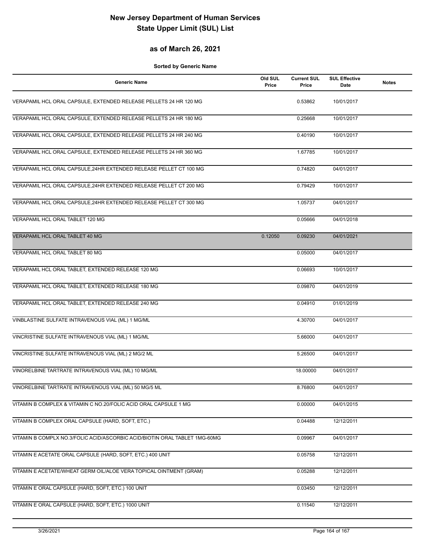#### **as of March 26, 2021**

| <b>Generic Name</b>                                                        | Old SUL<br>Price | <b>Current SUL</b><br>Price | <b>SUL Effective</b><br>Date | <b>Notes</b> |
|----------------------------------------------------------------------------|------------------|-----------------------------|------------------------------|--------------|
| VERAPAMIL HCL ORAL CAPSULE, EXTENDED RELEASE PELLETS 24 HR 120 MG          |                  | 0.53862                     | 10/01/2017                   |              |
| VERAPAMIL HCL ORAL CAPSULE, EXTENDED RELEASE PELLETS 24 HR 180 MG          |                  | 0.25668                     | 10/01/2017                   |              |
| VERAPAMIL HCL ORAL CAPSULE, EXTENDED RELEASE PELLETS 24 HR 240 MG          |                  | 0.40190                     | 10/01/2017                   |              |
| VERAPAMIL HCL ORAL CAPSULE, EXTENDED RELEASE PELLETS 24 HR 360 MG          |                  | 1.67785                     | 10/01/2017                   |              |
| VERAPAMIL HCL ORAL CAPSULE, 24HR EXTENDED RELEASE PELLET CT 100 MG         |                  | 0.74820                     | 04/01/2017                   |              |
| VERAPAMIL HCL ORAL CAPSULE, 24HR EXTENDED RELEASE PELLET CT 200 MG         |                  | 0.79429                     | 10/01/2017                   |              |
| VERAPAMIL HCL ORAL CAPSULE, 24HR EXTENDED RELEASE PELLET CT 300 MG         |                  | 1.05737                     | 04/01/2017                   |              |
| VERAPAMIL HCL ORAL TABLET 120 MG                                           |                  | 0.05666                     | 04/01/2018                   |              |
| VERAPAMIL HCL ORAL TABLET 40 MG                                            | 0.12050          | 0.09230                     | 04/01/2021                   |              |
| VERAPAMIL HCL ORAL TABLET 80 MG                                            |                  | 0.05000                     | 04/01/2017                   |              |
| VERAPAMIL HCL ORAL TABLET, EXTENDED RELEASE 120 MG                         |                  | 0.06693                     | 10/01/2017                   |              |
| VERAPAMIL HCL ORAL TABLET, EXTENDED RELEASE 180 MG                         |                  | 0.09870                     | 04/01/2019                   |              |
| VERAPAMIL HCL ORAL TABLET, EXTENDED RELEASE 240 MG                         |                  | 0.04910                     | 01/01/2019                   |              |
| VINBLASTINE SULFATE INTRAVENOUS VIAL (ML) 1 MG/ML                          |                  | 4.30700                     | 04/01/2017                   |              |
| VINCRISTINE SULFATE INTRAVENOUS VIAL (ML) 1 MG/ML                          |                  | 5.66000                     | 04/01/2017                   |              |
| VINCRISTINE SULFATE INTRAVENOUS VIAL (ML) 2 MG/2 ML                        |                  | 5.26500                     | 04/01/2017                   |              |
| VINORELBINE TARTRATE INTRAVENOUS VIAL (ML) 10 MG/ML                        |                  | 18.00000                    | 04/01/2017                   |              |
| VINORELBINE TARTRATE INTRAVENOUS VIAL (ML) 50 MG/5 ML                      |                  | 8.76800                     | 04/01/2017                   |              |
| VITAMIN B COMPLEX & VITAMIN C NO.20/FOLIC ACID ORAL CAPSULE 1 MG           |                  | 0.00000                     | 04/01/2015                   |              |
| VITAMIN B COMPLEX ORAL CAPSULE (HARD, SOFT, ETC.)                          |                  | 0.04488                     | 12/12/2011                   |              |
| VITAMIN B COMPLX NO.3/FOLIC ACID/ASCORBIC ACID/BIOTIN ORAL TABLET 1MG-60MG |                  | 0.09967                     | 04/01/2017                   |              |
| VITAMIN E ACETATE ORAL CAPSULE (HARD, SOFT, ETC.) 400 UNIT                 |                  | 0.05758                     | 12/12/2011                   |              |
| VITAMIN E ACETATE/WHEAT GERM OIL/ALOE VERA TOPICAL OINTMENT (GRAM)         |                  | 0.05288                     | 12/12/2011                   |              |
| VITAMIN E ORAL CAPSULE (HARD, SOFT, ETC.) 100 UNIT                         |                  | 0.03450                     | 12/12/2011                   |              |
| VITAMIN E ORAL CAPSULE (HARD, SOFT, ETC.) 1000 UNIT                        |                  | 0.11540                     | 12/12/2011                   |              |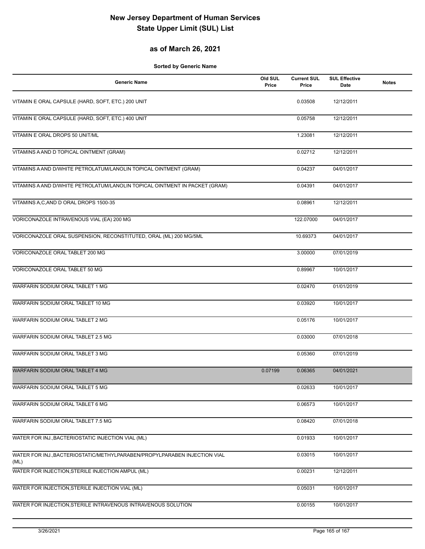#### **as of March 26, 2021**

| <b>Generic Name</b>                                                               | Old SUL<br>Price | <b>Current SUL</b><br>Price | <b>SUL Effective</b><br><b>Date</b> | <b>Notes</b> |
|-----------------------------------------------------------------------------------|------------------|-----------------------------|-------------------------------------|--------------|
| VITAMIN E ORAL CAPSULE (HARD, SOFT, ETC.) 200 UNIT                                |                  | 0.03508                     | 12/12/2011                          |              |
| VITAMIN E ORAL CAPSULE (HARD, SOFT, ETC.) 400 UNIT                                |                  | 0.05758                     | 12/12/2011                          |              |
| VITAMIN E ORAL DROPS 50 UNIT/ML                                                   |                  | 1.23081                     | 12/12/2011                          |              |
| VITAMINS A AND D TOPICAL OINTMENT (GRAM)                                          |                  | 0.02712                     | 12/12/2011                          |              |
| VITAMINS A AND D/WHITE PETROLATUM/LANOLIN TOPICAL OINTMENT (GRAM)                 |                  | 0.04237                     | 04/01/2017                          |              |
| VITAMINS A AND D/WHITE PETROLATUM/LANOLIN TOPICAL OINTMENT IN PACKET (GRAM)       |                  | 0.04391                     | 04/01/2017                          |              |
| VITAMINS A,C,AND D ORAL DROPS 1500-35                                             |                  | 0.08961                     | 12/12/2011                          |              |
| VORICONAZOLE INTRAVENOUS VIAL (EA) 200 MG                                         |                  | 122.07000                   | 04/01/2017                          |              |
| VORICONAZOLE ORAL SUSPENSION, RECONSTITUTED, ORAL (ML) 200 MG/5ML                 |                  | 10.69373                    | 04/01/2017                          |              |
| VORICONAZOLE ORAL TABLET 200 MG                                                   |                  | 3.00000                     | 07/01/2019                          |              |
| VORICONAZOLE ORAL TABLET 50 MG                                                    |                  | 0.89967                     | 10/01/2017                          |              |
| WARFARIN SODIUM ORAL TABLET 1 MG                                                  |                  | 0.02470                     | 01/01/2019                          |              |
| WARFARIN SODIUM ORAL TABLET 10 MG                                                 |                  | 0.03920                     | 10/01/2017                          |              |
| WARFARIN SODIUM ORAL TABLET 2 MG                                                  |                  | 0.05176                     | 10/01/2017                          |              |
| WARFARIN SODIUM ORAL TABLET 2.5 MG                                                |                  | 0.03000                     | 07/01/2018                          |              |
| WARFARIN SODIUM ORAL TABLET 3 MG                                                  |                  | 0.05360                     | 07/01/2019                          |              |
| WARFARIN SODIUM ORAL TABLET 4 MG                                                  | 0.07199          | 0.06365                     | 04/01/2021                          |              |
| WARFARIN SODIUM ORAL TABLET 5 MG                                                  |                  | 0.02633                     | 10/01/2017                          |              |
| WARFARIN SODIUM ORAL TABLET 6 MG                                                  |                  | 0.06573                     | 10/01/2017                          |              |
| WARFARIN SODIUM ORAL TABLET 7.5 MG                                                |                  | 0.08420                     | 07/01/2018                          |              |
| WATER FOR INJ., BACTERIOSTATIC INJECTION VIAL (ML)                                |                  | 0.01933                     | 10/01/2017                          |              |
| WATER FOR INJ., BACTERIOSTATIC/METHYLPARABEN/PROPYLPARABEN INJECTION VIAL<br>(ML) |                  | 0.03015                     | 10/01/2017                          |              |
| WATER FOR INJECTION, STERILE INJECTION AMPUL (ML)                                 |                  | 0.00231                     | 12/12/2011                          |              |
| WATER FOR INJECTION, STERILE INJECTION VIAL (ML)                                  |                  | 0.05031                     | 10/01/2017                          |              |
| WATER FOR INJECTION, STERILE INTRAVENOUS INTRAVENOUS SOLUTION                     |                  | 0.00155                     | 10/01/2017                          |              |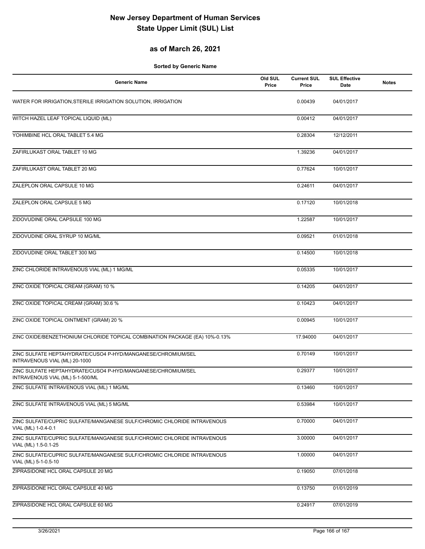### **as of March 26, 2021**

| <b>Generic Name</b>                                                                              | Old SUL<br>Price | <b>Current SUL</b><br>Price | <b>SUL Effective</b><br>Date | <b>Notes</b> |
|--------------------------------------------------------------------------------------------------|------------------|-----------------------------|------------------------------|--------------|
| WATER FOR IRRIGATION, STERILE IRRIGATION SOLUTION, IRRIGATION                                    |                  | 0.00439                     | 04/01/2017                   |              |
| WITCH HAZEL LEAF TOPICAL LIQUID (ML)                                                             |                  | 0.00412                     | 04/01/2017                   |              |
| YOHIMBINE HCL ORAL TABLET 5.4 MG                                                                 |                  | 0.28304                     | 12/12/2011                   |              |
| ZAFIRLUKAST ORAL TABLET 10 MG                                                                    |                  | 1.39236                     | 04/01/2017                   |              |
| ZAFIRLUKAST ORAL TABLET 20 MG                                                                    |                  | 0.77624                     | 10/01/2017                   |              |
| ZALEPLON ORAL CAPSULE 10 MG                                                                      |                  | 0.24611                     | 04/01/2017                   |              |
| ZALEPLON ORAL CAPSULE 5 MG                                                                       |                  | 0.17120                     | 10/01/2018                   |              |
| ZIDOVUDINE ORAL CAPSULE 100 MG                                                                   |                  | 1.22587                     | 10/01/2017                   |              |
| ZIDOVUDINE ORAL SYRUP 10 MG/ML                                                                   |                  | 0.09521                     | 01/01/2018                   |              |
| ZIDOVUDINE ORAL TABLET 300 MG                                                                    |                  | 0.14500                     | 10/01/2018                   |              |
| ZINC CHLORIDE INTRAVENOUS VIAL (ML) 1 MG/ML                                                      |                  | 0.05335                     | 10/01/2017                   |              |
| ZINC OXIDE TOPICAL CREAM (GRAM) 10 %                                                             |                  | 0.14205                     | 04/01/2017                   |              |
| ZINC OXIDE TOPICAL CREAM (GRAM) 30.6 %                                                           |                  | 0.10423                     | 04/01/2017                   |              |
| ZINC OXIDE TOPICAL OINTMENT (GRAM) 20 %                                                          |                  | 0.00945                     | 10/01/2017                   |              |
| ZINC OXIDE/BENZETHONIUM CHLORIDE TOPICAL COMBINATION PACKAGE (EA) 10%-0.13%                      |                  | 17.94000                    | 04/01/2017                   |              |
| ZINC SULFATE HEPTAHYDRATE/CUSO4 P-HYD/MANGANESE/CHROMIUM/SEL<br>INTRAVENOUS VIAL (ML) 20-1000    |                  | 0.70149                     | 10/01/2017                   |              |
| ZINC SULFATE HEPTAHYDRATE/CUSO4 P-HYD/MANGANESE/CHROMIUM/SEL<br>INTRAVENOUS VIAL (ML) 5-1-500/ML |                  | 0.29377                     | 10/01/2017                   |              |
| ZINC SULFATE INTRAVENOUS VIAL (ML) 1 MG/ML                                                       |                  | 0.13460                     | 10/01/2017                   |              |
| ZINC SULFATE INTRAVENOUS VIAL (ML) 5 MG/ML                                                       |                  | 0.53984                     | 10/01/2017                   |              |
| ZINC SULFATE/CUPRIC SULFATE/MANGANESE SULF/CHROMIC CHLORIDE INTRAVENOUS<br>VIAL (ML) 1-0.4-0.1   |                  | 0.70000                     | 04/01/2017                   |              |
| ZINC SULFATE/CUPRIC SULFATE/MANGANESE SULF/CHROMIC CHLORIDE INTRAVENOUS<br>VIAL (ML) 1.5-0.1-25  |                  | 3.00000                     | 04/01/2017                   |              |
| ZINC SULFATE/CUPRIC SULFATE/MANGANESE SULF/CHROMIC CHLORIDE INTRAVENOUS<br>VIAL (ML) 5-1-0.5-10  |                  | 1.00000                     | 04/01/2017                   |              |
| ZIPRASIDONE HCL ORAL CAPSULE 20 MG                                                               |                  | 0.19050                     | 07/01/2018                   |              |
| ZIPRASIDONE HCL ORAL CAPSULE 40 MG                                                               |                  | 0.13750                     | 01/01/2019                   |              |
| ZIPRASIDONE HCL ORAL CAPSULE 60 MG                                                               |                  | 0.24917                     | 07/01/2019                   |              |